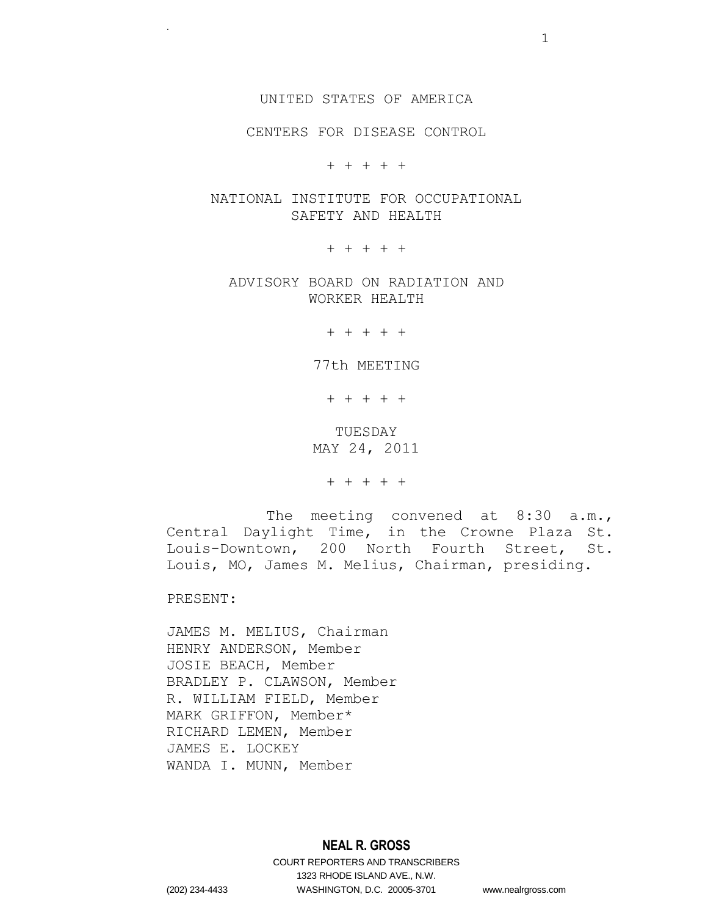UNITED STATES OF AMERICA

CENTERS FOR DISEASE CONTROL

+ + + + +

NATIONAL INSTITUTE FOR OCCUPATIONAL SAFETY AND HEALTH

+ + + + +

ADVISORY BOARD ON RADIATION AND WORKER HEALTH

+ + + + +

77th MEETING

+ + + + +

TUESDAY MAY 24, 2011

+ + + + +

The meeting convened at 8:30 a.m., Central Daylight Time, in the Crowne Plaza St. Louis-Downtown, 200 North Fourth Street, St. Louis, MO, James M. Melius, Chairman, presiding.

PRESENT:

.

JAMES M. MELIUS, Chairman HENRY ANDERSON, Member JOSIE BEACH, Member BRADLEY P. CLAWSON, Member R. WILLIAM FIELD, Member MARK GRIFFON, Member\* RICHARD LEMEN, Member JAMES E. LOCKEY WANDA I. MUNN, Member

COURT REPORTERS AND TRANSCRIBERS 1323 RHODE ISLAND AVE., N.W. (202) 234-4433 WASHINGTON, D.C. 20005-3701 www.nealrgross.com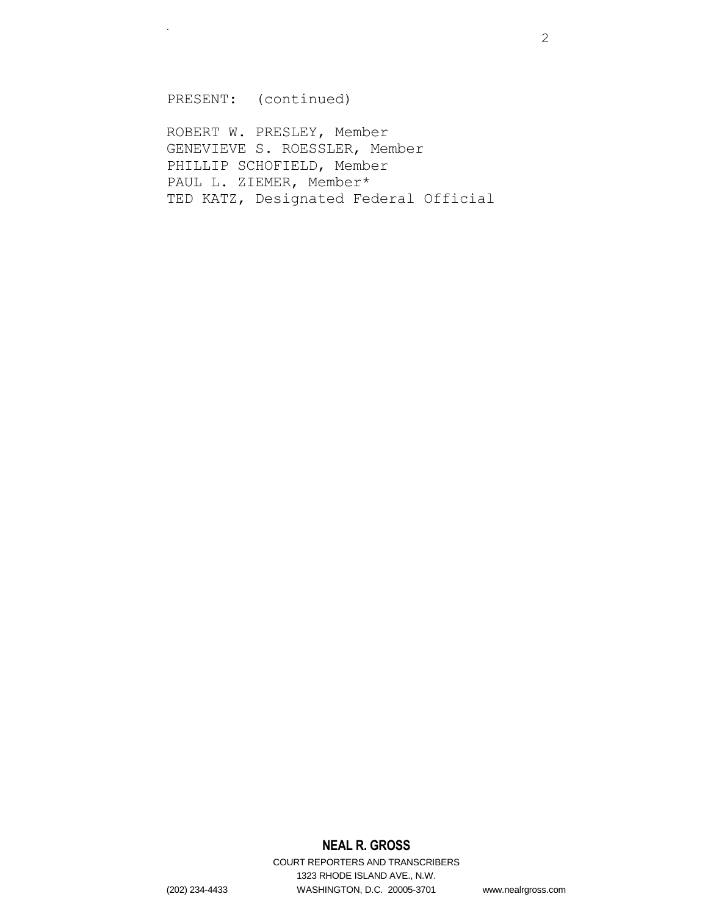PRESENT: (continued)

.

ROBERT W. PRESLEY, Member GENEVIEVE S. ROESSLER, Member PHILLIP SCHOFIELD, Member PAUL L. ZIEMER, Member\* TED KATZ, Designated Federal Official

# **NEAL R. GROSS**

COURT REPORTERS AND TRANSCRIBERS 1323 RHODE ISLAND AVE., N.W. (202) 234-4433 WASHINGTON, D.C. 20005-3701 www.nealrgross.com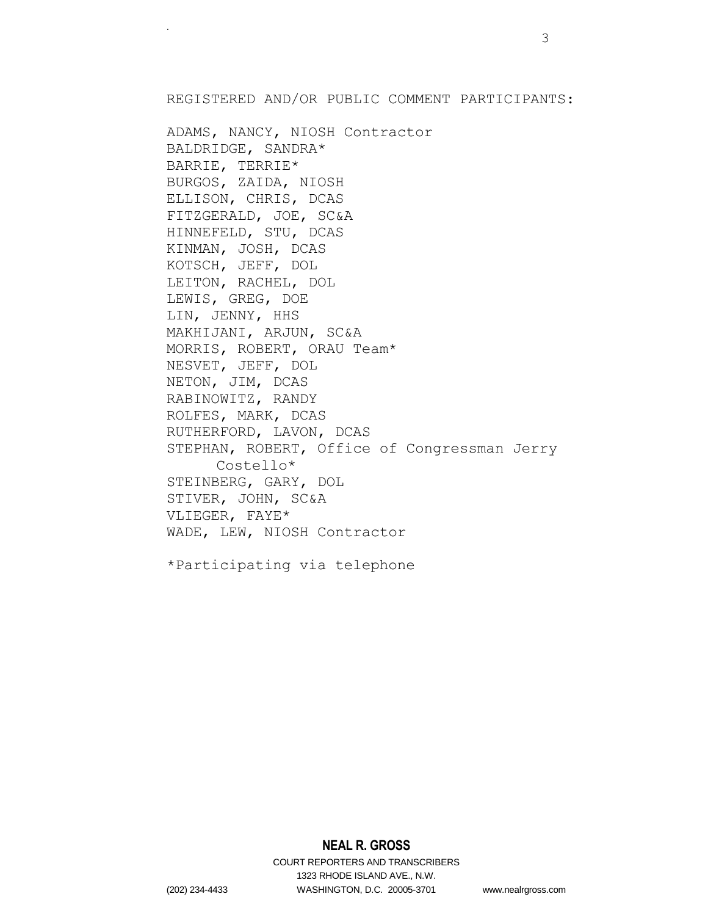REGISTERED AND/OR PUBLIC COMMENT PARTICIPANTS:

ADAMS, NANCY, NIOSH Contractor BALDRIDGE, SANDRA\* BARRIE, TERRIE\* BURGOS, ZAIDA, NIOSH ELLISON, CHRIS, DCAS FITZGERALD, JOE, SC&A HINNEFELD, STU, DCAS KINMAN, JOSH, DCAS KOTSCH, JEFF, DOL LEITON, RACHEL, DOL LEWIS, GREG, DOE LIN, JENNY, HHS MAKHIJANI, ARJUN, SC&A MORRIS, ROBERT, ORAU Team\* NESVET, JEFF, DOL NETON, JIM, DCAS RABINOWITZ, RANDY ROLFES, MARK, DCAS RUTHERFORD, LAVON, DCAS STEPHAN, ROBERT, Office of Congressman Jerry Costello\* STEINBERG, GARY, DOL STIVER, JOHN, SC&A VLIEGER, FAYE\* WADE, LEW, NIOSH Contractor

\*Participating via telephone

3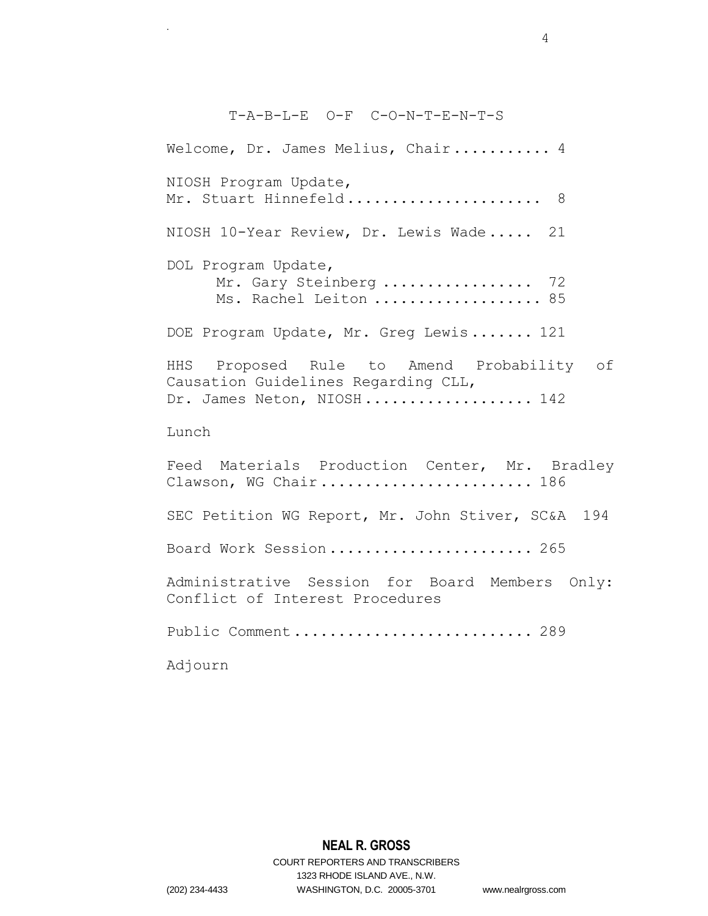T-A-B-L-E O-F C-O-N-T-E-N-T-S

Welcome, Dr. James Melius, Chair........... 4 NIOSH Program Update, Mr. Stuart Hinnefeld........................ 8 NIOSH 10-Year Review, Dr. Lewis Wade..... 21 DOL Program Update, Mr. Gary Steinberg .................. 72 Ms. Rachel Leiton ................... 85 DOE Program Update, Mr. Greg Lewis....... 121 HHS Proposed Rule to Amend Probability of Causation Guidelines Regarding CLL, Dr. James Neton, NIOSH................... 142 Lunch Feed Materials Production Center, Mr. Bradley Clawson, WG Chair.......................... 186 SEC Petition WG Report, Mr. John Stiver, SC&A 194 Board Work Session......................... 265 Administrative Session for Board Members Only: Conflict of Interest Procedures Public Comment................................ 289 Adjourn

**NEAL R. GROSS**

COURT REPORTERS AND TRANSCRIBERS 1323 RHODE ISLAND AVE., N.W. (202) 234-4433 WASHINGTON, D.C. 20005-3701 www.nealrgross.com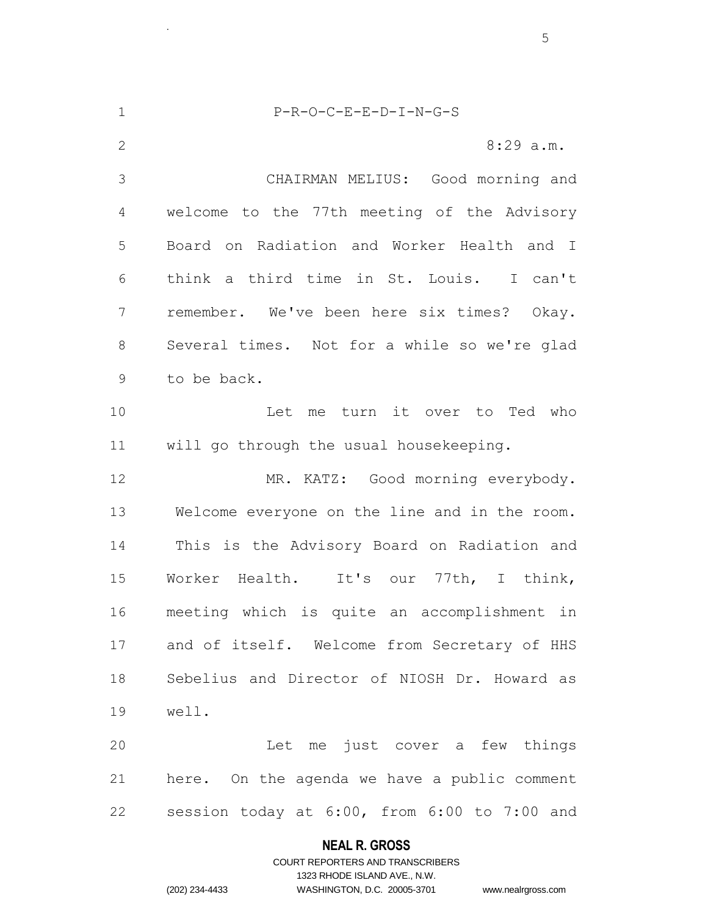P-R-O-C-E-E-D-I-N-G-S 2 8:29 a.m. CHAIRMAN MELIUS: Good morning and welcome to the 77th meeting of the Advisory Board on Radiation and Worker Health and I think a third time in St. Louis. I can't remember. We've been here six times? Okay. Several times. Not for a while so we're glad to be back. Let me turn it over to Ted who will go through the usual housekeeping. 12 MR. KATZ: Good morning everybody. Welcome everyone on the line and in the room. This is the Advisory Board on Radiation and Worker Health. It's our 77th, I think, meeting which is quite an accomplishment in and of itself. Welcome from Secretary of HHS Sebelius and Director of NIOSH Dr. Howard as well. Let me just cover a few things here. On the agenda we have a public comment session today at 6:00, from 6:00 to 7:00 and

#### **NEAL R. GROSS**

.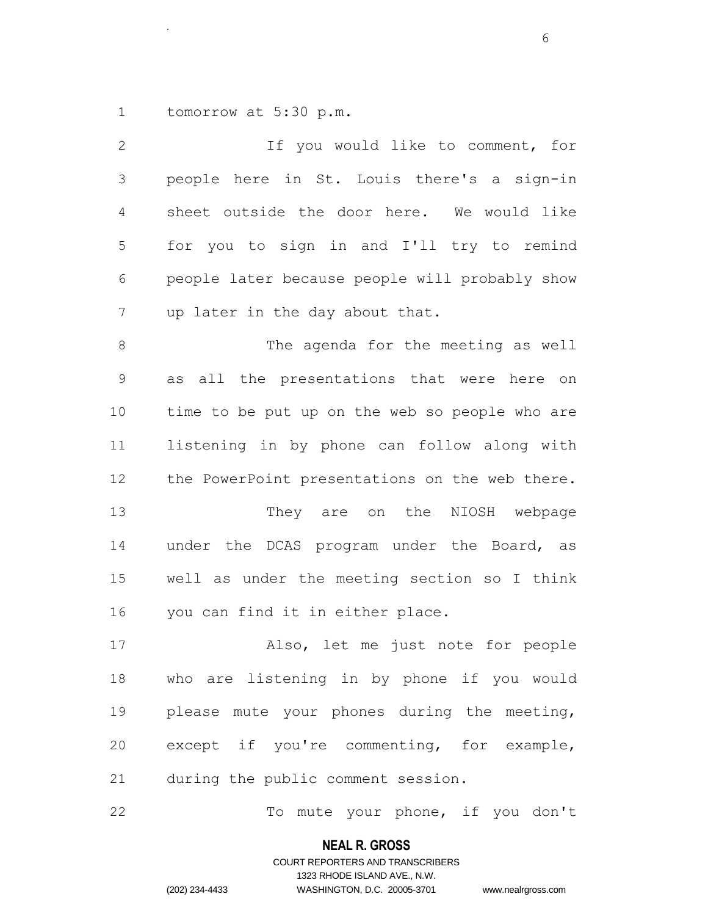tomorrow at 5:30 p.m.

.

 If you would like to comment, for people here in St. Louis there's a sign-in sheet outside the door here. We would like for you to sign in and I'll try to remind people later because people will probably show up later in the day about that. The agenda for the meeting as well as all the presentations that were here on time to be put up on the web so people who are listening in by phone can follow along with the PowerPoint presentations on the web there. They are on the NIOSH webpage under the DCAS program under the Board, as well as under the meeting section so I think you can find it in either place. Also, let me just note for people who are listening in by phone if you would please mute your phones during the meeting, except if you're commenting, for example, during the public comment session.

22 To mute your phone, if you don't

#### **NEAL R. GROSS**

### COURT REPORTERS AND TRANSCRIBERS 1323 RHODE ISLAND AVE., N.W. (202) 234-4433 WASHINGTON, D.C. 20005-3701 www.nealrgross.com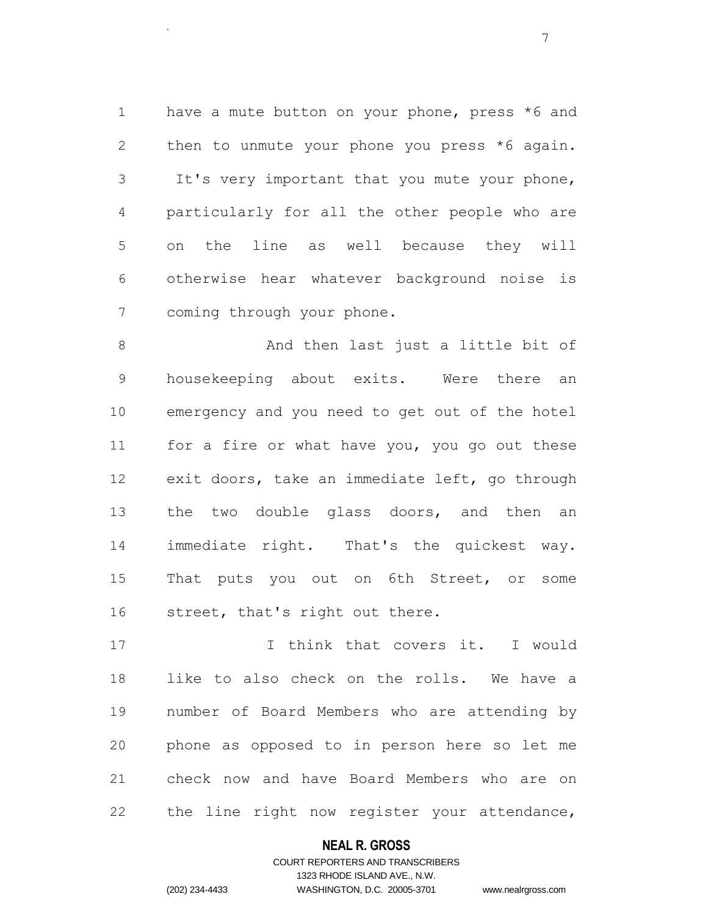1 have a mute button on your phone, press \*6 and 2 then to unmute your phone you press \*6 again. It's very important that you mute your phone, particularly for all the other people who are on the line as well because they will otherwise hear whatever background noise is coming through your phone.

8 And then last just a little bit of housekeeping about exits. Were there an emergency and you need to get out of the hotel for a fire or what have you, you go out these exit doors, take an immediate left, go through 13 the two double glass doors, and then an immediate right. That's the quickest way. 15 That puts you out on 6th Street, or some street, that's right out there.

 I think that covers it. I would like to also check on the rolls. We have a number of Board Members who are attending by phone as opposed to in person here so let me check now and have Board Members who are on the line right now register your attendance,

#### **NEAL R. GROSS**

### COURT REPORTERS AND TRANSCRIBERS 1323 RHODE ISLAND AVE., N.W. (202) 234-4433 WASHINGTON, D.C. 20005-3701 www.nealrgross.com

.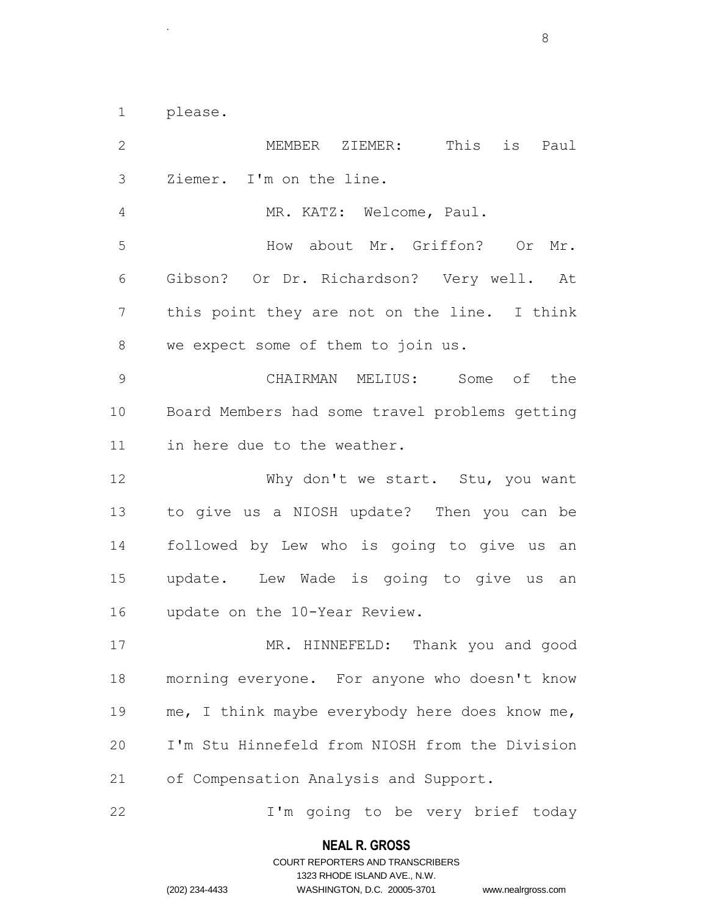please.

.

 MEMBER ZIEMER: This is Paul Ziemer. I'm on the line. MR. KATZ: Welcome, Paul. How about Mr. Griffon? Or Mr. Gibson? Or Dr. Richardson? Very well. At this point they are not on the line. I think we expect some of them to join us. CHAIRMAN MELIUS: Some of the Board Members had some travel problems getting in here due to the weather. Why don't we start. Stu, you want to give us a NIOSH update? Then you can be followed by Lew who is going to give us an update. Lew Wade is going to give us an update on the 10-Year Review. MR. HINNEFELD: Thank you and good morning everyone. For anyone who doesn't know me, I think maybe everybody here does know me, I'm Stu Hinnefeld from NIOSH from the Division of Compensation Analysis and Support. I'm going to be very brief today

#### **NEAL R. GROSS**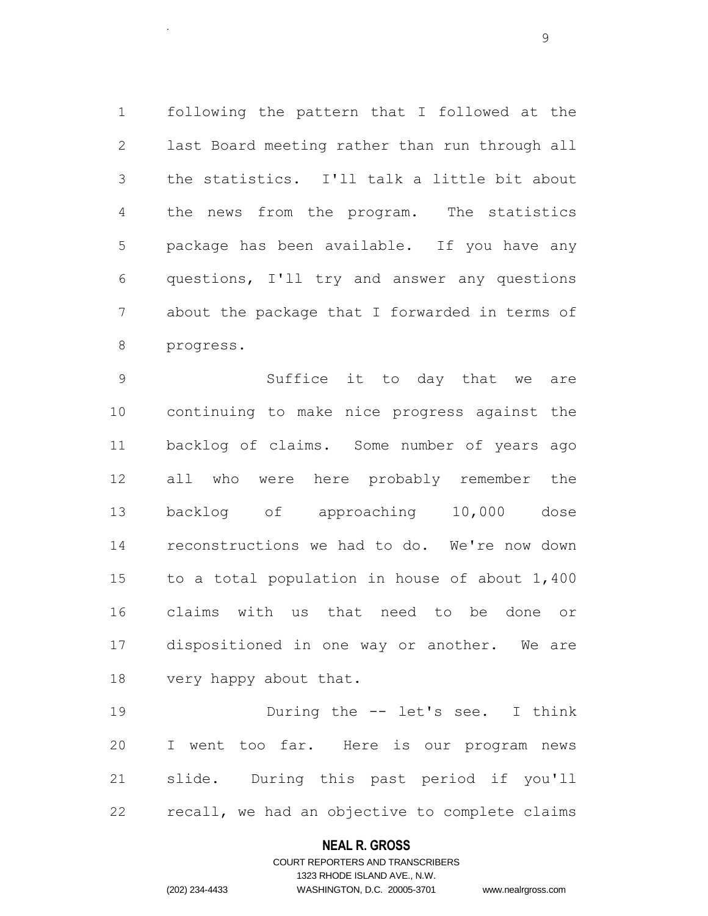following the pattern that I followed at the last Board meeting rather than run through all the statistics. I'll talk a little bit about the news from the program. The statistics package has been available. If you have any questions, I'll try and answer any questions about the package that I forwarded in terms of progress.

 Suffice it to day that we are continuing to make nice progress against the backlog of claims. Some number of years ago all who were here probably remember the backlog of approaching 10,000 dose reconstructions we had to do. We're now down to a total population in house of about 1,400 claims with us that need to be done or dispositioned in one way or another. We are very happy about that.

 During the -- let's see. I think I went too far. Here is our program news slide. During this past period if you'll recall, we had an objective to complete claims

#### **NEAL R. GROSS**

.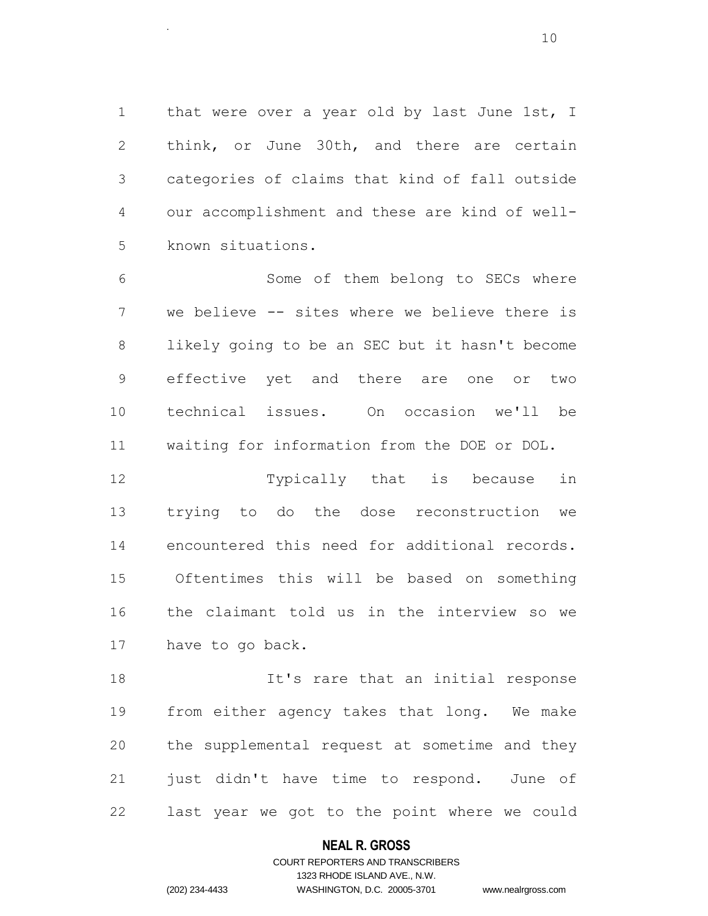1 that were over a year old by last June 1st, I think, or June 30th, and there are certain categories of claims that kind of fall outside our accomplishment and these are kind of well-known situations.

 Some of them belong to SECs where we believe -- sites where we believe there is likely going to be an SEC but it hasn't become effective yet and there are one or two technical issues. On occasion we'll be waiting for information from the DOE or DOL.

 Typically that is because in trying to do the dose reconstruction we encountered this need for additional records. Oftentimes this will be based on something the claimant told us in the interview so we have to go back.

 It's rare that an initial response from either agency takes that long. We make the supplemental request at sometime and they just didn't have time to respond. June of last year we got to the point where we could

#### **NEAL R. GROSS**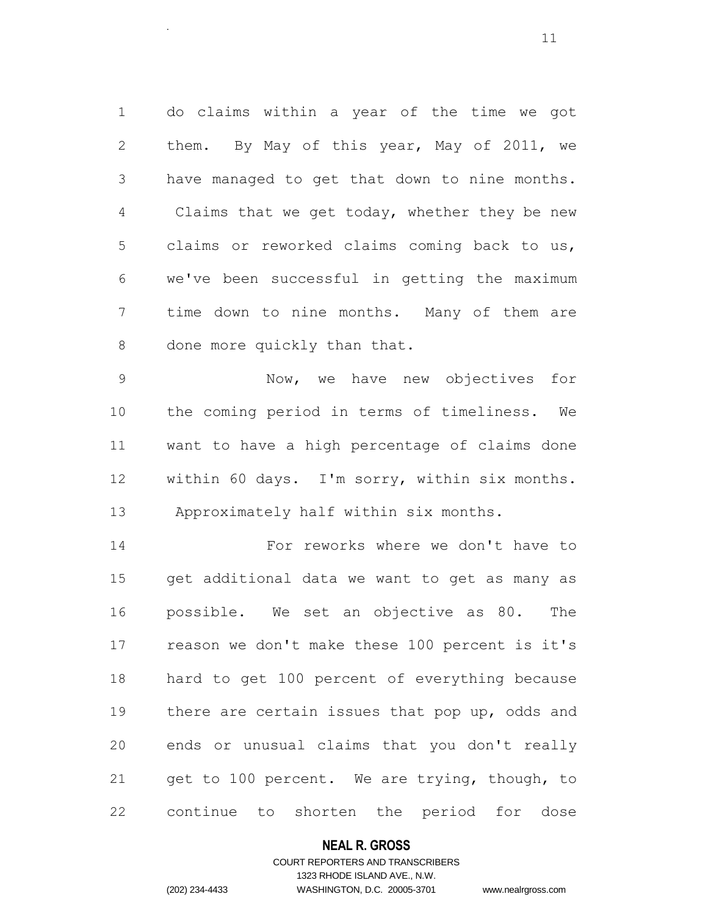do claims within a year of the time we got them. By May of this year, May of 2011, we have managed to get that down to nine months. Claims that we get today, whether they be new claims or reworked claims coming back to us, we've been successful in getting the maximum time down to nine months. Many of them are 8 done more quickly than that.

 Now, we have new objectives for the coming period in terms of timeliness. We want to have a high percentage of claims done within 60 days. I'm sorry, within six months. Approximately half within six months.

 For reworks where we don't have to get additional data we want to get as many as possible. We set an objective as 80. The reason we don't make these 100 percent is it's hard to get 100 percent of everything because there are certain issues that pop up, odds and ends or unusual claims that you don't really get to 100 percent. We are trying, though, to continue to shorten the period for dose

#### **NEAL R. GROSS**

### COURT REPORTERS AND TRANSCRIBERS 1323 RHODE ISLAND AVE., N.W. (202) 234-4433 WASHINGTON, D.C. 20005-3701 www.nealrgross.com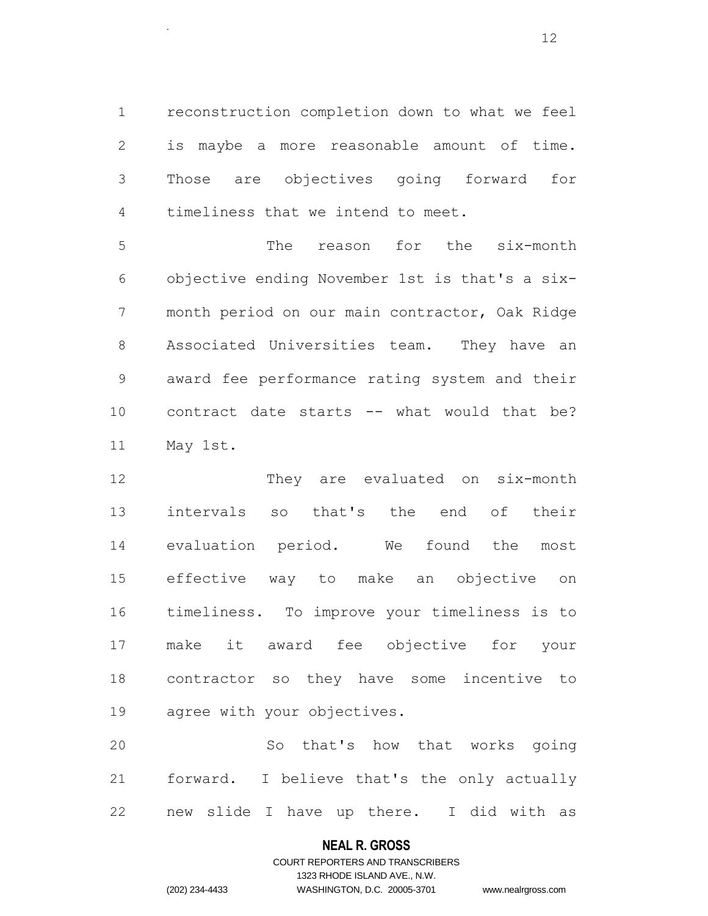reconstruction completion down to what we feel is maybe a more reasonable amount of time. Those are objectives going forward for timeliness that we intend to meet.

 The reason for the six-month objective ending November 1st is that's a six- month period on our main contractor, Oak Ridge Associated Universities team. They have an award fee performance rating system and their contract date starts -- what would that be? May 1st.

 They are evaluated on six-month intervals so that's the end of their evaluation period. We found the most effective way to make an objective on timeliness. To improve your timeliness is to make it award fee objective for your contractor so they have some incentive to agree with your objectives.

 So that's how that works going forward. I believe that's the only actually new slide I have up there. I did with as

#### **NEAL R. GROSS**

## COURT REPORTERS AND TRANSCRIBERS 1323 RHODE ISLAND AVE., N.W. (202) 234-4433 WASHINGTON, D.C. 20005-3701 www.nealrgross.com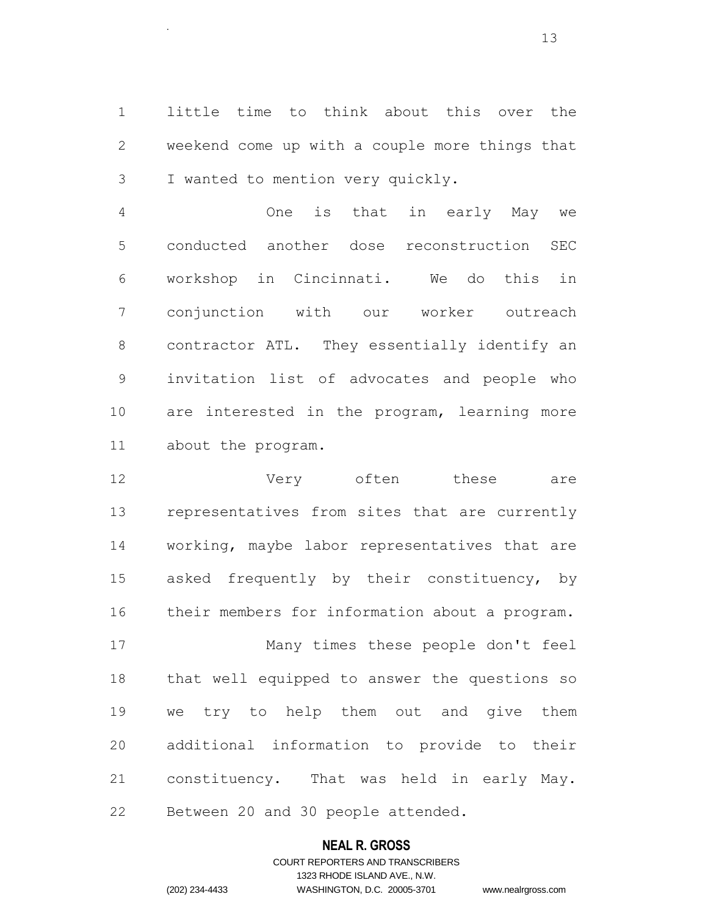little time to think about this over the weekend come up with a couple more things that I wanted to mention very quickly.

.

 One is that in early May we conducted another dose reconstruction SEC workshop in Cincinnati. We do this in conjunction with our worker outreach contractor ATL. They essentially identify an invitation list of advocates and people who are interested in the program, learning more about the program.

 Very often these are representatives from sites that are currently working, maybe labor representatives that are asked frequently by their constituency, by their members for information about a program. Many times these people don't feel that well equipped to answer the questions so we try to help them out and give them additional information to provide to their constituency. That was held in early May. Between 20 and 30 people attended.

#### **NEAL R. GROSS**

COURT REPORTERS AND TRANSCRIBERS 1323 RHODE ISLAND AVE., N.W. (202) 234-4433 WASHINGTON, D.C. 20005-3701 www.nealrgross.com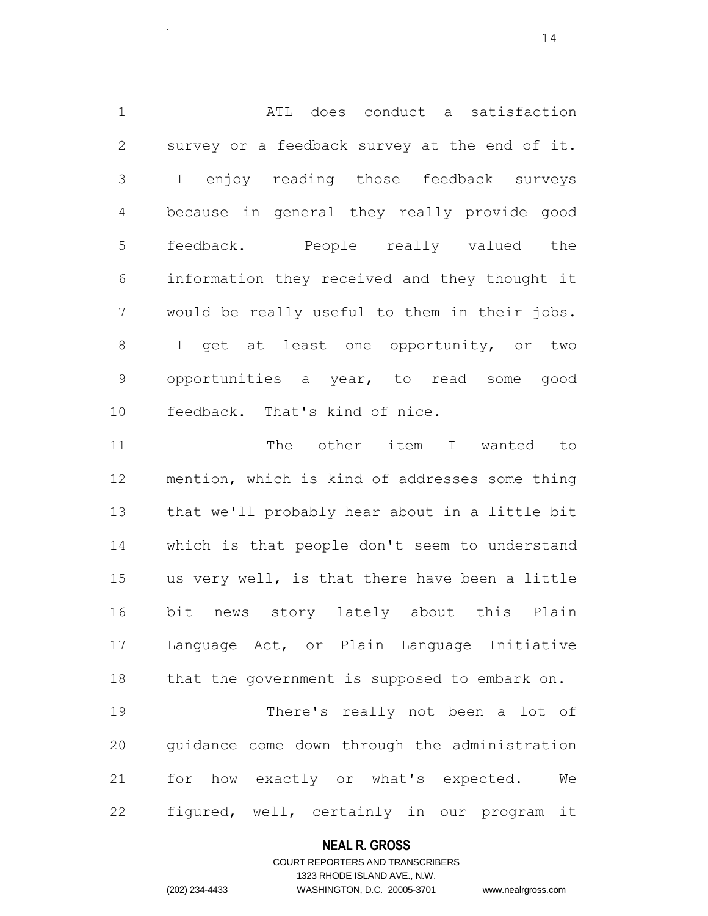ATL does conduct a satisfaction survey or a feedback survey at the end of it. I enjoy reading those feedback surveys because in general they really provide good feedback. People really valued the information they received and they thought it would be really useful to them in their jobs. I get at least one opportunity, or two opportunities a year, to read some good feedback. That's kind of nice.

11 The other item I wanted to mention, which is kind of addresses some thing that we'll probably hear about in a little bit which is that people don't seem to understand us very well, is that there have been a little bit news story lately about this Plain Language Act, or Plain Language Initiative that the government is supposed to embark on. There's really not been a lot of

 for how exactly or what's expected. We figured, well, certainly in our program it

guidance come down through the administration

#### **NEAL R. GROSS**

### COURT REPORTERS AND TRANSCRIBERS 1323 RHODE ISLAND AVE., N.W. (202) 234-4433 WASHINGTON, D.C. 20005-3701 www.nealrgross.com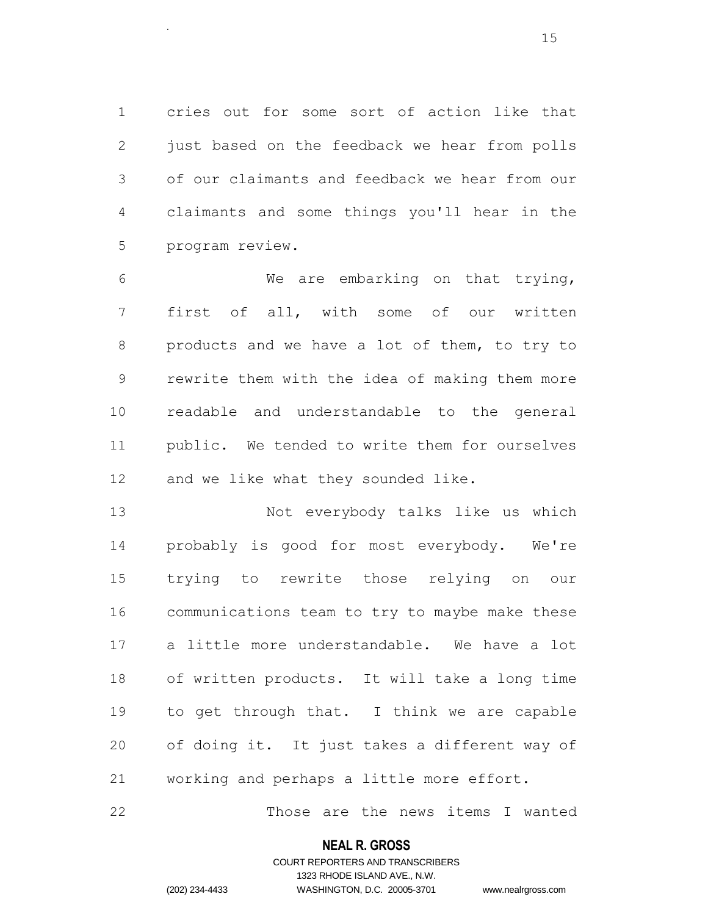cries out for some sort of action like that just based on the feedback we hear from polls of our claimants and feedback we hear from our claimants and some things you'll hear in the program review.

 We are embarking on that trying, first of all, with some of our written products and we have a lot of them, to try to rewrite them with the idea of making them more readable and understandable to the general public. We tended to write them for ourselves 12 and we like what they sounded like.

 Not everybody talks like us which probably is good for most everybody. We're trying to rewrite those relying on our communications team to try to maybe make these a little more understandable. We have a lot of written products. It will take a long time to get through that. I think we are capable of doing it. It just takes a different way of working and perhaps a little more effort.

Those are the news items I wanted

#### **NEAL R. GROSS**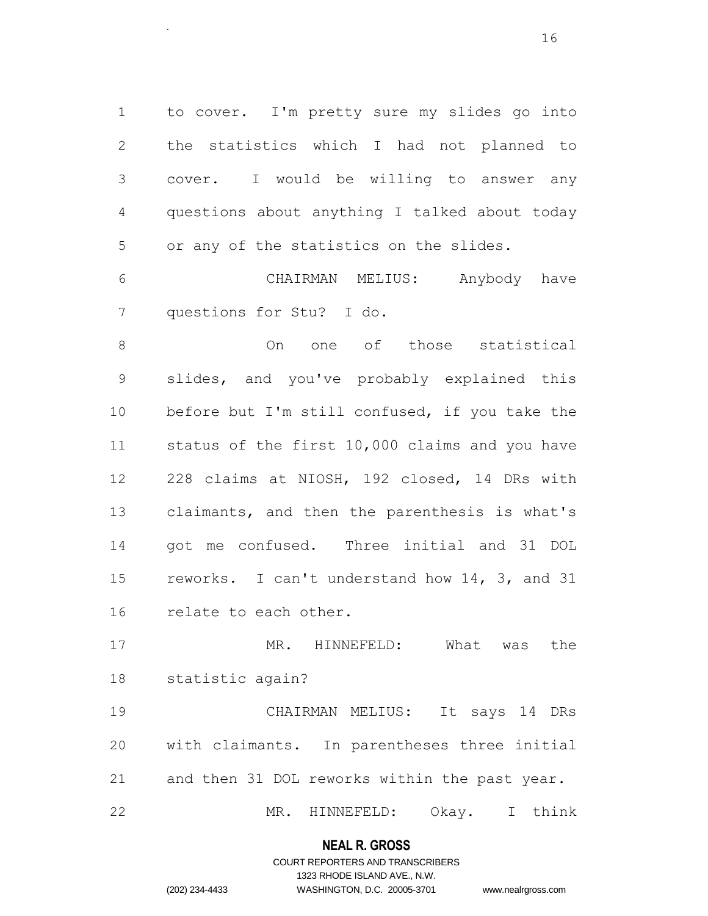to cover. I'm pretty sure my slides go into the statistics which I had not planned to cover. I would be willing to answer any questions about anything I talked about today or any of the statistics on the slides.

 CHAIRMAN MELIUS: Anybody have questions for Stu? I do.

 On one of those statistical slides, and you've probably explained this before but I'm still confused, if you take the status of the first 10,000 claims and you have 228 claims at NIOSH, 192 closed, 14 DRs with claimants, and then the parenthesis is what's got me confused. Three initial and 31 DOL reworks. I can't understand how 14, 3, and 31 relate to each other.

 MR. HINNEFELD: What was the statistic again?

 CHAIRMAN MELIUS: It says 14 DRs with claimants. In parentheses three initial and then 31 DOL reworks within the past year.

MR. HINNEFELD: Okay. I think

#### **NEAL R. GROSS**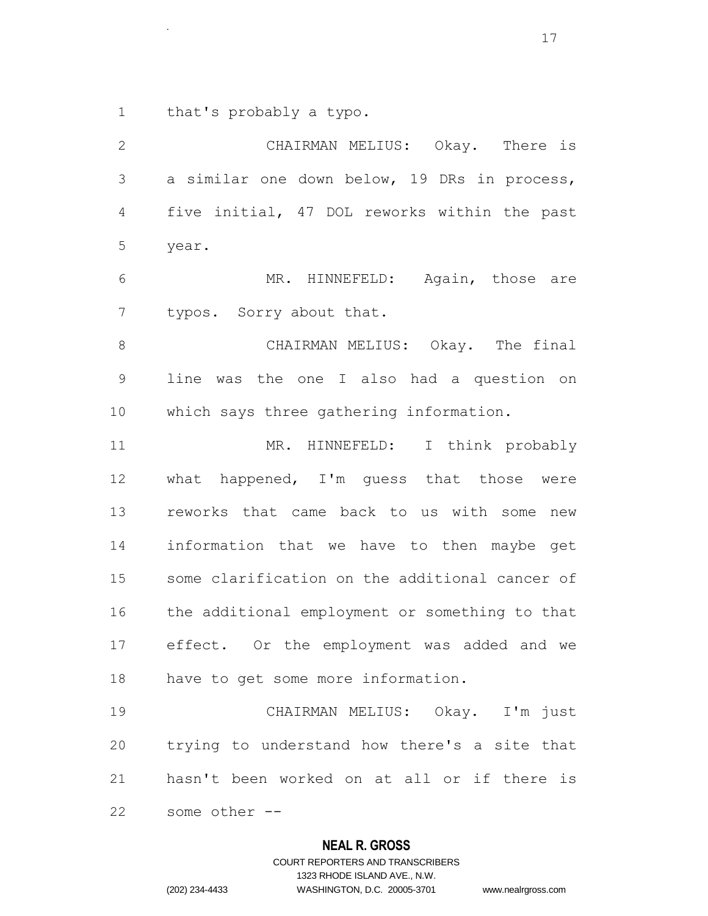that's probably a typo.

.

 CHAIRMAN MELIUS: Okay. There is a similar one down below, 19 DRs in process, five initial, 47 DOL reworks within the past year. MR. HINNEFELD: Again, those are typos. Sorry about that. 8 CHAIRMAN MELIUS: Okay. The final line was the one I also had a question on which says three gathering information. 11 MR. HINNEFELD: I think probably what happened, I'm guess that those were reworks that came back to us with some new information that we have to then maybe get some clarification on the additional cancer of the additional employment or something to that effect. Or the employment was added and we have to get some more information. CHAIRMAN MELIUS: Okay. I'm just trying to understand how there's a site that hasn't been worked on at all or if there is some other --

#### **NEAL R. GROSS**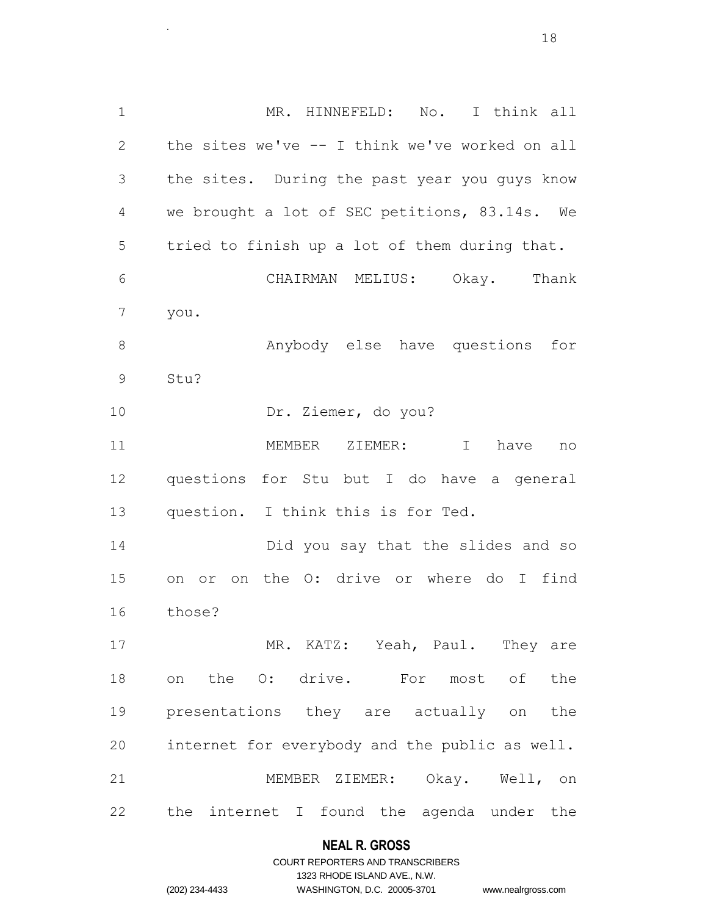1 MR. HINNEFELD: No. I think all the sites we've -- I think we've worked on all the sites. During the past year you guys know we brought a lot of SEC petitions, 83.14s. We tried to finish up a lot of them during that. CHAIRMAN MELIUS: Okay. Thank you. Anybody else have questions for Stu? Dr. Ziemer, do you? MEMBER ZIEMER: I have no questions for Stu but I do have a general question. I think this is for Ted. Did you say that the slides and so on or on the O: drive or where do I find those? 17 MR. KATZ: Yeah, Paul. They are on the O: drive. For most of the presentations they are actually on the internet for everybody and the public as well. 21 MEMBER ZIEMER: Okay. Well, on the internet I found the agenda under the

.

#### **NEAL R. GROSS**

|                | COURT REPORTERS AND TRANSCRIBERS |                    |
|----------------|----------------------------------|--------------------|
|                | 1323 RHODE ISLAND AVE N.W.       |                    |
| (202) 234-4433 | WASHINGTON, D.C. 20005-3701      | www.nealrgross.com |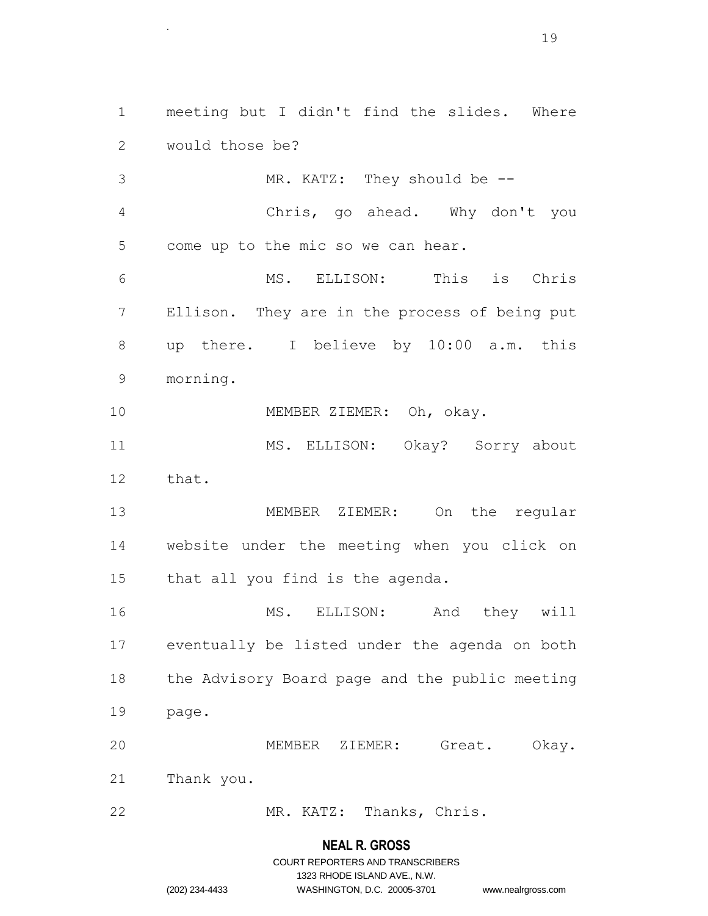meeting but I didn't find the slides. Where would those be?

.

 MR. KATZ: They should be -- Chris, go ahead. Why don't you come up to the mic so we can hear. MS. ELLISON: This is Chris Ellison. They are in the process of being put up there. I believe by 10:00 a.m. this morning.

MEMBER ZIEMER: Oh, okay.

 MS. ELLISON: Okay? Sorry about that.

 MEMBER ZIEMER: On the regular website under the meeting when you click on that all you find is the agenda.

 MS. ELLISON: And they will eventually be listed under the agenda on both the Advisory Board page and the public meeting page.

 MEMBER ZIEMER: Great. Okay. Thank you.

MR. KATZ: Thanks, Chris.

#### **NEAL R. GROSS**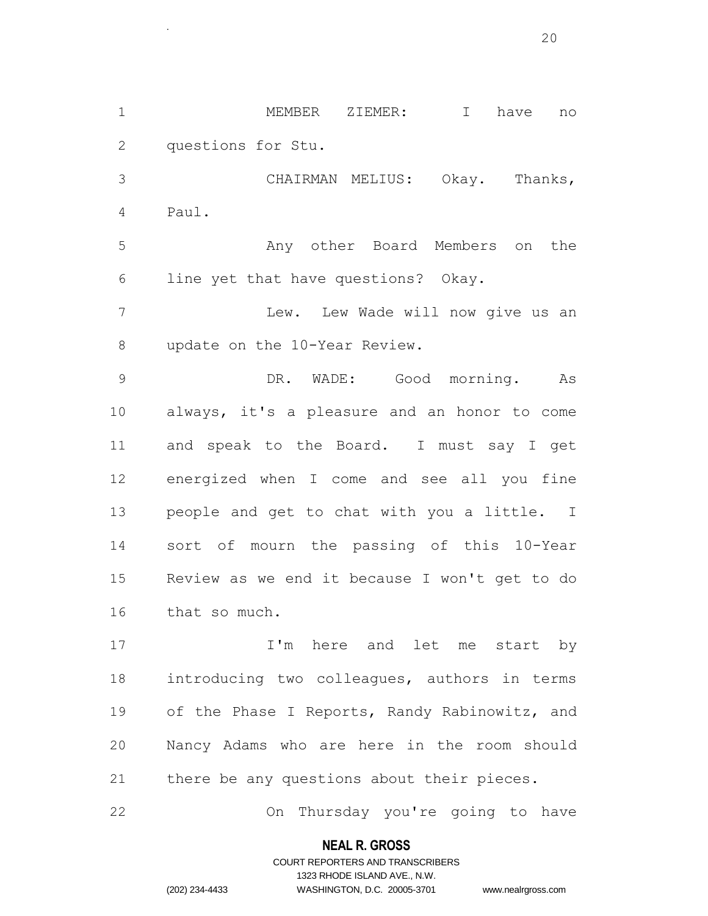MEMBER ZIEMER: I have no questions for Stu. CHAIRMAN MELIUS: Okay. Thanks, Paul.

.

 Any other Board Members on the line yet that have questions? Okay.

 Lew. Lew Wade will now give us an update on the 10-Year Review.

 DR. WADE: Good morning. As always, it's a pleasure and an honor to come 11 and speak to the Board. I must say I get energized when I come and see all you fine people and get to chat with you a little. I sort of mourn the passing of this 10-Year Review as we end it because I won't get to do that so much.

17 17 I'm here and let me start by introducing two colleagues, authors in terms of the Phase I Reports, Randy Rabinowitz, and Nancy Adams who are here in the room should there be any questions about their pieces.

On Thursday you're going to have

#### **NEAL R. GROSS**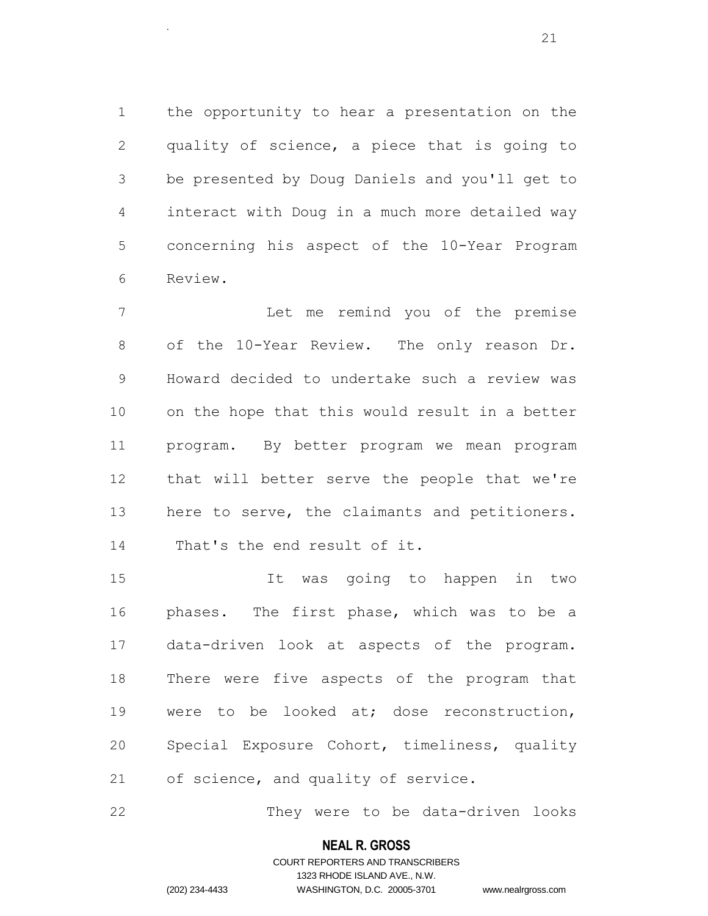the opportunity to hear a presentation on the quality of science, a piece that is going to be presented by Doug Daniels and you'll get to interact with Doug in a much more detailed way concerning his aspect of the 10-Year Program Review.

 Let me remind you of the premise of the 10-Year Review. The only reason Dr. Howard decided to undertake such a review was on the hope that this would result in a better program. By better program we mean program that will better serve the people that we're 13 here to serve, the claimants and petitioners. That's the end result of it.

 It was going to happen in two phases. The first phase, which was to be a data-driven look at aspects of the program. There were five aspects of the program that were to be looked at; dose reconstruction, Special Exposure Cohort, timeliness, quality of science, and quality of service.

22 They were to be data-driven looks

#### **NEAL R. GROSS**

.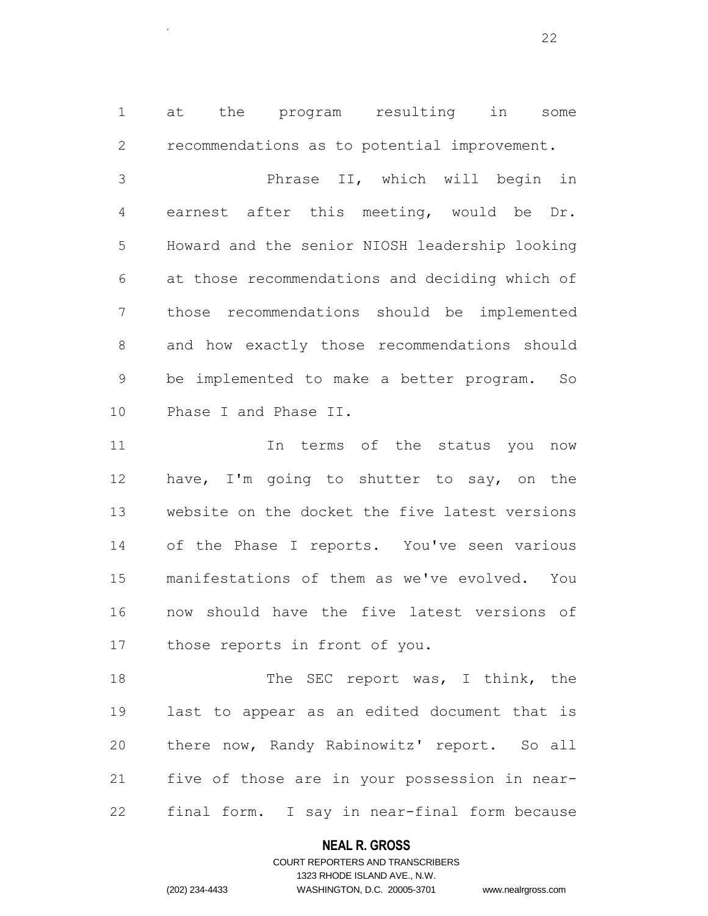at the program resulting in some recommendations as to potential improvement.

.

 Phrase II, which will begin in earnest after this meeting, would be Dr. Howard and the senior NIOSH leadership looking at those recommendations and deciding which of those recommendations should be implemented and how exactly those recommendations should be implemented to make a better program. So Phase I and Phase II.

11 11 In terms of the status you now have, I'm going to shutter to say, on the website on the docket the five latest versions of the Phase I reports. You've seen various manifestations of them as we've evolved. You now should have the five latest versions of those reports in front of you.

18 The SEC report was, I think, the last to appear as an edited document that is there now, Randy Rabinowitz' report. So all five of those are in your possession in near-final form. I say in near-final form because

#### **NEAL R. GROSS**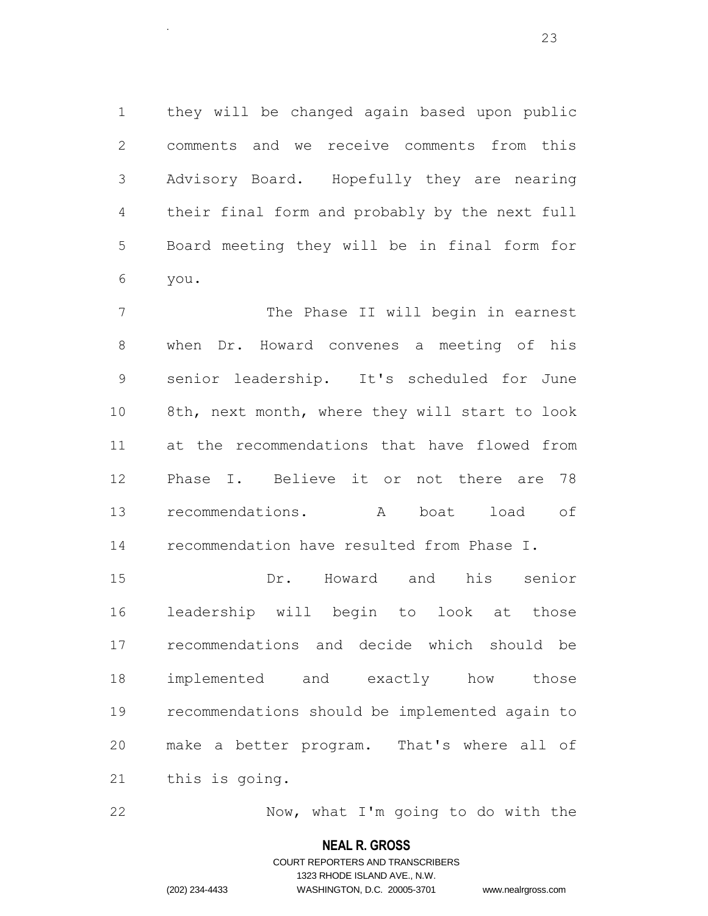they will be changed again based upon public comments and we receive comments from this Advisory Board. Hopefully they are nearing their final form and probably by the next full Board meeting they will be in final form for you.

7 The Phase II will begin in earnest when Dr. Howard convenes a meeting of his senior leadership. It's scheduled for June 8th, next month, where they will start to look at the recommendations that have flowed from Phase I. Believe it or not there are 78 recommendations. A boat load of recommendation have resulted from Phase I.

 Dr. Howard and his senior leadership will begin to look at those recommendations and decide which should be implemented and exactly how those recommendations should be implemented again to make a better program. That's where all of this is going.

Now, what I'm going to do with the

#### **NEAL R. GROSS**

## COURT REPORTERS AND TRANSCRIBERS 1323 RHODE ISLAND AVE., N.W. (202) 234-4433 WASHINGTON, D.C. 20005-3701 www.nealrgross.com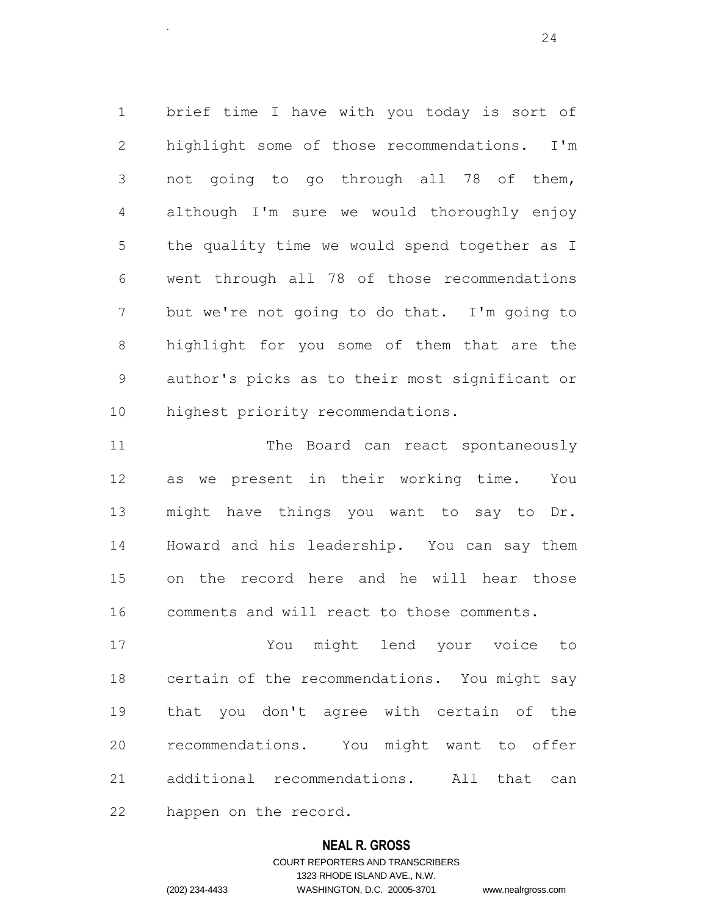brief time I have with you today is sort of highlight some of those recommendations. I'm not going to go through all 78 of them, although I'm sure we would thoroughly enjoy the quality time we would spend together as I went through all 78 of those recommendations but we're not going to do that. I'm going to highlight for you some of them that are the author's picks as to their most significant or 10 highest priority recommendations.

11 The Board can react spontaneously as we present in their working time. You might have things you want to say to Dr. Howard and his leadership. You can say them on the record here and he will hear those comments and will react to those comments.

 You might lend your voice to certain of the recommendations. You might say that you don't agree with certain of the recommendations. You might want to offer additional recommendations. All that can happen on the record.

#### **NEAL R. GROSS**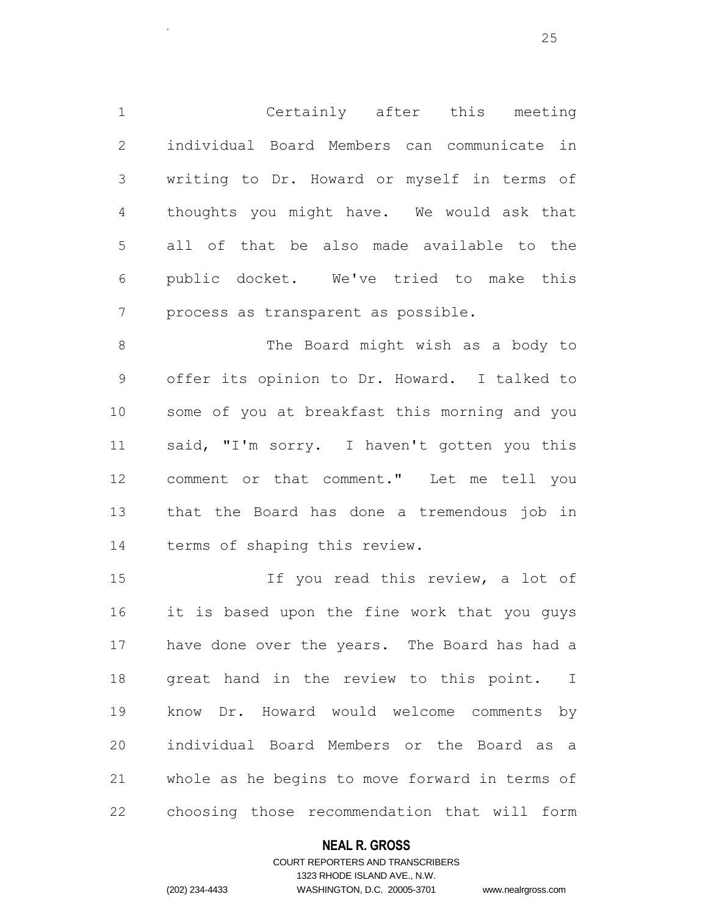Certainly after this meeting individual Board Members can communicate in writing to Dr. Howard or myself in terms of thoughts you might have. We would ask that all of that be also made available to the public docket. We've tried to make this process as transparent as possible.

8 The Board might wish as a body to offer its opinion to Dr. Howard. I talked to some of you at breakfast this morning and you said, "I'm sorry. I haven't gotten you this comment or that comment." Let me tell you that the Board has done a tremendous job in terms of shaping this review.

15 15 If you read this review, a lot of it is based upon the fine work that you guys have done over the years. The Board has had a 18 great hand in the review to this point. I know Dr. Howard would welcome comments by individual Board Members or the Board as a whole as he begins to move forward in terms of choosing those recommendation that will form

#### **NEAL R. GROSS**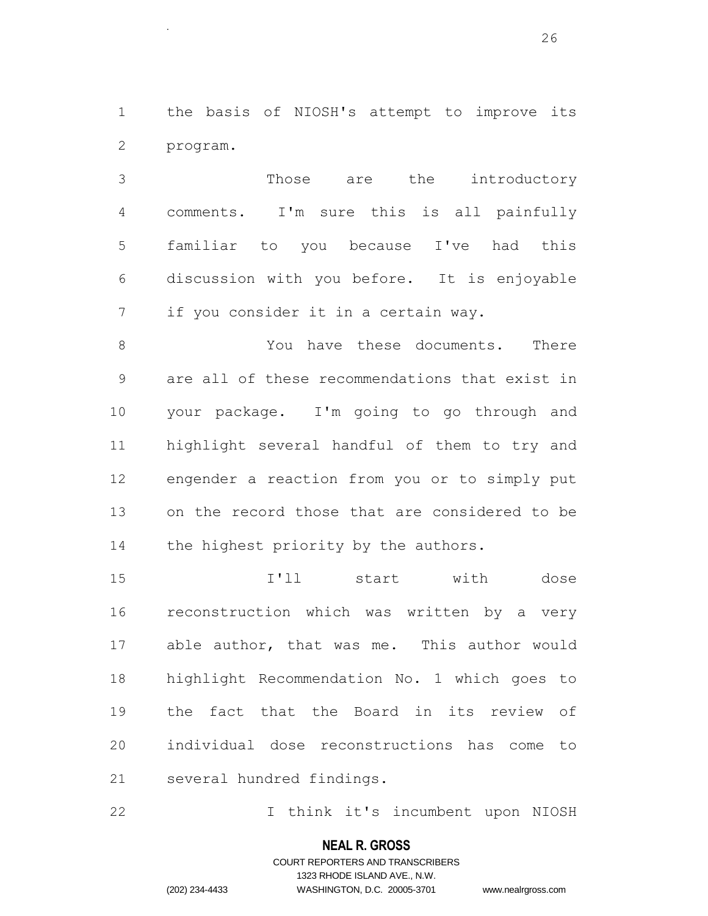the basis of NIOSH's attempt to improve its program.

.

 Those are the introductory comments. I'm sure this is all painfully familiar to you because I've had this discussion with you before. It is enjoyable if you consider it in a certain way.

 You have these documents. There are all of these recommendations that exist in your package. I'm going to go through and highlight several handful of them to try and engender a reaction from you or to simply put on the record those that are considered to be 14 the highest priority by the authors.

 I'll start with dose reconstruction which was written by a very able author, that was me. This author would highlight Recommendation No. 1 which goes to the fact that the Board in its review of individual dose reconstructions has come to several hundred findings.

I think it's incumbent upon NIOSH

#### **NEAL R. GROSS**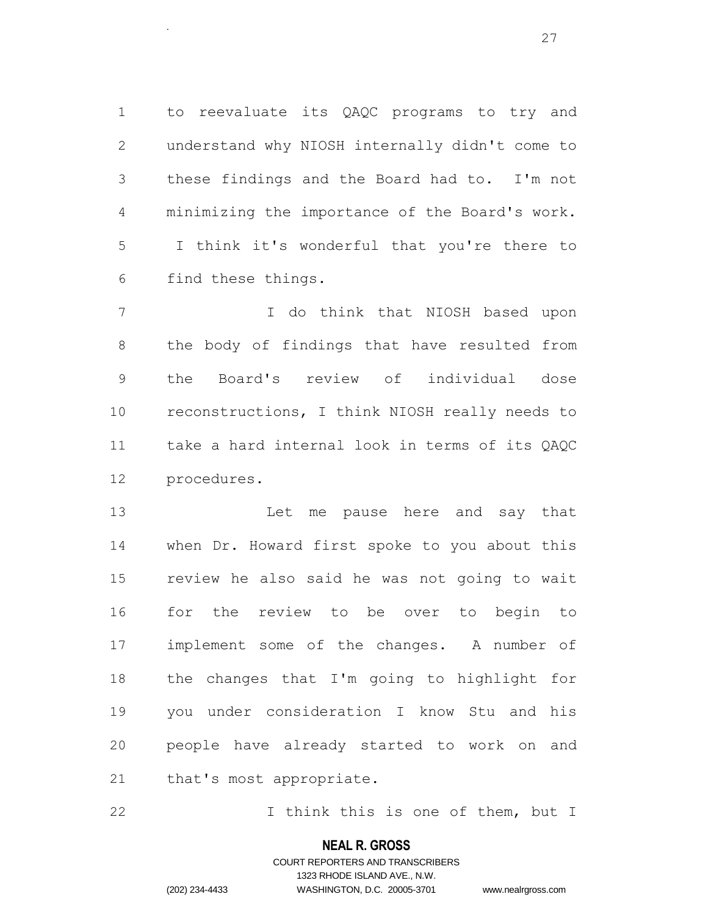to reevaluate its QAQC programs to try and understand why NIOSH internally didn't come to these findings and the Board had to. I'm not minimizing the importance of the Board's work. I think it's wonderful that you're there to find these things.

 I do think that NIOSH based upon the body of findings that have resulted from the Board's review of individual dose reconstructions, I think NIOSH really needs to take a hard internal look in terms of its QAQC procedures.

 Let me pause here and say that when Dr. Howard first spoke to you about this review he also said he was not going to wait for the review to be over to begin to implement some of the changes. A number of the changes that I'm going to highlight for you under consideration I know Stu and his people have already started to work on and that's most appropriate.

I think this is one of them, but I

#### **NEAL R. GROSS**

## COURT REPORTERS AND TRANSCRIBERS 1323 RHODE ISLAND AVE., N.W. (202) 234-4433 WASHINGTON, D.C. 20005-3701 www.nealrgross.com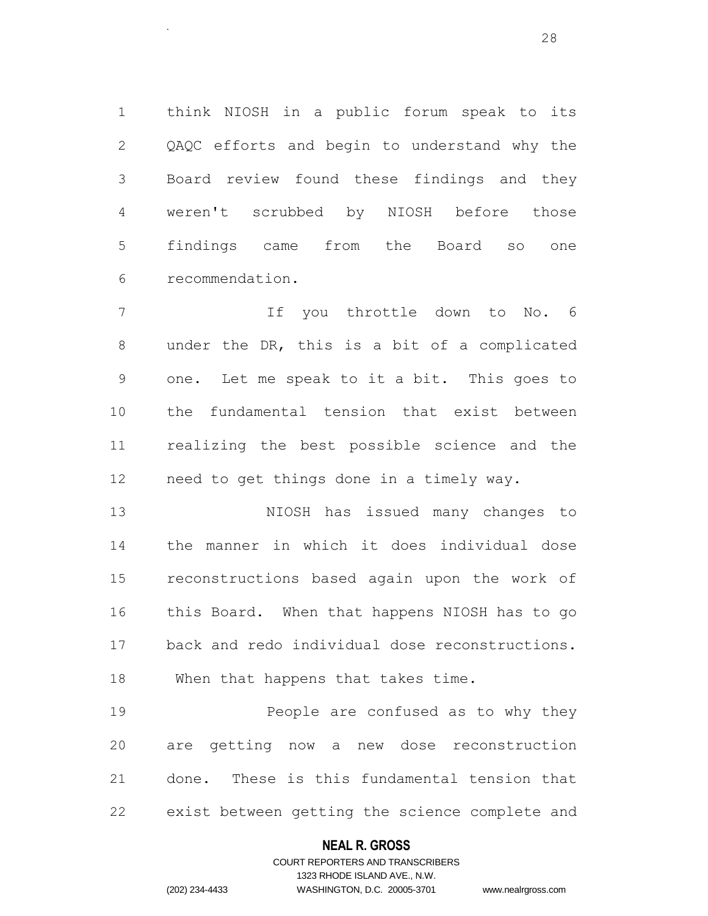think NIOSH in a public forum speak to its QAQC efforts and begin to understand why the Board review found these findings and they weren't scrubbed by NIOSH before those findings came from the Board so one recommendation.

 If you throttle down to No. 6 under the DR, this is a bit of a complicated one. Let me speak to it a bit. This goes to the fundamental tension that exist between realizing the best possible science and the need to get things done in a timely way.

 NIOSH has issued many changes to the manner in which it does individual dose reconstructions based again upon the work of this Board. When that happens NIOSH has to go back and redo individual dose reconstructions. When that happens that takes time.

**People are confused as to why they**  are getting now a new dose reconstruction done. These is this fundamental tension that exist between getting the science complete and

#### **NEAL R. GROSS**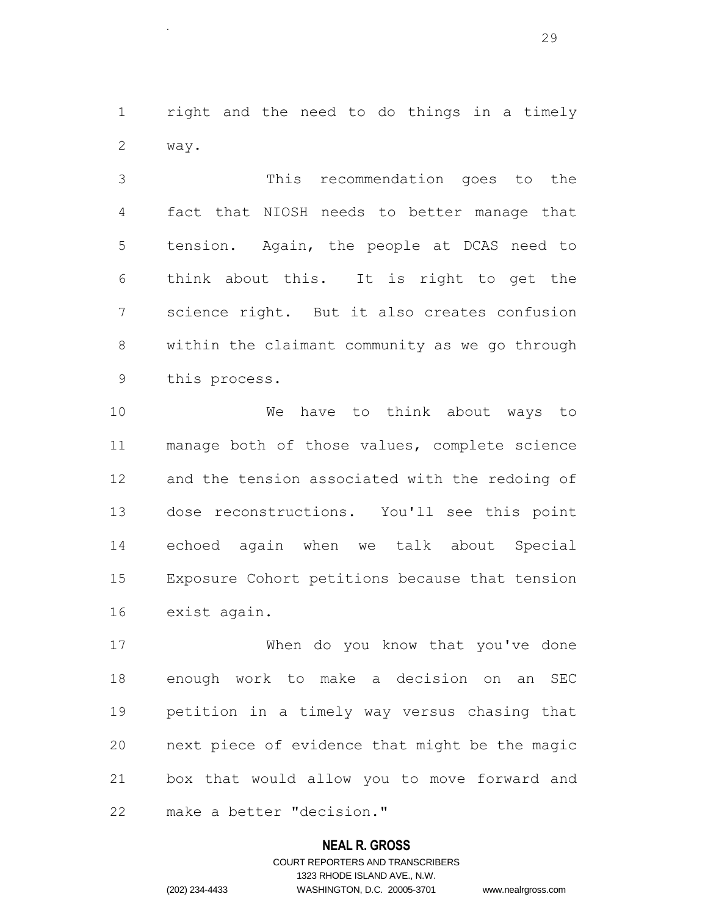right and the need to do things in a timely way.

.

 This recommendation goes to the fact that NIOSH needs to better manage that tension. Again, the people at DCAS need to think about this. It is right to get the science right. But it also creates confusion within the claimant community as we go through this process.

 We have to think about ways to manage both of those values, complete science and the tension associated with the redoing of dose reconstructions. You'll see this point echoed again when we talk about Special Exposure Cohort petitions because that tension exist again.

 When do you know that you've done enough work to make a decision on an SEC petition in a timely way versus chasing that next piece of evidence that might be the magic box that would allow you to move forward and make a better "decision."

#### **NEAL R. GROSS**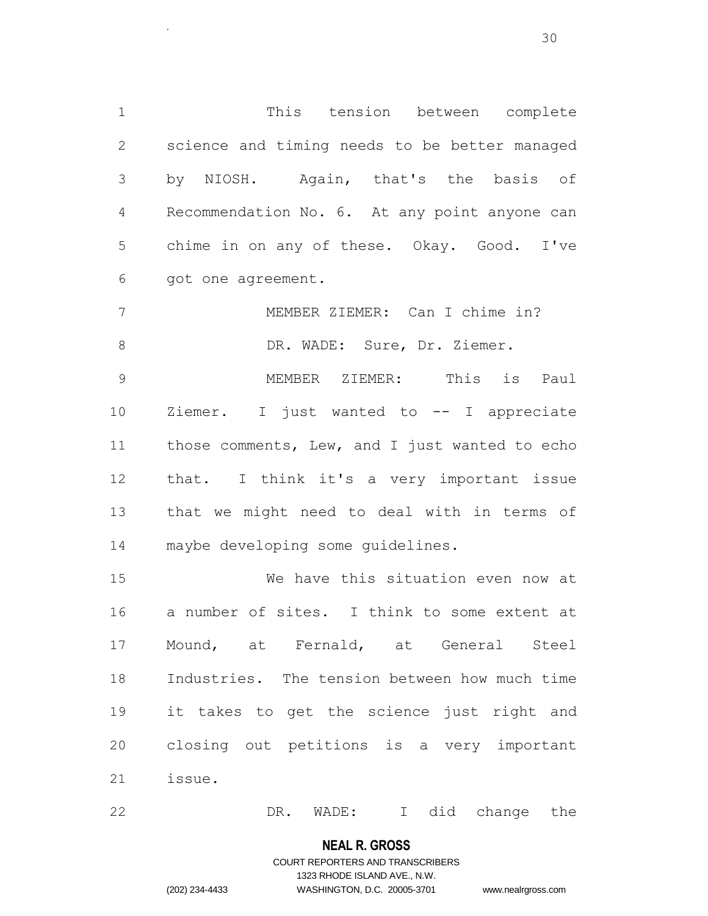This tension between complete science and timing needs to be better managed by NIOSH. Again, that's the basis of Recommendation No. 6. At any point anyone can 5 chime in on any of these. Okay. Good. I've got one agreement.

 MEMBER ZIEMER: Can I chime in? 8 DR. WADE: Sure, Dr. Ziemer. MEMBER ZIEMER: This is Paul Ziemer. I just wanted to -- I appreciate

 those comments, Lew, and I just wanted to echo that. I think it's a very important issue that we might need to deal with in terms of maybe developing some guidelines.

 We have this situation even now at a number of sites. I think to some extent at Mound, at Fernald, at General Steel Industries. The tension between how much time it takes to get the science just right and closing out petitions is a very important issue.

DR. WADE: I did change the

#### **NEAL R. GROSS**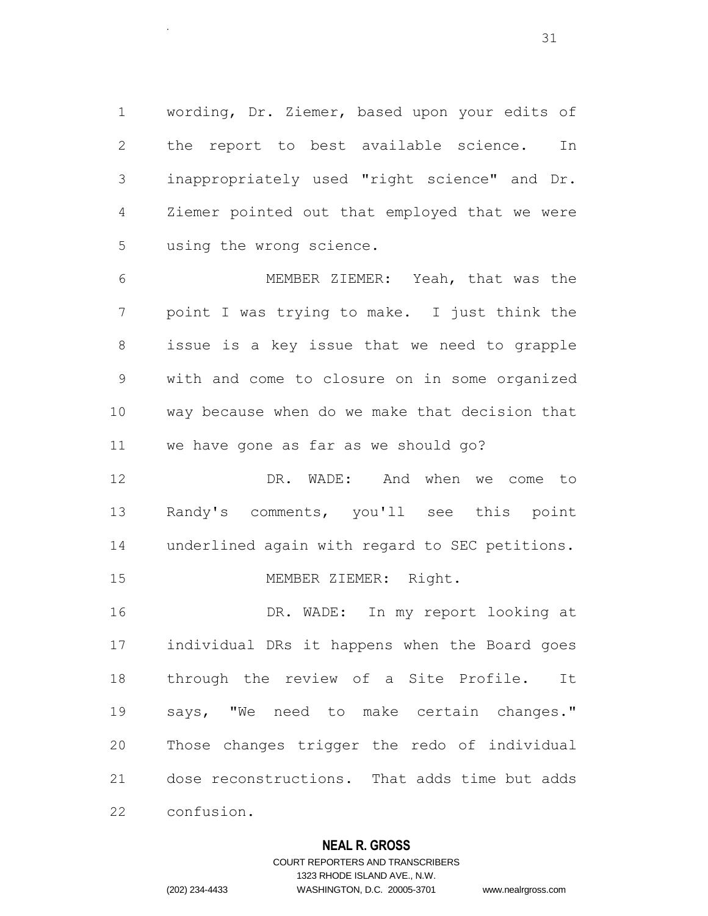wording, Dr. Ziemer, based upon your edits of the report to best available science. In inappropriately used "right science" and Dr. Ziemer pointed out that employed that we were using the wrong science.

 MEMBER ZIEMER: Yeah, that was the point I was trying to make. I just think the issue is a key issue that we need to grapple with and come to closure on in some organized way because when do we make that decision that we have gone as far as we should go?

 DR. WADE: And when we come to Randy's comments, you'll see this point underlined again with regard to SEC petitions. 15 MEMBER ZIEMER: Right.

16 DR. WADE: In my report looking at individual DRs it happens when the Board goes through the review of a Site Profile. It says, "We need to make certain changes." Those changes trigger the redo of individual dose reconstructions. That adds time but adds confusion.

#### **NEAL R. GROSS**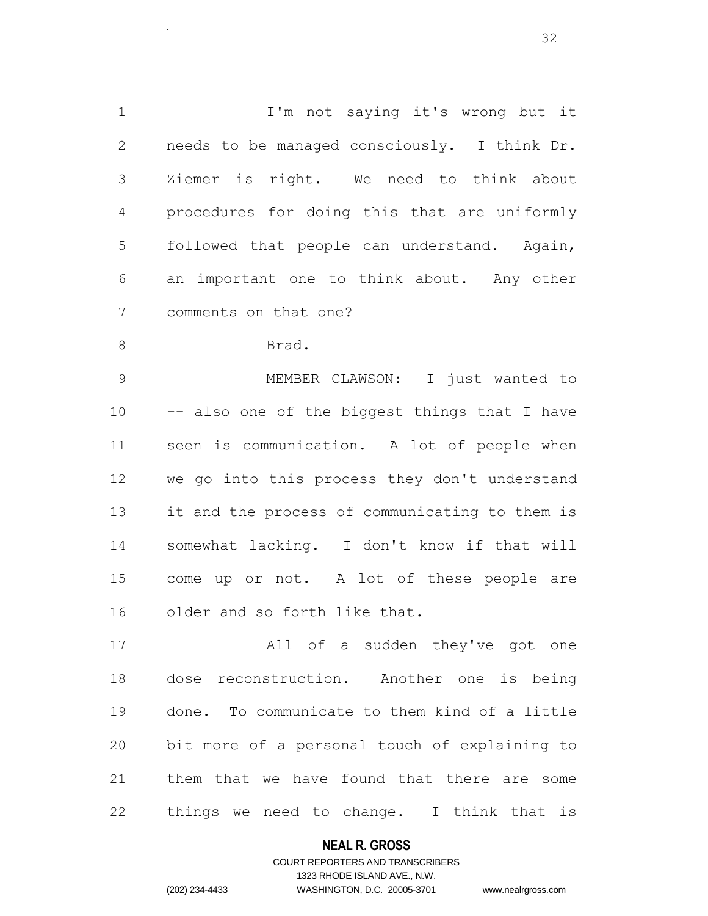1 I'm not saying it's wrong but it needs to be managed consciously. I think Dr. Ziemer is right. We need to think about procedures for doing this that are uniformly followed that people can understand. Again, an important one to think about. Any other comments on that one? Brad.

 MEMBER CLAWSON: I just wanted to -- also one of the biggest things that I have seen is communication. A lot of people when we go into this process they don't understand it and the process of communicating to them is somewhat lacking. I don't know if that will come up or not. A lot of these people are older and so forth like that.

 All of a sudden they've got one dose reconstruction. Another one is being done. To communicate to them kind of a little bit more of a personal touch of explaining to them that we have found that there are some things we need to change. I think that is

#### **NEAL R. GROSS**

.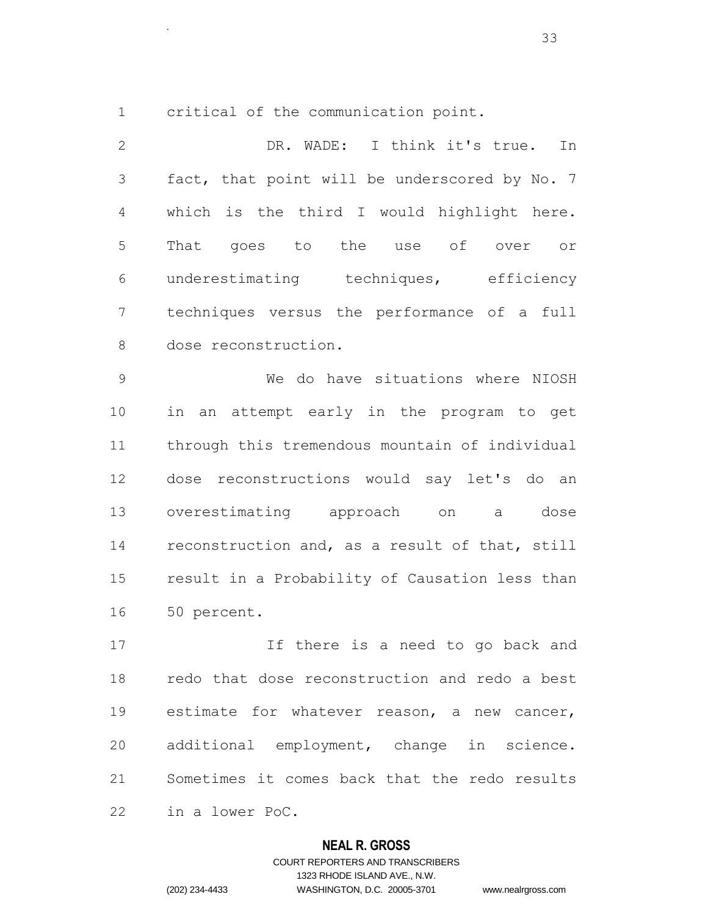critical of the communication point.

.

 DR. WADE: I think it's true. In fact, that point will be underscored by No. 7 which is the third I would highlight here. That goes to the use of over or underestimating techniques, efficiency techniques versus the performance of a full dose reconstruction.

 We do have situations where NIOSH in an attempt early in the program to get through this tremendous mountain of individual dose reconstructions would say let's do an overestimating approach on a dose reconstruction and, as a result of that, still result in a Probability of Causation less than 50 percent.

 If there is a need to go back and redo that dose reconstruction and redo a best estimate for whatever reason, a new cancer, additional employment, change in science. Sometimes it comes back that the redo results in a lower PoC.

#### **NEAL R. GROSS**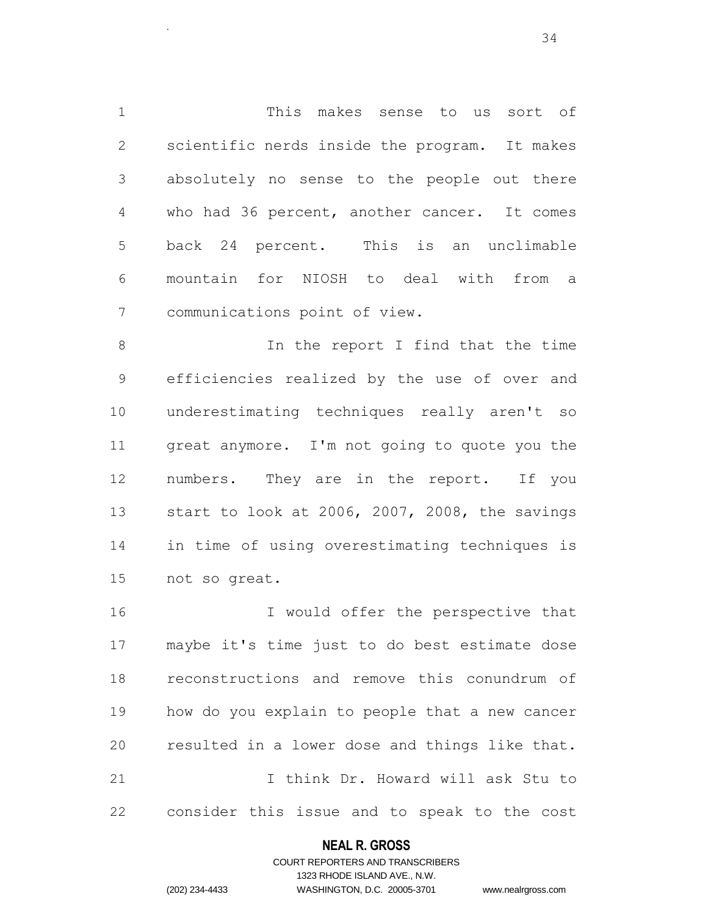This makes sense to us sort of scientific nerds inside the program. It makes absolutely no sense to the people out there who had 36 percent, another cancer. It comes back 24 percent. This is an unclimable mountain for NIOSH to deal with from a communications point of view.

 In the report I find that the time efficiencies realized by the use of over and underestimating techniques really aren't so great anymore. I'm not going to quote you the numbers. They are in the report. If you start to look at 2006, 2007, 2008, the savings in time of using overestimating techniques is not so great.

16 I would offer the perspective that maybe it's time just to do best estimate dose reconstructions and remove this conundrum of how do you explain to people that a new cancer resulted in a lower dose and things like that. I think Dr. Howard will ask Stu to consider this issue and to speak to the cost

#### **NEAL R. GROSS**

.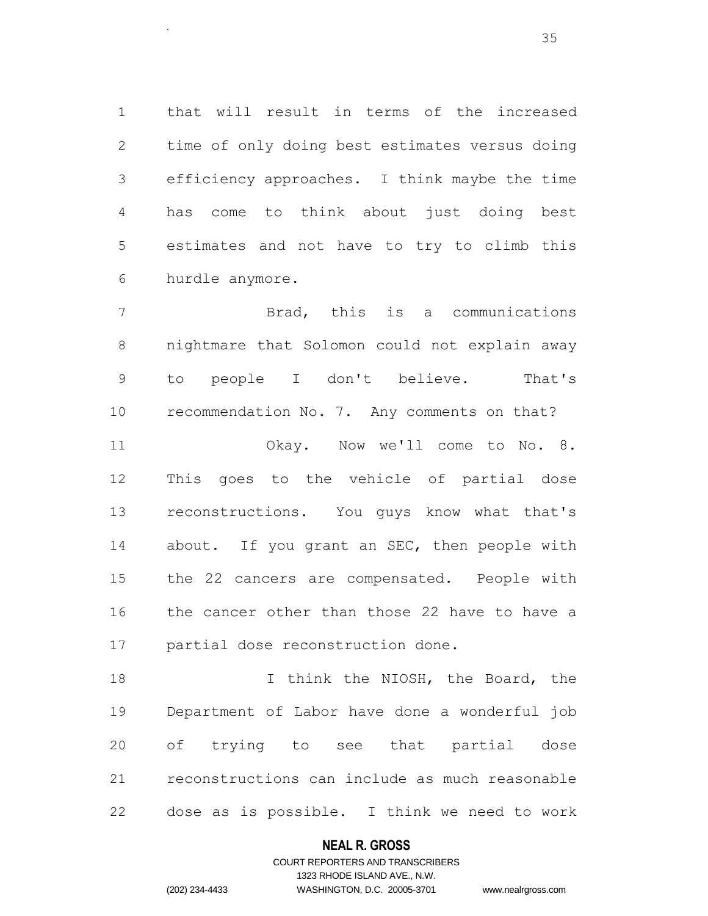that will result in terms of the increased time of only doing best estimates versus doing efficiency approaches. I think maybe the time has come to think about just doing best estimates and not have to try to climb this hurdle anymore.

 Brad, this is a communications nightmare that Solomon could not explain away to people I don't believe. That's recommendation No. 7. Any comments on that? 11 Okay. Now we'll come to No. 8. This goes to the vehicle of partial dose reconstructions. You guys know what that's about. If you grant an SEC, then people with the 22 cancers are compensated. People with the cancer other than those 22 have to have a partial dose reconstruction done. 18 I think the NIOSH, the Board, the

 Department of Labor have done a wonderful job of trying to see that partial dose reconstructions can include as much reasonable dose as is possible. I think we need to work

#### **NEAL R. GROSS**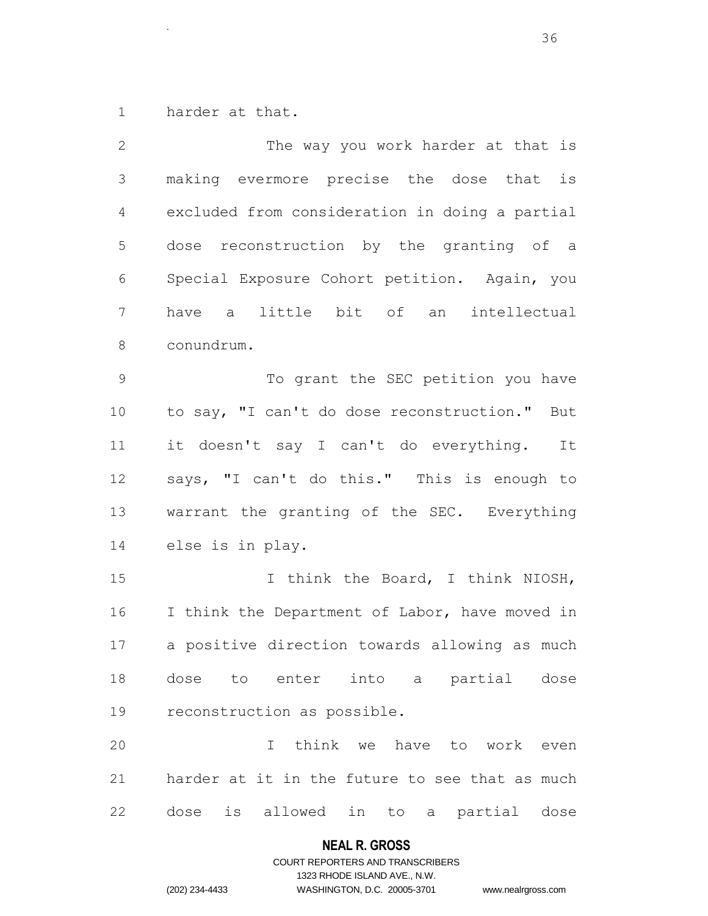harder at that.

.

 The way you work harder at that is making evermore precise the dose that is excluded from consideration in doing a partial dose reconstruction by the granting of a Special Exposure Cohort petition. Again, you have a little bit of an intellectual conundrum. To grant the SEC petition you have to say, "I can't do dose reconstruction." But it doesn't say I can't do everything. It says, "I can't do this." This is enough to warrant the granting of the SEC. Everything else is in play. 15 15 I think the Board, I think NIOSH, 16 I think the Department of Labor, have moved in a positive direction towards allowing as much dose to enter into a partial dose reconstruction as possible. I think we have to work even harder at it in the future to see that as much dose is allowed in to a partial dose

#### **NEAL R. GROSS**

# COURT REPORTERS AND TRANSCRIBERS 1323 RHODE ISLAND AVE., N.W. (202) 234-4433 WASHINGTON, D.C. 20005-3701 www.nealrgross.com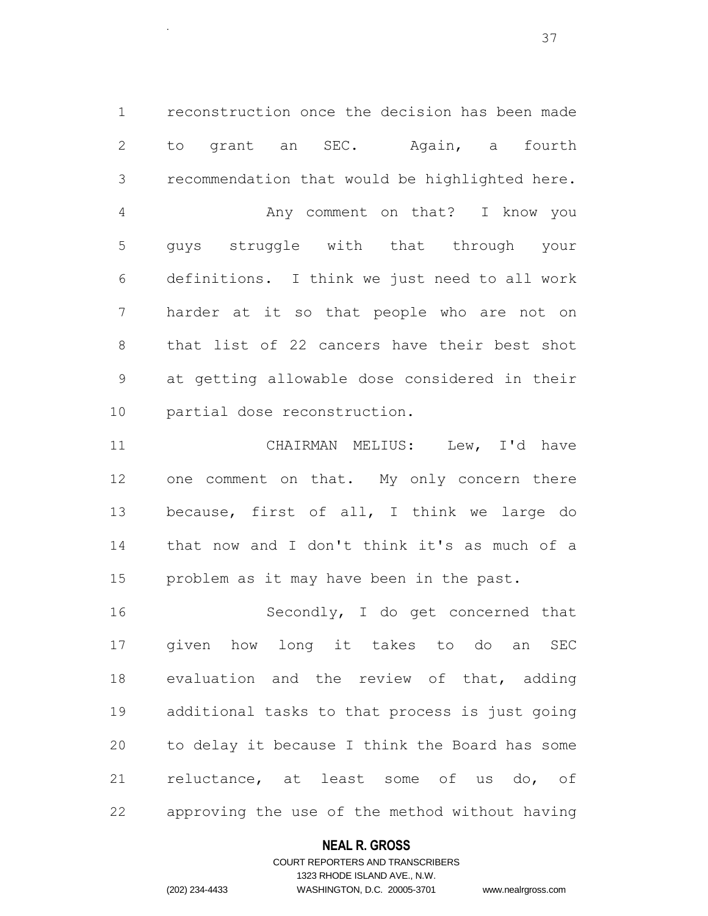reconstruction once the decision has been made to grant an SEC. Again, a fourth recommendation that would be highlighted here. Any comment on that? I know you guys struggle with that through your definitions. I think we just need to all work harder at it so that people who are not on that list of 22 cancers have their best shot at getting allowable dose considered in their partial dose reconstruction.

 CHAIRMAN MELIUS: Lew, I'd have 12 one comment on that. My only concern there because, first of all, I think we large do that now and I don't think it's as much of a problem as it may have been in the past.

 Secondly, I do get concerned that given how long it takes to do an SEC evaluation and the review of that, adding additional tasks to that process is just going to delay it because I think the Board has some reluctance, at least some of us do, of approving the use of the method without having

## **NEAL R. GROSS**

.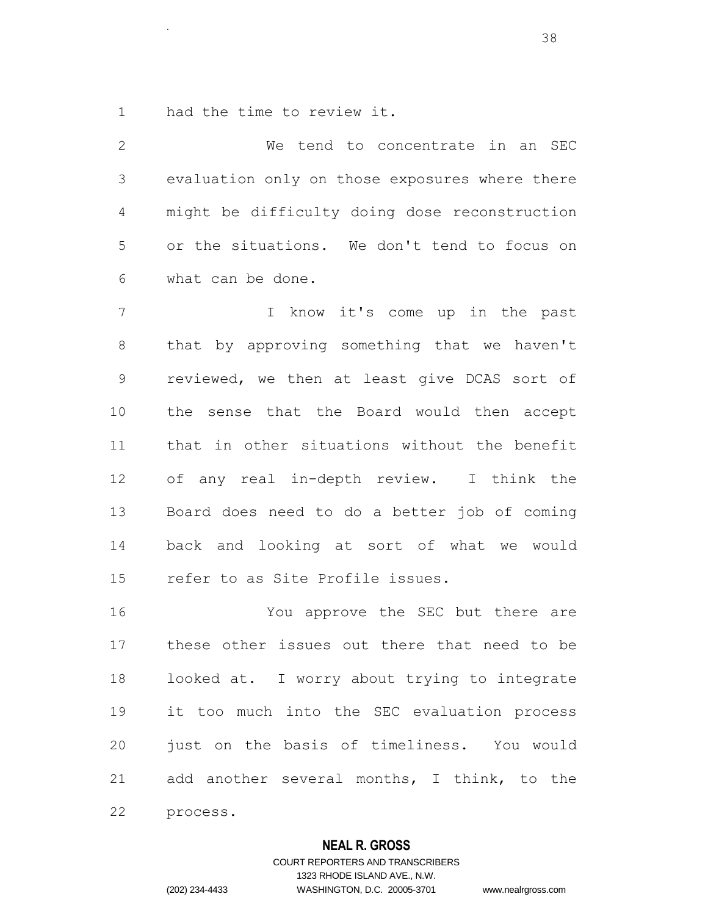had the time to review it.

.

 We tend to concentrate in an SEC evaluation only on those exposures where there might be difficulty doing dose reconstruction or the situations. We don't tend to focus on what can be done.

 I know it's come up in the past that by approving something that we haven't reviewed, we then at least give DCAS sort of the sense that the Board would then accept that in other situations without the benefit of any real in-depth review. I think the Board does need to do a better job of coming back and looking at sort of what we would refer to as Site Profile issues.

 You approve the SEC but there are these other issues out there that need to be looked at. I worry about trying to integrate it too much into the SEC evaluation process just on the basis of timeliness. You would add another several months, I think, to the process.

## **NEAL R. GROSS**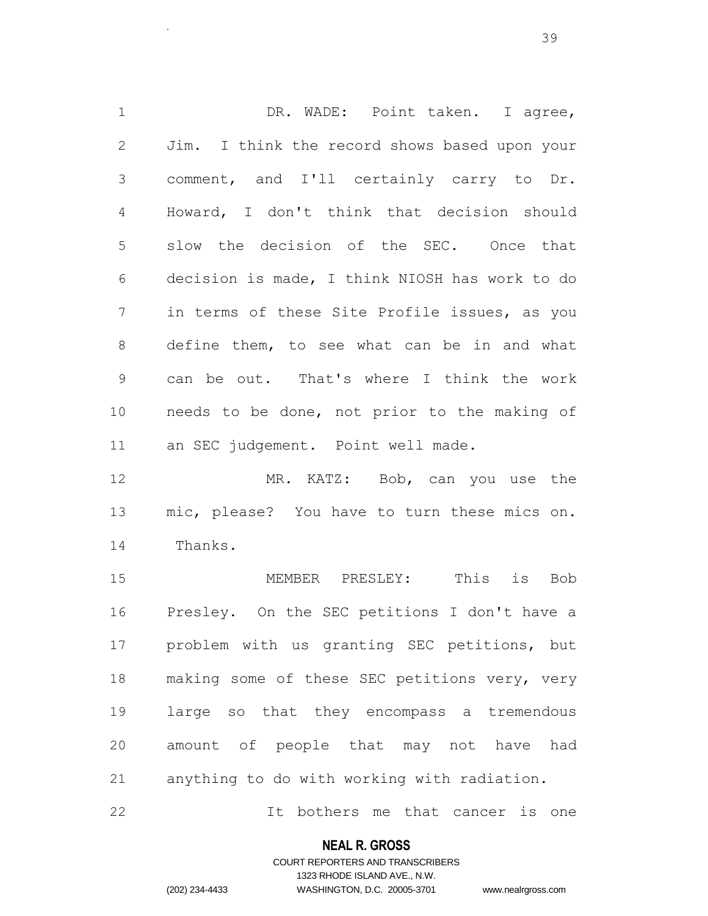DR. WADE: Point taken. I agree, Jim. I think the record shows based upon your comment, and I'll certainly carry to Dr. Howard, I don't think that decision should slow the decision of the SEC. Once that decision is made, I think NIOSH has work to do in terms of these Site Profile issues, as you define them, to see what can be in and what can be out. That's where I think the work needs to be done, not prior to the making of an SEC judgement. Point well made.

 MR. KATZ: Bob, can you use the mic, please? You have to turn these mics on. Thanks.

 MEMBER PRESLEY: This is Bob Presley. On the SEC petitions I don't have a problem with us granting SEC petitions, but making some of these SEC petitions very, very large so that they encompass a tremendous amount of people that may not have had anything to do with working with radiation.

It bothers me that cancer is one

### **NEAL R. GROSS**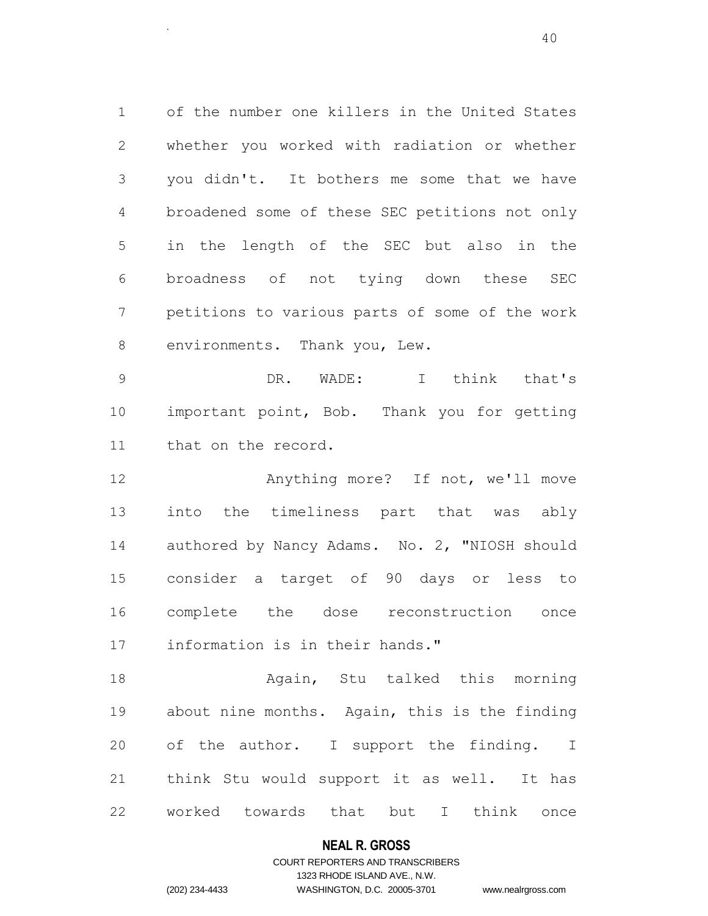of the number one killers in the United States whether you worked with radiation or whether you didn't. It bothers me some that we have broadened some of these SEC petitions not only in the length of the SEC but also in the broadness of not tying down these SEC petitions to various parts of some of the work 8 environments. Thank you, Lew.

 DR. WADE: I think that's important point, Bob. Thank you for getting that on the record.

 Anything more? If not, we'll move into the timeliness part that was ably authored by Nancy Adams. No. 2, "NIOSH should consider a target of 90 days or less to complete the dose reconstruction once information is in their hands."

 Again, Stu talked this morning about nine months. Again, this is the finding 20 of the author. I support the finding. I think Stu would support it as well. It has worked towards that but I think once

### **NEAL R. GROSS**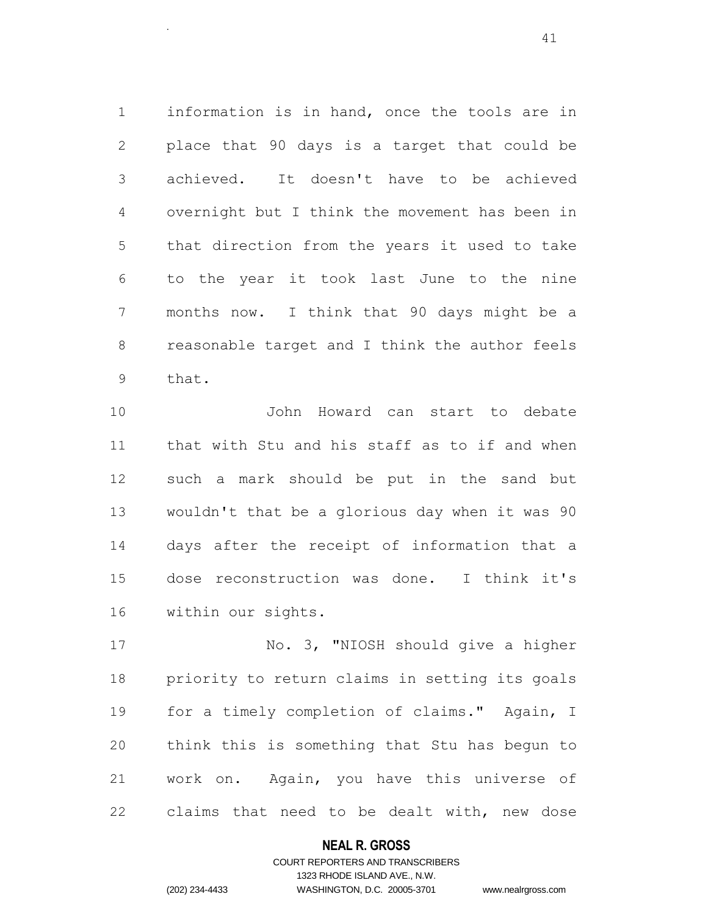information is in hand, once the tools are in place that 90 days is a target that could be achieved. It doesn't have to be achieved overnight but I think the movement has been in that direction from the years it used to take to the year it took last June to the nine months now. I think that 90 days might be a reasonable target and I think the author feels that.

 John Howard can start to debate that with Stu and his staff as to if and when such a mark should be put in the sand but wouldn't that be a glorious day when it was 90 days after the receipt of information that a dose reconstruction was done. I think it's within our sights.

17 No. 3, "NIOSH should give a higher priority to return claims in setting its goals for a timely completion of claims." Again, I think this is something that Stu has begun to work on. Again, you have this universe of claims that need to be dealt with, new dose

## **NEAL R. GROSS**

.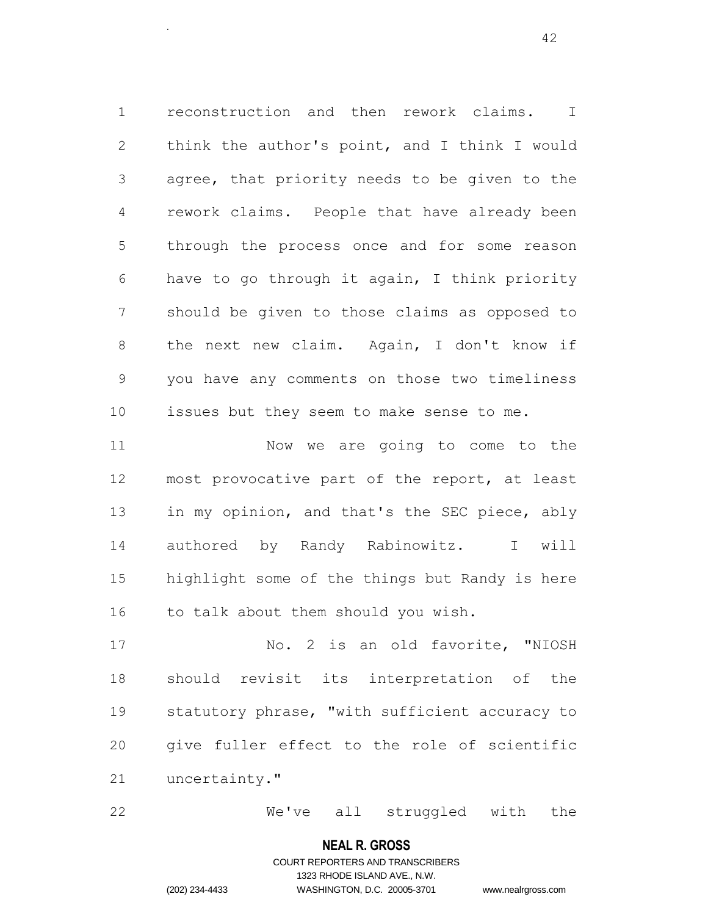reconstruction and then rework claims. I think the author's point, and I think I would agree, that priority needs to be given to the rework claims. People that have already been through the process once and for some reason have to go through it again, I think priority should be given to those claims as opposed to the next new claim. Again, I don't know if you have any comments on those two timeliness issues but they seem to make sense to me.

 Now we are going to come to the most provocative part of the report, at least 13 in my opinion, and that's the SEC piece, ably authored by Randy Rabinowitz. I will highlight some of the things but Randy is here 16 to talk about them should you wish.

 No. 2 is an old favorite, "NIOSH should revisit its interpretation of the statutory phrase, "with sufficient accuracy to give fuller effect to the role of scientific uncertainty."

We've all struggled with the

### **NEAL R. GROSS**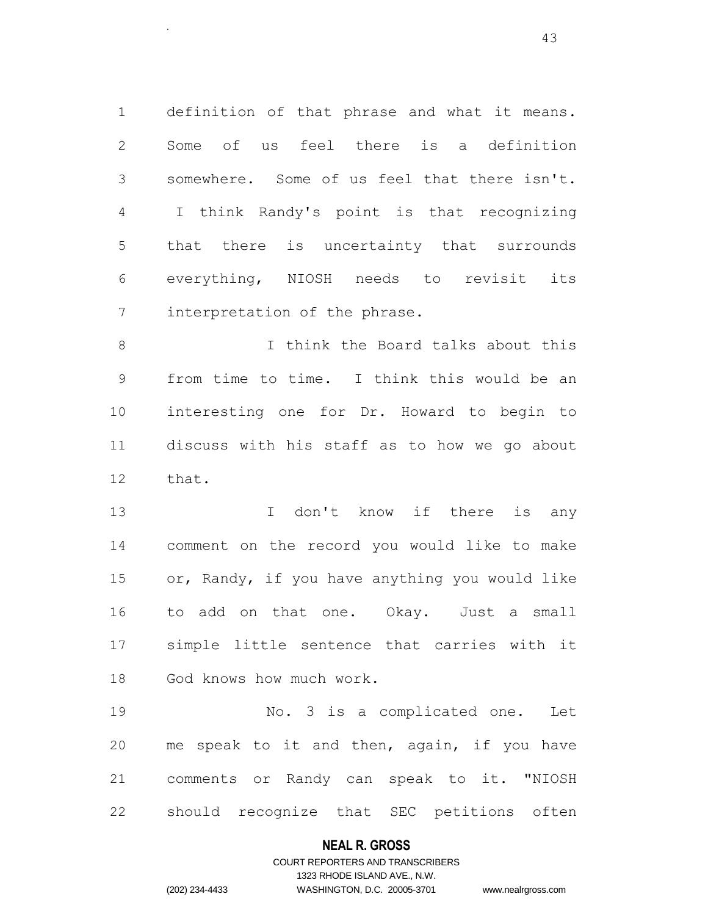definition of that phrase and what it means. Some of us feel there is a definition somewhere. Some of us feel that there isn't. I think Randy's point is that recognizing that there is uncertainty that surrounds everything, NIOSH needs to revisit its interpretation of the phrase.

.

8 I think the Board talks about this from time to time. I think this would be an interesting one for Dr. Howard to begin to discuss with his staff as to how we go about that.

13 1 I don't know if there is any comment on the record you would like to make or, Randy, if you have anything you would like to add on that one. Okay. Just a small simple little sentence that carries with it God knows how much work.

 No. 3 is a complicated one. Let me speak to it and then, again, if you have comments or Randy can speak to it. "NIOSH should recognize that SEC petitions often

### **NEAL R. GROSS**

## COURT REPORTERS AND TRANSCRIBERS 1323 RHODE ISLAND AVE., N.W. (202) 234-4433 WASHINGTON, D.C. 20005-3701 www.nealrgross.com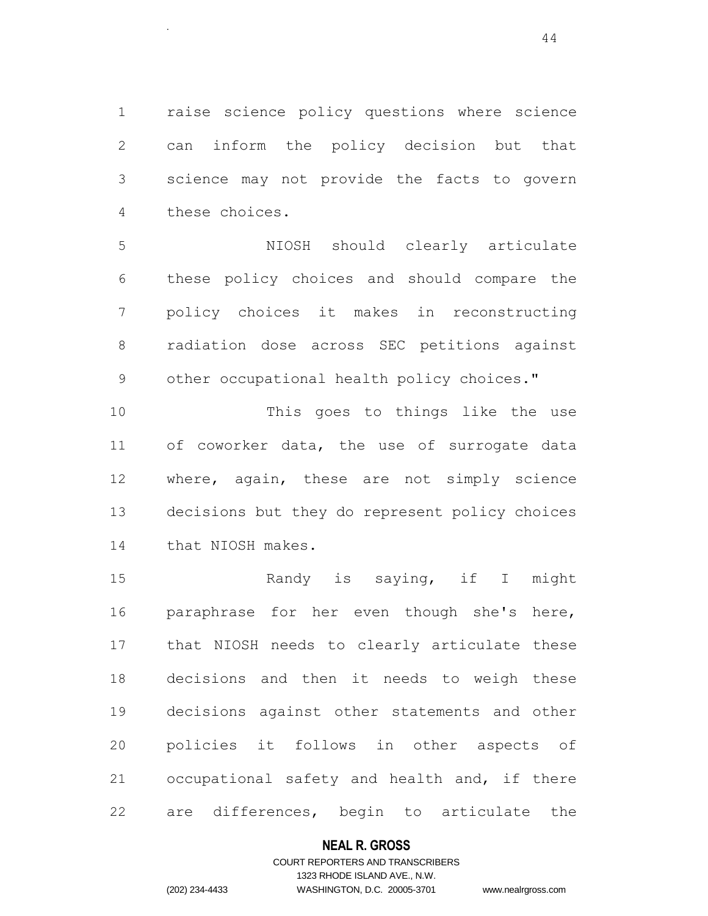raise science policy questions where science can inform the policy decision but that science may not provide the facts to govern these choices.

 NIOSH should clearly articulate these policy choices and should compare the policy choices it makes in reconstructing radiation dose across SEC petitions against 9 other occupational health policy choices."

 This goes to things like the use of coworker data, the use of surrogate data where, again, these are not simply science decisions but they do represent policy choices that NIOSH makes.

 Randy is saying, if I might paraphrase for her even though she's here, that NIOSH needs to clearly articulate these decisions and then it needs to weigh these decisions against other statements and other policies it follows in other aspects of occupational safety and health and, if there are differences, begin to articulate the

### **NEAL R. GROSS**

## COURT REPORTERS AND TRANSCRIBERS 1323 RHODE ISLAND AVE., N.W. (202) 234-4433 WASHINGTON, D.C. 20005-3701 www.nealrgross.com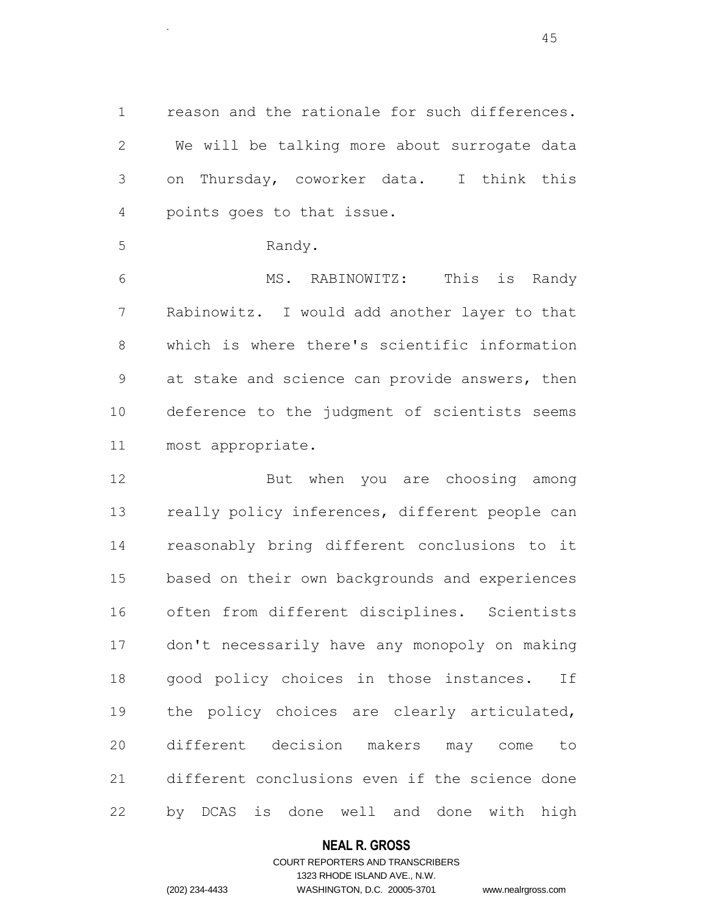reason and the rationale for such differences. We will be talking more about surrogate data on Thursday, coworker data. I think this points goes to that issue.

```
5 Randy.
```
.

 MS. RABINOWITZ: This is Randy Rabinowitz. I would add another layer to that which is where there's scientific information at stake and science can provide answers, then deference to the judgment of scientists seems most appropriate.

 But when you are choosing among 13 really policy inferences, different people can reasonably bring different conclusions to it based on their own backgrounds and experiences often from different disciplines. Scientists don't necessarily have any monopoly on making 18 good policy choices in those instances. If the policy choices are clearly articulated, different decision makers may come to different conclusions even if the science done by DCAS is done well and done with high

### **NEAL R. GROSS**

## COURT REPORTERS AND TRANSCRIBERS 1323 RHODE ISLAND AVE., N.W. (202) 234-4433 WASHINGTON, D.C. 20005-3701 www.nealrgross.com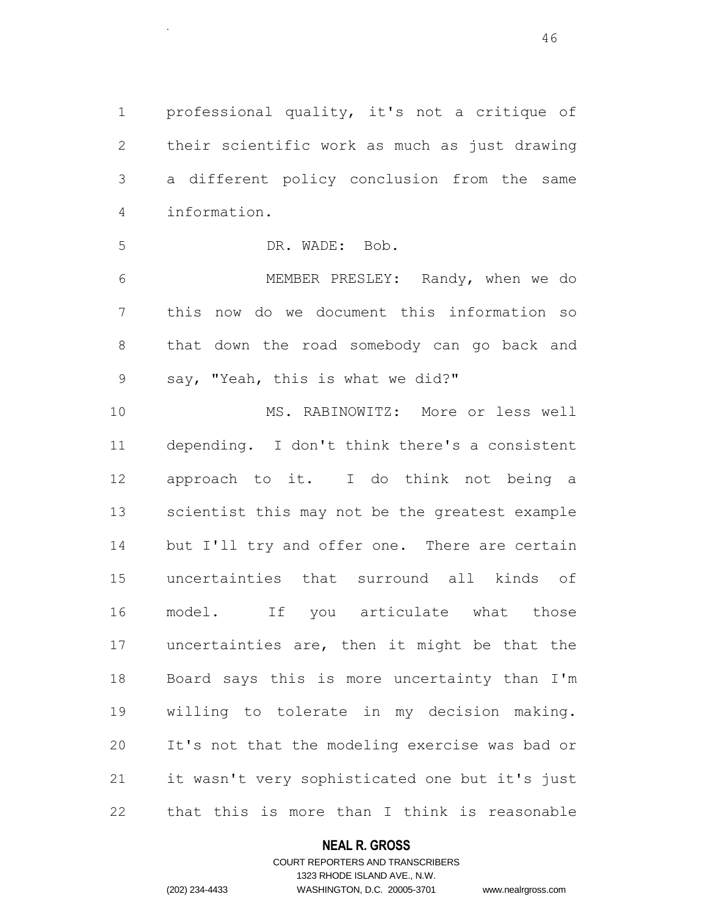professional quality, it's not a critique of their scientific work as much as just drawing a different policy conclusion from the same information.

DR. WADE: Bob.

.

 MEMBER PRESLEY: Randy, when we do this now do we document this information so that down the road somebody can go back and say, "Yeah, this is what we did?"

 MS. RABINOWITZ: More or less well depending. I don't think there's a consistent approach to it. I do think not being a scientist this may not be the greatest example 14 but I'll try and offer one. There are certain uncertainties that surround all kinds of model. If you articulate what those uncertainties are, then it might be that the Board says this is more uncertainty than I'm willing to tolerate in my decision making. It's not that the modeling exercise was bad or it wasn't very sophisticated one but it's just that this is more than I think is reasonable

### **NEAL R. GROSS**

## COURT REPORTERS AND TRANSCRIBERS 1323 RHODE ISLAND AVE., N.W. (202) 234-4433 WASHINGTON, D.C. 20005-3701 www.nealrgross.com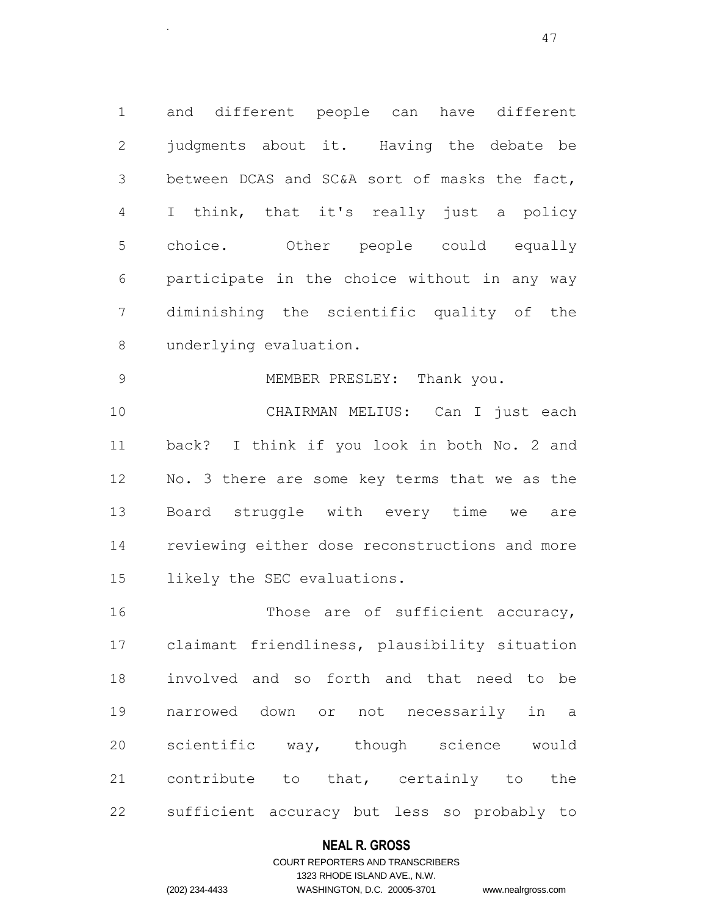and different people can have different 2 judgments about it. Having the debate be between DCAS and SC&A sort of masks the fact, I think, that it's really just a policy choice. Other people could equally participate in the choice without in any way diminishing the scientific quality of the underlying evaluation.

MEMBER PRESLEY: Thank you.

.

 CHAIRMAN MELIUS: Can I just each back? I think if you look in both No. 2 and No. 3 there are some key terms that we as the Board struggle with every time we are reviewing either dose reconstructions and more likely the SEC evaluations.

 Those are of sufficient accuracy, claimant friendliness, plausibility situation involved and so forth and that need to be narrowed down or not necessarily in a scientific way, though science would contribute to that, certainly to the sufficient accuracy but less so probably to

## **NEAL R. GROSS**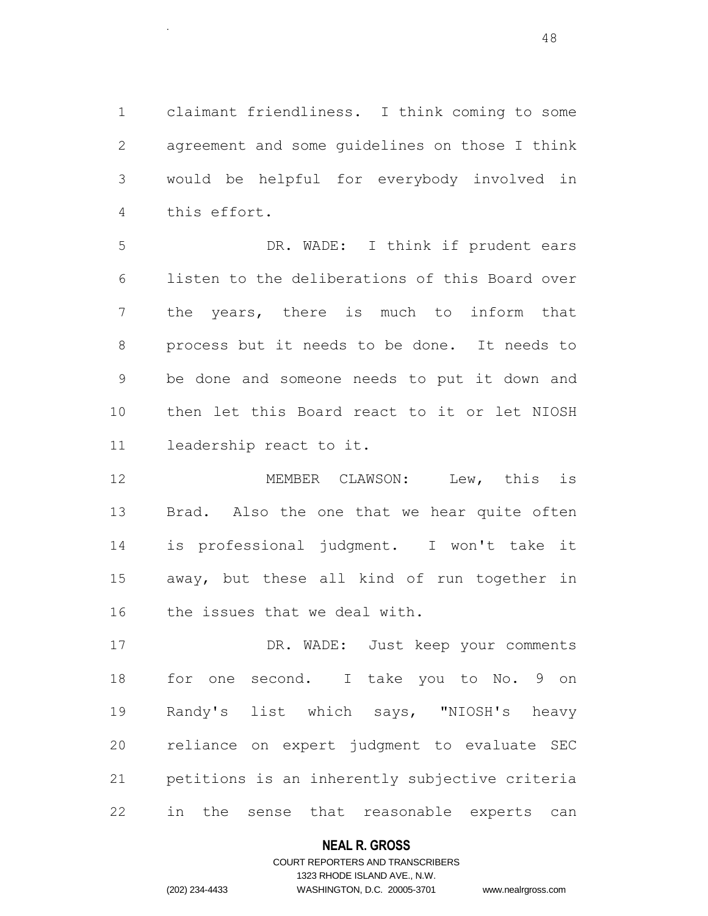claimant friendliness. I think coming to some agreement and some guidelines on those I think would be helpful for everybody involved in this effort.

 DR. WADE: I think if prudent ears listen to the deliberations of this Board over the years, there is much to inform that process but it needs to be done. It needs to be done and someone needs to put it down and then let this Board react to it or let NIOSH leadership react to it.

 MEMBER CLAWSON: Lew, this is Brad. Also the one that we hear quite often is professional judgment. I won't take it away, but these all kind of run together in the issues that we deal with.

17 DR. WADE: Just keep your comments for one second. I take you to No. 9 on Randy's list which says, "NIOSH's heavy reliance on expert judgment to evaluate SEC petitions is an inherently subjective criteria in the sense that reasonable experts can

## **NEAL R. GROSS**

## COURT REPORTERS AND TRANSCRIBERS 1323 RHODE ISLAND AVE., N.W. (202) 234-4433 WASHINGTON, D.C. 20005-3701 www.nealrgross.com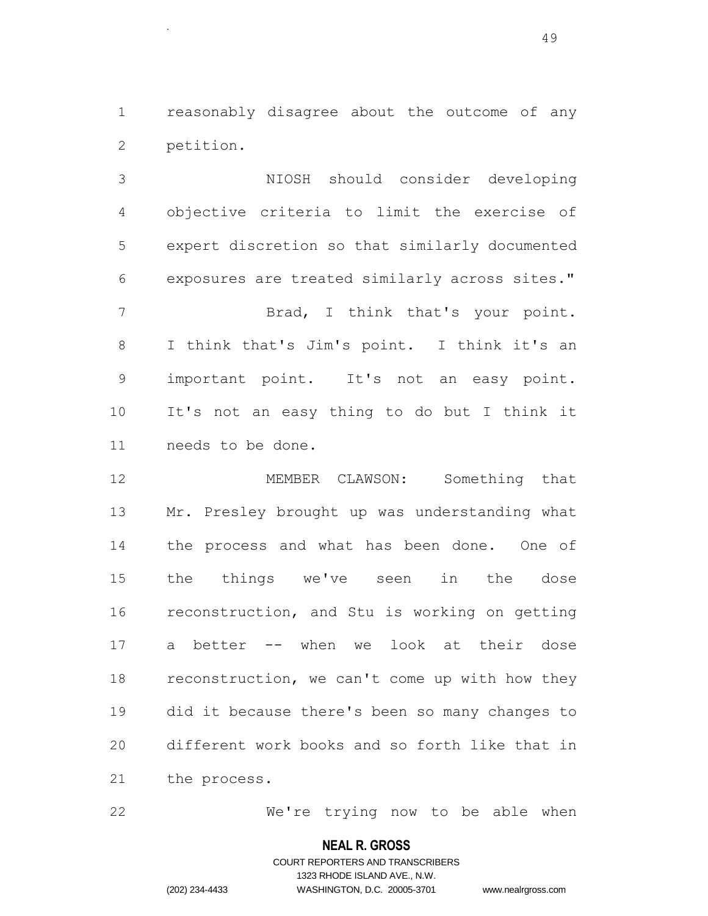reasonably disagree about the outcome of any petition.

.

 NIOSH should consider developing objective criteria to limit the exercise of expert discretion so that similarly documented exposures are treated similarly across sites." Brad, I think that's your point. I think that's Jim's point. I think it's an important point. It's not an easy point. It's not an easy thing to do but I think it needs to be done.

 MEMBER CLAWSON: Something that Mr. Presley brought up was understanding what the process and what has been done. One of the things we've seen in the dose reconstruction, and Stu is working on getting a better -- when we look at their dose reconstruction, we can't come up with how they did it because there's been so many changes to different work books and so forth like that in the process.

We're trying now to be able when

### **NEAL R. GROSS**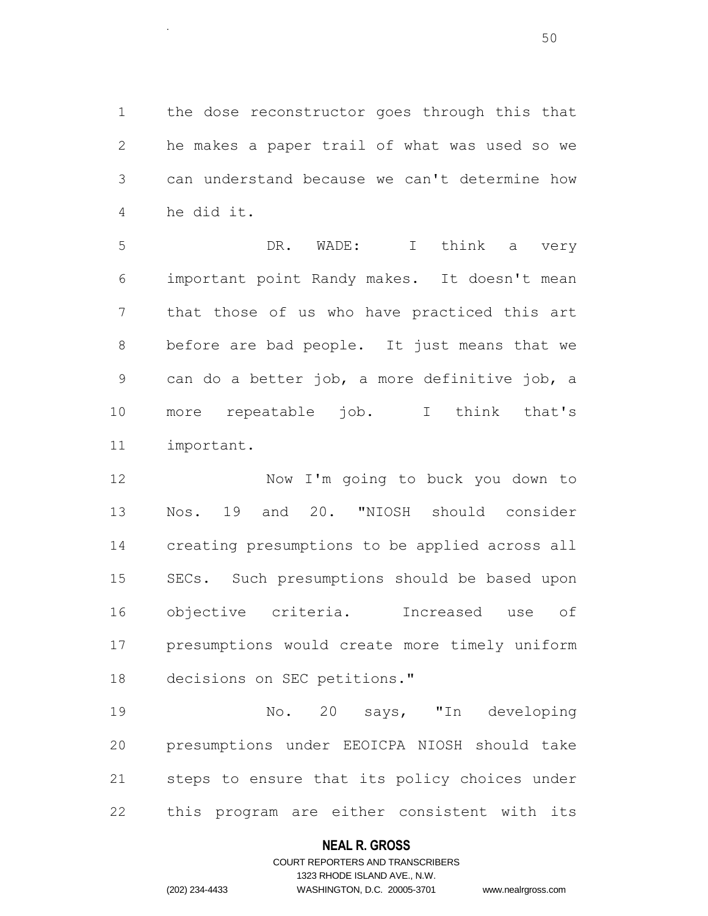the dose reconstructor goes through this that he makes a paper trail of what was used so we can understand because we can't determine how he did it.

5 DR. WADE: I think a very important point Randy makes. It doesn't mean that those of us who have practiced this art before are bad people. It just means that we can do a better job, a more definitive job, a more repeatable job. I think that's important.

 Now I'm going to buck you down to Nos. 19 and 20. "NIOSH should consider creating presumptions to be applied across all SECs. Such presumptions should be based upon objective criteria. Increased use of presumptions would create more timely uniform decisions on SEC petitions."

19 No. 20 says, "In developing presumptions under EEOICPA NIOSH should take steps to ensure that its policy choices under this program are either consistent with its

### **NEAL R. GROSS**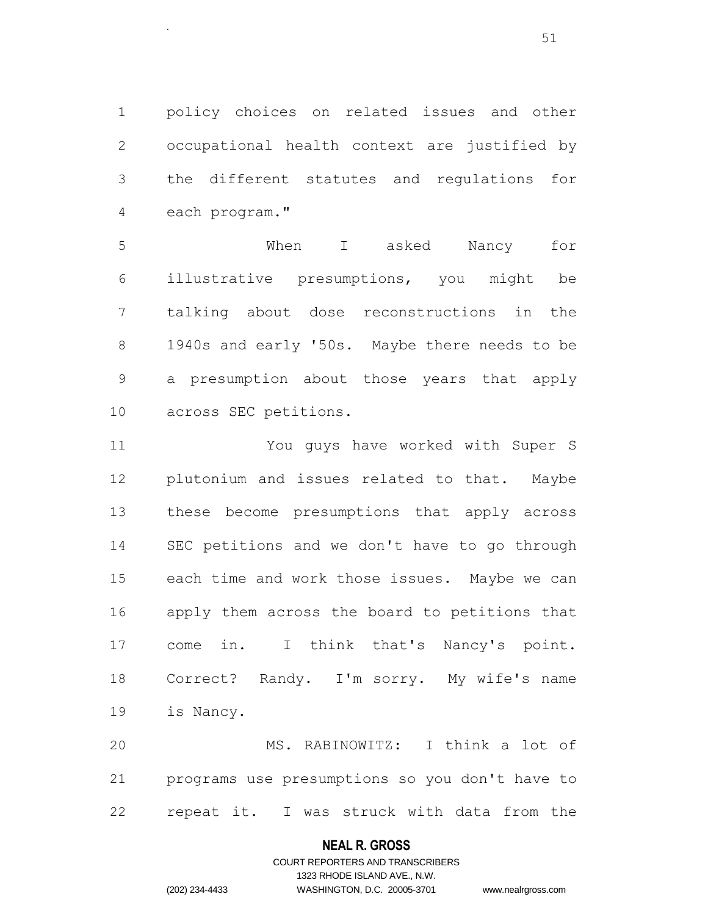policy choices on related issues and other occupational health context are justified by the different statutes and regulations for each program."

.

 When I asked Nancy for illustrative presumptions, you might be talking about dose reconstructions in the 1940s and early '50s. Maybe there needs to be a presumption about those years that apply across SEC petitions.

 You guys have worked with Super S plutonium and issues related to that. Maybe these become presumptions that apply across SEC petitions and we don't have to go through each time and work those issues. Maybe we can apply them across the board to petitions that come in. I think that's Nancy's point. Correct? Randy. I'm sorry. My wife's name is Nancy.

 MS. RABINOWITZ: I think a lot of programs use presumptions so you don't have to repeat it. I was struck with data from the

### **NEAL R. GROSS**

## COURT REPORTERS AND TRANSCRIBERS 1323 RHODE ISLAND AVE., N.W. (202) 234-4433 WASHINGTON, D.C. 20005-3701 www.nealrgross.com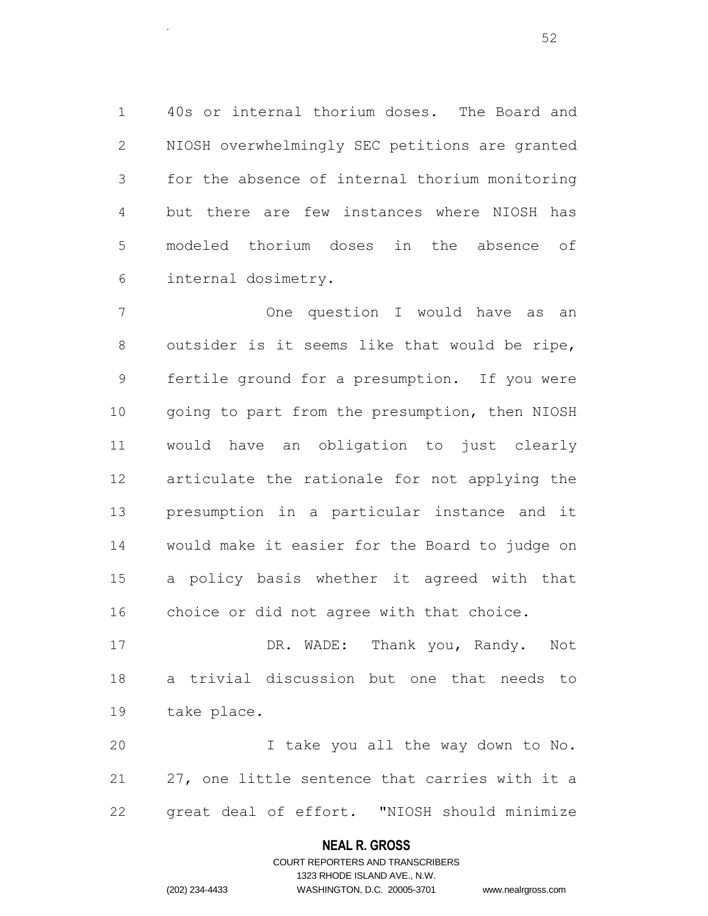40s or internal thorium doses. The Board and NIOSH overwhelmingly SEC petitions are granted for the absence of internal thorium monitoring but there are few instances where NIOSH has modeled thorium doses in the absence of internal dosimetry.

 One question I would have as an outsider is it seems like that would be ripe, fertile ground for a presumption. If you were going to part from the presumption, then NIOSH would have an obligation to just clearly articulate the rationale for not applying the presumption in a particular instance and it would make it easier for the Board to judge on a policy basis whether it agreed with that choice or did not agree with that choice.

17 DR. WADE: Thank you, Randy. Not a trivial discussion but one that needs to take place.

 I take you all the way down to No. 27, one little sentence that carries with it a great deal of effort. "NIOSH should minimize

### **NEAL R. GROSS**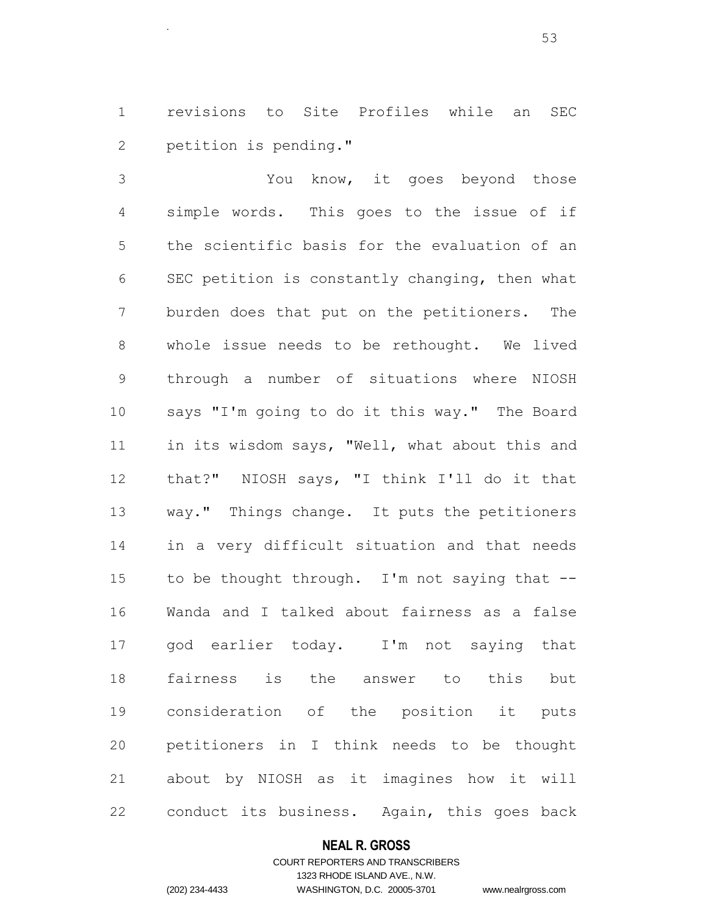revisions to Site Profiles while an SEC petition is pending."

.

 You know, it goes beyond those simple words. This goes to the issue of if the scientific basis for the evaluation of an SEC petition is constantly changing, then what burden does that put on the petitioners. The whole issue needs to be rethought. We lived through a number of situations where NIOSH says "I'm going to do it this way." The Board in its wisdom says, "Well, what about this and that?" NIOSH says, "I think I'll do it that way." Things change. It puts the petitioners in a very difficult situation and that needs to be thought through. I'm not saying that -- Wanda and I talked about fairness as a false god earlier today. I'm not saying that fairness is the answer to this but consideration of the position it puts petitioners in I think needs to be thought about by NIOSH as it imagines how it will conduct its business. Again, this goes back

### **NEAL R. GROSS**

## COURT REPORTERS AND TRANSCRIBERS 1323 RHODE ISLAND AVE., N.W. (202) 234-4433 WASHINGTON, D.C. 20005-3701 www.nealrgross.com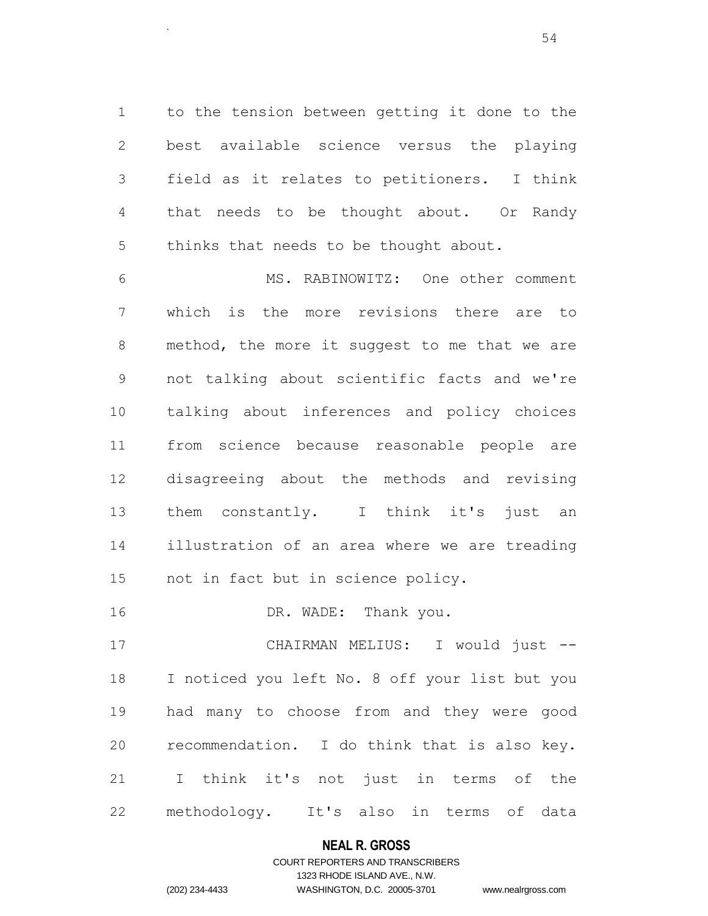to the tension between getting it done to the best available science versus the playing field as it relates to petitioners. I think that needs to be thought about. Or Randy thinks that needs to be thought about.

 MS. RABINOWITZ: One other comment which is the more revisions there are to method, the more it suggest to me that we are not talking about scientific facts and we're talking about inferences and policy choices from science because reasonable people are disagreeing about the methods and revising 13 them constantly. I think it's just an illustration of an area where we are treading not in fact but in science policy.

16 DR. WADE: Thank you.

 CHAIRMAN MELIUS: I would just -- I noticed you left No. 8 off your list but you had many to choose from and they were good recommendation. I do think that is also key. I think it's not just in terms of the methodology. It's also in terms of data

## **NEAL R. GROSS**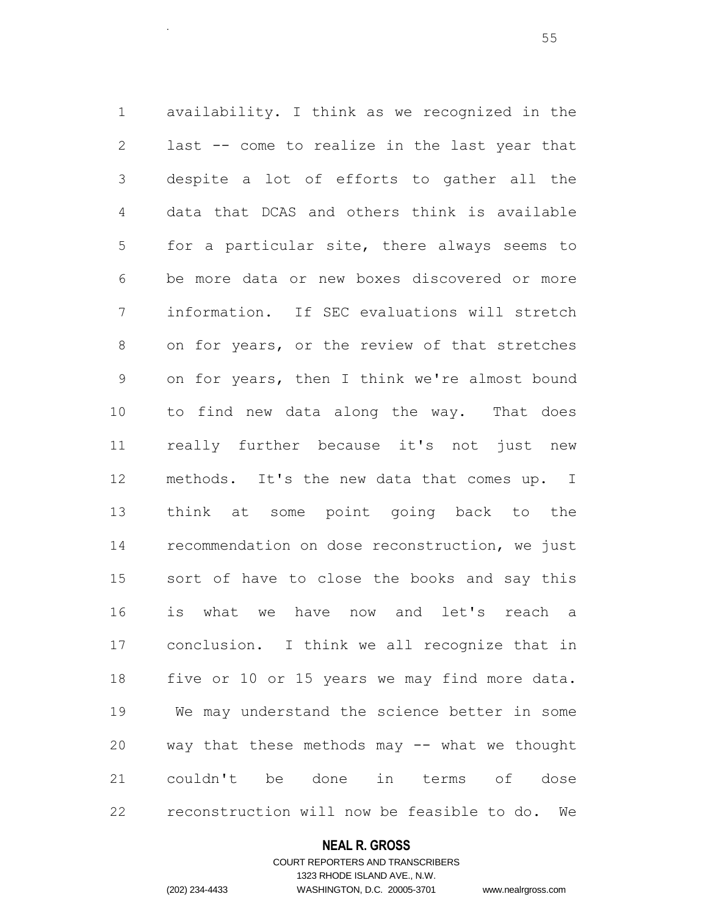availability. I think as we recognized in the last -- come to realize in the last year that despite a lot of efforts to gather all the data that DCAS and others think is available for a particular site, there always seems to be more data or new boxes discovered or more information. If SEC evaluations will stretch on for years, or the review of that stretches on for years, then I think we're almost bound to find new data along the way. That does really further because it's not just new methods. It's the new data that comes up. I think at some point going back to the recommendation on dose reconstruction, we just sort of have to close the books and say this is what we have now and let's reach a conclusion. I think we all recognize that in five or 10 or 15 years we may find more data. We may understand the science better in some way that these methods may -- what we thought couldn't be done in terms of dose reconstruction will now be feasible to do. We

#### **NEAL R. GROSS**

## COURT REPORTERS AND TRANSCRIBERS 1323 RHODE ISLAND AVE., N.W. (202) 234-4433 WASHINGTON, D.C. 20005-3701 www.nealrgross.com

.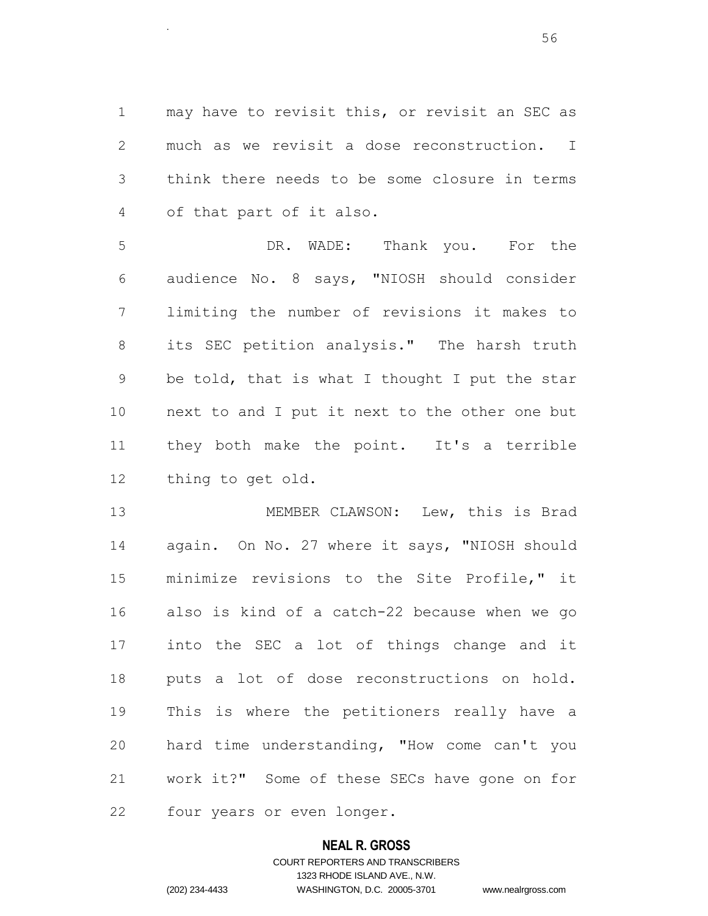may have to revisit this, or revisit an SEC as much as we revisit a dose reconstruction. I think there needs to be some closure in terms of that part of it also.

 DR. WADE: Thank you. For the audience No. 8 says, "NIOSH should consider limiting the number of revisions it makes to its SEC petition analysis." The harsh truth be told, that is what I thought I put the star next to and I put it next to the other one but they both make the point. It's a terrible thing to get old.

 MEMBER CLAWSON: Lew, this is Brad again. On No. 27 where it says, "NIOSH should minimize revisions to the Site Profile," it also is kind of a catch-22 because when we go into the SEC a lot of things change and it puts a lot of dose reconstructions on hold. This is where the petitioners really have a hard time understanding, "How come can't you work it?" Some of these SECs have gone on for four years or even longer.

### **NEAL R. GROSS**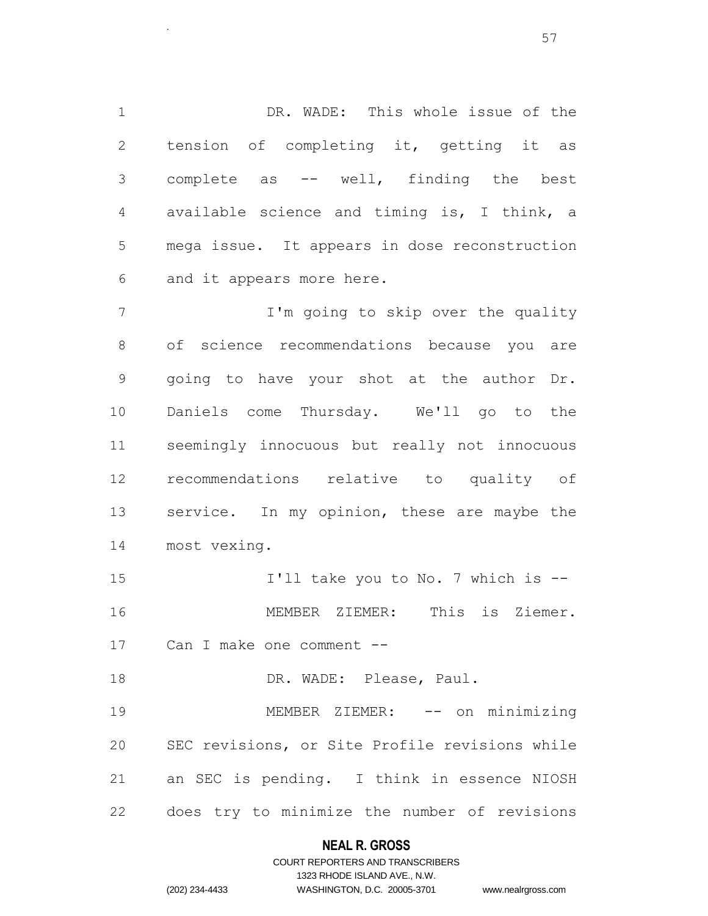DR. WADE: This whole issue of the tension of completing it, getting it as complete as -- well, finding the best available science and timing is, I think, a mega issue. It appears in dose reconstruction and it appears more here.

.

7 I'm going to skip over the quality of science recommendations because you are going to have your shot at the author Dr. Daniels come Thursday. We'll go to the seemingly innocuous but really not innocuous recommendations relative to quality of 13 service. In my opinion, these are maybe the most vexing.

 I'll take you to No. 7 which is -- MEMBER ZIEMER: This is Ziemer. Can I make one comment --

18 DR. WADE: Please, Paul.

19 MEMBER ZIEMER: -- on minimizing SEC revisions, or Site Profile revisions while an SEC is pending. I think in essence NIOSH does try to minimize the number of revisions

## **NEAL R. GROSS**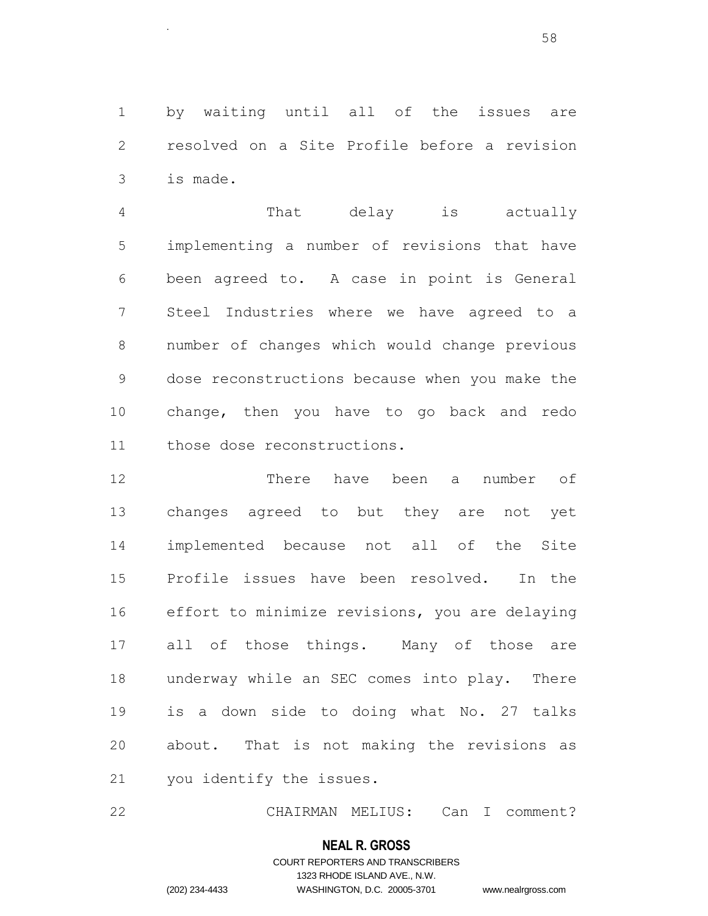by waiting until all of the issues are resolved on a Site Profile before a revision is made.

.

 That delay is actually implementing a number of revisions that have been agreed to. A case in point is General Steel Industries where we have agreed to a number of changes which would change previous dose reconstructions because when you make the change, then you have to go back and redo those dose reconstructions.

 There have been a number of changes agreed to but they are not yet implemented because not all of the Site Profile issues have been resolved. In the effort to minimize revisions, you are delaying all of those things. Many of those are underway while an SEC comes into play. There is a down side to doing what No. 27 talks about. That is not making the revisions as you identify the issues.

CHAIRMAN MELIUS: Can I comment?

#### **NEAL R. GROSS**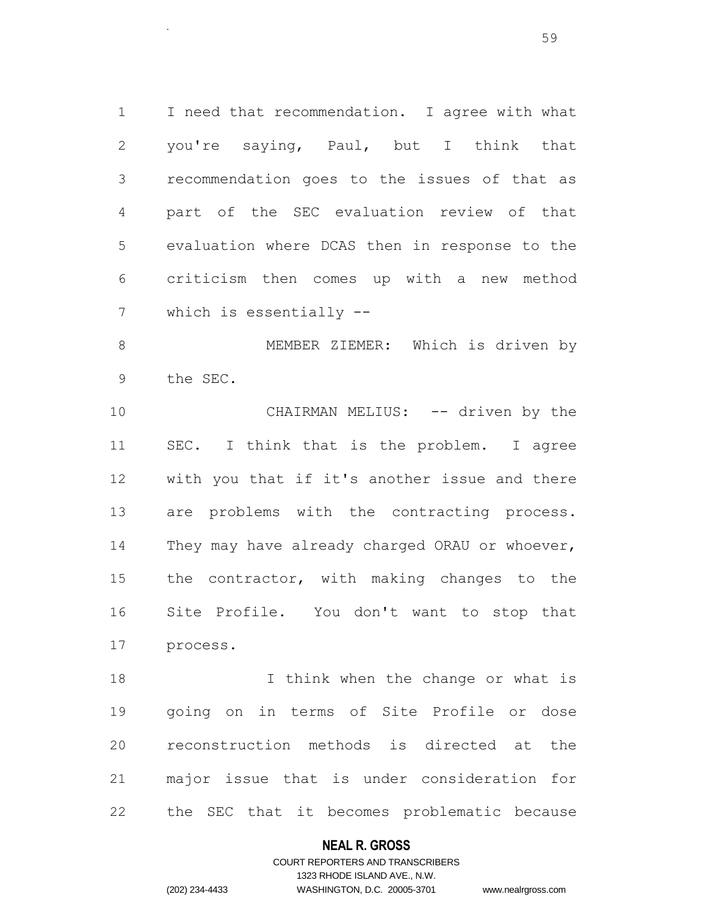I need that recommendation. I agree with what you're saying, Paul, but I think that recommendation goes to the issues of that as part of the SEC evaluation review of that evaluation where DCAS then in response to the criticism then comes up with a new method which is essentially --

 MEMBER ZIEMER: Which is driven by the SEC.

10 CHAIRMAN MELIUS: -- driven by the SEC. I think that is the problem. I agree with you that if it's another issue and there are problems with the contracting process. They may have already charged ORAU or whoever, the contractor, with making changes to the Site Profile. You don't want to stop that process.

18 I think when the change or what is going on in terms of Site Profile or dose reconstruction methods is directed at the major issue that is under consideration for the SEC that it becomes problematic because

## **NEAL R. GROSS**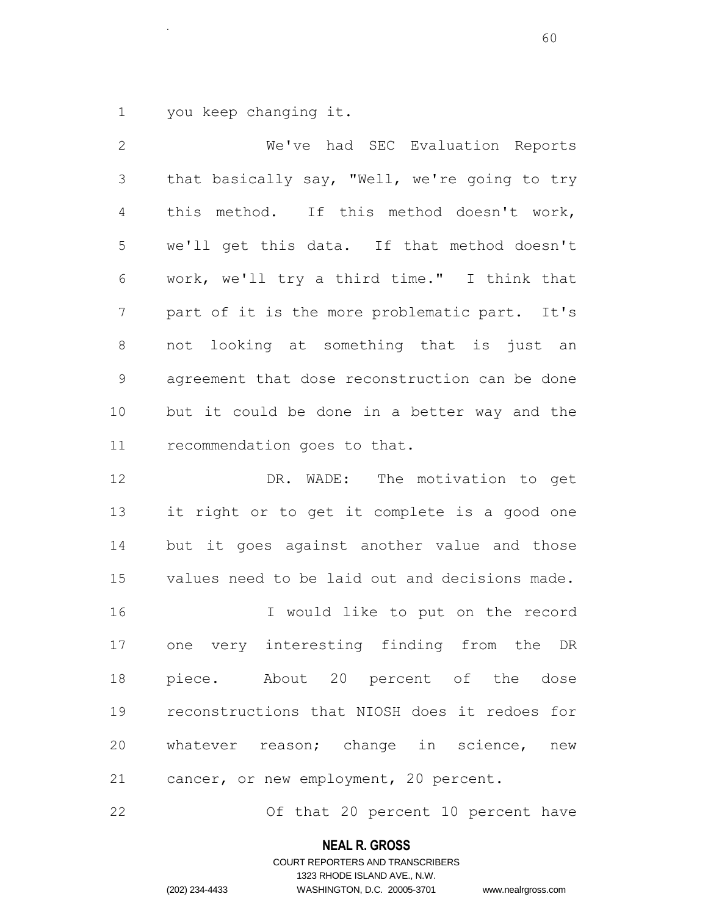you keep changing it.

.

 We've had SEC Evaluation Reports that basically say, "Well, we're going to try this method. If this method doesn't work, we'll get this data. If that method doesn't work, we'll try a third time." I think that part of it is the more problematic part. It's not looking at something that is just an agreement that dose reconstruction can be done but it could be done in a better way and the recommendation goes to that. DR. WADE: The motivation to get it right or to get it complete is a good one but it goes against another value and those values need to be laid out and decisions made.

 I would like to put on the record one very interesting finding from the DR piece. About 20 percent of the dose reconstructions that NIOSH does it redoes for whatever reason; change in science, new cancer, or new employment, 20 percent.

Of that 20 percent 10 percent have

## **NEAL R. GROSS**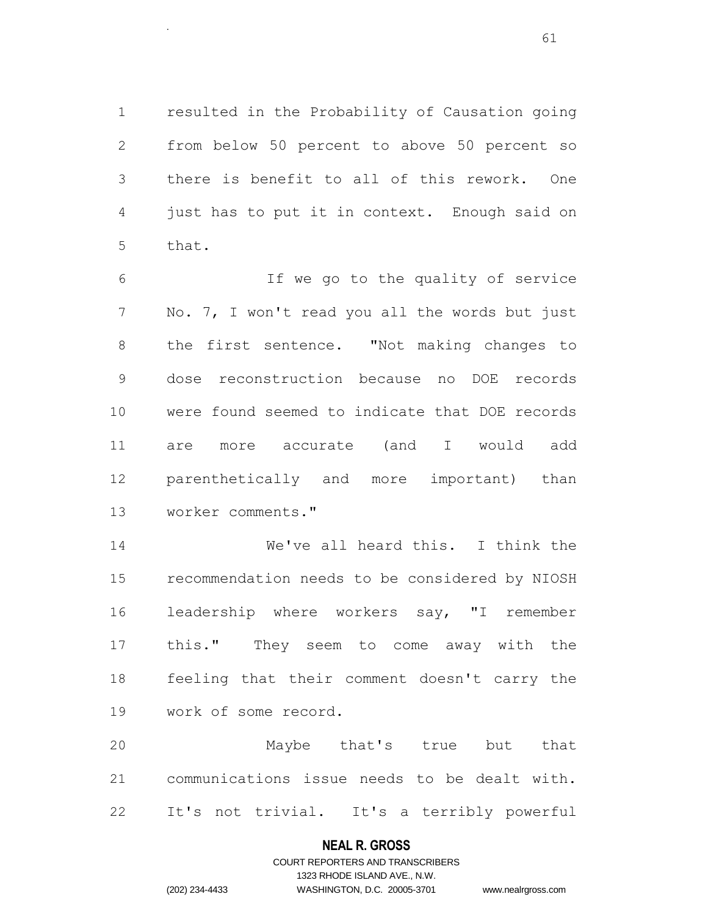resulted in the Probability of Causation going from below 50 percent to above 50 percent so there is benefit to all of this rework. One just has to put it in context. Enough said on that.

.

 If we go to the quality of service No. 7, I won't read you all the words but just the first sentence. "Not making changes to dose reconstruction because no DOE records were found seemed to indicate that DOE records are more accurate (and I would add parenthetically and more important) than worker comments."

 We've all heard this. I think the recommendation needs to be considered by NIOSH leadership where workers say, "I remember this." They seem to come away with the feeling that their comment doesn't carry the work of some record.

 Maybe that's true but that communications issue needs to be dealt with. It's not trivial. It's a terribly powerful

### **NEAL R. GROSS**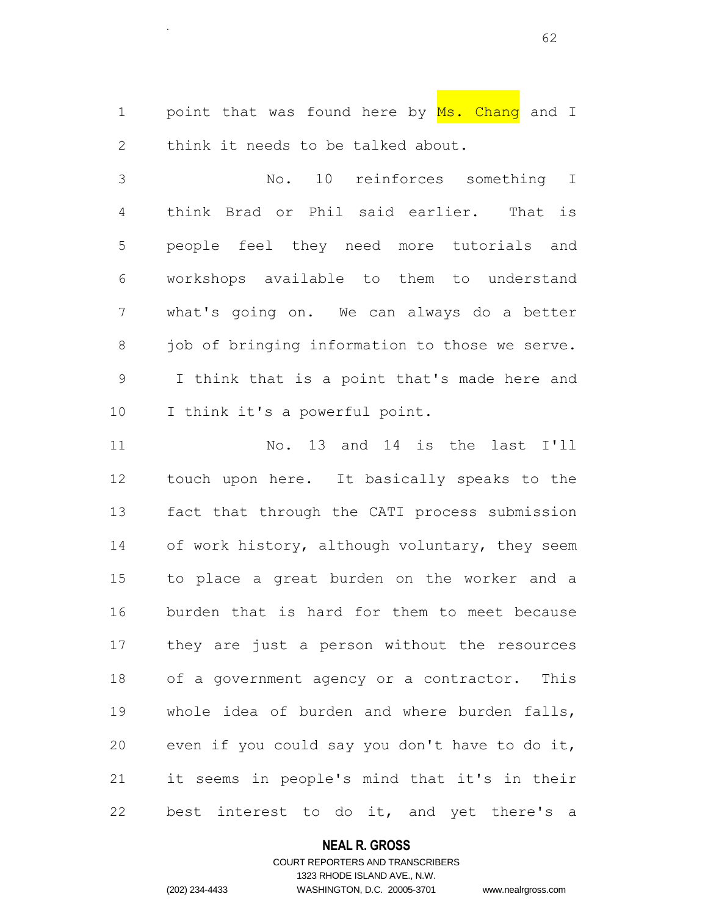1 point that was found here by Ms. Chang and I think it needs to be talked about.

.

 No. 10 reinforces something I think Brad or Phil said earlier. That is people feel they need more tutorials and workshops available to them to understand what's going on. We can always do a better 8 job of bringing information to those we serve. I think that is a point that's made here and I think it's a powerful point.

 No. 13 and 14 is the last I'll touch upon here. It basically speaks to the fact that through the CATI process submission 14 of work history, although voluntary, they seem to place a great burden on the worker and a burden that is hard for them to meet because they are just a person without the resources of a government agency or a contractor. This whole idea of burden and where burden falls, even if you could say you don't have to do it, it seems in people's mind that it's in their best interest to do it, and yet there's a

## **NEAL R. GROSS**

## COURT REPORTERS AND TRANSCRIBERS 1323 RHODE ISLAND AVE., N.W. (202) 234-4433 WASHINGTON, D.C. 20005-3701 www.nealrgross.com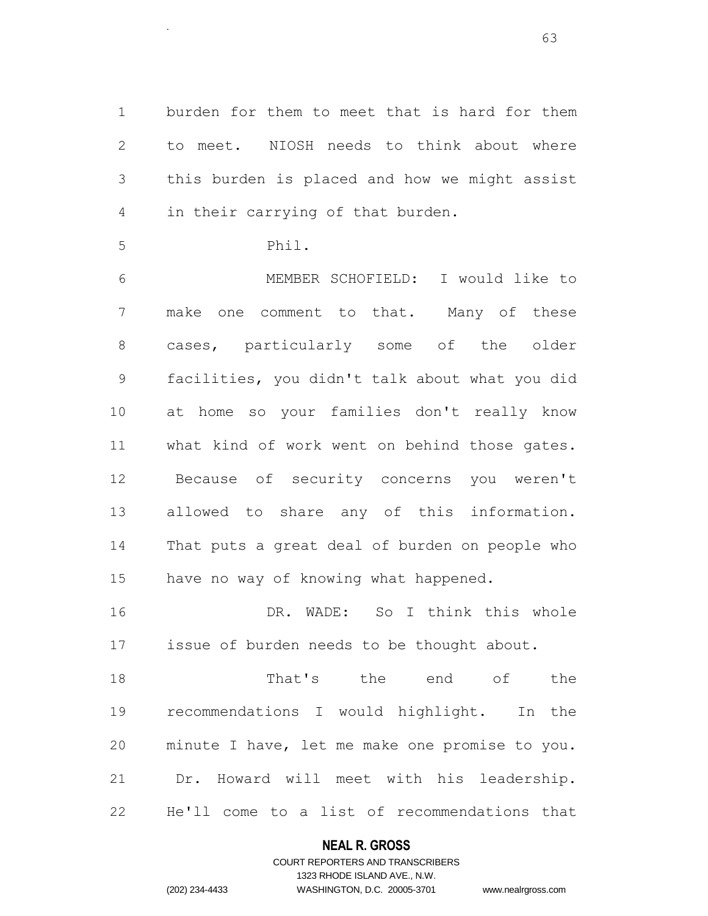burden for them to meet that is hard for them to meet. NIOSH needs to think about where this burden is placed and how we might assist in their carrying of that burden.

```
5 Phil.
```
.

 MEMBER SCHOFIELD: I would like to make one comment to that. Many of these cases, particularly some of the older facilities, you didn't talk about what you did at home so your families don't really know what kind of work went on behind those gates. Because of security concerns you weren't allowed to share any of this information. That puts a great deal of burden on people who have no way of knowing what happened.

 DR. WADE: So I think this whole issue of burden needs to be thought about.

18 That's the end of the recommendations I would highlight. In the minute I have, let me make one promise to you. Dr. Howard will meet with his leadership. He'll come to a list of recommendations that

## **NEAL R. GROSS**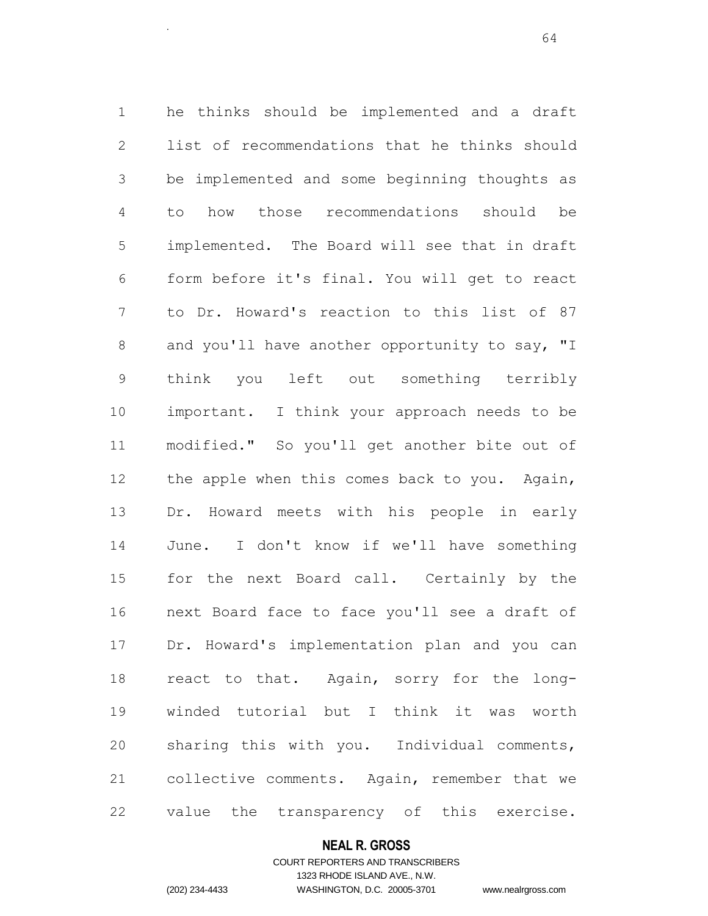he thinks should be implemented and a draft list of recommendations that he thinks should be implemented and some beginning thoughts as to how those recommendations should be implemented. The Board will see that in draft form before it's final. You will get to react to Dr. Howard's reaction to this list of 87 8 and you'll have another opportunity to say, "I think you left out something terribly important. I think your approach needs to be modified." So you'll get another bite out of the apple when this comes back to you. Again, Dr. Howard meets with his people in early June. I don't know if we'll have something for the next Board call. Certainly by the next Board face to face you'll see a draft of Dr. Howard's implementation plan and you can 18 react to that. Again, sorry for the long- winded tutorial but I think it was worth sharing this with you. Individual comments, collective comments. Again, remember that we value the transparency of this exercise.

#### **NEAL R. GROSS**

## COURT REPORTERS AND TRANSCRIBERS 1323 RHODE ISLAND AVE., N.W. (202) 234-4433 WASHINGTON, D.C. 20005-3701 www.nealrgross.com

.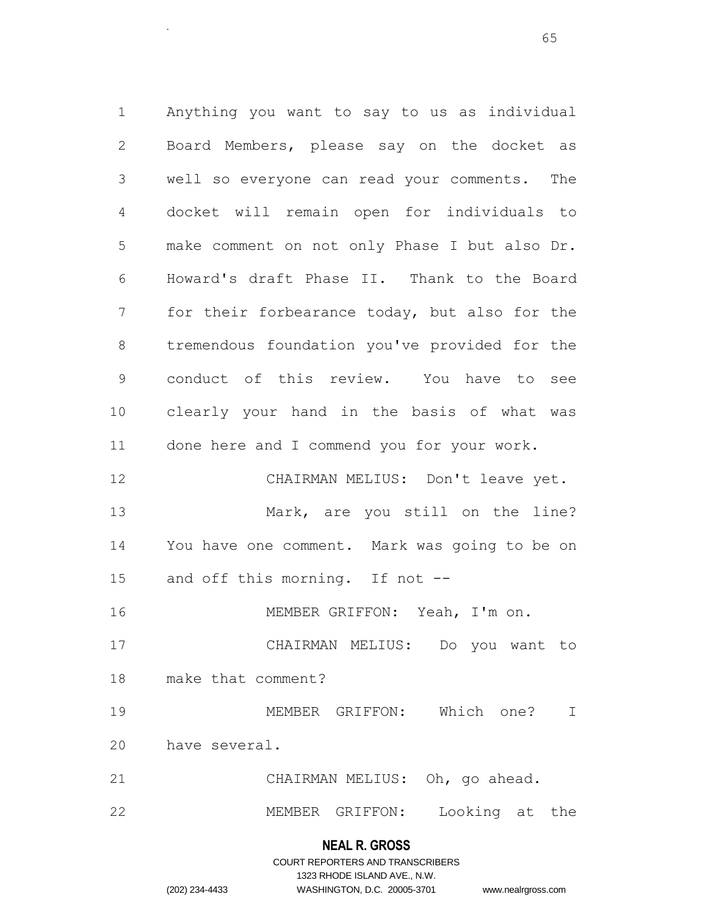Anything you want to say to us as individual Board Members, please say on the docket as well so everyone can read your comments. The docket will remain open for individuals to make comment on not only Phase I but also Dr. Howard's draft Phase II. Thank to the Board for their forbearance today, but also for the tremendous foundation you've provided for the conduct of this review. You have to see clearly your hand in the basis of what was done here and I commend you for your work. CHAIRMAN MELIUS: Don't leave yet. 13 Mark, are you still on the line? You have one comment. Mark was going to be on and off this morning. If not -- MEMBER GRIFFON: Yeah, I'm on. CHAIRMAN MELIUS: Do you want to make that comment? MEMBER GRIFFON: Which one? I have several. CHAIRMAN MELIUS: Oh, go ahead. MEMBER GRIFFON: Looking at the

.

#### **NEAL R. GROSS**

|                | COURT REPORTERS AND TRANSCRIBERS |                    |
|----------------|----------------------------------|--------------------|
|                | 1323 RHODE ISLAND AVE N.W.       |                    |
| (202) 234-4433 | WASHINGTON, D.C. 20005-3701      | www.nealrgross.com |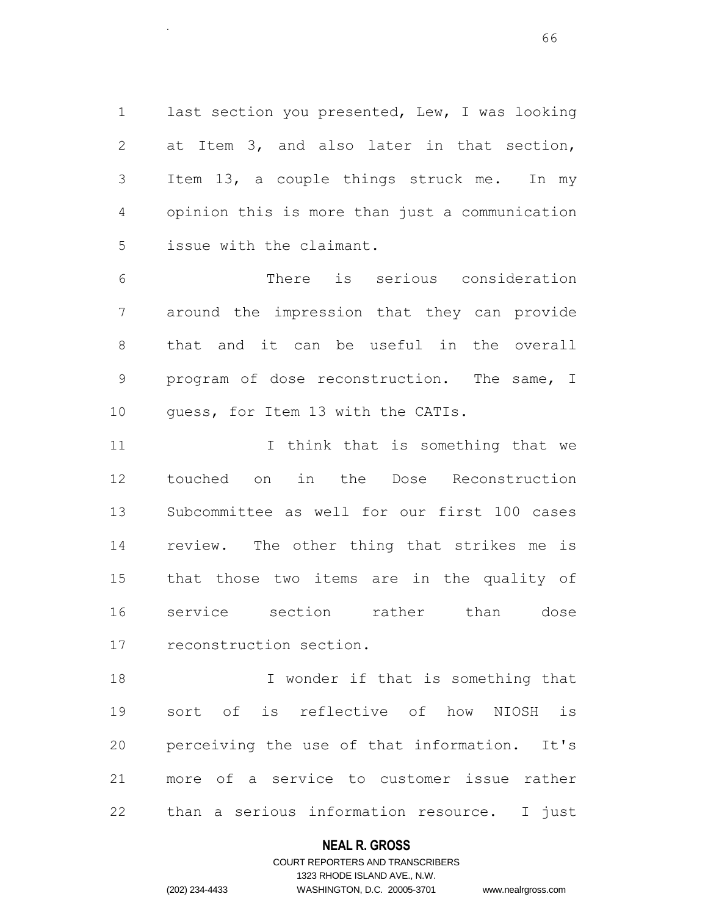1 last section you presented, Lew, I was looking at Item 3, and also later in that section, Item 13, a couple things struck me. In my opinion this is more than just a communication issue with the claimant.

 There is serious consideration around the impression that they can provide that and it can be useful in the overall program of dose reconstruction. The same, I guess, for Item 13 with the CATIs.

11 11 I think that is something that we touched on in the Dose Reconstruction Subcommittee as well for our first 100 cases review. The other thing that strikes me is that those two items are in the quality of service section rather than dose reconstruction section.

18 I wonder if that is something that sort of is reflective of how NIOSH is perceiving the use of that information. It's more of a service to customer issue rather than a serious information resource. I just

## **NEAL R. GROSS**

## COURT REPORTERS AND TRANSCRIBERS 1323 RHODE ISLAND AVE., N.W. (202) 234-4433 WASHINGTON, D.C. 20005-3701 www.nealrgross.com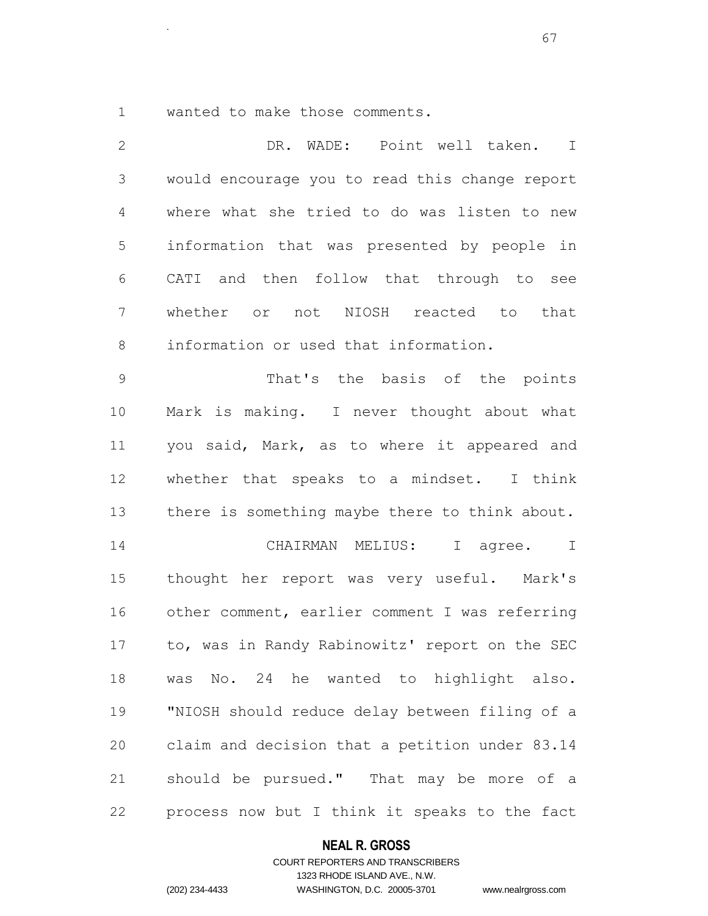wanted to make those comments.

.

 DR. WADE: Point well taken. I would encourage you to read this change report where what she tried to do was listen to new information that was presented by people in CATI and then follow that through to see whether or not NIOSH reacted to that information or used that information. That's the basis of the points Mark is making. I never thought about what you said, Mark, as to where it appeared and whether that speaks to a mindset. I think there is something maybe there to think about. CHAIRMAN MELIUS: I agree. I thought her report was very useful. Mark's other comment, earlier comment I was referring to, was in Randy Rabinowitz' report on the SEC was No. 24 he wanted to highlight also. "NIOSH should reduce delay between filing of a claim and decision that a petition under 83.14 should be pursued." That may be more of a process now but I think it speaks to the fact

### **NEAL R. GROSS**

COURT REPORTERS AND TRANSCRIBERS 1323 RHODE ISLAND AVE., N.W. (202) 234-4433 WASHINGTON, D.C. 20005-3701 www.nealrgross.com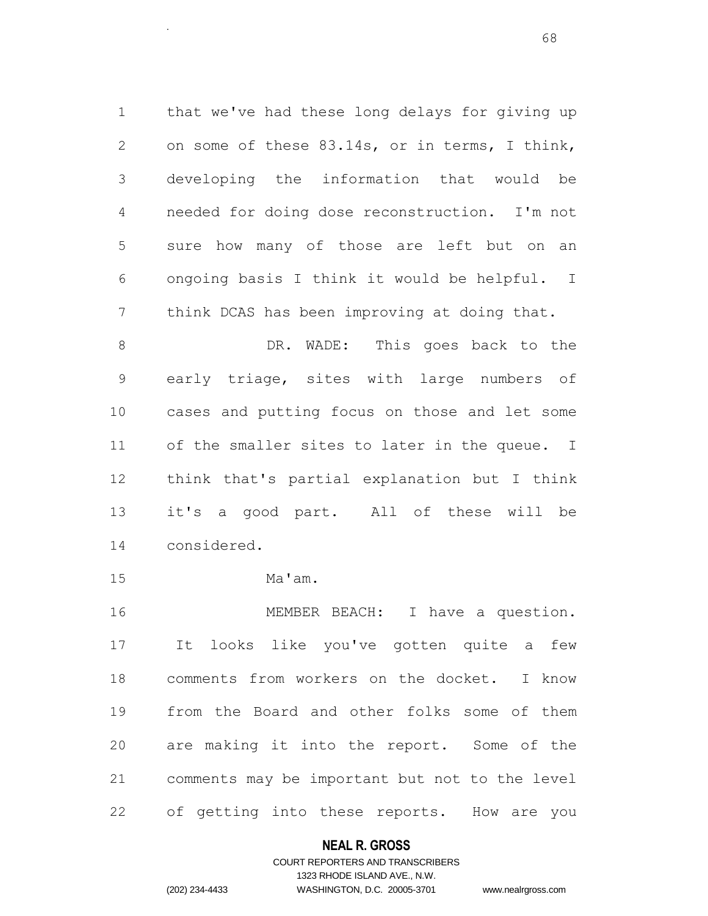that we've had these long delays for giving up on some of these 83.14s, or in terms, I think, developing the information that would be needed for doing dose reconstruction. I'm not sure how many of those are left but on an ongoing basis I think it would be helpful. I think DCAS has been improving at doing that.

8 DR. WADE: This goes back to the early triage, sites with large numbers of cases and putting focus on those and let some of the smaller sites to later in the queue. I think that's partial explanation but I think it's a good part. All of these will be considered.

Ma'am.

.

 MEMBER BEACH: I have a question. It looks like you've gotten quite a few comments from workers on the docket. I know from the Board and other folks some of them are making it into the report. Some of the comments may be important but not to the level of getting into these reports. How are you

## **NEAL R. GROSS**

## COURT REPORTERS AND TRANSCRIBERS 1323 RHODE ISLAND AVE., N.W. (202) 234-4433 WASHINGTON, D.C. 20005-3701 www.nealrgross.com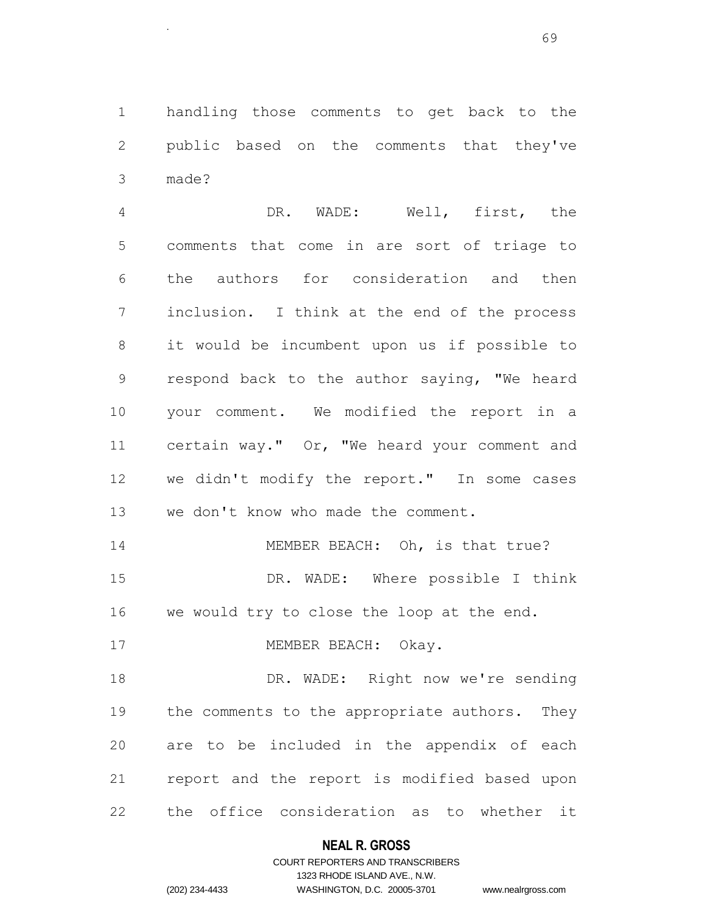handling those comments to get back to the public based on the comments that they've made?

.

 DR. WADE: Well, first, the comments that come in are sort of triage to the authors for consideration and then inclusion. I think at the end of the process it would be incumbent upon us if possible to respond back to the author saying, "We heard your comment. We modified the report in a certain way." Or, "We heard your comment and we didn't modify the report." In some cases we don't know who made the comment.

14 MEMBER BEACH: Oh, is that true? DR. WADE: Where possible I think we would try to close the loop at the end.

17 MEMBER BEACH: Okay.

18 DR. WADE: Right now we're sending the comments to the appropriate authors. They are to be included in the appendix of each report and the report is modified based upon the office consideration as to whether it

### **NEAL R. GROSS**

## COURT REPORTERS AND TRANSCRIBERS 1323 RHODE ISLAND AVE., N.W. (202) 234-4433 WASHINGTON, D.C. 20005-3701 www.nealrgross.com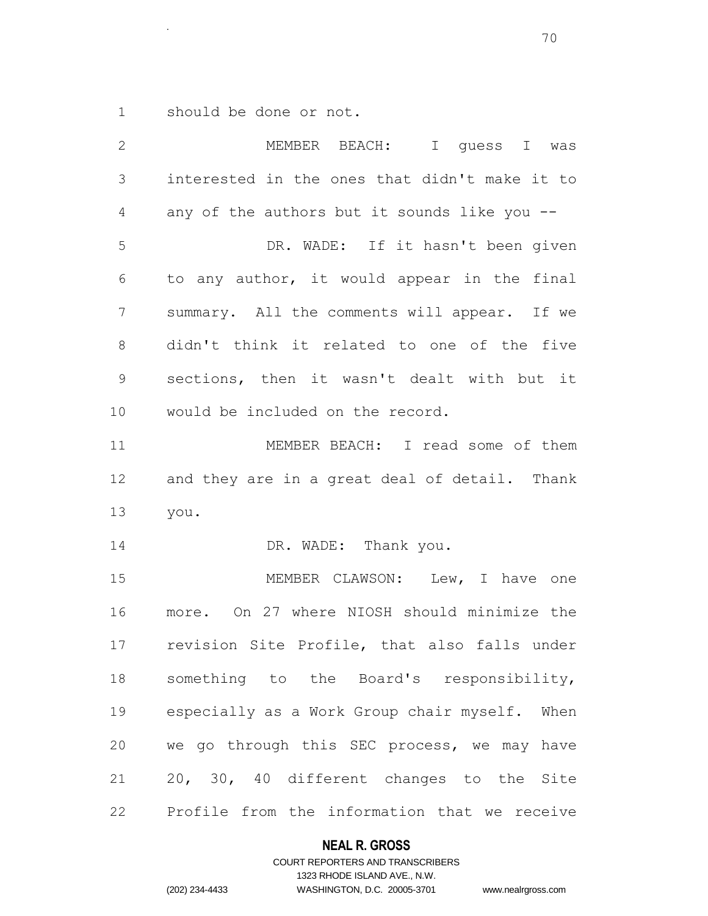should be done or not.

.

| $\mathbf{2}$   | MEMBER BEACH: I quess I was                   |
|----------------|-----------------------------------------------|
| $\mathfrak{Z}$ | interested in the ones that didn't make it to |
| $\overline{4}$ | any of the authors but it sounds like you --  |
| 5              | DR. WADE: If it hasn't been given             |
| 6              | to any author, it would appear in the final   |
| 7              | summary. All the comments will appear. If we  |
| 8              | didn't think it related to one of the five    |
| $\mathsf 9$    | sections, then it wasn't dealt with but it    |
| 10             | would be included on the record.              |
| 11             | MEMBER BEACH: I read some of them             |
| 12             | and they are in a great deal of detail. Thank |
| 13             | you.                                          |
| 14             | DR. WADE: Thank you.                          |
| 15             | MEMBER CLAWSON: Lew, I have one               |
| 16             | more. On 27 where NIOSH should minimize the   |
| 17             | revision Site Profile, that also falls under  |
| 18             | something to the Board's responsibility,      |
| 19             | especially as a Work Group chair myself. When |
| 20             | we go through this SEC process, we may have   |
| 21             | 20, 30, 40 different changes to the Site      |
| 22             | Profile from the information that we receive  |

# **NEAL R. GROSS**

## COURT REPORTERS AND TRANSCRIBERS 1323 RHODE ISLAND AVE., N.W. (202) 234-4433 WASHINGTON, D.C. 20005-3701 www.nealrgross.com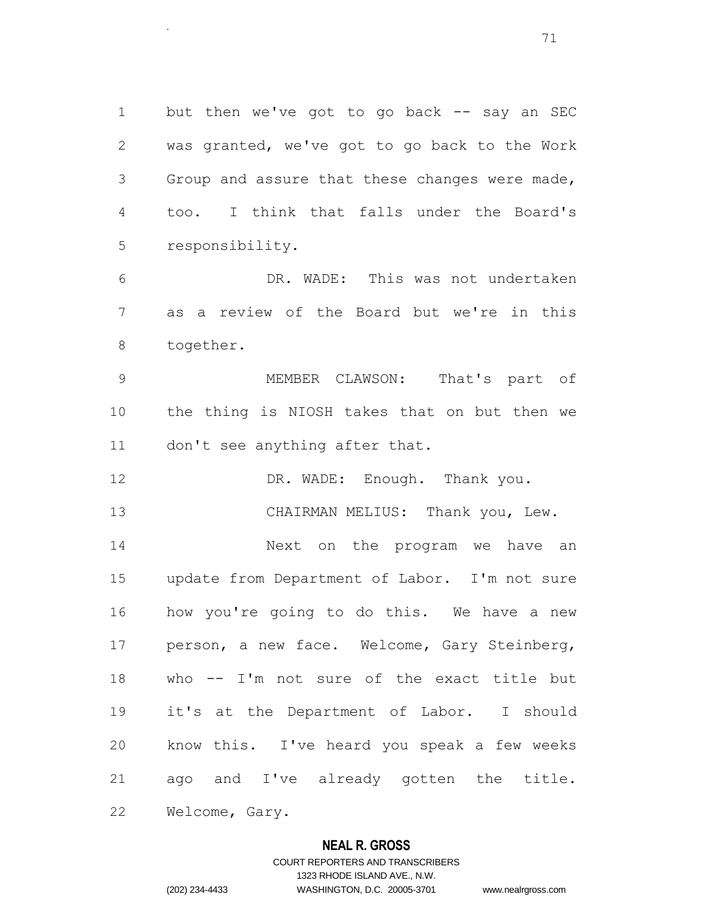1 but then we've got to go back -- say an SEC was granted, we've got to go back to the Work Group and assure that these changes were made, too. I think that falls under the Board's responsibility.

 DR. WADE: This was not undertaken as a review of the Board but we're in this together.

 MEMBER CLAWSON: That's part of the thing is NIOSH takes that on but then we don't see anything after that.

12 DR. WADE: Enough. Thank you.

13 CHAIRMAN MELIUS: Thank you, Lew.

 Next on the program we have an update from Department of Labor. I'm not sure how you're going to do this. We have a new person, a new face. Welcome, Gary Steinberg, who -- I'm not sure of the exact title but it's at the Department of Labor. I should know this. I've heard you speak a few weeks ago and I've already gotten the title. Welcome, Gary.

### **NEAL R. GROSS**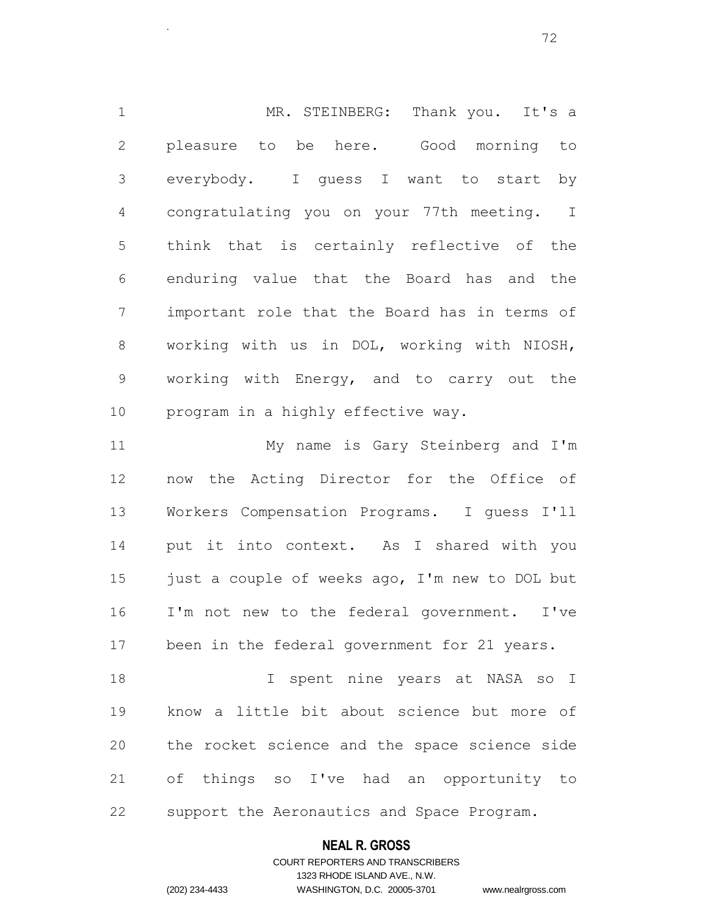MR. STEINBERG: Thank you. It's a pleasure to be here. Good morning to everybody. I guess I want to start by congratulating you on your 77th meeting. I think that is certainly reflective of the enduring value that the Board has and the important role that the Board has in terms of working with us in DOL, working with NIOSH, working with Energy, and to carry out the program in a highly effective way.

 My name is Gary Steinberg and I'm now the Acting Director for the Office of Workers Compensation Programs. I guess I'll put it into context. As I shared with you just a couple of weeks ago, I'm new to DOL but I'm not new to the federal government. I've been in the federal government for 21 years.

 I spent nine years at NASA so I know a little bit about science but more of the rocket science and the space science side of things so I've had an opportunity to support the Aeronautics and Space Program.

## **NEAL R. GROSS**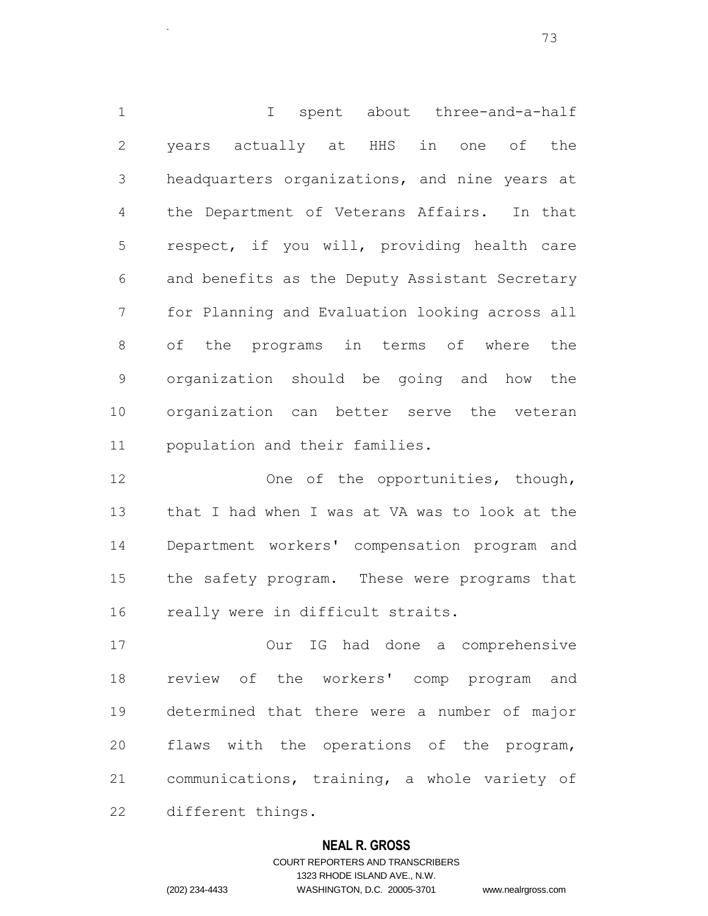I spent about three-and-a-half years actually at HHS in one of the headquarters organizations, and nine years at the Department of Veterans Affairs. In that respect, if you will, providing health care and benefits as the Deputy Assistant Secretary for Planning and Evaluation looking across all of the programs in terms of where the organization should be going and how the organization can better serve the veteran population and their families.

12 One of the opportunities, though, that I had when I was at VA was to look at the Department workers' compensation program and the safety program. These were programs that 16 really were in difficult straits.

 Our IG had done a comprehensive review of the workers' comp program and determined that there were a number of major flaws with the operations of the program, communications, training, a whole variety of different things.

#### **NEAL R. GROSS**

.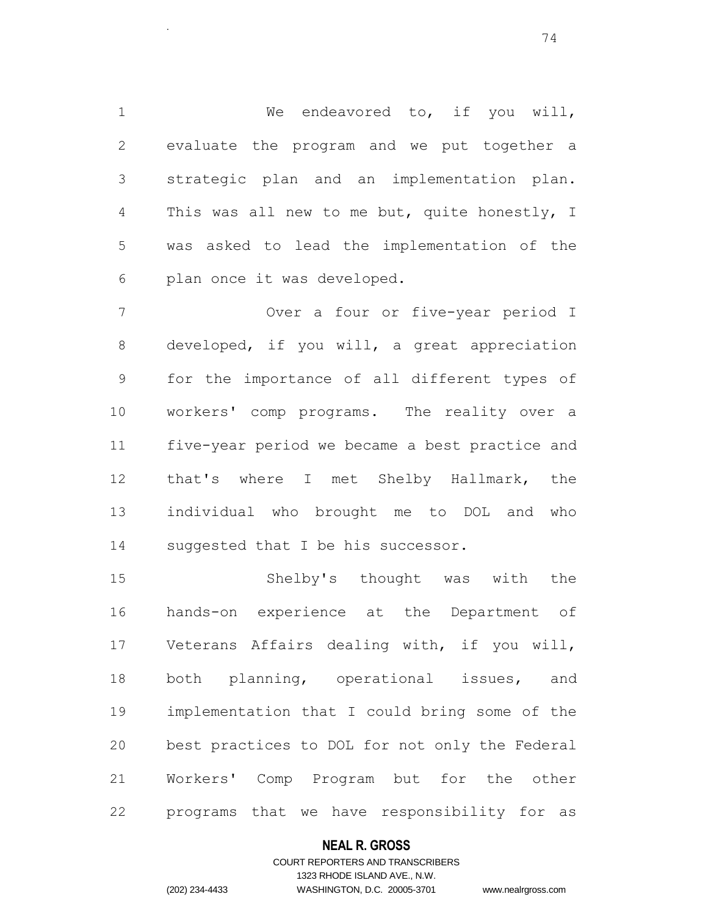1 We endeavored to, if you will, evaluate the program and we put together a strategic plan and an implementation plan. This was all new to me but, quite honestly, I was asked to lead the implementation of the plan once it was developed.

 Over a four or five-year period I developed, if you will, a great appreciation for the importance of all different types of workers' comp programs. The reality over a five-year period we became a best practice and that's where I met Shelby Hallmark, the individual who brought me to DOL and who suggested that I be his successor.

 Shelby's thought was with the hands-on experience at the Department of Veterans Affairs dealing with, if you will, both planning, operational issues, and implementation that I could bring some of the best practices to DOL for not only the Federal Workers' Comp Program but for the other programs that we have responsibility for as

#### **NEAL R. GROSS**

## COURT REPORTERS AND TRANSCRIBERS 1323 RHODE ISLAND AVE., N.W. (202) 234-4433 WASHINGTON, D.C. 20005-3701 www.nealrgross.com

.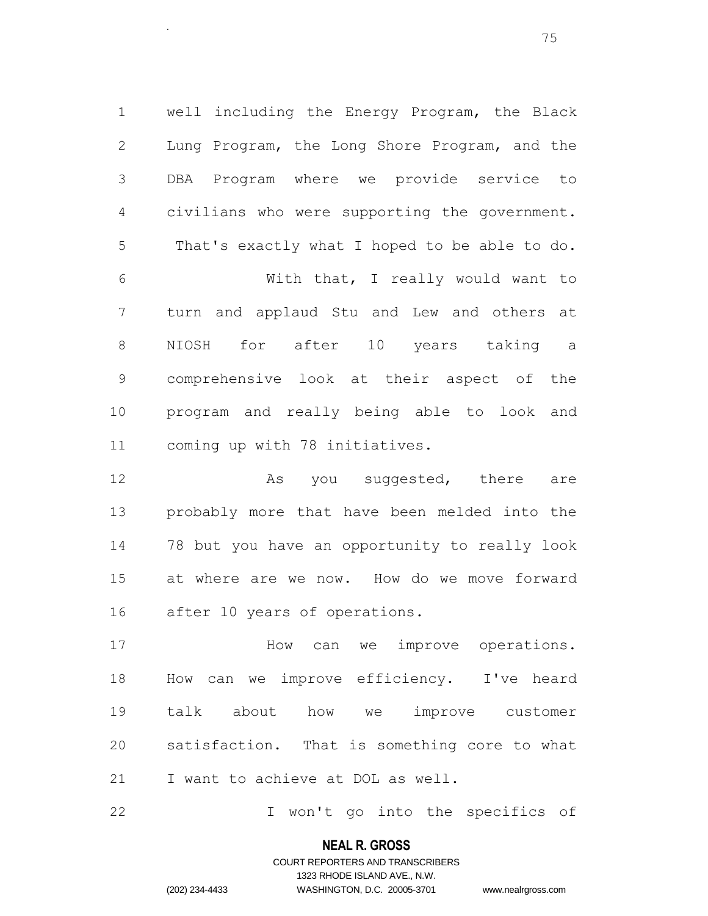well including the Energy Program, the Black Lung Program, the Long Shore Program, and the DBA Program where we provide service to civilians who were supporting the government. That's exactly what I hoped to be able to do. With that, I really would want to turn and applaud Stu and Lew and others at NIOSH for after 10 years taking a comprehensive look at their aspect of the program and really being able to look and coming up with 78 initiatives.

12 As you suggested, there are probably more that have been melded into the 78 but you have an opportunity to really look at where are we now. How do we move forward after 10 years of operations.

17 How can we improve operations. How can we improve efficiency. I've heard talk about how we improve customer satisfaction. That is something core to what I want to achieve at DOL as well.

I won't go into the specifics of

#### **NEAL R. GROSS**

.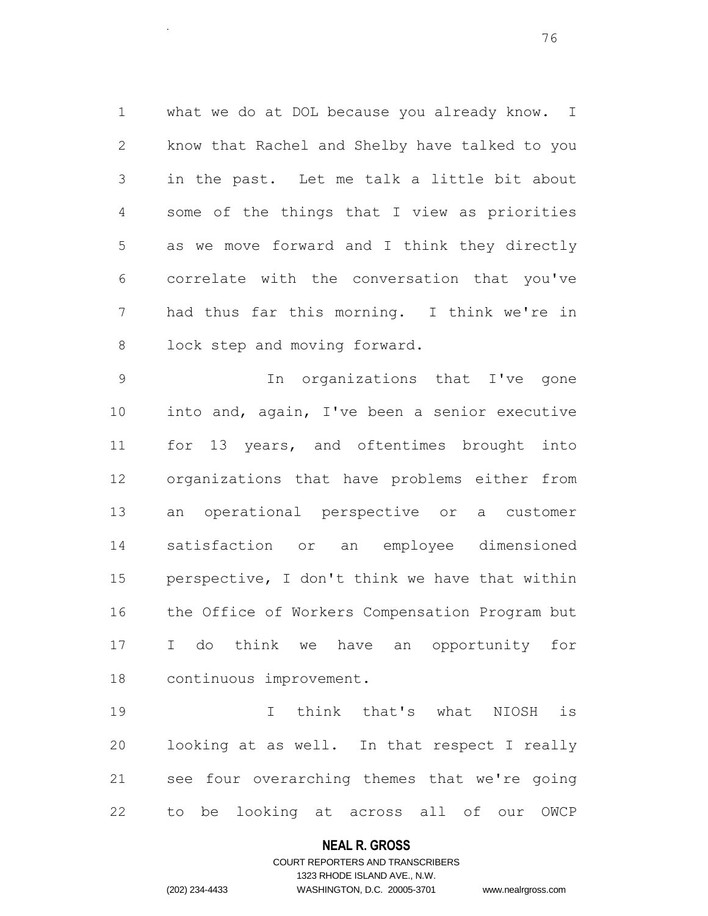what we do at DOL because you already know. I know that Rachel and Shelby have talked to you in the past. Let me talk a little bit about some of the things that I view as priorities as we move forward and I think they directly correlate with the conversation that you've had thus far this morning. I think we're in 8 lock step and moving forward.

 In organizations that I've gone into and, again, I've been a senior executive for 13 years, and oftentimes brought into organizations that have problems either from an operational perspective or a customer satisfaction or an employee dimensioned perspective, I don't think we have that within the Office of Workers Compensation Program but I do think we have an opportunity for continuous improvement.

 I think that's what NIOSH is looking at as well. In that respect I really see four overarching themes that we're going to be looking at across all of our OWCP

#### **NEAL R. GROSS**

.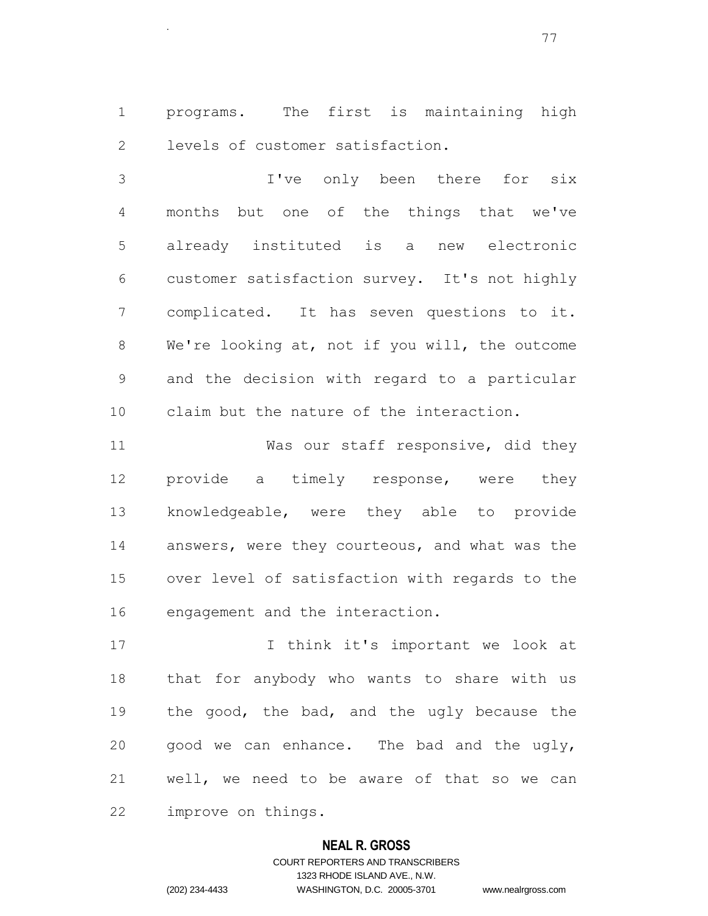programs. The first is maintaining high levels of customer satisfaction.

.

 I've only been there for six months but one of the things that we've already instituted is a new electronic customer satisfaction survey. It's not highly complicated. It has seven questions to it. We're looking at, not if you will, the outcome and the decision with regard to a particular claim but the nature of the interaction.

11 Was our staff responsive, did they provide a timely response, were they knowledgeable, were they able to provide answers, were they courteous, and what was the over level of satisfaction with regards to the engagement and the interaction.

17 10 I think it's important we look at that for anybody who wants to share with us 19 the good, the bad, and the ugly because the 20 good we can enhance. The bad and the  $uq1y$ , well, we need to be aware of that so we can improve on things.

#### **NEAL R. GROSS**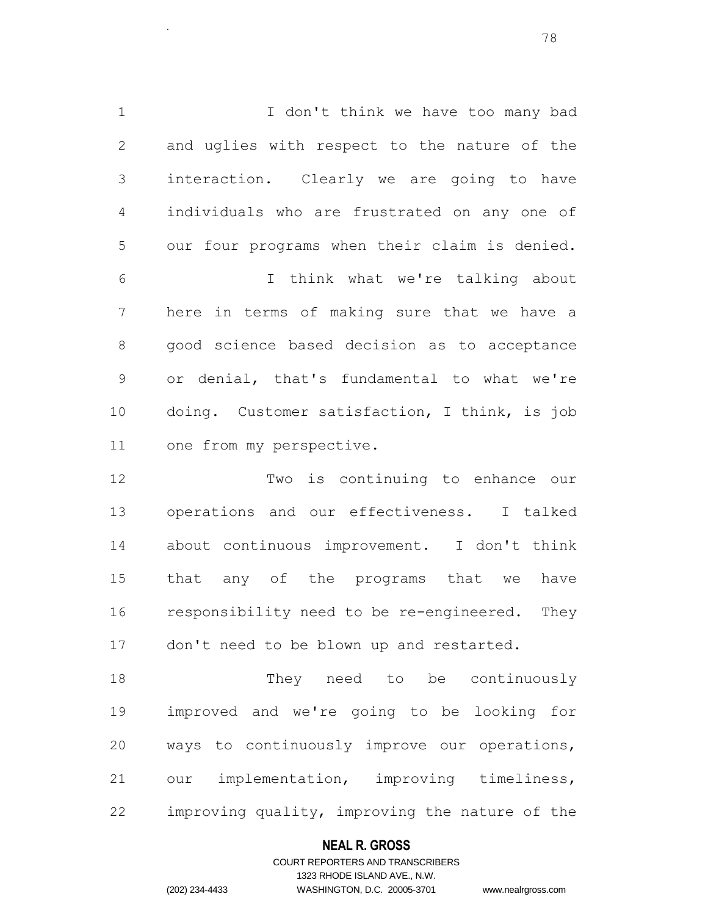1 1 I don't think we have too many bad and uglies with respect to the nature of the interaction. Clearly we are going to have individuals who are frustrated on any one of our four programs when their claim is denied. I think what we're talking about here in terms of making sure that we have a good science based decision as to acceptance or denial, that's fundamental to what we're doing. Customer satisfaction, I think, is job one from my perspective.

 Two is continuing to enhance our operations and our effectiveness. I talked about continuous improvement. I don't think that any of the programs that we have responsibility need to be re-engineered. They 17 don't need to be blown up and restarted.

18 They need to be continuously improved and we're going to be looking for ways to continuously improve our operations, our implementation, improving timeliness, improving quality, improving the nature of the

# **NEAL R. GROSS**

.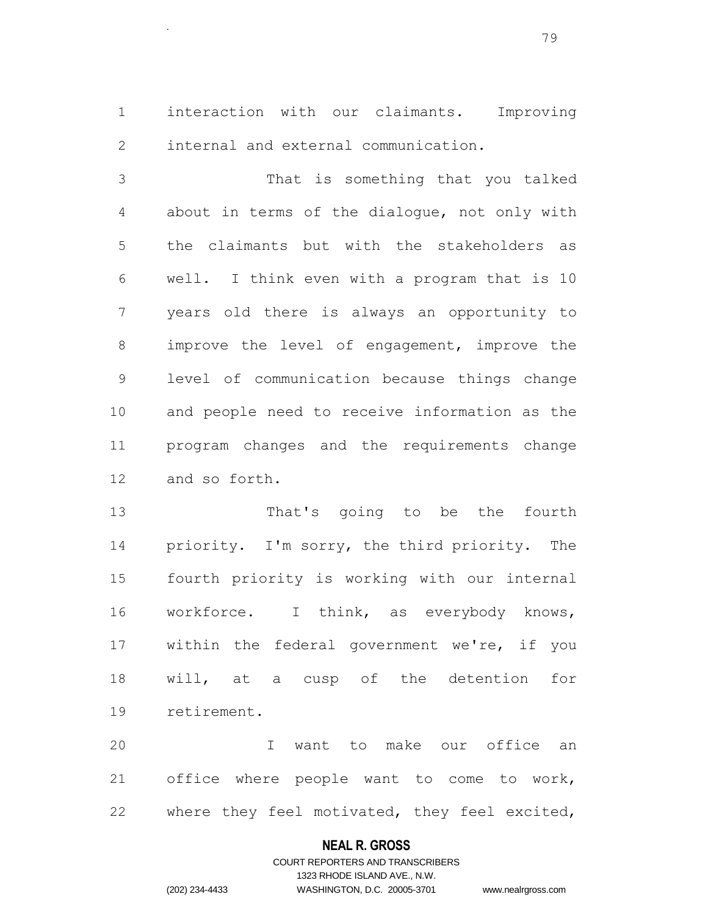interaction with our claimants. Improving internal and external communication.

.

 That is something that you talked about in terms of the dialogue, not only with the claimants but with the stakeholders as well. I think even with a program that is 10 years old there is always an opportunity to improve the level of engagement, improve the level of communication because things change and people need to receive information as the program changes and the requirements change and so forth.

 That's going to be the fourth priority. I'm sorry, the third priority. The fourth priority is working with our internal workforce. I think, as everybody knows, within the federal government we're, if you will, at a cusp of the detention for retirement.

 I want to make our office an office where people want to come to work, where they feel motivated, they feel excited,

#### **NEAL R. GROSS**

# COURT REPORTERS AND TRANSCRIBERS 1323 RHODE ISLAND AVE., N.W. (202) 234-4433 WASHINGTON, D.C. 20005-3701 www.nealrgross.com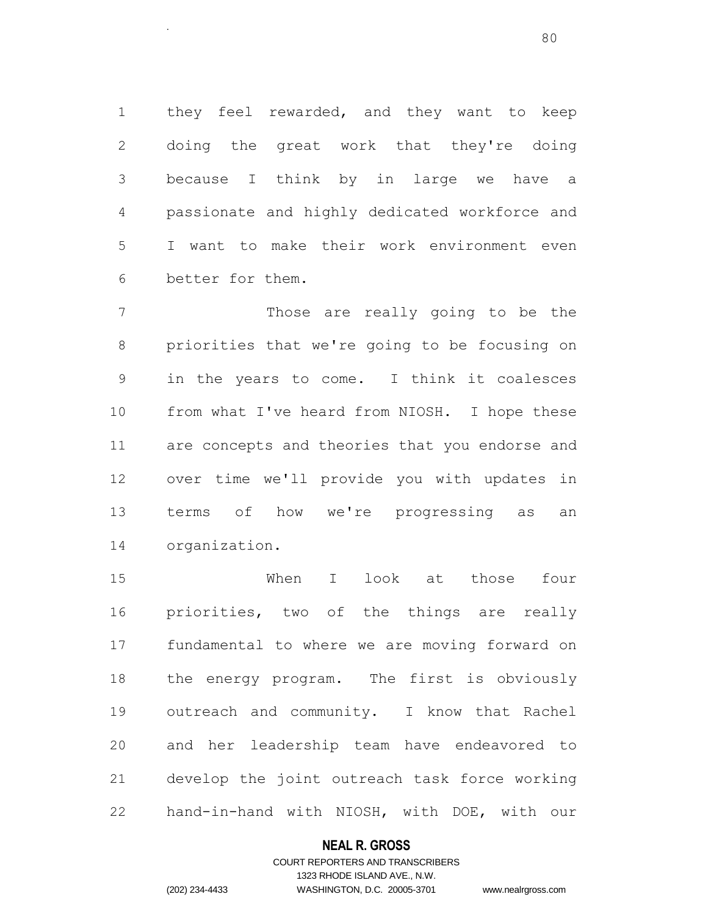1 they feel rewarded, and they want to keep doing the great work that they're doing because I think by in large we have a passionate and highly dedicated workforce and I want to make their work environment even better for them.

 Those are really going to be the priorities that we're going to be focusing on in the years to come. I think it coalesces from what I've heard from NIOSH. I hope these are concepts and theories that you endorse and over time we'll provide you with updates in terms of how we're progressing as an organization.

 When I look at those four priorities, two of the things are really fundamental to where we are moving forward on the energy program. The first is obviously outreach and community. I know that Rachel and her leadership team have endeavored to develop the joint outreach task force working hand-in-hand with NIOSH, with DOE, with our

#### **NEAL R. GROSS**

.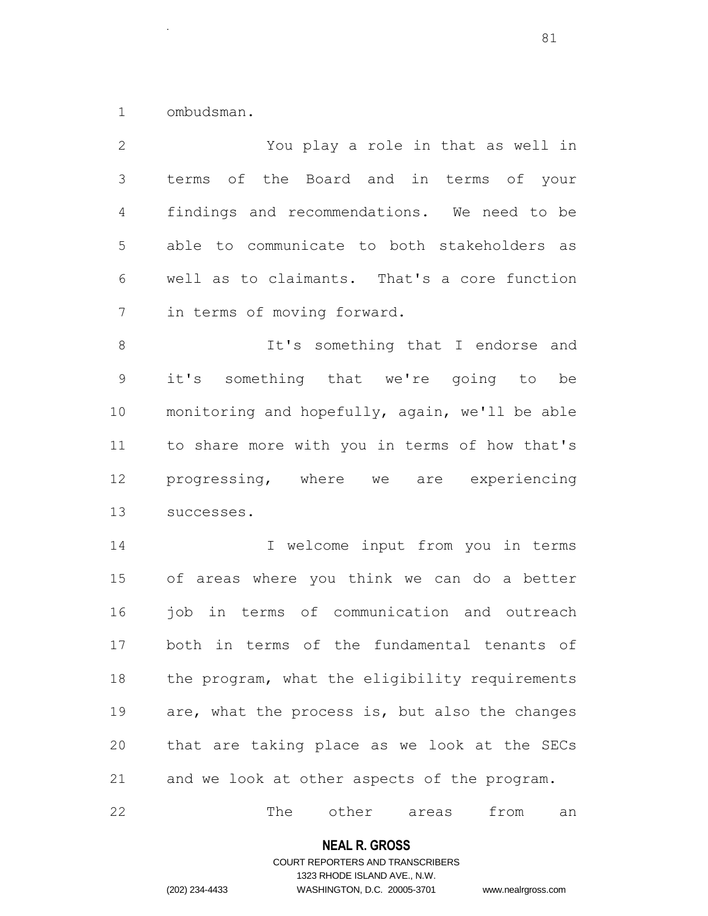ombudsman.

.

| $\mathbf{2}$    | You play a role in that as well in             |
|-----------------|------------------------------------------------|
| $\mathfrak{Z}$  | terms of the Board and in terms of your        |
| 4               | findings and recommendations. We need to be    |
| 5               | able to communicate to both stakeholders as    |
| 6               | well as to claimants. That's a core function   |
| $7\phantom{.0}$ | in terms of moving forward.                    |
| $\,8\,$         | It's something that I endorse and              |
| $\mathsf 9$     | it's something that we're going to be          |
| 10              | monitoring and hopefully, again, we'll be able |
| 11              | to share more with you in terms of how that's  |
| 12              | progressing, where we are experiencing         |
| 13              | successes.                                     |
| 14              | I welcome input from you in terms              |
| 15              | of areas where you think we can do a better    |
| 16              | job in terms of communication and outreach     |
| 17              | both in terms of the fundamental tenants of    |
| 18              | the program, what the eligibility requirements |
| 19              | are, what the process is, but also the changes |
| 20              | that are taking place as we look at the SECs   |
| 21              | and we look at other aspects of the program.   |
|                 |                                                |

22 The other areas from an

# **NEAL R. GROSS**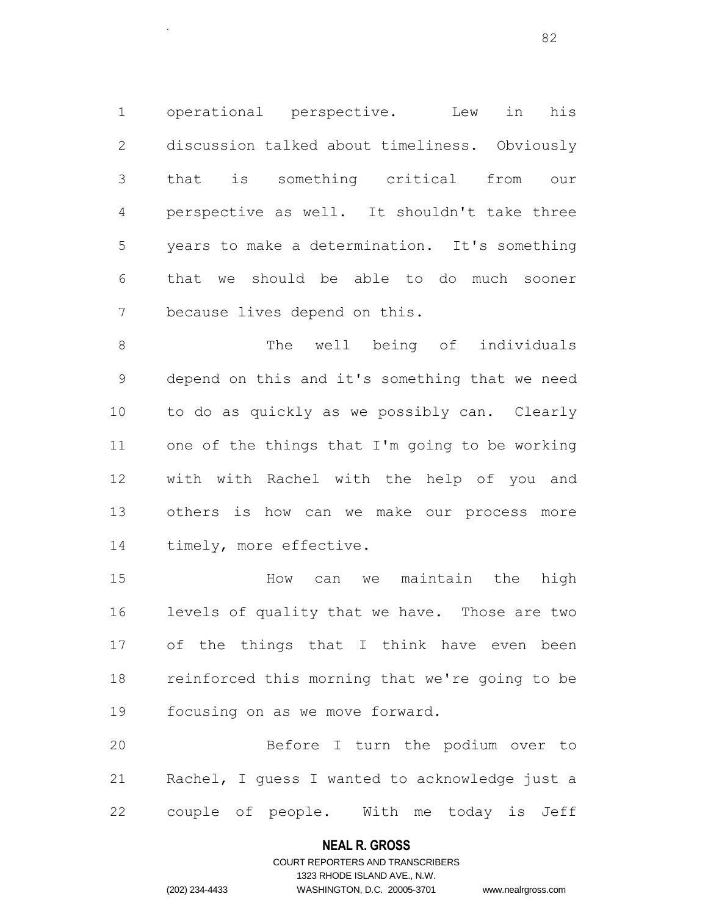operational perspective. Lew in his discussion talked about timeliness. Obviously that is something critical from our perspective as well. It shouldn't take three years to make a determination. It's something that we should be able to do much sooner because lives depend on this.

.

8 The well being of individuals depend on this and it's something that we need to do as quickly as we possibly can. Clearly one of the things that I'm going to be working with with Rachel with the help of you and others is how can we make our process more timely, more effective.

 How can we maintain the high levels of quality that we have. Those are two of the things that I think have even been reinforced this morning that we're going to be focusing on as we move forward.

 Before I turn the podium over to Rachel, I guess I wanted to acknowledge just a couple of people. With me today is Jeff

#### **NEAL R. GROSS**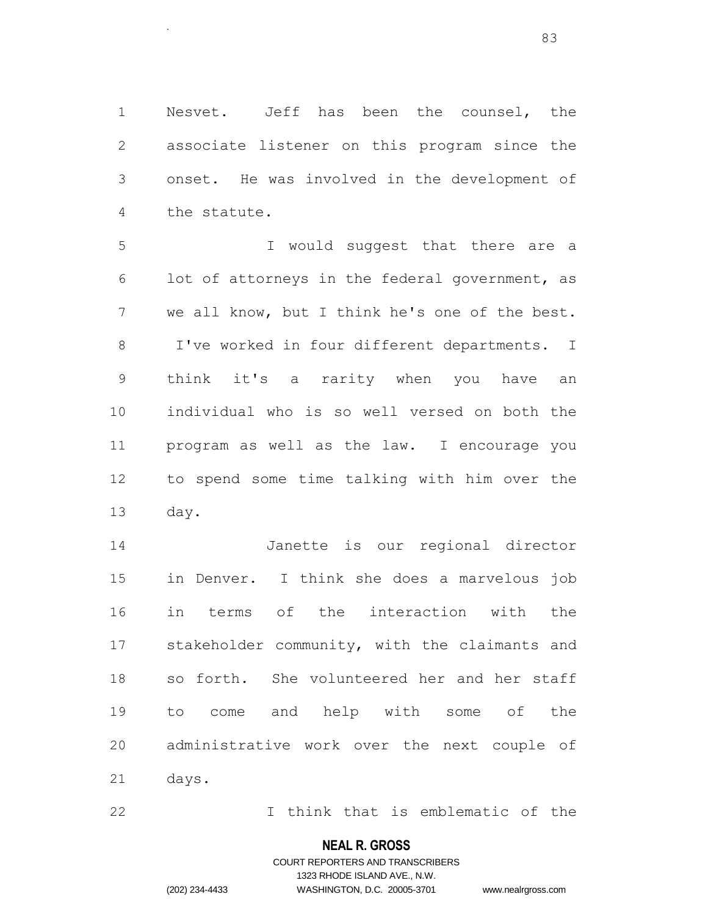Nesvet. Jeff has been the counsel, the associate listener on this program since the onset. He was involved in the development of the statute.

 I would suggest that there are a lot of attorneys in the federal government, as we all know, but I think he's one of the best. I've worked in four different departments. I think it's a rarity when you have an individual who is so well versed on both the program as well as the law. I encourage you to spend some time talking with him over the day.

 Janette is our regional director in Denver. I think she does a marvelous job in terms of the interaction with the stakeholder community, with the claimants and so forth. She volunteered her and her staff to come and help with some of the administrative work over the next couple of days.

I think that is emblematic of the

## **NEAL R. GROSS**

.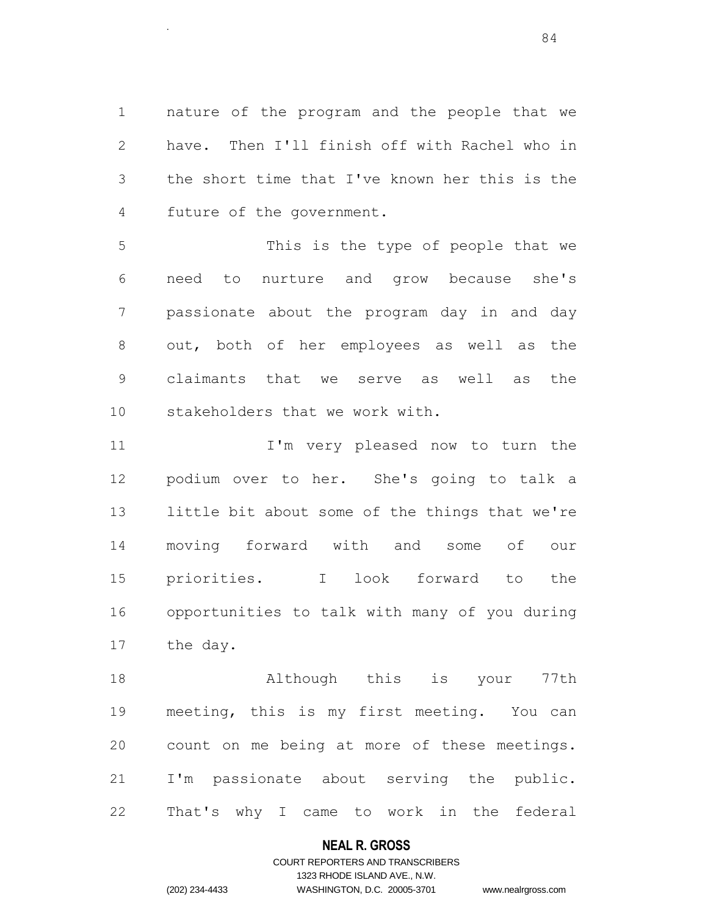nature of the program and the people that we have. Then I'll finish off with Rachel who in the short time that I've known her this is the future of the government.

.

 This is the type of people that we need to nurture and grow because she's passionate about the program day in and day out, both of her employees as well as the claimants that we serve as well as the stakeholders that we work with.

11 I'm very pleased now to turn the podium over to her. She's going to talk a little bit about some of the things that we're moving forward with and some of our priorities. I look forward to the opportunities to talk with many of you during the day.

 Although this is your 77th meeting, this is my first meeting. You can count on me being at more of these meetings. I'm passionate about serving the public. That's why I came to work in the federal

#### **NEAL R. GROSS**

## COURT REPORTERS AND TRANSCRIBERS 1323 RHODE ISLAND AVE., N.W. (202) 234-4433 WASHINGTON, D.C. 20005-3701 www.nealrgross.com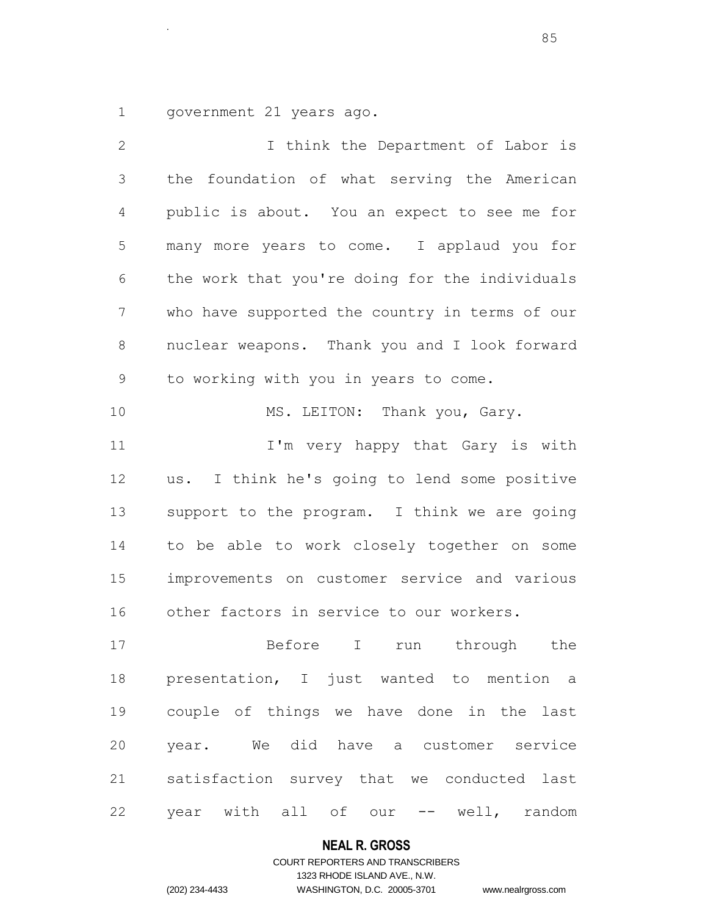government 21 years ago.

.

 I think the Department of Labor is the foundation of what serving the American public is about. You an expect to see me for many more years to come. I applaud you for the work that you're doing for the individuals who have supported the country in terms of our nuclear weapons. Thank you and I look forward to working with you in years to come. 10 MS. LEITON: Thank you, Gary. 11 I'm very happy that Gary is with us. I think he's going to lend some positive support to the program. I think we are going to be able to work closely together on some improvements on customer service and various other factors in service to our workers. Before I run through the presentation, I just wanted to mention a couple of things we have done in the last year. We did have a customer service satisfaction survey that we conducted last year with all of our -- well, random

#### **NEAL R. GROSS**

# COURT REPORTERS AND TRANSCRIBERS 1323 RHODE ISLAND AVE., N.W. (202) 234-4433 WASHINGTON, D.C. 20005-3701 www.nealrgross.com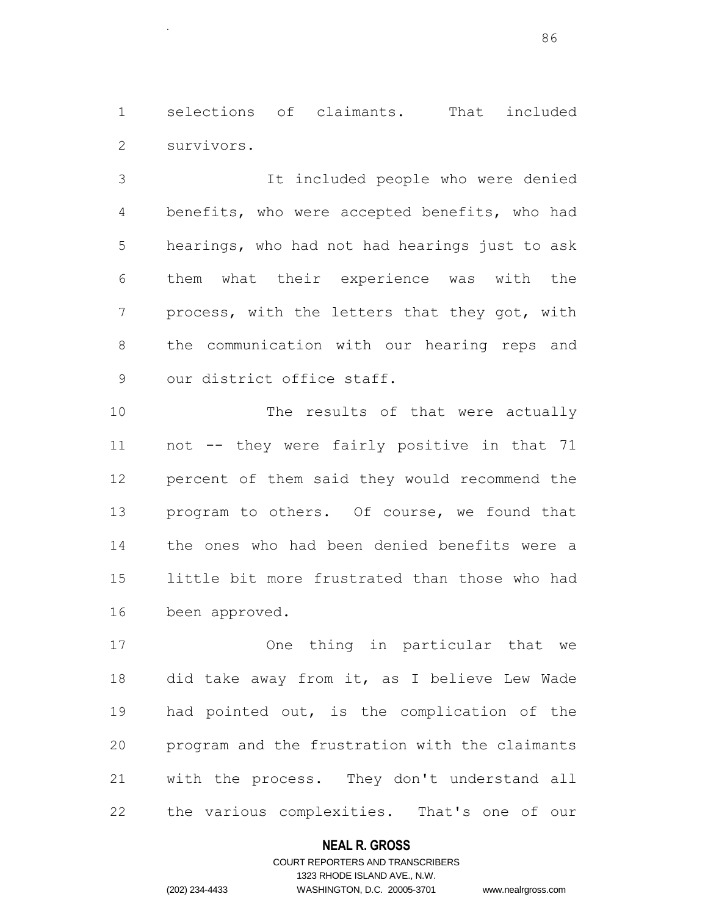selections of claimants. That included survivors.

.

 It included people who were denied benefits, who were accepted benefits, who had hearings, who had not had hearings just to ask them what their experience was with the process, with the letters that they got, with the communication with our hearing reps and our district office staff.

10 The results of that were actually not -- they were fairly positive in that 71 percent of them said they would recommend the program to others. Of course, we found that the ones who had been denied benefits were a little bit more frustrated than those who had been approved.

 One thing in particular that we did take away from it, as I believe Lew Wade had pointed out, is the complication of the program and the frustration with the claimants with the process. They don't understand all the various complexities. That's one of our

#### **NEAL R. GROSS**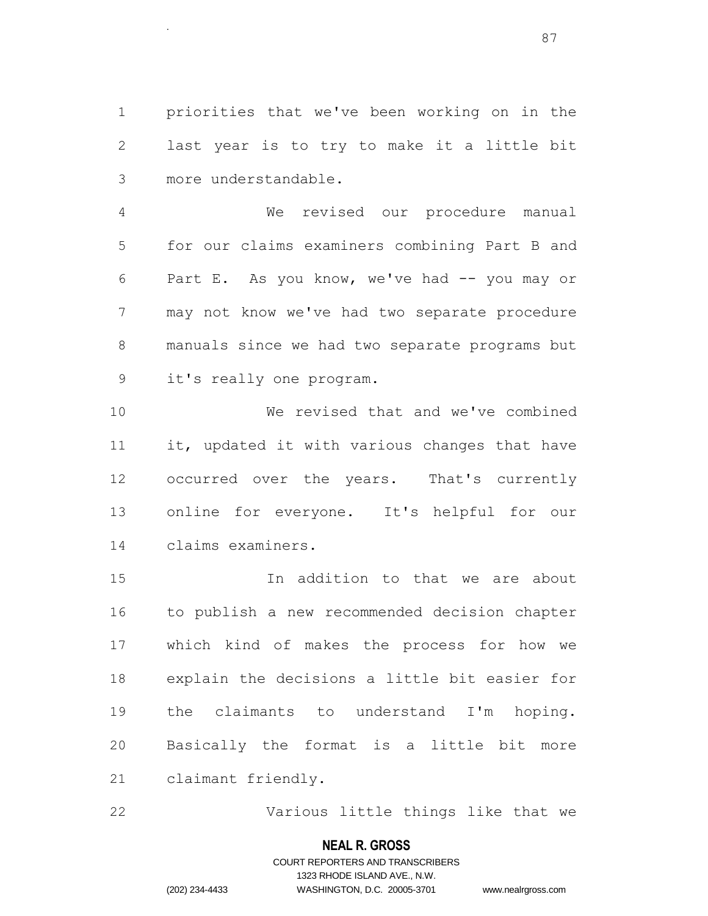priorities that we've been working on in the last year is to try to make it a little bit more understandable.

.

 We revised our procedure manual for our claims examiners combining Part B and Part E. As you know, we've had -- you may or may not know we've had two separate procedure manuals since we had two separate programs but it's really one program.

 We revised that and we've combined it, updated it with various changes that have occurred over the years. That's currently online for everyone. It's helpful for our claims examiners.

 In addition to that we are about to publish a new recommended decision chapter which kind of makes the process for how we explain the decisions a little bit easier for the claimants to understand I'm hoping. Basically the format is a little bit more claimant friendly.

Various little things like that we

#### **NEAL R. GROSS**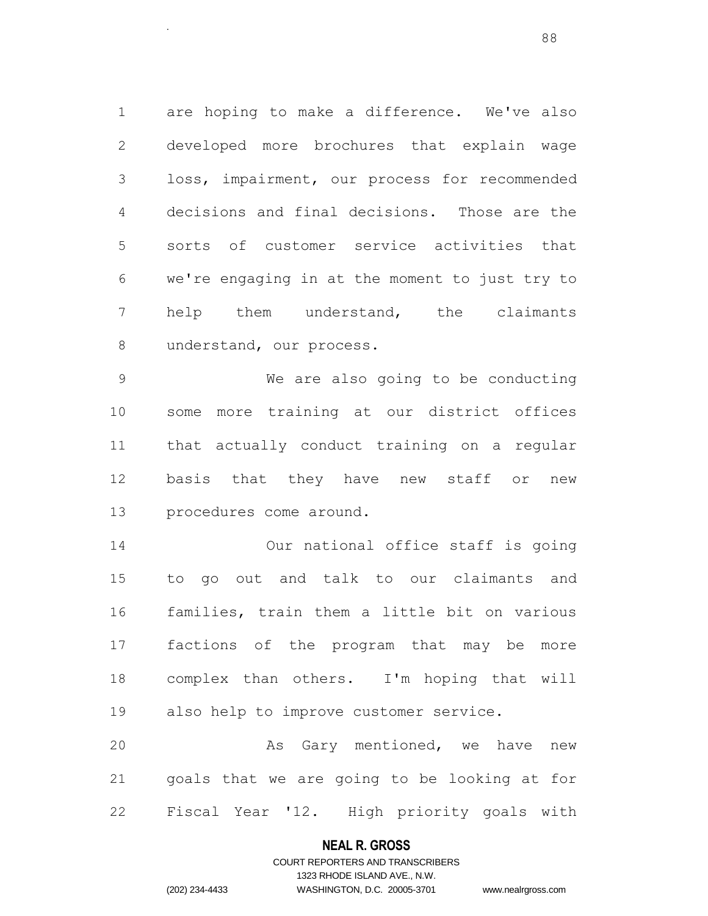are hoping to make a difference. We've also developed more brochures that explain wage loss, impairment, our process for recommended decisions and final decisions. Those are the sorts of customer service activities that we're engaging in at the moment to just try to help them understand, the claimants understand, our process.

 We are also going to be conducting some more training at our district offices that actually conduct training on a regular basis that they have new staff or new procedures come around.

 Our national office staff is going to go out and talk to our claimants and families, train them a little bit on various factions of the program that may be more complex than others. I'm hoping that will also help to improve customer service.

20 As Gary mentioned, we have new goals that we are going to be looking at for Fiscal Year '12. High priority goals with

#### **NEAL R. GROSS**

.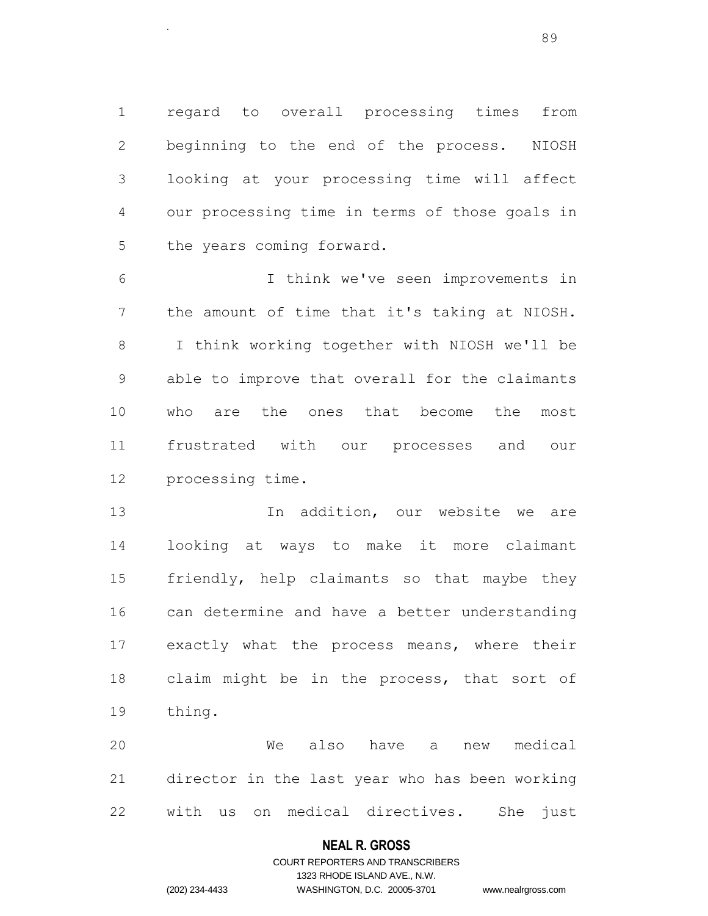regard to overall processing times from beginning to the end of the process. NIOSH looking at your processing time will affect our processing time in terms of those goals in the years coming forward.

.

 I think we've seen improvements in the amount of time that it's taking at NIOSH. I think working together with NIOSH we'll be able to improve that overall for the claimants who are the ones that become the most frustrated with our processes and our processing time.

13 13 In addition, our website we are looking at ways to make it more claimant friendly, help claimants so that maybe they can determine and have a better understanding exactly what the process means, where their claim might be in the process, that sort of thing.

 We also have a new medical director in the last year who has been working with us on medical directives. She just

#### **NEAL R. GROSS**

## COURT REPORTERS AND TRANSCRIBERS 1323 RHODE ISLAND AVE., N.W. (202) 234-4433 WASHINGTON, D.C. 20005-3701 www.nealrgross.com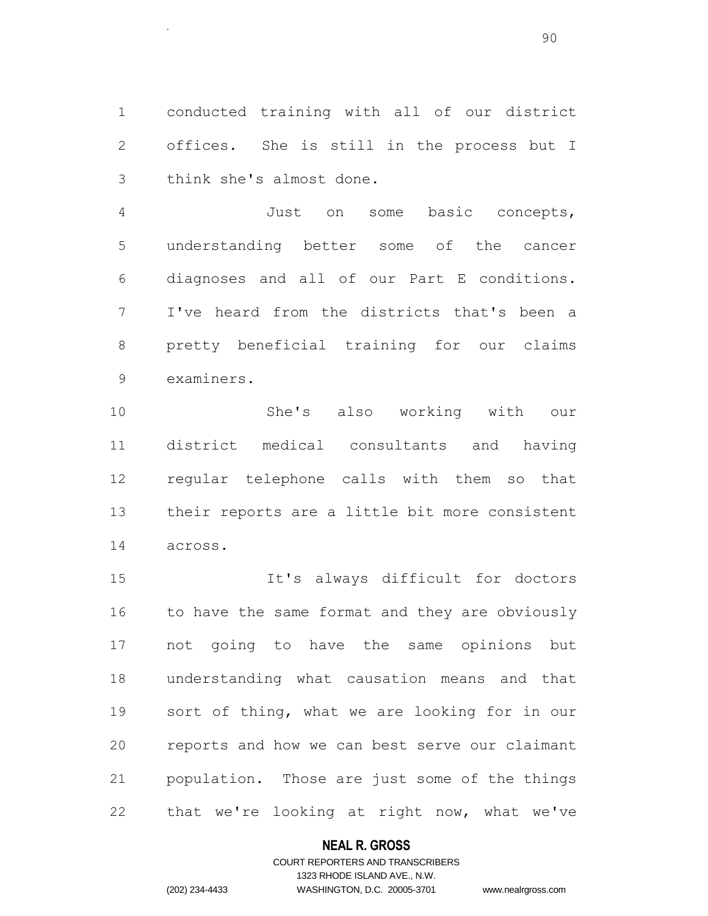conducted training with all of our district offices. She is still in the process but I think she's almost done.

.

 Just on some basic concepts, understanding better some of the cancer diagnoses and all of our Part E conditions. I've heard from the districts that's been a pretty beneficial training for our claims examiners.

 She's also working with our district medical consultants and having regular telephone calls with them so that their reports are a little bit more consistent across.

 It's always difficult for doctors 16 to have the same format and they are obviously not going to have the same opinions but understanding what causation means and that sort of thing, what we are looking for in our reports and how we can best serve our claimant population. Those are just some of the things that we're looking at right now, what we've

## **NEAL R. GROSS**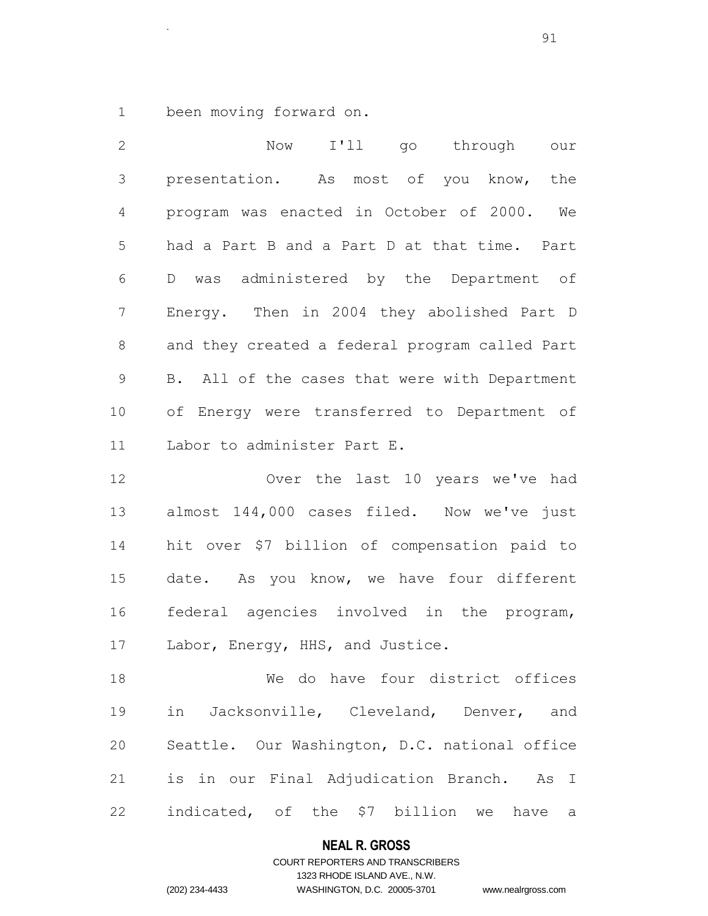been moving forward on.

.

| $\overline{2}$  | Now<br>I'll go through our                     |
|-----------------|------------------------------------------------|
| 3               | presentation. As most of you know, the         |
| 4               | program was enacted in October of 2000. We     |
| 5               | had a Part B and a Part D at that time. Part   |
| 6               | was administered by the Department of<br>D     |
| $7\phantom{.0}$ | Energy. Then in 2004 they abolished Part D     |
| 8               | and they created a federal program called Part |
| $\mathsf 9$     | B. All of the cases that were with Department  |
| 10              | of Energy were transferred to Department of    |
| 11              | Labor to administer Part E.                    |
| 12              | Over the last 10 years we've had               |
| 13              | almost 144,000 cases filed. Now we've just     |
| 14              | hit over \$7 billion of compensation paid to   |
| 15              | date. As you know, we have four different      |
| 16              | federal agencies involved in the program,      |
| 17              | Labor, Energy, HHS, and Justice.               |
| 18              | We do have four district offices               |
| 19              | in Jacksonville, Cleveland, Denver, and        |
| 20              | Seattle. Our Washington, D.C. national office  |
| 21              | is in our Final Adjudication Branch.<br>As I   |
| 22              | indicated, of the \$7 billion<br>we have<br>a, |

# **NEAL R. GROSS**

COURT REPORTERS AND TRANSCRIBERS 1323 RHODE ISLAND AVE., N.W. (202) 234-4433 WASHINGTON, D.C. 20005-3701 www.nealrgross.com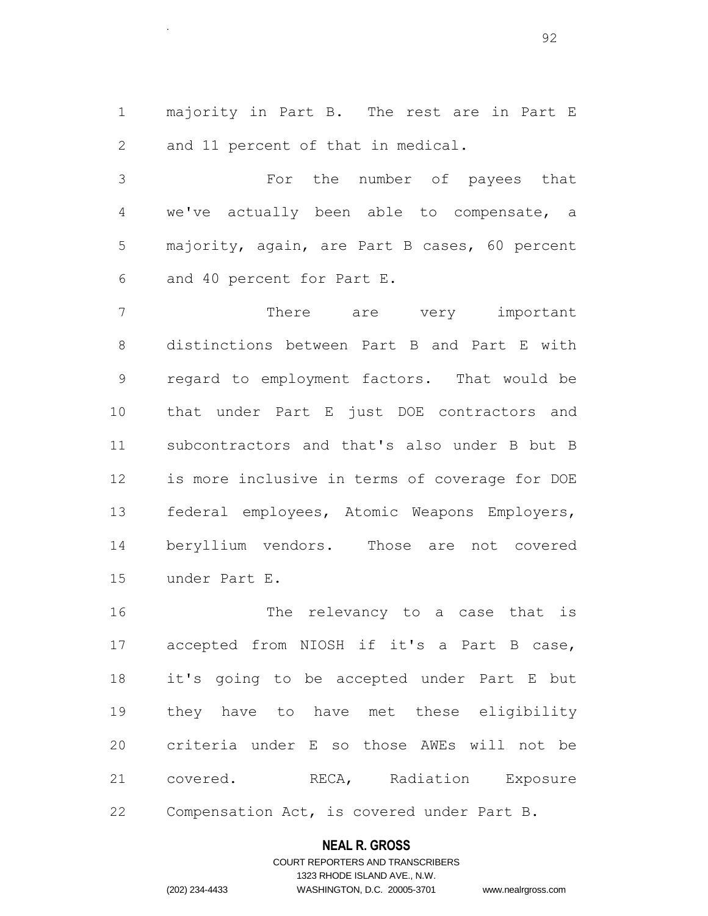majority in Part B. The rest are in Part E and 11 percent of that in medical.

.

 For the number of payees that we've actually been able to compensate, a majority, again, are Part B cases, 60 percent and 40 percent for Part E.

 There are very important distinctions between Part B and Part E with regard to employment factors. That would be that under Part E just DOE contractors and subcontractors and that's also under B but B is more inclusive in terms of coverage for DOE federal employees, Atomic Weapons Employers, beryllium vendors. Those are not covered under Part E.

16 The relevancy to a case that is accepted from NIOSH if it's a Part B case, it's going to be accepted under Part E but they have to have met these eligibility criteria under E so those AWEs will not be covered. RECA, Radiation Exposure Compensation Act, is covered under Part B.

#### **NEAL R. GROSS**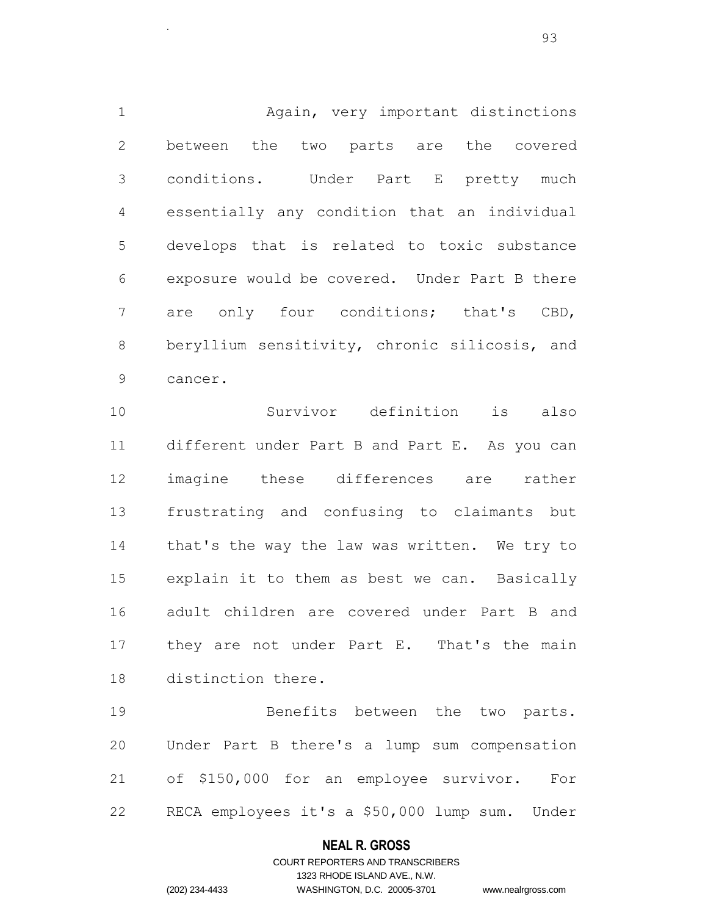Again, very important distinctions between the two parts are the covered conditions. Under Part E pretty much essentially any condition that an individual develops that is related to toxic substance exposure would be covered. Under Part B there 7 are only four conditions; that's CBD, 8 beryllium sensitivity, chronic silicosis, and cancer.

 Survivor definition is also different under Part B and Part E. As you can imagine these differences are rather frustrating and confusing to claimants but that's the way the law was written. We try to explain it to them as best we can. Basically adult children are covered under Part B and they are not under Part E. That's the main distinction there.

 Benefits between the two parts. Under Part B there's a lump sum compensation of \$150,000 for an employee survivor. For RECA employees it's a \$50,000 lump sum. Under

## **NEAL R. GROSS**

.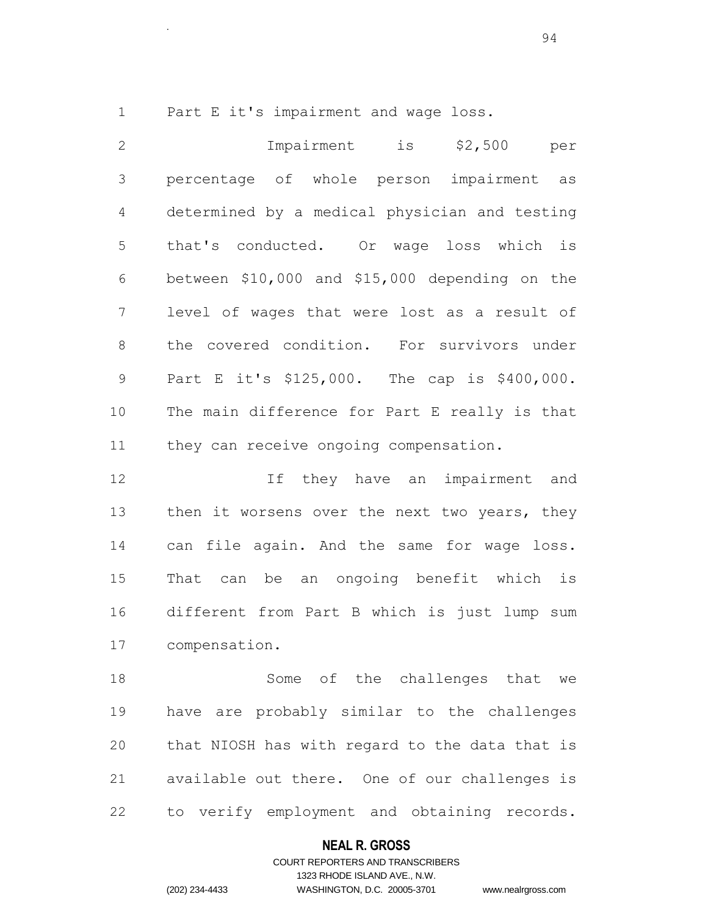1 Part E it's impairment and wage loss.

.

 Impairment is \$2,500 per percentage of whole person impairment as determined by a medical physician and testing that's conducted. Or wage loss which is between \$10,000 and \$15,000 depending on the level of wages that were lost as a result of the covered condition. For survivors under Part E it's \$125,000. The cap is \$400,000. The main difference for Part E really is that they can receive ongoing compensation.

 If they have an impairment and 13 then it worsens over the next two years, they can file again. And the same for wage loss. That can be an ongoing benefit which is different from Part B which is just lump sum compensation.

 Some of the challenges that we have are probably similar to the challenges that NIOSH has with regard to the data that is available out there. One of our challenges is to verify employment and obtaining records.

#### **NEAL R. GROSS**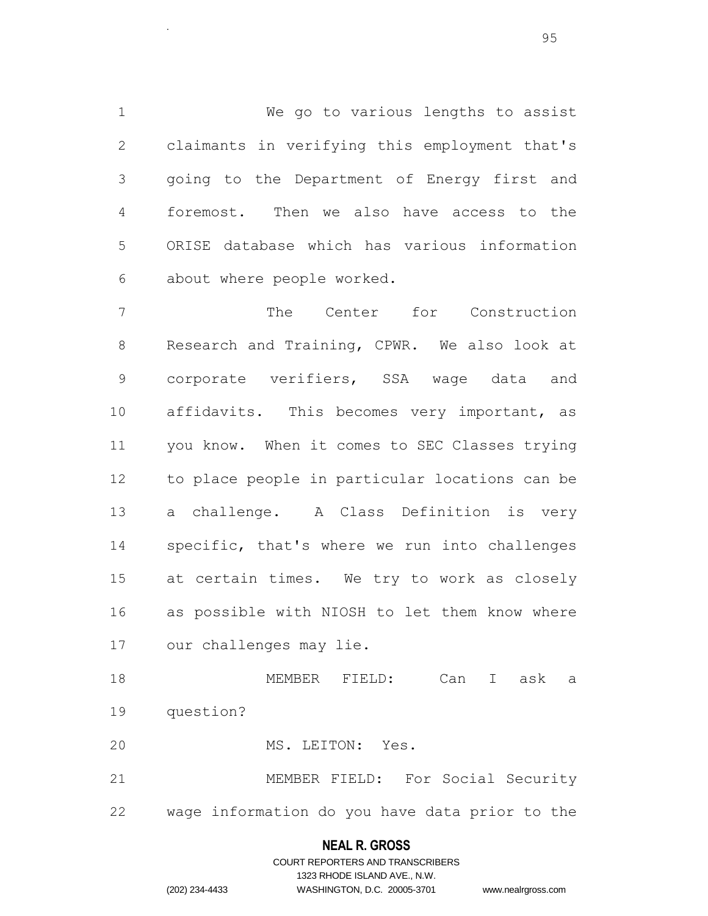We go to various lengths to assist claimants in verifying this employment that's going to the Department of Energy first and foremost. Then we also have access to the ORISE database which has various information about where people worked.

.

 The Center for Construction Research and Training, CPWR. We also look at corporate verifiers, SSA wage data and affidavits. This becomes very important, as you know. When it comes to SEC Classes trying to place people in particular locations can be a challenge. A Class Definition is very specific, that's where we run into challenges at certain times. We try to work as closely as possible with NIOSH to let them know where our challenges may lie.

 MEMBER FIELD: Can I ask a question?

MS. LEITON: Yes.

 MEMBER FIELD: For Social Security wage information do you have data prior to the

## **NEAL R. GROSS**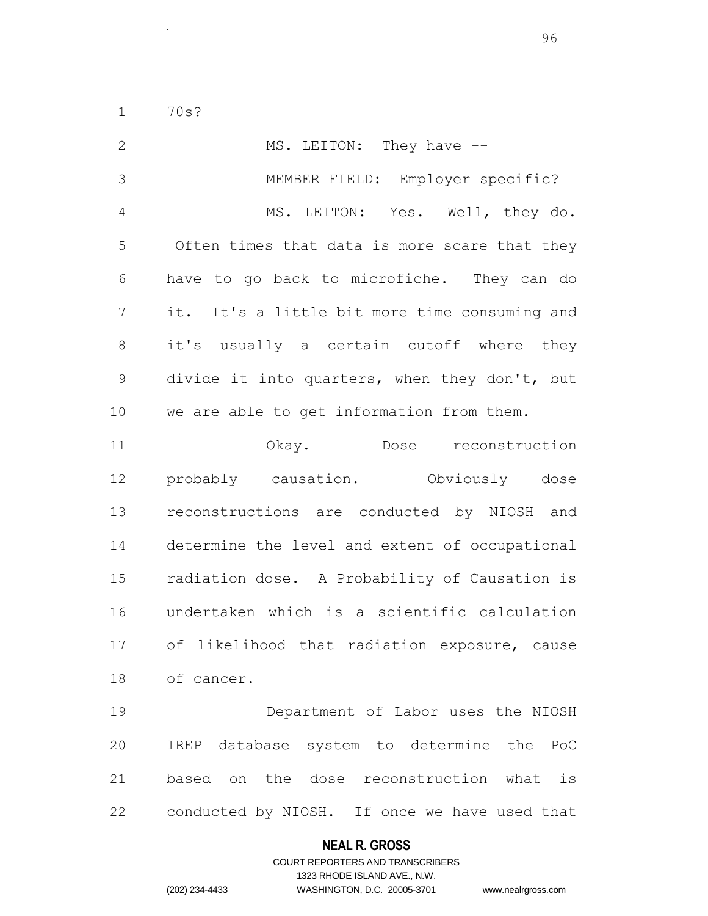70s?

.

| $\mathbf{2}$   | MS. LEITON: They have --                       |
|----------------|------------------------------------------------|
| 3              | MEMBER FIELD: Employer specific?               |
| $\overline{4}$ | MS. LEITON: Yes. Well, they do.                |
| 5              | Often times that data is more scare that they  |
| 6              | have to go back to microfiche. They can do     |
| $\overline{7}$ | it. It's a little bit more time consuming and  |
| $8\,$          | it's usually a certain cutoff where they       |
| $\mathsf 9$    | divide it into quarters, when they don't, but  |
| 10             | we are able to get information from them.      |
| 11             | Okay. Dose reconstruction                      |
| 12             | probably causation. Obviously dose             |
| 13             | reconstructions are conducted by NIOSH and     |
| 14             | determine the level and extent of occupational |
| 15             | radiation dose. A Probability of Causation is  |
| 16             | undertaken which is a scientific calculation   |
| 17             | of likelihood that radiation exposure, cause   |
|                | 18 of cancer.                                  |
| 19             | Department of Labor uses the NIOSH             |
| 20             | IREP database system to determine the PoC      |
| 21             | based on the dose reconstruction what is       |
| 22             | conducted by NIOSH. If once we have used that  |

# **NEAL R. GROSS**

# COURT REPORTERS AND TRANSCRIBERS 1323 RHODE ISLAND AVE., N.W. (202) 234-4433 WASHINGTON, D.C. 20005-3701 www.nealrgross.com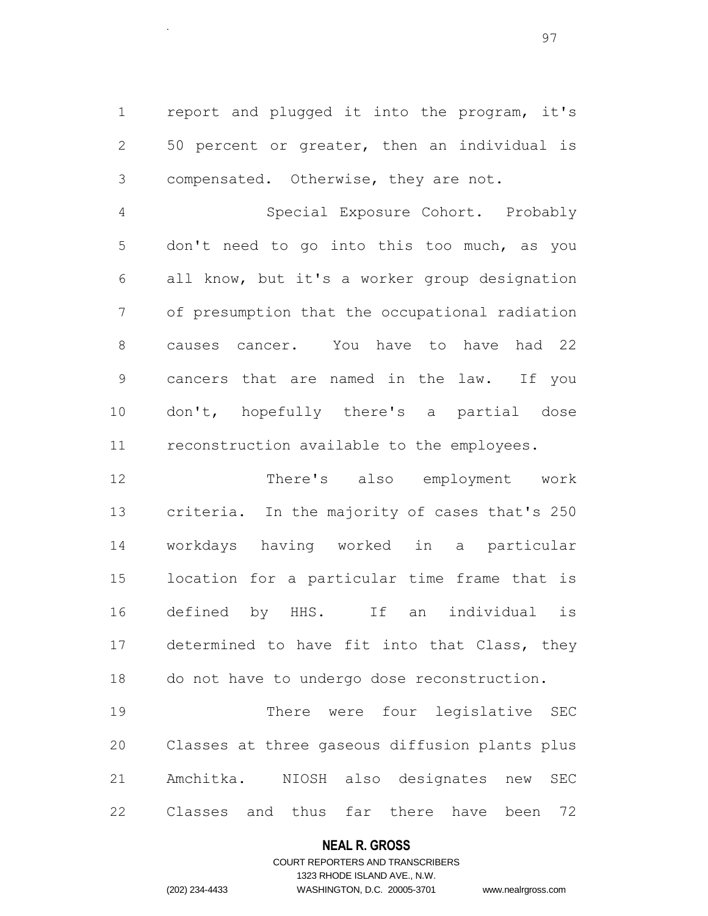report and plugged it into the program, it's 50 percent or greater, then an individual is compensated. Otherwise, they are not.

.

 Special Exposure Cohort. Probably don't need to go into this too much, as you all know, but it's a worker group designation of presumption that the occupational radiation causes cancer. You have to have had 22 cancers that are named in the law. If you don't, hopefully there's a partial dose reconstruction available to the employees.

 There's also employment work criteria. In the majority of cases that's 250 workdays having worked in a particular location for a particular time frame that is defined by HHS. If an individual is determined to have fit into that Class, they do not have to undergo dose reconstruction.

 There were four legislative SEC Classes at three gaseous diffusion plants plus Amchitka. NIOSH also designates new SEC Classes and thus far there have been 72

#### **NEAL R. GROSS**

## COURT REPORTERS AND TRANSCRIBERS 1323 RHODE ISLAND AVE., N.W. (202) 234-4433 WASHINGTON, D.C. 20005-3701 www.nealrgross.com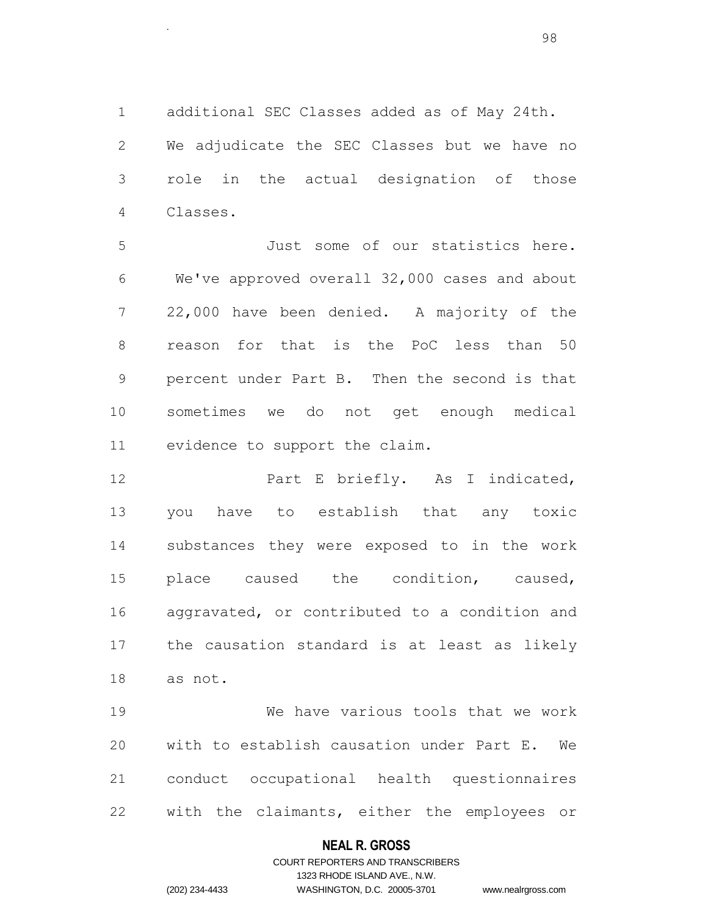additional SEC Classes added as of May 24th.

.

 We adjudicate the SEC Classes but we have no role in the actual designation of those Classes.

 Just some of our statistics here. We've approved overall 32,000 cases and about 22,000 have been denied. A majority of the reason for that is the PoC less than 50 percent under Part B. Then the second is that sometimes we do not get enough medical evidence to support the claim.

**Part E briefly.** As I indicated, you have to establish that any toxic substances they were exposed to in the work place caused the condition, caused, aggravated, or contributed to a condition and the causation standard is at least as likely as not.

 We have various tools that we work with to establish causation under Part E. We conduct occupational health questionnaires with the claimants, either the employees or

## **NEAL R. GROSS**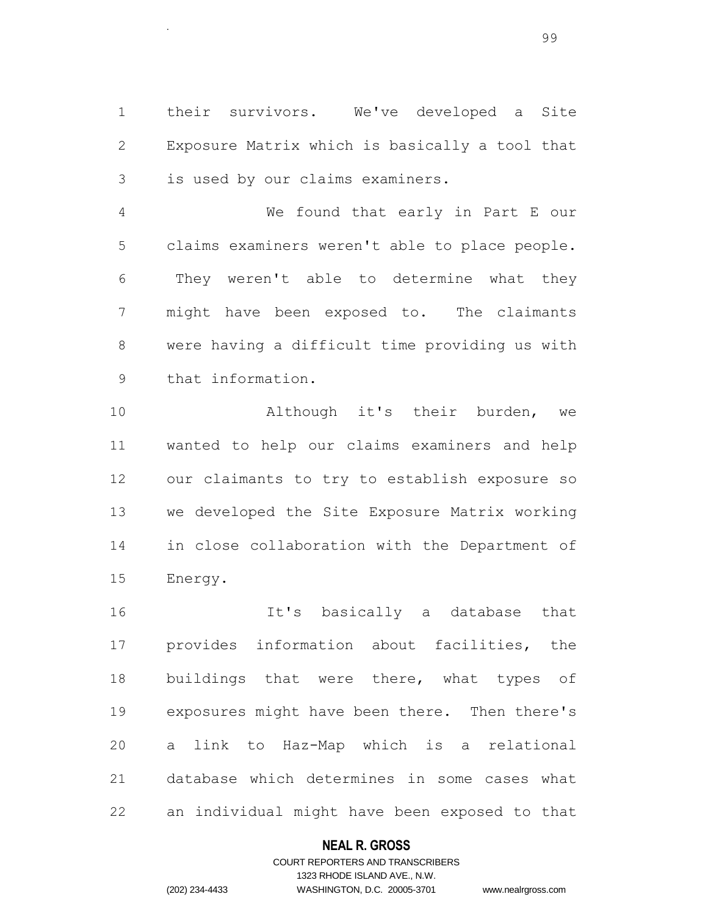their survivors. We've developed a Site Exposure Matrix which is basically a tool that is used by our claims examiners.

.

 We found that early in Part E our claims examiners weren't able to place people. They weren't able to determine what they might have been exposed to. The claimants were having a difficult time providing us with that information.

 Although it's their burden, we wanted to help our claims examiners and help our claimants to try to establish exposure so we developed the Site Exposure Matrix working in close collaboration with the Department of Energy.

 It's basically a database that provides information about facilities, the 18 buildings that were there, what types of exposures might have been there. Then there's a link to Haz-Map which is a relational database which determines in some cases what an individual might have been exposed to that

#### **NEAL R. GROSS**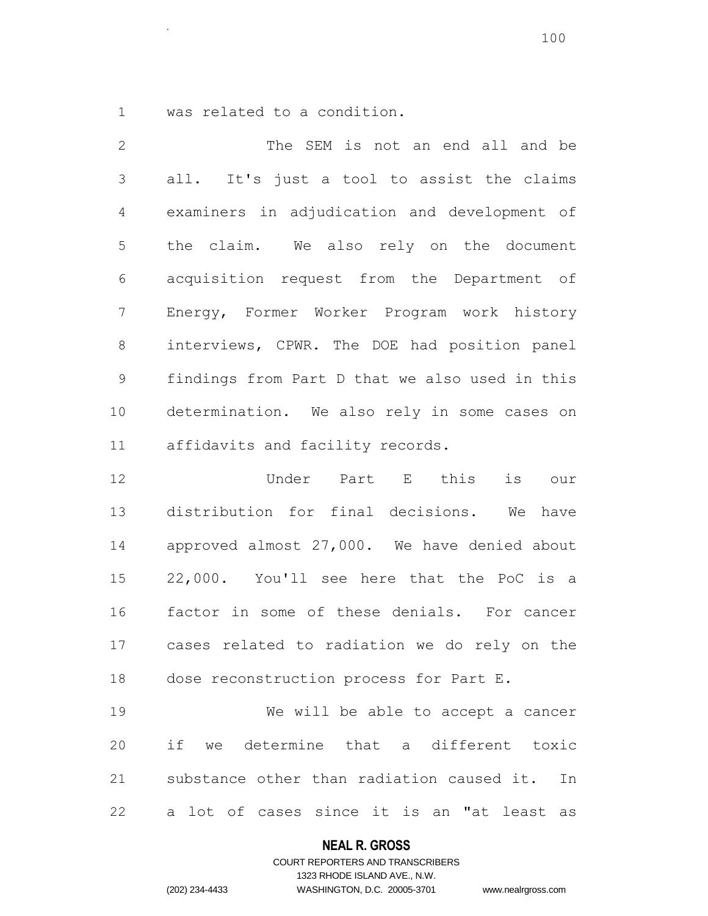was related to a condition.

.

 The SEM is not an end all and be all. It's just a tool to assist the claims examiners in adjudication and development of the claim. We also rely on the document acquisition request from the Department of Energy, Former Worker Program work history interviews, CPWR. The DOE had position panel findings from Part D that we also used in this determination. We also rely in some cases on affidavits and facility records.

 Under Part E this is our distribution for final decisions. We have approved almost 27,000. We have denied about 22,000. You'll see here that the PoC is a factor in some of these denials. For cancer cases related to radiation we do rely on the dose reconstruction process for Part E.

 We will be able to accept a cancer if we determine that a different toxic substance other than radiation caused it. In a lot of cases since it is an "at least as

#### **NEAL R. GROSS**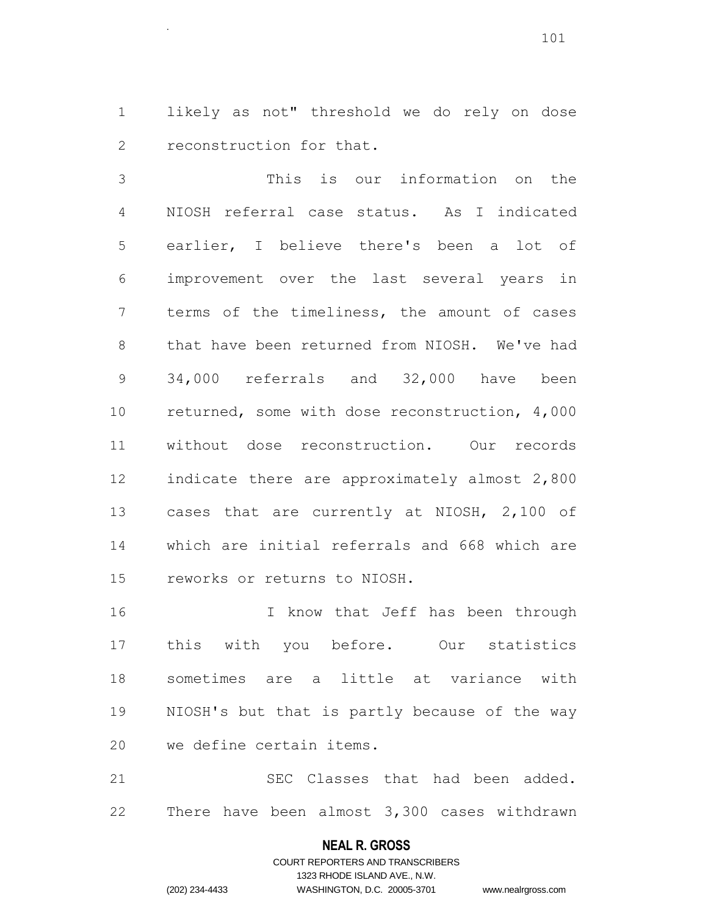likely as not" threshold we do rely on dose reconstruction for that.

.

 This is our information on the NIOSH referral case status. As I indicated earlier, I believe there's been a lot of improvement over the last several years in terms of the timeliness, the amount of cases that have been returned from NIOSH. We've had 34,000 referrals and 32,000 have been returned, some with dose reconstruction, 4,000 without dose reconstruction. Our records indicate there are approximately almost 2,800 cases that are currently at NIOSH, 2,100 of which are initial referrals and 668 which are reworks or returns to NIOSH.

16 I know that Jeff has been through this with you before. Our statistics sometimes are a little at variance with NIOSH's but that is partly because of the way we define certain items.

 SEC Classes that had been added. There have been almost 3,300 cases withdrawn

#### **NEAL R. GROSS**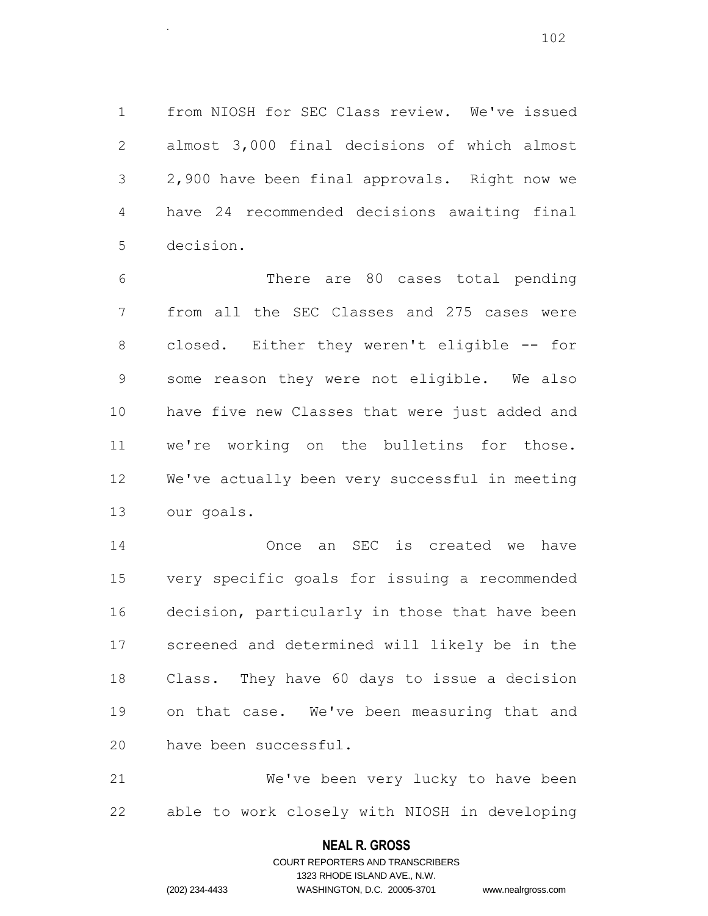from NIOSH for SEC Class review. We've issued almost 3,000 final decisions of which almost 2,900 have been final approvals. Right now we have 24 recommended decisions awaiting final decision.

.

 There are 80 cases total pending from all the SEC Classes and 275 cases were 8 closed. Either they weren't eligible -- for some reason they were not eligible. We also have five new Classes that were just added and we're working on the bulletins for those. We've actually been very successful in meeting our goals.

 Once an SEC is created we have very specific goals for issuing a recommended decision, particularly in those that have been screened and determined will likely be in the Class. They have 60 days to issue a decision on that case. We've been measuring that and have been successful.

 We've been very lucky to have been able to work closely with NIOSH in developing

#### **NEAL R. GROSS**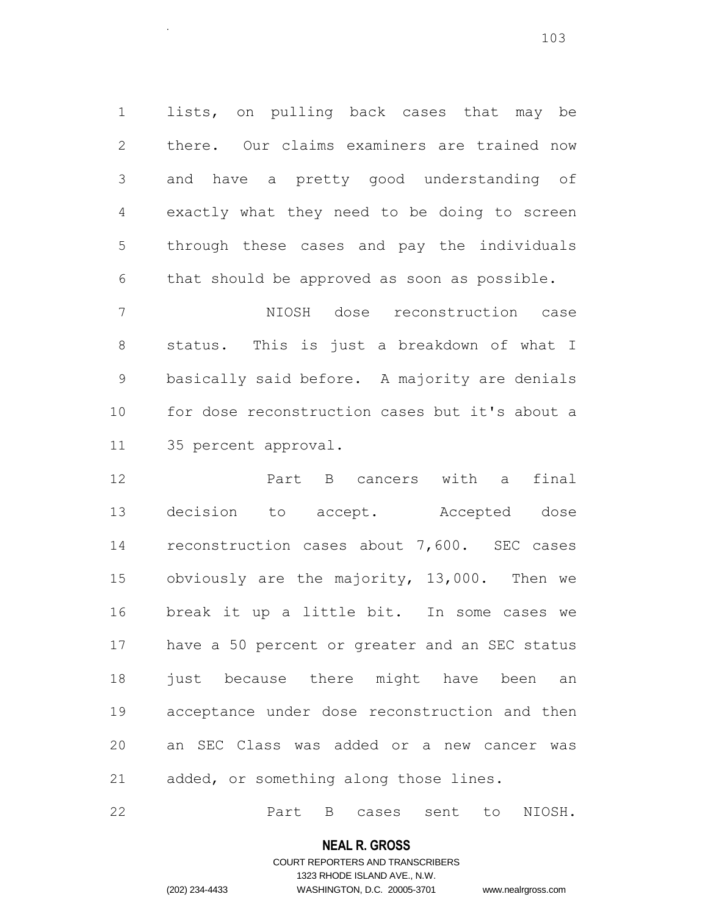lists, on pulling back cases that may be there. Our claims examiners are trained now and have a pretty good understanding of exactly what they need to be doing to screen through these cases and pay the individuals that should be approved as soon as possible.

.

 NIOSH dose reconstruction case status. This is just a breakdown of what I basically said before. A majority are denials for dose reconstruction cases but it's about a 35 percent approval.

 Part B cancers with a final decision to accept. Accepted dose reconstruction cases about 7,600. SEC cases obviously are the majority, 13,000. Then we break it up a little bit. In some cases we have a 50 percent or greater and an SEC status just because there might have been an acceptance under dose reconstruction and then an SEC Class was added or a new cancer was added, or something along those lines.

**Part B** cases sent to NIOSH.

#### **NEAL R. GROSS**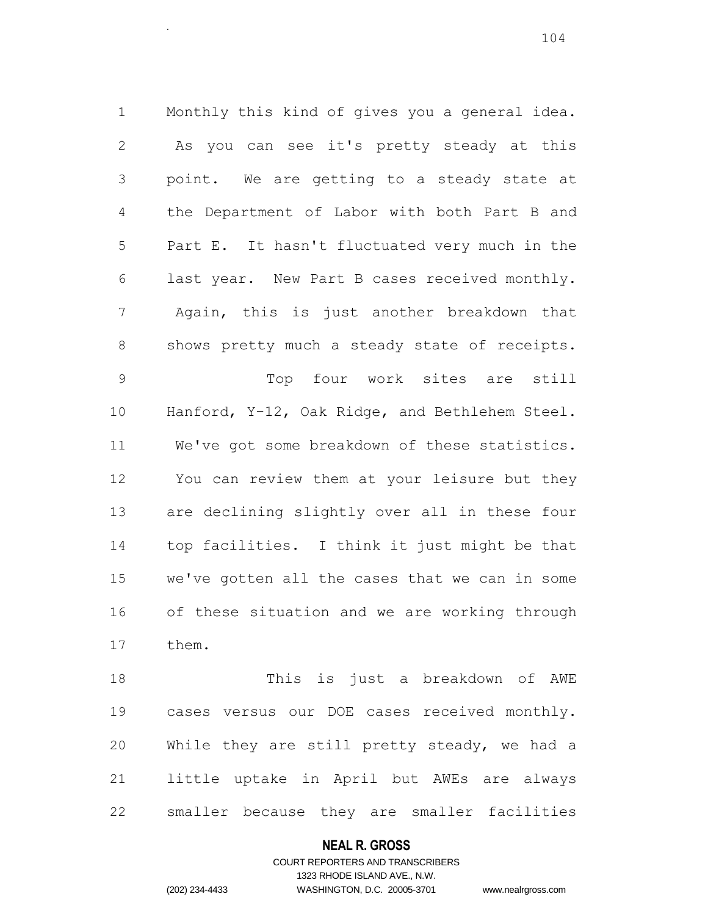Monthly this kind of gives you a general idea. As you can see it's pretty steady at this point. We are getting to a steady state at the Department of Labor with both Part B and Part E. It hasn't fluctuated very much in the last year. New Part B cases received monthly. Again, this is just another breakdown that 8 shows pretty much a steady state of receipts. Top four work sites are still Hanford, Y-12, Oak Ridge, and Bethlehem Steel. We've got some breakdown of these statistics. You can review them at your leisure but they are declining slightly over all in these four top facilities. I think it just might be that we've gotten all the cases that we can in some of these situation and we are working through them.

 This is just a breakdown of AWE cases versus our DOE cases received monthly. While they are still pretty steady, we had a little uptake in April but AWEs are always smaller because they are smaller facilities

#### **NEAL R. GROSS**

.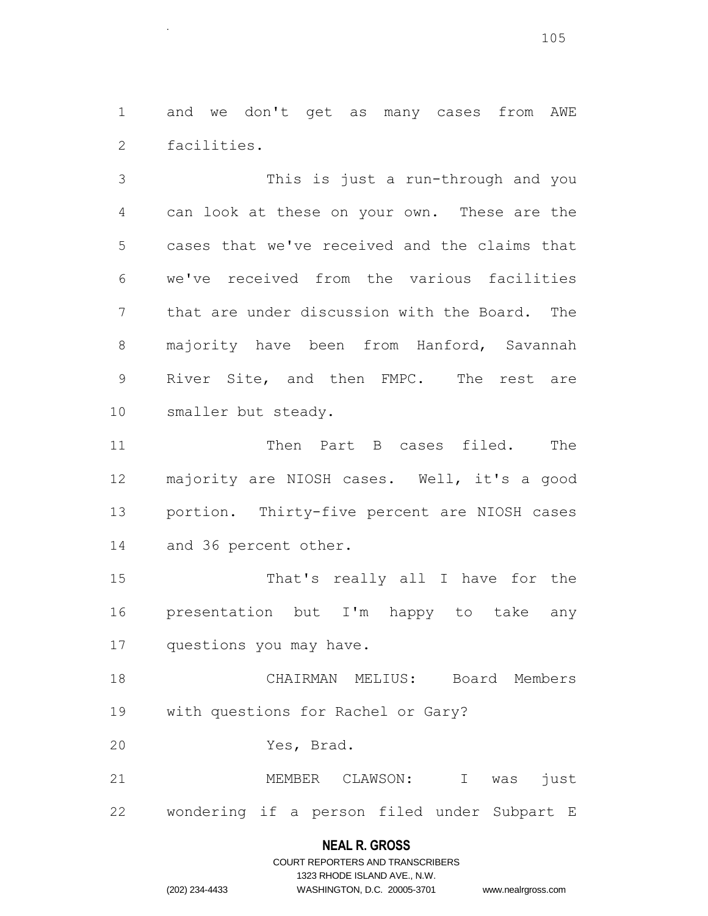and we don't get as many cases from AWE facilities.

.

 This is just a run-through and you can look at these on your own. These are the cases that we've received and the claims that we've received from the various facilities that are under discussion with the Board. The 8 majority have been from Hanford, Savannah River Site, and then FMPC. The rest are smaller but steady.

11 Then Part B cases filed. The majority are NIOSH cases. Well, it's a good portion. Thirty-five percent are NIOSH cases and 36 percent other.

 That's really all I have for the presentation but I'm happy to take any questions you may have.

 CHAIRMAN MELIUS: Board Members with questions for Rachel or Gary?

Yes, Brad.

 MEMBER CLAWSON: I was just wondering if a person filed under Subpart E

#### **NEAL R. GROSS**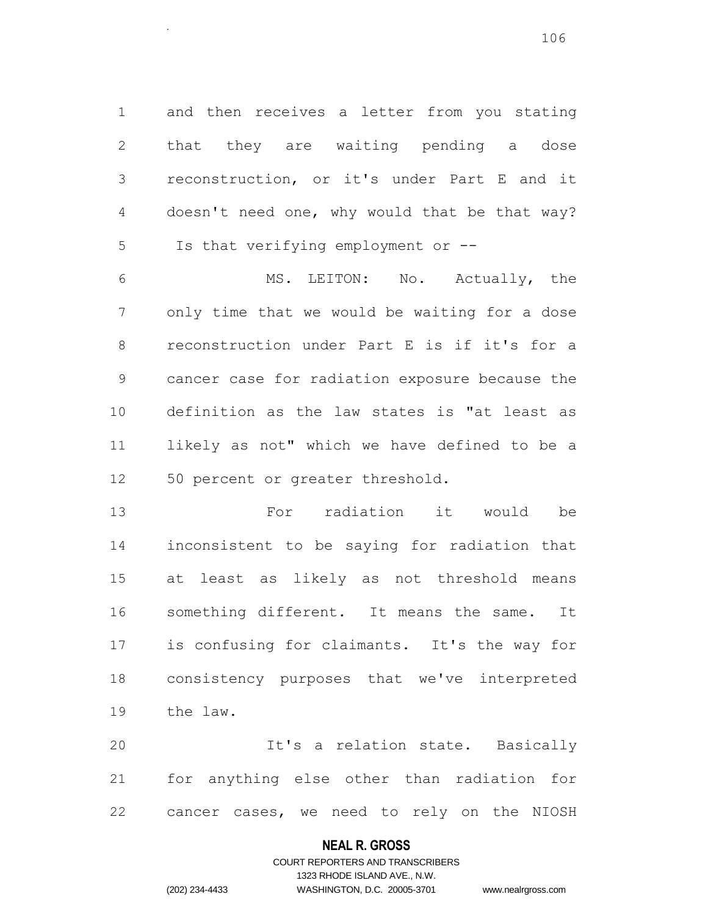and then receives a letter from you stating that they are waiting pending a dose reconstruction, or it's under Part E and it doesn't need one, why would that be that way? Is that verifying employment or --

.

 MS. LEITON: No. Actually, the only time that we would be waiting for a dose reconstruction under Part E is if it's for a cancer case for radiation exposure because the definition as the law states is "at least as likely as not" which we have defined to be a 50 percent or greater threshold.

 For radiation it would be inconsistent to be saying for radiation that at least as likely as not threshold means something different. It means the same. It is confusing for claimants. It's the way for consistency purposes that we've interpreted the law.

 It's a relation state. Basically for anything else other than radiation for cancer cases, we need to rely on the NIOSH

#### **NEAL R. GROSS**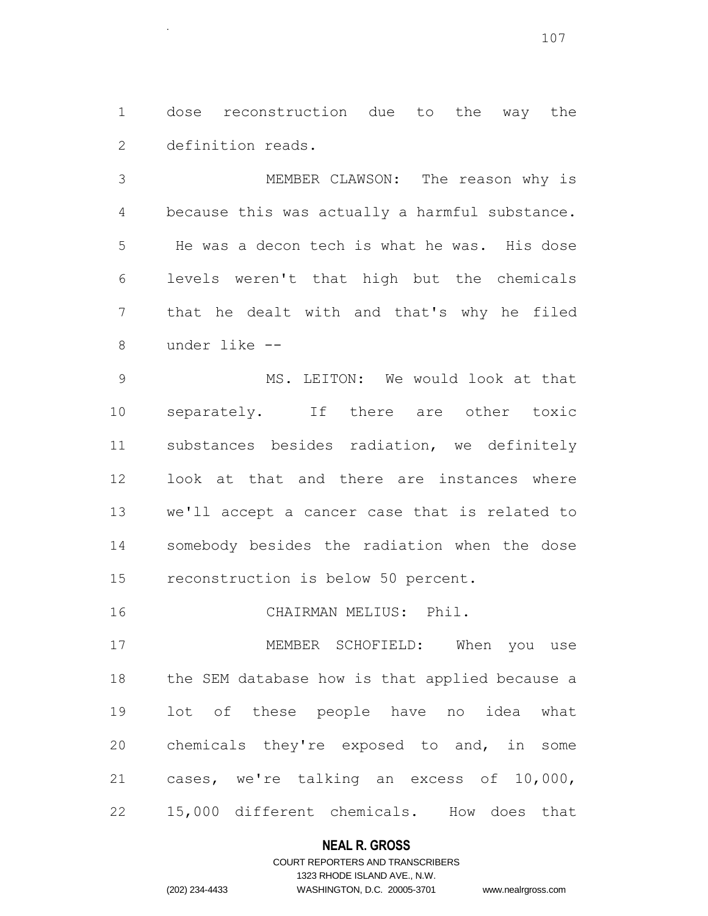dose reconstruction due to the way the definition reads.

.

 MEMBER CLAWSON: The reason why is because this was actually a harmful substance. He was a decon tech is what he was. His dose levels weren't that high but the chemicals that he dealt with and that's why he filed under like --

 MS. LEITON: We would look at that separately. If there are other toxic substances besides radiation, we definitely look at that and there are instances where we'll accept a cancer case that is related to somebody besides the radiation when the dose reconstruction is below 50 percent.

CHAIRMAN MELIUS: Phil.

 MEMBER SCHOFIELD: When you use the SEM database how is that applied because a lot of these people have no idea what chemicals they're exposed to and, in some cases, we're talking an excess of 10,000, 15,000 different chemicals. How does that

# **NEAL R. GROSS**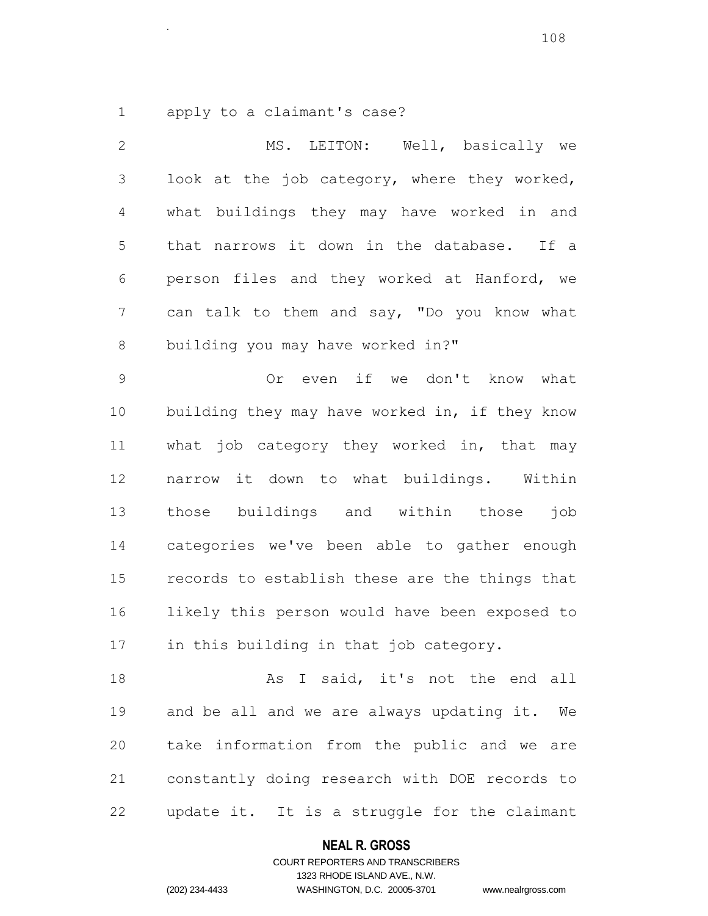apply to a claimant's case?

.

| 2              | MS. LEITON: Well, basically we                 |
|----------------|------------------------------------------------|
| 3              | look at the job category, where they worked,   |
| 4              | what buildings they may have worked in and     |
| 5              | that narrows it down in the database. If a     |
| 6              | person files and they worked at Hanford, we    |
| $7\phantom{.}$ | can talk to them and say, "Do you know what    |
| $\,8\,$        | building you may have worked in?"              |
| $\mathcal{G}$  | Or even if we don't know what                  |
| 10             | building they may have worked in, if they know |
| 11             | what job category they worked in, that may     |
| 12             | narrow it down to what buildings. Within       |
| 13             | those buildings and within those<br>job        |
| 14             | categories we've been able to gather enough    |
| 15             | records to establish these are the things that |
| 16             | likely this person would have been exposed to  |
| 17             | in this building in that job category.         |
| 18             | As I said, it's not the end all                |
| 19             | and be all and we are always updating it. We   |
| 20             | take information from the public and we are    |
| 21             | constantly doing research with DOE records to  |
|                |                                                |

update it. It is a struggle for the claimant

# **NEAL R. GROSS**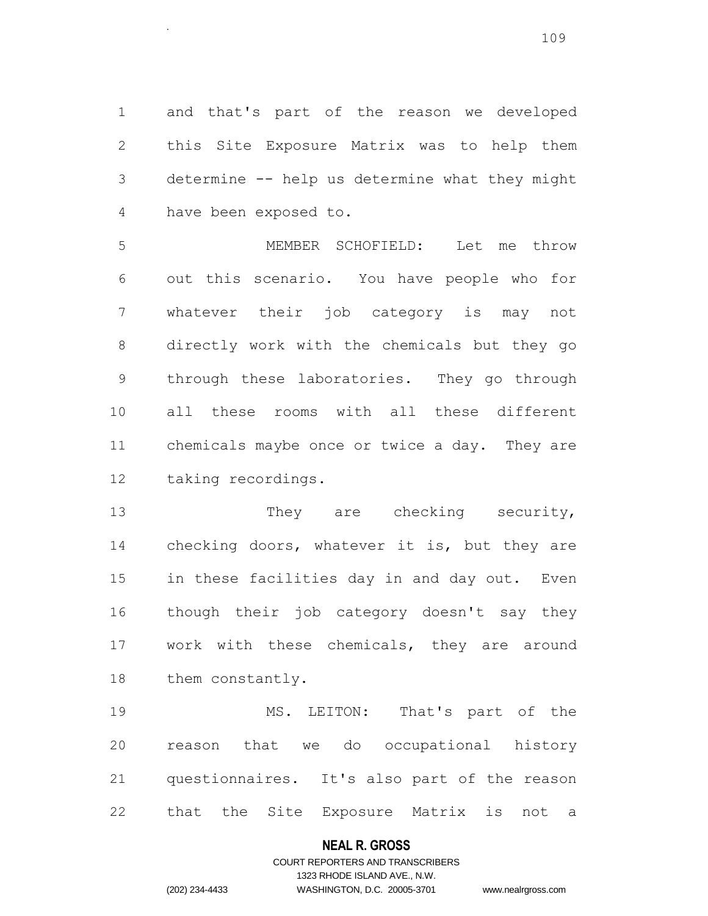and that's part of the reason we developed this Site Exposure Matrix was to help them determine -- help us determine what they might have been exposed to.

.

 MEMBER SCHOFIELD: Let me throw out this scenario. You have people who for whatever their job category is may not directly work with the chemicals but they go through these laboratories. They go through all these rooms with all these different chemicals maybe once or twice a day. They are taking recordings.

13 They are checking security, checking doors, whatever it is, but they are in these facilities day in and day out. Even though their job category doesn't say they work with these chemicals, they are around 18 them constantly.

 MS. LEITON: That's part of the reason that we do occupational history questionnaires. It's also part of the reason that the Site Exposure Matrix is not a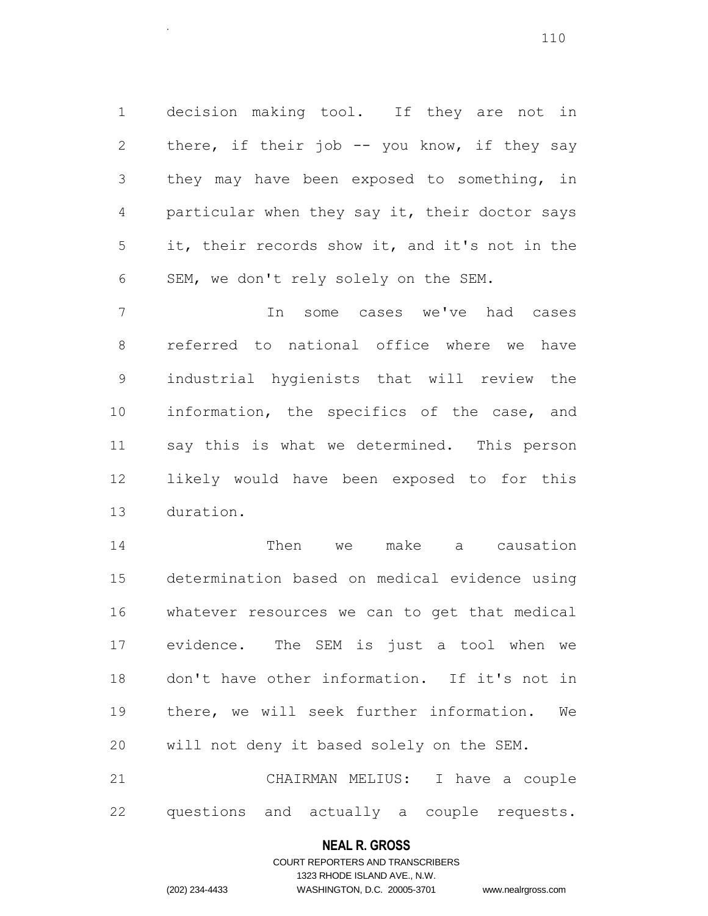decision making tool. If they are not in 2 there, if their job -- you know, if they say they may have been exposed to something, in particular when they say it, their doctor says it, their records show it, and it's not in the SEM, we don't rely solely on the SEM.

 In some cases we've had cases referred to national office where we have industrial hygienists that will review the information, the specifics of the case, and say this is what we determined. This person likely would have been exposed to for this duration.

 Then we make a causation determination based on medical evidence using whatever resources we can to get that medical evidence. The SEM is just a tool when we don't have other information. If it's not in there, we will seek further information. We will not deny it based solely on the SEM.

 CHAIRMAN MELIUS: I have a couple questions and actually a couple requests.

# **NEAL R. GROSS** COURT REPORTERS AND TRANSCRIBERS

.

1323 RHODE ISLAND AVE., N.W. (202) 234-4433 WASHINGTON, D.C. 20005-3701 www.nealrgross.com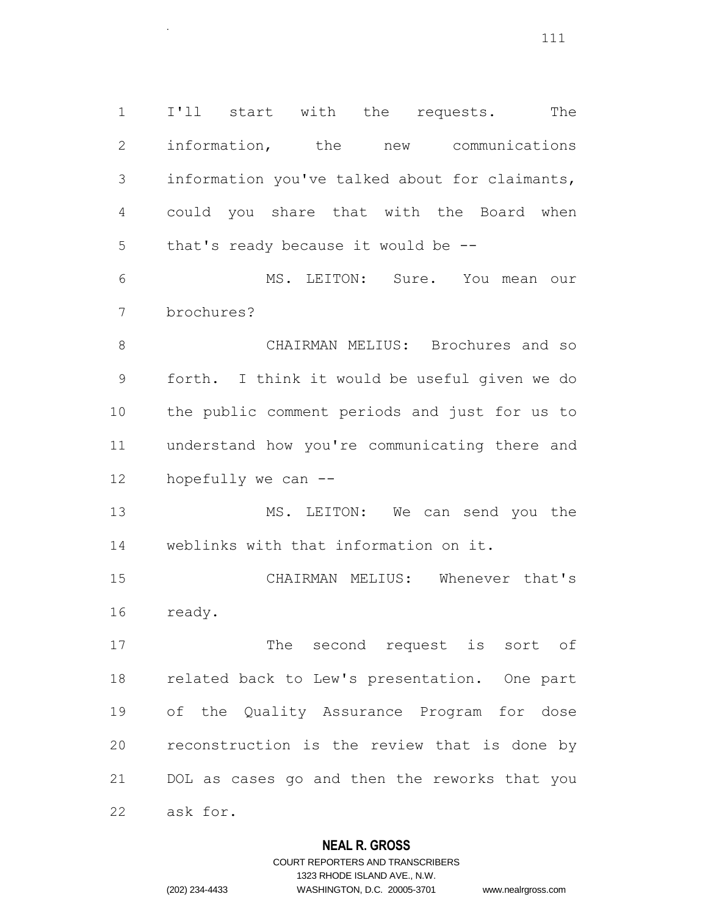I'll start with the requests. The information, the new communications information you've talked about for claimants, could you share that with the Board when that's ready because it would be --

.

 MS. LEITON: Sure. You mean our brochures?

 CHAIRMAN MELIUS: Brochures and so forth. I think it would be useful given we do the public comment periods and just for us to understand how you're communicating there and hopefully we can --

 MS. LEITON: We can send you the weblinks with that information on it.

 CHAIRMAN MELIUS: Whenever that's ready.

 The second request is sort of related back to Lew's presentation. One part of the Quality Assurance Program for dose reconstruction is the review that is done by DOL as cases go and then the reworks that you ask for.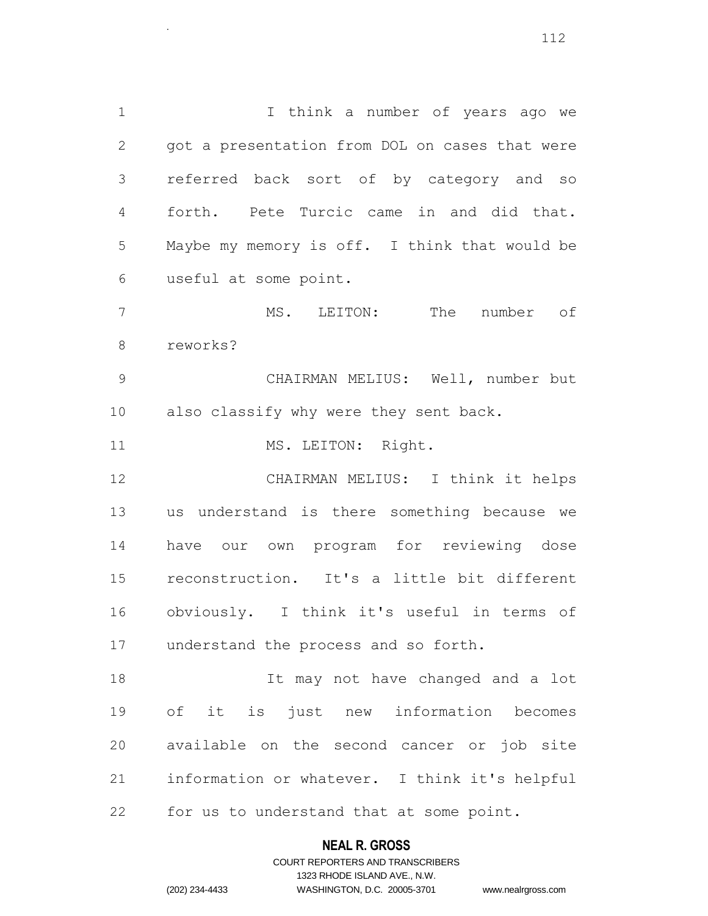I think a number of years ago we got a presentation from DOL on cases that were referred back sort of by category and so forth. Pete Turcic came in and did that. Maybe my memory is off. I think that would be useful at some point. MS. LEITON: The number of reworks? CHAIRMAN MELIUS: Well, number but also classify why were they sent back. 11 MS. LEITON: Right. CHAIRMAN MELIUS: I think it helps us understand is there something because we have our own program for reviewing dose reconstruction. It's a little bit different

.

 obviously. I think it's useful in terms of understand the process and so forth.

 It may not have changed and a lot of it is just new information becomes available on the second cancer or job site information or whatever. I think it's helpful for us to understand that at some point.

# **NEAL R. GROSS**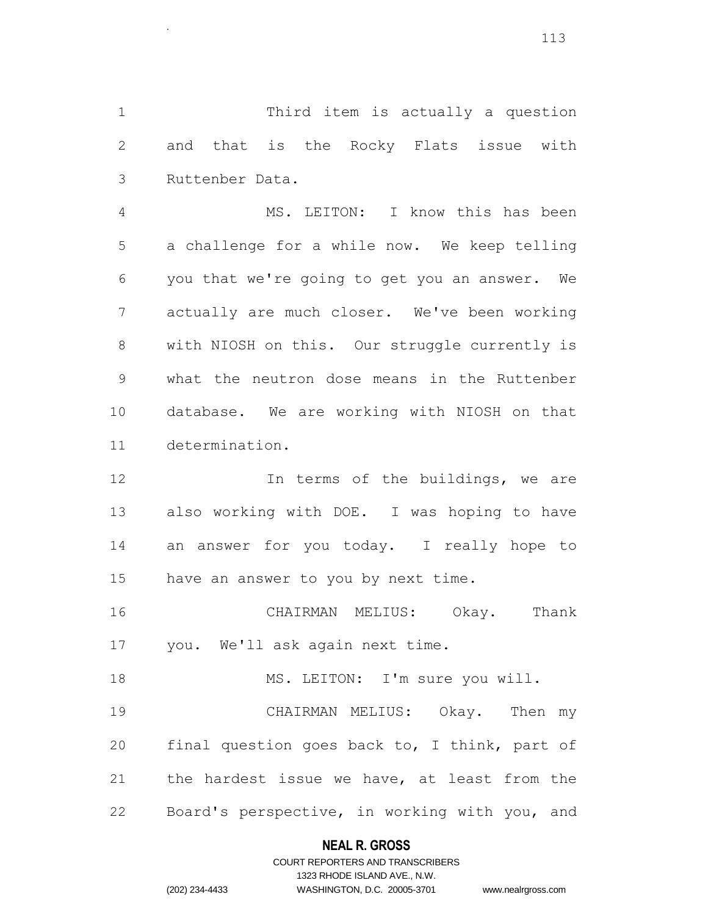Third item is actually a question and that is the Rocky Flats issue with Ruttenber Data.

.

 MS. LEITON: I know this has been a challenge for a while now. We keep telling you that we're going to get you an answer. We actually are much closer. We've been working with NIOSH on this. Our struggle currently is what the neutron dose means in the Ruttenber database. We are working with NIOSH on that determination.

 In terms of the buildings, we are also working with DOE. I was hoping to have an answer for you today. I really hope to have an answer to you by next time.

 CHAIRMAN MELIUS: Okay. Thank you. We'll ask again next time.

18 MS. LEITON: I'm sure you will. CHAIRMAN MELIUS: Okay. Then my final question goes back to, I think, part of the hardest issue we have, at least from the Board's perspective, in working with you, and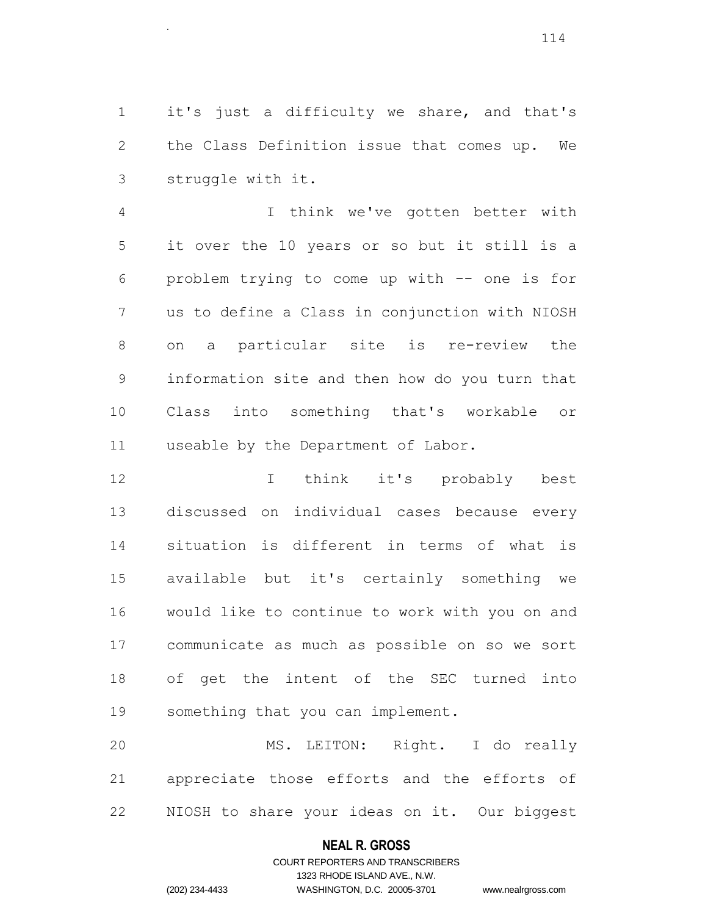it's just a difficulty we share, and that's the Class Definition issue that comes up. We struggle with it.

.

 I think we've gotten better with it over the 10 years or so but it still is a problem trying to come up with -- one is for us to define a Class in conjunction with NIOSH on a particular site is re-review the information site and then how do you turn that Class into something that's workable or useable by the Department of Labor.

 I think it's probably best discussed on individual cases because every situation is different in terms of what is available but it's certainly something we would like to continue to work with you on and communicate as much as possible on so we sort of get the intent of the SEC turned into something that you can implement.

 MS. LEITON: Right. I do really appreciate those efforts and the efforts of NIOSH to share your ideas on it. Our biggest

## **NEAL R. GROSS**

# COURT REPORTERS AND TRANSCRIBERS 1323 RHODE ISLAND AVE., N.W. (202) 234-4433 WASHINGTON, D.C. 20005-3701 www.nealrgross.com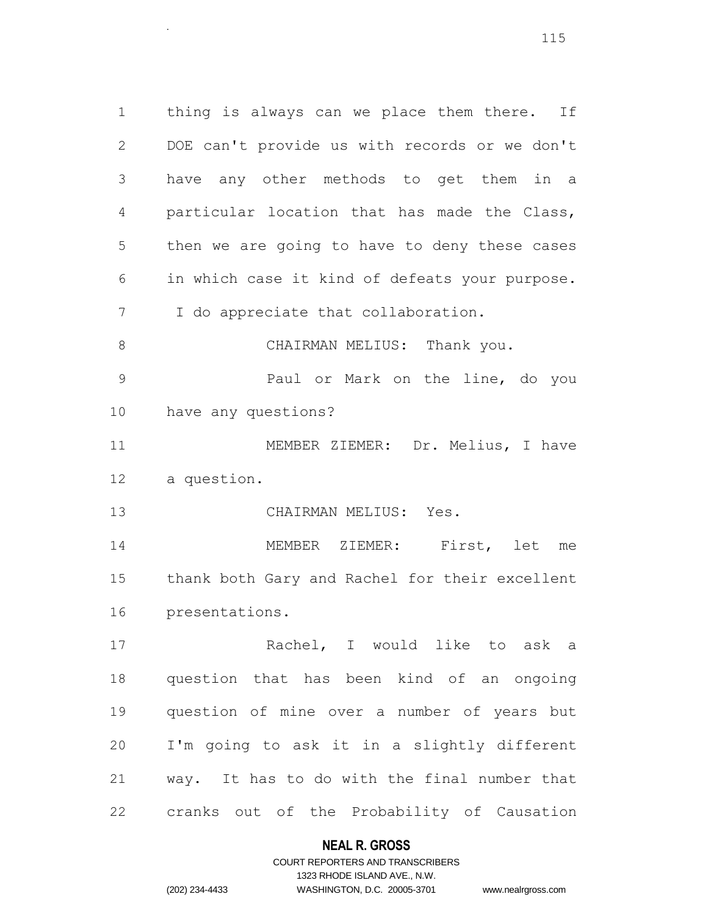1 thing is always can we place them there. If DOE can't provide us with records or we don't have any other methods to get them in a particular location that has made the Class, then we are going to have to deny these cases in which case it kind of defeats your purpose. I do appreciate that collaboration. 8 CHAIRMAN MELIUS: Thank you. Paul or Mark on the line, do you have any questions? MEMBER ZIEMER: Dr. Melius, I have a question. CHAIRMAN MELIUS: Yes. MEMBER ZIEMER: First, let me thank both Gary and Rachel for their excellent presentations. Rachel, I would like to ask a question that has been kind of an ongoing question of mine over a number of years but I'm going to ask it in a slightly different

 way. It has to do with the final number that cranks out of the Probability of Causation

## **NEAL R. GROSS**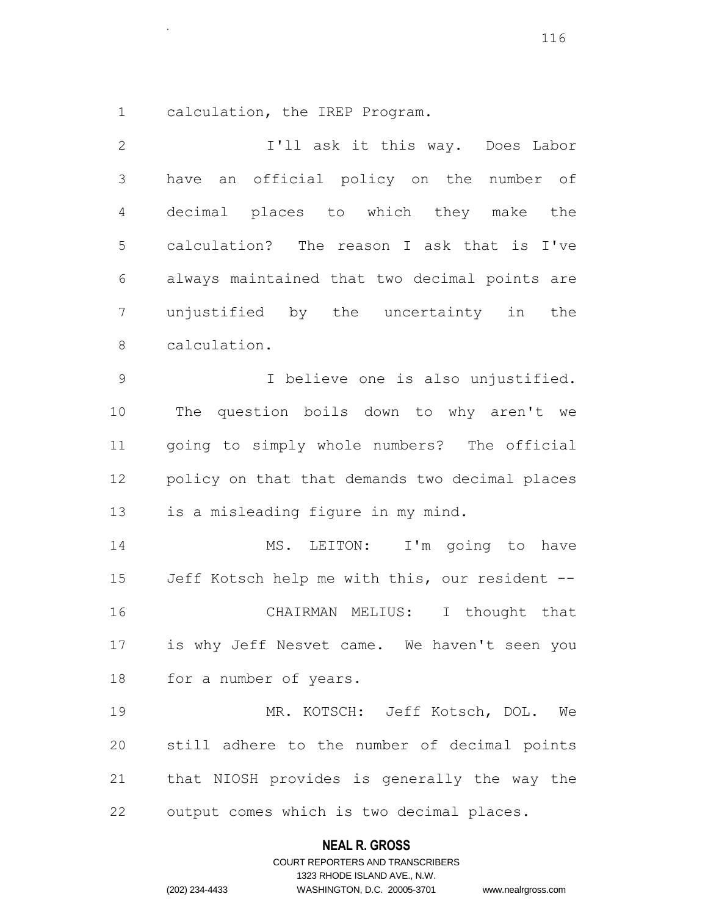calculation, the IREP Program.

.

 I'll ask it this way. Does Labor have an official policy on the number of decimal places to which they make the calculation? The reason I ask that is I've always maintained that two decimal points are unjustified by the uncertainty in the calculation. I believe one is also unjustified. The question boils down to why aren't we going to simply whole numbers? The official policy on that that demands two decimal places is a misleading figure in my mind. MS. LEITON: I'm going to have Jeff Kotsch help me with this, our resident -- CHAIRMAN MELIUS: I thought that is why Jeff Nesvet came. We haven't seen you 18 for a number of years. MR. KOTSCH: Jeff Kotsch, DOL. We still adhere to the number of decimal points that NIOSH provides is generally the way the output comes which is two decimal places.

## **NEAL R. GROSS**

COURT REPORTERS AND TRANSCRIBERS 1323 RHODE ISLAND AVE., N.W. (202) 234-4433 WASHINGTON, D.C. 20005-3701 www.nealrgross.com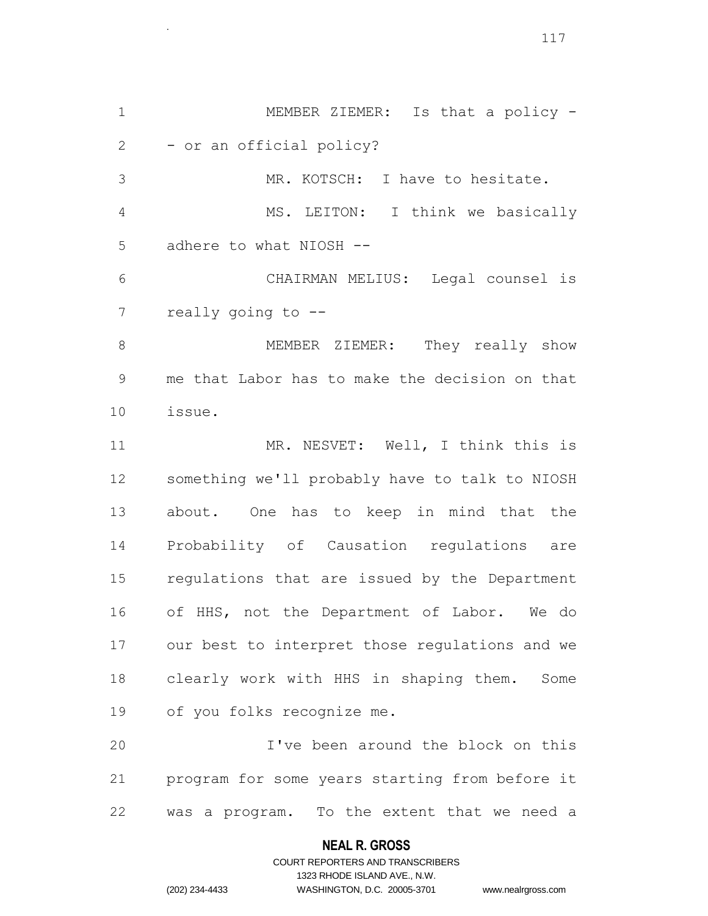MEMBER ZIEMER: Is that a policy - 2 - or an official policy? MR. KOTSCH: I have to hesitate. MS. LEITON: I think we basically adhere to what NIOSH -- CHAIRMAN MELIUS: Legal counsel is really going to -- 8 MEMBER ZIEMER: They really show me that Labor has to make the decision on that issue. 11 MR. NESVET: Well, I think this is something we'll probably have to talk to NIOSH about. One has to keep in mind that the Probability of Causation regulations are regulations that are issued by the Department of HHS, not the Department of Labor. We do our best to interpret those regulations and we clearly work with HHS in shaping them. Some of you folks recognize me. I've been around the block on this program for some years starting from before it was a program. To the extent that we need a

#### **NEAL R. GROSS**

.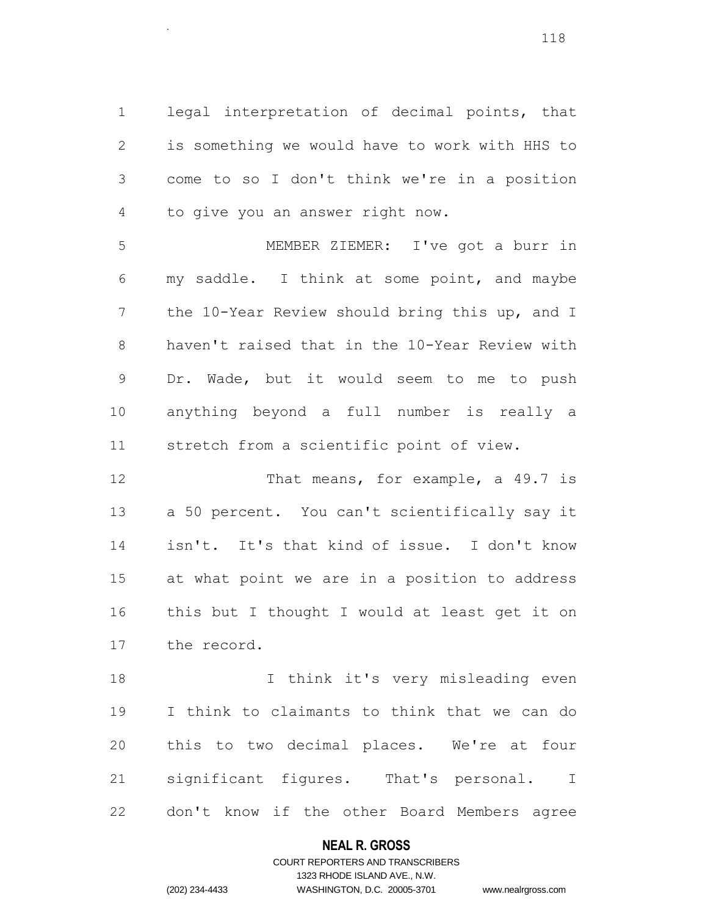legal interpretation of decimal points, that is something we would have to work with HHS to come to so I don't think we're in a position to give you an answer right now.

.

 MEMBER ZIEMER: I've got a burr in my saddle. I think at some point, and maybe the 10-Year Review should bring this up, and I haven't raised that in the 10-Year Review with Dr. Wade, but it would seem to me to push anything beyond a full number is really a stretch from a scientific point of view.

 That means, for example, a 49.7 is a 50 percent. You can't scientifically say it isn't. It's that kind of issue. I don't know at what point we are in a position to address this but I thought I would at least get it on the record.

18 I think it's very misleading even I think to claimants to think that we can do this to two decimal places. We're at four significant figures. That's personal. I don't know if the other Board Members agree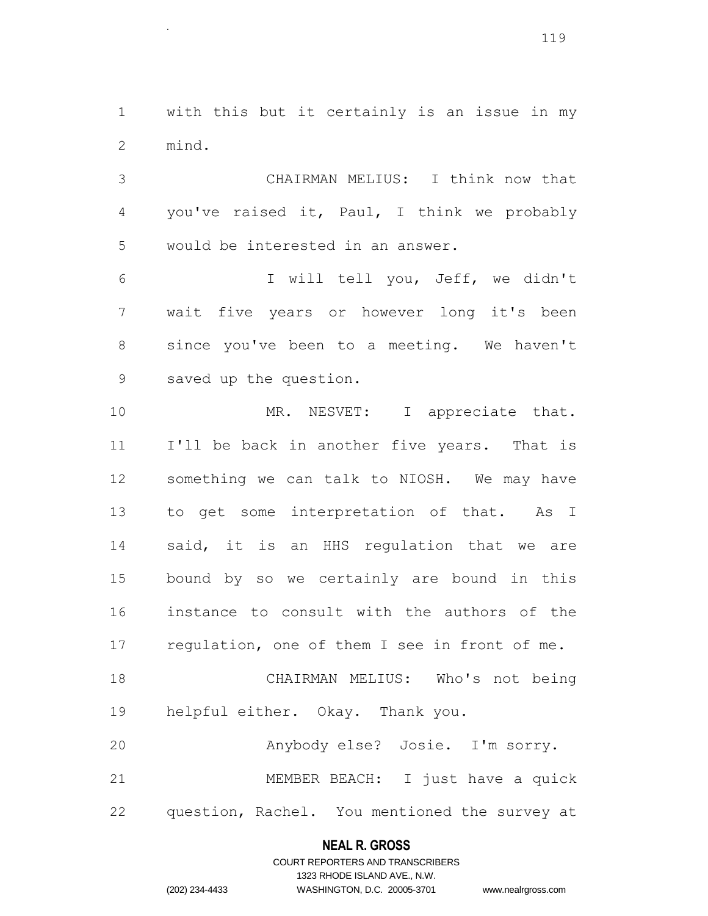with this but it certainly is an issue in my mind.

.

 CHAIRMAN MELIUS: I think now that you've raised it, Paul, I think we probably would be interested in an answer.

 I will tell you, Jeff, we didn't wait five years or however long it's been since you've been to a meeting. We haven't saved up the question.

10 MR. NESVET: I appreciate that. I'll be back in another five years. That is something we can talk to NIOSH. We may have to get some interpretation of that. As I 14 said, it is an HHS requlation that we are bound by so we certainly are bound in this instance to consult with the authors of the regulation, one of them I see in front of me. CHAIRMAN MELIUS: Who's not being helpful either. Okay. Thank you.

 Anybody else? Josie. I'm sorry. MEMBER BEACH: I just have a quick question, Rachel. You mentioned the survey at

#### **NEAL R. GROSS**

COURT REPORTERS AND TRANSCRIBERS 1323 RHODE ISLAND AVE., N.W. (202) 234-4433 WASHINGTON, D.C. 20005-3701 www.nealrgross.com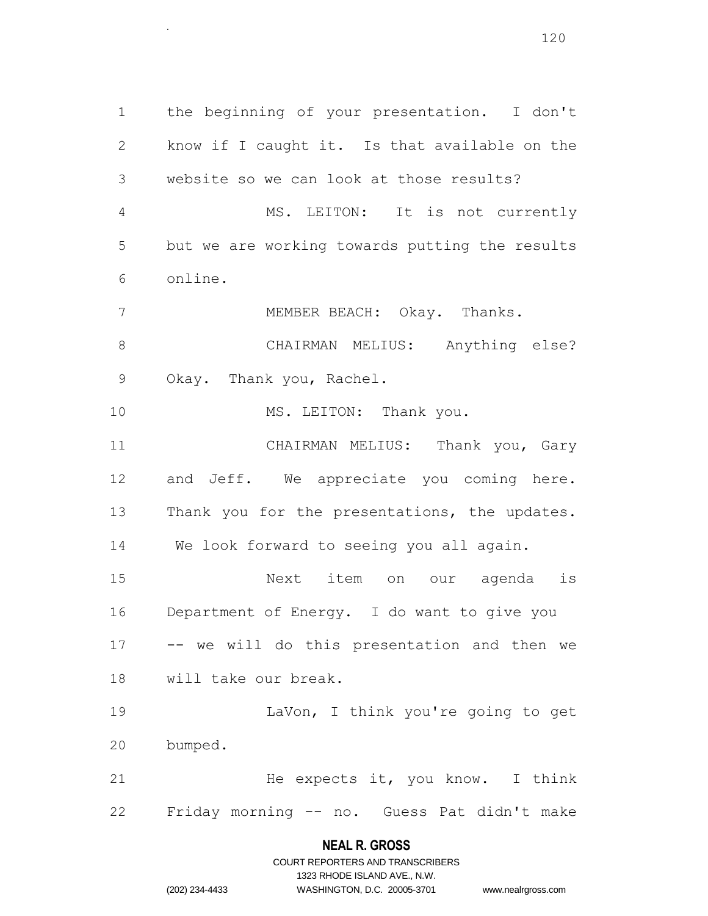the beginning of your presentation. I don't know if I caught it. Is that available on the website so we can look at those results? MS. LEITON: It is not currently but we are working towards putting the results online. MEMBER BEACH: Okay. Thanks. 8 CHAIRMAN MELIUS: Anything else? Okay. Thank you, Rachel. 10 MS. LEITON: Thank you. CHAIRMAN MELIUS: Thank you, Gary and Jeff. We appreciate you coming here. Thank you for the presentations, the updates. We look forward to seeing you all again. Next item on our agenda is Department of Energy. I do want to give you -- we will do this presentation and then we will take our break. LaVon, I think you're going to get bumped. 21 He expects it, you know. I think Friday morning -- no. Guess Pat didn't make

# **NEAL R. GROSS** COURT REPORTERS AND TRANSCRIBERS

1323 RHODE ISLAND AVE., N.W.

.

(202) 234-4433 WASHINGTON, D.C. 20005-3701 www.nealrgross.com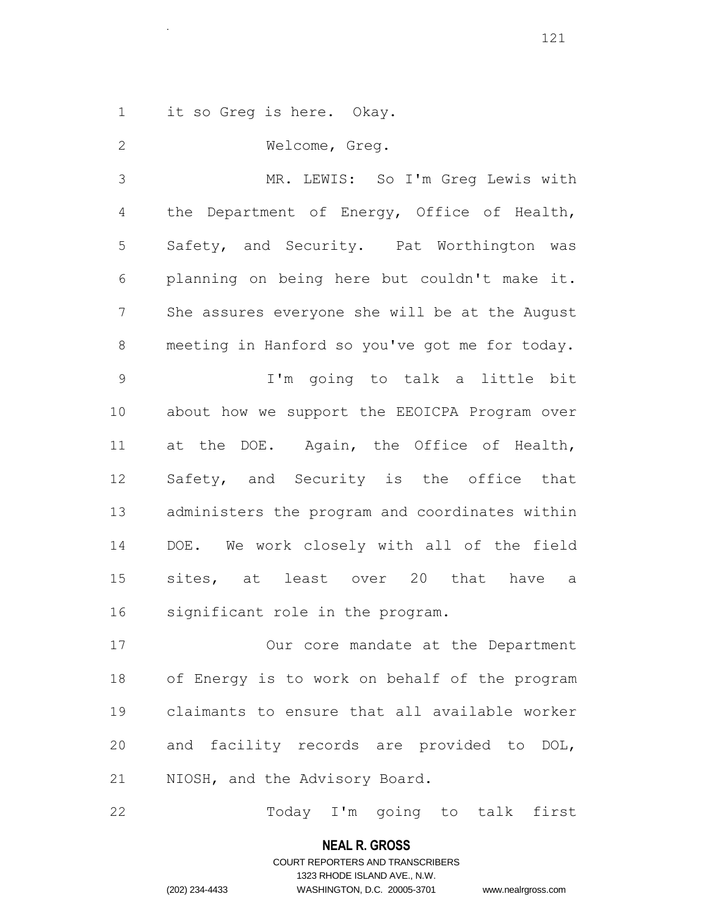it so Greg is here. Okay.

.

 Welcome, Greg. MR. LEWIS: So I'm Greg Lewis with the Department of Energy, Office of Health, Safety, and Security. Pat Worthington was planning on being here but couldn't make it. She assures everyone she will be at the August meeting in Hanford so you've got me for today. I'm going to talk a little bit about how we support the EEOICPA Program over at the DOE. Again, the Office of Health, Safety, and Security is the office that administers the program and coordinates within DOE. We work closely with all of the field sites, at least over 20 that have a significant role in the program. Our core mandate at the Department of Energy is to work on behalf of the program claimants to ensure that all available worker and facility records are provided to DOL,

NIOSH, and the Advisory Board.

22 Today I'm going to talk first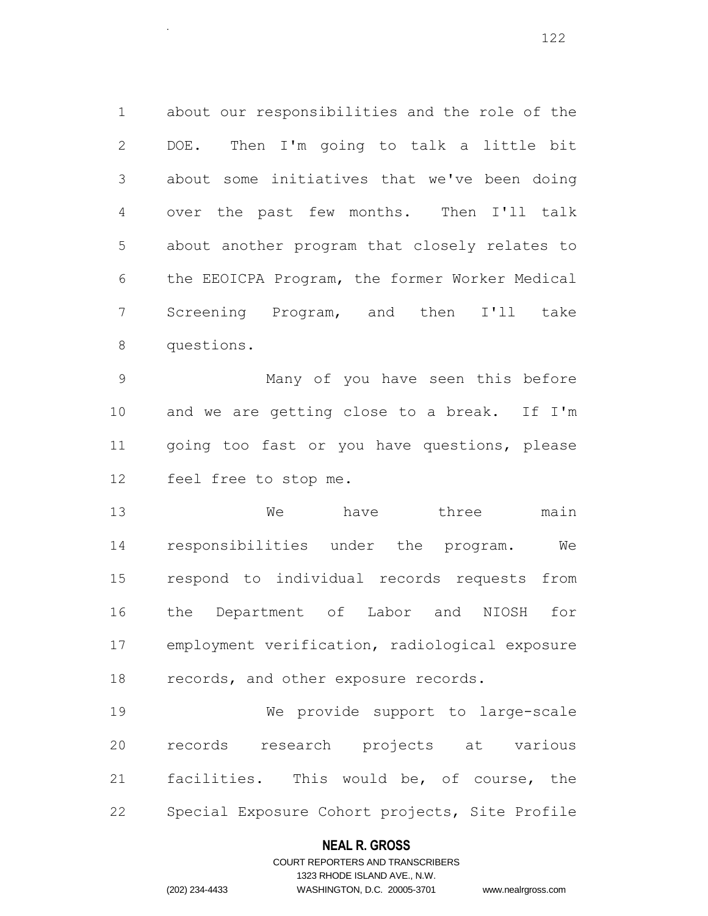about our responsibilities and the role of the DOE. Then I'm going to talk a little bit about some initiatives that we've been doing over the past few months. Then I'll talk about another program that closely relates to the EEOICPA Program, the former Worker Medical Screening Program, and then I'll take questions.

.

 Many of you have seen this before and we are getting close to a break. If I'm going too fast or you have questions, please feel free to stop me.

13 We have three main responsibilities under the program. We respond to individual records requests from the Department of Labor and NIOSH for employment verification, radiological exposure records, and other exposure records.

 We provide support to large-scale records research projects at various facilities. This would be, of course, the Special Exposure Cohort projects, Site Profile

## **NEAL R. GROSS**

# COURT REPORTERS AND TRANSCRIBERS 1323 RHODE ISLAND AVE., N.W. (202) 234-4433 WASHINGTON, D.C. 20005-3701 www.nealrgross.com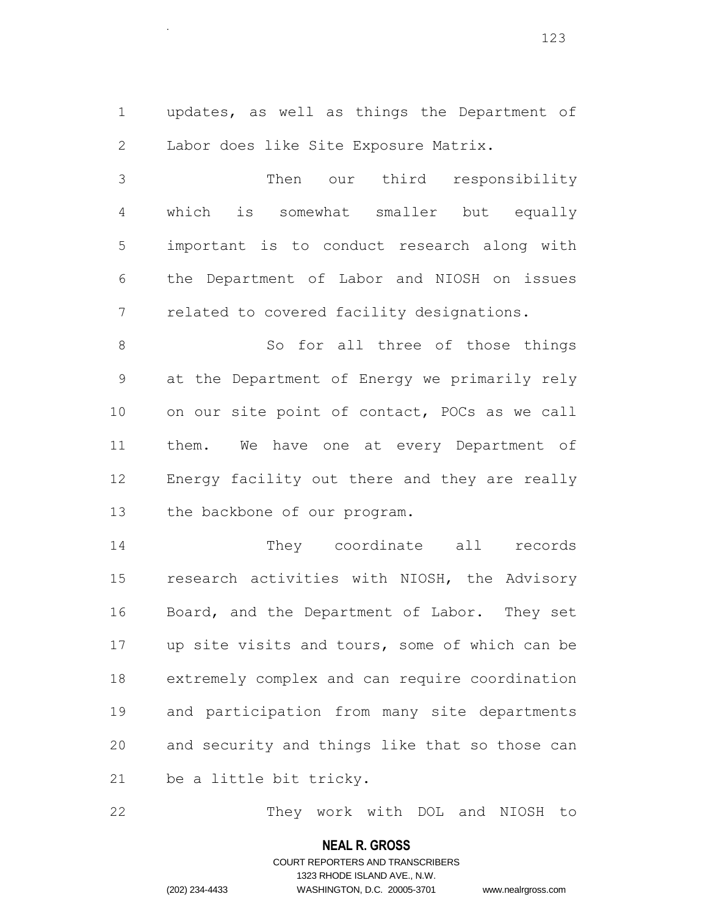updates, as well as things the Department of Labor does like Site Exposure Matrix.

.

 Then our third responsibility which is somewhat smaller but equally important is to conduct research along with the Department of Labor and NIOSH on issues related to covered facility designations.

8 So for all three of those things at the Department of Energy we primarily rely on our site point of contact, POCs as we call 11 them. We have one at every Department of Energy facility out there and they are really the backbone of our program.

 They coordinate all records research activities with NIOSH, the Advisory Board, and the Department of Labor. They set up site visits and tours, some of which can be extremely complex and can require coordination and participation from many site departments and security and things like that so those can be a little bit tricky.

They work with DOL and NIOSH to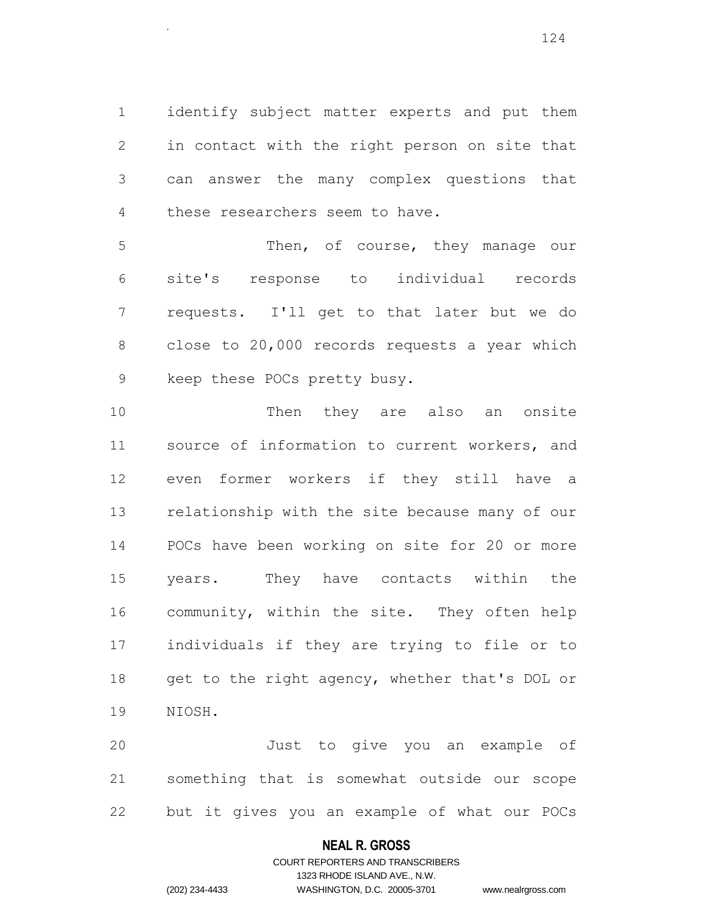identify subject matter experts and put them in contact with the right person on site that can answer the many complex questions that these researchers seem to have.

 Then, of course, they manage our site's response to individual records requests. I'll get to that later but we do close to 20,000 records requests a year which keep these POCs pretty busy.

10 Then they are also an onsite source of information to current workers, and even former workers if they still have a relationship with the site because many of our POCs have been working on site for 20 or more years. They have contacts within the community, within the site. They often help individuals if they are trying to file or to 18 get to the right agency, whether that's DOL or NIOSH.

 Just to give you an example of something that is somewhat outside our scope but it gives you an example of what our POCs

## **NEAL R. GROSS**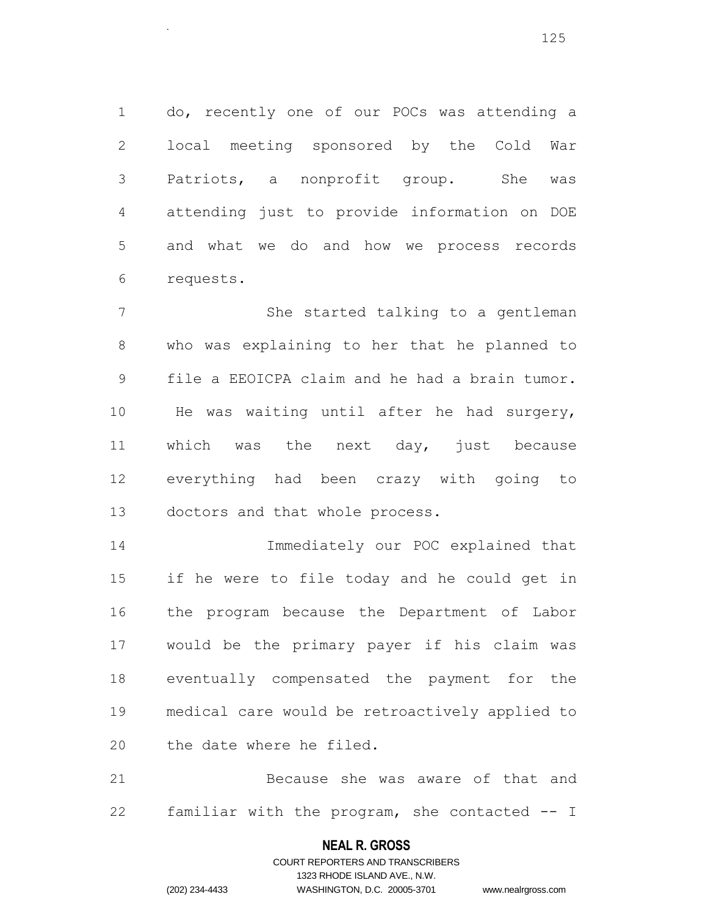do, recently one of our POCs was attending a local meeting sponsored by the Cold War Patriots, a nonprofit group. She was attending just to provide information on DOE and what we do and how we process records requests.

 She started talking to a gentleman who was explaining to her that he planned to file a EEOICPA claim and he had a brain tumor. He was waiting until after he had surgery, which was the next day, just because everything had been crazy with going to doctors and that whole process.

 Immediately our POC explained that if he were to file today and he could get in the program because the Department of Labor would be the primary payer if his claim was eventually compensated the payment for the medical care would be retroactively applied to the date where he filed.

 Because she was aware of that and familiar with the program, she contacted -- I

# **NEAL R. GROSS** COURT REPORTERS AND TRANSCRIBERS

.

1323 RHODE ISLAND AVE., N.W. (202) 234-4433 WASHINGTON, D.C. 20005-3701 www.nealrgross.com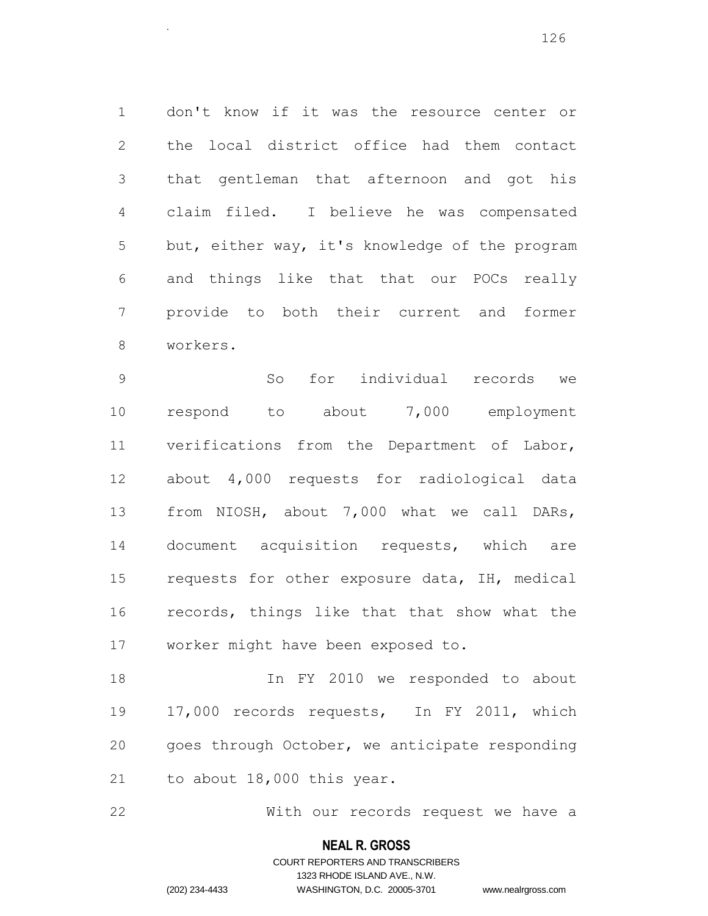don't know if it was the resource center or the local district office had them contact that gentleman that afternoon and got his claim filed. I believe he was compensated but, either way, it's knowledge of the program and things like that that our POCs really provide to both their current and former workers.

 So for individual records we respond to about 7,000 employment verifications from the Department of Labor, about 4,000 requests for radiological data from NIOSH, about 7,000 what we call DARs, document acquisition requests, which are requests for other exposure data, IH, medical records, things like that that show what the worker might have been exposed to.

 In FY 2010 we responded to about 17,000 records requests, In FY 2011, which goes through October, we anticipate responding to about 18,000 this year.

With our records request we have a

## **NEAL R. GROSS**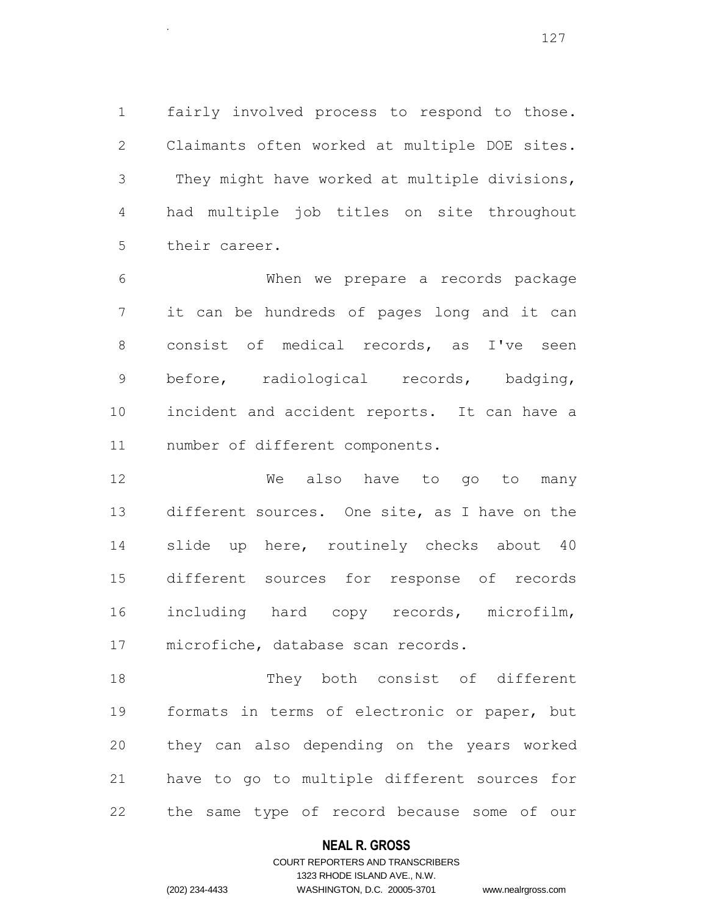fairly involved process to respond to those. Claimants often worked at multiple DOE sites. They might have worked at multiple divisions, had multiple job titles on site throughout their career.

 When we prepare a records package it can be hundreds of pages long and it can consist of medical records, as I've seen before, radiological records, badging, incident and accident reports. It can have a number of different components.

 We also have to go to many different sources. One site, as I have on the slide up here, routinely checks about 40 different sources for response of records including hard copy records, microfilm, microfiche, database scan records.

 They both consist of different formats in terms of electronic or paper, but they can also depending on the years worked have to go to multiple different sources for the same type of record because some of our

## **NEAL R. GROSS**

# COURT REPORTERS AND TRANSCRIBERS 1323 RHODE ISLAND AVE., N.W. (202) 234-4433 WASHINGTON, D.C. 20005-3701 www.nealrgross.com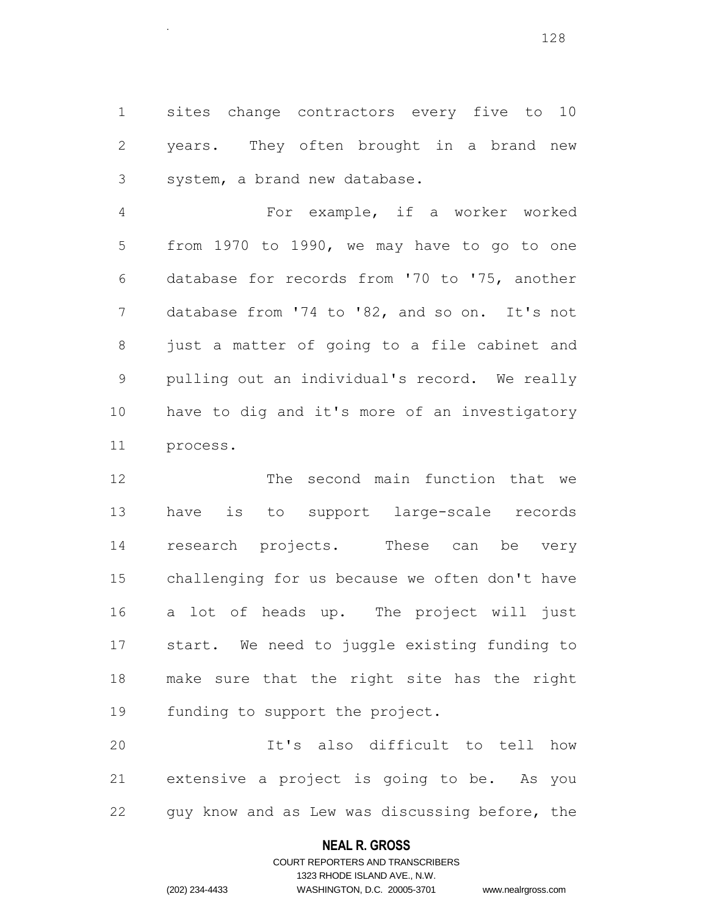sites change contractors every five to 10 years. They often brought in a brand new system, a brand new database.

.

 For example, if a worker worked from 1970 to 1990, we may have to go to one database for records from '70 to '75, another 7 database from '74 to '82, and so on. It's not just a matter of going to a file cabinet and pulling out an individual's record. We really have to dig and it's more of an investigatory process.

 The second main function that we have is to support large-scale records research projects. These can be very challenging for us because we often don't have a lot of heads up. The project will just start. We need to juggle existing funding to make sure that the right site has the right funding to support the project.

 It's also difficult to tell how extensive a project is going to be. As you guy know and as Lew was discussing before, the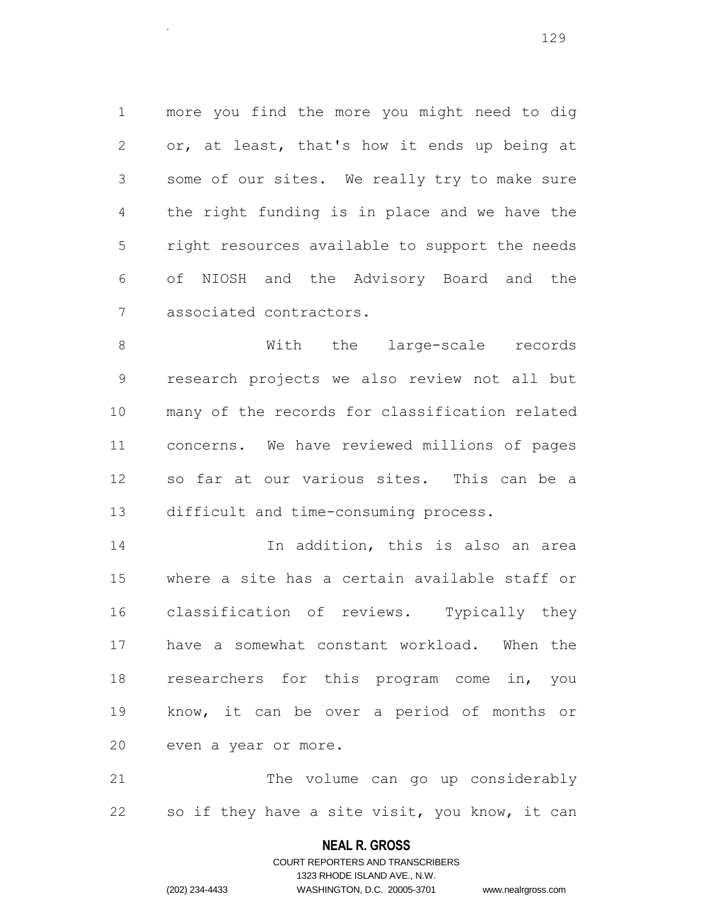more you find the more you might need to dig or, at least, that's how it ends up being at some of our sites. We really try to make sure the right funding is in place and we have the right resources available to support the needs of NIOSH and the Advisory Board and the associated contractors.

.

8 With the large-scale records research projects we also review not all but many of the records for classification related concerns. We have reviewed millions of pages so far at our various sites. This can be a difficult and time-consuming process.

 In addition, this is also an area where a site has a certain available staff or classification of reviews. Typically they have a somewhat constant workload. When the researchers for this program come in, you know, it can be over a period of months or even a year or more.

 The volume can go up considerably so if they have a site visit, you know, it can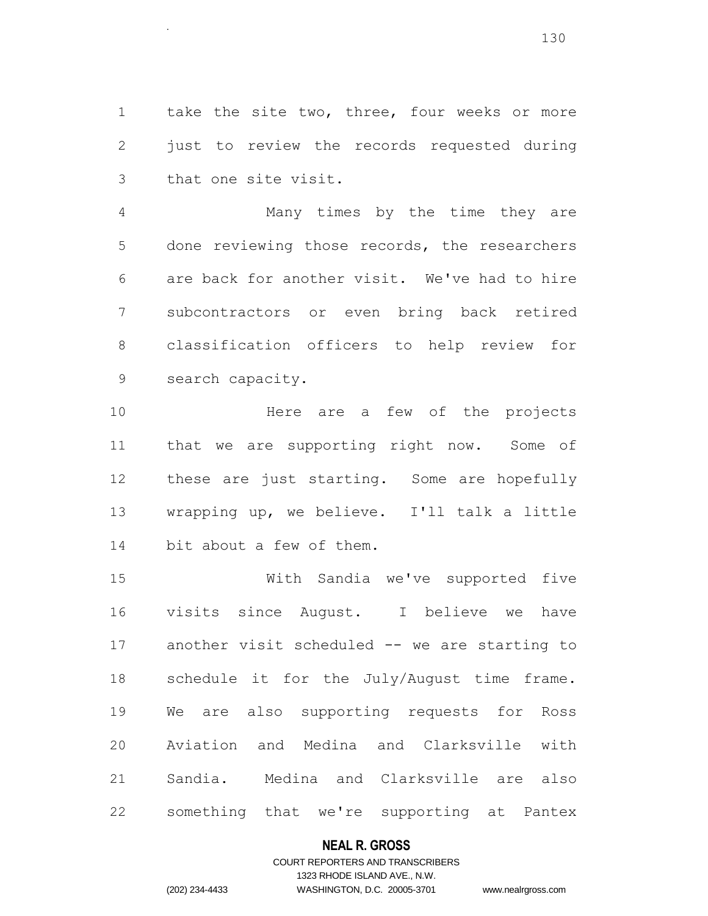take the site two, three, four weeks or more just to review the records requested during that one site visit.

.

 Many times by the time they are done reviewing those records, the researchers are back for another visit. We've had to hire subcontractors or even bring back retired classification officers to help review for search capacity.

 Here are a few of the projects 11 that we are supporting right now. Some of these are just starting. Some are hopefully wrapping up, we believe. I'll talk a little bit about a few of them.

 With Sandia we've supported five visits since August. I believe we have another visit scheduled -- we are starting to schedule it for the July/August time frame. We are also supporting requests for Ross Aviation and Medina and Clarksville with Sandia. Medina and Clarksville are also something that we're supporting at Pantex

## **NEAL R. GROSS**

# COURT REPORTERS AND TRANSCRIBERS 1323 RHODE ISLAND AVE., N.W. (202) 234-4433 WASHINGTON, D.C. 20005-3701 www.nealrgross.com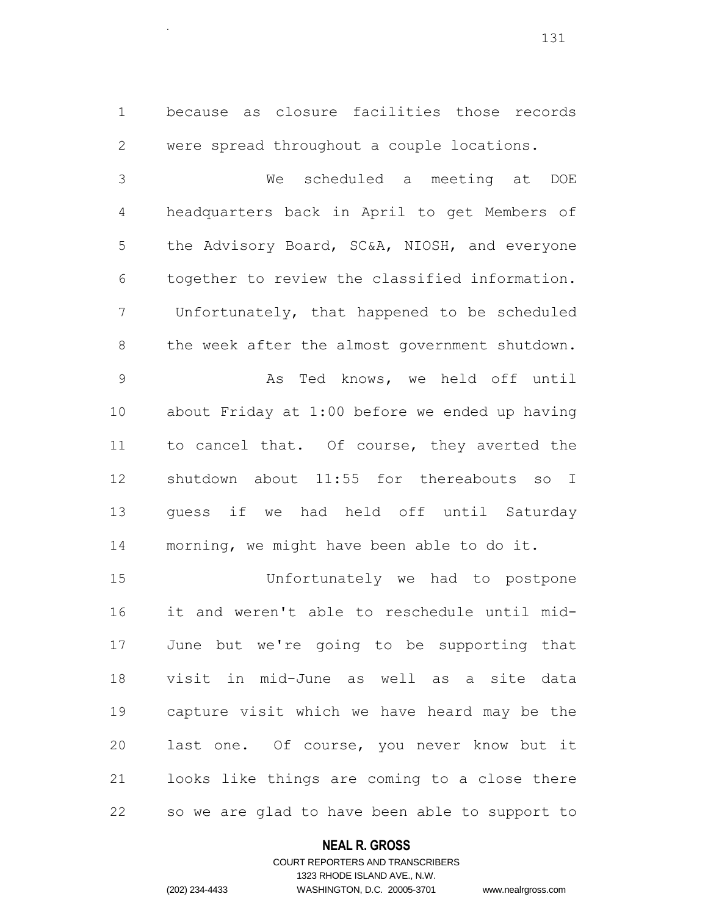because as closure facilities those records were spread throughout a couple locations.

.

 We scheduled a meeting at DOE headquarters back in April to get Members of the Advisory Board, SC&A, NIOSH, and everyone together to review the classified information. Unfortunately, that happened to be scheduled the week after the almost government shutdown. As Ted knows, we held off until about Friday at 1:00 before we ended up having to cancel that. Of course, they averted the shutdown about 11:55 for thereabouts so I guess if we had held off until Saturday morning, we might have been able to do it.

 Unfortunately we had to postpone it and weren't able to reschedule until mid- June but we're going to be supporting that visit in mid-June as well as a site data capture visit which we have heard may be the last one. Of course, you never know but it looks like things are coming to a close there so we are glad to have been able to support to

## **NEAL R. GROSS**

# COURT REPORTERS AND TRANSCRIBERS 1323 RHODE ISLAND AVE., N.W. (202) 234-4433 WASHINGTON, D.C. 20005-3701 www.nealrgross.com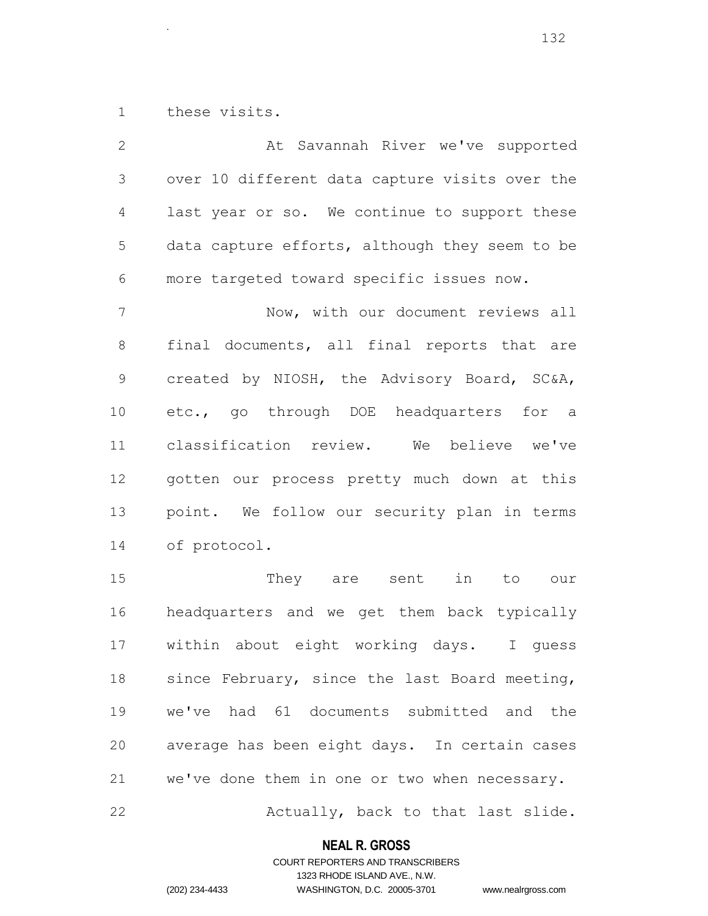these visits.

.

 At Savannah River we've supported over 10 different data capture visits over the last year or so. We continue to support these data capture efforts, although they seem to be more targeted toward specific issues now. Now, with our document reviews all final documents, all final reports that are created by NIOSH, the Advisory Board, SC&A, etc., go through DOE headquarters for a classification review. We believe we've gotten our process pretty much down at this point. We follow our security plan in terms of protocol. They are sent in to our headquarters and we get them back typically within about eight working days. I guess

 since February, since the last Board meeting, we've had 61 documents submitted and the average has been eight days. In certain cases we've done them in one or two when necessary.

22 Actually, back to that last slide.

## **NEAL R. GROSS**

COURT REPORTERS AND TRANSCRIBERS 1323 RHODE ISLAND AVE., N.W. (202) 234-4433 WASHINGTON, D.C. 20005-3701 www.nealrgross.com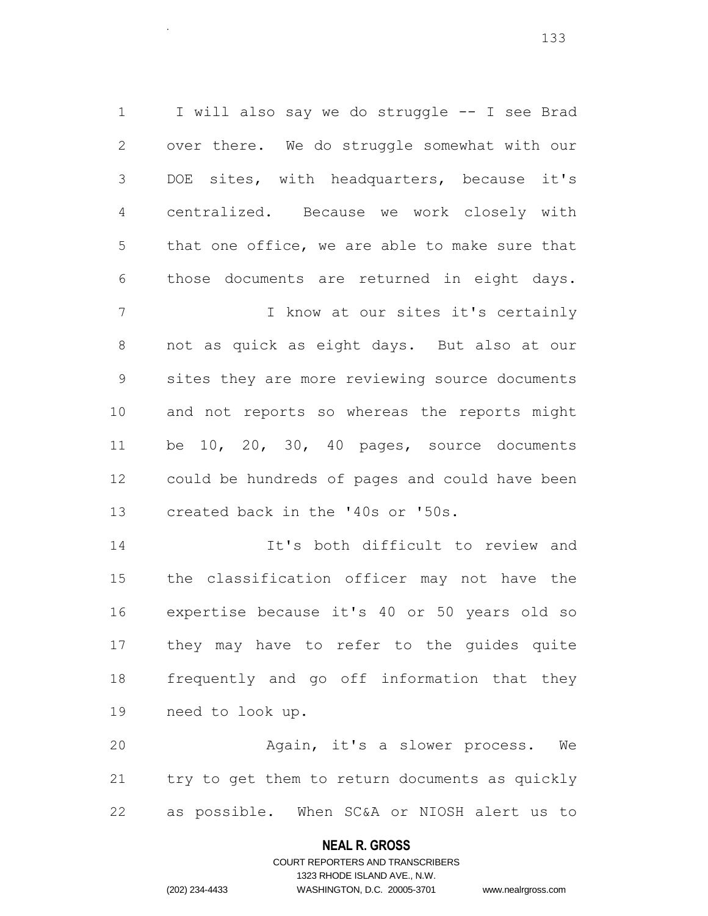I will also say we do struggle -- I see Brad over there. We do struggle somewhat with our DOE sites, with headquarters, because it's centralized. Because we work closely with that one office, we are able to make sure that those documents are returned in eight days.

 I know at our sites it's certainly not as quick as eight days. But also at our sites they are more reviewing source documents and not reports so whereas the reports might be 10, 20, 30, 40 pages, source documents could be hundreds of pages and could have been created back in the '40s or '50s.

 It's both difficult to review and the classification officer may not have the expertise because it's 40 or 50 years old so they may have to refer to the guides quite frequently and go off information that they need to look up.

 Again, it's a slower process. We try to get them to return documents as quickly as possible. When SC&A or NIOSH alert us to

## **NEAL R. GROSS**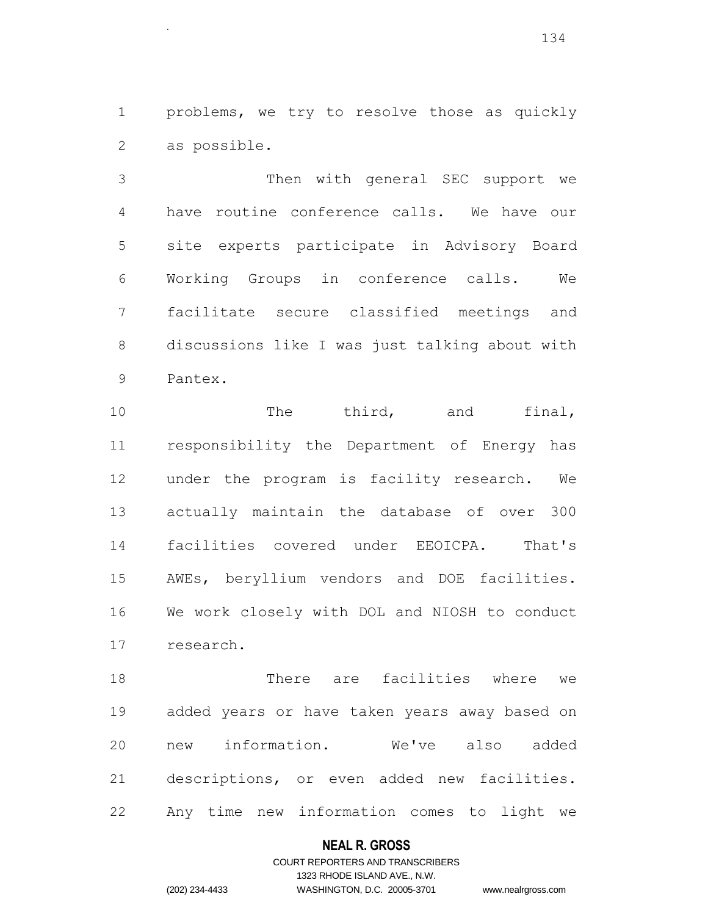problems, we try to resolve those as quickly as possible.

.

 Then with general SEC support we have routine conference calls. We have our site experts participate in Advisory Board Working Groups in conference calls. We facilitate secure classified meetings and discussions like I was just talking about with Pantex.

10 The third, and final, responsibility the Department of Energy has under the program is facility research. We actually maintain the database of over 300 facilities covered under EEOICPA. That's AWEs, beryllium vendors and DOE facilities. We work closely with DOL and NIOSH to conduct research.

 There are facilities where we added years or have taken years away based on new information. We've also added descriptions, or even added new facilities. Any time new information comes to light we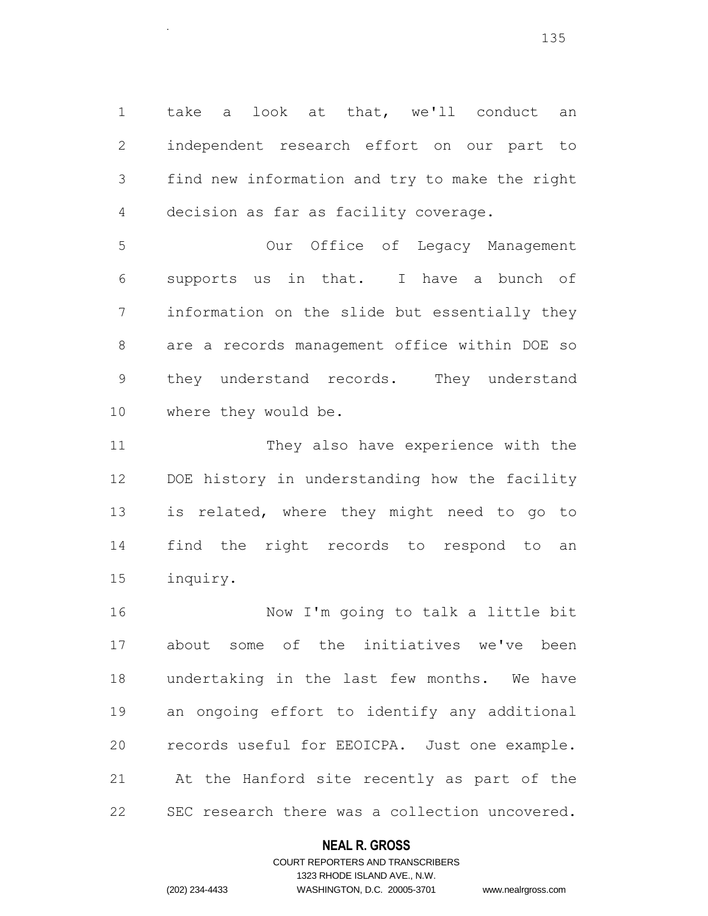take a look at that, we'll conduct an independent research effort on our part to find new information and try to make the right decision as far as facility coverage.

.

 Our Office of Legacy Management supports us in that. I have a bunch of information on the slide but essentially they are a records management office within DOE so they understand records. They understand where they would be.

 They also have experience with the DOE history in understanding how the facility is related, where they might need to go to find the right records to respond to an inquiry.

 Now I'm going to talk a little bit about some of the initiatives we've been undertaking in the last few months. We have an ongoing effort to identify any additional records useful for EEOICPA. Just one example. At the Hanford site recently as part of the SEC research there was a collection uncovered.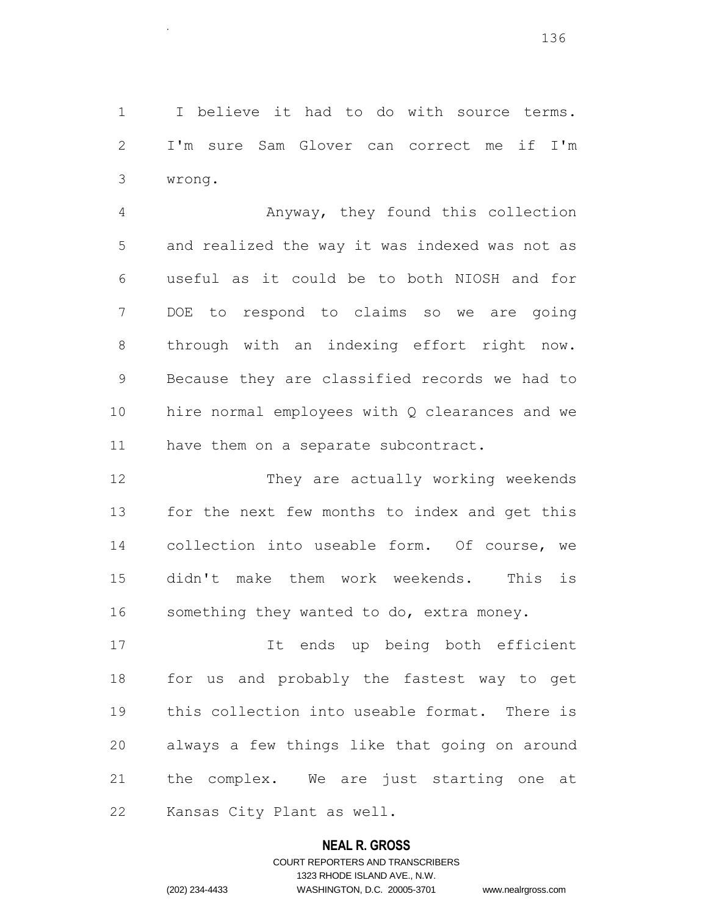I believe it had to do with source terms. I'm sure Sam Glover can correct me if I'm wrong.

.

 Anyway, they found this collection and realized the way it was indexed was not as useful as it could be to both NIOSH and for DOE to respond to claims so we are going through with an indexing effort right now. Because they are classified records we had to hire normal employees with Q clearances and we have them on a separate subcontract.

12 They are actually working weekends for the next few months to index and get this collection into useable form. Of course, we didn't make them work weekends. This is something they wanted to do, extra money.

 It ends up being both efficient for us and probably the fastest way to get this collection into useable format. There is always a few things like that going on around the complex. We are just starting one at Kansas City Plant as well.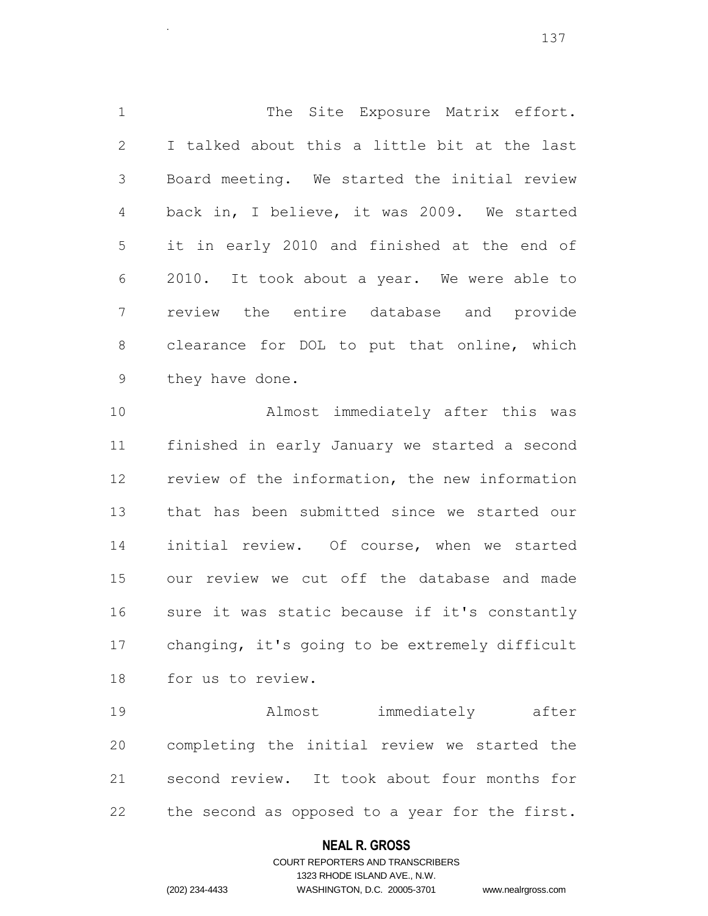The Site Exposure Matrix effort. I talked about this a little bit at the last Board meeting. We started the initial review back in, I believe, it was 2009. We started it in early 2010 and finished at the end of 2010. It took about a year. We were able to review the entire database and provide clearance for DOL to put that online, which they have done.

 Almost immediately after this was finished in early January we started a second review of the information, the new information that has been submitted since we started our initial review. Of course, when we started our review we cut off the database and made sure it was static because if it's constantly changing, it's going to be extremely difficult for us to review.

 Almost immediately after completing the initial review we started the second review. It took about four months for the second as opposed to a year for the first.

## **NEAL R. GROSS**

# COURT REPORTERS AND TRANSCRIBERS 1323 RHODE ISLAND AVE., N.W. (202) 234-4433 WASHINGTON, D.C. 20005-3701 www.nealrgross.com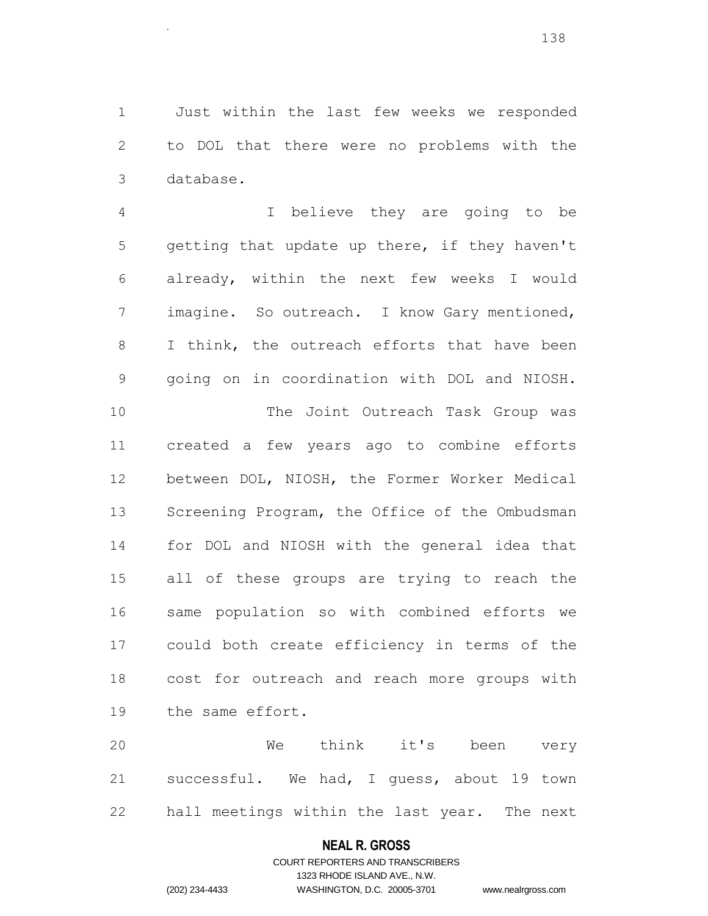Just within the last few weeks we responded to DOL that there were no problems with the database.

.

 I believe they are going to be getting that update up there, if they haven't already, within the next few weeks I would imagine. So outreach. I know Gary mentioned, I think, the outreach efforts that have been going on in coordination with DOL and NIOSH. The Joint Outreach Task Group was created a few years ago to combine efforts between DOL, NIOSH, the Former Worker Medical Screening Program, the Office of the Ombudsman for DOL and NIOSH with the general idea that all of these groups are trying to reach the same population so with combined efforts we could both create efficiency in terms of the cost for outreach and reach more groups with the same effort.

 We think it's been very successful. We had, I guess, about 19 town hall meetings within the last year. The next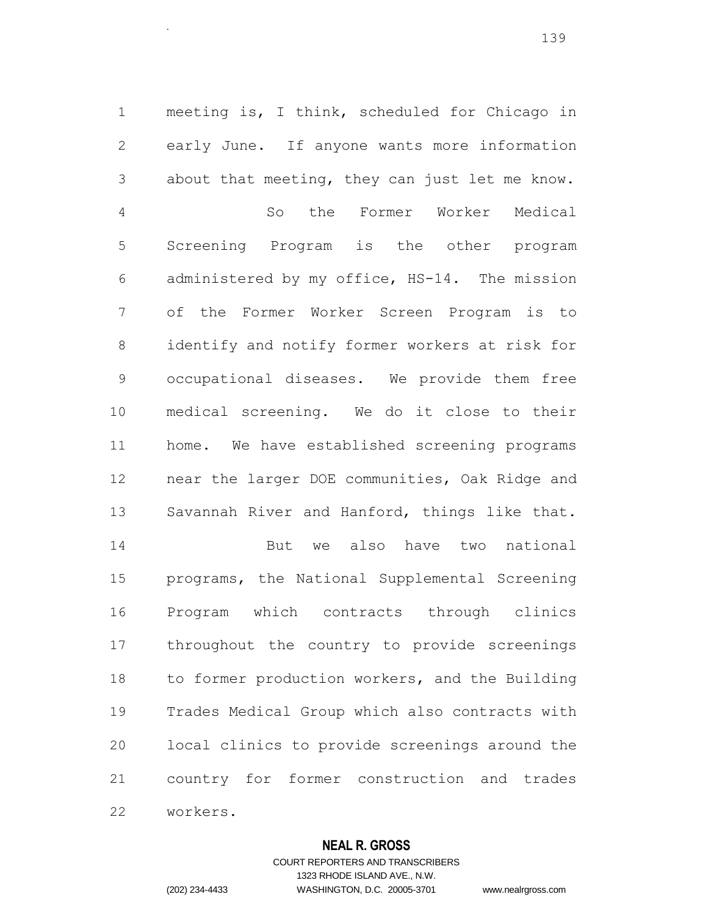meeting is, I think, scheduled for Chicago in early June. If anyone wants more information about that meeting, they can just let me know. So the Former Worker Medical Screening Program is the other program administered by my office, HS-14. The mission of the Former Worker Screen Program is to identify and notify former workers at risk for occupational diseases. We provide them free medical screening. We do it close to their home. We have established screening programs near the larger DOE communities, Oak Ridge and Savannah River and Hanford, things like that. But we also have two national programs, the National Supplemental Screening Program which contracts through clinics throughout the country to provide screenings to former production workers, and the Building Trades Medical Group which also contracts with local clinics to provide screenings around the country for former construction and trades

workers.

.

# **NEAL R. GROSS**

# COURT REPORTERS AND TRANSCRIBERS 1323 RHODE ISLAND AVE., N.W. (202) 234-4433 WASHINGTON, D.C. 20005-3701 www.nealrgross.com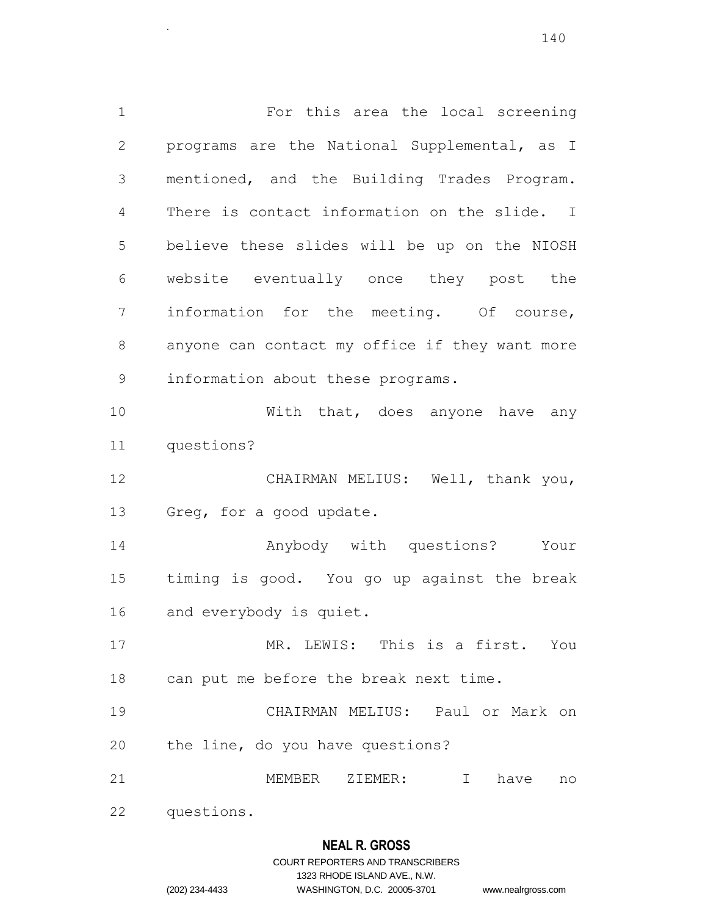For this area the local screening programs are the National Supplemental, as I mentioned, and the Building Trades Program. There is contact information on the slide. I believe these slides will be up on the NIOSH website eventually once they post the information for the meeting. Of course, anyone can contact my office if they want more information about these programs. 10 With that, does anyone have any questions? CHAIRMAN MELIUS: Well, thank you, Greg, for a good update. Anybody with questions? Your timing is good. You go up against the break and everybody is quiet. MR. LEWIS: This is a first. You can put me before the break next time. CHAIRMAN MELIUS: Paul or Mark on the line, do you have questions? MEMBER ZIEMER: I have no questions.

## **NEAL R. GROSS**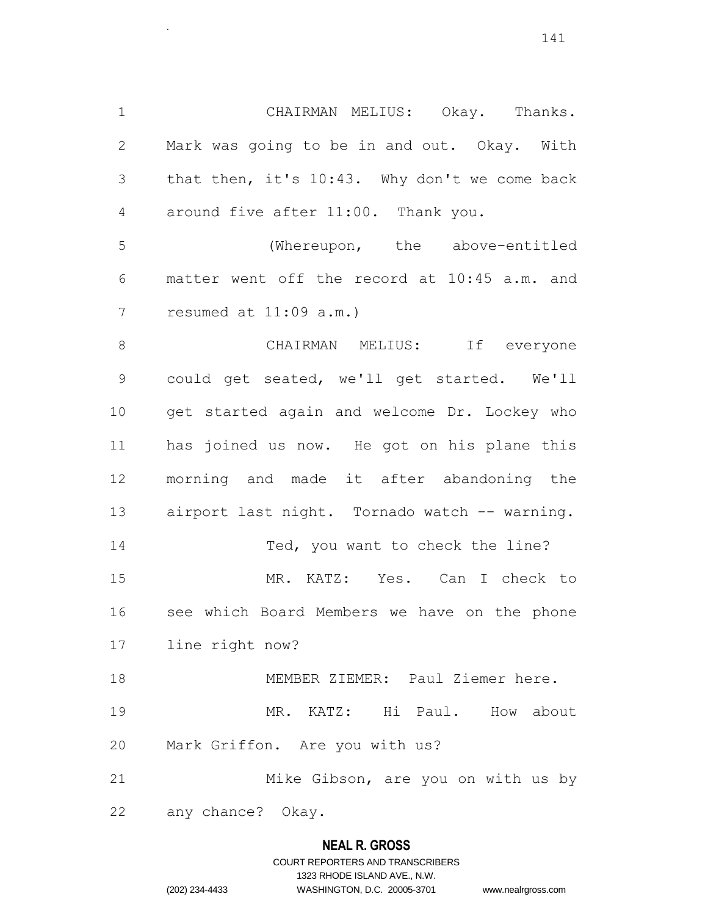CHAIRMAN MELIUS: Okay. Thanks. Mark was going to be in and out. Okay. With that then, it's 10:43. Why don't we come back around five after 11:00. Thank you.

.

 (Whereupon, the above-entitled matter went off the record at 10:45 a.m. and resumed at 11:09 a.m.)

8 CHAIRMAN MELIUS: If everyone could get seated, we'll get started. We'll get started again and welcome Dr. Lockey who has joined us now. He got on his plane this morning and made it after abandoning the 13 airport last night. Tornado watch -- warning. 14 Ted, you want to check the line? MR. KATZ: Yes. Can I check to see which Board Members we have on the phone line right now? MEMBER ZIEMER: Paul Ziemer here.

 MR. KATZ: Hi Paul. How about Mark Griffon. Are you with us?

21 Mike Gibson, are you on with us by any chance? Okay.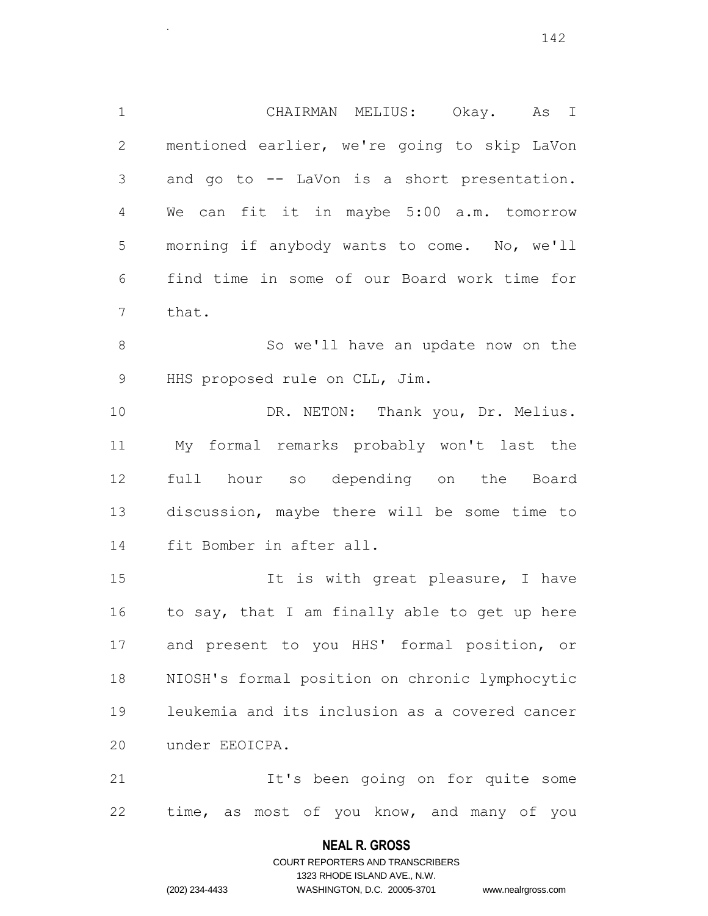CHAIRMAN MELIUS: Okay. As I mentioned earlier, we're going to skip LaVon and go to -- LaVon is a short presentation. We can fit it in maybe 5:00 a.m. tomorrow morning if anybody wants to come. No, we'll find time in some of our Board work time for that. So we'll have an update now on the HHS proposed rule on CLL, Jim. 10 DR. NETON: Thank you, Dr. Melius. My formal remarks probably won't last the full hour so depending on the Board discussion, maybe there will be some time to fit Bomber in after all. 15 15 It is with great pleasure, I have to say, that I am finally able to get up here and present to you HHS' formal position, or NIOSH's formal position on chronic lymphocytic

 leukemia and its inclusion as a covered cancer under EEOICPA.

21 1t's been going on for quite some time, as most of you know, and many of you

## **NEAL R. GROSS**

COURT REPORTERS AND TRANSCRIBERS 1323 RHODE ISLAND AVE., N.W. (202) 234-4433 WASHINGTON, D.C. 20005-3701 www.nealrgross.com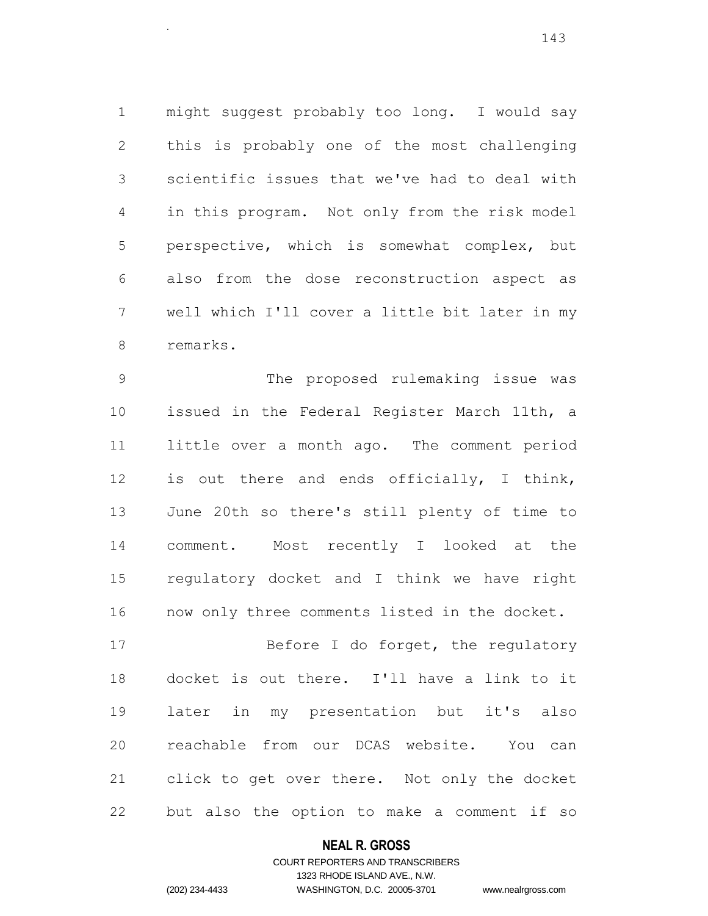might suggest probably too long. I would say this is probably one of the most challenging scientific issues that we've had to deal with in this program. Not only from the risk model perspective, which is somewhat complex, but also from the dose reconstruction aspect as well which I'll cover a little bit later in my remarks.

 The proposed rulemaking issue was issued in the Federal Register March 11th, a little over a month ago. The comment period is out there and ends officially, I think, June 20th so there's still plenty of time to comment. Most recently I looked at the regulatory docket and I think we have right now only three comments listed in the docket.

17 Before I do forget, the regulatory docket is out there. I'll have a link to it later in my presentation but it's also reachable from our DCAS website. You can click to get over there. Not only the docket but also the option to make a comment if so

## **NEAL R. GROSS**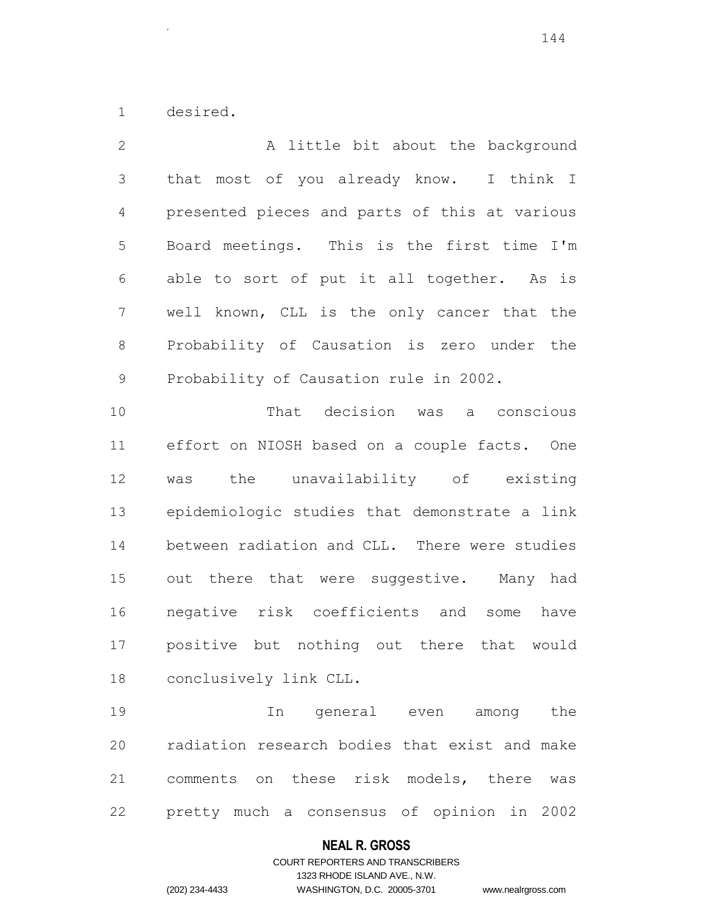desired.

.

2 A little bit about the background that most of you already know. I think I presented pieces and parts of this at various Board meetings. This is the first time I'm able to sort of put it all together. As is well known, CLL is the only cancer that the Probability of Causation is zero under the Probability of Causation rule in 2002. That decision was a conscious effort on NIOSH based on a couple facts. One was the unavailability of existing epidemiologic studies that demonstrate a link between radiation and CLL. There were studies 15 out there that were suggestive. Many had negative risk coefficients and some have positive but nothing out there that would conclusively link CLL. In general even among the radiation research bodies that exist and make comments on these risk models, there was

pretty much a consensus of opinion in 2002

## **NEAL R. GROSS**

# COURT REPORTERS AND TRANSCRIBERS 1323 RHODE ISLAND AVE., N.W. (202) 234-4433 WASHINGTON, D.C. 20005-3701 www.nealrgross.com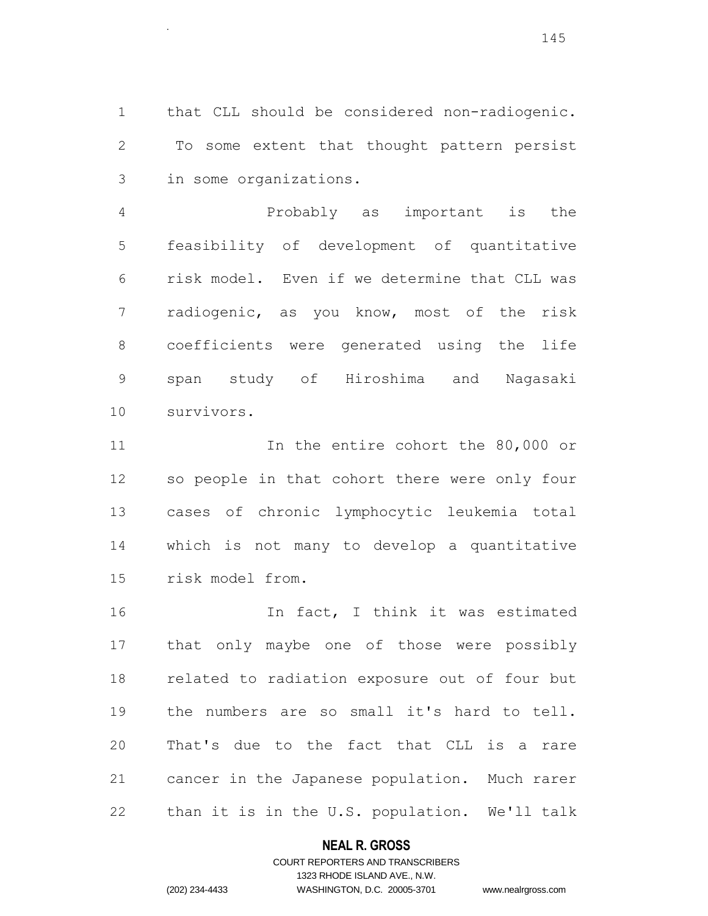that CLL should be considered non-radiogenic. To some extent that thought pattern persist in some organizations.

.

 Probably as important is the feasibility of development of quantitative risk model. Even if we determine that CLL was radiogenic, as you know, most of the risk coefficients were generated using the life span study of Hiroshima and Nagasaki survivors.

11 11 In the entire cohort the 80,000 or so people in that cohort there were only four cases of chronic lymphocytic leukemia total which is not many to develop a quantitative risk model from.

 In fact, I think it was estimated that only maybe one of those were possibly related to radiation exposure out of four but the numbers are so small it's hard to tell. That's due to the fact that CLL is a rare cancer in the Japanese population. Much rarer than it is in the U.S. population. We'll talk

### **NEAL R. GROSS**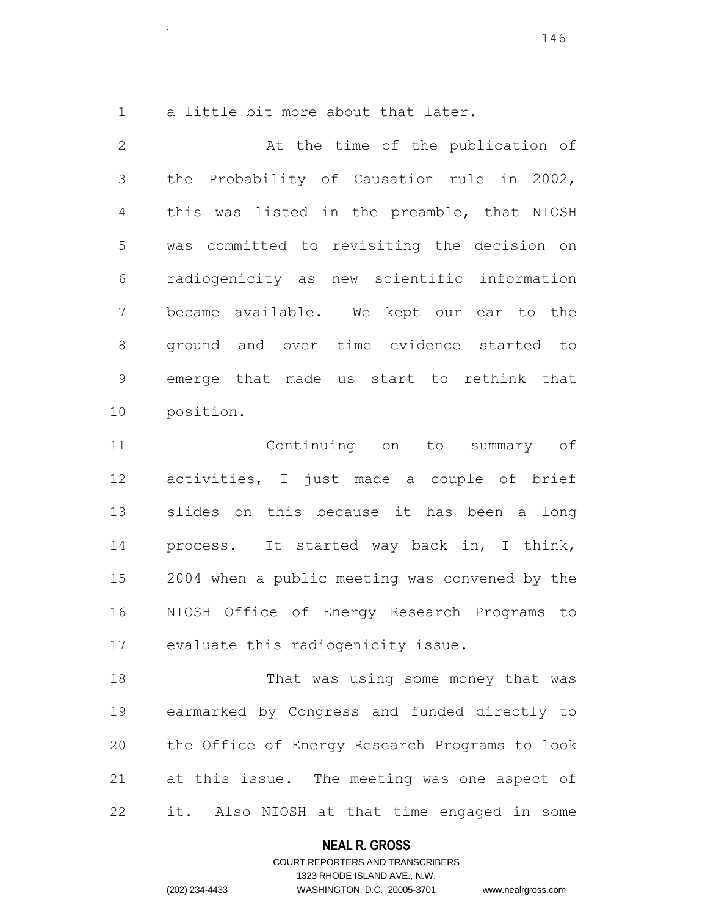a little bit more about that later.

.

 At the time of the publication of the Probability of Causation rule in 2002, this was listed in the preamble, that NIOSH was committed to revisiting the decision on radiogenicity as new scientific information became available. We kept our ear to the ground and over time evidence started to emerge that made us start to rethink that position.

 Continuing on to summary of activities, I just made a couple of brief slides on this because it has been a long process. It started way back in, I think, 2004 when a public meeting was convened by the NIOSH Office of Energy Research Programs to evaluate this radiogenicity issue.

18 That was using some money that was earmarked by Congress and funded directly to the Office of Energy Research Programs to look at this issue. The meeting was one aspect of it. Also NIOSH at that time engaged in some

### **NEAL R. GROSS**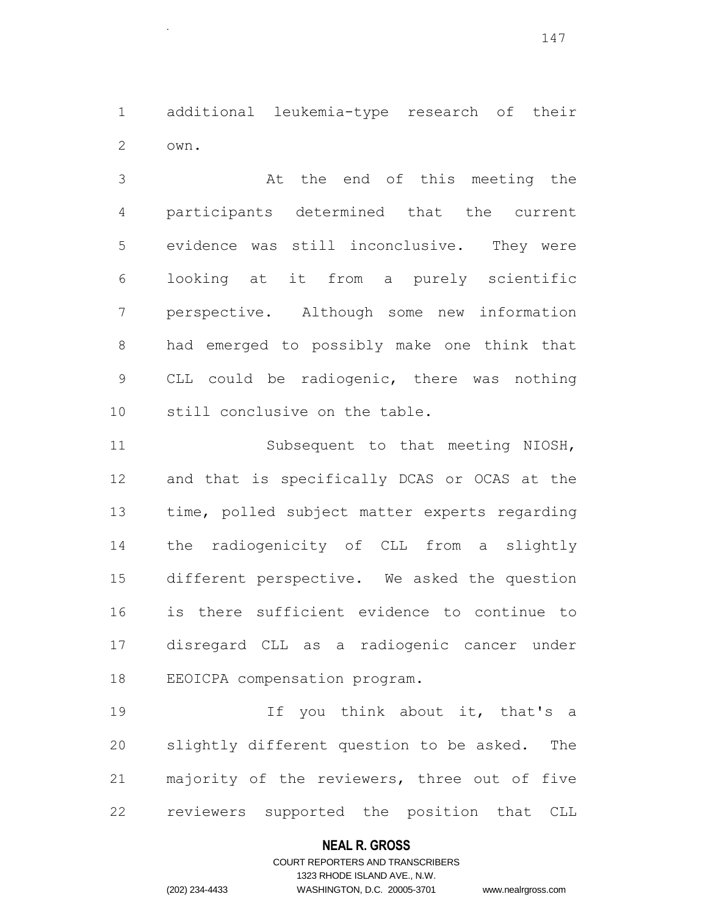additional leukemia-type research of their own.

.

 At the end of this meeting the participants determined that the current evidence was still inconclusive. They were looking at it from a purely scientific perspective. Although some new information had emerged to possibly make one think that CLL could be radiogenic, there was nothing still conclusive on the table.

11 Subsequent to that meeting NIOSH, and that is specifically DCAS or OCAS at the time, polled subject matter experts regarding the radiogenicity of CLL from a slightly different perspective. We asked the question is there sufficient evidence to continue to disregard CLL as a radiogenic cancer under EEOICPA compensation program.

19 19 If you think about it, that's a slightly different question to be asked. The majority of the reviewers, three out of five reviewers supported the position that CLL

#### **NEAL R. GROSS**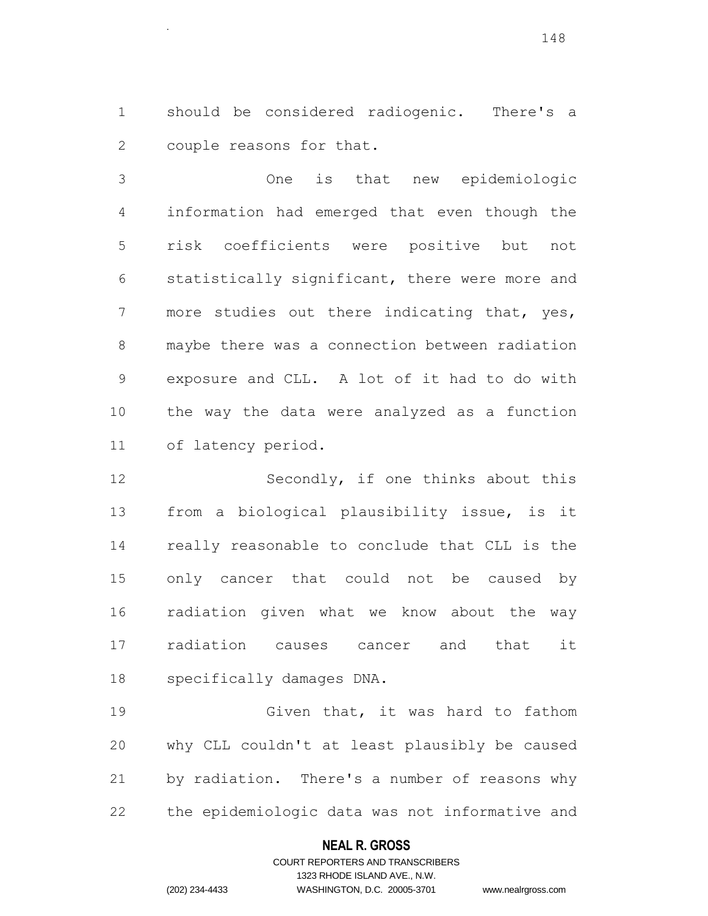should be considered radiogenic. There's a couple reasons for that.

.

 One is that new epidemiologic information had emerged that even though the risk coefficients were positive but not statistically significant, there were more and more studies out there indicating that, yes, maybe there was a connection between radiation exposure and CLL. A lot of it had to do with the way the data were analyzed as a function of latency period.

12 Secondly, if one thinks about this from a biological plausibility issue, is it really reasonable to conclude that CLL is the only cancer that could not be caused by radiation given what we know about the way radiation causes cancer and that it specifically damages DNA.

 Given that, it was hard to fathom why CLL couldn't at least plausibly be caused by radiation. There's a number of reasons why the epidemiologic data was not informative and

### **NEAL R. GROSS**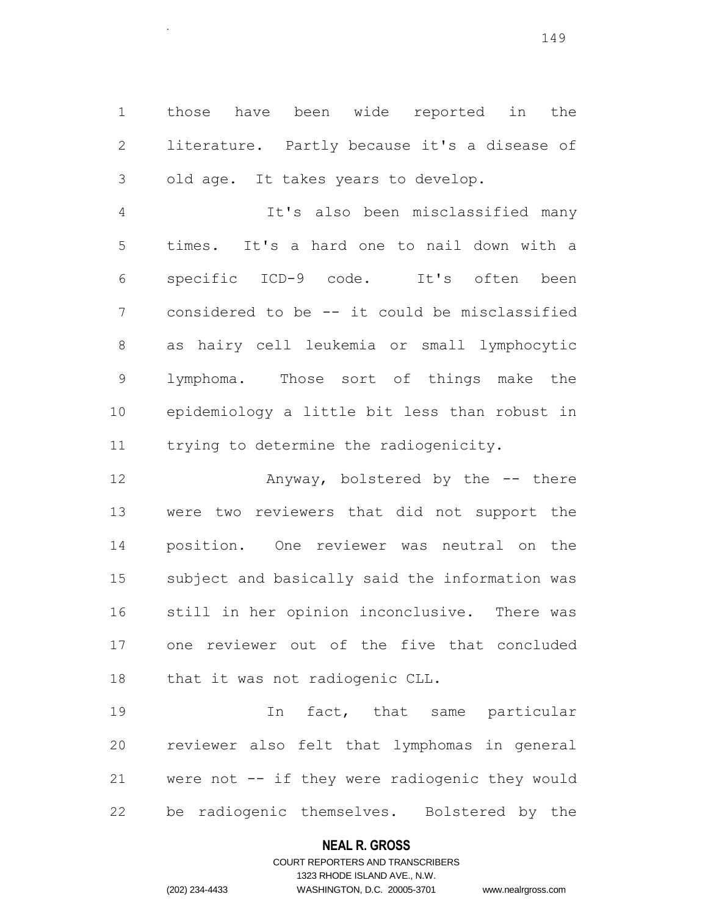those have been wide reported in the literature. Partly because it's a disease of old age. It takes years to develop.

.

 It's also been misclassified many times. It's a hard one to nail down with a specific ICD-9 code. It's often been considered to be -- it could be misclassified as hairy cell leukemia or small lymphocytic lymphoma. Those sort of things make the epidemiology a little bit less than robust in trying to determine the radiogenicity.

 Anyway, bolstered by the -- there were two reviewers that did not support the position. One reviewer was neutral on the subject and basically said the information was still in her opinion inconclusive. There was one reviewer out of the five that concluded 18 that it was not radiogenic CLL.

19 19 In fact, that same particular reviewer also felt that lymphomas in general were not -- if they were radiogenic they would be radiogenic themselves. Bolstered by the

#### **NEAL R. GROSS**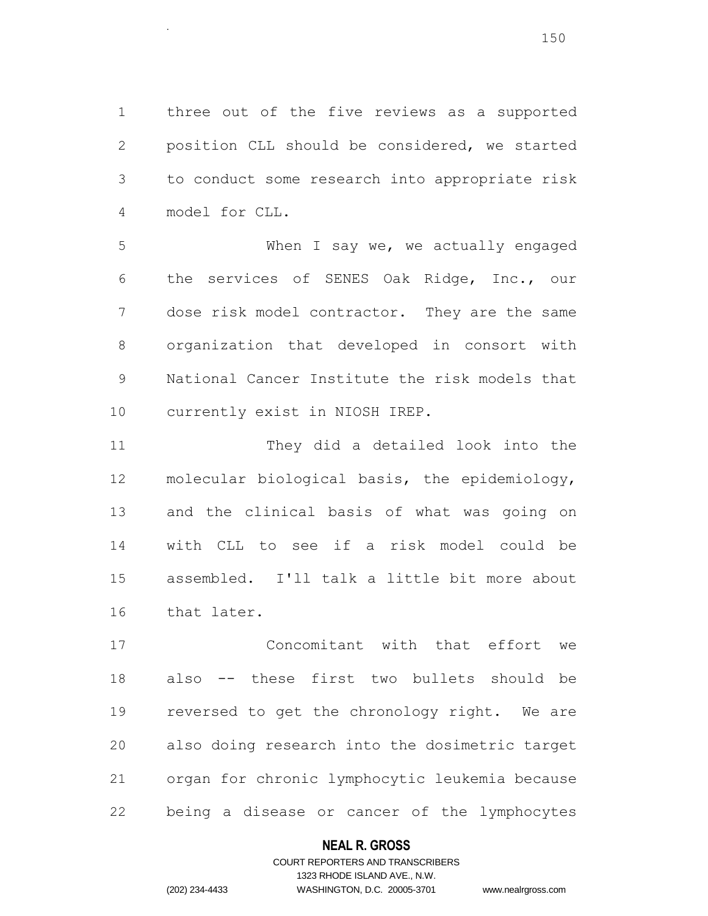three out of the five reviews as a supported position CLL should be considered, we started to conduct some research into appropriate risk model for CLL.

 When I say we, we actually engaged the services of SENES Oak Ridge, Inc., our dose risk model contractor. They are the same organization that developed in consort with National Cancer Institute the risk models that currently exist in NIOSH IREP.

 They did a detailed look into the molecular biological basis, the epidemiology, and the clinical basis of what was going on with CLL to see if a risk model could be assembled. I'll talk a little bit more about that later.

 Concomitant with that effort we also -- these first two bullets should be reversed to get the chronology right. We are also doing research into the dosimetric target organ for chronic lymphocytic leukemia because being a disease or cancer of the lymphocytes

### **NEAL R. GROSS**

.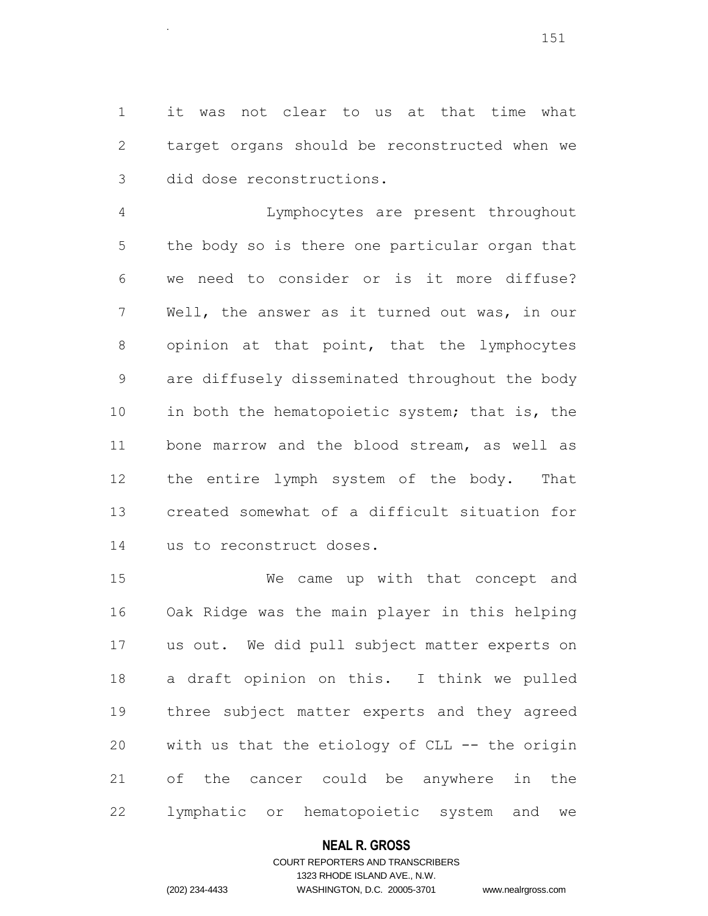it was not clear to us at that time what target organs should be reconstructed when we did dose reconstructions.

.

 Lymphocytes are present throughout the body so is there one particular organ that we need to consider or is it more diffuse? Well, the answer as it turned out was, in our opinion at that point, that the lymphocytes are diffusely disseminated throughout the body in both the hematopoietic system; that is, the bone marrow and the blood stream, as well as 12 the entire lymph system of the body. That created somewhat of a difficult situation for us to reconstruct doses.

 We came up with that concept and Oak Ridge was the main player in this helping us out. We did pull subject matter experts on a draft opinion on this. I think we pulled three subject matter experts and they agreed with us that the etiology of CLL -- the origin of the cancer could be anywhere in the lymphatic or hematopoietic system and we

#### **NEAL R. GROSS**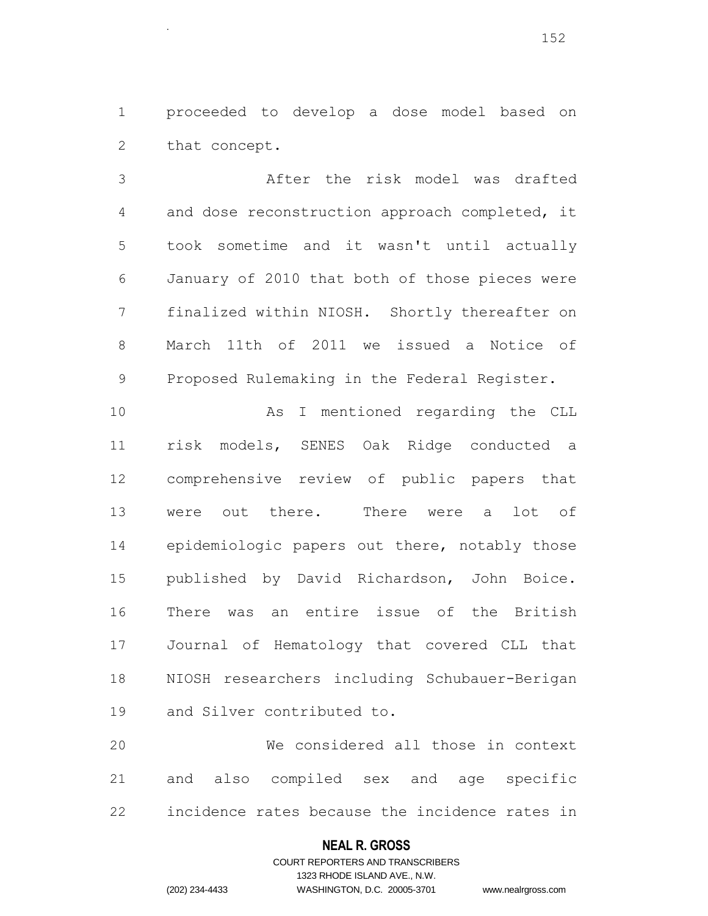proceeded to develop a dose model based on that concept.

.

 After the risk model was drafted and dose reconstruction approach completed, it took sometime and it wasn't until actually January of 2010 that both of those pieces were finalized within NIOSH. Shortly thereafter on March 11th of 2011 we issued a Notice of Proposed Rulemaking in the Federal Register.

 As I mentioned regarding the CLL risk models, SENES Oak Ridge conducted a comprehensive review of public papers that were out there. There were a lot of epidemiologic papers out there, notably those published by David Richardson, John Boice. There was an entire issue of the British Journal of Hematology that covered CLL that NIOSH researchers including Schubauer-Berigan and Silver contributed to.

 We considered all those in context and also compiled sex and age specific incidence rates because the incidence rates in

#### **NEAL R. GROSS**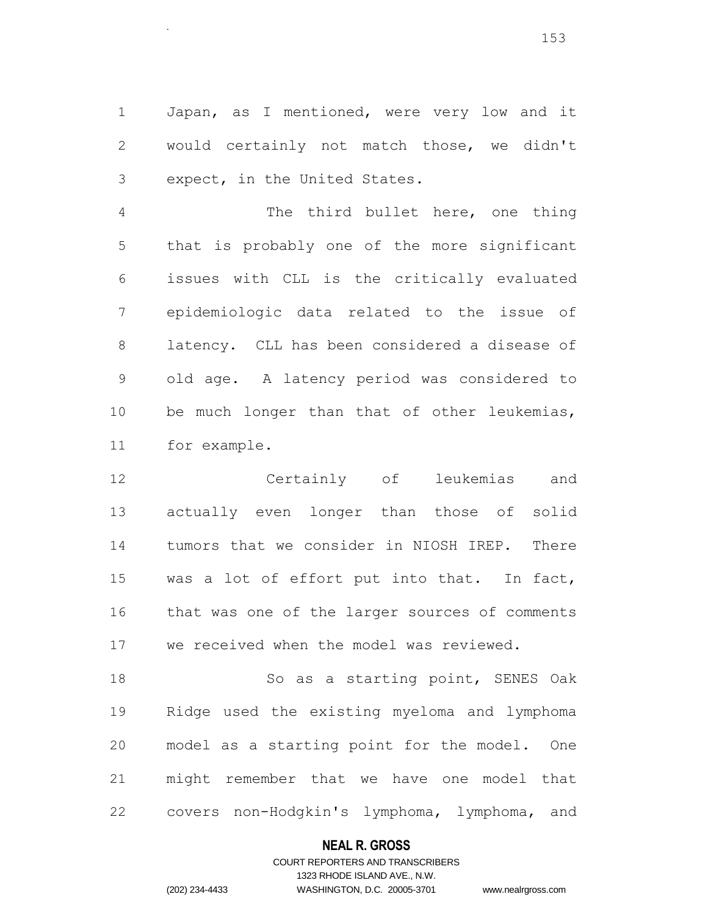Japan, as I mentioned, were very low and it would certainly not match those, we didn't expect, in the United States.

.

 The third bullet here, one thing that is probably one of the more significant issues with CLL is the critically evaluated epidemiologic data related to the issue of latency. CLL has been considered a disease of old age. A latency period was considered to be much longer than that of other leukemias, for example.

 Certainly of leukemias and actually even longer than those of solid tumors that we consider in NIOSH IREP. There was a lot of effort put into that. In fact, that was one of the larger sources of comments we received when the model was reviewed.

 So as a starting point, SENES Oak Ridge used the existing myeloma and lymphoma model as a starting point for the model. One might remember that we have one model that covers non-Hodgkin's lymphoma, lymphoma, and

### **NEAL R. GROSS**

## COURT REPORTERS AND TRANSCRIBERS 1323 RHODE ISLAND AVE., N.W. (202) 234-4433 WASHINGTON, D.C. 20005-3701 www.nealrgross.com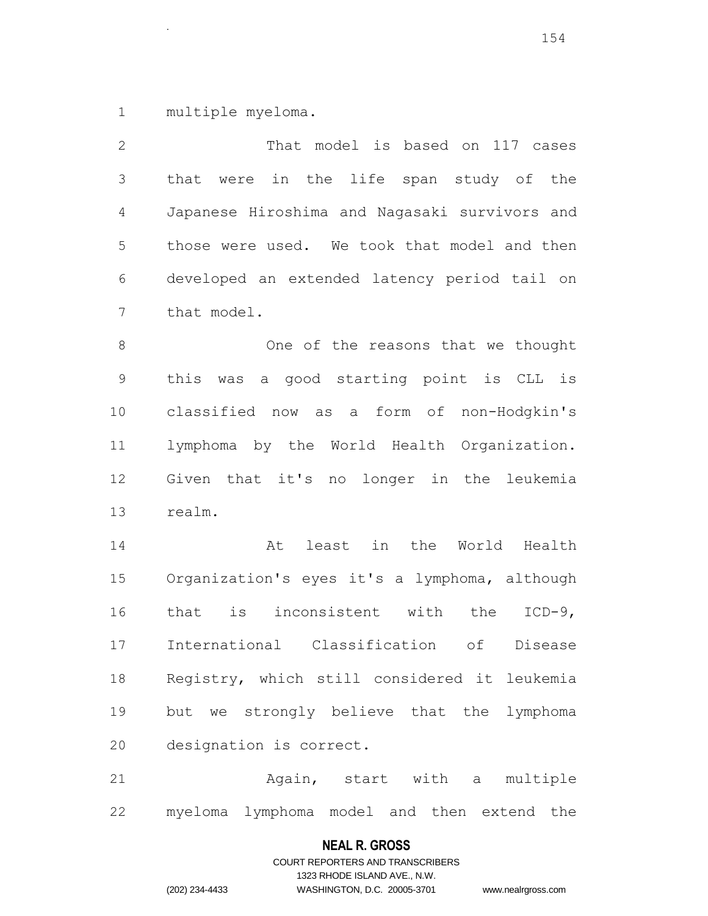multiple myeloma.

.

| That model is based on 117 cases                |
|-------------------------------------------------|
| in the life span study of the<br>that<br>were   |
| Japanese Hiroshima and Nagasaki survivors and   |
| those were used. We took that model and then    |
| developed an extended latency period tail on    |
| that model.                                     |
| One of the reasons that we thought              |
| was a good starting point is CLL is<br>this     |
| classified now as a form of non-Hodgkin's       |
| lymphoma by the World Health Organization.      |
| Given that it's no longer in the leukemia       |
| realm.                                          |
| least in the World<br>At<br>Health              |
| Organization's eyes it's a lymphoma, although   |
| is<br>inconsistent with the<br>that<br>$ICD-9,$ |
| International Classification<br>of<br>Disease   |
| Registry, which still considered it leukemia    |
| but we strongly believe that the lymphoma       |
| designation is correct.                         |
| Again, start with a<br>multiple                 |
|                                                 |

myeloma lymphoma model and then extend the

# **NEAL R. GROSS**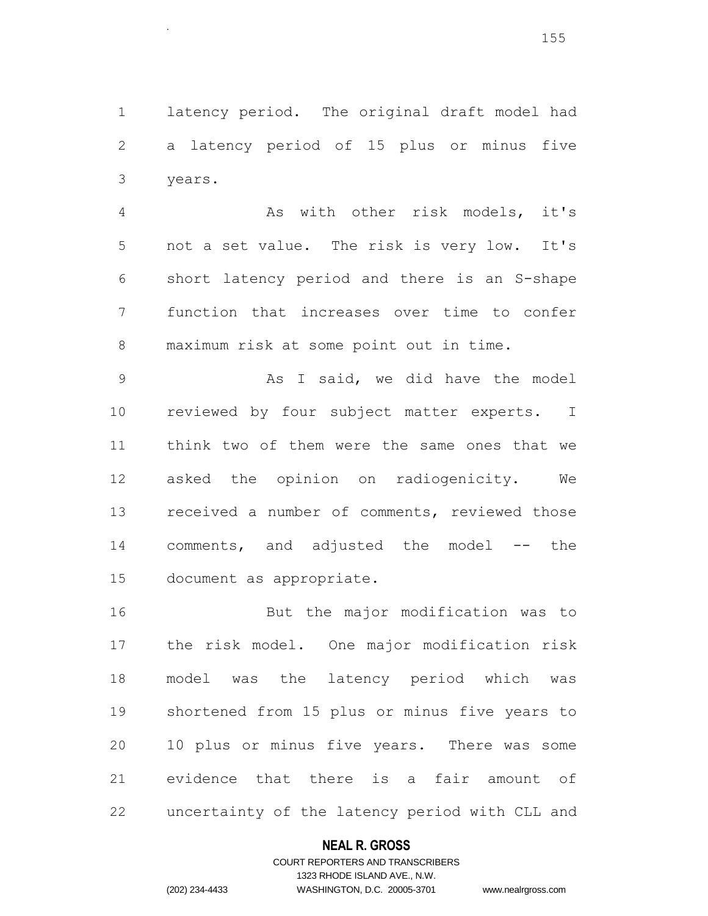latency period. The original draft model had a latency period of 15 plus or minus five years.

.

 As with other risk models, it's not a set value. The risk is very low. It's short latency period and there is an S-shape function that increases over time to confer maximum risk at some point out in time.

 As I said, we did have the model reviewed by four subject matter experts. I think two of them were the same ones that we asked the opinion on radiogenicity. We received a number of comments, reviewed those comments, and adjusted the model -- the document as appropriate.

 But the major modification was to the risk model. One major modification risk model was the latency period which was shortened from 15 plus or minus five years to 10 plus or minus five years. There was some evidence that there is a fair amount of uncertainty of the latency period with CLL and

#### **NEAL R. GROSS**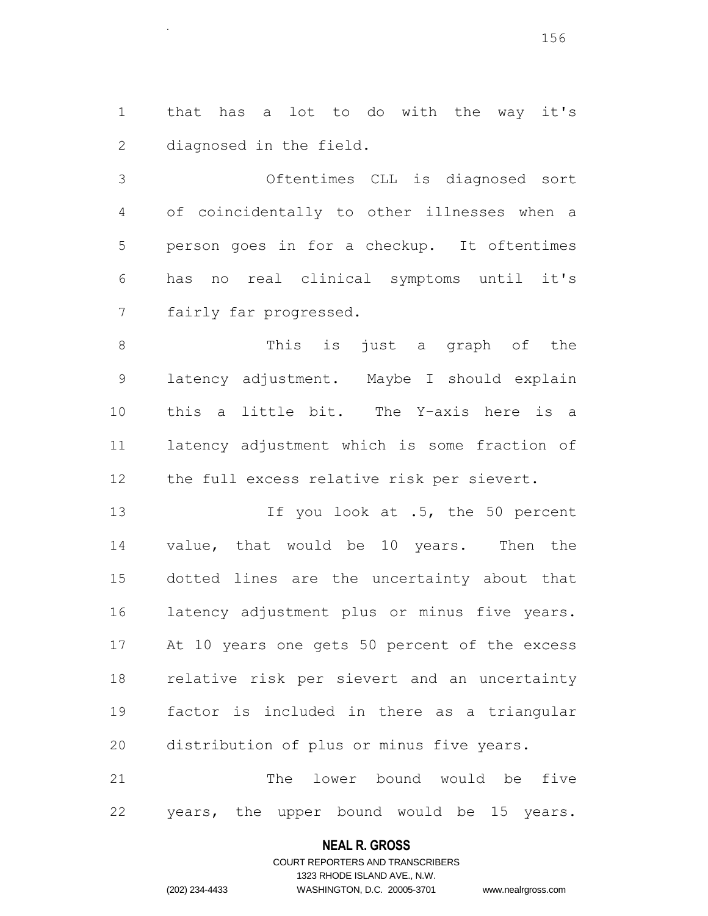that has a lot to do with the way it's diagnosed in the field.

.

 Oftentimes CLL is diagnosed sort of coincidentally to other illnesses when a person goes in for a checkup. It oftentimes has no real clinical symptoms until it's fairly far progressed.

 This is just a graph of the latency adjustment. Maybe I should explain this a little bit. The Y-axis here is a latency adjustment which is some fraction of the full excess relative risk per sievert.

13 If you look at .5, the 50 percent value, that would be 10 years. Then the dotted lines are the uncertainty about that latency adjustment plus or minus five years. At 10 years one gets 50 percent of the excess relative risk per sievert and an uncertainty factor is included in there as a triangular distribution of plus or minus five years.

 The lower bound would be five years, the upper bound would be 15 years.

### **NEAL R. GROSS**

COURT REPORTERS AND TRANSCRIBERS 1323 RHODE ISLAND AVE., N.W. (202) 234-4433 WASHINGTON, D.C. 20005-3701 www.nealrgross.com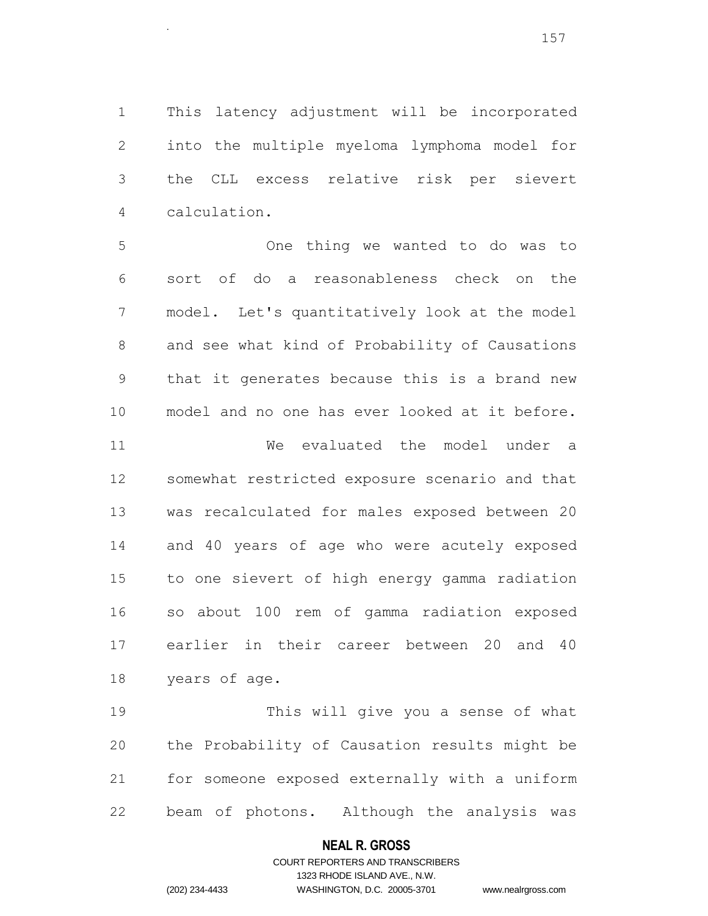This latency adjustment will be incorporated into the multiple myeloma lymphoma model for the CLL excess relative risk per sievert calculation.

 One thing we wanted to do was to sort of do a reasonableness check on the model. Let's quantitatively look at the model and see what kind of Probability of Causations that it generates because this is a brand new model and no one has ever looked at it before. We evaluated the model under a somewhat restricted exposure scenario and that was recalculated for males exposed between 20 and 40 years of age who were acutely exposed to one sievert of high energy gamma radiation so about 100 rem of gamma radiation exposed earlier in their career between 20 and 40 years of age.

 This will give you a sense of what the Probability of Causation results might be for someone exposed externally with a uniform beam of photons. Although the analysis was

#### **NEAL R. GROSS**

## COURT REPORTERS AND TRANSCRIBERS 1323 RHODE ISLAND AVE., N.W. (202) 234-4433 WASHINGTON, D.C. 20005-3701 www.nealrgross.com

.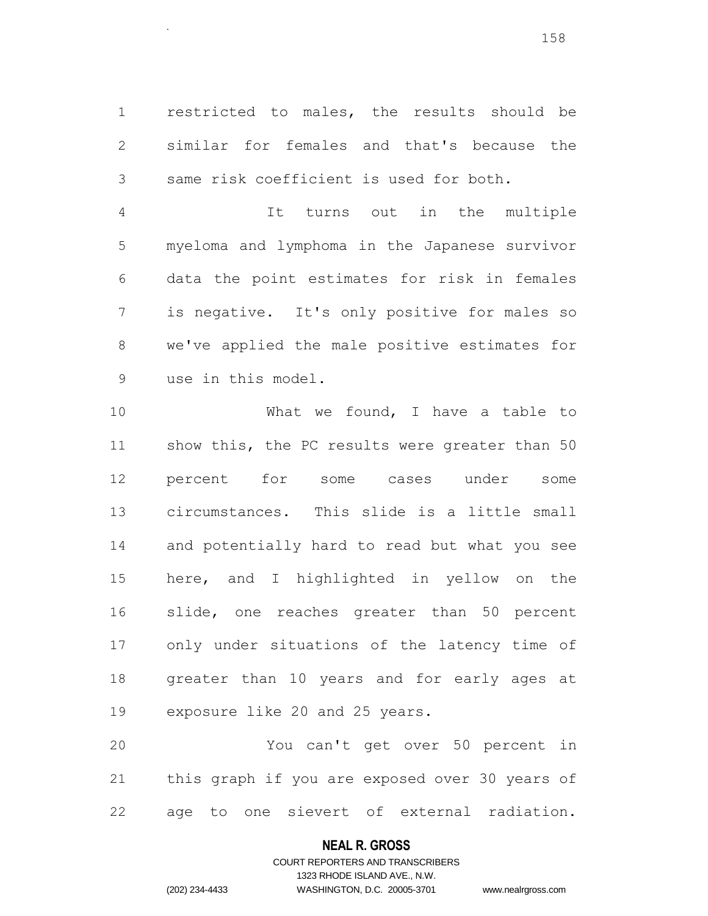restricted to males, the results should be similar for females and that's because the same risk coefficient is used for both.

.

 It turns out in the multiple myeloma and lymphoma in the Japanese survivor data the point estimates for risk in females is negative. It's only positive for males so we've applied the male positive estimates for use in this model.

10 What we found, I have a table to 11 show this, the PC results were greater than 50 percent for some cases under some circumstances. This slide is a little small and potentially hard to read but what you see here, and I highlighted in yellow on the slide, one reaches greater than 50 percent only under situations of the latency time of greater than 10 years and for early ages at exposure like 20 and 25 years.

 You can't get over 50 percent in this graph if you are exposed over 30 years of age to one sievert of external radiation.

### **NEAL R. GROSS**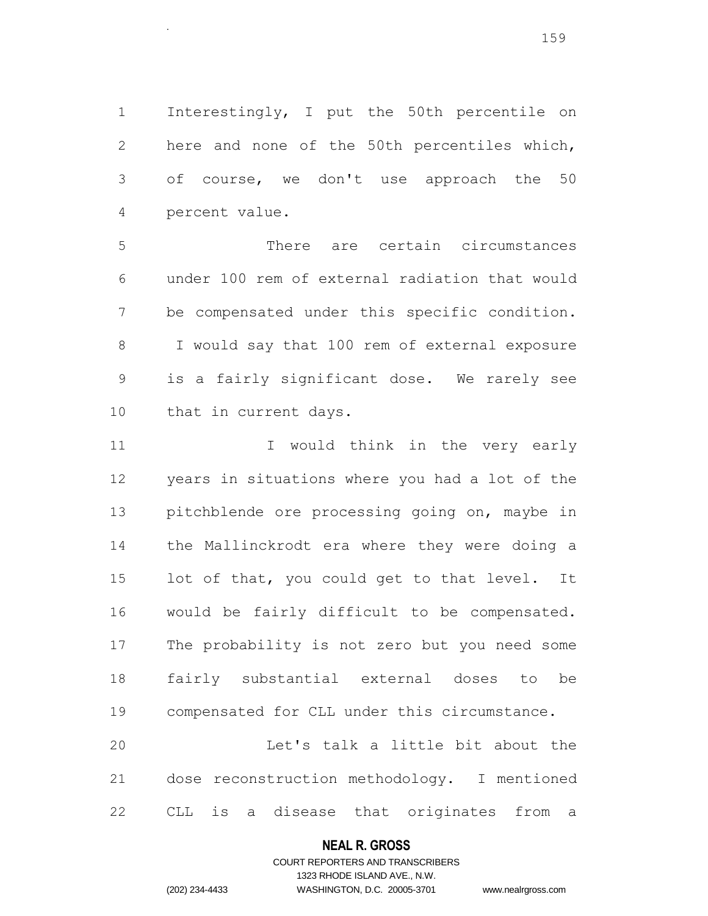Interestingly, I put the 50th percentile on here and none of the 50th percentiles which, of course, we don't use approach the 50 percent value.

.

 There are certain circumstances under 100 rem of external radiation that would be compensated under this specific condition. I would say that 100 rem of external exposure is a fairly significant dose. We rarely see 10 that in current days.

11 1 I would think in the very early years in situations where you had a lot of the pitchblende ore processing going on, maybe in the Mallinckrodt era where they were doing a lot of that, you could get to that level. It would be fairly difficult to be compensated. The probability is not zero but you need some fairly substantial external doses to be compensated for CLL under this circumstance. Let's talk a little bit about the

 dose reconstruction methodology. I mentioned CLL is a disease that originates from a

#### **NEAL R. GROSS**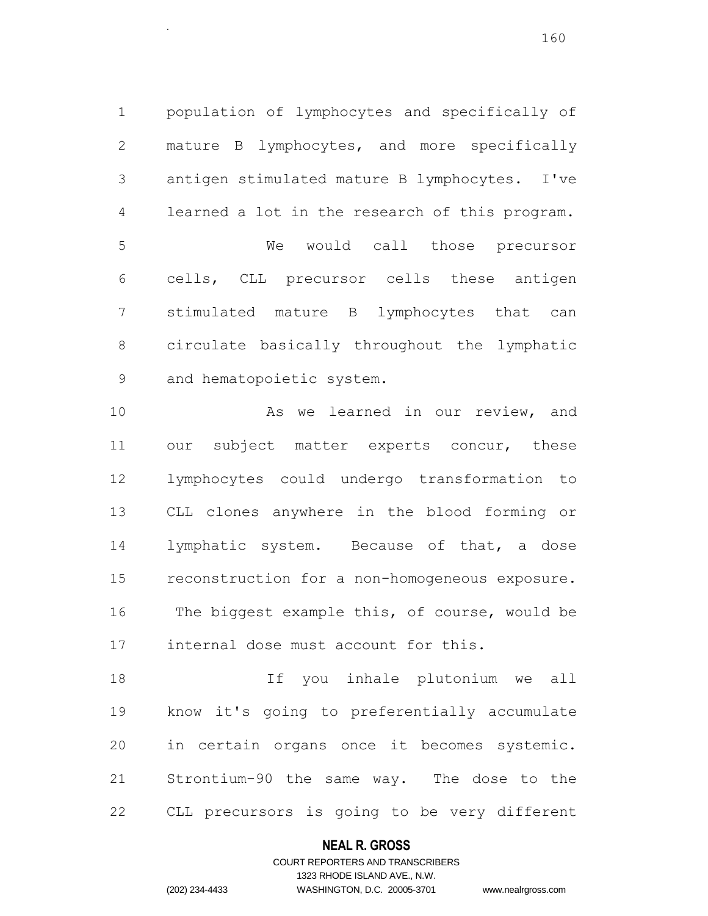population of lymphocytes and specifically of mature B lymphocytes, and more specifically antigen stimulated mature B lymphocytes. I've learned a lot in the research of this program. We would call those precursor cells, CLL precursor cells these antigen stimulated mature B lymphocytes that can circulate basically throughout the lymphatic and hematopoietic system.

10 As we learned in our review, and 11 our subject matter experts concur, these lymphocytes could undergo transformation to CLL clones anywhere in the blood forming or lymphatic system. Because of that, a dose reconstruction for a non-homogeneous exposure. The biggest example this, of course, would be internal dose must account for this.

 If you inhale plutonium we all know it's going to preferentially accumulate in certain organs once it becomes systemic. Strontium-90 the same way. The dose to the CLL precursors is going to be very different

#### **NEAL R. GROSS**

.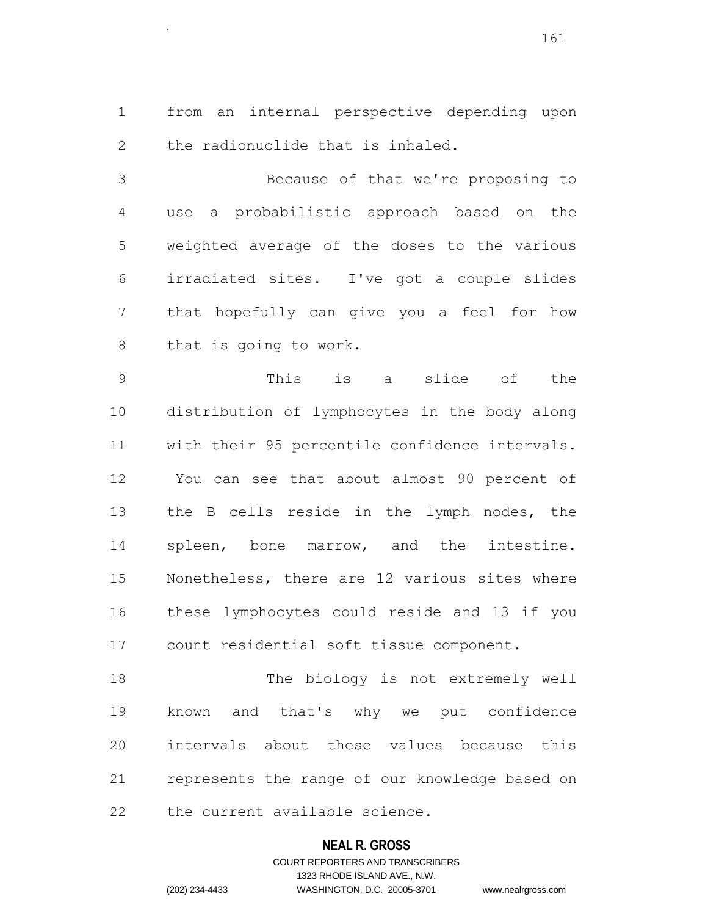from an internal perspective depending upon the radionuclide that is inhaled.

.

 Because of that we're proposing to use a probabilistic approach based on the weighted average of the doses to the various irradiated sites. I've got a couple slides that hopefully can give you a feel for how that is going to work.

 This is a slide of the distribution of lymphocytes in the body along with their 95 percentile confidence intervals. You can see that about almost 90 percent of the B cells reside in the lymph nodes, the spleen, bone marrow, and the intestine. Nonetheless, there are 12 various sites where these lymphocytes could reside and 13 if you count residential soft tissue component.

 The biology is not extremely well known and that's why we put confidence intervals about these values because this represents the range of our knowledge based on the current available science.

#### **NEAL R. GROSS**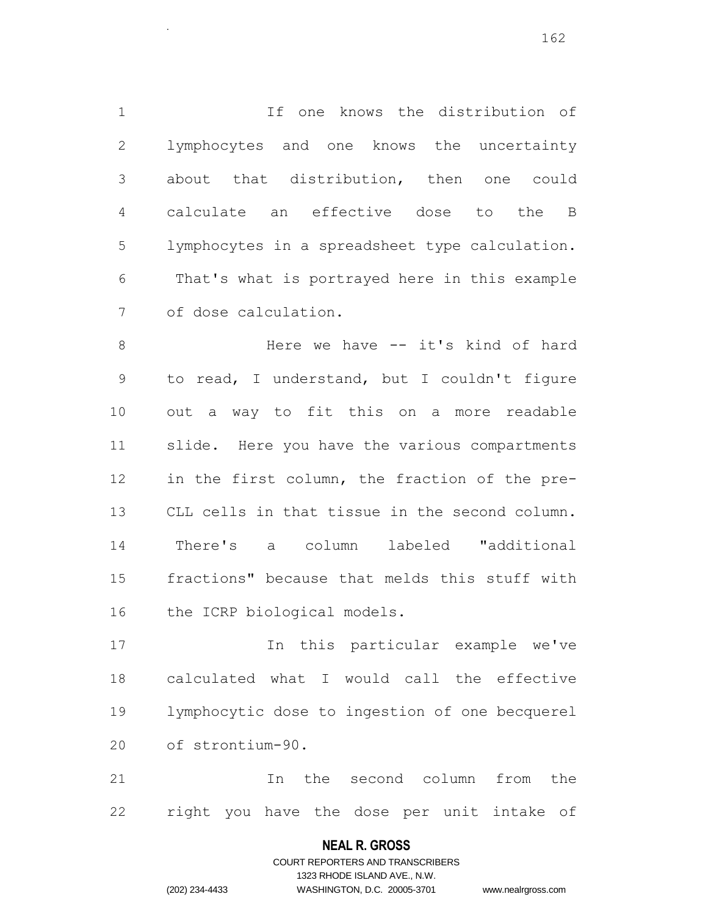If one knows the distribution of lymphocytes and one knows the uncertainty about that distribution, then one could calculate an effective dose to the B lymphocytes in a spreadsheet type calculation. That's what is portrayed here in this example of dose calculation.

8 Here we have -- it's kind of hard to read, I understand, but I couldn't figure out a way to fit this on a more readable slide. Here you have the various compartments in the first column, the fraction of the pre- CLL cells in that tissue in the second column. There's a column labeled "additional fractions" because that melds this stuff with the ICRP biological models.

 In this particular example we've calculated what I would call the effective lymphocytic dose to ingestion of one becquerel of strontium-90.

 In the second column from the right you have the dose per unit intake of

#### **NEAL R. GROSS**

.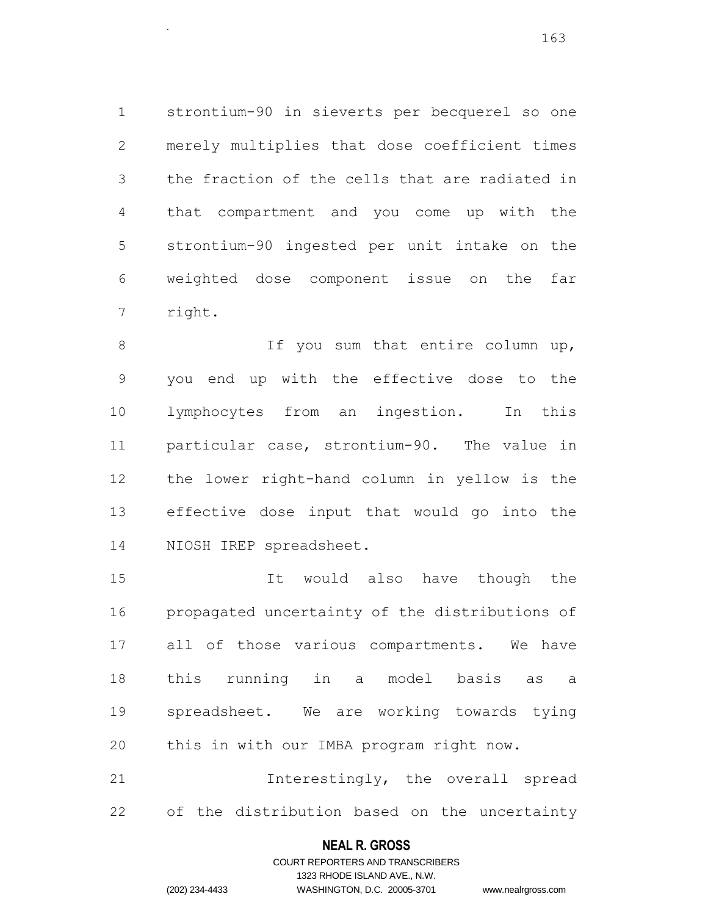strontium-90 in sieverts per becquerel so one merely multiplies that dose coefficient times the fraction of the cells that are radiated in that compartment and you come up with the strontium-90 ingested per unit intake on the weighted dose component issue on the far right.

8 If you sum that entire column up, you end up with the effective dose to the lymphocytes from an ingestion. In this particular case, strontium-90. The value in the lower right-hand column in yellow is the effective dose input that would go into the NIOSH IREP spreadsheet.

 It would also have though the propagated uncertainty of the distributions of all of those various compartments. We have this running in a model basis as a spreadsheet. We are working towards tying this in with our IMBA program right now.

 Interestingly, the overall spread of the distribution based on the uncertainty

#### **NEAL R. GROSS**

.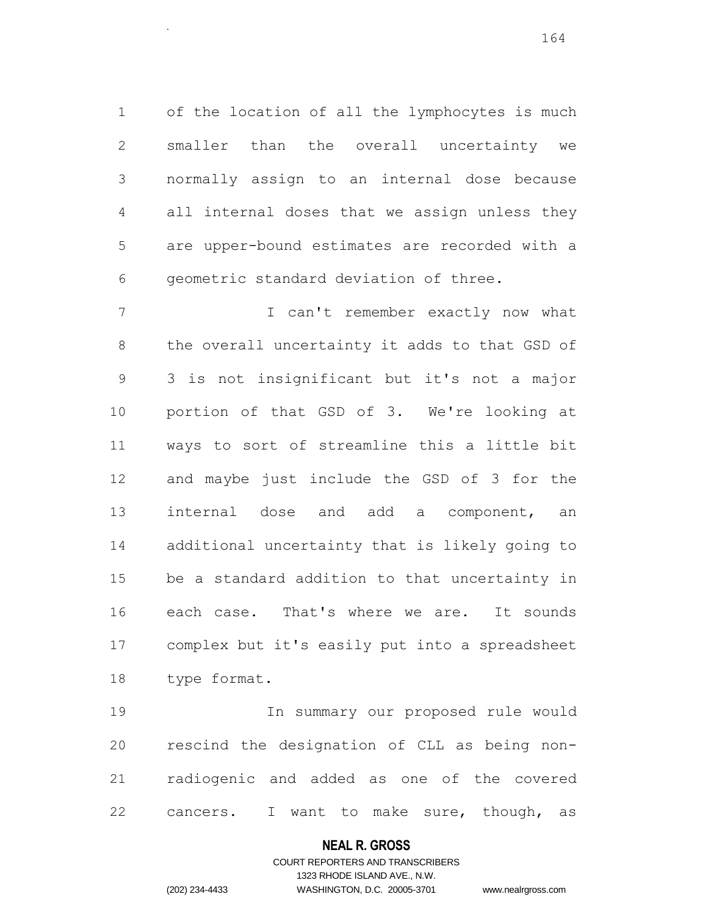of the location of all the lymphocytes is much smaller than the overall uncertainty we normally assign to an internal dose because all internal doses that we assign unless they are upper-bound estimates are recorded with a geometric standard deviation of three.

.

 I can't remember exactly now what 8 the overall uncertainty it adds to that GSD of 3 is not insignificant but it's not a major portion of that GSD of 3. We're looking at ways to sort of streamline this a little bit and maybe just include the GSD of 3 for the internal dose and add a component, an additional uncertainty that is likely going to be a standard addition to that uncertainty in each case. That's where we are. It sounds complex but it's easily put into a spreadsheet type format.

 In summary our proposed rule would rescind the designation of CLL as being non- radiogenic and added as one of the covered cancers. I want to make sure, though, as

#### **NEAL R. GROSS**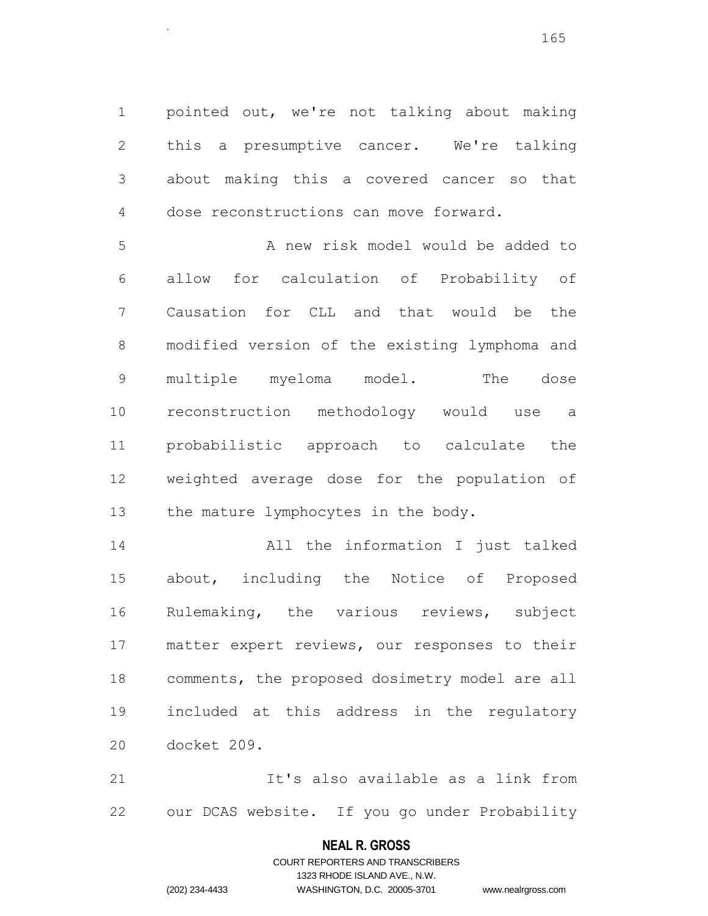pointed out, we're not talking about making this a presumptive cancer. We're talking about making this a covered cancer so that dose reconstructions can move forward.

.

 A new risk model would be added to allow for calculation of Probability of Causation for CLL and that would be the modified version of the existing lymphoma and multiple myeloma model. The dose reconstruction methodology would use a probabilistic approach to calculate the weighted average dose for the population of 13 the mature lymphocytes in the body.

 All the information I just talked about, including the Notice of Proposed Rulemaking, the various reviews, subject matter expert reviews, our responses to their comments, the proposed dosimetry model are all included at this address in the regulatory docket 209.

 It's also available as a link from our DCAS website. If you go under Probability

#### **NEAL R. GROSS**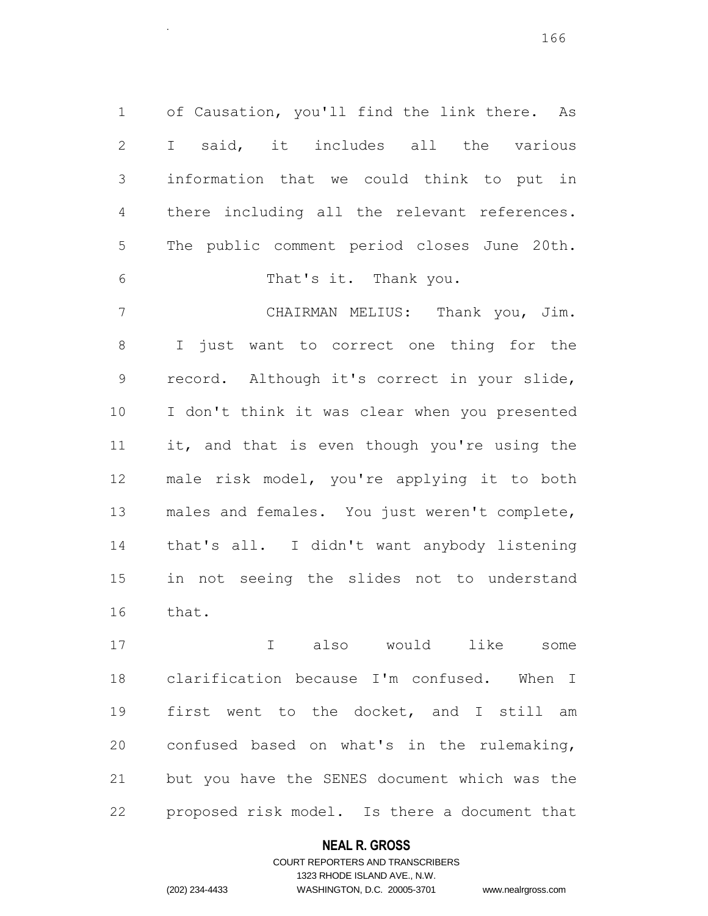of Causation, you'll find the link there. As I said, it includes all the various information that we could think to put in there including all the relevant references. The public comment period closes June 20th. That's it. Thank you. CHAIRMAN MELIUS: Thank you, Jim. I just want to correct one thing for the record. Although it's correct in your slide, I don't think it was clear when you presented it, and that is even though you're using the male risk model, you're applying it to both males and females. You just weren't complete, that's all. I didn't want anybody listening in not seeing the slides not to understand

that.

.

17 1 also would like some clarification because I'm confused. When I first went to the docket, and I still am confused based on what's in the rulemaking, but you have the SENES document which was the proposed risk model. Is there a document that

#### **NEAL R. GROSS**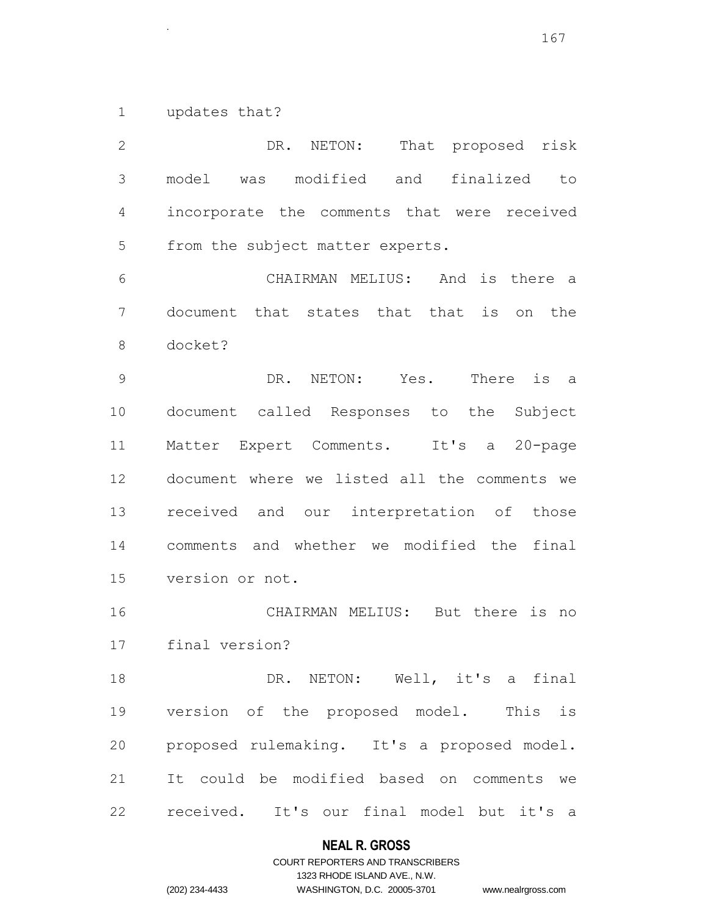updates that?

.

2 DR. NETON: That proposed risk model was modified and finalized to incorporate the comments that were received from the subject matter experts. CHAIRMAN MELIUS: And is there a document that states that that is on the docket? DR. NETON: Yes. There is a document called Responses to the Subject Matter Expert Comments. It's a 20-page document where we listed all the comments we received and our interpretation of those comments and whether we modified the final version or not. CHAIRMAN MELIUS: But there is no final version? 18 DR. NETON: Well, it's a final version of the proposed model. This is proposed rulemaking. It's a proposed model. It could be modified based on comments we received. It's our final model but it's a

#### **NEAL R. GROSS**

# COURT REPORTERS AND TRANSCRIBERS 1323 RHODE ISLAND AVE., N.W. (202) 234-4433 WASHINGTON, D.C. 20005-3701 www.nealrgross.com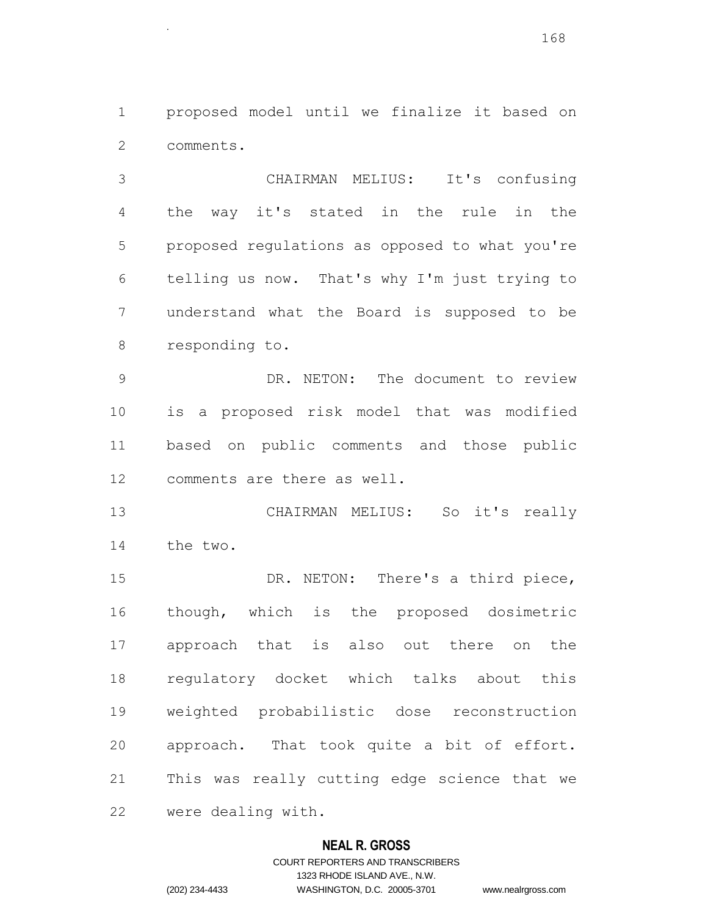proposed model until we finalize it based on comments.

.

 CHAIRMAN MELIUS: It's confusing the way it's stated in the rule in the proposed regulations as opposed to what you're telling us now. That's why I'm just trying to understand what the Board is supposed to be responding to.

 DR. NETON: The document to review is a proposed risk model that was modified based on public comments and those public comments are there as well.

 CHAIRMAN MELIUS: So it's really the two.

 DR. NETON: There's a third piece, though, which is the proposed dosimetric approach that is also out there on the regulatory docket which talks about this weighted probabilistic dose reconstruction approach. That took quite a bit of effort. This was really cutting edge science that we were dealing with.

#### **NEAL R. GROSS**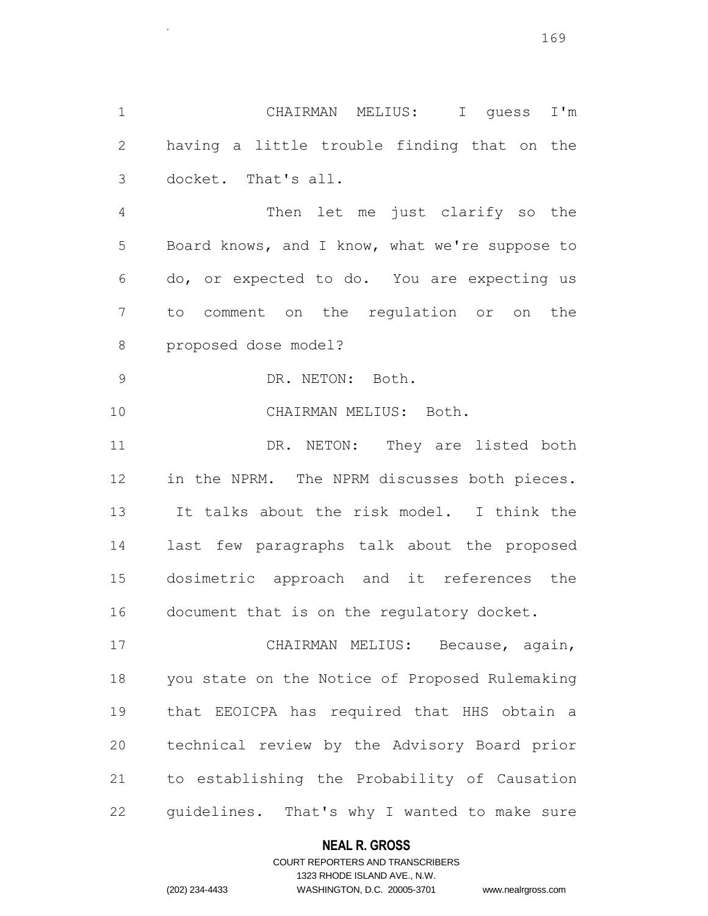CHAIRMAN MELIUS: I guess I'm having a little trouble finding that on the docket. That's all.

 Then let me just clarify so the Board knows, and I know, what we're suppose to do, or expected to do. You are expecting us to comment on the regulation or on the proposed dose model?

DR. NETON: Both.

.

CHAIRMAN MELIUS: Both.

11 DR. NETON: They are listed both in the NPRM. The NPRM discusses both pieces. It talks about the risk model. I think the last few paragraphs talk about the proposed dosimetric approach and it references the document that is on the regulatory docket.

 CHAIRMAN MELIUS: Because, again, you state on the Notice of Proposed Rulemaking that EEOICPA has required that HHS obtain a technical review by the Advisory Board prior to establishing the Probability of Causation guidelines. That's why I wanted to make sure

# **NEAL R. GROSS**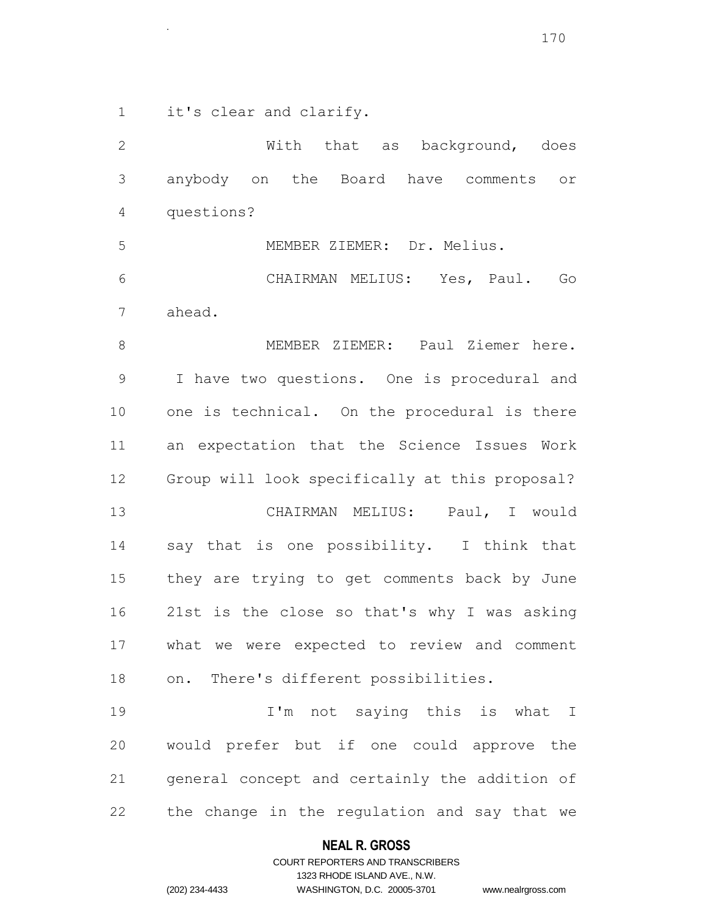it's clear and clarify.

.

2 With that as background, does anybody on the Board have comments or questions? MEMBER ZIEMER: Dr. Melius. CHAIRMAN MELIUS: Yes, Paul. Go ahead. MEMBER ZIEMER: Paul Ziemer here. I have two questions. One is procedural and one is technical. On the procedural is there an expectation that the Science Issues Work Group will look specifically at this proposal? CHAIRMAN MELIUS: Paul, I would say that is one possibility. I think that they are trying to get comments back by June 21st is the close so that's why I was asking what we were expected to review and comment on. There's different possibilities. I'm not saying this is what I would prefer but if one could approve the general concept and certainly the addition of

**NEAL R. GROSS**

## COURT REPORTERS AND TRANSCRIBERS 1323 RHODE ISLAND AVE., N.W. (202) 234-4433 WASHINGTON, D.C. 20005-3701 www.nealrgross.com

the change in the regulation and say that we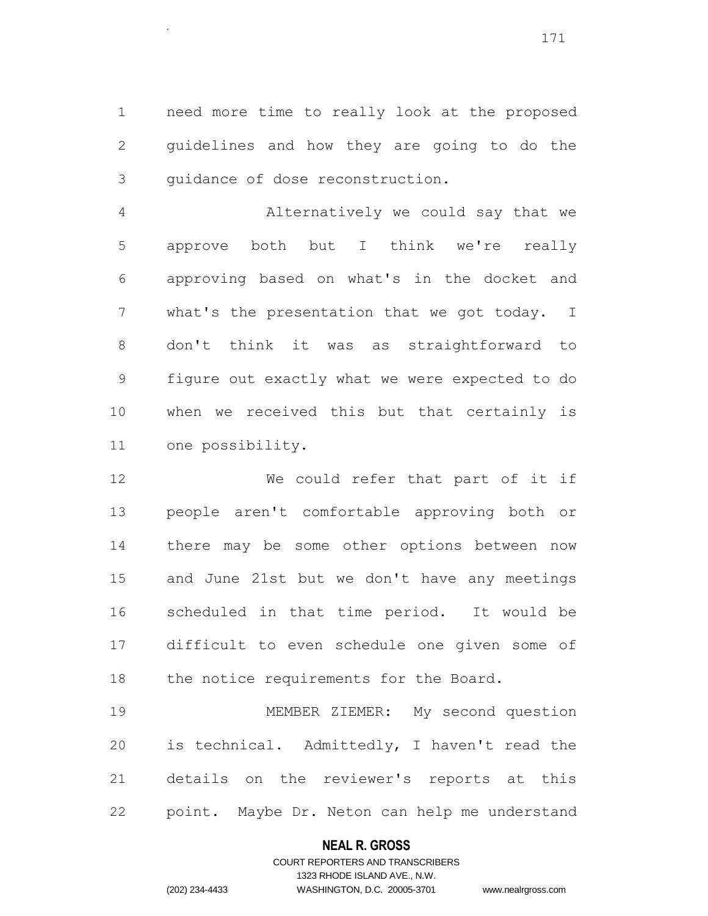need more time to really look at the proposed guidelines and how they are going to do the guidance of dose reconstruction.

.

 Alternatively we could say that we approve both but I think we're really approving based on what's in the docket and what's the presentation that we got today. I don't think it was as straightforward to figure out exactly what we were expected to do when we received this but that certainly is one possibility.

12 We could refer that part of it if people aren't comfortable approving both or there may be some other options between now and June 21st but we don't have any meetings scheduled in that time period. It would be difficult to even schedule one given some of 18 the notice requirements for the Board.

 MEMBER ZIEMER: My second question is technical. Admittedly, I haven't read the details on the reviewer's reports at this point. Maybe Dr. Neton can help me understand

#### **NEAL R. GROSS**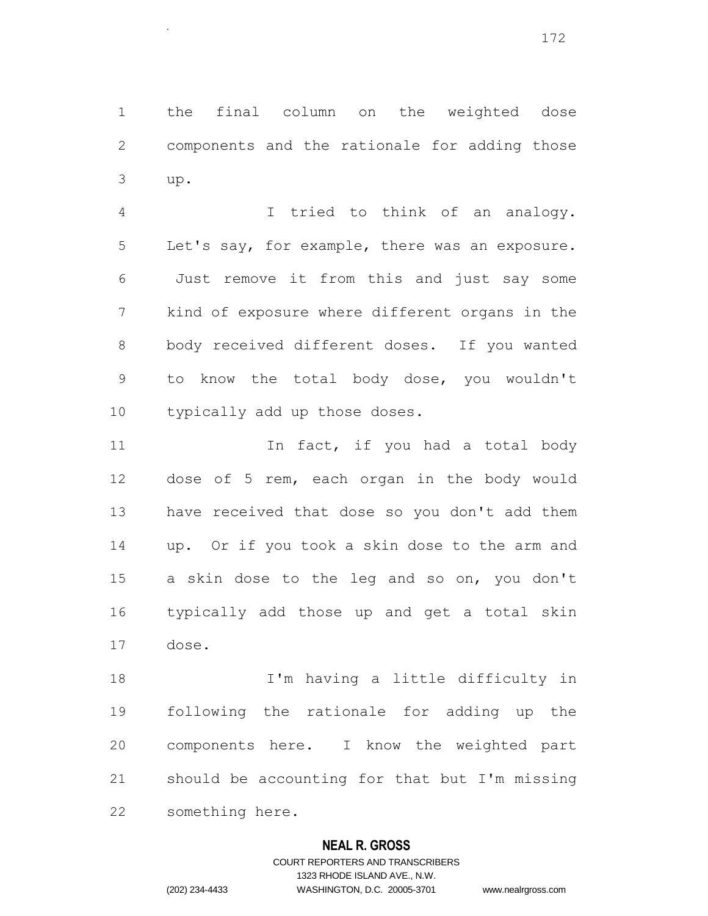the final column on the weighted dose components and the rationale for adding those up.

.

 I tried to think of an analogy. Let's say, for example, there was an exposure. Just remove it from this and just say some kind of exposure where different organs in the body received different doses. If you wanted to know the total body dose, you wouldn't typically add up those doses.

11 11 In fact, if you had a total body dose of 5 rem, each organ in the body would have received that dose so you don't add them up. Or if you took a skin dose to the arm and a skin dose to the leg and so on, you don't typically add those up and get a total skin dose.

 I'm having a little difficulty in following the rationale for adding up the components here. I know the weighted part should be accounting for that but I'm missing something here.

#### **NEAL R. GROSS**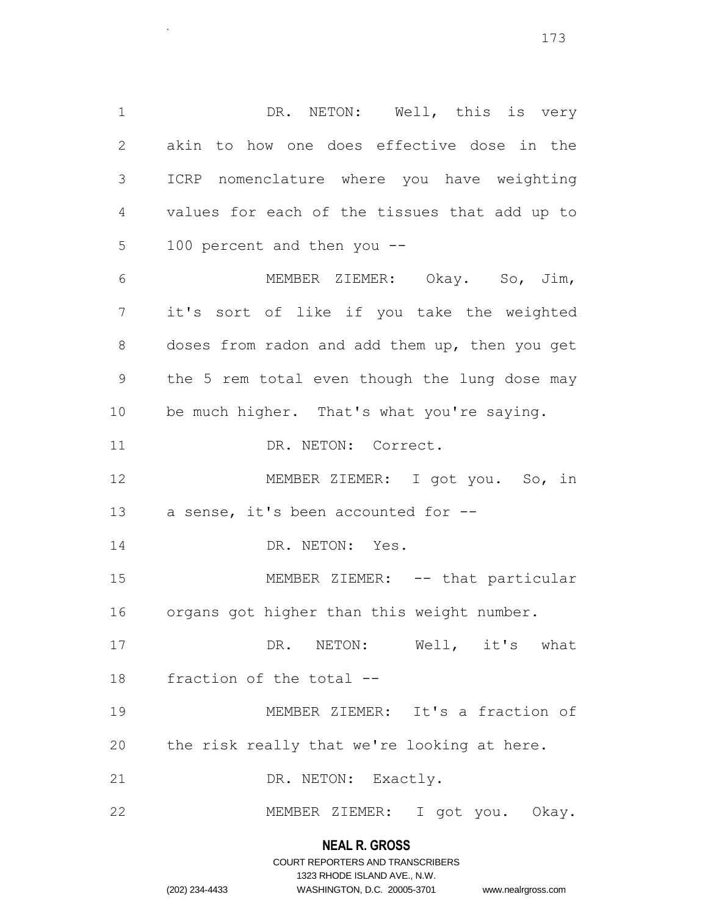1 DR. NETON: Well, this is very akin to how one does effective dose in the ICRP nomenclature where you have weighting values for each of the tissues that add up to 100 percent and then you -- MEMBER ZIEMER: Okay. So, Jim, it's sort of like if you take the weighted doses from radon and add them up, then you get the 5 rem total even though the lung dose may be much higher. That's what you're saying. 11 DR. NETON: Correct. MEMBER ZIEMER: I got you. So, in 13 a sense, it's been accounted for --14 DR. NETON: Yes. 15 MEMBER ZIEMER: -- that particular organs got higher than this weight number. DR. NETON: Well, it's what fraction of the total -- MEMBER ZIEMER: It's a fraction of the risk really that we're looking at here. 21 DR. NETON: Exactly. MEMBER ZIEMER: I got you. Okay.

# **NEAL R. GROSS** COURT REPORTERS AND TRANSCRIBERS

1323 RHODE ISLAND AVE., N.W.

.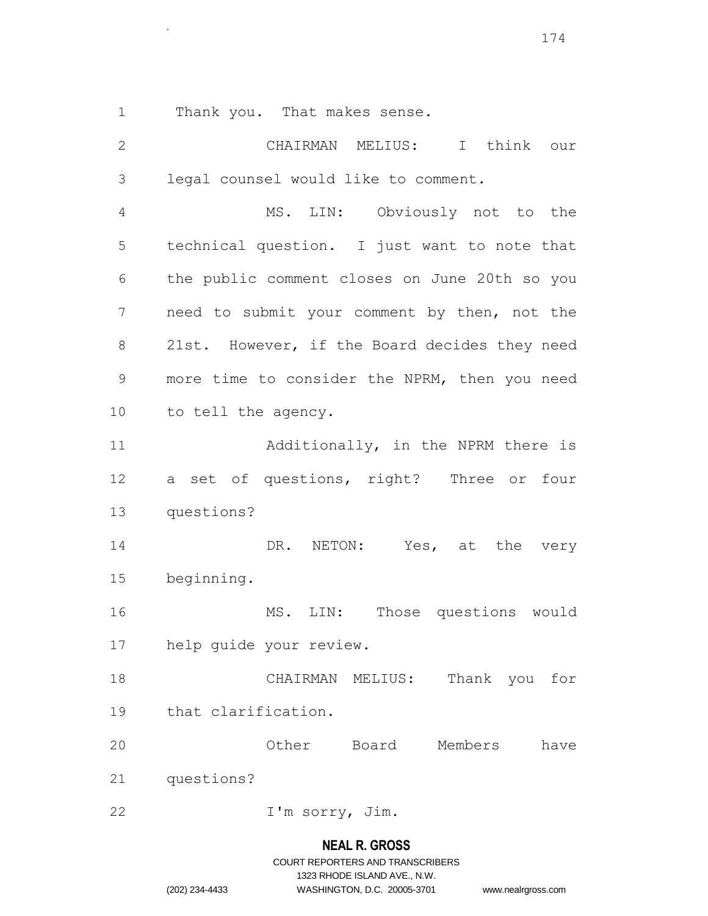Thank you. That makes sense.

.

 CHAIRMAN MELIUS: I think our legal counsel would like to comment. MS. LIN: Obviously not to the technical question. I just want to note that the public comment closes on June 20th so you need to submit your comment by then, not the 21st. However, if the Board decides they need more time to consider the NPRM, then you need to tell the agency. 11 Additionally, in the NPRM there is a set of questions, right? Three or four questions? 14 DR. NETON: Yes, at the very beginning. 16 MS. LIN: Those questions would help guide your review. CHAIRMAN MELIUS: Thank you for that clarification. Other Board Members have questions? I'm sorry, Jim.

# **NEAL R. GROSS**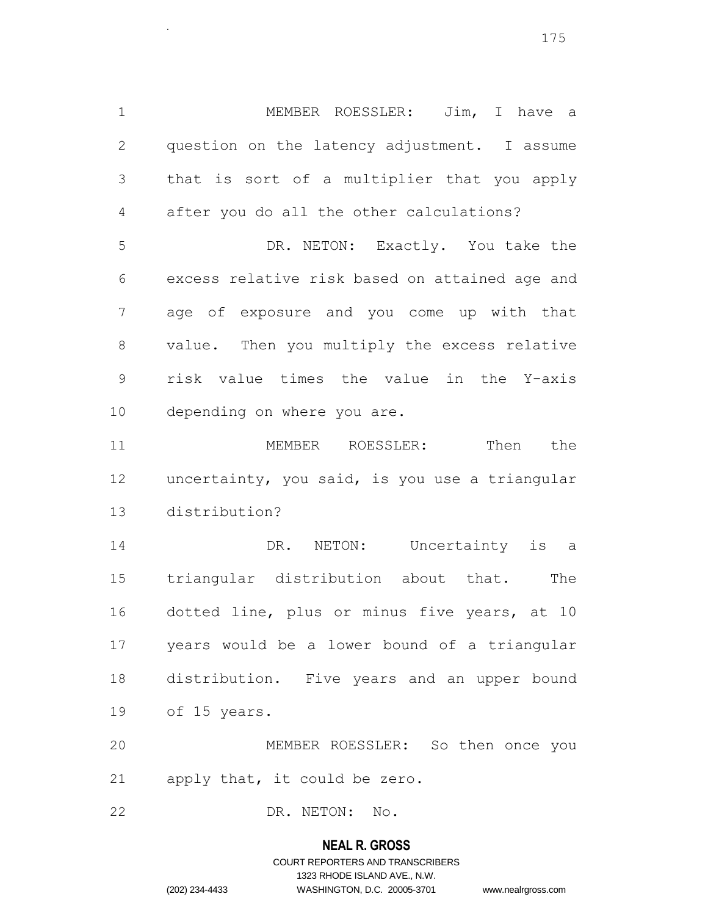MEMBER ROESSLER: Jim, I have a question on the latency adjustment. I assume that is sort of a multiplier that you apply after you do all the other calculations? DR. NETON: Exactly. You take the excess relative risk based on attained age and age of exposure and you come up with that value. Then you multiply the excess relative risk value times the value in the Y-axis depending on where you are.

 MEMBER ROESSLER: Then the uncertainty, you said, is you use a triangular distribution?

14 DR. NETON: Uncertainty is a triangular distribution about that. The dotted line, plus or minus five years, at 10 years would be a lower bound of a triangular distribution. Five years and an upper bound of 15 years.

 MEMBER ROESSLER: So then once you apply that, it could be zero.

DR. NETON: No.

#### **NEAL R. GROSS**

# COURT REPORTERS AND TRANSCRIBERS 1323 RHODE ISLAND AVE., N.W. (202) 234-4433 WASHINGTON, D.C. 20005-3701 www.nealrgross.com

.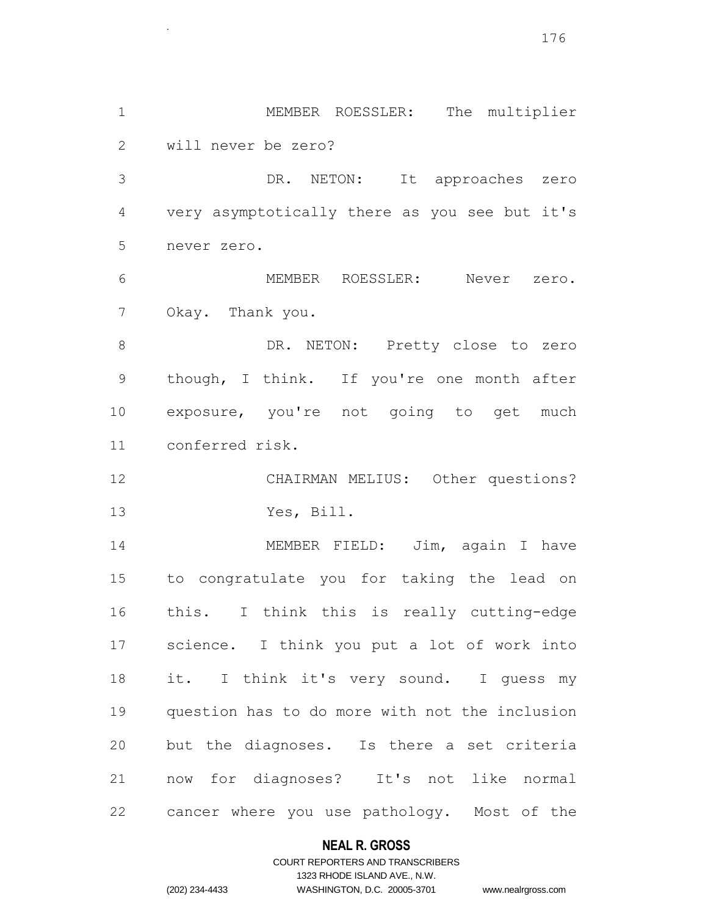MEMBER ROESSLER: The multiplier will never be zero? DR. NETON: It approaches zero very asymptotically there as you see but it's never zero. MEMBER ROESSLER: Never zero. Okay. Thank you. 8 DR. NETON: Pretty close to zero though, I think. If you're one month after 10 exposure, you're not going to get much conferred risk. CHAIRMAN MELIUS: Other questions? Yes, Bill. MEMBER FIELD: Jim, again I have to congratulate you for taking the lead on this. I think this is really cutting-edge science. I think you put a lot of work into 18 it. I think it's very sound. I quess my question has to do more with not the inclusion but the diagnoses. Is there a set criteria now for diagnoses? It's not like normal cancer where you use pathology. Most of the

.

### **NEAL R. GROSS**

## COURT REPORTERS AND TRANSCRIBERS 1323 RHODE ISLAND AVE., N.W. (202) 234-4433 WASHINGTON, D.C. 20005-3701 www.nealrgross.com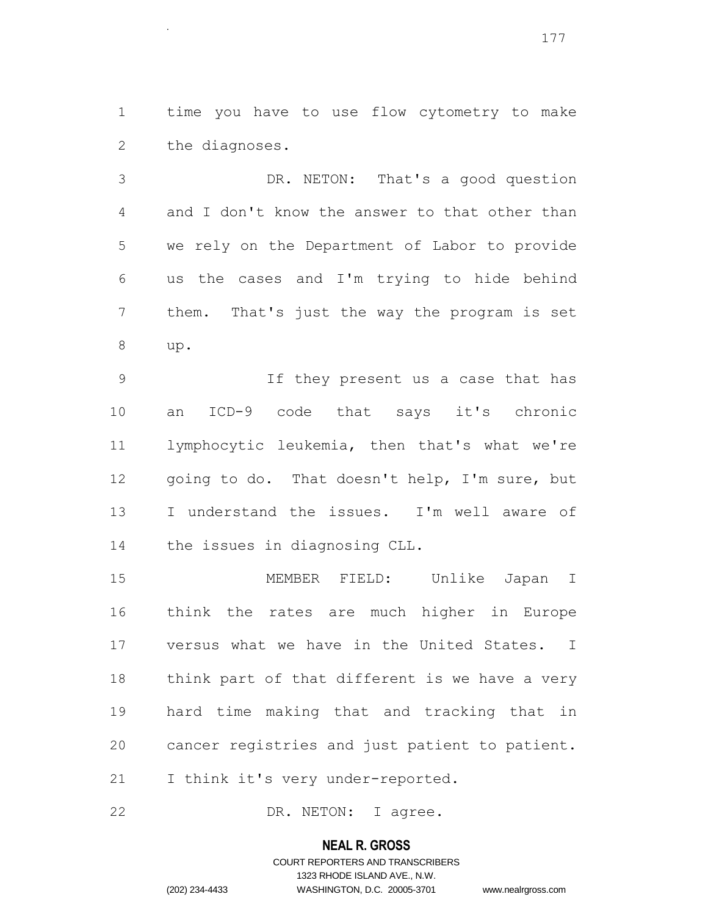time you have to use flow cytometry to make the diagnoses.

.

 DR. NETON: That's a good question and I don't know the answer to that other than we rely on the Department of Labor to provide us the cases and I'm trying to hide behind them. That's just the way the program is set up.

 If they present us a case that has an ICD-9 code that says it's chronic lymphocytic leukemia, then that's what we're 12 going to do. That doesn't help, I'm sure, but I understand the issues. I'm well aware of the issues in diagnosing CLL.

 MEMBER FIELD: Unlike Japan I think the rates are much higher in Europe versus what we have in the United States. I think part of that different is we have a very hard time making that and tracking that in cancer registries and just patient to patient. I think it's very under-reported.

22 DR. NETON: I agree.

#### **NEAL R. GROSS**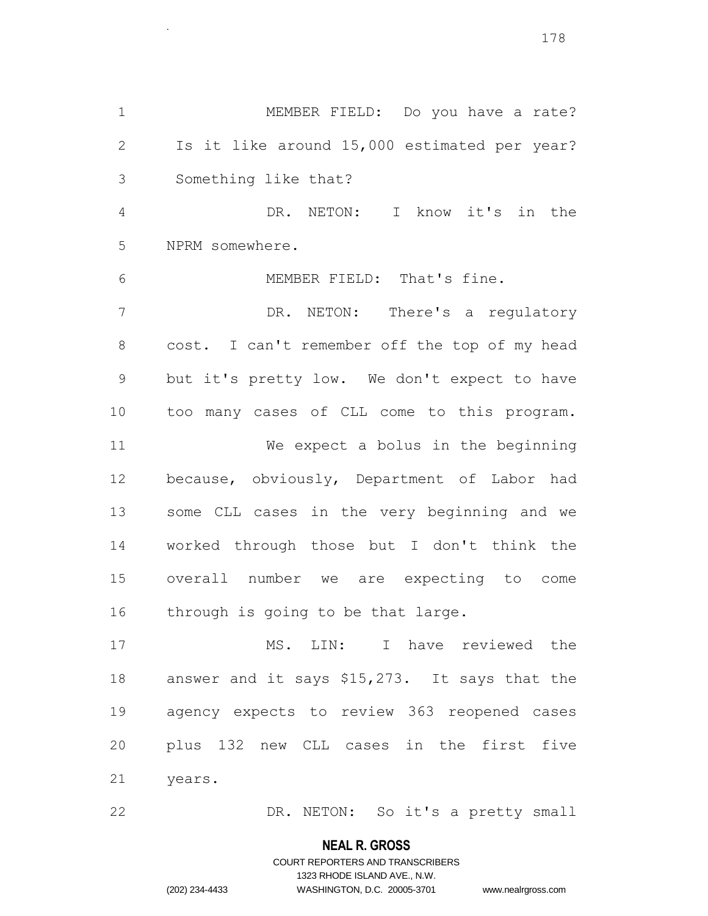MEMBER FIELD: Do you have a rate? Is it like around 15,000 estimated per year? Something like that? DR. NETON: I know it's in the NPRM somewhere. MEMBER FIELD: That's fine. DR. NETON: There's a regulatory cost. I can't remember off the top of my head but it's pretty low. We don't expect to have too many cases of CLL come to this program. We expect a bolus in the beginning because, obviously, Department of Labor had some CLL cases in the very beginning and we worked through those but I don't think the overall number we are expecting to come through is going to be that large. MS. LIN: I have reviewed the answer and it says \$15,273. It says that the

 plus 132 new CLL cases in the first five years.

agency expects to review 363 reopened cases

DR. NETON: So it's a pretty small

#### **NEAL R. GROSS**

.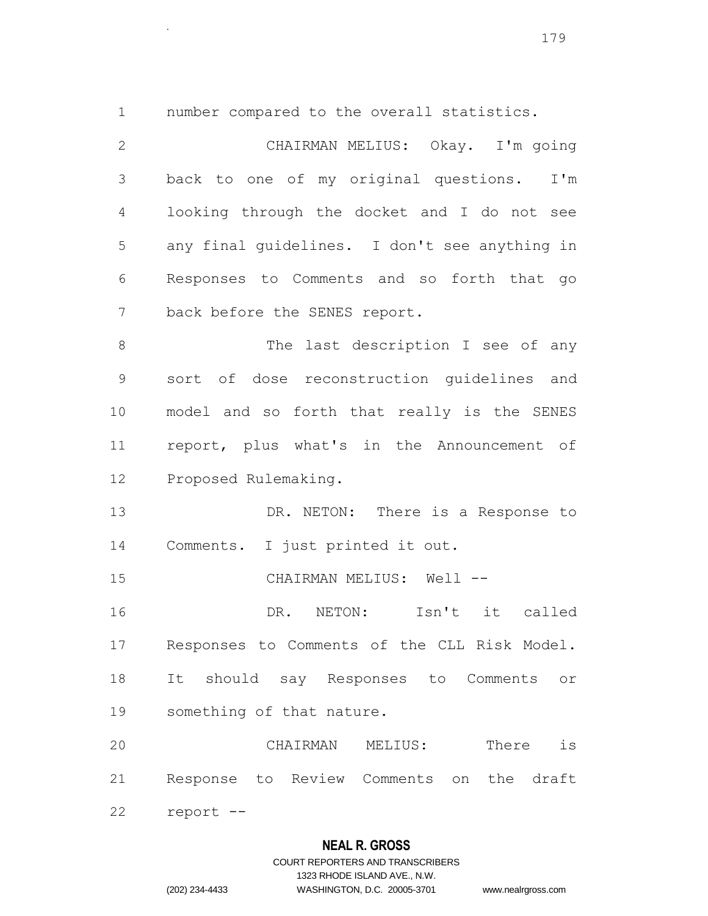number compared to the overall statistics.

.

 CHAIRMAN MELIUS: Okay. I'm going back to one of my original questions. I'm looking through the docket and I do not see any final guidelines. I don't see anything in Responses to Comments and so forth that go back before the SENES report. 8 The last description I see of any sort of dose reconstruction guidelines and model and so forth that really is the SENES report, plus what's in the Announcement of Proposed Rulemaking. 13 DR. NETON: There is a Response to Comments. I just printed it out. 15 CHAIRMAN MELIUS: Well -- DR. NETON: Isn't it called Responses to Comments of the CLL Risk Model. It should say Responses to Comments or something of that nature. CHAIRMAN MELIUS: There is Response to Review Comments on the draft report --

# **NEAL R. GROSS**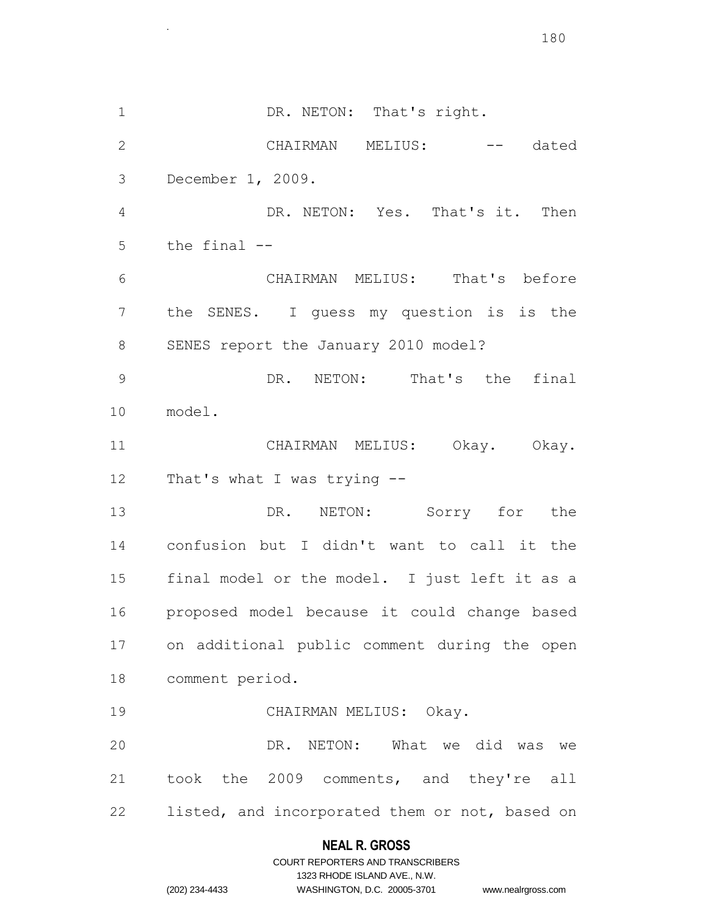1 DR. NETON: That's right. 2 CHAIRMAN MELIUS: -- dated December 1, 2009. DR. NETON: Yes. That's it. Then the final -- CHAIRMAN MELIUS: That's before the SENES. I guess my question is is the SENES report the January 2010 model? DR. NETON: That's the final model. CHAIRMAN MELIUS: Okay. Okay. That's what I was trying -- DR. NETON: Sorry for the confusion but I didn't want to call it the final model or the model. I just left it as a proposed model because it could change based on additional public comment during the open comment period. CHAIRMAN MELIUS: Okay. DR. NETON: What we did was we took the 2009 comments, and they're all listed, and incorporated them or not, based on

# **NEAL R. GROSS**

.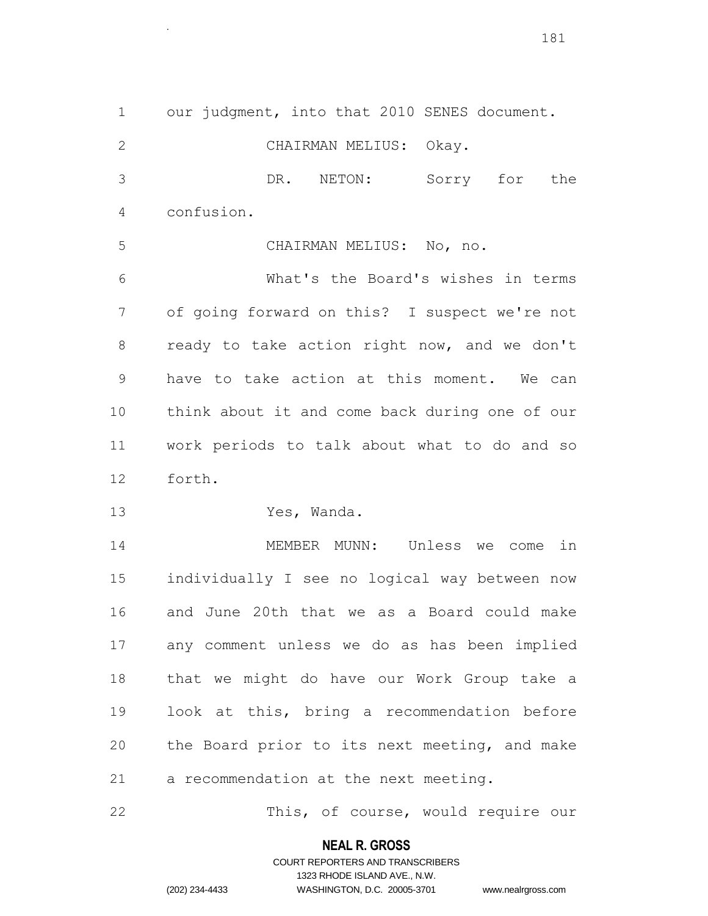our judgment, into that 2010 SENES document. CHAIRMAN MELIUS: Okay. DR. NETON: Sorry for the confusion. CHAIRMAN MELIUS: No, no. What's the Board's wishes in terms of going forward on this? I suspect we're not ready to take action right now, and we don't have to take action at this moment. We can think about it and come back during one of our work periods to talk about what to do and so forth. Yes, Wanda. MEMBER MUNN: Unless we come in individually I see no logical way between now and June 20th that we as a Board could make any comment unless we do as has been implied that we might do have our Work Group take a look at this, bring a recommendation before the Board prior to its next meeting, and make

a recommendation at the next meeting.

This, of course, would require our

## **NEAL R. GROSS**

.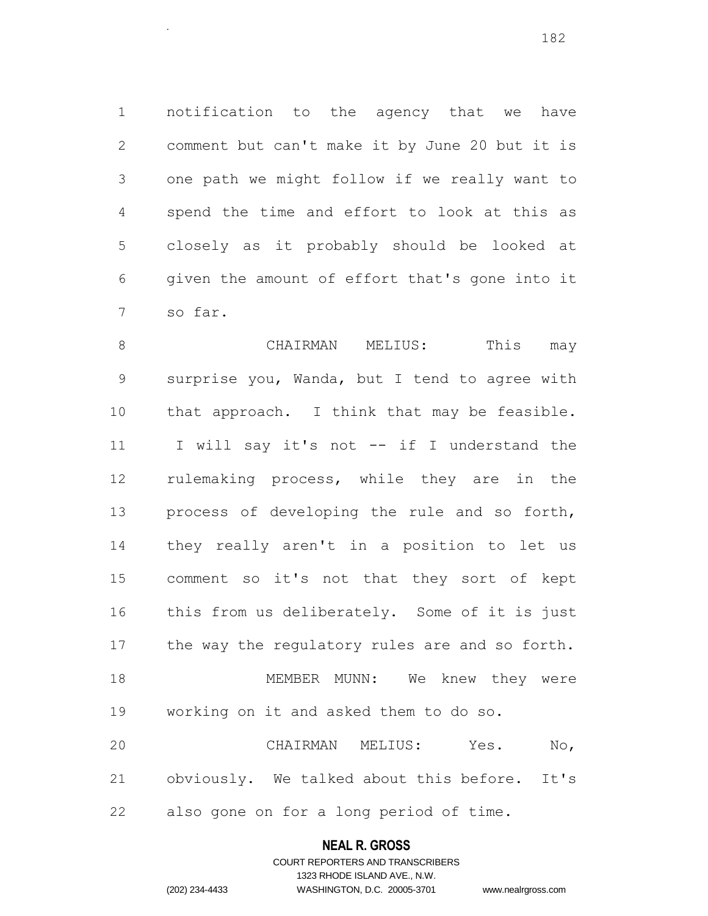notification to the agency that we have comment but can't make it by June 20 but it is one path we might follow if we really want to spend the time and effort to look at this as closely as it probably should be looked at given the amount of effort that's gone into it so far.

.

8 CHAIRMAN MELIUS: This may surprise you, Wanda, but I tend to agree with that approach. I think that may be feasible. I will say it's not -- if I understand the rulemaking process, while they are in the process of developing the rule and so forth, they really aren't in a position to let us comment so it's not that they sort of kept this from us deliberately. Some of it is just the way the regulatory rules are and so forth. MEMBER MUNN: We knew they were working on it and asked them to do so. CHAIRMAN MELIUS: Yes. No, obviously. We talked about this before. It's also gone on for a long period of time.

## **NEAL R. GROSS**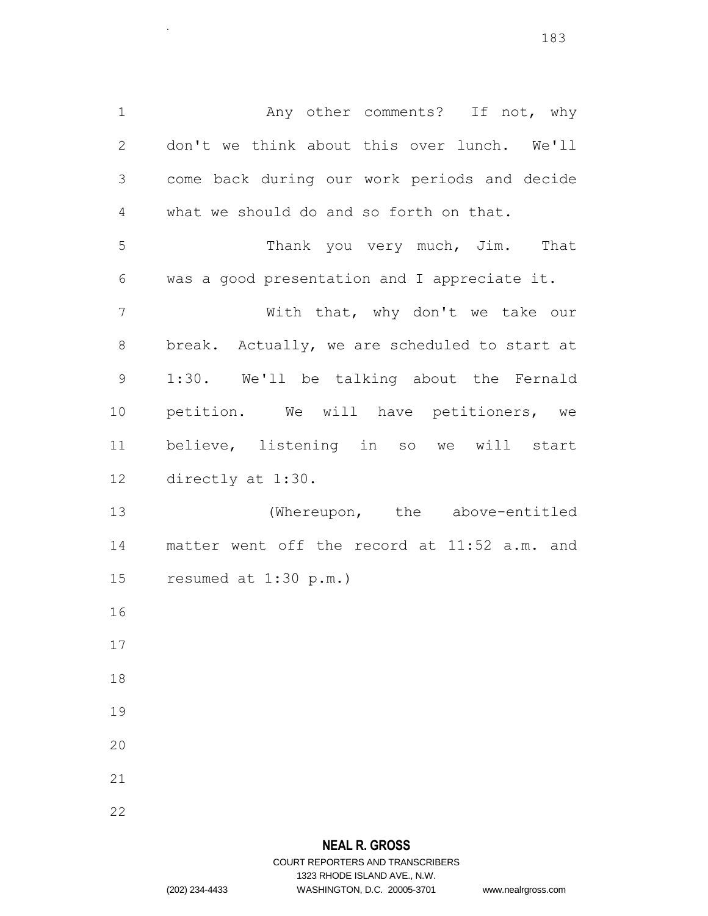1 Any other comments? If not, why don't we think about this over lunch. We'll come back during our work periods and decide what we should do and so forth on that. Thank you very much, Jim. That was a good presentation and I appreciate it. With that, why don't we take our break. Actually, we are scheduled to start at 1:30. We'll be talking about the Fernald petition. We will have petitioners, we believe, listening in so we will start directly at 1:30. (Whereupon, the above-entitled matter went off the record at 11:52 a.m. and resumed at 1:30 p.m.) 

- 
- 
- 

.

- 
- 

# **NEAL R. GROSS**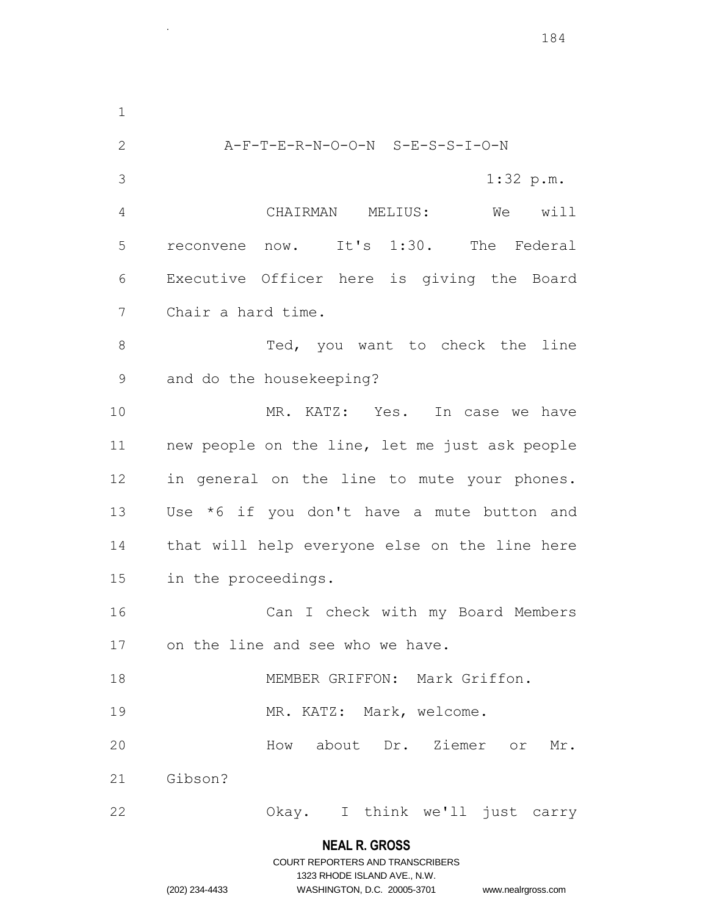A-F-T-E-R-N-O-O-N S-E-S-S-I-O-N  $3 \t 1:32 \t p.m.$  CHAIRMAN MELIUS: We will reconvene now. It's 1:30. The Federal Executive Officer here is giving the Board Chair a hard time. 8 Ted, you want to check the line and do the housekeeping? MR. KATZ: Yes. In case we have new people on the line, let me just ask people in general on the line to mute your phones. Use \*6 if you don't have a mute button and that will help everyone else on the line here in the proceedings. Can I check with my Board Members on the line and see who we have. MEMBER GRIFFON: Mark Griffon. 19 MR. KATZ: Mark, welcome. How about Dr. Ziemer or Mr. Gibson? Okay. I think we'll just carry

.

# **NEAL R. GROSS**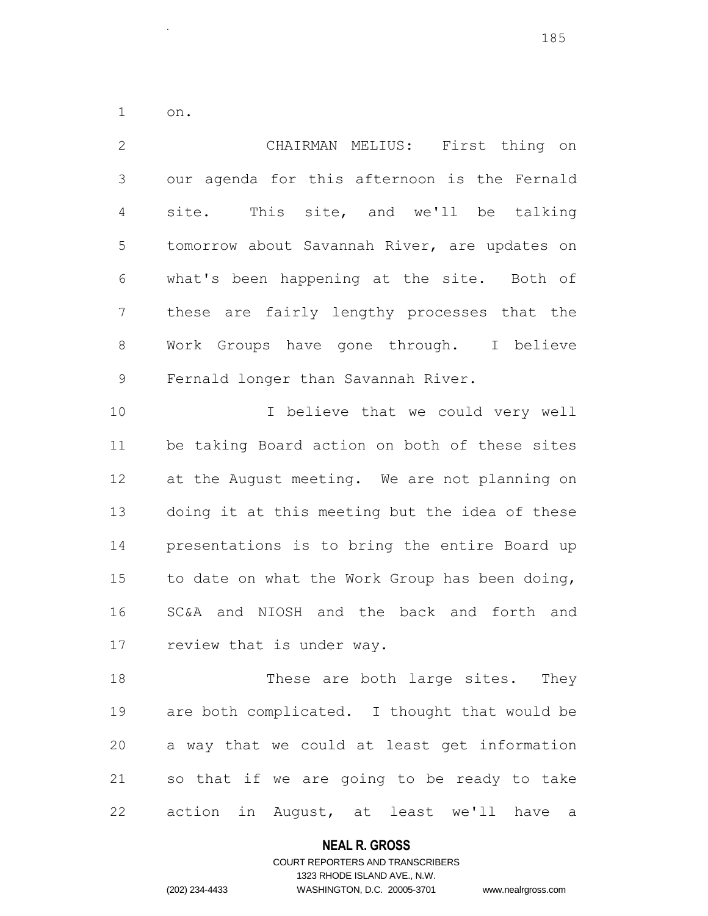on.

.

 CHAIRMAN MELIUS: First thing on our agenda for this afternoon is the Fernald site. This site, and we'll be talking tomorrow about Savannah River, are updates on what's been happening at the site. Both of these are fairly lengthy processes that the Work Groups have gone through. I believe Fernald longer than Savannah River. 10 10 I believe that we could very well be taking Board action on both of these sites at the August meeting. We are not planning on doing it at this meeting but the idea of these presentations is to bring the entire Board up to date on what the Work Group has been doing, SC&A and NIOSH and the back and forth and review that is under way. 18 These are both large sites. They are both complicated. I thought that would be a way that we could at least get information so that if we are going to be ready to take

action in August, at least we'll have a

# **NEAL R. GROSS**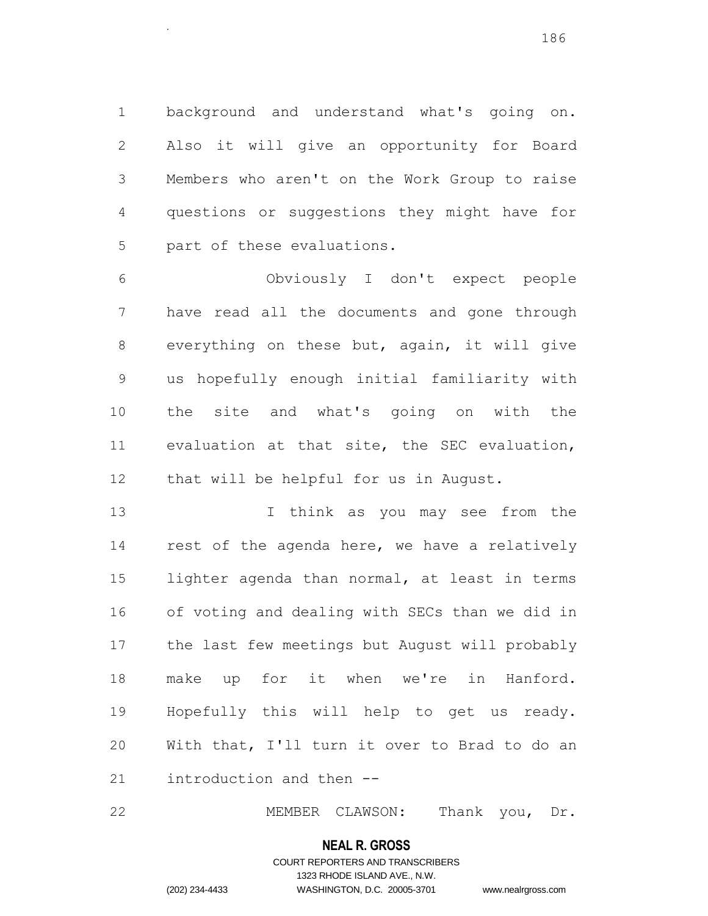background and understand what's going on. Also it will give an opportunity for Board Members who aren't on the Work Group to raise questions or suggestions they might have for part of these evaluations.

.

 Obviously I don't expect people have read all the documents and gone through everything on these but, again, it will give us hopefully enough initial familiarity with the site and what's going on with the evaluation at that site, the SEC evaluation, that will be helpful for us in August.

 I think as you may see from the rest of the agenda here, we have a relatively lighter agenda than normal, at least in terms of voting and dealing with SECs than we did in the last few meetings but August will probably make up for it when we're in Hanford. Hopefully this will help to get us ready. With that, I'll turn it over to Brad to do an introduction and then --

MEMBER CLAWSON: Thank you, Dr.

#### **NEAL R. GROSS**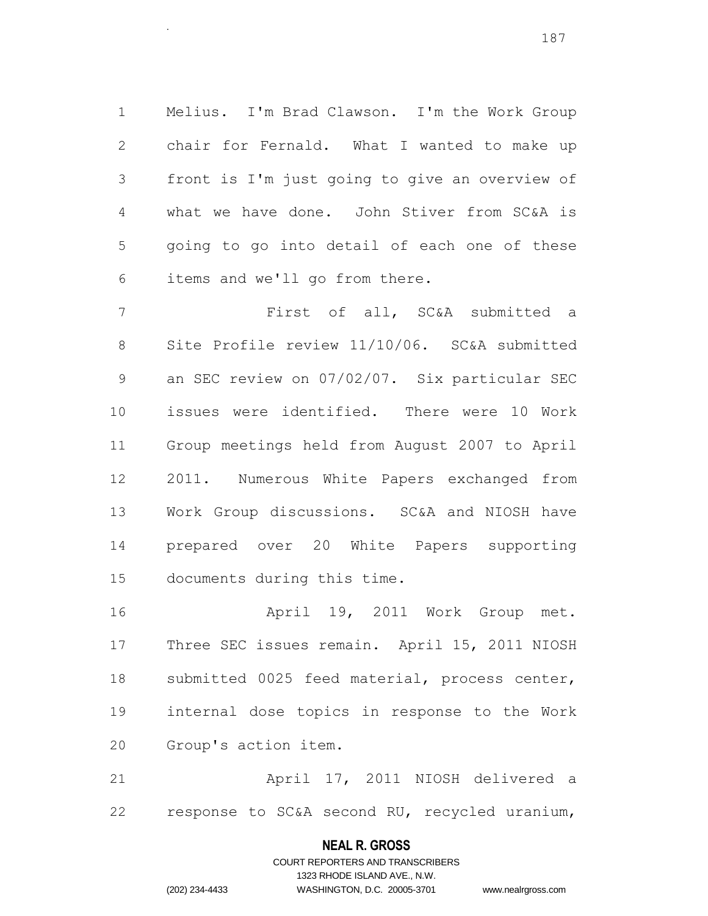Melius. I'm Brad Clawson. I'm the Work Group chair for Fernald. What I wanted to make up front is I'm just going to give an overview of what we have done. John Stiver from SC&A is going to go into detail of each one of these items and we'll go from there.

.

 First of all, SC&A submitted a Site Profile review 11/10/06. SC&A submitted an SEC review on 07/02/07. Six particular SEC issues were identified. There were 10 Work Group meetings held from August 2007 to April 2011. Numerous White Papers exchanged from Work Group discussions. SC&A and NIOSH have prepared over 20 White Papers supporting documents during this time.

 April 19, 2011 Work Group met. Three SEC issues remain. April 15, 2011 NIOSH submitted 0025 feed material, process center, internal dose topics in response to the Work Group's action item.

 April 17, 2011 NIOSH delivered a response to SC&A second RU, recycled uranium,

## **NEAL R. GROSS**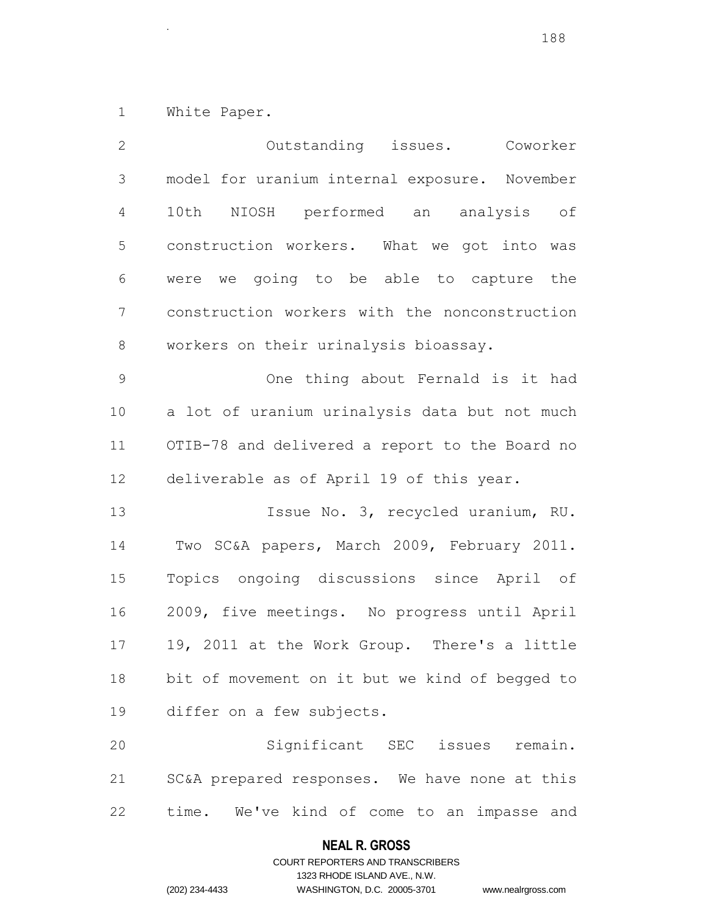White Paper.

.

| $\mathbf{2}$   | Outstanding issues. Coworker                   |
|----------------|------------------------------------------------|
| 3              | model for uranium internal exposure. November  |
| $\overline{4}$ | 10th NIOSH performed an analysis of            |
| 5              | construction workers. What we got into was     |
| 6              | were we going to be able to capture the        |
| $\overline{7}$ | construction workers with the nonconstruction  |
| $\,8\,$        | workers on their urinalysis bioassay.          |
| $\mathsf 9$    | One thing about Fernald is it had              |
| 10             | a lot of uranium urinalysis data but not much  |
| 11             | OTIB-78 and delivered a report to the Board no |
| 12             | deliverable as of April 19 of this year.       |
| 13             | Issue No. 3, recycled uranium, RU.             |
| 14             | Two SC&A papers, March 2009, February 2011.    |
| 15             | Topics ongoing discussions since April of      |
| 16             | 2009, five meetings. No progress until April   |
| 17             | 19, 2011 at the Work Group. There's a little   |
| 18             | bit of movement on it but we kind of begged to |
| 19             | differ on a few subjects.                      |
| 20             | Significant SEC issues remain.                 |
| 21             | SC&A prepared responses. We have none at this  |
| 22             | time. We've kind of come to an impasse and     |

**NEAL R. GROSS**

# COURT REPORTERS AND TRANSCRIBERS 1323 RHODE ISLAND AVE., N.W. (202) 234-4433 WASHINGTON, D.C. 20005-3701 www.nealrgross.com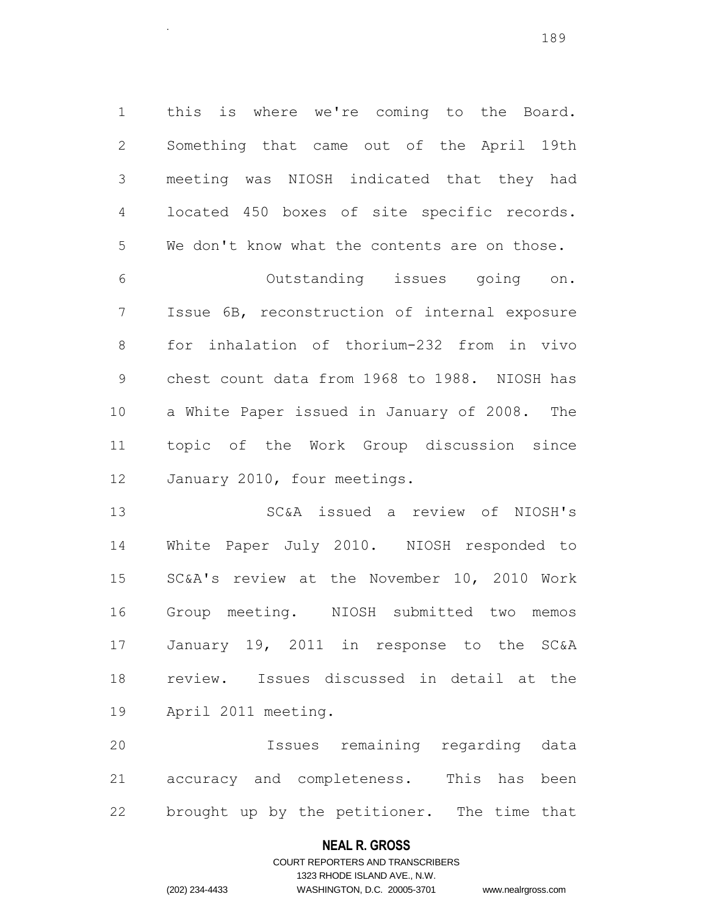this is where we're coming to the Board. Something that came out of the April 19th meeting was NIOSH indicated that they had located 450 boxes of site specific records. We don't know what the contents are on those.

 Outstanding issues going on. Issue 6B, reconstruction of internal exposure for inhalation of thorium-232 from in vivo chest count data from 1968 to 1988. NIOSH has a White Paper issued in January of 2008. The topic of the Work Group discussion since January 2010, four meetings.

 SC&A issued a review of NIOSH's White Paper July 2010. NIOSH responded to SC&A's review at the November 10, 2010 Work Group meeting. NIOSH submitted two memos January 19, 2011 in response to the SC&A review. Issues discussed in detail at the April 2011 meeting.

 Issues remaining regarding data accuracy and completeness. This has been brought up by the petitioner. The time that

## **NEAL R. GROSS**

# COURT REPORTERS AND TRANSCRIBERS 1323 RHODE ISLAND AVE., N.W. (202) 234-4433 WASHINGTON, D.C. 20005-3701 www.nealrgross.com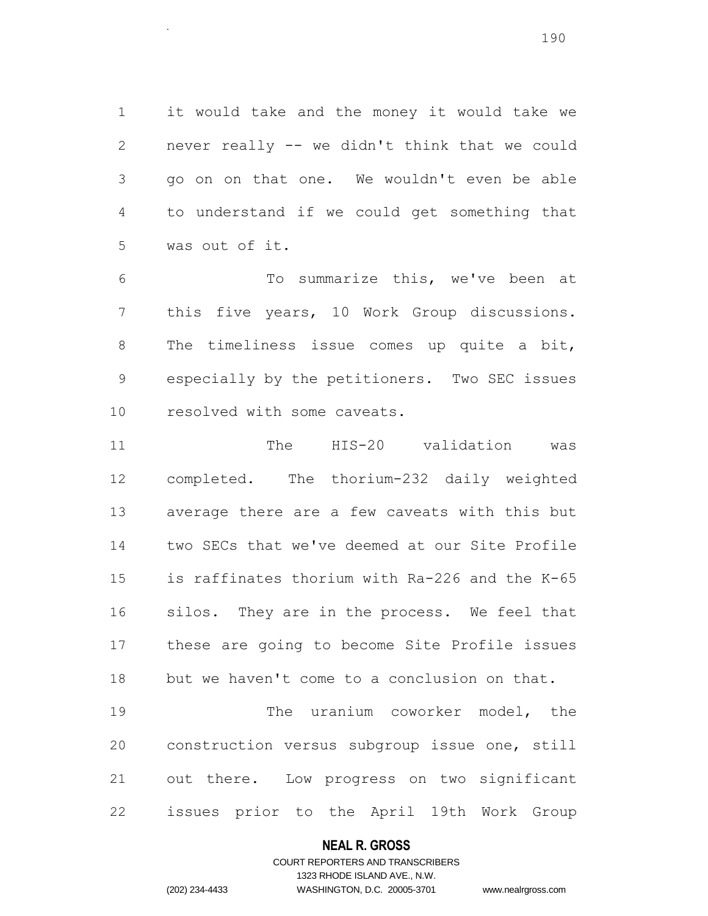it would take and the money it would take we never really -- we didn't think that we could go on on that one. We wouldn't even be able to understand if we could get something that was out of it.

.

 To summarize this, we've been at this five years, 10 Work Group discussions. 8 The timeliness issue comes up quite a bit, especially by the petitioners. Two SEC issues resolved with some caveats.

 The HIS-20 validation was completed. The thorium-232 daily weighted average there are a few caveats with this but two SECs that we've deemed at our Site Profile is raffinates thorium with Ra-226 and the K-65 silos. They are in the process. We feel that these are going to become Site Profile issues but we haven't come to a conclusion on that.

19 The uranium coworker model, the construction versus subgroup issue one, still out there. Low progress on two significant issues prior to the April 19th Work Group

# **NEAL R. GROSS**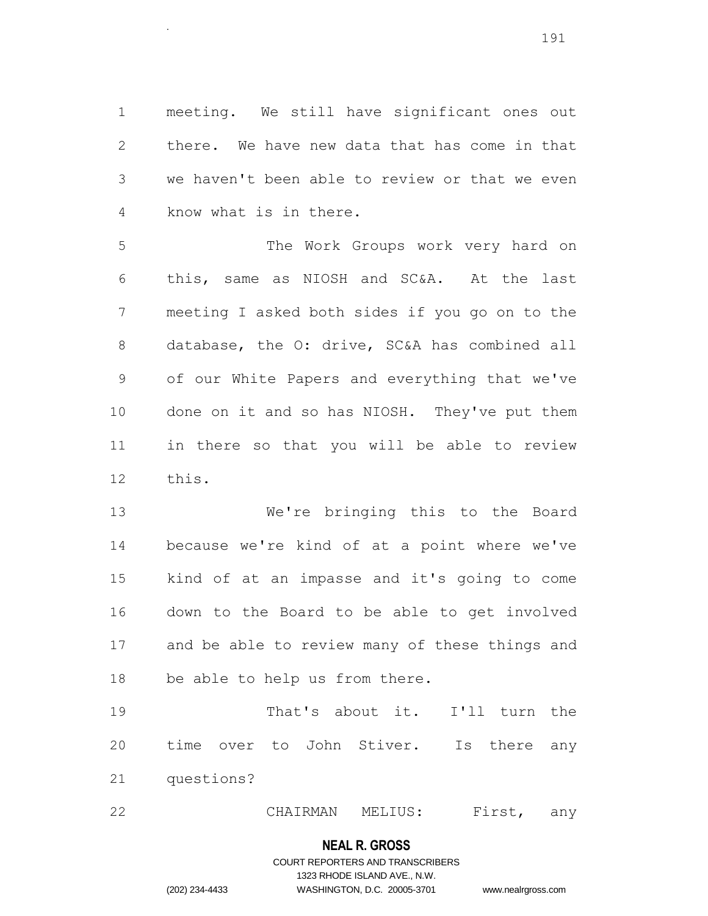meeting. We still have significant ones out there. We have new data that has come in that we haven't been able to review or that we even know what is in there.

.

 The Work Groups work very hard on this, same as NIOSH and SC&A. At the last meeting I asked both sides if you go on to the database, the O: drive, SC&A has combined all of our White Papers and everything that we've done on it and so has NIOSH. They've put them in there so that you will be able to review this.

 We're bringing this to the Board because we're kind of at a point where we've kind of at an impasse and it's going to come down to the Board to be able to get involved and be able to review many of these things and be able to help us from there.

 That's about it. I'll turn the time over to John Stiver. Is there any questions?

CHAIRMAN MELIUS: First, any

## **NEAL R. GROSS**

# COURT REPORTERS AND TRANSCRIBERS 1323 RHODE ISLAND AVE., N.W. (202) 234-4433 WASHINGTON, D.C. 20005-3701 www.nealrgross.com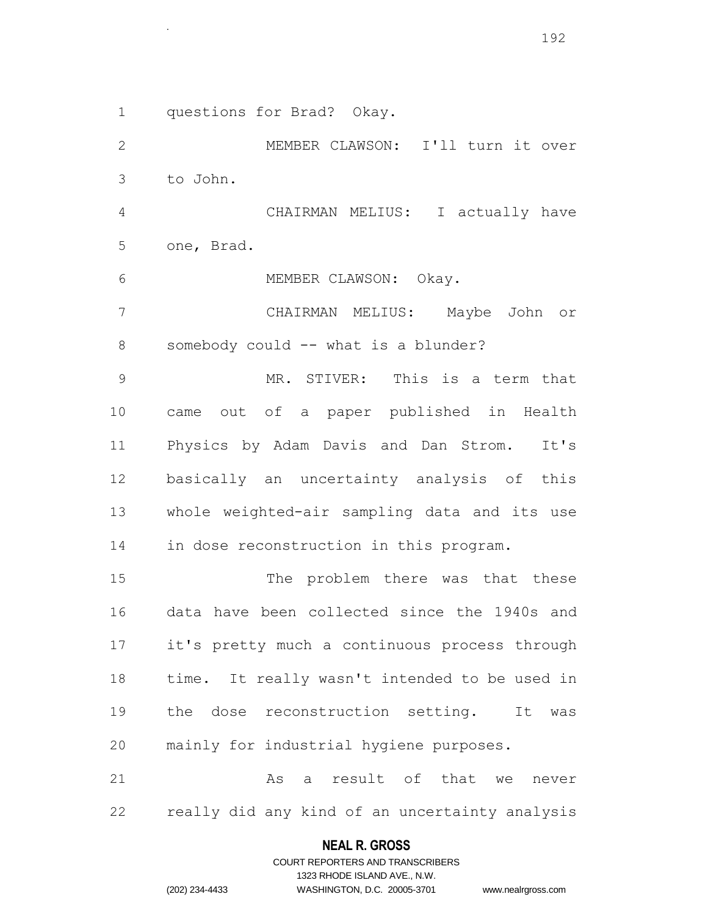questions for Brad? Okay.

.

 MEMBER CLAWSON: I'll turn it over to John. CHAIRMAN MELIUS: I actually have one, Brad. 6 MEMBER CLAWSON: Okay. CHAIRMAN MELIUS: Maybe John or 8 somebody could -- what is a blunder? MR. STIVER: This is a term that came out of a paper published in Health Physics by Adam Davis and Dan Strom. It's basically an uncertainty analysis of this whole weighted-air sampling data and its use in dose reconstruction in this program. 15 The problem there was that these data have been collected since the 1940s and it's pretty much a continuous process through time. It really wasn't intended to be used in the dose reconstruction setting. It was mainly for industrial hygiene purposes. 21 As a result of that we never really did any kind of an uncertainty analysis

## **NEAL R. GROSS**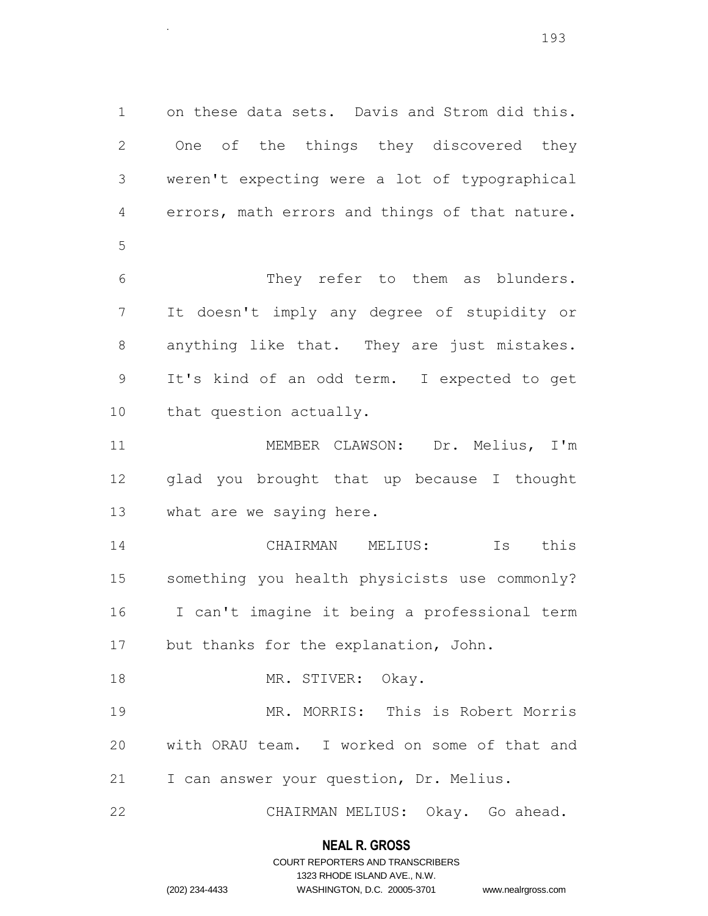on these data sets. Davis and Strom did this. One of the things they discovered they weren't expecting were a lot of typographical errors, math errors and things of that nature. They refer to them as blunders. It doesn't imply any degree of stupidity or

 anything like that. They are just mistakes. It's kind of an odd term. I expected to get that question actually.

 MEMBER CLAWSON: Dr. Melius, I'm glad you brought that up because I thought what are we saying here.

 CHAIRMAN MELIUS: Is this something you health physicists use commonly? I can't imagine it being a professional term but thanks for the explanation, John.

18 MR. STIVER: Okay.

 MR. MORRIS: This is Robert Morris with ORAU team. I worked on some of that and I can answer your question, Dr. Melius.

CHAIRMAN MELIUS: Okay. Go ahead.

## **NEAL R. GROSS**

.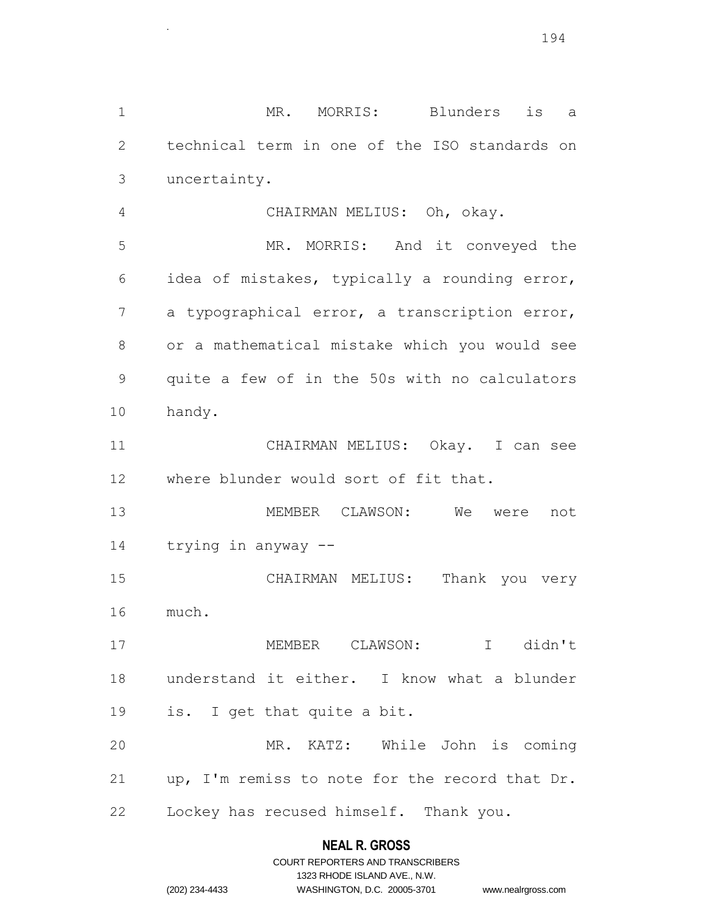MR. MORRIS: Blunders is a technical term in one of the ISO standards on uncertainty.

.

 CHAIRMAN MELIUS: Oh, okay. MR. MORRIS: And it conveyed the idea of mistakes, typically a rounding error, a typographical error, a transcription error, or a mathematical mistake which you would see quite a few of in the 50s with no calculators handy.

 CHAIRMAN MELIUS: Okay. I can see where blunder would sort of fit that.

 MEMBER CLAWSON: We were not trying in anyway --

 CHAIRMAN MELIUS: Thank you very much.

 MEMBER CLAWSON: I didn't understand it either. I know what a blunder is. I get that quite a bit.

 MR. KATZ: While John is coming up, I'm remiss to note for the record that Dr. Lockey has recused himself. Thank you.

# **NEAL R. GROSS** COURT REPORTERS AND TRANSCRIBERS

1323 RHODE ISLAND AVE., N.W.

(202) 234-4433 WASHINGTON, D.C. 20005-3701 www.nealrgross.com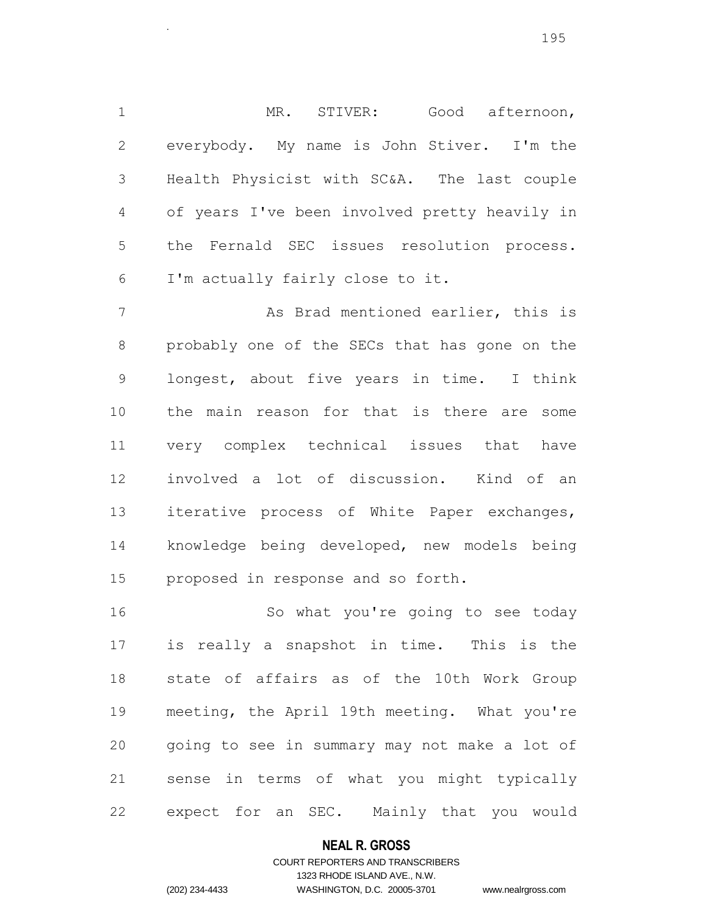MR. STIVER: Good afternoon, everybody. My name is John Stiver. I'm the Health Physicist with SC&A. The last couple of years I've been involved pretty heavily in the Fernald SEC issues resolution process. I'm actually fairly close to it.

 As Brad mentioned earlier, this is probably one of the SECs that has gone on the longest, about five years in time. I think the main reason for that is there are some very complex technical issues that have involved a lot of discussion. Kind of an iterative process of White Paper exchanges, knowledge being developed, new models being proposed in response and so forth.

16 So what you're going to see today is really a snapshot in time. This is the state of affairs as of the 10th Work Group meeting, the April 19th meeting. What you're going to see in summary may not make a lot of sense in terms of what you might typically expect for an SEC. Mainly that you would

## **NEAL R. GROSS**

# COURT REPORTERS AND TRANSCRIBERS 1323 RHODE ISLAND AVE., N.W. (202) 234-4433 WASHINGTON, D.C. 20005-3701 www.nealrgross.com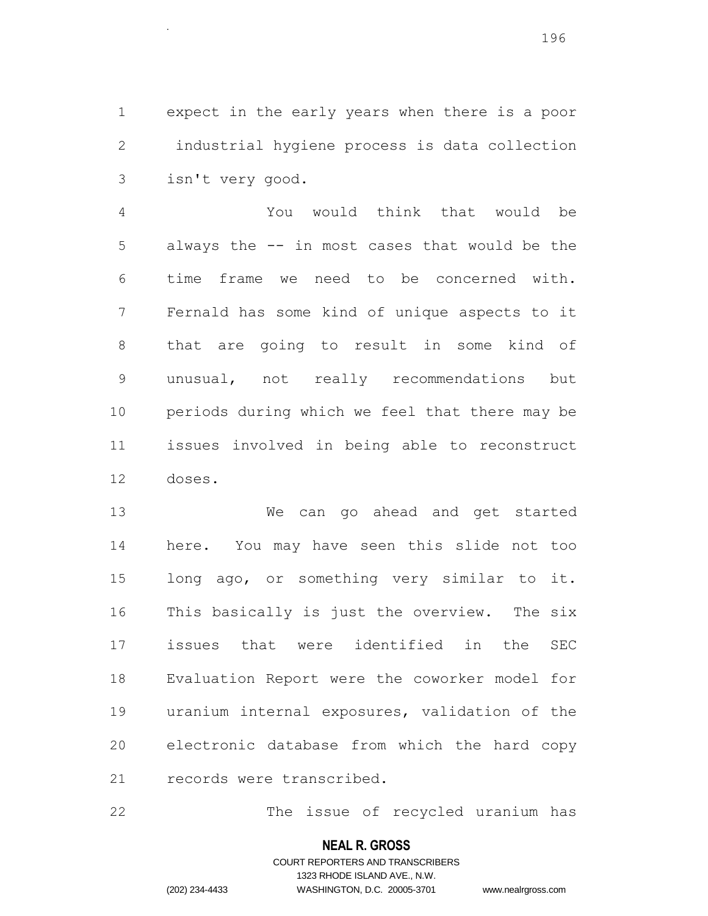expect in the early years when there is a poor industrial hygiene process is data collection isn't very good.

.

 You would think that would be always the -- in most cases that would be the time frame we need to be concerned with. Fernald has some kind of unique aspects to it that are going to result in some kind of unusual, not really recommendations but periods during which we feel that there may be issues involved in being able to reconstruct doses.

 We can go ahead and get started here. You may have seen this slide not too long ago, or something very similar to it. This basically is just the overview. The six issues that were identified in the SEC Evaluation Report were the coworker model for uranium internal exposures, validation of the electronic database from which the hard copy records were transcribed.

The issue of recycled uranium has

## **NEAL R. GROSS**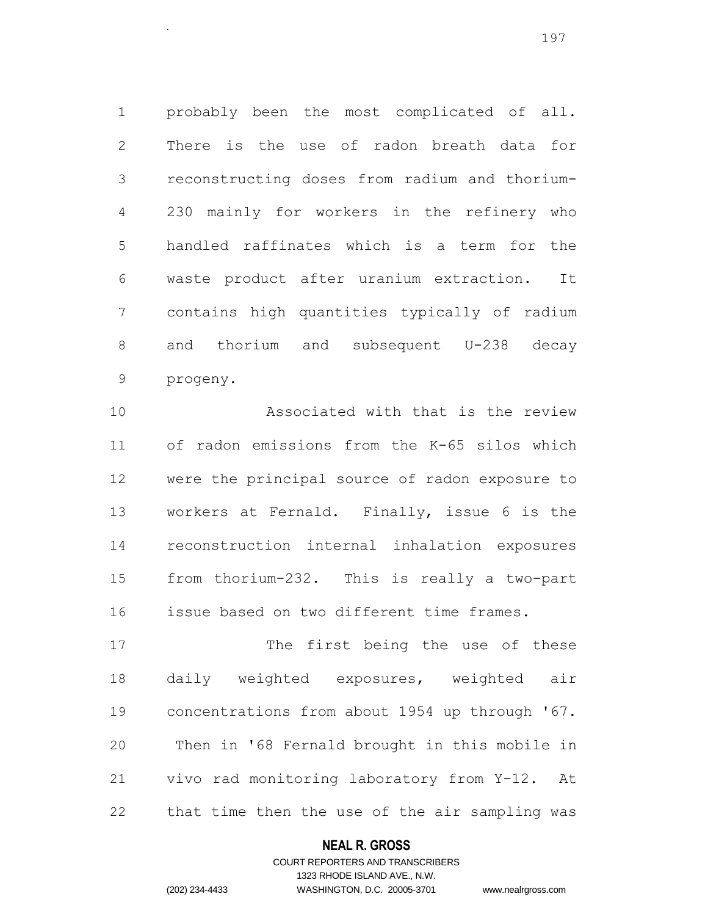probably been the most complicated of all. There is the use of radon breath data for reconstructing doses from radium and thorium- 230 mainly for workers in the refinery who handled raffinates which is a term for the waste product after uranium extraction. It contains high quantities typically of radium and thorium and subsequent U-238 decay progeny.

 Associated with that is the review of radon emissions from the K-65 silos which were the principal source of radon exposure to workers at Fernald. Finally, issue 6 is the reconstruction internal inhalation exposures from thorium-232. This is really a two-part issue based on two different time frames.

17 The first being the use of these daily weighted exposures, weighted air concentrations from about 1954 up through '67. Then in '68 Fernald brought in this mobile in vivo rad monitoring laboratory from Y-12. At that time then the use of the air sampling was

## **NEAL R. GROSS**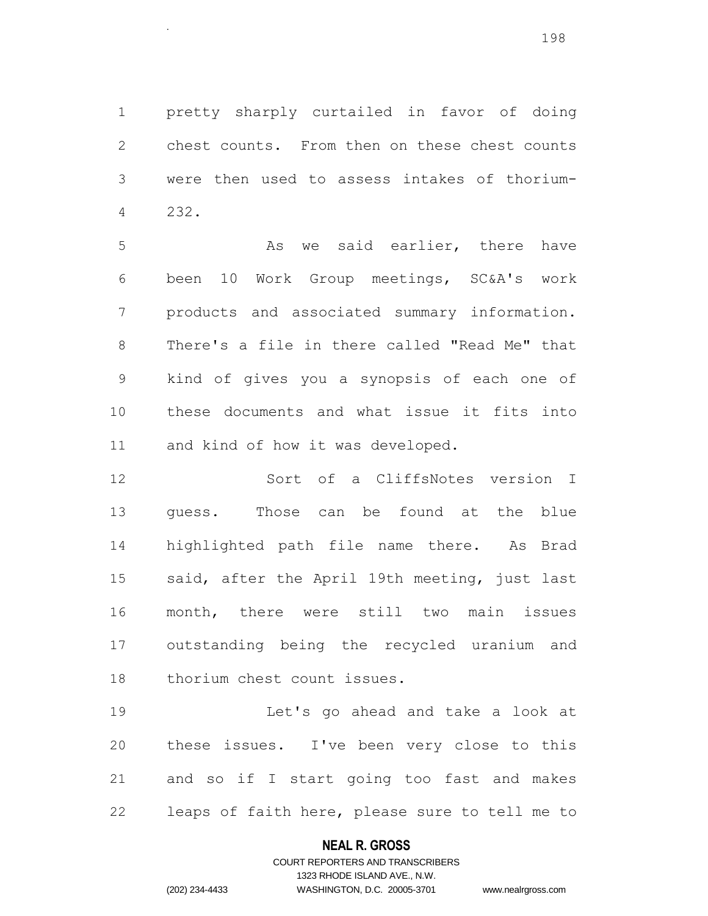pretty sharply curtailed in favor of doing chest counts. From then on these chest counts were then used to assess intakes of thorium-232.

.

5 As we said earlier, there have been 10 Work Group meetings, SC&A's work products and associated summary information. There's a file in there called "Read Me" that kind of gives you a synopsis of each one of these documents and what issue it fits into and kind of how it was developed.

 Sort of a CliffsNotes version I guess. Those can be found at the blue highlighted path file name there. As Brad 15 said, after the April 19th meeting, just last month, there were still two main issues outstanding being the recycled uranium and thorium chest count issues.

 Let's go ahead and take a look at these issues. I've been very close to this and so if I start going too fast and makes leaps of faith here, please sure to tell me to

## **NEAL R. GROSS**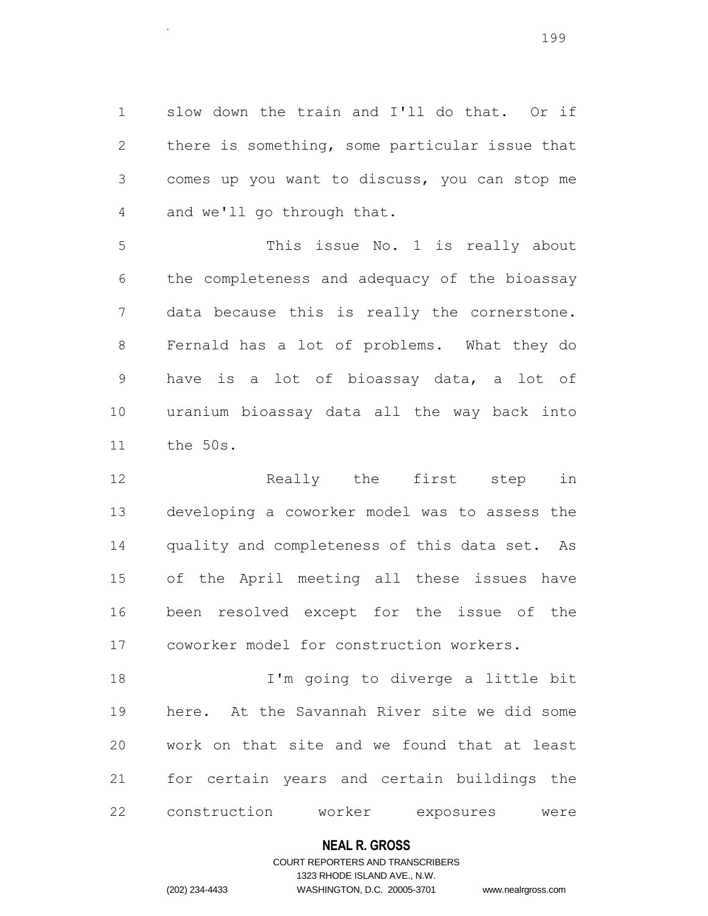slow down the train and I'll do that. Or if there is something, some particular issue that comes up you want to discuss, you can stop me and we'll go through that.

.

 This issue No. 1 is really about the completeness and adequacy of the bioassay data because this is really the cornerstone. Fernald has a lot of problems. What they do have is a lot of bioassay data, a lot of uranium bioassay data all the way back into the 50s.

 Really the first step in developing a coworker model was to assess the quality and completeness of this data set. As of the April meeting all these issues have been resolved except for the issue of the coworker model for construction workers.

 I'm going to diverge a little bit here. At the Savannah River site we did some work on that site and we found that at least for certain years and certain buildings the construction worker exposures were

## **NEAL R. GROSS**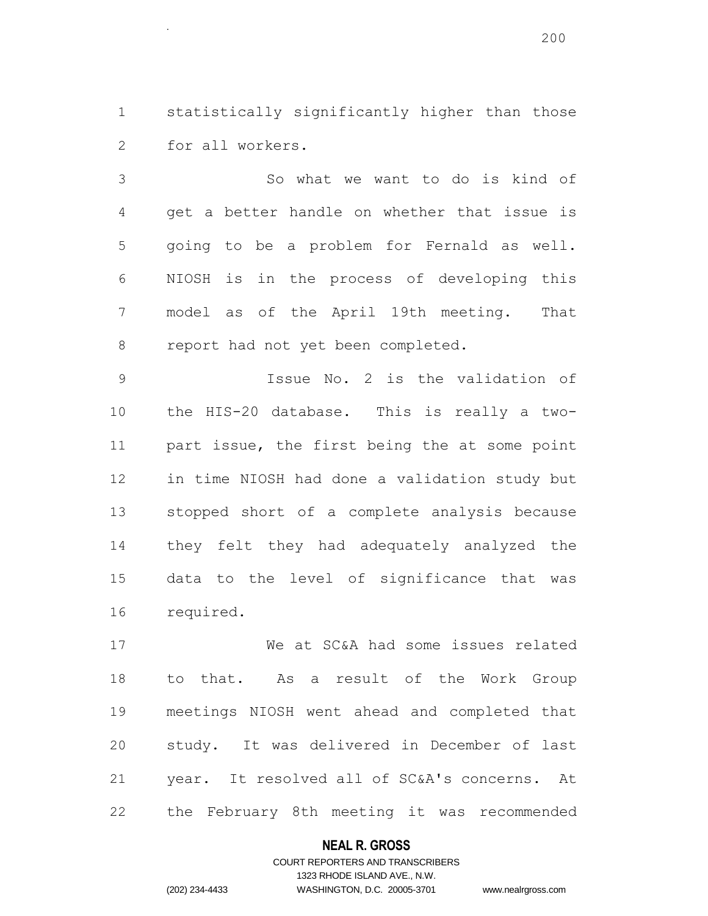statistically significantly higher than those for all workers.

.

 So what we want to do is kind of get a better handle on whether that issue is going to be a problem for Fernald as well. NIOSH is in the process of developing this model as of the April 19th meeting. That report had not yet been completed.

 Issue No. 2 is the validation of the HIS-20 database. This is really a two- part issue, the first being the at some point in time NIOSH had done a validation study but stopped short of a complete analysis because they felt they had adequately analyzed the data to the level of significance that was required.

 We at SC&A had some issues related to that. As a result of the Work Group meetings NIOSH went ahead and completed that study. It was delivered in December of last year. It resolved all of SC&A's concerns. At the February 8th meeting it was recommended

## **NEAL R. GROSS**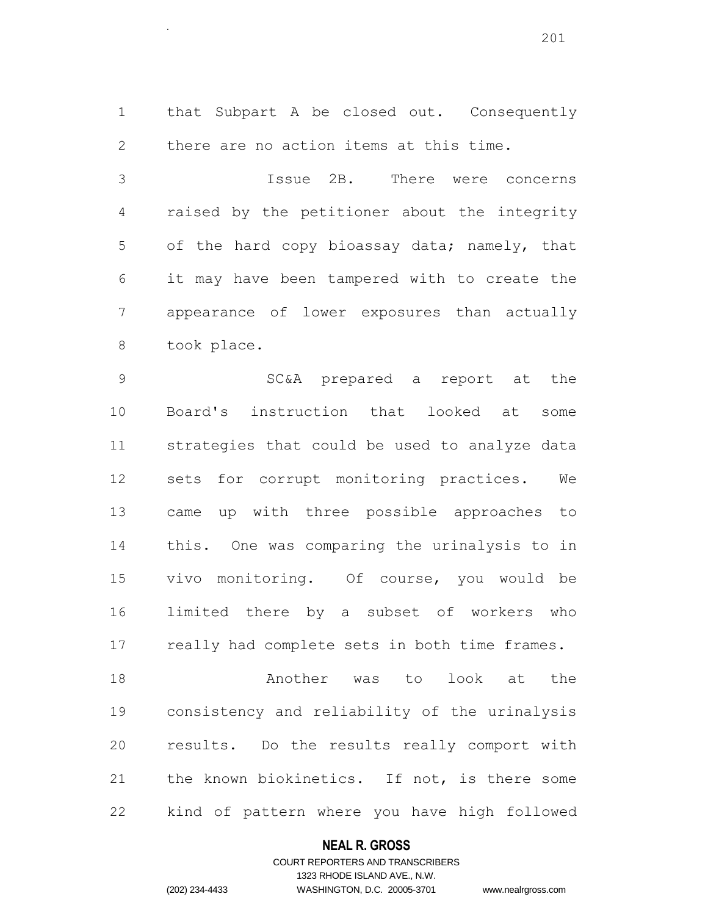that Subpart A be closed out. Consequently there are no action items at this time.

.

 Issue 2B. There were concerns raised by the petitioner about the integrity of the hard copy bioassay data; namely, that it may have been tampered with to create the appearance of lower exposures than actually took place.

 SC&A prepared a report at the Board's instruction that looked at some strategies that could be used to analyze data sets for corrupt monitoring practices. We came up with three possible approaches to this. One was comparing the urinalysis to in vivo monitoring. Of course, you would be limited there by a subset of workers who 17 really had complete sets in both time frames.

 Another was to look at the consistency and reliability of the urinalysis results. Do the results really comport with the known biokinetics. If not, is there some kind of pattern where you have high followed

## **NEAL R. GROSS**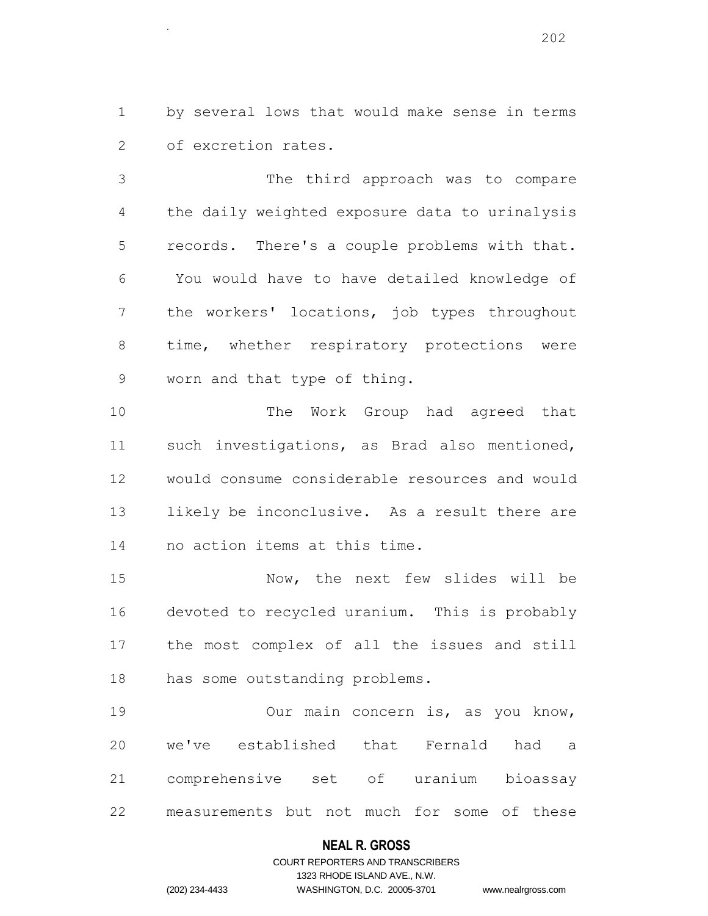by several lows that would make sense in terms of excretion rates.

.

 The third approach was to compare the daily weighted exposure data to urinalysis records. There's a couple problems with that. You would have to have detailed knowledge of the workers' locations, job types throughout 8 time, whether respiratory protections were worn and that type of thing.

 The Work Group had agreed that such investigations, as Brad also mentioned, would consume considerable resources and would likely be inconclusive. As a result there are no action items at this time.

 Now, the next few slides will be devoted to recycled uranium. This is probably the most complex of all the issues and still has some outstanding problems.

19 Our main concern is, as you know, we've established that Fernald had a comprehensive set of uranium bioassay measurements but not much for some of these

## **NEAL R. GROSS**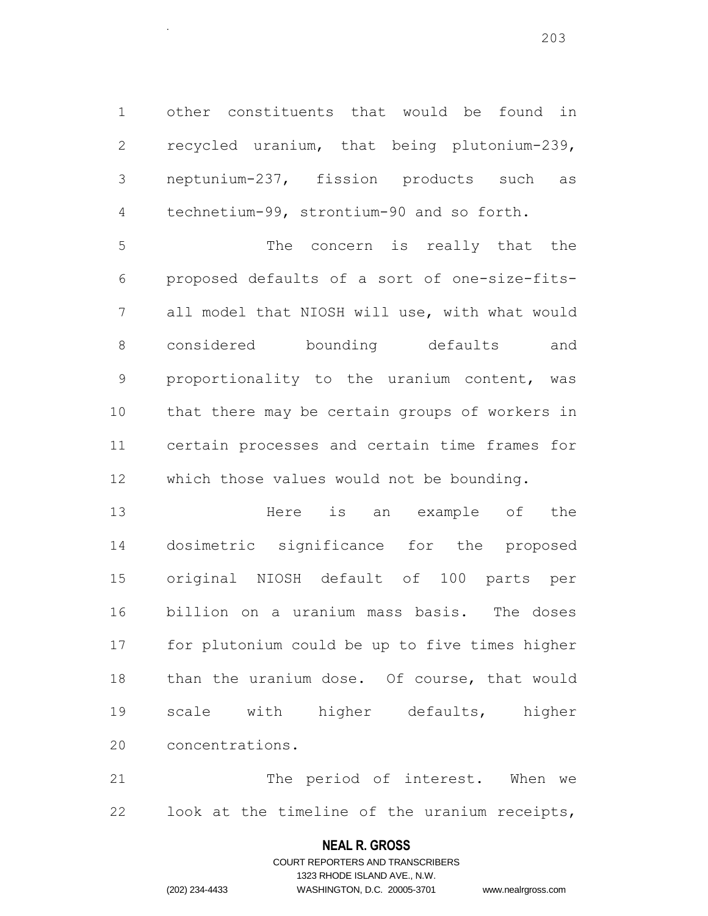other constituents that would be found in recycled uranium, that being plutonium-239, neptunium-237, fission products such as technetium-99, strontium-90 and so forth.

.

 The concern is really that the proposed defaults of a sort of one-size-fits- all model that NIOSH will use, with what would considered bounding defaults and proportionality to the uranium content, was that there may be certain groups of workers in certain processes and certain time frames for which those values would not be bounding.

 Here is an example of the dosimetric significance for the proposed original NIOSH default of 100 parts per billion on a uranium mass basis. The doses for plutonium could be up to five times higher than the uranium dose. Of course, that would scale with higher defaults, higher concentrations.

 The period of interest. When we look at the timeline of the uranium receipts,

## **NEAL R. GROSS**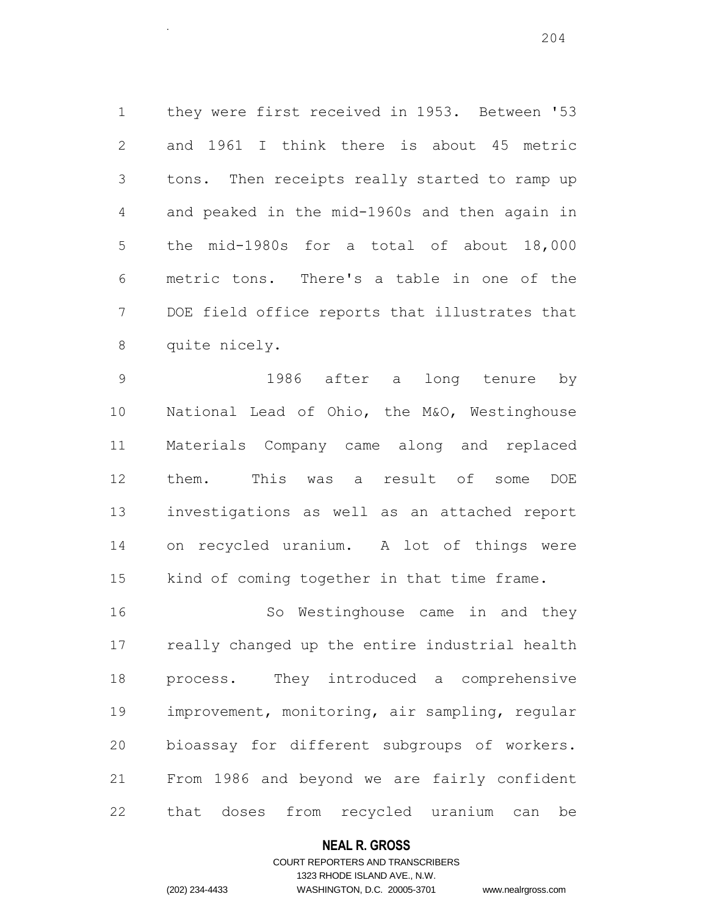they were first received in 1953. Between '53 and 1961 I think there is about 45 metric tons. Then receipts really started to ramp up and peaked in the mid-1960s and then again in the mid-1980s for a total of about 18,000 metric tons. There's a table in one of the DOE field office reports that illustrates that quite nicely.

 1986 after a long tenure by National Lead of Ohio, the M&O, Westinghouse Materials Company came along and replaced them. This was a result of some DOE investigations as well as an attached report on recycled uranium. A lot of things were kind of coming together in that time frame.

16 So Westinghouse came in and they really changed up the entire industrial health process. They introduced a comprehensive improvement, monitoring, air sampling, regular bioassay for different subgroups of workers. From 1986 and beyond we are fairly confident that doses from recycled uranium can be

## **NEAL R. GROSS**

# COURT REPORTERS AND TRANSCRIBERS 1323 RHODE ISLAND AVE., N.W. (202) 234-4433 WASHINGTON, D.C. 20005-3701 www.nealrgross.com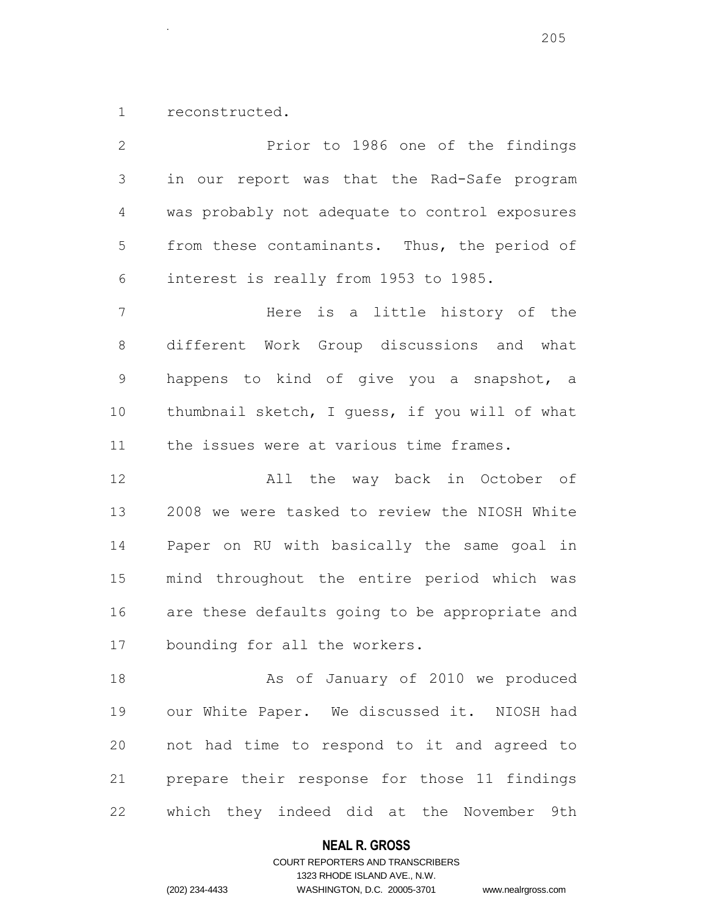reconstructed.

.

 Prior to 1986 one of the findings in our report was that the Rad-Safe program was probably not adequate to control exposures from these contaminants. Thus, the period of interest is really from 1953 to 1985. Here is a little history of the different Work Group discussions and what happens to kind of give you a snapshot, a thumbnail sketch, I guess, if you will of what the issues were at various time frames. All the way back in October of 2008 we were tasked to review the NIOSH White Paper on RU with basically the same goal in mind throughout the entire period which was are these defaults going to be appropriate and bounding for all the workers. 18 As of January of 2010 we produced our White Paper. We discussed it. NIOSH had not had time to respond to it and agreed to prepare their response for those 11 findings which they indeed did at the November 9th

## **NEAL R. GROSS**

# COURT REPORTERS AND TRANSCRIBERS 1323 RHODE ISLAND AVE., N.W. (202) 234-4433 WASHINGTON, D.C. 20005-3701 www.nealrgross.com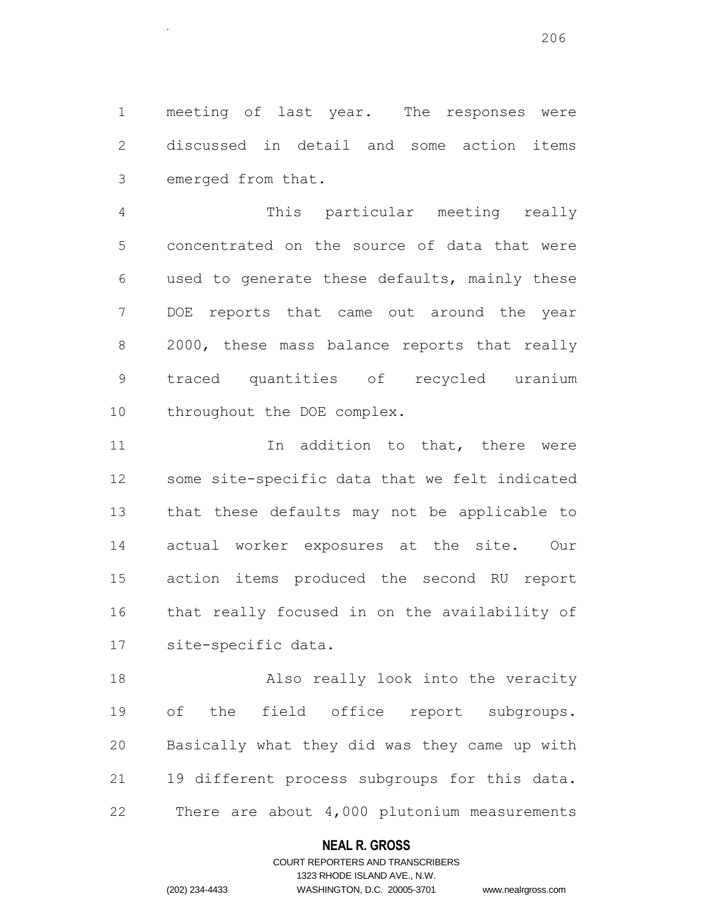meeting of last year. The responses were discussed in detail and some action items emerged from that.

.

 This particular meeting really concentrated on the source of data that were used to generate these defaults, mainly these DOE reports that came out around the year 8 2000, these mass balance reports that really traced quantities of recycled uranium 10 throughout the DOE complex.

11 11 In addition to that, there were some site-specific data that we felt indicated that these defaults may not be applicable to actual worker exposures at the site. Our action items produced the second RU report that really focused in on the availability of site-specific data.

18 Also really look into the veracity of the field office report subgroups. Basically what they did was they came up with 19 different process subgroups for this data. There are about 4,000 plutonium measurements

# **NEAL R. GROSS**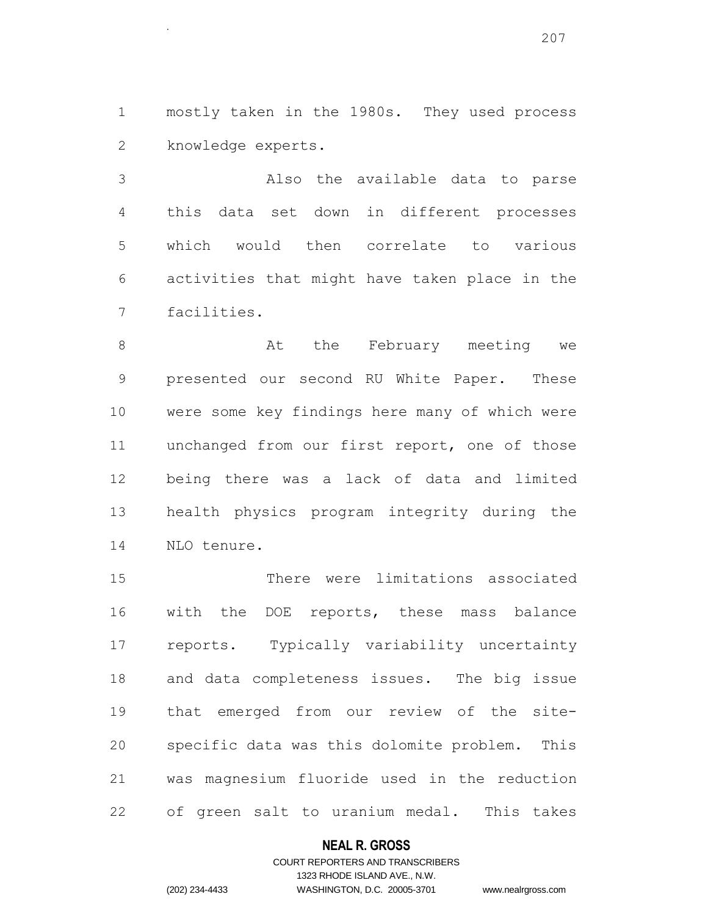mostly taken in the 1980s. They used process knowledge experts.

.

 Also the available data to parse this data set down in different processes which would then correlate to various activities that might have taken place in the facilities.

8 at the February meeting we presented our second RU White Paper. These were some key findings here many of which were unchanged from our first report, one of those being there was a lack of data and limited health physics program integrity during the NLO tenure.

 There were limitations associated with the DOE reports, these mass balance reports. Typically variability uncertainty and data completeness issues. The big issue that emerged from our review of the site- specific data was this dolomite problem. This was magnesium fluoride used in the reduction of green salt to uranium medal. This takes

# **NEAL R. GROSS**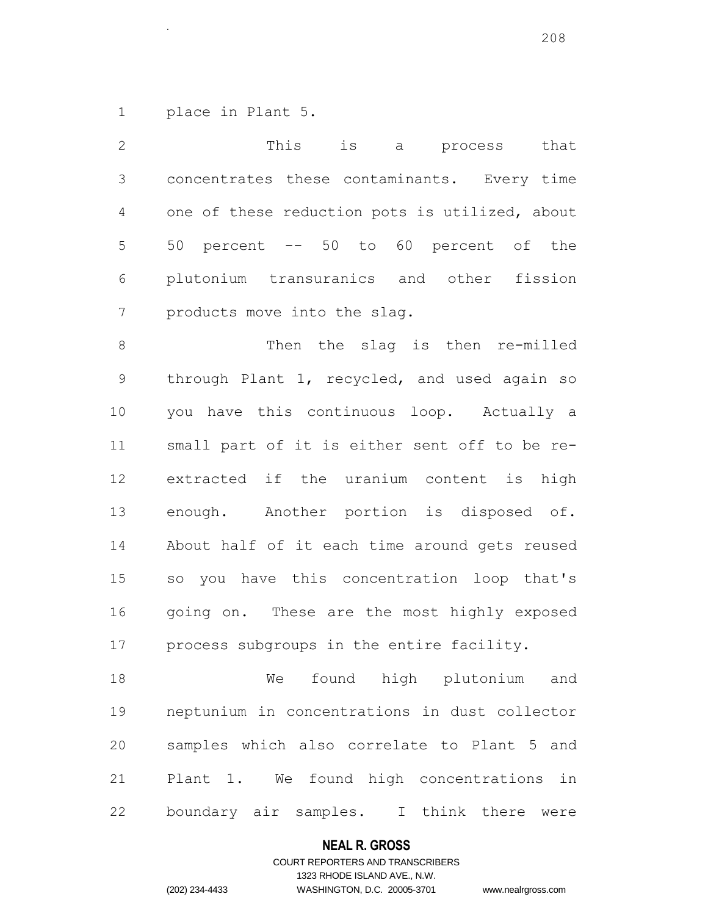place in Plant 5.

.

 This is a process that concentrates these contaminants. Every time one of these reduction pots is utilized, about 50 percent -- 50 to 60 percent of the plutonium transuranics and other fission products move into the slag. 8 Then the slag is then re-milled through Plant 1, recycled, and used again so you have this continuous loop. Actually a small part of it is either sent off to be re- extracted if the uranium content is high enough. Another portion is disposed of. About half of it each time around gets reused so you have this concentration loop that's 16 going on. These are the most highly exposed

process subgroups in the entire facility.

 We found high plutonium and neptunium in concentrations in dust collector samples which also correlate to Plant 5 and Plant 1. We found high concentrations in boundary air samples. I think there were

## **NEAL R. GROSS**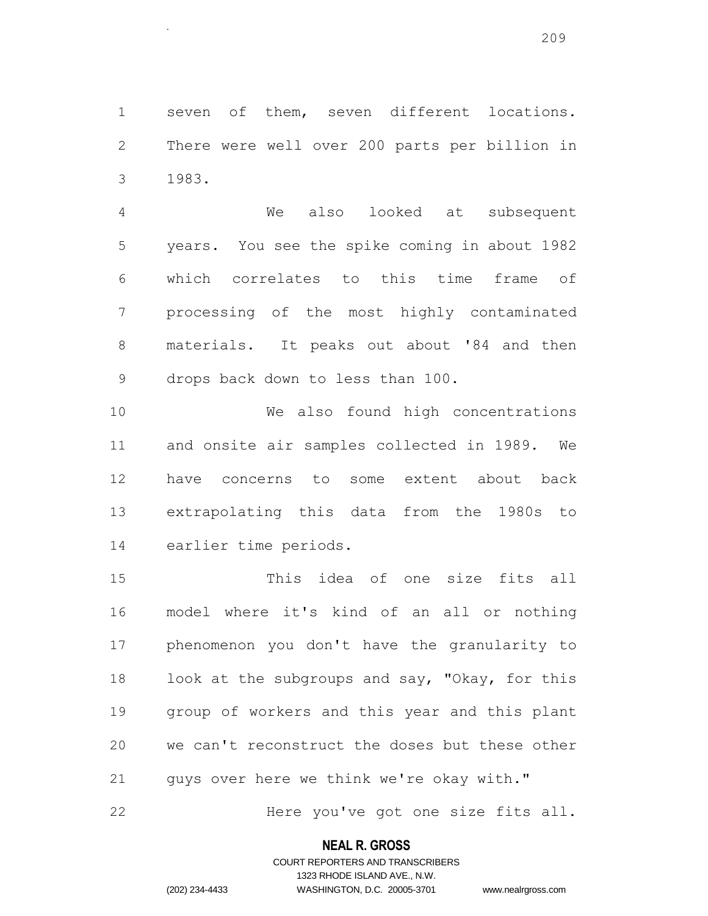seven of them, seven different locations. There were well over 200 parts per billion in 1983.

.

 We also looked at subsequent years. You see the spike coming in about 1982 which correlates to this time frame of processing of the most highly contaminated materials. It peaks out about '84 and then drops back down to less than 100.

 We also found high concentrations and onsite air samples collected in 1989. We have concerns to some extent about back extrapolating this data from the 1980s to earlier time periods.

 This idea of one size fits all model where it's kind of an all or nothing phenomenon you don't have the granularity to 18 look at the subgroups and say, "Okay, for this group of workers and this year and this plant we can't reconstruct the doses but these other guys over here we think we're okay with."

22 Here you've got one size fits all.

# **NEAL R. GROSS**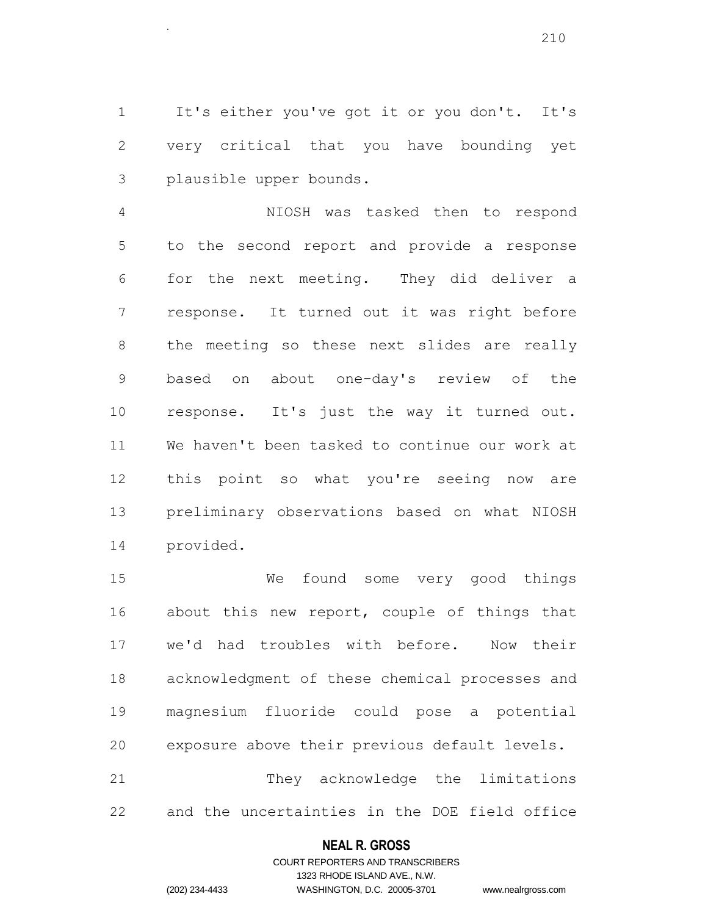It's either you've got it or you don't. It's very critical that you have bounding yet plausible upper bounds.

.

 NIOSH was tasked then to respond to the second report and provide a response for the next meeting. They did deliver a response. It turned out it was right before the meeting so these next slides are really based on about one-day's review of the response. It's just the way it turned out. We haven't been tasked to continue our work at this point so what you're seeing now are preliminary observations based on what NIOSH provided.

 We found some very good things about this new report, couple of things that we'd had troubles with before. Now their acknowledgment of these chemical processes and magnesium fluoride could pose a potential exposure above their previous default levels. They acknowledge the limitations and the uncertainties in the DOE field office

## **NEAL R. GROSS**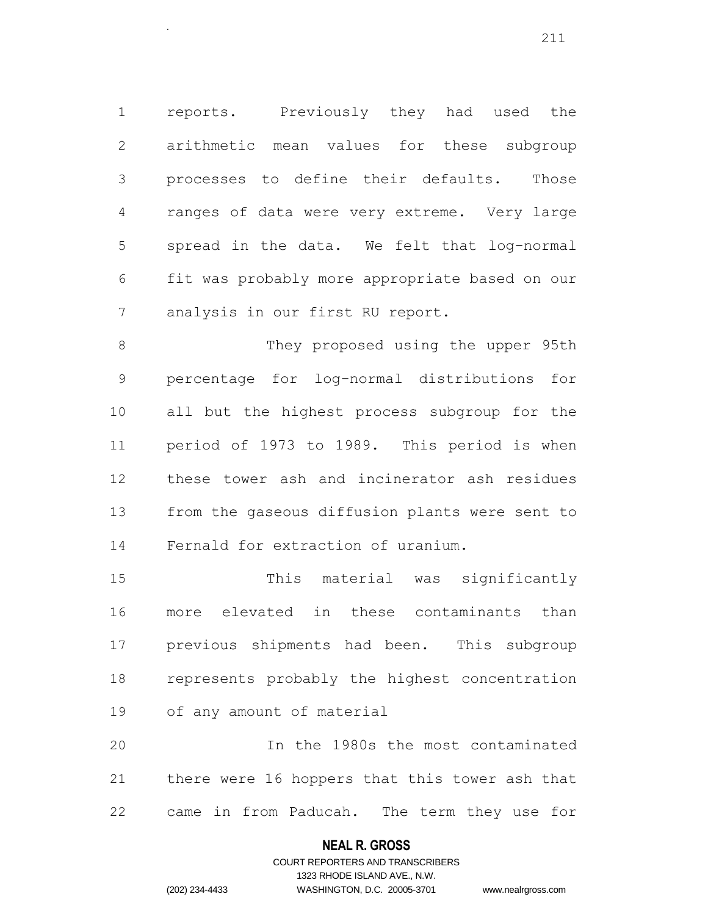reports. Previously they had used the arithmetic mean values for these subgroup processes to define their defaults. Those ranges of data were very extreme. Very large spread in the data. We felt that log-normal fit was probably more appropriate based on our analysis in our first RU report.

8 They proposed using the upper 95th percentage for log-normal distributions for all but the highest process subgroup for the period of 1973 to 1989. This period is when these tower ash and incinerator ash residues from the gaseous diffusion plants were sent to Fernald for extraction of uranium.

 This material was significantly more elevated in these contaminants than previous shipments had been. This subgroup represents probably the highest concentration of any amount of material

 In the 1980s the most contaminated there were 16 hoppers that this tower ash that came in from Paducah. The term they use for

## **NEAL R. GROSS**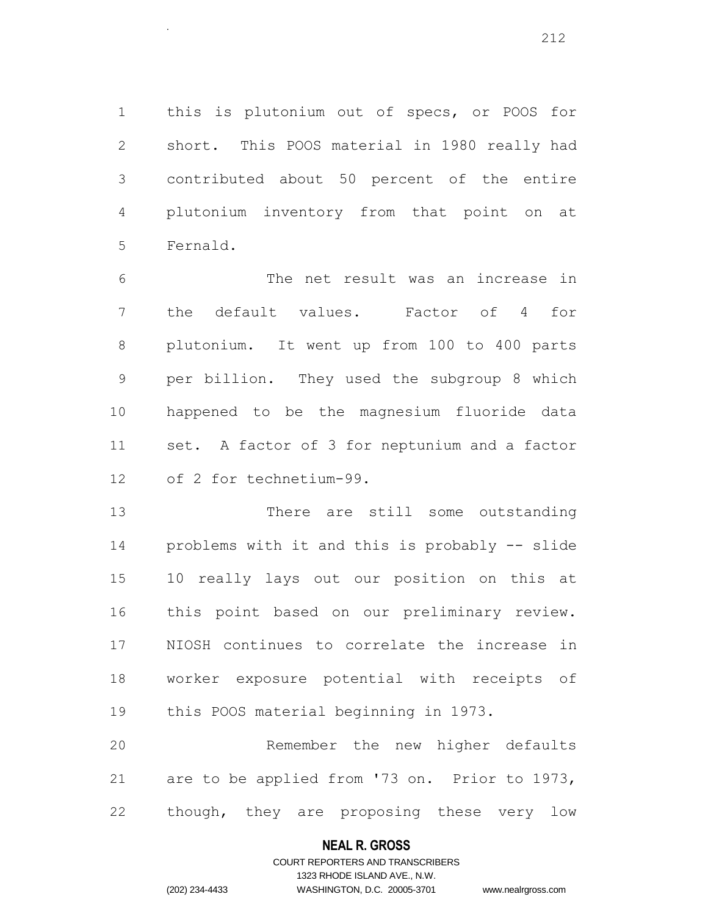this is plutonium out of specs, or POOS for short. This POOS material in 1980 really had contributed about 50 percent of the entire plutonium inventory from that point on at Fernald.

 The net result was an increase in the default values. Factor of 4 for plutonium. It went up from 100 to 400 parts per billion. They used the subgroup 8 which happened to be the magnesium fluoride data set. A factor of 3 for neptunium and a factor of 2 for technetium-99.

 There are still some outstanding problems with it and this is probably -- slide 10 really lays out our position on this at this point based on our preliminary review. NIOSH continues to correlate the increase in worker exposure potential with receipts of this POOS material beginning in 1973.

 Remember the new higher defaults are to be applied from '73 on. Prior to 1973, though, they are proposing these very low

## **NEAL R. GROSS**

.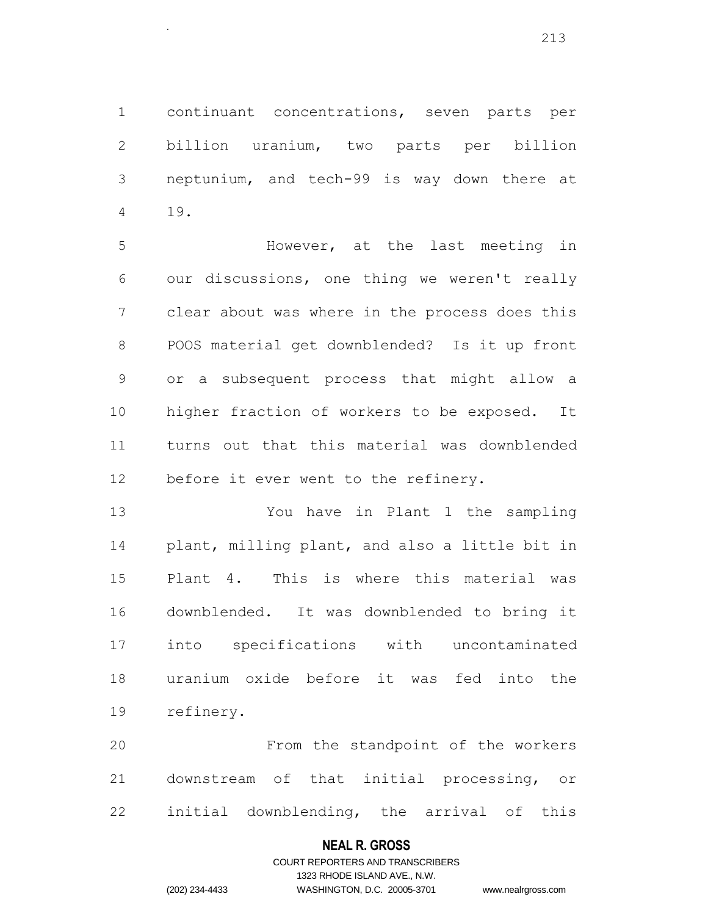continuant concentrations, seven parts per billion uranium, two parts per billion neptunium, and tech-99 is way down there at 19.

 However, at the last meeting in our discussions, one thing we weren't really clear about was where in the process does this POOS material get downblended? Is it up front or a subsequent process that might allow a higher fraction of workers to be exposed. It turns out that this material was downblended before it ever went to the refinery.

 You have in Plant 1 the sampling plant, milling plant, and also a little bit in Plant 4. This is where this material was downblended. It was downblended to bring it into specifications with uncontaminated uranium oxide before it was fed into the refinery.

 From the standpoint of the workers downstream of that initial processing, or initial downblending, the arrival of this

## **NEAL R. GROSS**

# COURT REPORTERS AND TRANSCRIBERS 1323 RHODE ISLAND AVE., N.W. (202) 234-4433 WASHINGTON, D.C. 20005-3701 www.nealrgross.com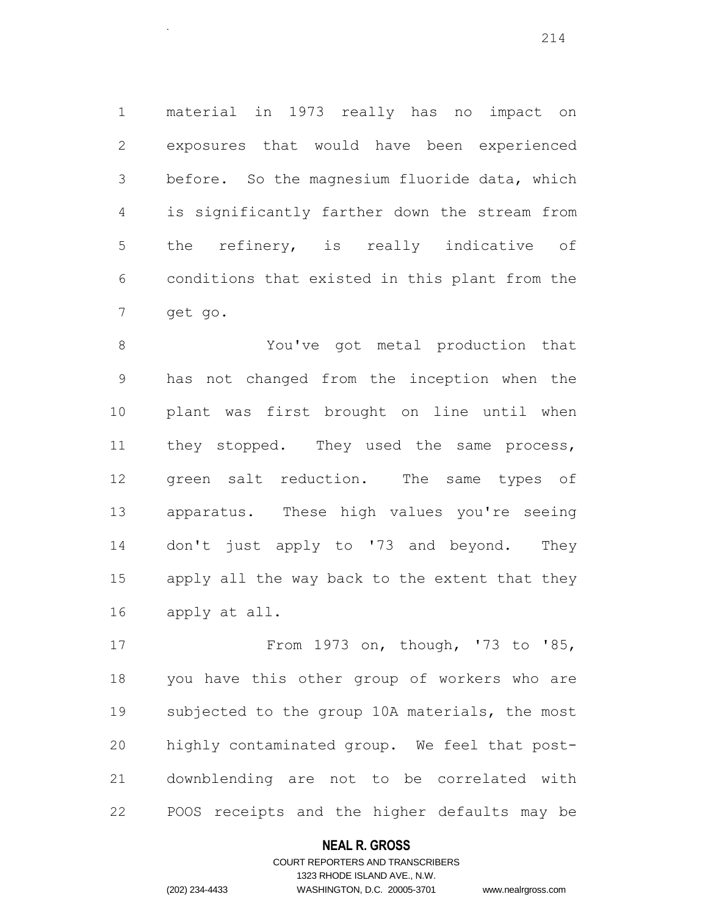material in 1973 really has no impact on exposures that would have been experienced before. So the magnesium fluoride data, which is significantly farther down the stream from the refinery, is really indicative of conditions that existed in this plant from the get go.

 You've got metal production that has not changed from the inception when the plant was first brought on line until when 11 they stopped. They used the same process, green salt reduction. The same types of apparatus. These high values you're seeing don't just apply to '73 and beyond. They apply all the way back to the extent that they apply at all.

 From 1973 on, though, '73 to '85, you have this other group of workers who are subjected to the group 10A materials, the most highly contaminated group. We feel that post- downblending are not to be correlated with POOS receipts and the higher defaults may be

# **NEAL R. GROSS**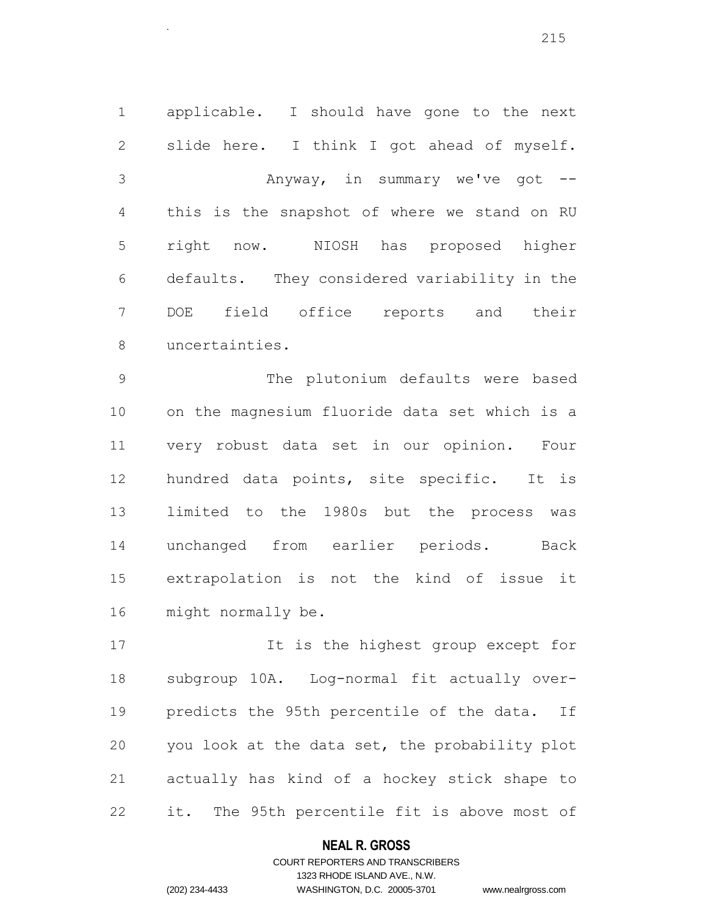applicable. I should have gone to the next slide here. I think I got ahead of myself. Anyway, in summary we've got -- this is the snapshot of where we stand on RU right now. NIOSH has proposed higher defaults. They considered variability in the DOE field office reports and their uncertainties.

 The plutonium defaults were based on the magnesium fluoride data set which is a very robust data set in our opinion. Four hundred data points, site specific. It is limited to the 1980s but the process was unchanged from earlier periods. Back extrapolation is not the kind of issue it might normally be.

17 17 It is the highest group except for subgroup 10A. Log-normal fit actually over- predicts the 95th percentile of the data. If you look at the data set, the probability plot actually has kind of a hockey stick shape to it. The 95th percentile fit is above most of

# **NEAL R. GROSS**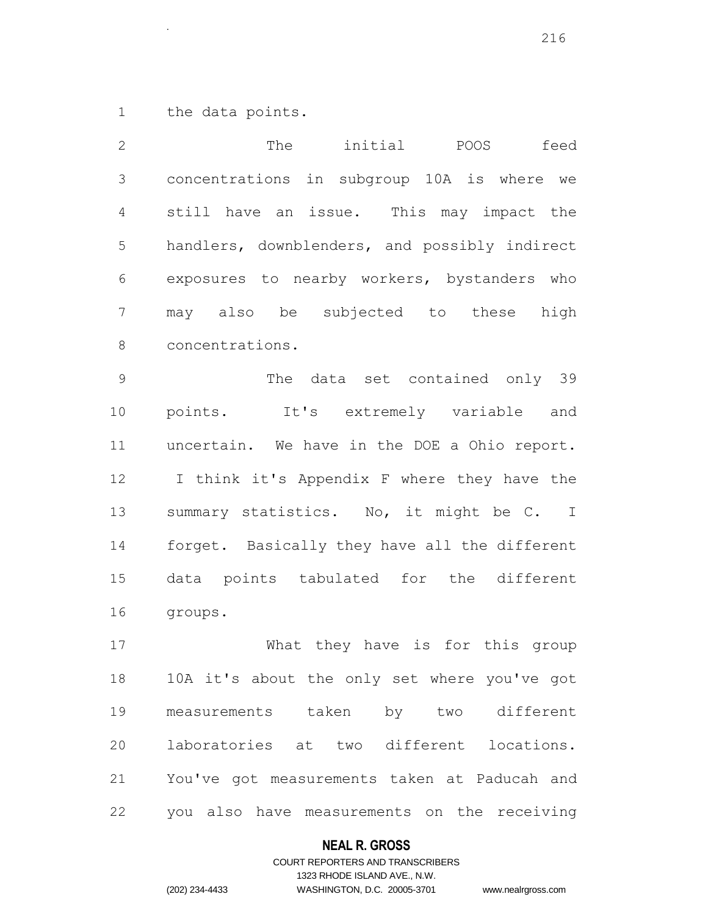the data points.

.

 The initial POOS feed concentrations in subgroup 10A is where we still have an issue. This may impact the handlers, downblenders, and possibly indirect exposures to nearby workers, bystanders who may also be subjected to these high concentrations. The data set contained only 39 points. It's extremely variable and

 uncertain. We have in the DOE a Ohio report. I think it's Appendix F where they have the 13 summary statistics. No, it might be C. I forget. Basically they have all the different data points tabulated for the different groups.

 What they have is for this group 10A it's about the only set where you've got measurements taken by two different laboratories at two different locations. You've got measurements taken at Paducah and you also have measurements on the receiving

## **NEAL R. GROSS**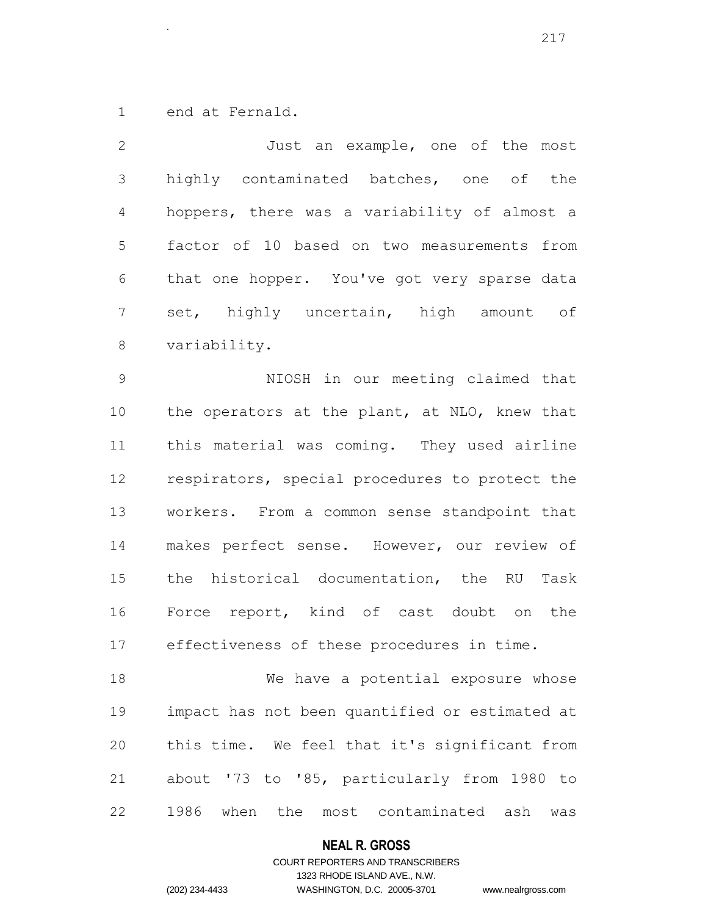end at Fernald.

.

| $\mathbf{2}$   | Just an example, one of the most               |
|----------------|------------------------------------------------|
| 3              | highly contaminated batches, one of the        |
| 4              | hoppers, there was a variability of almost a   |
| 5              | factor of 10 based on two measurements from    |
| 6              | that one hopper. You've got very sparse data   |
| $7\phantom{.}$ | set, highly uncertain, high amount of          |
| $8\,$          | variability.                                   |
| 9              | NIOSH in our meeting claimed that              |
| 10             | the operators at the plant, at NLO, knew that  |
| 11             | this material was coming. They used airline    |
| 12             | respirators, special procedures to protect the |
| 13             | workers. From a common sense standpoint that   |
| 14             | makes perfect sense. However, our review of    |
| 15             | the historical documentation, the RU Task      |

 Force report, kind of cast doubt on the effectiveness of these procedures in time.

 We have a potential exposure whose impact has not been quantified or estimated at this time. We feel that it's significant from about '73 to '85, particularly from 1980 to 1986 when the most contaminated ash was

### **NEAL R. GROSS**

## COURT REPORTERS AND TRANSCRIBERS 1323 RHODE ISLAND AVE., N.W. (202) 234-4433 WASHINGTON, D.C. 20005-3701 www.nealrgross.com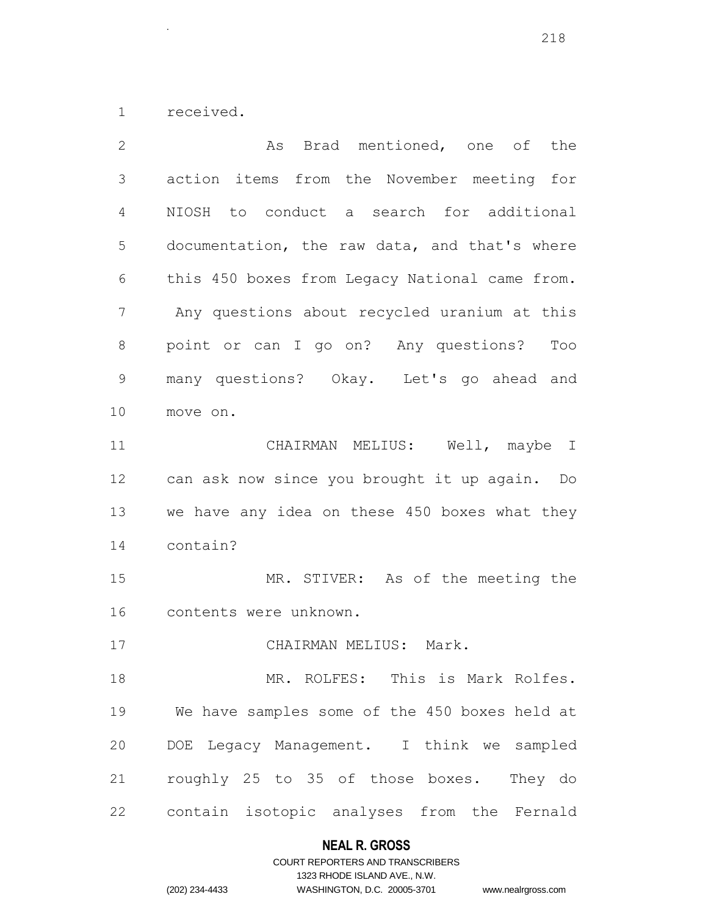received.

.

 As Brad mentioned, one of the action items from the November meeting for NIOSH to conduct a search for additional documentation, the raw data, and that's where this 450 boxes from Legacy National came from. Any questions about recycled uranium at this point or can I go on? Any questions? Too many questions? Okay. Let's go ahead and move on. CHAIRMAN MELIUS: Well, maybe I can ask now since you brought it up again. Do we have any idea on these 450 boxes what they contain? MR. STIVER: As of the meeting the contents were unknown. CHAIRMAN MELIUS: Mark. MR. ROLFES: This is Mark Rolfes. We have samples some of the 450 boxes held at DOE Legacy Management. I think we sampled roughly 25 to 35 of those boxes. They do contain isotopic analyses from the Fernald

## **NEAL R. GROSS**

|                | COURT REPORTERS AND TRANSCRIBERS |                    |
|----------------|----------------------------------|--------------------|
|                | 1323 RHODE ISLAND AVE N.W.       |                    |
| (202) 234-4433 | WASHINGTON, D.C. 20005-3701      | www.nealrgross.com |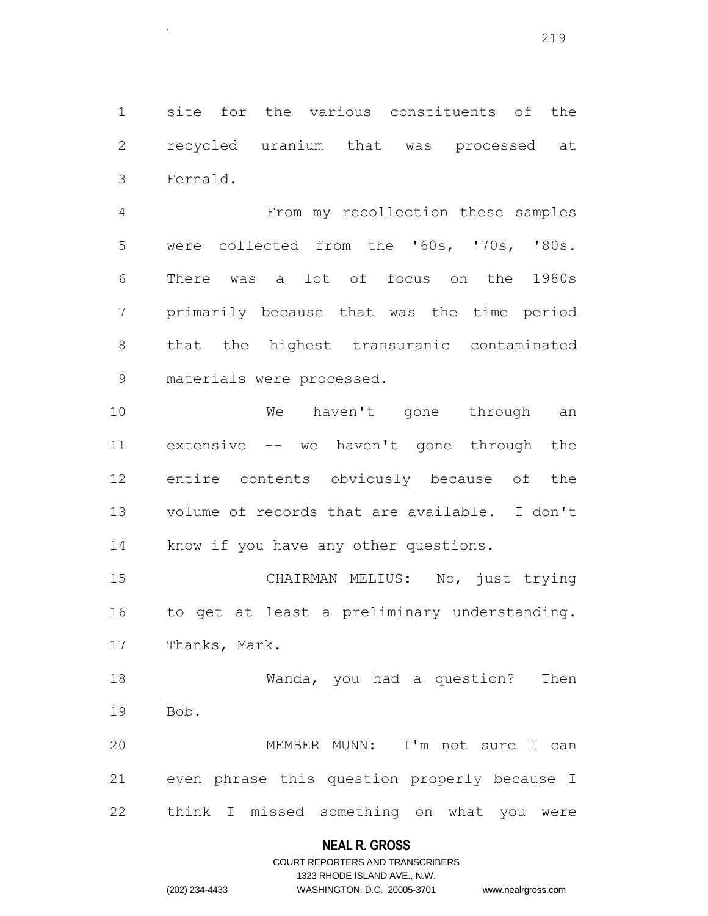site for the various constituents of the recycled uranium that was processed at Fernald.

 From my recollection these samples were collected from the '60s, '70s, '80s. There was a lot of focus on the 1980s primarily because that was the time period that the highest transuranic contaminated materials were processed.

 We haven't gone through an extensive -- we haven't gone through the entire contents obviously because of the volume of records that are available. I don't know if you have any other questions.

 CHAIRMAN MELIUS: No, just trying to get at least a preliminary understanding. Thanks, Mark.

 Wanda, you had a question? Then Bob.

 MEMBER MUNN: I'm not sure I can even phrase this question properly because I think I missed something on what you were

### **NEAL R. GROSS**

## COURT REPORTERS AND TRANSCRIBERS 1323 RHODE ISLAND AVE., N.W. (202) 234-4433 WASHINGTON, D.C. 20005-3701 www.nealrgross.com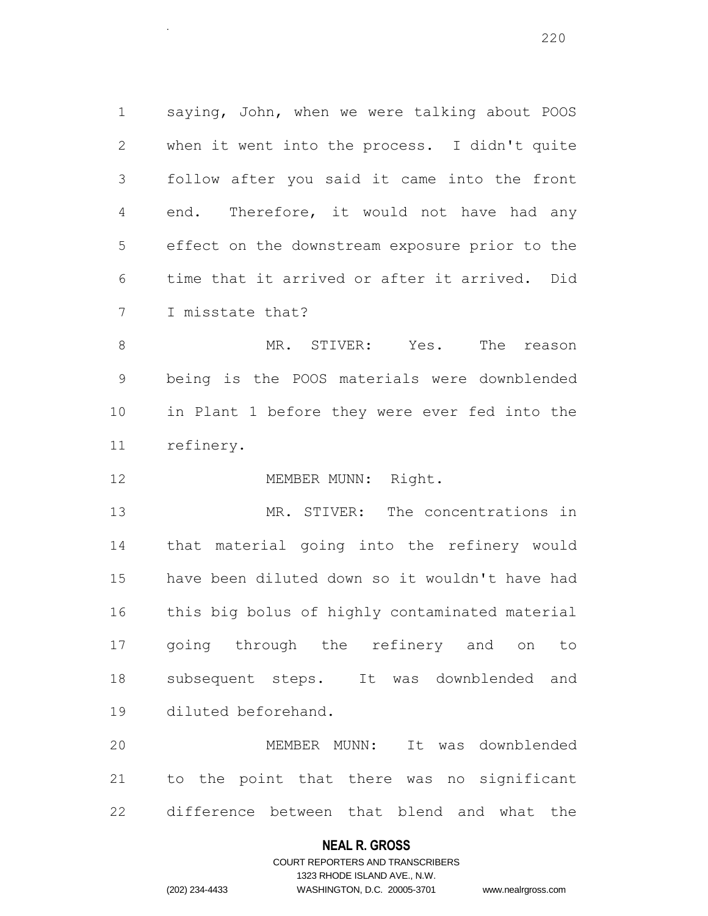saying, John, when we were talking about POOS when it went into the process. I didn't quite follow after you said it came into the front end. Therefore, it would not have had any effect on the downstream exposure prior to the time that it arrived or after it arrived. Did I misstate that?

 MR. STIVER: Yes. The reason being is the POOS materials were downblended in Plant 1 before they were ever fed into the refinery.

12 MEMBER MUNN: Right.

.

 MR. STIVER: The concentrations in that material going into the refinery would have been diluted down so it wouldn't have had this big bolus of highly contaminated material going through the refinery and on to subsequent steps. It was downblended and diluted beforehand.

 MEMBER MUNN: It was downblended to the point that there was no significant difference between that blend and what the

### **NEAL R. GROSS**

## COURT REPORTERS AND TRANSCRIBERS 1323 RHODE ISLAND AVE., N.W. (202) 234-4433 WASHINGTON, D.C. 20005-3701 www.nealrgross.com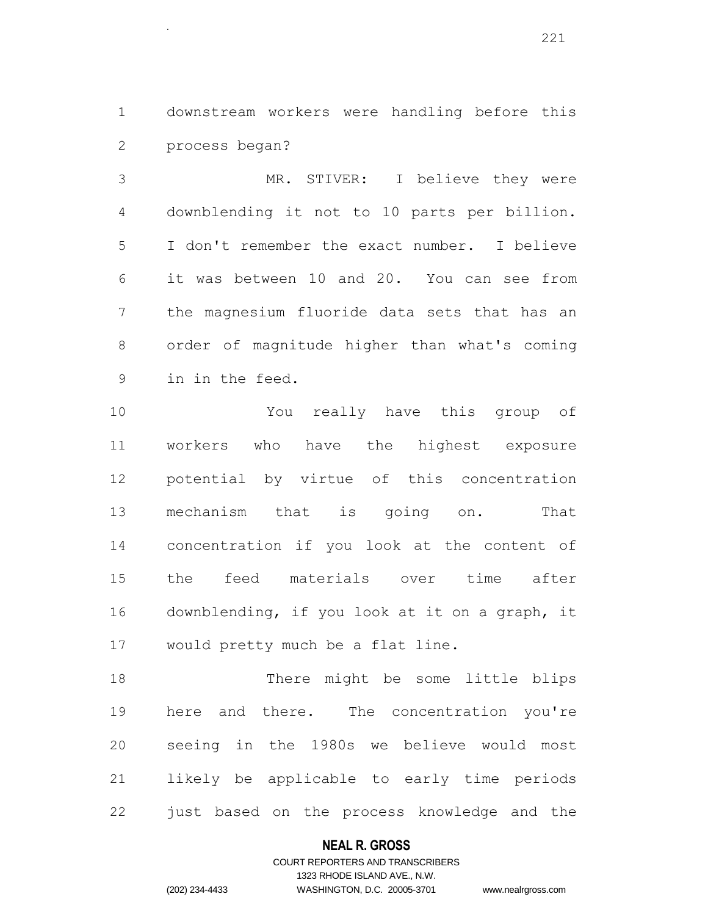downstream workers were handling before this process began?

.

 MR. STIVER: I believe they were downblending it not to 10 parts per billion. I don't remember the exact number. I believe it was between 10 and 20. You can see from the magnesium fluoride data sets that has an order of magnitude higher than what's coming in in the feed.

 You really have this group of workers who have the highest exposure potential by virtue of this concentration mechanism that is going on. That concentration if you look at the content of the feed materials over time after downblending, if you look at it on a graph, it would pretty much be a flat line.

 There might be some little blips 19 here and there. The concentration you're seeing in the 1980s we believe would most likely be applicable to early time periods just based on the process knowledge and the

### **NEAL R. GROSS**

## COURT REPORTERS AND TRANSCRIBERS 1323 RHODE ISLAND AVE., N.W. (202) 234-4433 WASHINGTON, D.C. 20005-3701 www.nealrgross.com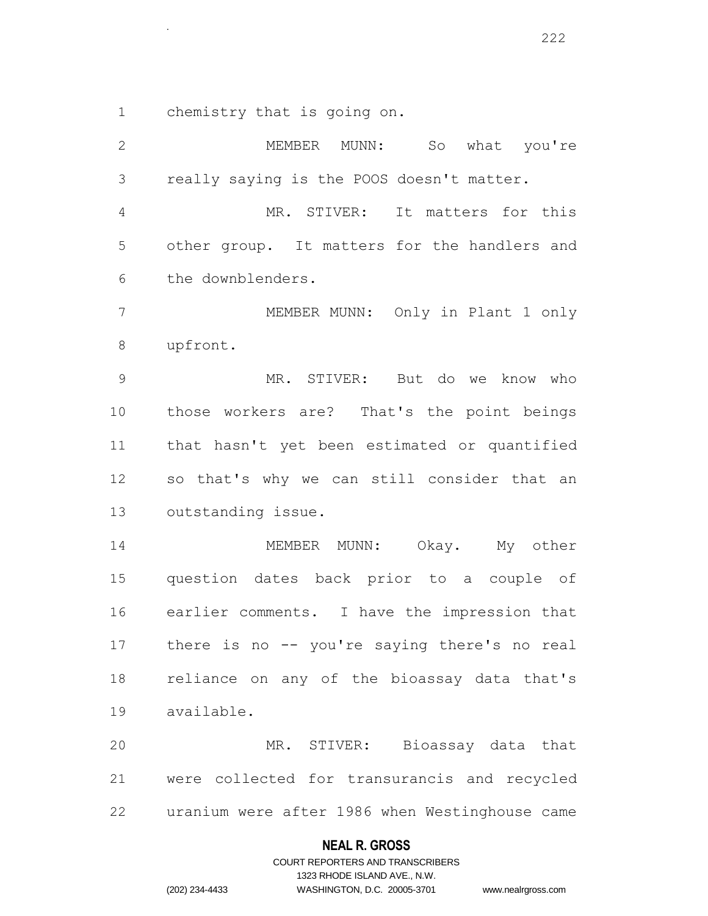chemistry that is going on.

.

 MEMBER MUNN: So what you're really saying is the POOS doesn't matter. MR. STIVER: It matters for this other group. It matters for the handlers and the downblenders. MEMBER MUNN: Only in Plant 1 only upfront. MR. STIVER: But do we know who those workers are? That's the point beings that hasn't yet been estimated or quantified so that's why we can still consider that an outstanding issue. 14 MEMBER MUNN: Okay. My other question dates back prior to a couple of earlier comments. I have the impression that there is no -- you're saying there's no real reliance on any of the bioassay data that's available. MR. STIVER: Bioassay data that were collected for transurancis and recycled uranium were after 1986 when Westinghouse came

#### **NEAL R. GROSS**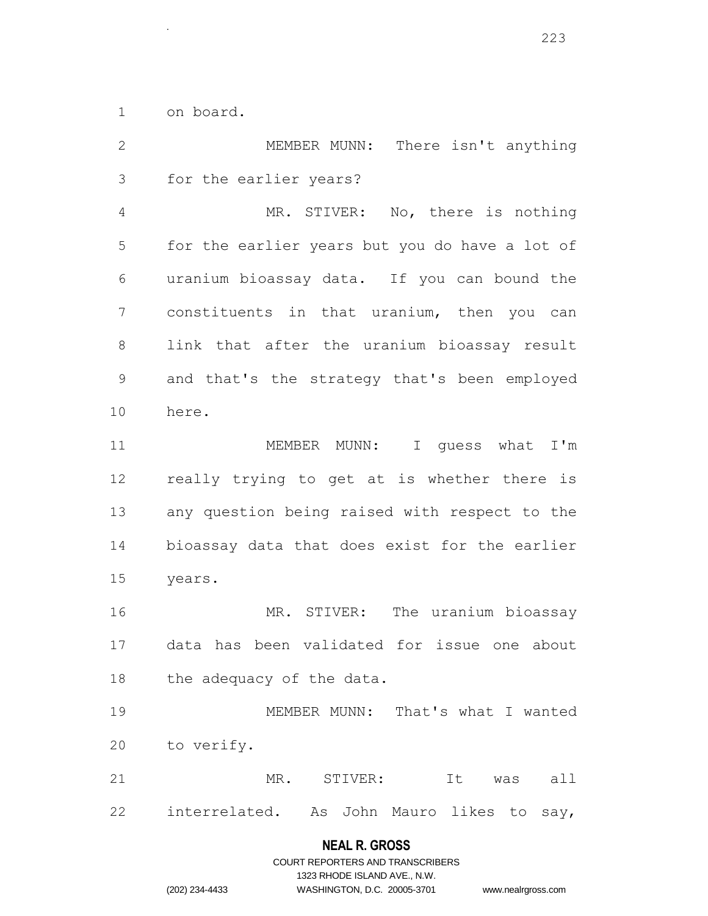on board.

.

 MEMBER MUNN: There isn't anything for the earlier years? MR. STIVER: No, there is nothing for the earlier years but you do have a lot of uranium bioassay data. If you can bound the constituents in that uranium, then you can link that after the uranium bioassay result and that's the strategy that's been employed here. MEMBER MUNN: I guess what I'm really trying to get at is whether there is any question being raised with respect to the bioassay data that does exist for the earlier years. MR. STIVER: The uranium bioassay data has been validated for issue one about 18 the adequacy of the data. MEMBER MUNN: That's what I wanted to verify. 21 MR. STIVER: It was all interrelated. As John Mauro likes to say,

### **NEAL R. GROSS**

|                | COURT REPORTERS AND TRANSCRIBERS |                    |
|----------------|----------------------------------|--------------------|
|                | 1323 RHODE ISLAND AVE N.W.       |                    |
| (202) 234-4433 | WASHINGTON, D.C. 20005-3701      | www.nealrgross.com |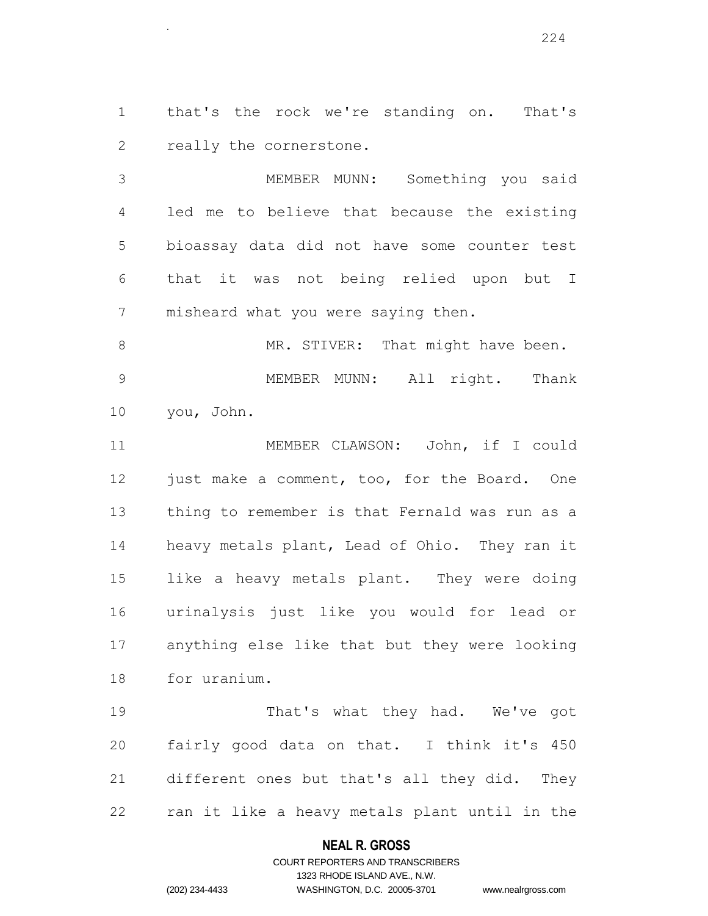that's the rock we're standing on. That's really the cornerstone.

.

 MEMBER MUNN: Something you said led me to believe that because the existing bioassay data did not have some counter test that it was not being relied upon but I misheard what you were saying then.

8 MR. STIVER: That might have been. MEMBER MUNN: All right. Thank you, John.

 MEMBER CLAWSON: John, if I could 12 just make a comment, too, for the Board. One thing to remember is that Fernald was run as a heavy metals plant, Lead of Ohio. They ran it like a heavy metals plant. They were doing urinalysis just like you would for lead or anything else like that but they were looking for uranium.

 That's what they had. We've got fairly good data on that. I think it's 450 different ones but that's all they did. They ran it like a heavy metals plant until in the

### **NEAL R. GROSS**

## COURT REPORTERS AND TRANSCRIBERS 1323 RHODE ISLAND AVE., N.W. (202) 234-4433 WASHINGTON, D.C. 20005-3701 www.nealrgross.com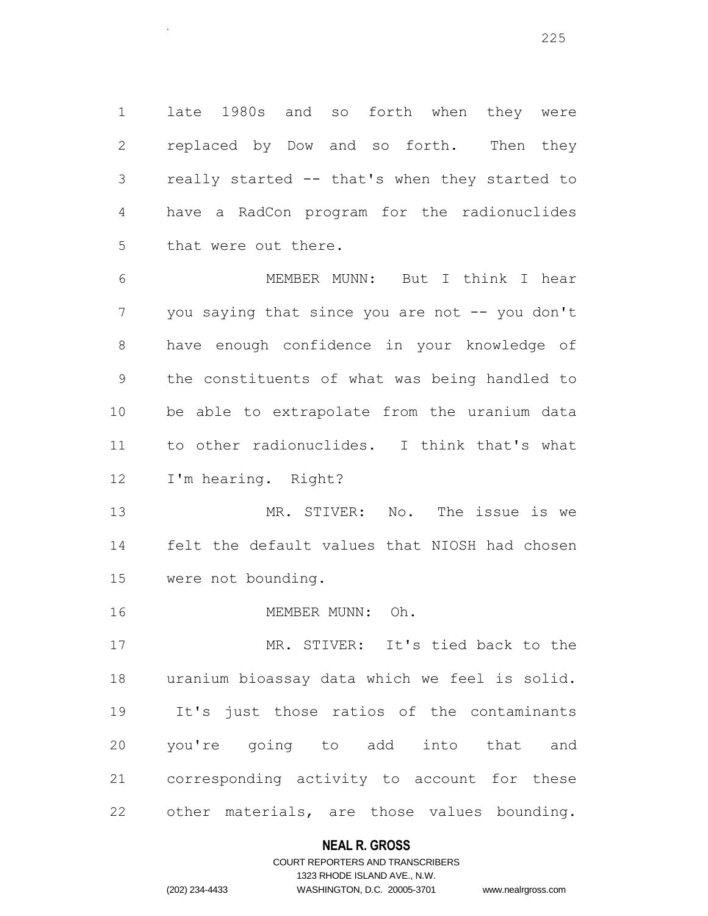late 1980s and so forth when they were replaced by Dow and so forth. Then they really started -- that's when they started to have a RadCon program for the radionuclides that were out there.

 MEMBER MUNN: But I think I hear 7 you saying that since you are not -- you don't have enough confidence in your knowledge of the constituents of what was being handled to be able to extrapolate from the uranium data to other radionuclides. I think that's what I'm hearing. Right?

 MR. STIVER: No. The issue is we felt the default values that NIOSH had chosen were not bounding.

MEMBER MUNN: Oh.

.

 MR. STIVER: It's tied back to the uranium bioassay data which we feel is solid. It's just those ratios of the contaminants you're going to add into that and corresponding activity to account for these other materials, are those values bounding.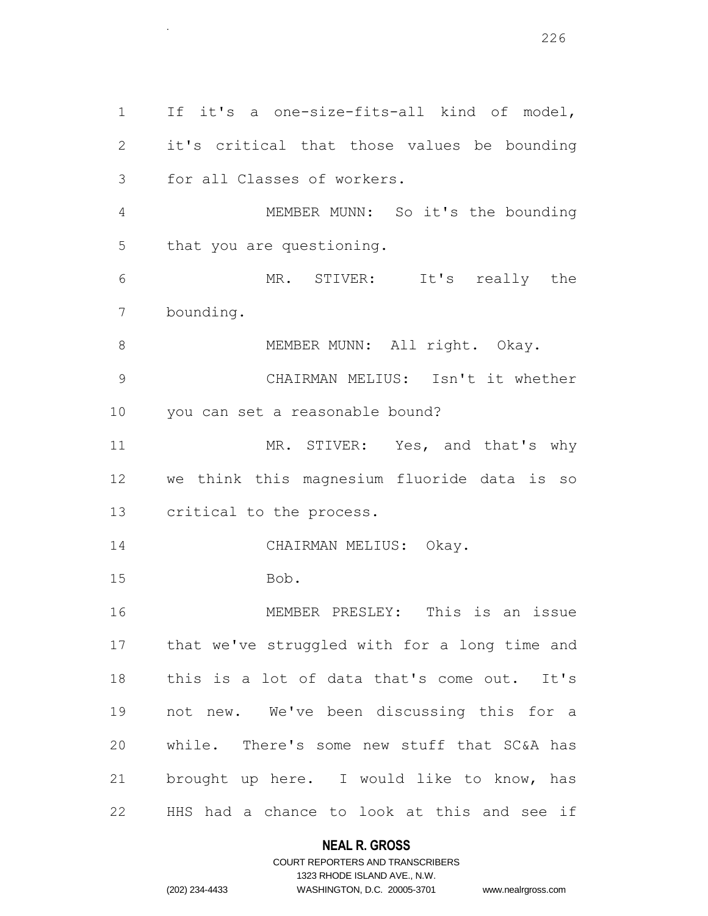If it's a one-size-fits-all kind of model, it's critical that those values be bounding for all Classes of workers. MEMBER MUNN: So it's the bounding that you are questioning. MR. STIVER: It's really the bounding. 8 MEMBER MUNN: All right. Okay. CHAIRMAN MELIUS: Isn't it whether you can set a reasonable bound? 11 MR. STIVER: Yes, and that's why we think this magnesium fluoride data is so critical to the process. 14 CHAIRMAN MELIUS: Okay. Bob. MEMBER PRESLEY: This is an issue that we've struggled with for a long time and this is a lot of data that's come out. It's not new. We've been discussing this for a while. There's some new stuff that SC&A has brought up here. I would like to know, has HHS had a chance to look at this and see if

.

|                | COURT REPORTERS AND TRANSCRIBERS |                    |
|----------------|----------------------------------|--------------------|
|                | 1323 RHODE ISLAND AVE N.W.       |                    |
| (202) 234-4433 | WASHINGTON, D.C. 20005-3701      | www.nealrgross.com |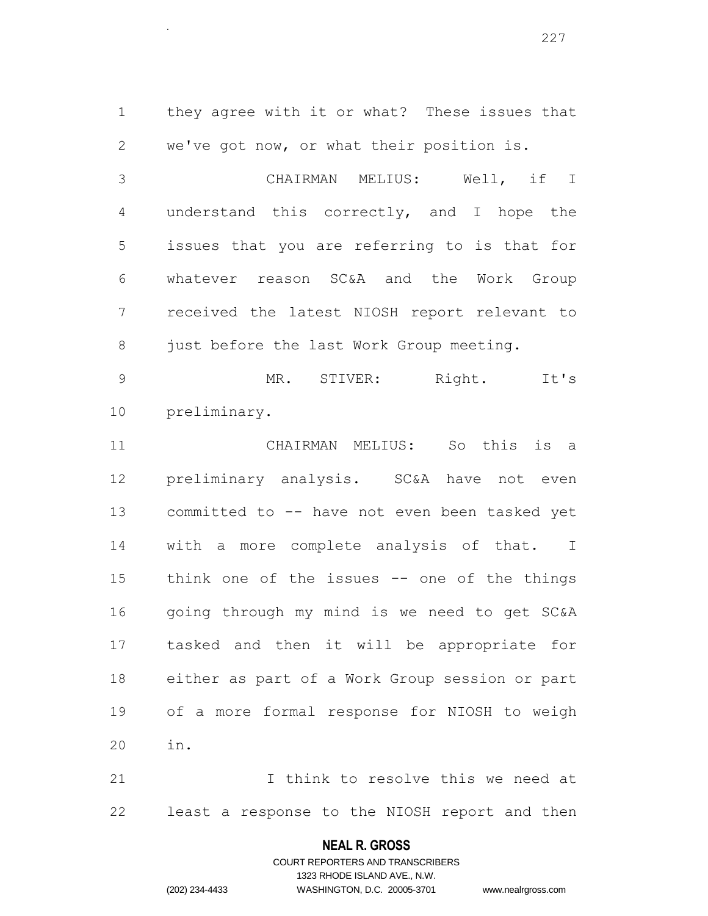they agree with it or what? These issues that we've got now, or what their position is.

.

 CHAIRMAN MELIUS: Well, if I understand this correctly, and I hope the issues that you are referring to is that for whatever reason SC&A and the Work Group received the latest NIOSH report relevant to 8 just before the last Work Group meeting.

 MR. STIVER: Right. It's preliminary.

 CHAIRMAN MELIUS: So this is a preliminary analysis. SC&A have not even committed to -- have not even been tasked yet with a more complete analysis of that. I think one of the issues -- one of the things going through my mind is we need to get SC&A tasked and then it will be appropriate for either as part of a Work Group session or part of a more formal response for NIOSH to weigh in.

 I think to resolve this we need at least a response to the NIOSH report and then

### **NEAL R. GROSS**

COURT REPORTERS AND TRANSCRIBERS 1323 RHODE ISLAND AVE., N.W. (202) 234-4433 WASHINGTON, D.C. 20005-3701 www.nealrgross.com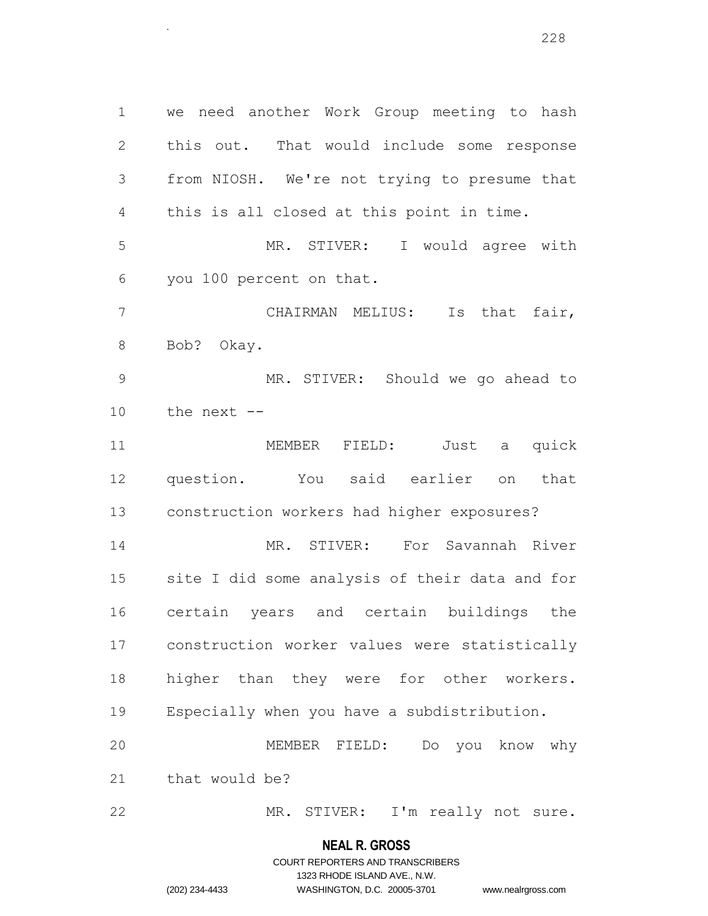we need another Work Group meeting to hash this out. That would include some response from NIOSH. We're not trying to presume that this is all closed at this point in time. MR. STIVER: I would agree with you 100 percent on that. CHAIRMAN MELIUS: Is that fair, Bob? Okay. MR. STIVER: Should we go ahead to the next -- MEMBER FIELD: Just a quick question. You said earlier on that construction workers had higher exposures? MR. STIVER: For Savannah River site I did some analysis of their data and for

 certain years and certain buildings the construction worker values were statistically 18 higher than they were for other workers. Especially when you have a subdistribution. MEMBER FIELD: Do you know why that would be?

MR. STIVER: I'm really not sure.

### **NEAL R. GROSS**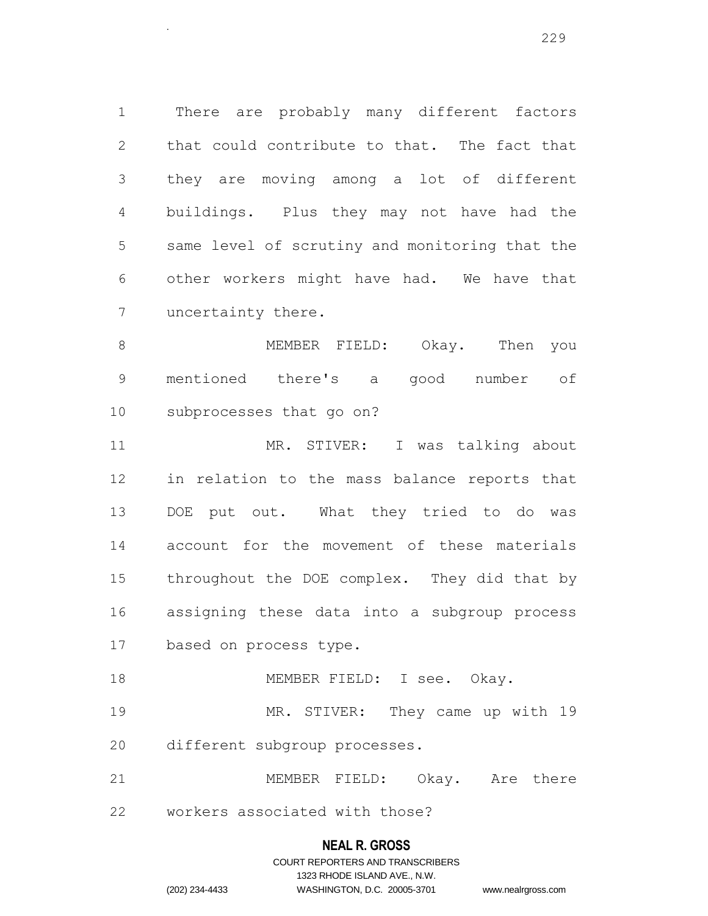There are probably many different factors that could contribute to that. The fact that they are moving among a lot of different buildings. Plus they may not have had the same level of scrutiny and monitoring that the other workers might have had. We have that uncertainty there.

.

 MEMBER FIELD: Okay. Then you mentioned there's a good number of subprocesses that go on?

 MR. STIVER: I was talking about in relation to the mass balance reports that DOE put out. What they tried to do was account for the movement of these materials throughout the DOE complex. They did that by assigning these data into a subgroup process based on process type.

18 MEMBER FIELD: I see. Okay. MR. STIVER: They came up with 19

different subgroup processes.

 MEMBER FIELD: Okay. Are there workers associated with those?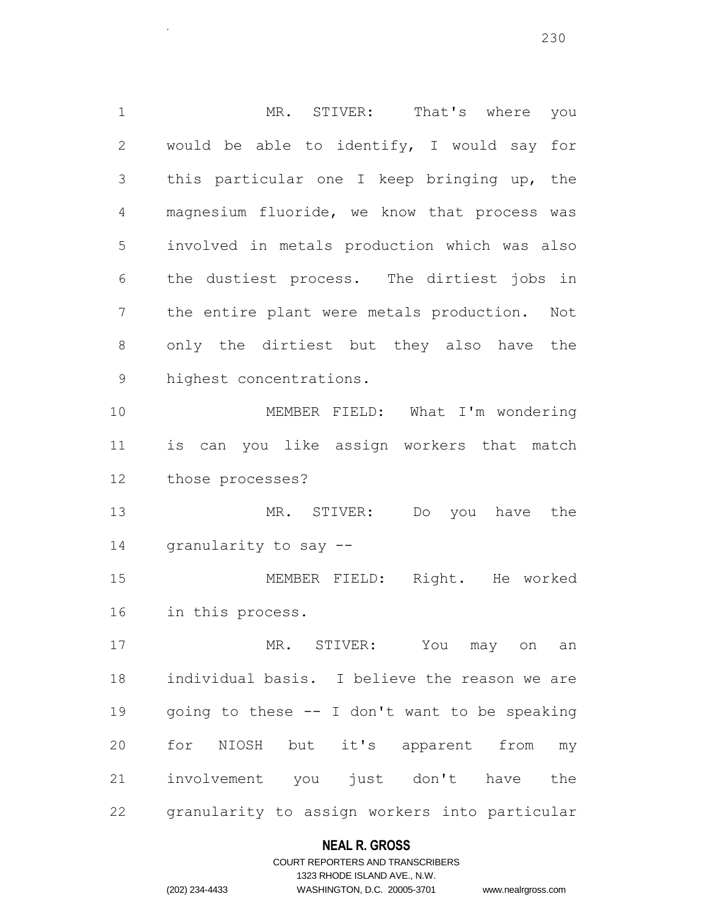MR. STIVER: That's where you would be able to identify, I would say for this particular one I keep bringing up, the magnesium fluoride, we know that process was involved in metals production which was also the dustiest process. The dirtiest jobs in the entire plant were metals production. Not only the dirtiest but they also have the highest concentrations. MEMBER FIELD: What I'm wondering is can you like assign workers that match those processes? MR. STIVER: Do you have the granularity to say -- MEMBER FIELD: Right. He worked in this process. MR. STIVER: You may on an individual basis. I believe the reason we are going to these -- I don't want to be speaking for NIOSH but it's apparent from my involvement you just don't have the granularity to assign workers into particular

### **NEAL R. GROSS**

## COURT REPORTERS AND TRANSCRIBERS 1323 RHODE ISLAND AVE., N.W. (202) 234-4433 WASHINGTON, D.C. 20005-3701 www.nealrgross.com

.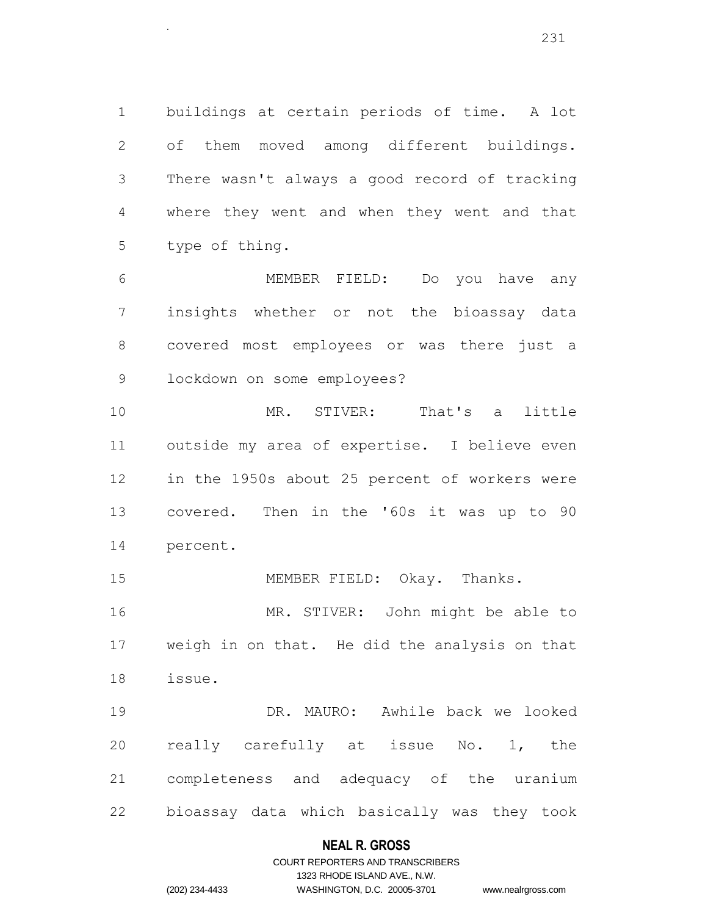buildings at certain periods of time. A lot of them moved among different buildings. There wasn't always a good record of tracking where they went and when they went and that type of thing.

.

 MEMBER FIELD: Do you have any insights whether or not the bioassay data covered most employees or was there just a lockdown on some employees?

 MR. STIVER: That's a little outside my area of expertise. I believe even in the 1950s about 25 percent of workers were covered. Then in the '60s it was up to 90 percent.

15 MEMBER FIELD: Okay. Thanks.

 MR. STIVER: John might be able to weigh in on that. He did the analysis on that issue.

 DR. MAURO: Awhile back we looked really carefully at issue No. 1, the completeness and adequacy of the uranium bioassay data which basically was they took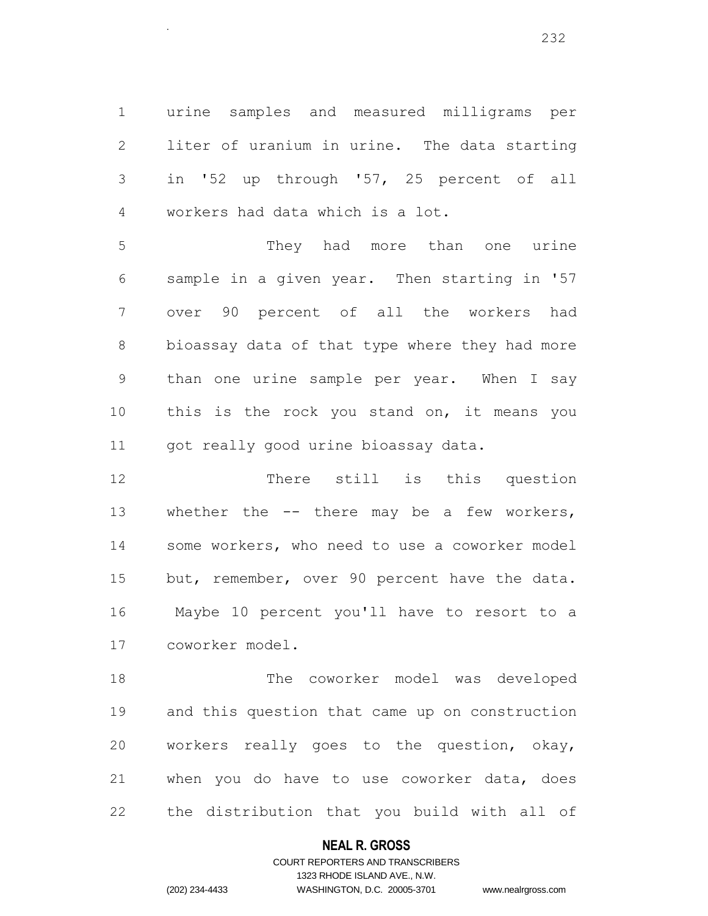urine samples and measured milligrams per liter of uranium in urine. The data starting in '52 up through '57, 25 percent of all workers had data which is a lot.

.

 They had more than one urine sample in a given year. Then starting in '57 over 90 percent of all the workers had bioassay data of that type where they had more than one urine sample per year. When I say this is the rock you stand on, it means you 11 got really good urine bioassay data.

 There still is this question 13 whether the -- there may be a few workers, some workers, who need to use a coworker model 15 but, remember, over 90 percent have the data. Maybe 10 percent you'll have to resort to a coworker model.

 The coworker model was developed and this question that came up on construction workers really goes to the question, okay, when you do have to use coworker data, does the distribution that you build with all of

### **NEAL R. GROSS**

## COURT REPORTERS AND TRANSCRIBERS 1323 RHODE ISLAND AVE., N.W. (202) 234-4433 WASHINGTON, D.C. 20005-3701 www.nealrgross.com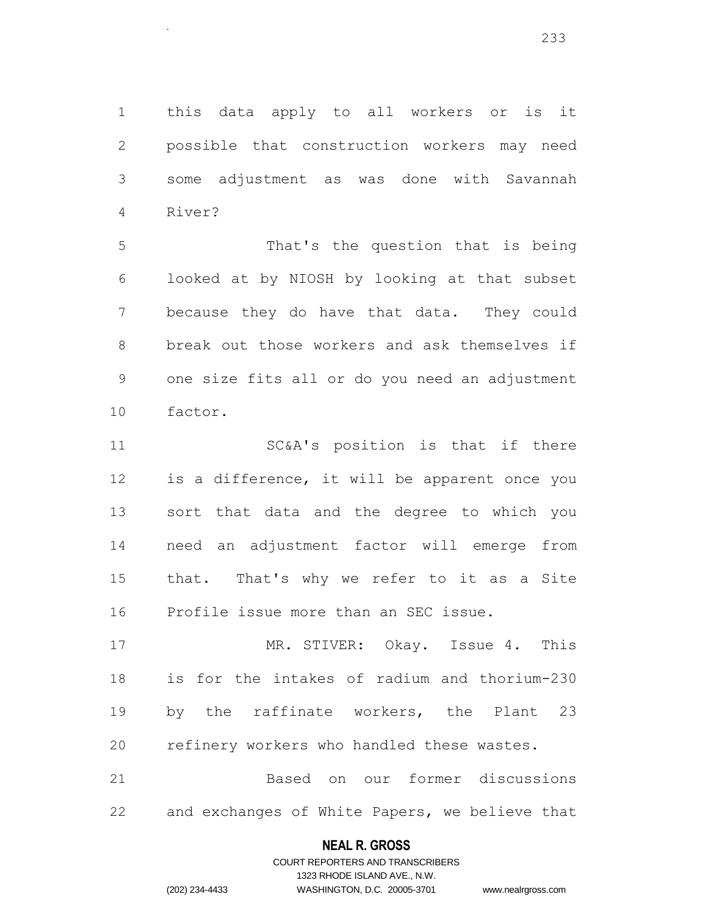this data apply to all workers or is it possible that construction workers may need some adjustment as was done with Savannah River?

.

 That's the question that is being looked at by NIOSH by looking at that subset because they do have that data. They could break out those workers and ask themselves if one size fits all or do you need an adjustment factor.

 SC&A's position is that if there is a difference, it will be apparent once you sort that data and the degree to which you need an adjustment factor will emerge from that. That's why we refer to it as a Site Profile issue more than an SEC issue.

 MR. STIVER: Okay. Issue 4. This is for the intakes of radium and thorium-230 by the raffinate workers, the Plant 23 refinery workers who handled these wastes. Based on our former discussions

and exchanges of White Papers, we believe that

## **NEAL R. GROSS**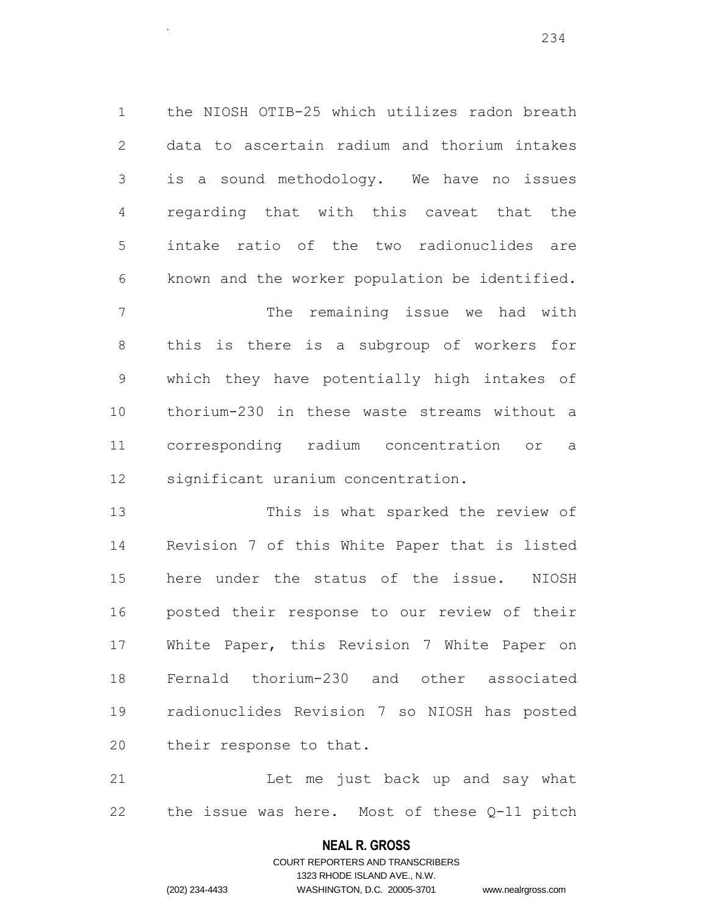the NIOSH OTIB-25 which utilizes radon breath data to ascertain radium and thorium intakes is a sound methodology. We have no issues regarding that with this caveat that the intake ratio of the two radionuclides are known and the worker population be identified. 7 The remaining issue we had with this is there is a subgroup of workers for which they have potentially high intakes of

 corresponding radium concentration or a significant uranium concentration.

thorium-230 in these waste streams without a

 This is what sparked the review of Revision 7 of this White Paper that is listed here under the status of the issue. NIOSH posted their response to our review of their White Paper, this Revision 7 White Paper on Fernald thorium-230 and other associated radionuclides Revision 7 so NIOSH has posted their response to that.

 Let me just back up and say what the issue was here. Most of these Q-11 pitch

### **NEAL R. GROSS**

COURT REPORTERS AND TRANSCRIBERS 1323 RHODE ISLAND AVE., N.W. (202) 234-4433 WASHINGTON, D.C. 20005-3701 www.nealrgross.com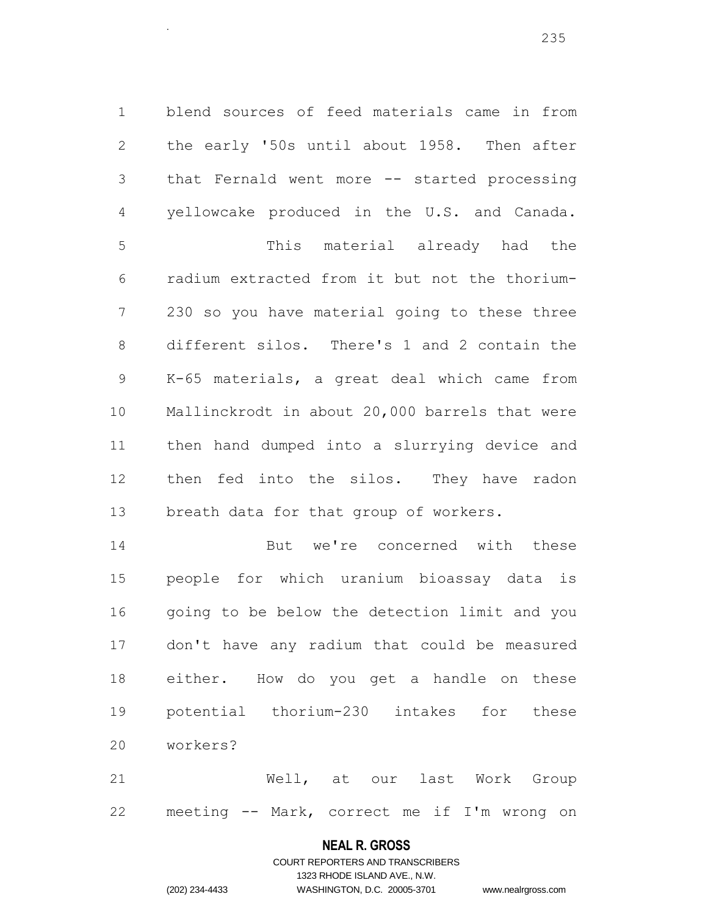blend sources of feed materials came in from the early '50s until about 1958. Then after that Fernald went more -- started processing yellowcake produced in the U.S. and Canada. This material already had the radium extracted from it but not the thorium- 230 so you have material going to these three different silos. There's 1 and 2 contain the K-65 materials, a great deal which came from Mallinckrodt in about 20,000 barrels that were then hand dumped into a slurrying device and then fed into the silos. They have radon breath data for that group of workers.

14 But we're concerned with these people for which uranium bioassay data is going to be below the detection limit and you don't have any radium that could be measured either. How do you get a handle on these potential thorium-230 intakes for these workers?

 Well, at our last Work Group meeting -- Mark, correct me if I'm wrong on

### **NEAL R. GROSS**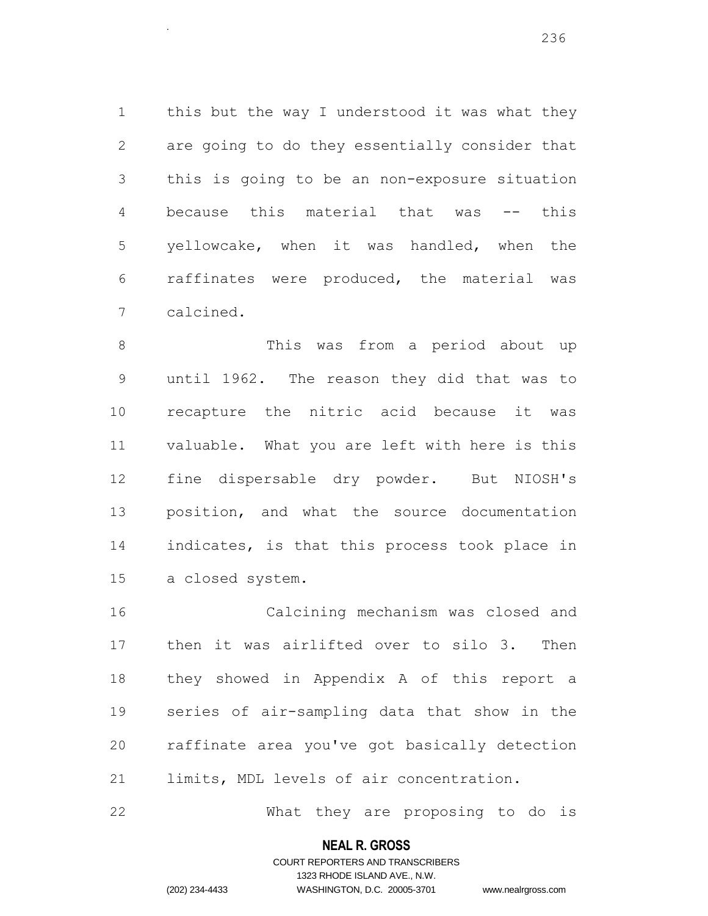this but the way I understood it was what they are going to do they essentially consider that this is going to be an non-exposure situation because this material that was -- this yellowcake, when it was handled, when the raffinates were produced, the material was calcined.

 This was from a period about up until 1962. The reason they did that was to recapture the nitric acid because it was valuable. What you are left with here is this fine dispersable dry powder. But NIOSH's position, and what the source documentation indicates, is that this process took place in a closed system.

 Calcining mechanism was closed and then it was airlifted over to silo 3. Then they showed in Appendix A of this report a series of air-sampling data that show in the raffinate area you've got basically detection limits, MDL levels of air concentration.

What they are proposing to do is

### **NEAL R. GROSS**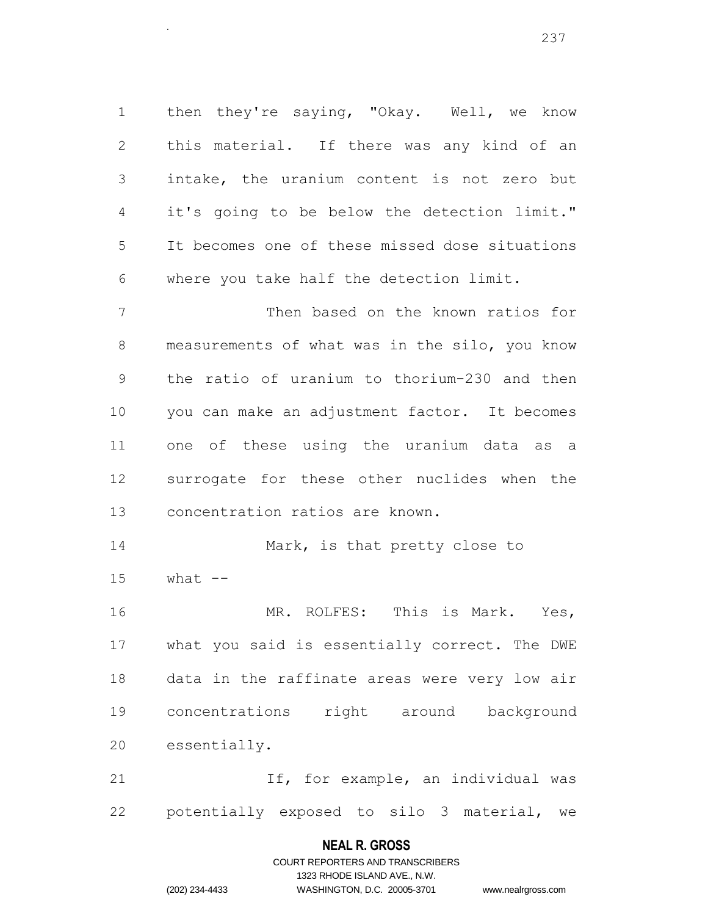1 then they're saying, "Okay. Well, we know this material. If there was any kind of an intake, the uranium content is not zero but it's going to be below the detection limit." It becomes one of these missed dose situations where you take half the detection limit.

.

 Then based on the known ratios for measurements of what was in the silo, you know the ratio of uranium to thorium-230 and then you can make an adjustment factor. It becomes one of these using the uranium data as a surrogate for these other nuclides when the concentration ratios are known.

14 Mark, is that pretty close to what  $-$ 

 MR. ROLFES: This is Mark. Yes, what you said is essentially correct. The DWE data in the raffinate areas were very low air concentrations right around background essentially.

21 1f, for example, an individual was potentially exposed to silo 3 material, we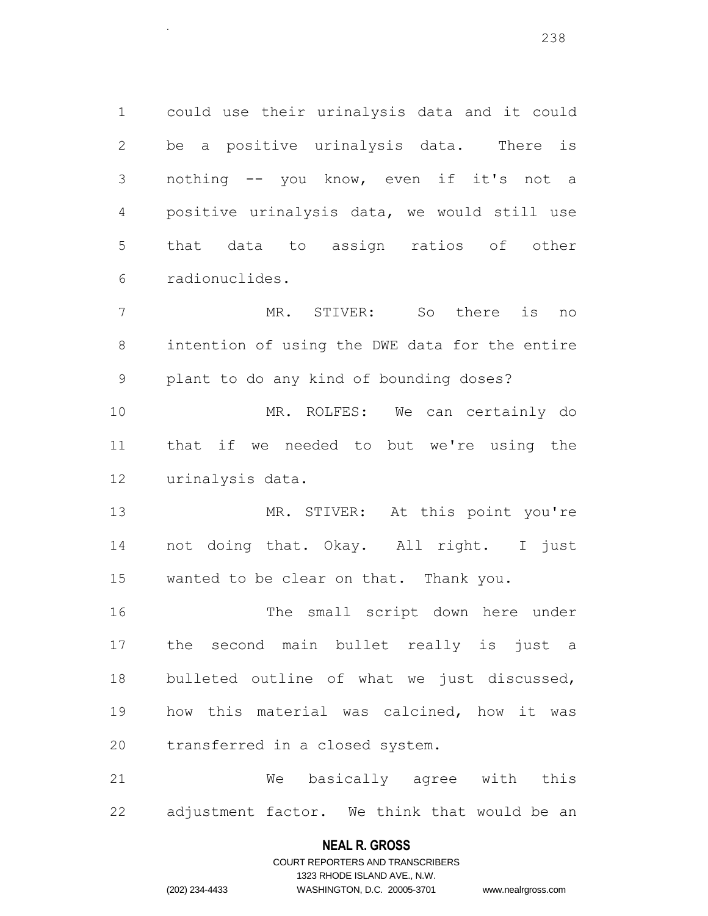could use their urinalysis data and it could be a positive urinalysis data. There is nothing -- you know, even if it's not a positive urinalysis data, we would still use that data to assign ratios of other radionuclides.

 MR. STIVER: So there is no intention of using the DWE data for the entire plant to do any kind of bounding doses?

 MR. ROLFES: We can certainly do that if we needed to but we're using the urinalysis data.

 MR. STIVER: At this point you're not doing that. Okay. All right. I just wanted to be clear on that. Thank you.

 The small script down here under the second main bullet really is just a bulleted outline of what we just discussed, how this material was calcined, how it was transferred in a closed system.

 We basically agree with this adjustment factor. We think that would be an

### **NEAL R. GROSS**

.

COURT REPORTERS AND TRANSCRIBERS 1323 RHODE ISLAND AVE., N.W. (202) 234-4433 WASHINGTON, D.C. 20005-3701 www.nealrgross.com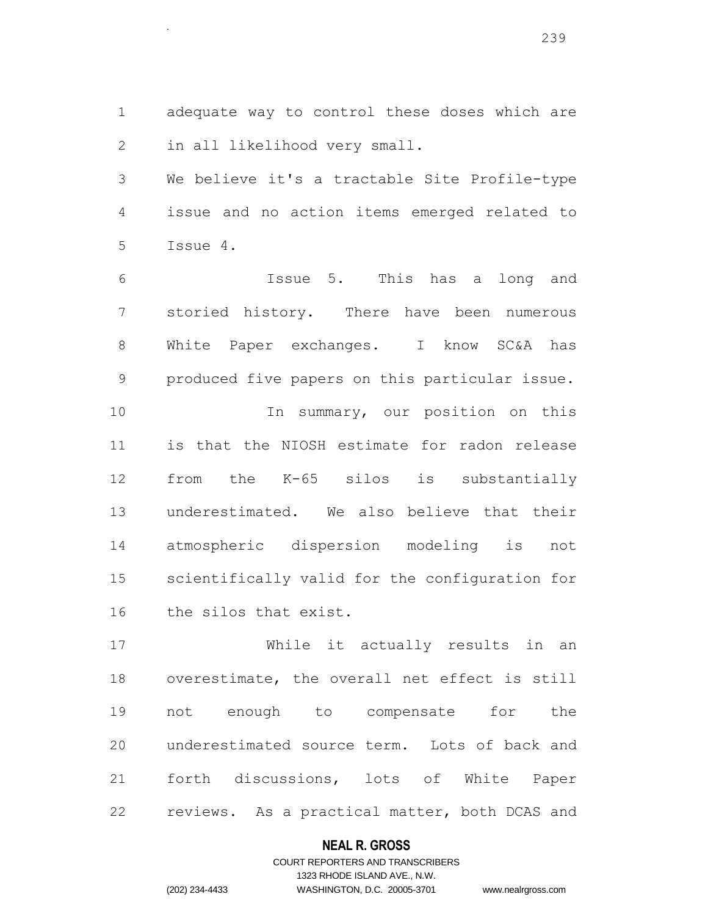adequate way to control these doses which are in all likelihood very small.

.

 We believe it's a tractable Site Profile-type issue and no action items emerged related to Issue 4.

 Issue 5. This has a long and storied history. There have been numerous White Paper exchanges. I know SC&A has produced five papers on this particular issue. 10 10 In summary, our position on this is that the NIOSH estimate for radon release from the K-65 silos is substantially underestimated. We also believe that their atmospheric dispersion modeling is not scientifically valid for the configuration for the silos that exist.

 While it actually results in an overestimate, the overall net effect is still not enough to compensate for the underestimated source term. Lots of back and forth discussions, lots of White Paper reviews. As a practical matter, both DCAS and

### **NEAL R. GROSS**

## COURT REPORTERS AND TRANSCRIBERS 1323 RHODE ISLAND AVE., N.W. (202) 234-4433 WASHINGTON, D.C. 20005-3701 www.nealrgross.com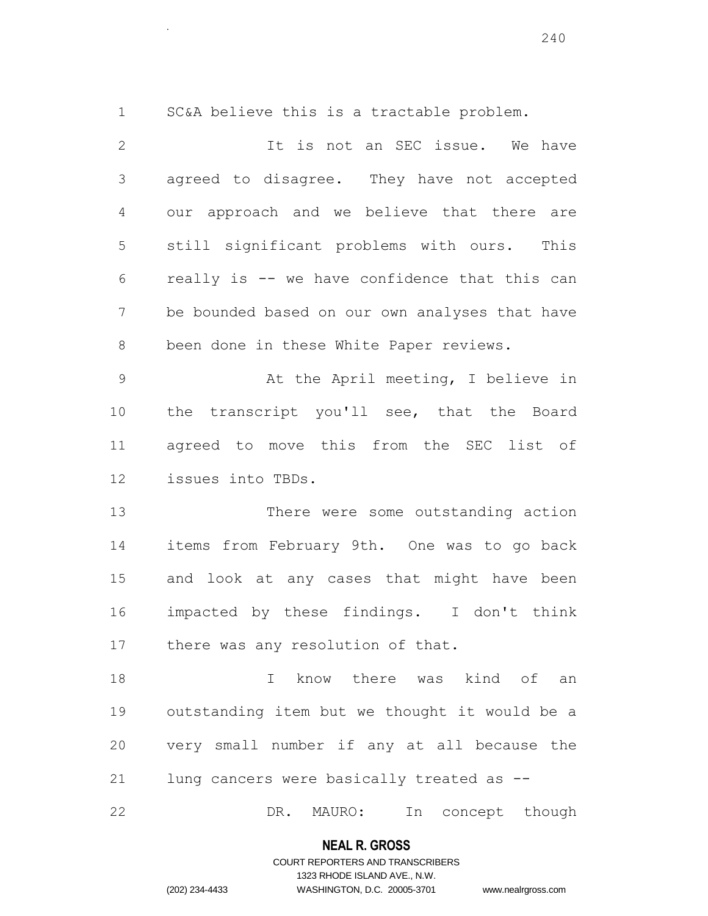SC&A believe this is a tractable problem.

.

2 1t is not an SEC issue. We have agreed to disagree. They have not accepted our approach and we believe that there are still significant problems with ours. This really is -- we have confidence that this can be bounded based on our own analyses that have been done in these White Paper reviews. 9 At the April meeting, I believe in the transcript you'll see, that the Board agreed to move this from the SEC list of issues into TBDs. 13 There were some outstanding action items from February 9th. One was to go back and look at any cases that might have been impacted by these findings. I don't think 17 there was any resolution of that. I know there was kind of an outstanding item but we thought it would be a very small number if any at all because the lung cancers were basically treated as --

22 DR. MAURO: In concept though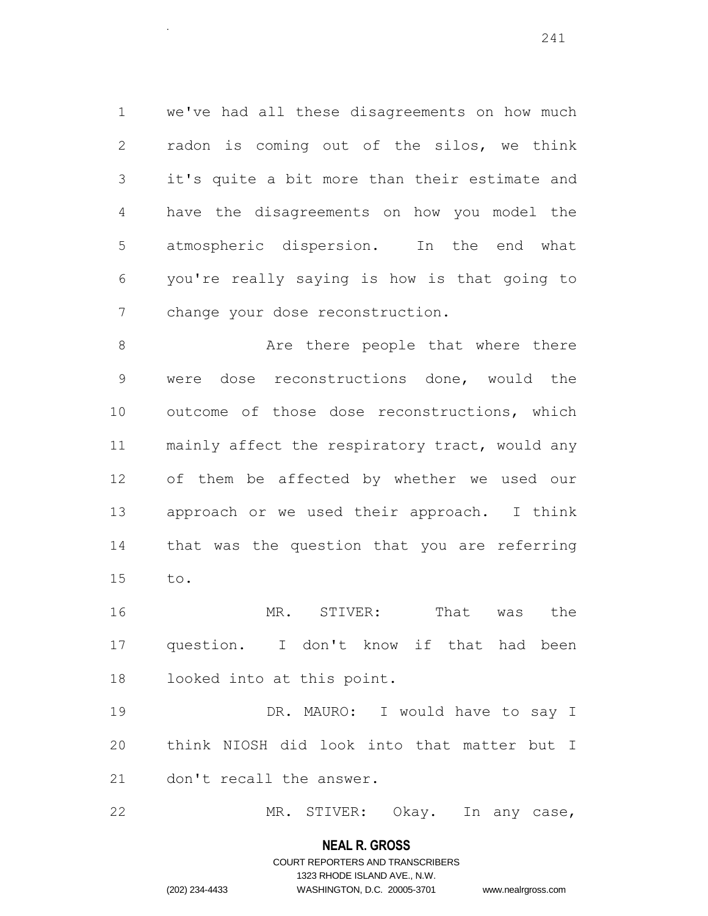we've had all these disagreements on how much radon is coming out of the silos, we think it's quite a bit more than their estimate and have the disagreements on how you model the atmospheric dispersion. In the end what you're really saying is how is that going to change your dose reconstruction.

8 Are there people that where there were dose reconstructions done, would the outcome of those dose reconstructions, which 11 mainly affect the respiratory tract, would any of them be affected by whether we used our approach or we used their approach. I think that was the question that you are referring to.

 MR. STIVER: That was the question. I don't know if that had been looked into at this point.

19 DR. MAURO: I would have to say I think NIOSH did look into that matter but I don't recall the answer.

MR. STIVER: Okay. In any case,

### **NEAL R. GROSS**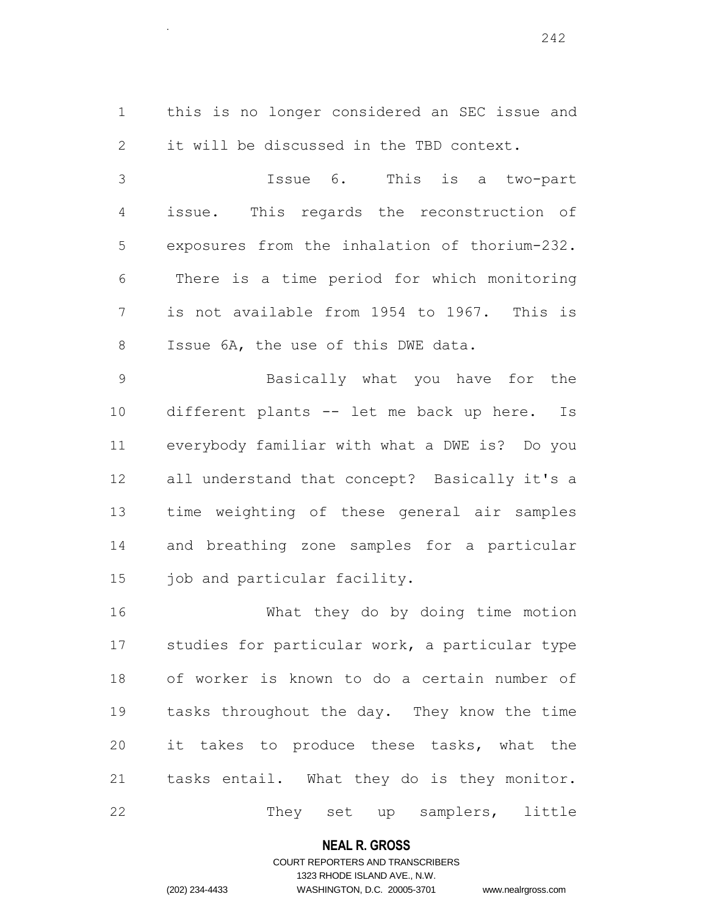this is no longer considered an SEC issue and it will be discussed in the TBD context.

.

 Issue 6. This is a two-part issue. This regards the reconstruction of exposures from the inhalation of thorium-232. There is a time period for which monitoring is not available from 1954 to 1967. This is Issue 6A, the use of this DWE data.

 Basically what you have for the different plants -- let me back up here. Is everybody familiar with what a DWE is? Do you all understand that concept? Basically it's a time weighting of these general air samples and breathing zone samples for a particular 15 job and particular facility.

 What they do by doing time motion studies for particular work, a particular type of worker is known to do a certain number of tasks throughout the day. They know the time it takes to produce these tasks, what the tasks entail. What they do is they monitor. 22 They set up samplers, little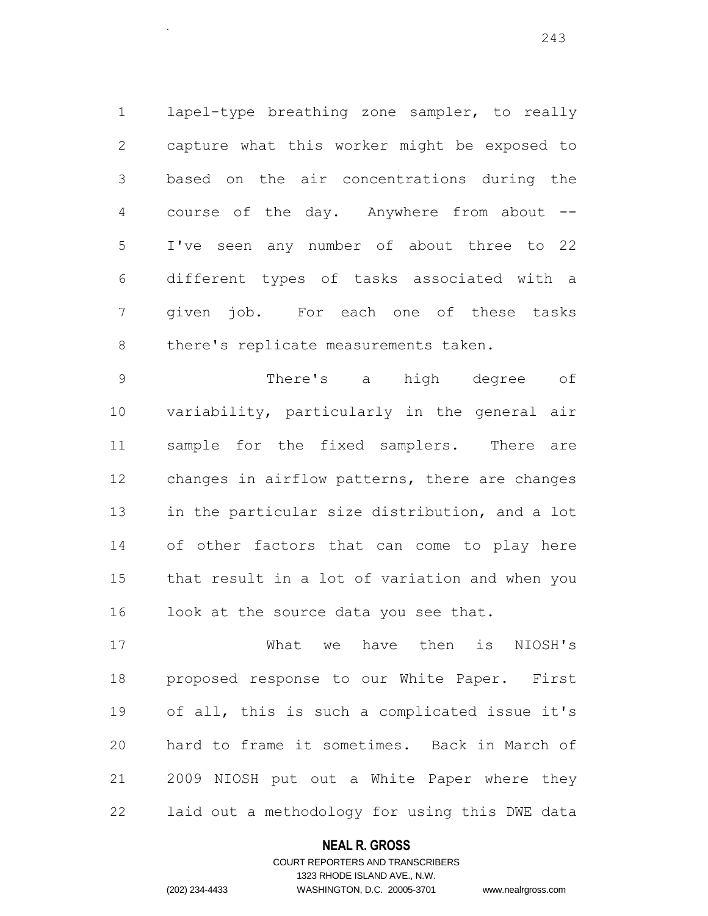lapel-type breathing zone sampler, to really capture what this worker might be exposed to based on the air concentrations during the course of the day. Anywhere from about -- I've seen any number of about three to 22 different types of tasks associated with a given job. For each one of these tasks there's replicate measurements taken.

 There's a high degree of variability, particularly in the general air sample for the fixed samplers. There are changes in airflow patterns, there are changes in the particular size distribution, and a lot of other factors that can come to play here that result in a lot of variation and when you look at the source data you see that.

 What we have then is NIOSH's proposed response to our White Paper. First of all, this is such a complicated issue it's hard to frame it sometimes. Back in March of 2009 NIOSH put out a White Paper where they laid out a methodology for using this DWE data

### **NEAL R. GROSS**

## COURT REPORTERS AND TRANSCRIBERS 1323 RHODE ISLAND AVE., N.W. (202) 234-4433 WASHINGTON, D.C. 20005-3701 www.nealrgross.com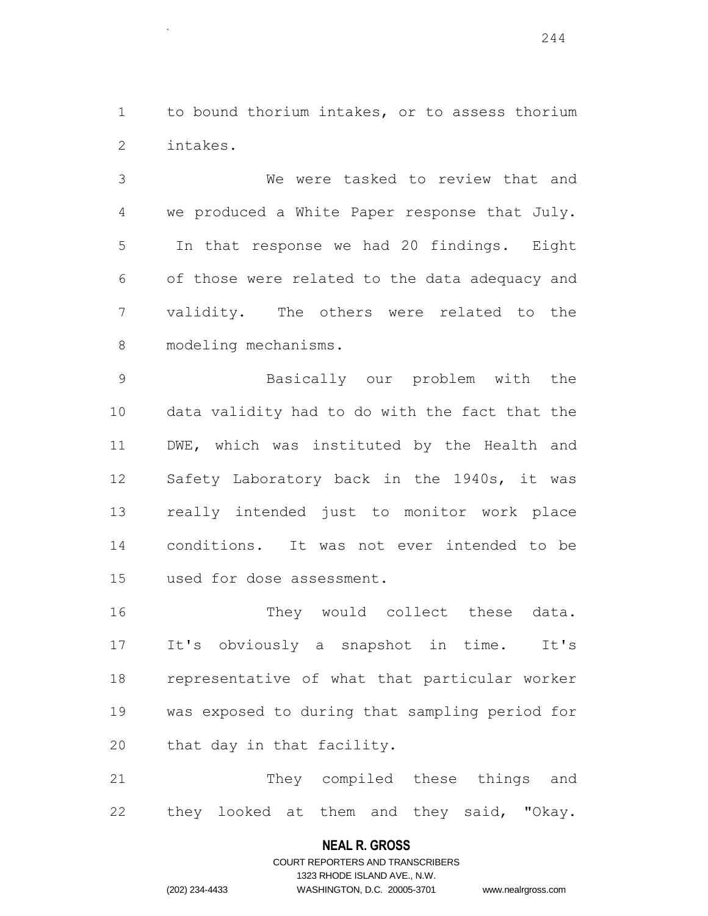to bound thorium intakes, or to assess thorium intakes.

.

 We were tasked to review that and we produced a White Paper response that July. In that response we had 20 findings. Eight of those were related to the data adequacy and validity. The others were related to the modeling mechanisms.

 Basically our problem with the data validity had to do with the fact that the DWE, which was instituted by the Health and Safety Laboratory back in the 1940s, it was really intended just to monitor work place conditions. It was not ever intended to be used for dose assessment.

16 They would collect these data. It's obviously a snapshot in time. It's representative of what that particular worker was exposed to during that sampling period for that day in that facility.

 They compiled these things and they looked at them and they said, "Okay.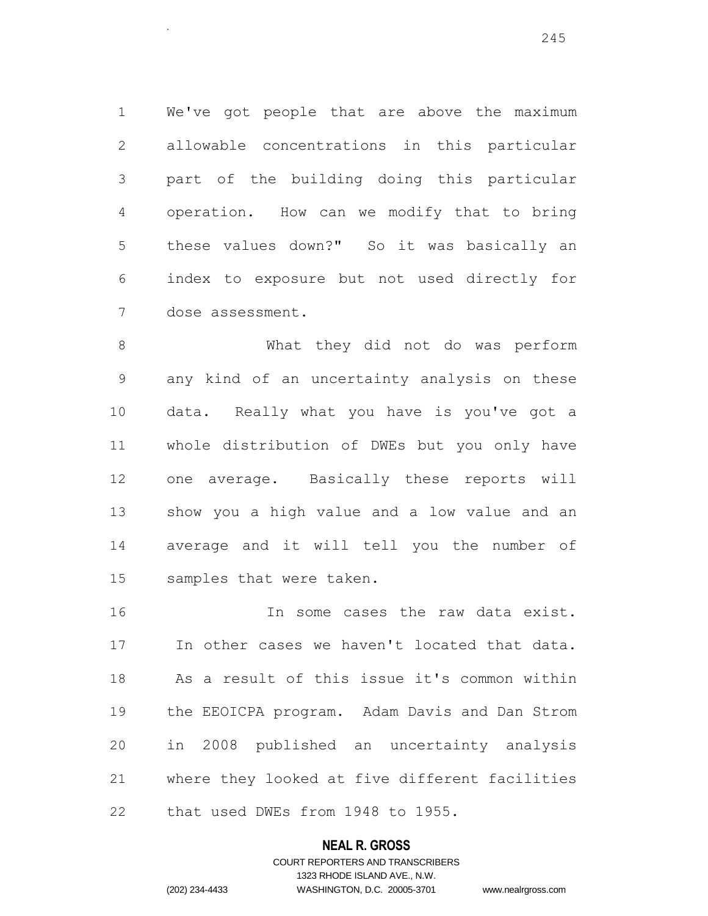We've got people that are above the maximum allowable concentrations in this particular part of the building doing this particular operation. How can we modify that to bring these values down?" So it was basically an index to exposure but not used directly for dose assessment.

.

 What they did not do was perform any kind of an uncertainty analysis on these data. Really what you have is you've got a whole distribution of DWEs but you only have one average. Basically these reports will show you a high value and a low value and an average and it will tell you the number of samples that were taken.

16 16 In some cases the raw data exist. In other cases we haven't located that data. As a result of this issue it's common within the EEOICPA program. Adam Davis and Dan Strom in 2008 published an uncertainty analysis where they looked at five different facilities that used DWEs from 1948 to 1955.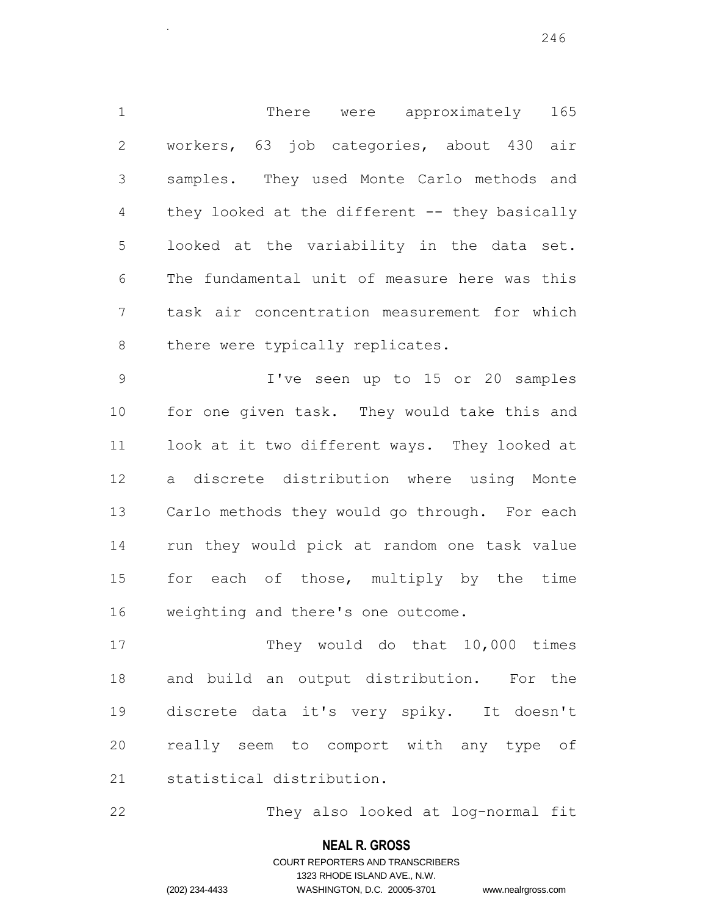1 There were approximately 165 workers, 63 job categories, about 430 air samples. They used Monte Carlo methods and 4 they looked at the different -- they basically looked at the variability in the data set. The fundamental unit of measure here was this task air concentration measurement for which 8 there were typically replicates.

.

 I've seen up to 15 or 20 samples for one given task. They would take this and look at it two different ways. They looked at a discrete distribution where using Monte Carlo methods they would go through. For each run they would pick at random one task value 15 for each of those, multiply by the time weighting and there's one outcome.

 They would do that 10,000 times and build an output distribution. For the discrete data it's very spiky. It doesn't really seem to comport with any type of statistical distribution.

They also looked at log-normal fit

**NEAL R. GROSS** COURT REPORTERS AND TRANSCRIBERS

1323 RHODE ISLAND AVE., N.W.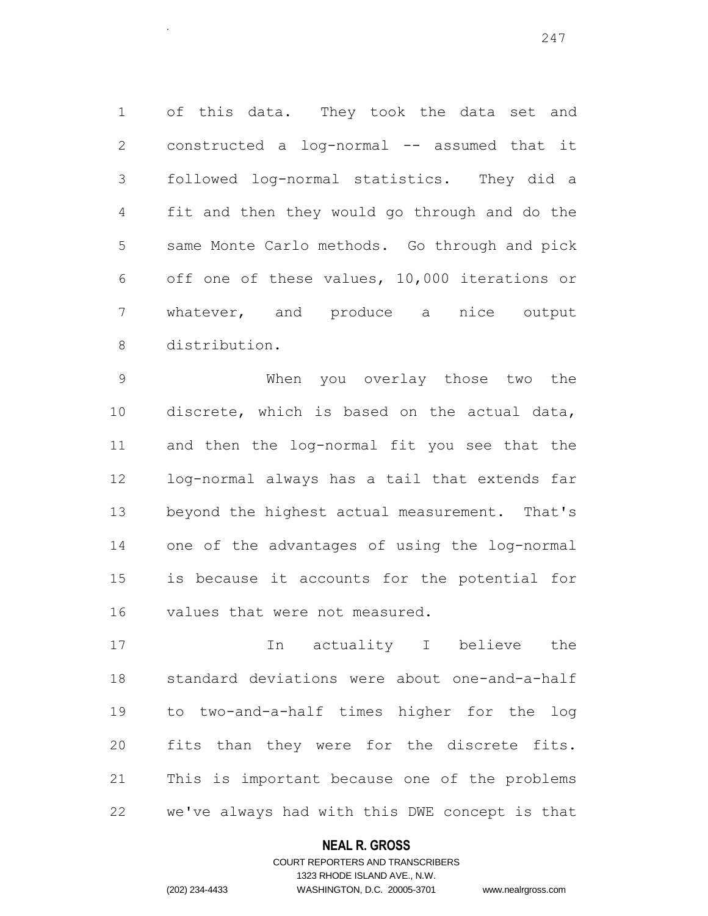1 of this data. They took the data set and constructed a log-normal -- assumed that it followed log-normal statistics. They did a fit and then they would go through and do the same Monte Carlo methods. Go through and pick off one of these values, 10,000 iterations or whatever, and produce a nice output distribution.

 When you overlay those two the discrete, which is based on the actual data, and then the log-normal fit you see that the log-normal always has a tail that extends far beyond the highest actual measurement. That's one of the advantages of using the log-normal is because it accounts for the potential for values that were not measured.

17 10 In actuality I believe the standard deviations were about one-and-a-half to two-and-a-half times higher for the log fits than they were for the discrete fits. This is important because one of the problems we've always had with this DWE concept is that

### **NEAL R. GROSS**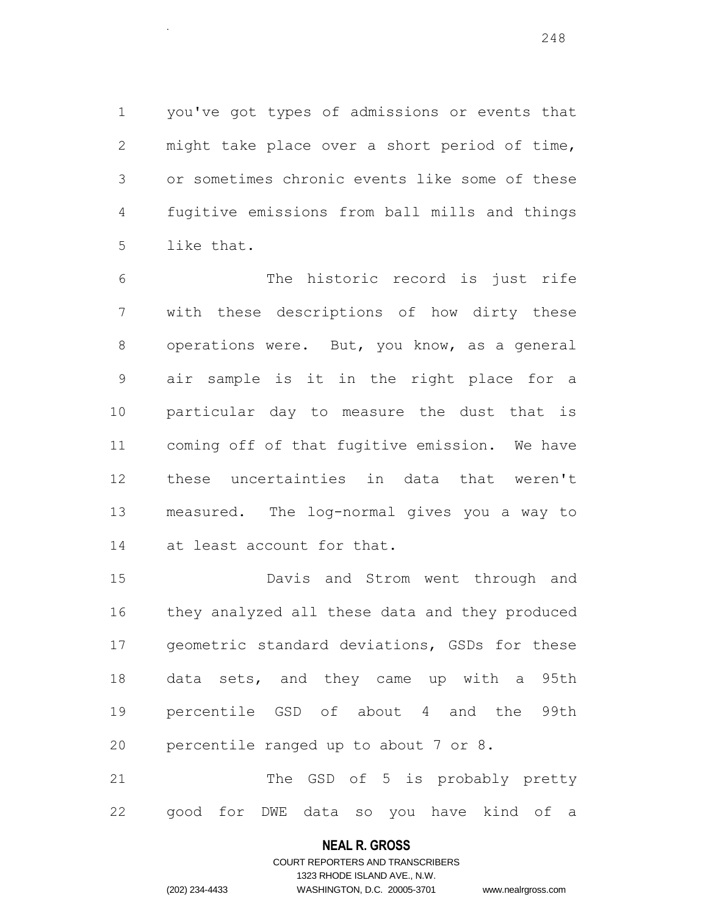you've got types of admissions or events that might take place over a short period of time, or sometimes chronic events like some of these fugitive emissions from ball mills and things like that.

.

 The historic record is just rife with these descriptions of how dirty these 8 operations were. But, you know, as a general air sample is it in the right place for a particular day to measure the dust that is coming off of that fugitive emission. We have these uncertainties in data that weren't measured. The log-normal gives you a way to at least account for that.

 Davis and Strom went through and they analyzed all these data and they produced geometric standard deviations, GSDs for these data sets, and they came up with a 95th percentile GSD of about 4 and the 99th percentile ranged up to about 7 or 8. The GSD of 5 is probably pretty

good for DWE data so you have kind of a

# **NEAL R. GROSS** COURT REPORTERS AND TRANSCRIBERS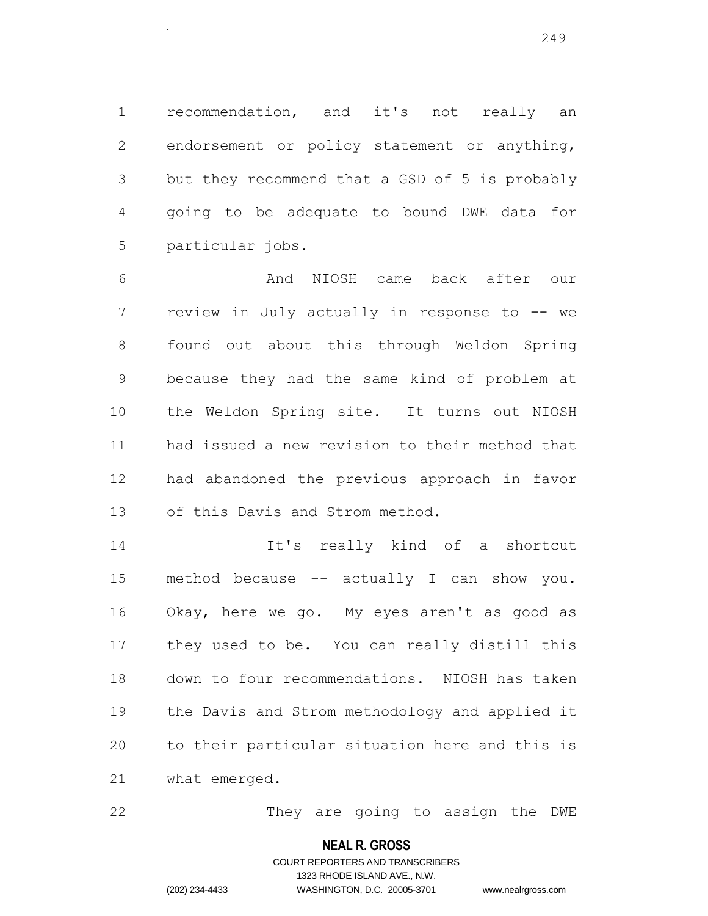recommendation, and it's not really an endorsement or policy statement or anything, but they recommend that a GSD of 5 is probably going to be adequate to bound DWE data for particular jobs.

 And NIOSH came back after our 7 review in July actually in response to -- we found out about this through Weldon Spring because they had the same kind of problem at the Weldon Spring site. It turns out NIOSH had issued a new revision to their method that had abandoned the previous approach in favor of this Davis and Strom method.

 It's really kind of a shortcut method because -- actually I can show you. Okay, here we go. My eyes aren't as good as they used to be. You can really distill this down to four recommendations. NIOSH has taken the Davis and Strom methodology and applied it to their particular situation here and this is what emerged.

They are going to assign the DWE

### **NEAL R. GROSS**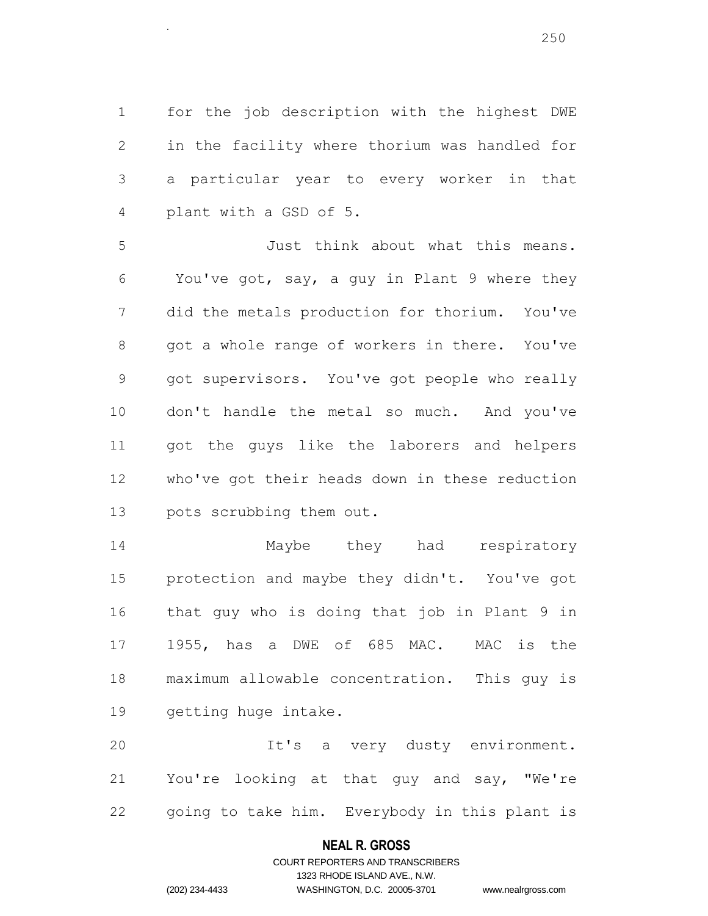for the job description with the highest DWE in the facility where thorium was handled for a particular year to every worker in that plant with a GSD of 5.

.

 Just think about what this means. You've got, say, a guy in Plant 9 where they did the metals production for thorium. You've got a whole range of workers in there. You've got supervisors. You've got people who really don't handle the metal so much. And you've got the guys like the laborers and helpers who've got their heads down in these reduction pots scrubbing them out.

 Maybe they had respiratory protection and maybe they didn't. You've got that guy who is doing that job in Plant 9 in 1955, has a DWE of 685 MAC. MAC is the maximum allowable concentration. This guy is getting huge intake.

 It's a very dusty environment. You're looking at that guy and say, "We're going to take him. Everybody in this plant is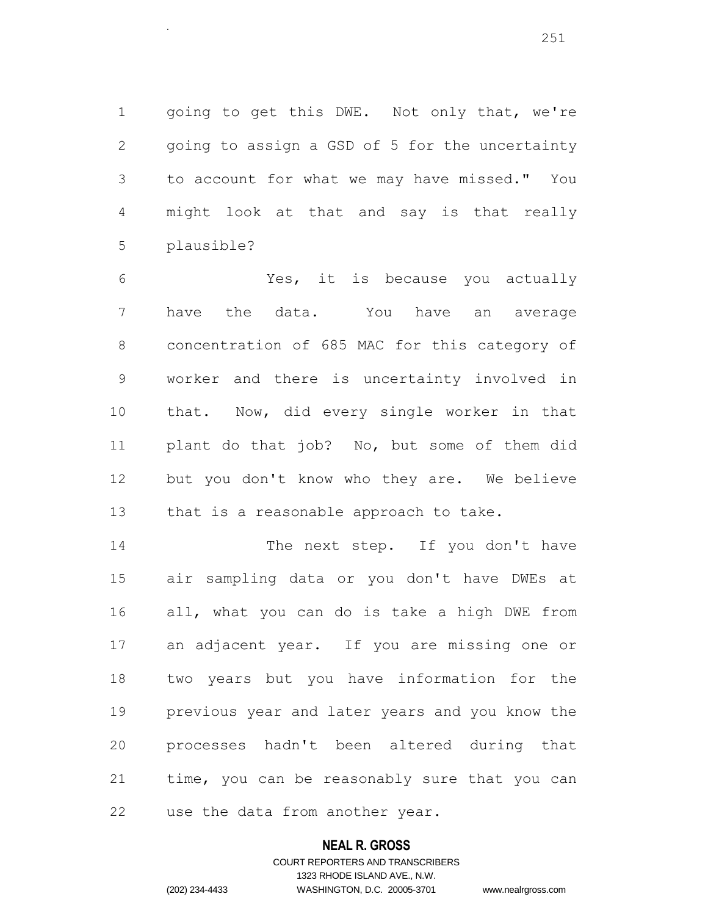going to get this DWE. Not only that, we're going to assign a GSD of 5 for the uncertainty to account for what we may have missed." You might look at that and say is that really plausible?

 Yes, it is because you actually have the data. You have an average concentration of 685 MAC for this category of worker and there is uncertainty involved in that. Now, did every single worker in that plant do that job? No, but some of them did but you don't know who they are. We believe that is a reasonable approach to take.

14 The next step. If you don't have air sampling data or you don't have DWEs at all, what you can do is take a high DWE from an adjacent year. If you are missing one or two years but you have information for the previous year and later years and you know the processes hadn't been altered during that time, you can be reasonably sure that you can use the data from another year.

### **NEAL R. GROSS**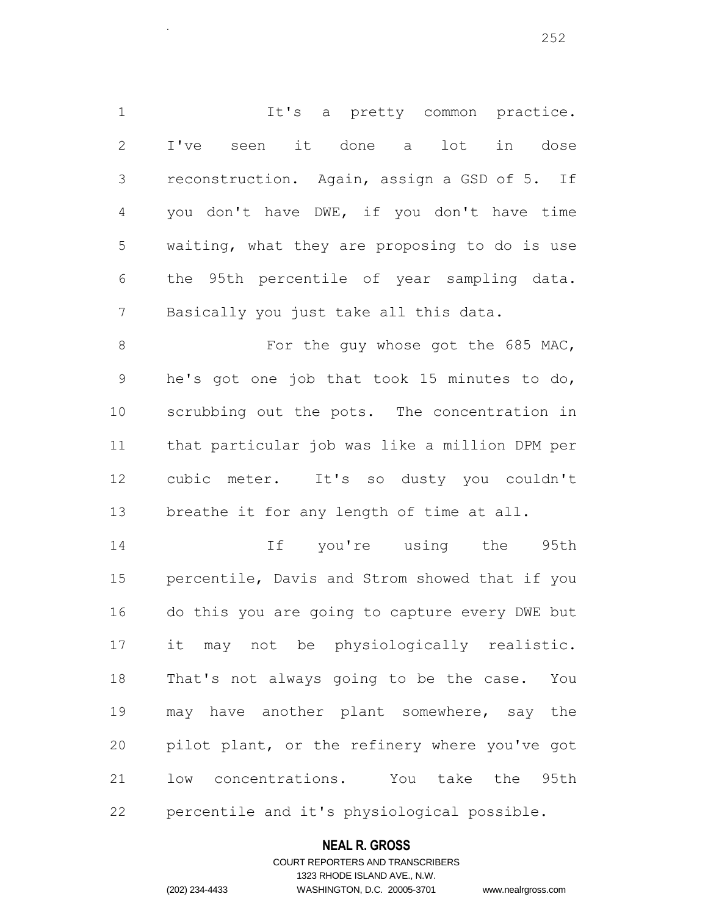1 1 It's a pretty common practice. I've seen it done a lot in dose reconstruction. Again, assign a GSD of 5. If you don't have DWE, if you don't have time waiting, what they are proposing to do is use the 95th percentile of year sampling data. Basically you just take all this data.

.

8 For the guy whose got the 685 MAC, he's got one job that took 15 minutes to do, scrubbing out the pots. The concentration in that particular job was like a million DPM per cubic meter. It's so dusty you couldn't 13 breathe it for any length of time at all.

 If you're using the 95th percentile, Davis and Strom showed that if you do this you are going to capture every DWE but it may not be physiologically realistic. That's not always going to be the case. You may have another plant somewhere, say the pilot plant, or the refinery where you've got low concentrations. You take the 95th percentile and it's physiological possible.

### **NEAL R. GROSS**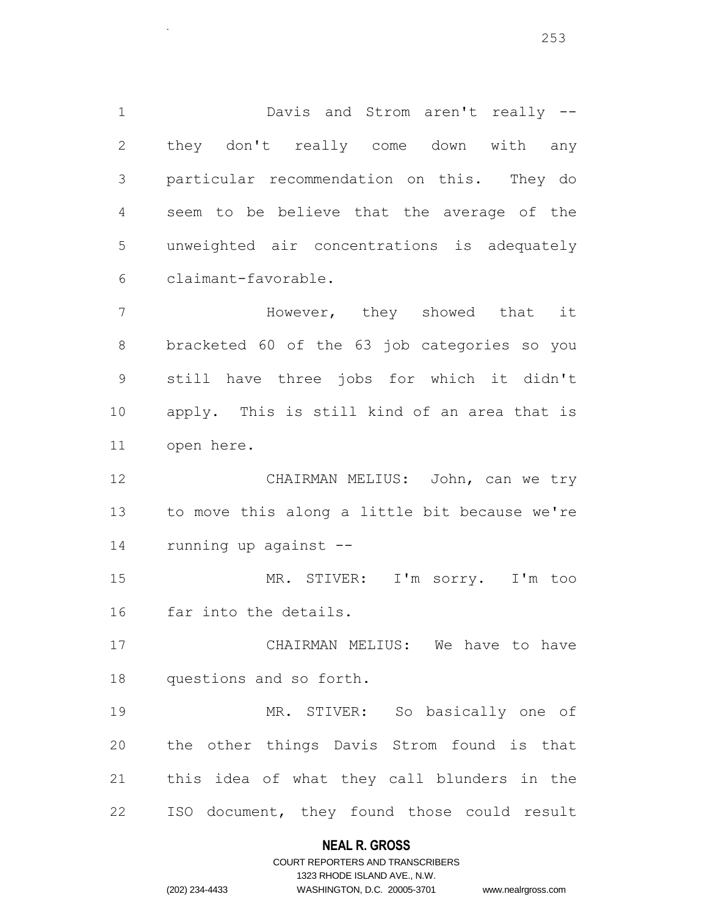Davis and Strom aren't really -- they don't really come down with any particular recommendation on this. They do seem to be believe that the average of the unweighted air concentrations is adequately claimant-favorable.

.

 However, they showed that it bracketed 60 of the 63 job categories so you still have three jobs for which it didn't apply. This is still kind of an area that is open here.

 CHAIRMAN MELIUS: John, can we try to move this along a little bit because we're running up against --

 MR. STIVER: I'm sorry. I'm too far into the details.

 CHAIRMAN MELIUS: We have to have questions and so forth.

 MR. STIVER: So basically one of the other things Davis Strom found is that this idea of what they call blunders in the ISO document, they found those could result

#### **NEAL R. GROSS**

## COURT REPORTERS AND TRANSCRIBERS 1323 RHODE ISLAND AVE., N.W. (202) 234-4433 WASHINGTON, D.C. 20005-3701 www.nealrgross.com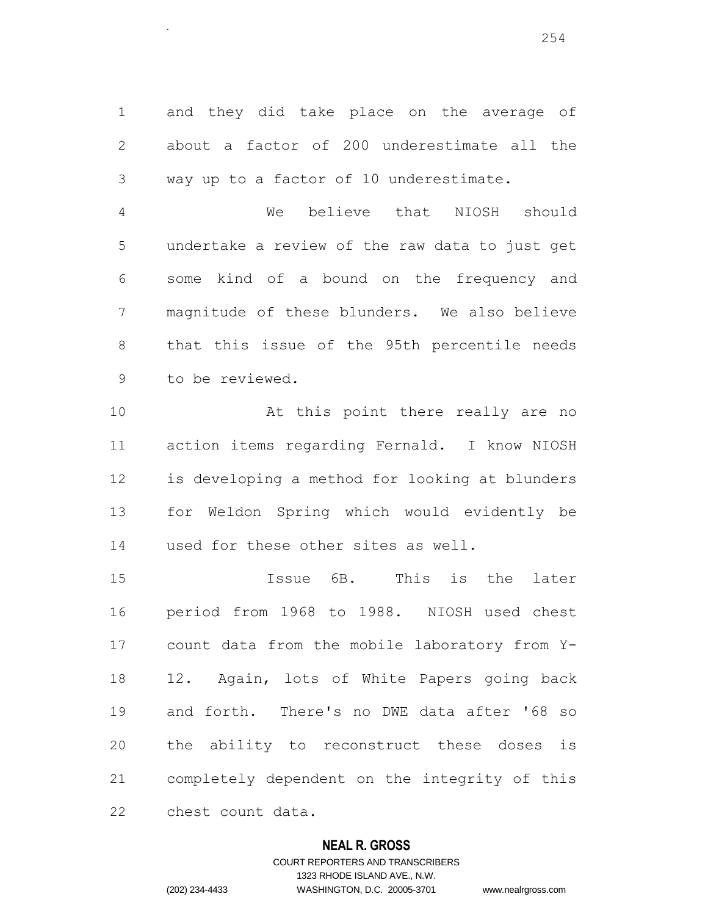and they did take place on the average of about a factor of 200 underestimate all the way up to a factor of 10 underestimate.

.

 We believe that NIOSH should undertake a review of the raw data to just get some kind of a bound on the frequency and magnitude of these blunders. We also believe that this issue of the 95th percentile needs to be reviewed.

10 At this point there really are no action items regarding Fernald. I know NIOSH is developing a method for looking at blunders for Weldon Spring which would evidently be used for these other sites as well.

 Issue 6B. This is the later period from 1968 to 1988. NIOSH used chest count data from the mobile laboratory from Y- 12. Again, lots of White Papers going back and forth. There's no DWE data after '68 so the ability to reconstruct these doses is completely dependent on the integrity of this chest count data.

#### **NEAL R. GROSS**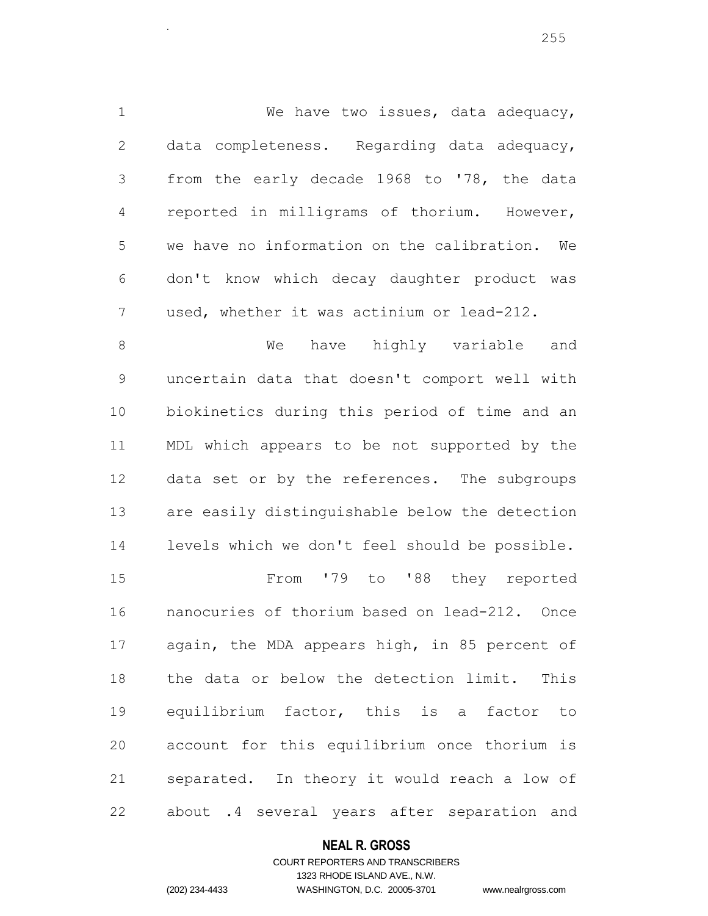1 We have two issues, data adequacy, data completeness. Regarding data adequacy, from the early decade 1968 to '78, the data reported in milligrams of thorium. However, we have no information on the calibration. We don't know which decay daughter product was used, whether it was actinium or lead-212.

8 We have highly variable and uncertain data that doesn't comport well with biokinetics during this period of time and an MDL which appears to be not supported by the data set or by the references. The subgroups are easily distinguishable below the detection levels which we don't feel should be possible.

 From '79 to '88 they reported nanocuries of thorium based on lead-212. Once again, the MDA appears high, in 85 percent of the data or below the detection limit. This equilibrium factor, this is a factor to account for this equilibrium once thorium is separated. In theory it would reach a low of about .4 several years after separation and

#### **NEAL R. GROSS**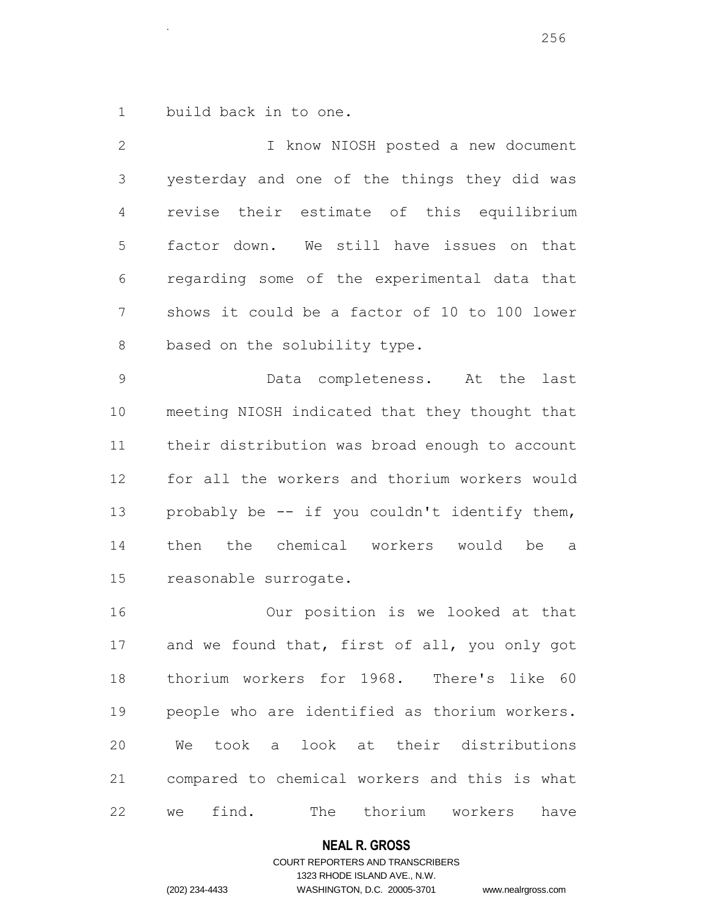build back in to one.

.

 I know NIOSH posted a new document yesterday and one of the things they did was revise their estimate of this equilibrium factor down. We still have issues on that regarding some of the experimental data that shows it could be a factor of 10 to 100 lower 8 based on the solubility type.

 Data completeness. At the last meeting NIOSH indicated that they thought that their distribution was broad enough to account for all the workers and thorium workers would 13 probably be -- if you couldn't identify them, then the chemical workers would be a reasonable surrogate.

 Our position is we looked at that and we found that, first of all, you only got thorium workers for 1968. There's like 60 people who are identified as thorium workers. We took a look at their distributions compared to chemical workers and this is what we find. The thorium workers have

#### **NEAL R. GROSS**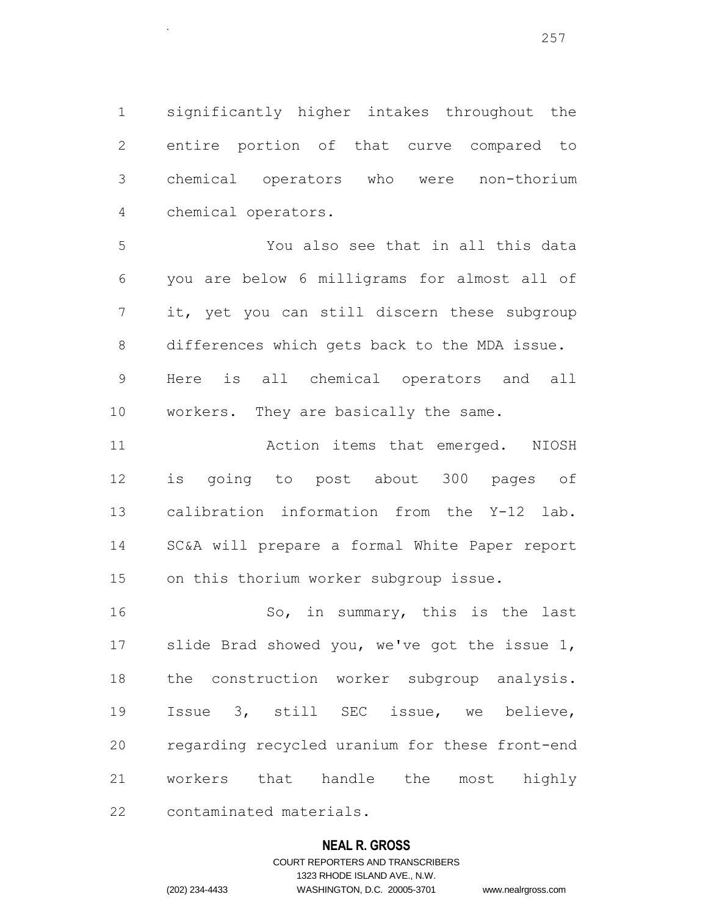significantly higher intakes throughout the entire portion of that curve compared to chemical operators who were non-thorium chemical operators.

 You also see that in all this data you are below 6 milligrams for almost all of it, yet you can still discern these subgroup differences which gets back to the MDA issue. Here is all chemical operators and all workers. They are basically the same.

 Action items that emerged. NIOSH is going to post about 300 pages of calibration information from the Y-12 lab. SC&A will prepare a formal White Paper report on this thorium worker subgroup issue.

16 So, in summary, this is the last slide Brad showed you, we've got the issue 1, the construction worker subgroup analysis. Issue 3, still SEC issue, we believe, regarding recycled uranium for these front-end workers that handle the most highly contaminated materials.

#### **NEAL R. GROSS**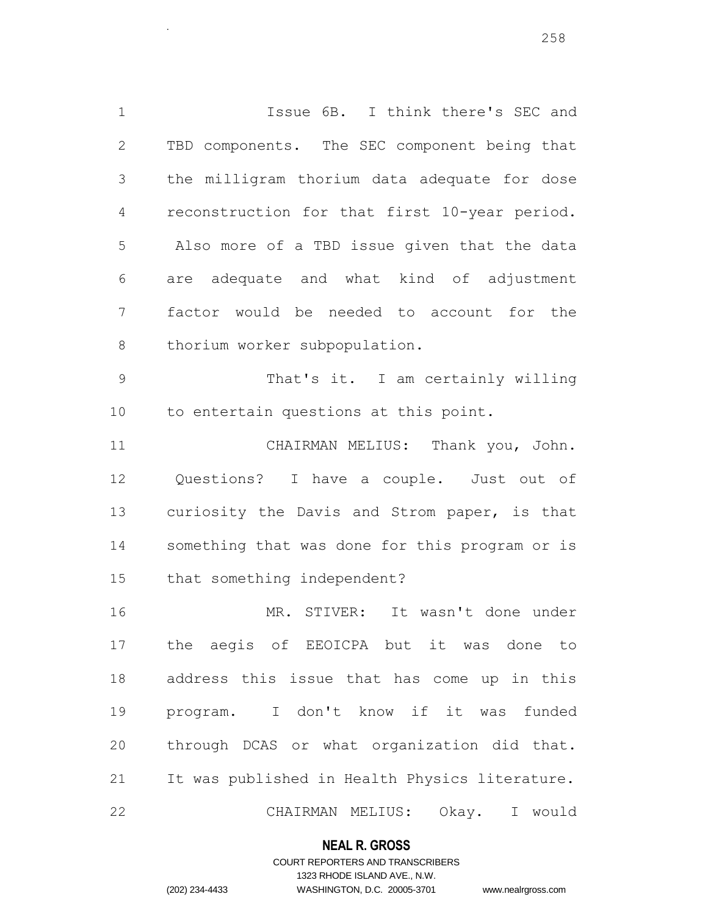Issue 6B. I think there's SEC and TBD components. The SEC component being that the milligram thorium data adequate for dose reconstruction for that first 10-year period. Also more of a TBD issue given that the data are adequate and what kind of adjustment factor would be needed to account for the 8 thorium worker subpopulation.

.

 That's it. I am certainly willing to entertain questions at this point.

 CHAIRMAN MELIUS: Thank you, John. Questions? I have a couple. Just out of curiosity the Davis and Strom paper, is that something that was done for this program or is that something independent?

 MR. STIVER: It wasn't done under the aegis of EEOICPA but it was done to address this issue that has come up in this program. I don't know if it was funded through DCAS or what organization did that. It was published in Health Physics literature. CHAIRMAN MELIUS: Okay. I would

#### **NEAL R. GROSS**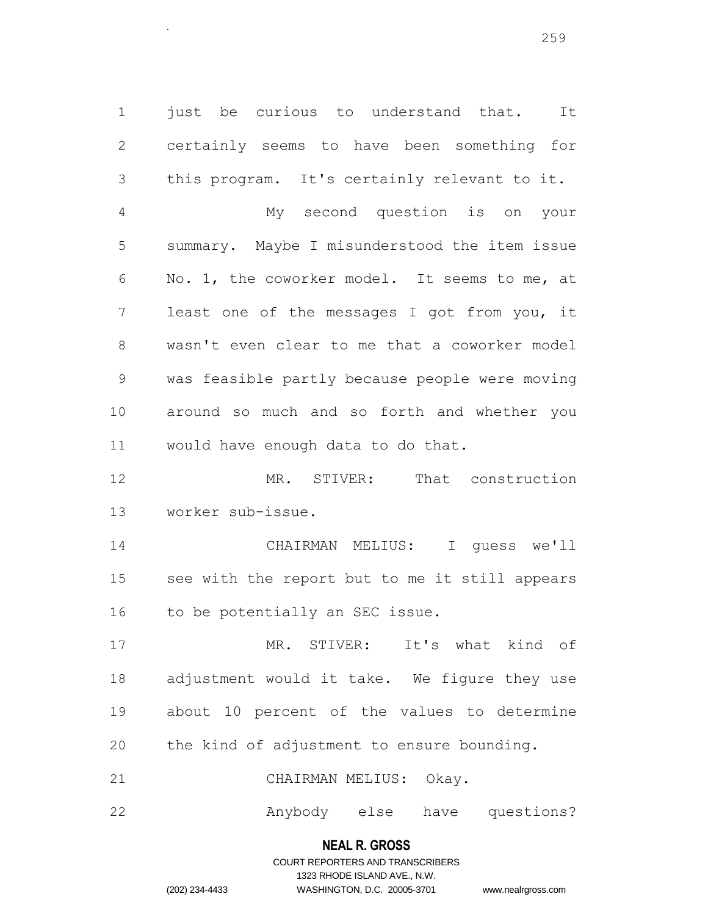1 just be curious to understand that. It certainly seems to have been something for this program. It's certainly relevant to it. My second question is on your summary. Maybe I misunderstood the item issue No. 1, the coworker model. It seems to me, at least one of the messages I got from you, it wasn't even clear to me that a coworker model was feasible partly because people were moving around so much and so forth and whether you would have enough data to do that.

.

 MR. STIVER: That construction worker sub-issue.

 CHAIRMAN MELIUS: I guess we'll see with the report but to me it still appears to be potentially an SEC issue.

 MR. STIVER: It's what kind of adjustment would it take. We figure they use about 10 percent of the values to determine the kind of adjustment to ensure bounding.

CHAIRMAN MELIUS: Okay.

Anybody else have questions?

## **NEAL R. GROSS**

COURT REPORTERS AND TRANSCRIBERS 1323 RHODE ISLAND AVE., N.W. (202) 234-4433 WASHINGTON, D.C. 20005-3701 www.nealrgross.com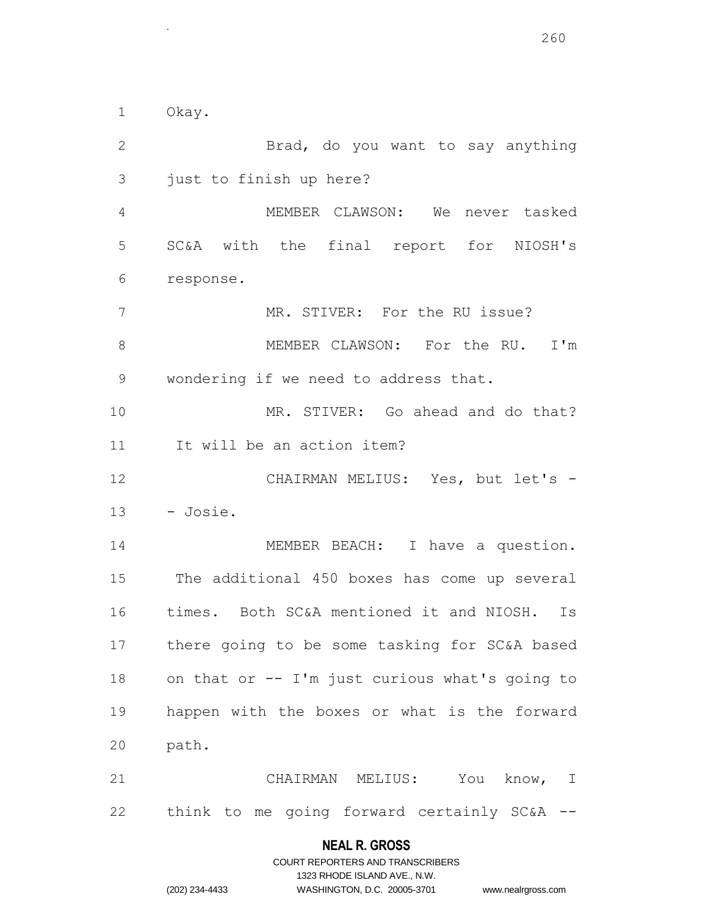Okay.

.

 Brad, do you want to say anything just to finish up here? MEMBER CLAWSON: We never tasked SC&A with the final report for NIOSH's response. 7 MR. STIVER: For the RU issue? MEMBER CLAWSON: For the RU. I'm wondering if we need to address that. MR. STIVER: Go ahead and do that? It will be an action item? CHAIRMAN MELIUS: Yes, but let's -  $13 - Josie.$ 14 MEMBER BEACH: I have a question. The additional 450 boxes has come up several times. Both SC&A mentioned it and NIOSH. Is there going to be some tasking for SC&A based on that or -- I'm just curious what's going to happen with the boxes or what is the forward path. CHAIRMAN MELIUS: You know, I think to me going forward certainly SC&A --

## **NEAL R. GROSS** COURT REPORTERS AND TRANSCRIBERS

1323 RHODE ISLAND AVE., N.W.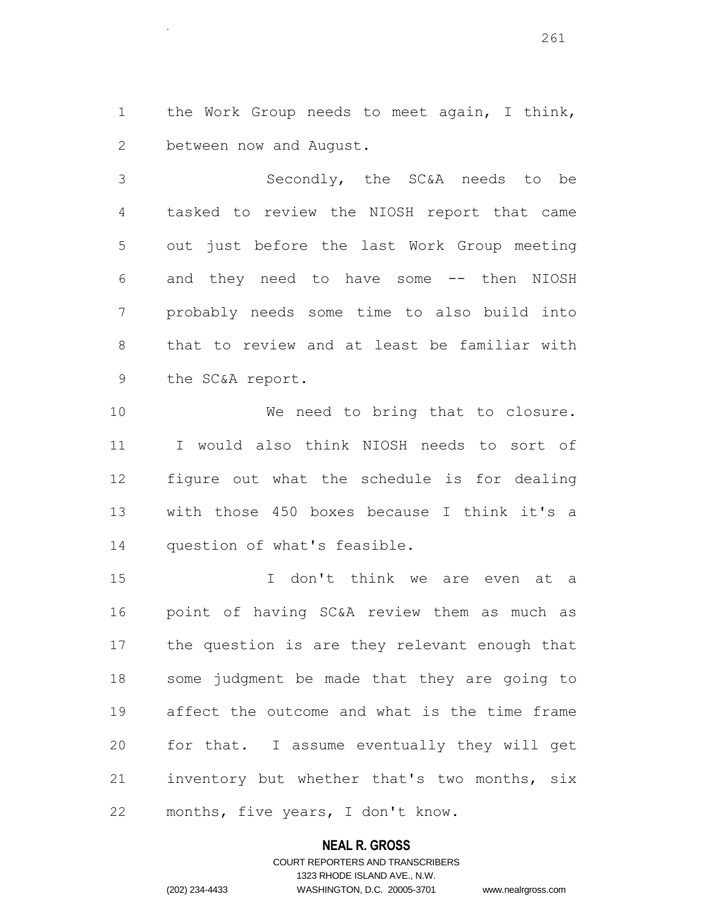the Work Group needs to meet again, I think, between now and August.

.

 Secondly, the SC&A needs to be tasked to review the NIOSH report that came out just before the last Work Group meeting and they need to have some -- then NIOSH probably needs some time to also build into that to review and at least be familiar with the SC&A report.

10 We need to bring that to closure. I would also think NIOSH needs to sort of figure out what the schedule is for dealing with those 450 boxes because I think it's a question of what's feasible.

 I don't think we are even at a point of having SC&A review them as much as the question is are they relevant enough that some judgment be made that they are going to affect the outcome and what is the time frame for that. I assume eventually they will get inventory but whether that's two months, six months, five years, I don't know.

#### **NEAL R. GROSS**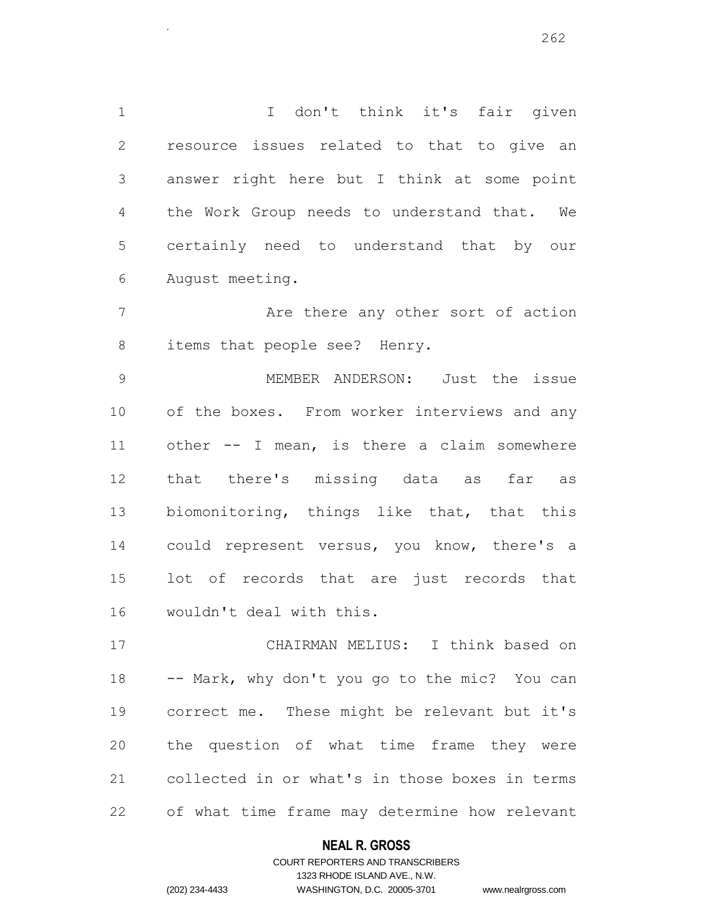I don't think it's fair given resource issues related to that to give an answer right here but I think at some point the Work Group needs to understand that. We certainly need to understand that by our August meeting.

7 Are there any other sort of action items that people see? Henry.

 MEMBER ANDERSON: Just the issue of the boxes. From worker interviews and any other -- I mean, is there a claim somewhere that there's missing data as far as biomonitoring, things like that, that this could represent versus, you know, there's a lot of records that are just records that wouldn't deal with this.

 CHAIRMAN MELIUS: I think based on -- Mark, why don't you go to the mic? You can correct me. These might be relevant but it's the question of what time frame they were collected in or what's in those boxes in terms of what time frame may determine how relevant

## **NEAL R. GROSS**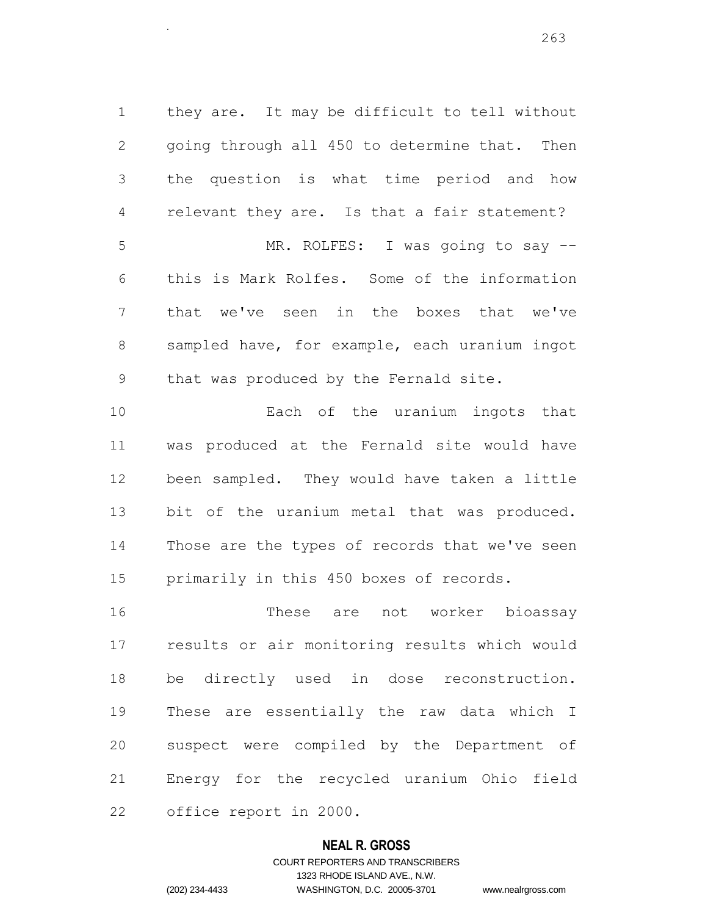they are. It may be difficult to tell without going through all 450 to determine that. Then the question is what time period and how relevant they are. Is that a fair statement? MR. ROLFES: I was going to say -- this is Mark Rolfes. Some of the information that we've seen in the boxes that we've sampled have, for example, each uranium ingot that was produced by the Fernald site. Each of the uranium ingots that was produced at the Fernald site would have been sampled. They would have taken a little bit of the uranium metal that was produced.

 Those are the types of records that we've seen primarily in this 450 boxes of records.

 These are not worker bioassay results or air monitoring results which would be directly used in dose reconstruction. These are essentially the raw data which I suspect were compiled by the Department of Energy for the recycled uranium Ohio field office report in 2000.

#### **NEAL R. GROSS**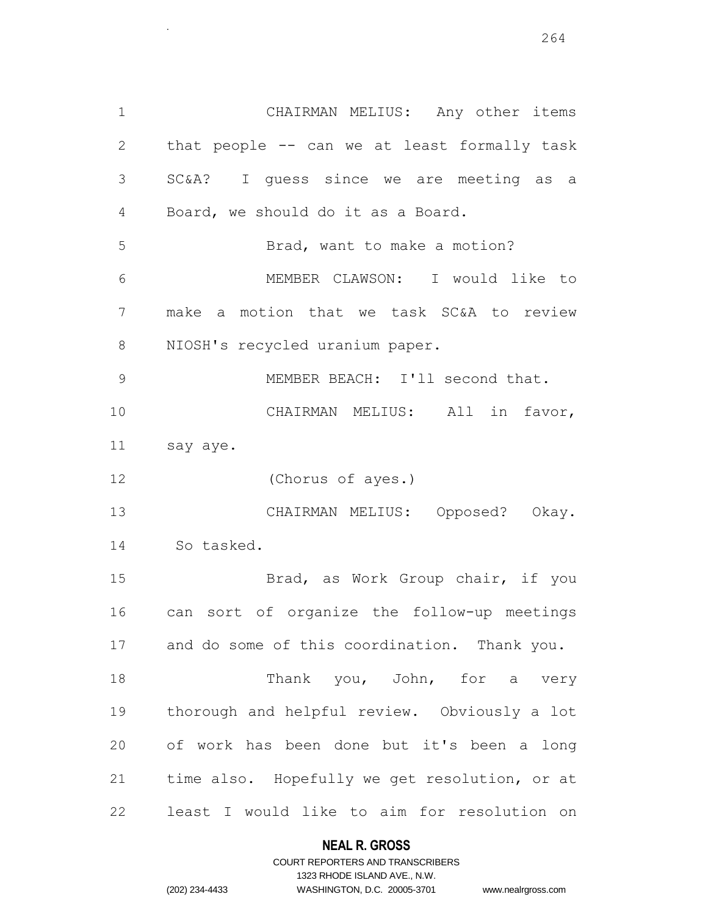CHAIRMAN MELIUS: Any other items that people -- can we at least formally task SC&A? I guess since we are meeting as a Board, we should do it as a Board. Brad, want to make a motion? MEMBER CLAWSON: I would like to make a motion that we task SC&A to review NIOSH's recycled uranium paper. MEMBER BEACH: I'll second that. CHAIRMAN MELIUS: All in favor, say aye. (Chorus of ayes.) CHAIRMAN MELIUS: Opposed? Okay. So tasked. Brad, as Work Group chair, if you can sort of organize the follow-up meetings and do some of this coordination. Thank you. 18 Thank you, John, for a very thorough and helpful review. Obviously a lot of work has been done but it's been a long time also. Hopefully we get resolution, or at least I would like to aim for resolution on

.

## **NEAL R. GROSS** COURT REPORTERS AND TRANSCRIBERS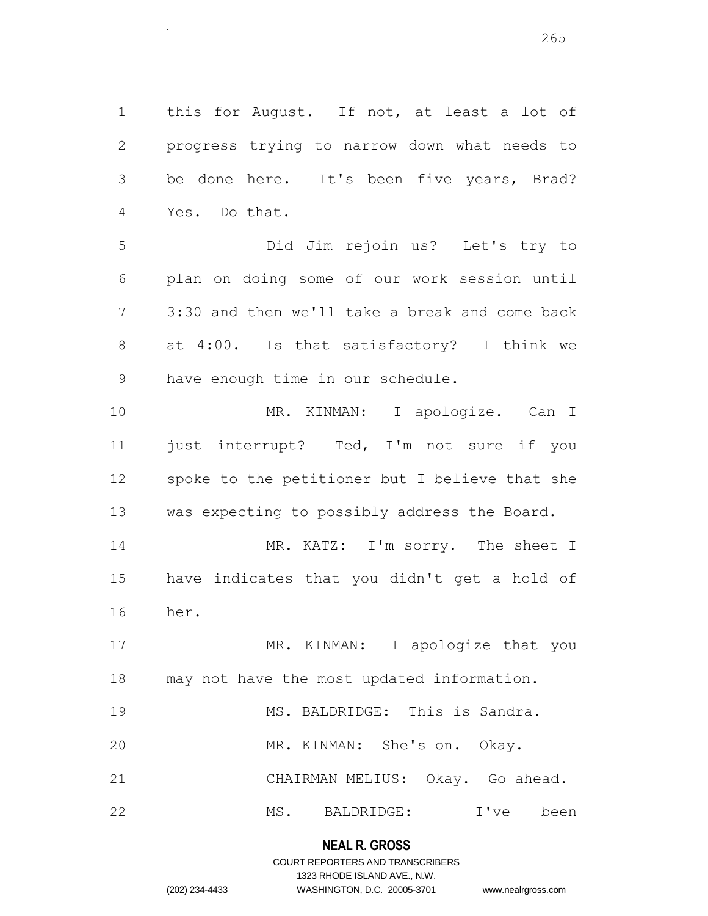1 this for August. If not, at least a lot of progress trying to narrow down what needs to be done here. It's been five years, Brad? Yes. Do that.

.

 Did Jim rejoin us? Let's try to plan on doing some of our work session until 3:30 and then we'll take a break and come back at 4:00. Is that satisfactory? I think we have enough time in our schedule.

 MR. KINMAN: I apologize. Can I just interrupt? Ted, I'm not sure if you spoke to the petitioner but I believe that she was expecting to possibly address the Board.

14 MR. KATZ: I'm sorry. The sheet I have indicates that you didn't get a hold of her.

17 MR. KINMAN: I apologize that you may not have the most updated information.

19 MS. BALDRIDGE: This is Sandra.

MR. KINMAN: She's on. Okay.

CHAIRMAN MELIUS: Okay. Go ahead.

MS. BALDRIDGE: I've been

## **NEAL R. GROSS** COURT REPORTERS AND TRANSCRIBERS

1323 RHODE ISLAND AVE., N.W.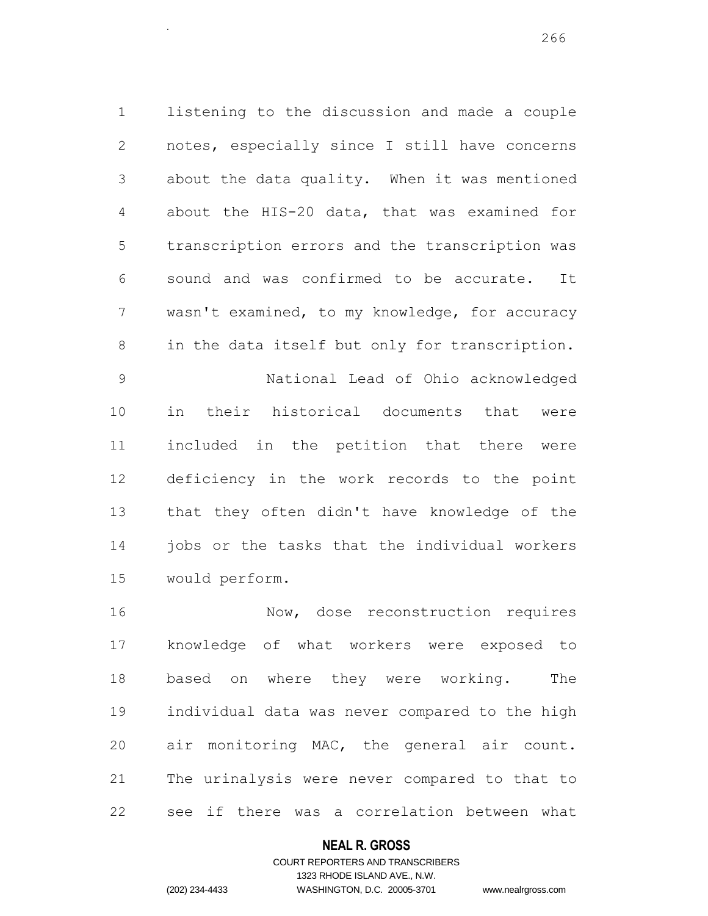listening to the discussion and made a couple notes, especially since I still have concerns about the data quality. When it was mentioned about the HIS-20 data, that was examined for transcription errors and the transcription was sound and was confirmed to be accurate. It wasn't examined, to my knowledge, for accuracy in the data itself but only for transcription.

 National Lead of Ohio acknowledged in their historical documents that were included in the petition that there were deficiency in the work records to the point that they often didn't have knowledge of the jobs or the tasks that the individual workers would perform.

16 Mow, dose reconstruction requires knowledge of what workers were exposed to based on where they were working. The individual data was never compared to the high air monitoring MAC, the general air count. The urinalysis were never compared to that to see if there was a correlation between what

## **NEAL R. GROSS**

## COURT REPORTERS AND TRANSCRIBERS 1323 RHODE ISLAND AVE., N.W. (202) 234-4433 WASHINGTON, D.C. 20005-3701 www.nealrgross.com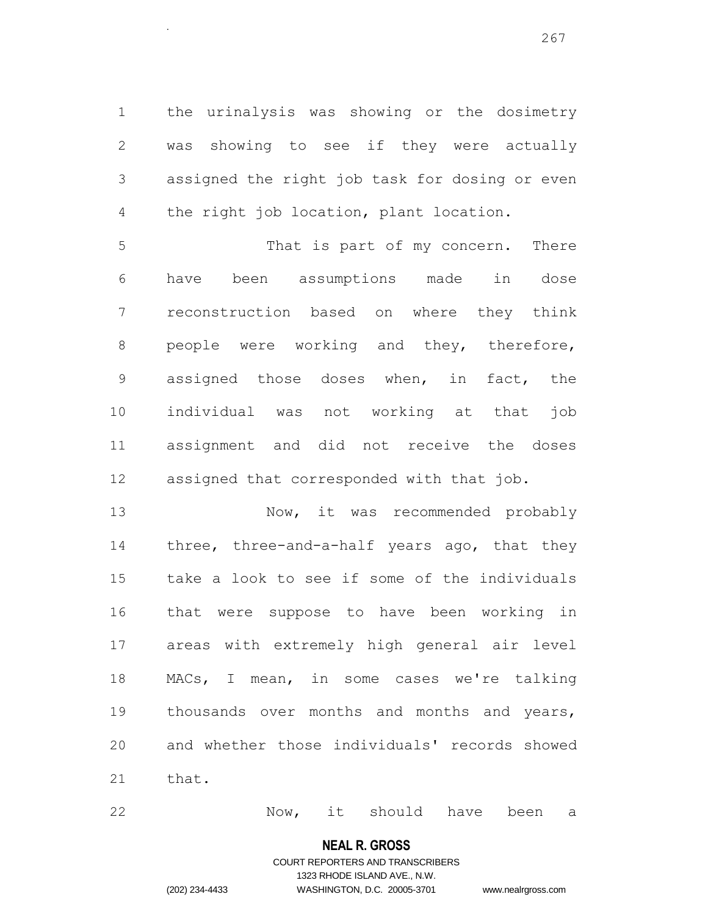the urinalysis was showing or the dosimetry was showing to see if they were actually assigned the right job task for dosing or even the right job location, plant location.

 That is part of my concern. There have been assumptions made in dose reconstruction based on where they think 8 people were working and they, therefore, assigned those doses when, in fact, the individual was not working at that job assignment and did not receive the doses assigned that corresponded with that job.

 Now, it was recommended probably three, three-and-a-half years ago, that they take a look to see if some of the individuals that were suppose to have been working in areas with extremely high general air level MACs, I mean, in some cases we're talking thousands over months and months and years, and whether those individuals' records showed that.

22 Now, it should have been a

#### **NEAL R. GROSS**

## COURT REPORTERS AND TRANSCRIBERS 1323 RHODE ISLAND AVE., N.W. (202) 234-4433 WASHINGTON, D.C. 20005-3701 www.nealrgross.com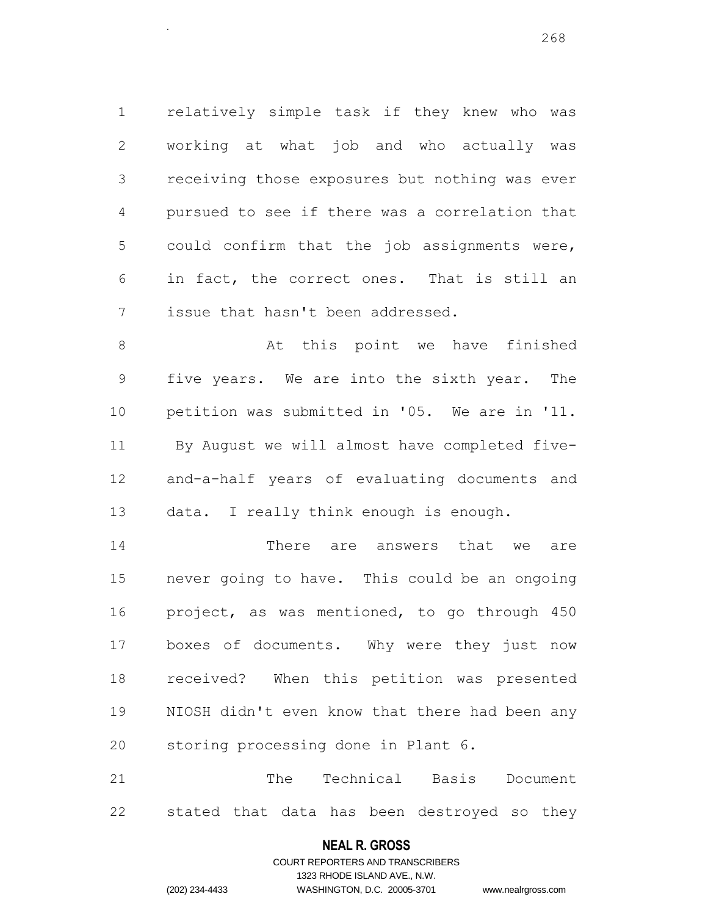relatively simple task if they knew who was working at what job and who actually was receiving those exposures but nothing was ever pursued to see if there was a correlation that could confirm that the job assignments were, in fact, the correct ones. That is still an issue that hasn't been addressed.

8 At this point we have finished five years. We are into the sixth year. The petition was submitted in '05. We are in '11. By August we will almost have completed five- and-a-half years of evaluating documents and data. I really think enough is enough.

 There are answers that we are never going to have. This could be an ongoing project, as was mentioned, to go through 450 boxes of documents. Why were they just now received? When this petition was presented NIOSH didn't even know that there had been any storing processing done in Plant 6.

 The Technical Basis Document stated that data has been destroyed so they

#### **NEAL R. GROSS**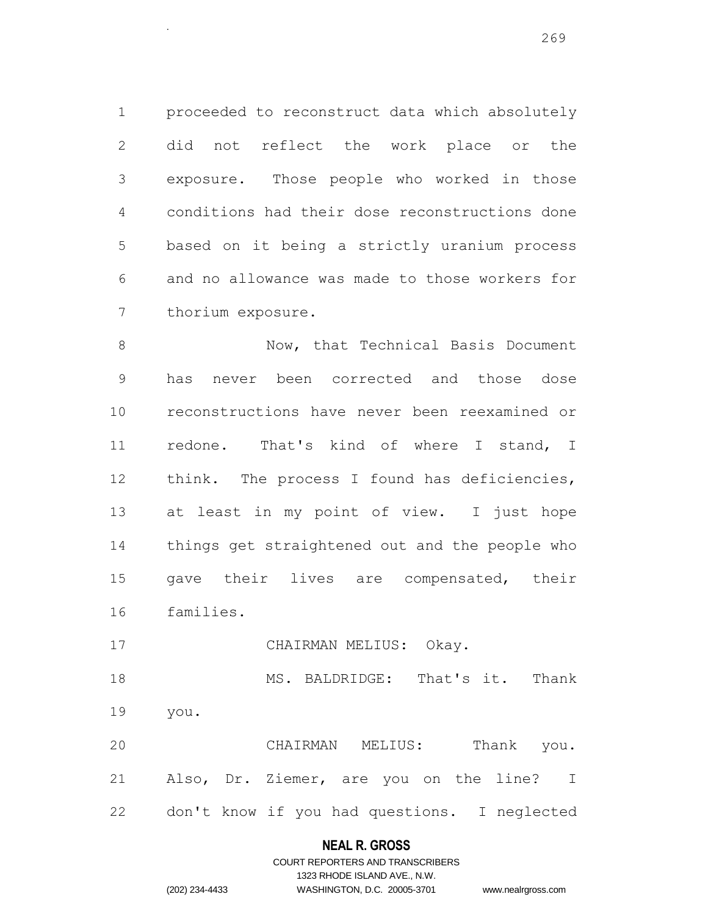proceeded to reconstruct data which absolutely did not reflect the work place or the exposure. Those people who worked in those conditions had their dose reconstructions done based on it being a strictly uranium process and no allowance was made to those workers for thorium exposure.

.

8 Now, that Technical Basis Document has never been corrected and those dose reconstructions have never been reexamined or redone. That's kind of where I stand, I think. The process I found has deficiencies, at least in my point of view. I just hope things get straightened out and the people who gave their lives are compensated, their families.

17 CHAIRMAN MELIUS: Okay.

 MS. BALDRIDGE: That's it. Thank you.

 CHAIRMAN MELIUS: Thank you. Also, Dr. Ziemer, are you on the line? I don't know if you had questions. I neglected

#### **NEAL R. GROSS**

## COURT REPORTERS AND TRANSCRIBERS 1323 RHODE ISLAND AVE., N.W. (202) 234-4433 WASHINGTON, D.C. 20005-3701 www.nealrgross.com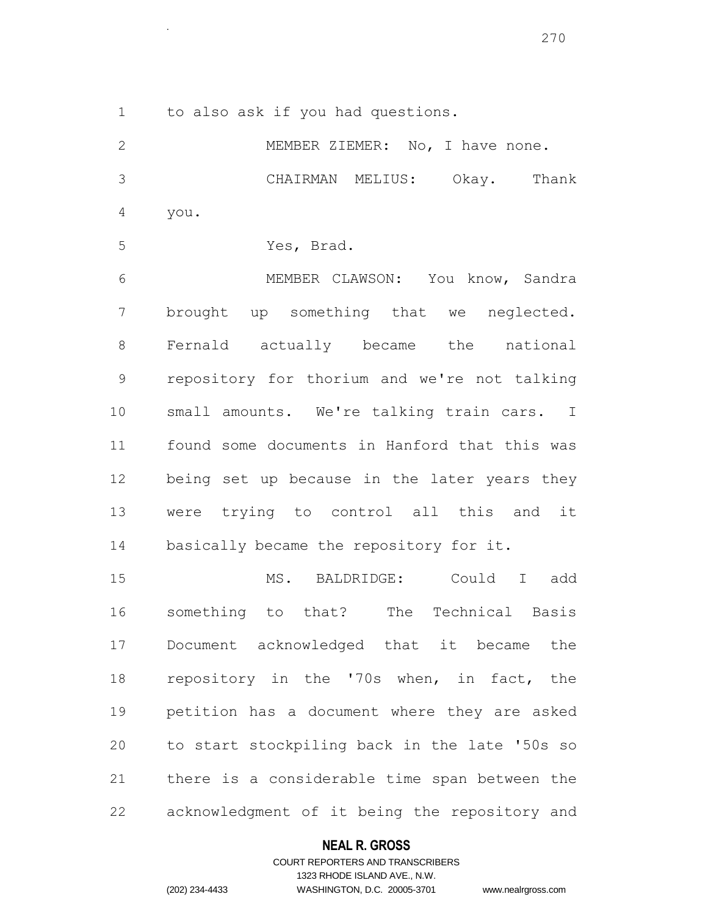to also ask if you had questions.

2 MEMBER ZIEMER: No, I have none. CHAIRMAN MELIUS: Okay. Thank you.

```
5 Yes, Brad.
```
.

 MEMBER CLAWSON: You know, Sandra brought up something that we neglected. Fernald actually became the national repository for thorium and we're not talking small amounts. We're talking train cars. I found some documents in Hanford that this was being set up because in the later years they were trying to control all this and it 14 basically became the repository for it.

 MS. BALDRIDGE: Could I add something to that? The Technical Basis Document acknowledged that it became the 18 repository in the '70s when, in fact, the petition has a document where they are asked to start stockpiling back in the late '50s so there is a considerable time span between the acknowledgment of it being the repository and

## **NEAL R. GROSS**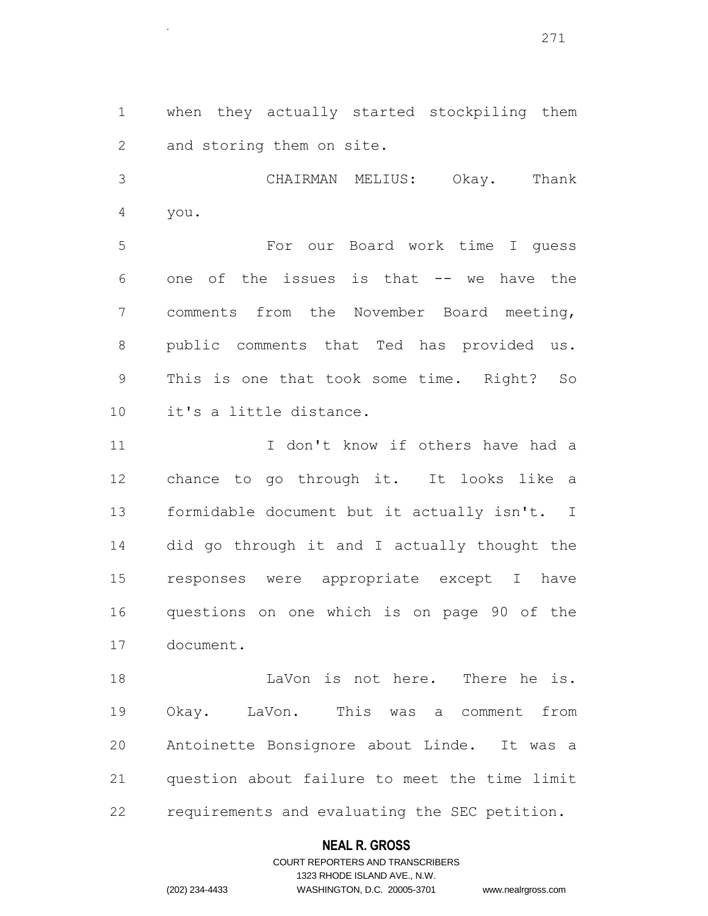when they actually started stockpiling them and storing them on site.

.

 CHAIRMAN MELIUS: Okay. Thank you.

 For our Board work time I guess one of the issues is that -- we have the comments from the November Board meeting, public comments that Ted has provided us. This is one that took some time. Right? So it's a little distance.

11 1000 I don't know if others have had a chance to go through it. It looks like a formidable document but it actually isn't. I did go through it and I actually thought the responses were appropriate except I have questions on one which is on page 90 of the document.

 LaVon is not here. There he is. Okay. LaVon. This was a comment from Antoinette Bonsignore about Linde. It was a question about failure to meet the time limit requirements and evaluating the SEC petition.

#### **NEAL R. GROSS**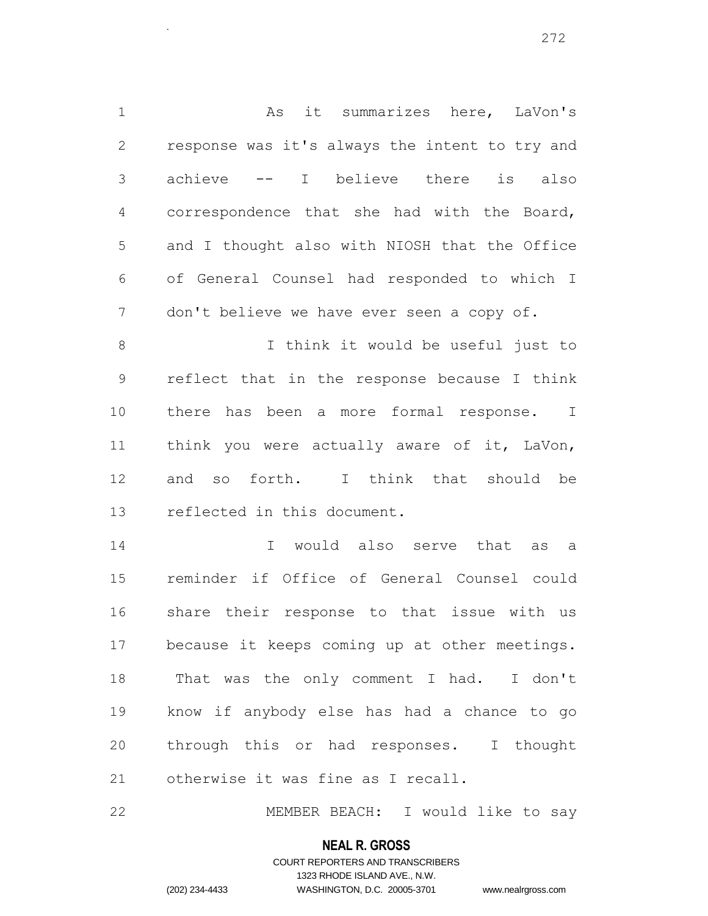1 As it summarizes here, LaVon's response was it's always the intent to try and achieve -- I believe there is also correspondence that she had with the Board, and I thought also with NIOSH that the Office of General Counsel had responded to which I don't believe we have ever seen a copy of. I think it would be useful just to reflect that in the response because I think there has been a more formal response. I

 think you were actually aware of it, LaVon, and so forth. I think that should be reflected in this document.

 I would also serve that as a reminder if Office of General Counsel could share their response to that issue with us because it keeps coming up at other meetings. That was the only comment I had. I don't know if anybody else has had a chance to go through this or had responses. I thought otherwise it was fine as I recall.

MEMBER BEACH: I would like to say

#### **NEAL R. GROSS**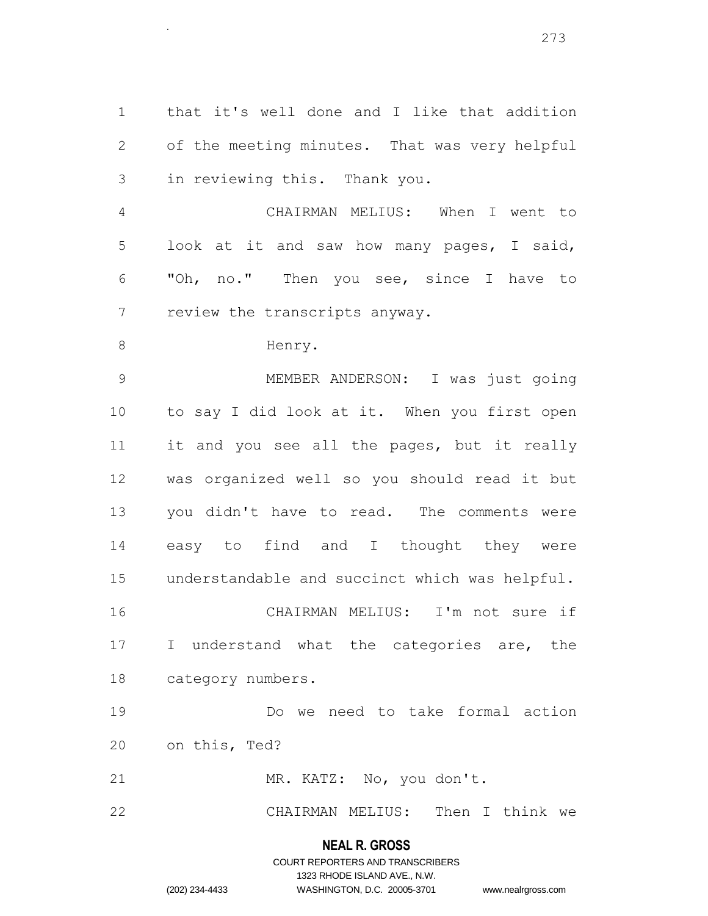that it's well done and I like that addition of the meeting minutes. That was very helpful in reviewing this. Thank you.

 CHAIRMAN MELIUS: When I went to look at it and saw how many pages, I said, "Oh, no." Then you see, since I have to review the transcripts anyway.

.

# 8 Henry.

 MEMBER ANDERSON: I was just going to say I did look at it. When you first open it and you see all the pages, but it really was organized well so you should read it but you didn't have to read. The comments were easy to find and I thought they were understandable and succinct which was helpful.

 CHAIRMAN MELIUS: I'm not sure if 17 I understand what the categories are, the category numbers.

 Do we need to take formal action on this, Ted?

MR. KATZ: No, you don't.

CHAIRMAN MELIUS: Then I think we

#### **NEAL R. GROSS**

COURT REPORTERS AND TRANSCRIBERS 1323 RHODE ISLAND AVE., N.W. (202) 234-4433 WASHINGTON, D.C. 20005-3701 www.nealrgross.com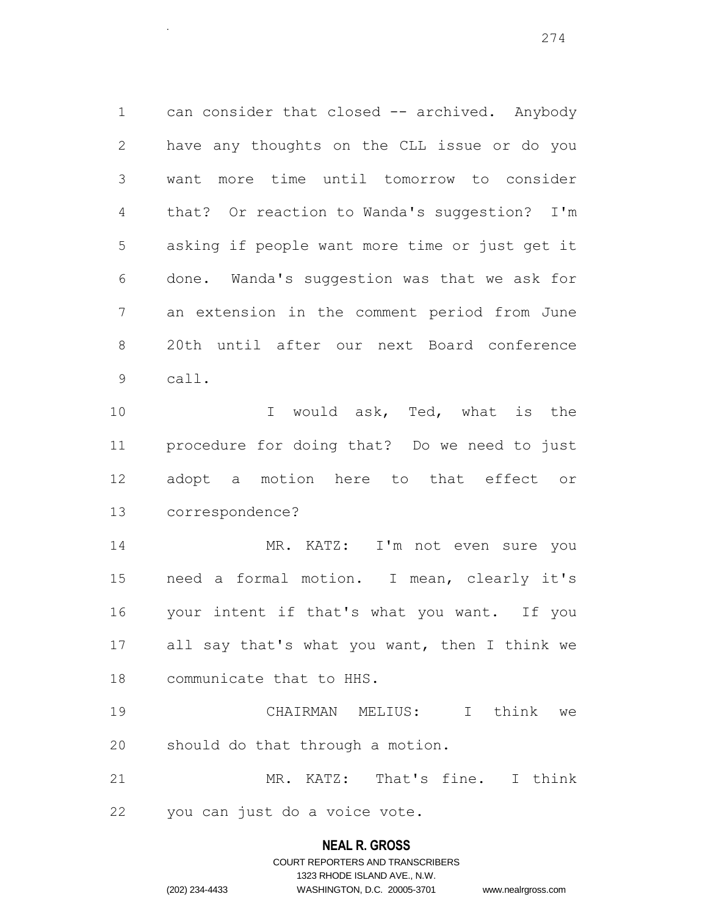1 can consider that closed -- archived. Anybody have any thoughts on the CLL issue or do you want more time until tomorrow to consider that? Or reaction to Wanda's suggestion? I'm asking if people want more time or just get it done. Wanda's suggestion was that we ask for an extension in the comment period from June 20th until after our next Board conference call.

.

 I would ask, Ted, what is the procedure for doing that? Do we need to just adopt a motion here to that effect or correspondence?

 MR. KATZ: I'm not even sure you need a formal motion. I mean, clearly it's your intent if that's what you want. If you all say that's what you want, then I think we communicate that to HHS.

 CHAIRMAN MELIUS: I think we should do that through a motion.

 MR. KATZ: That's fine. I think you can just do a voice vote.

#### **NEAL R. GROSS**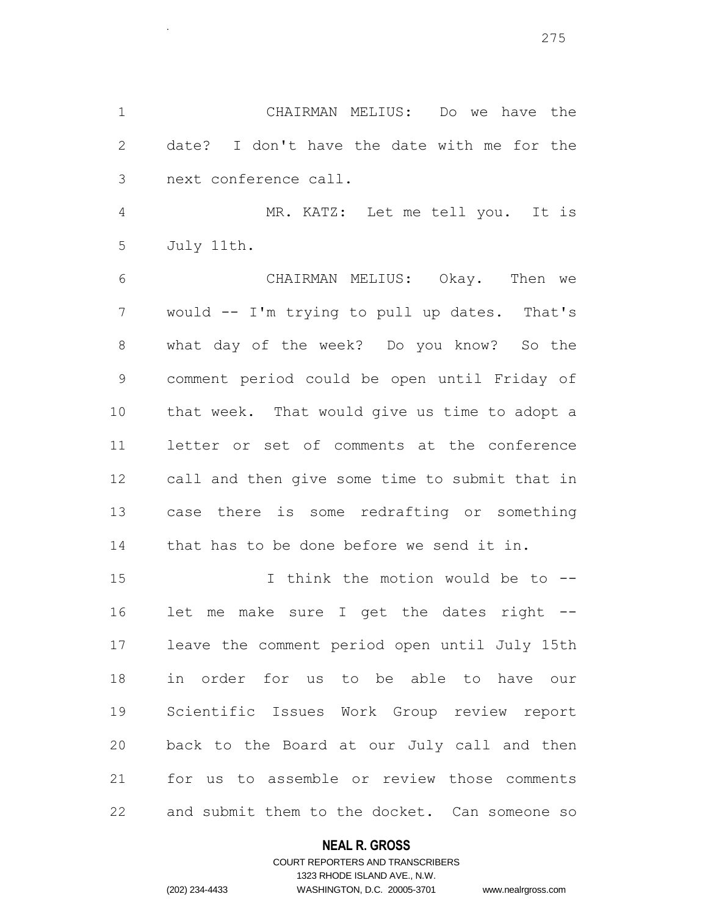CHAIRMAN MELIUS: Do we have the date? I don't have the date with me for the next conference call.

.

 MR. KATZ: Let me tell you. It is July 11th.

 CHAIRMAN MELIUS: Okay. Then we would -- I'm trying to pull up dates. That's what day of the week? Do you know? So the comment period could be open until Friday of that week. That would give us time to adopt a letter or set of comments at the conference call and then give some time to submit that in case there is some redrafting or something that has to be done before we send it in.

 I think the motion would be to -- let me make sure I get the dates right -- leave the comment period open until July 15th in order for us to be able to have our Scientific Issues Work Group review report back to the Board at our July call and then for us to assemble or review those comments and submit them to the docket. Can someone so

#### **NEAL R. GROSS**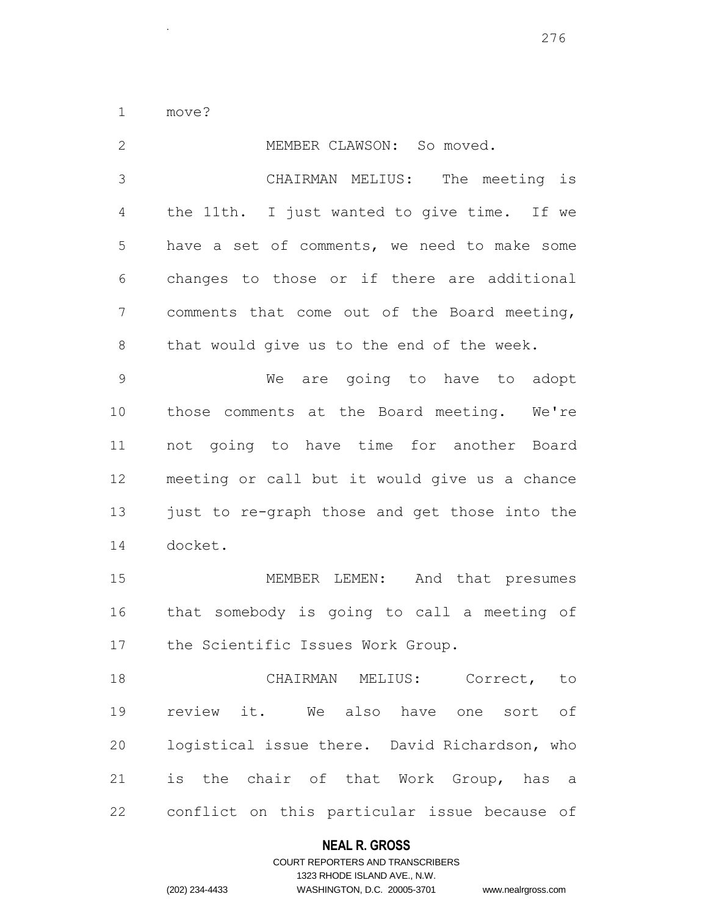move?

.

| $\mathbf{2}$   | MEMBER CLAWSON: So moved.                     |
|----------------|-----------------------------------------------|
| 3              | CHAIRMAN MELIUS: The meeting is               |
| $\overline{4}$ | the 11th. I just wanted to give time. If we   |
| 5              | have a set of comments, we need to make some  |
| 6              | changes to those or if there are additional   |
| 7              | comments that come out of the Board meeting,  |
| 8              | that would give us to the end of the week.    |
| $\mathcal{G}$  | We are going to have to adopt                 |
| 10             | those comments at the Board meeting. We're    |
| 11             | not going to have time for another Board      |
| 12             | meeting or call but it would give us a chance |
| 13             | just to re-graph those and get those into the |
| 14             | docket.                                       |
| 15             | MEMBER LEMEN: And that presumes               |
| 16             | that somebody is going to call a meeting of   |
| 17             | the Scientific Issues Work Group.             |
| 18             | CHAIRMAN MELIUS: Correct, to                  |
| 19             | review it. We also have one sort of           |
| 20             | logistical issue there. David Richardson, who |
| 21             | is the chair of that Work Group, has a        |
| 22             | conflict on this particular issue because of  |

# **NEAL R. GROSS**

## COURT REPORTERS AND TRANSCRIBERS 1323 RHODE ISLAND AVE., N.W. (202) 234-4433 WASHINGTON, D.C. 20005-3701 www.nealrgross.com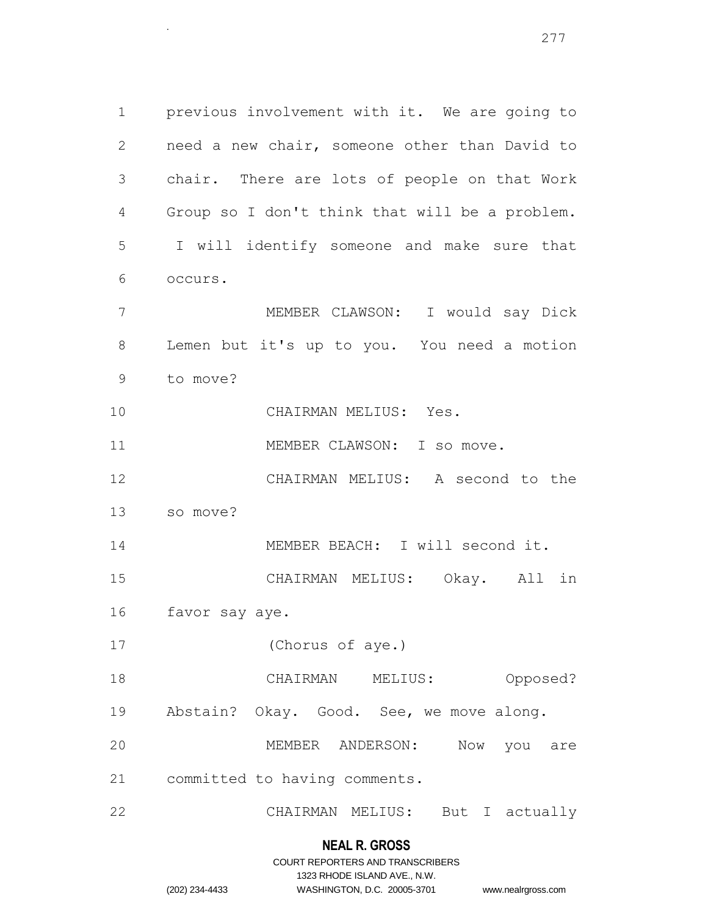previous involvement with it. We are going to need a new chair, someone other than David to chair. There are lots of people on that Work Group so I don't think that will be a problem. I will identify someone and make sure that occurs. MEMBER CLAWSON: I would say Dick Lemen but it's up to you. You need a motion to move? CHAIRMAN MELIUS: Yes. 11 MEMBER CLAWSON: I so move. CHAIRMAN MELIUS: A second to the so move?

MEMBER BEACH: I will second it.

CHAIRMAN MELIUS: Okay. All in

favor say aye.

.

(Chorus of aye.)

CHAIRMAN MELIUS: Opposed?

19 Abstain? Okay. Good. See, we move along.

MEMBER ANDERSON: Now you are

committed to having comments.

CHAIRMAN MELIUS: But I actually

# **NEAL R. GROSS**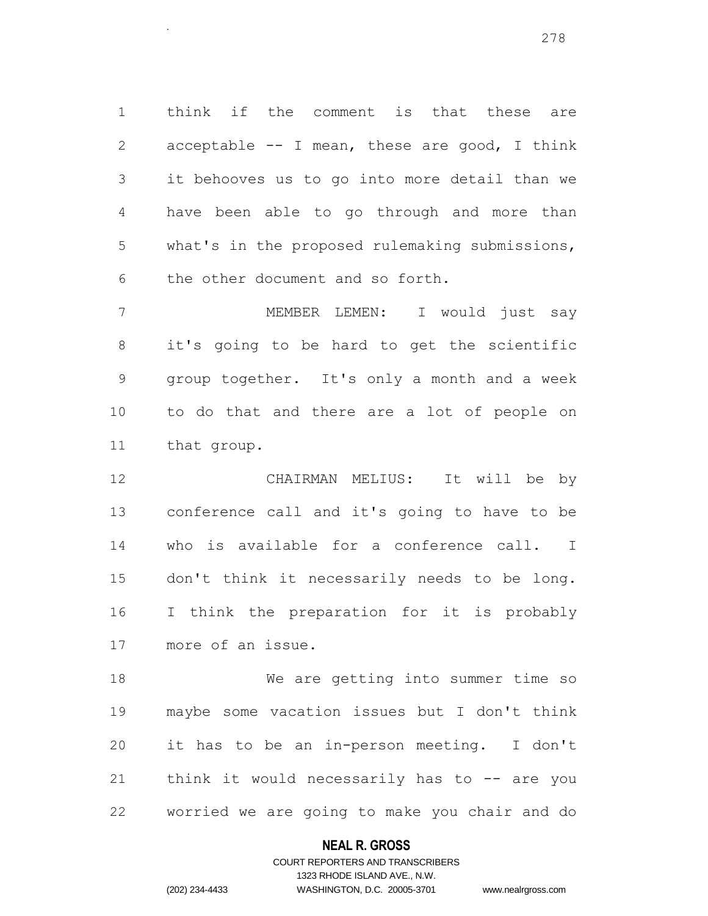think if the comment is that these are acceptable -- I mean, these are good, I think it behooves us to go into more detail than we have been able to go through and more than what's in the proposed rulemaking submissions, the other document and so forth.

.

 MEMBER LEMEN: I would just say it's going to be hard to get the scientific group together. It's only a month and a week to do that and there are a lot of people on that group.

 CHAIRMAN MELIUS: It will be by conference call and it's going to have to be who is available for a conference call. I don't think it necessarily needs to be long. I think the preparation for it is probably more of an issue.

 We are getting into summer time so maybe some vacation issues but I don't think it has to be an in-person meeting. I don't 21 think it would necessarily has to -- are you worried we are going to make you chair and do

## **NEAL R. GROSS**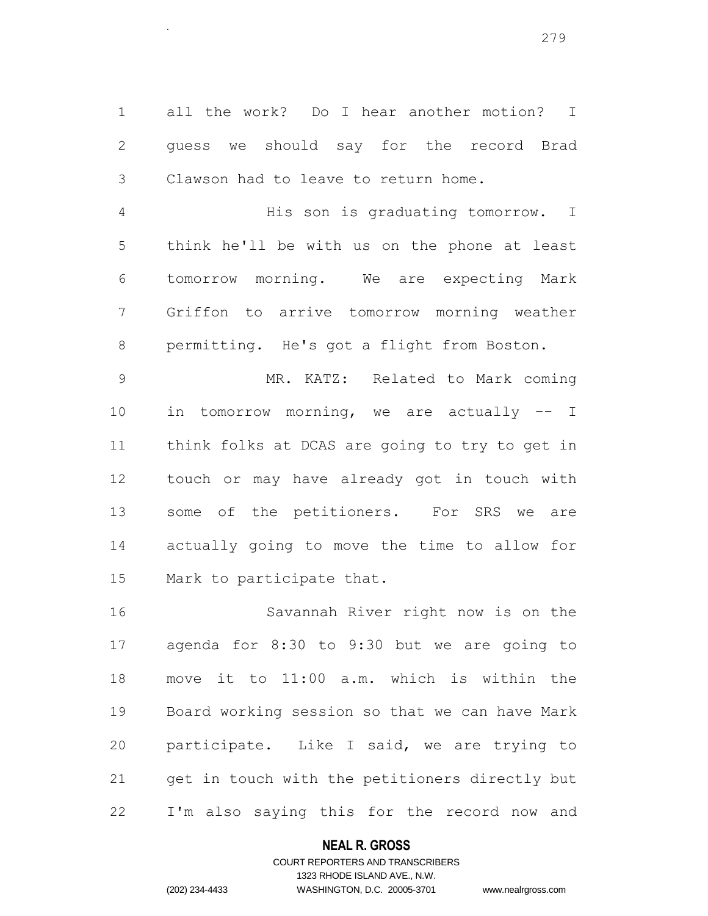all the work? Do I hear another motion? I guess we should say for the record Brad Clawson had to leave to return home.

.

 His son is graduating tomorrow. I think he'll be with us on the phone at least tomorrow morning. We are expecting Mark Griffon to arrive tomorrow morning weather permitting. He's got a flight from Boston.

 MR. KATZ: Related to Mark coming in tomorrow morning, we are actually -- I think folks at DCAS are going to try to get in touch or may have already got in touch with some of the petitioners. For SRS we are actually going to move the time to allow for Mark to participate that.

 Savannah River right now is on the agenda for 8:30 to 9:30 but we are going to move it to 11:00 a.m. which is within the Board working session so that we can have Mark participate. Like I said, we are trying to get in touch with the petitioners directly but I'm also saying this for the record now and

#### **NEAL R. GROSS**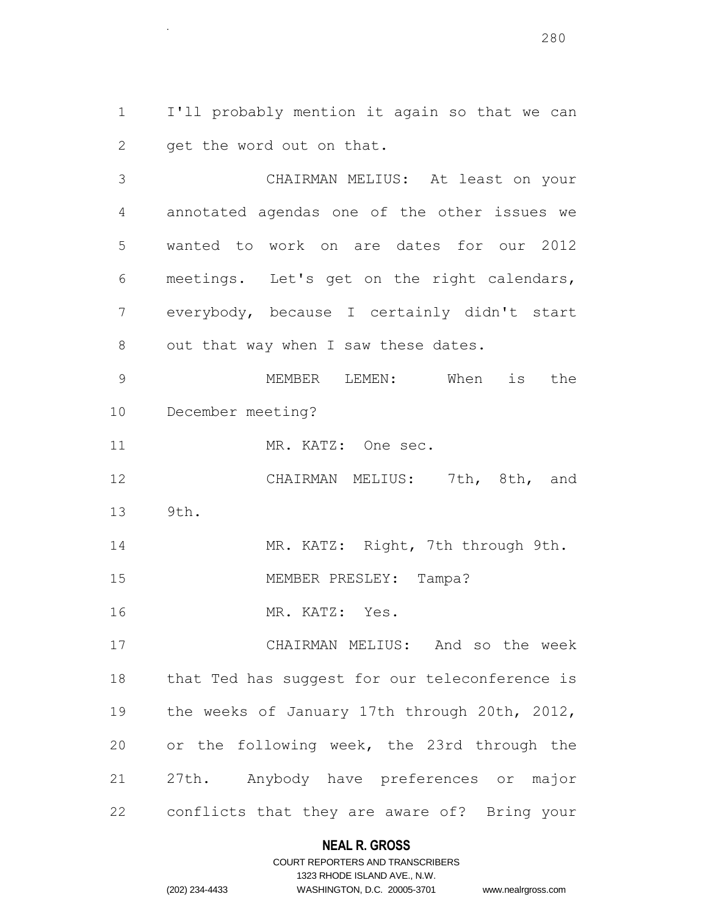I'll probably mention it again so that we can get the word out on that.

 CHAIRMAN MELIUS: At least on your annotated agendas one of the other issues we wanted to work on are dates for our 2012 meetings. Let's get on the right calendars, everybody, because I certainly didn't start 8 out that way when I saw these dates.

 MEMBER LEMEN: When is the December meeting?

11 MR. KATZ: One sec.

.

 CHAIRMAN MELIUS: 7th, 8th, and 9th.

MR. KATZ: Right, 7th through 9th.

15 MEMBER PRESLEY: Tampa?

MR. KATZ: Yes.

 CHAIRMAN MELIUS: And so the week that Ted has suggest for our teleconference is the weeks of January 17th through 20th, 2012, or the following week, the 23rd through the 27th. Anybody have preferences or major conflicts that they are aware of? Bring your

## **NEAL R. GROSS**

## COURT REPORTERS AND TRANSCRIBERS 1323 RHODE ISLAND AVE., N.W. (202) 234-4433 WASHINGTON, D.C. 20005-3701 www.nealrgross.com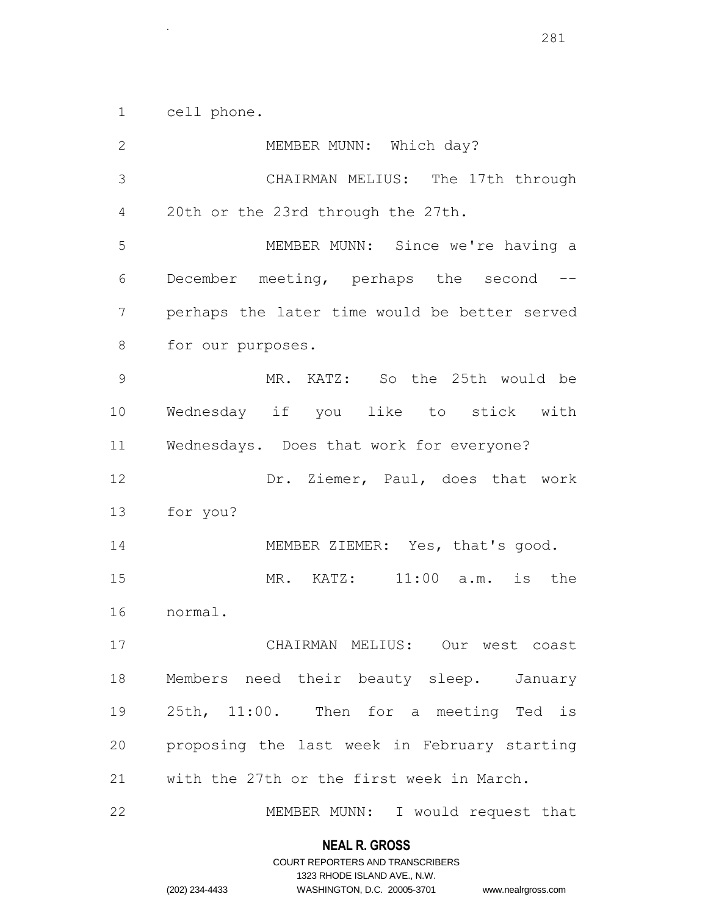cell phone.

.

2 MEMBER MUNN: Which day? CHAIRMAN MELIUS: The 17th through 20th or the 23rd through the 27th. MEMBER MUNN: Since we're having a December meeting, perhaps the second -- perhaps the later time would be better served for our purposes. MR. KATZ: So the 25th would be Wednesday if you like to stick with Wednesdays. Does that work for everyone? 12 Dr. Ziemer, Paul, does that work for you? 14 MEMBER ZIEMER: Yes, that's good. MR. KATZ: 11:00 a.m. is the normal. CHAIRMAN MELIUS: Our west coast Members need their beauty sleep. January 25th, 11:00. Then for a meeting Ted is proposing the last week in February starting with the 27th or the first week in March. MEMBER MUNN: I would request that

#### **NEAL R. GROSS**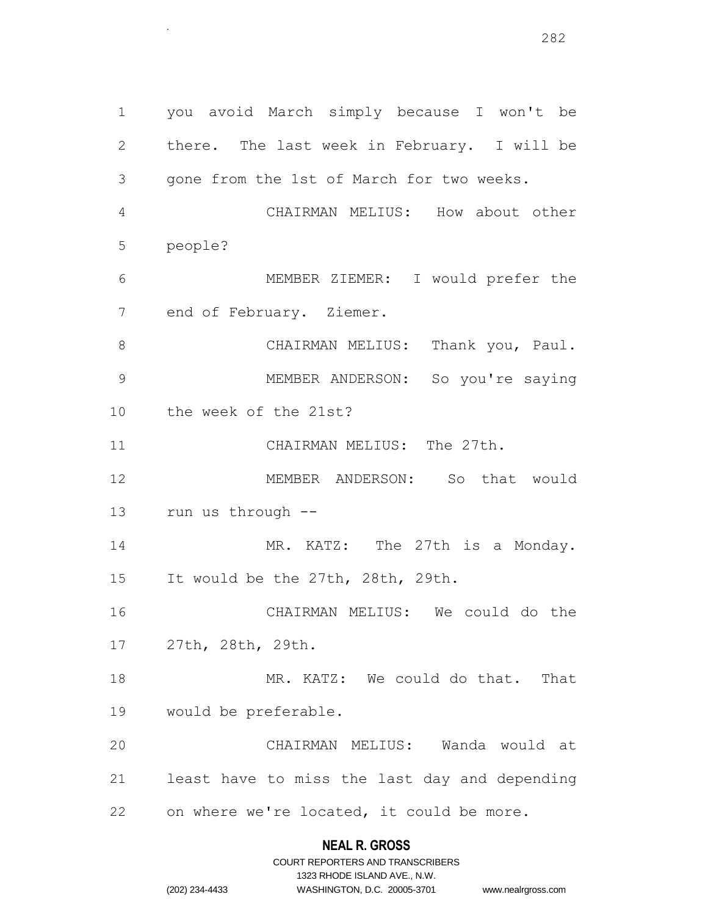you avoid March simply because I won't be there. The last week in February. I will be gone from the 1st of March for two weeks. CHAIRMAN MELIUS: How about other people? MEMBER ZIEMER: I would prefer the end of February. Ziemer. 8 CHAIRMAN MELIUS: Thank you, Paul. MEMBER ANDERSON: So you're saying the week of the 21st? CHAIRMAN MELIUS: The 27th. MEMBER ANDERSON: So that would run us through -- 14 MR. KATZ: The 27th is a Monday. It would be the 27th, 28th, 29th. CHAIRMAN MELIUS: We could do the 27th, 28th, 29th. MR. KATZ: We could do that. That would be preferable. CHAIRMAN MELIUS: Wanda would at least have to miss the last day and depending

.

on where we're located, it could be more.

## **NEAL R. GROSS**

|                | COURT REPORTERS AND TRANSCRIBERS |                    |
|----------------|----------------------------------|--------------------|
|                | 1323 RHODE ISLAND AVE N.W.       |                    |
| (202) 234-4433 | WASHINGTON, D.C. 20005-3701      | www.nealrgross.com |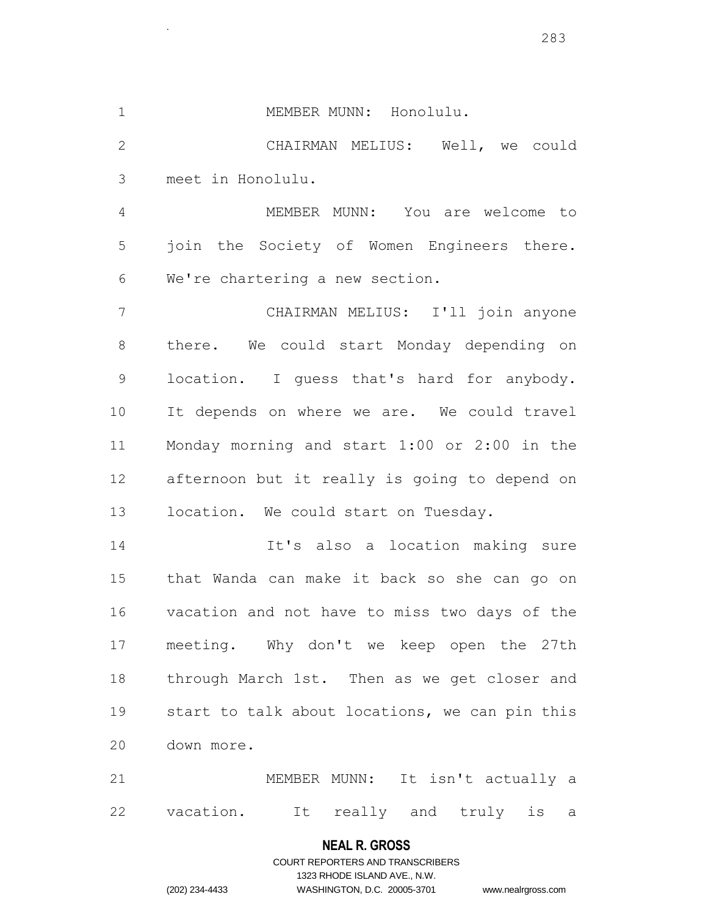.

## 1 MEMBER MUNN: Honolulu.

 CHAIRMAN MELIUS: Well, we could meet in Honolulu.

 MEMBER MUNN: You are welcome to join the Society of Women Engineers there. We're chartering a new section.

 CHAIRMAN MELIUS: I'll join anyone there. We could start Monday depending on location. I guess that's hard for anybody. It depends on where we are. We could travel Monday morning and start 1:00 or 2:00 in the afternoon but it really is going to depend on location. We could start on Tuesday.

 It's also a location making sure that Wanda can make it back so she can go on vacation and not have to miss two days of the meeting. Why don't we keep open the 27th through March 1st. Then as we get closer and start to talk about locations, we can pin this down more.

 MEMBER MUNN: It isn't actually a vacation. It really and truly is a

#### **NEAL R. GROSS**

COURT REPORTERS AND TRANSCRIBERS 1323 RHODE ISLAND AVE., N.W. (202) 234-4433 WASHINGTON, D.C. 20005-3701 www.nealrgross.com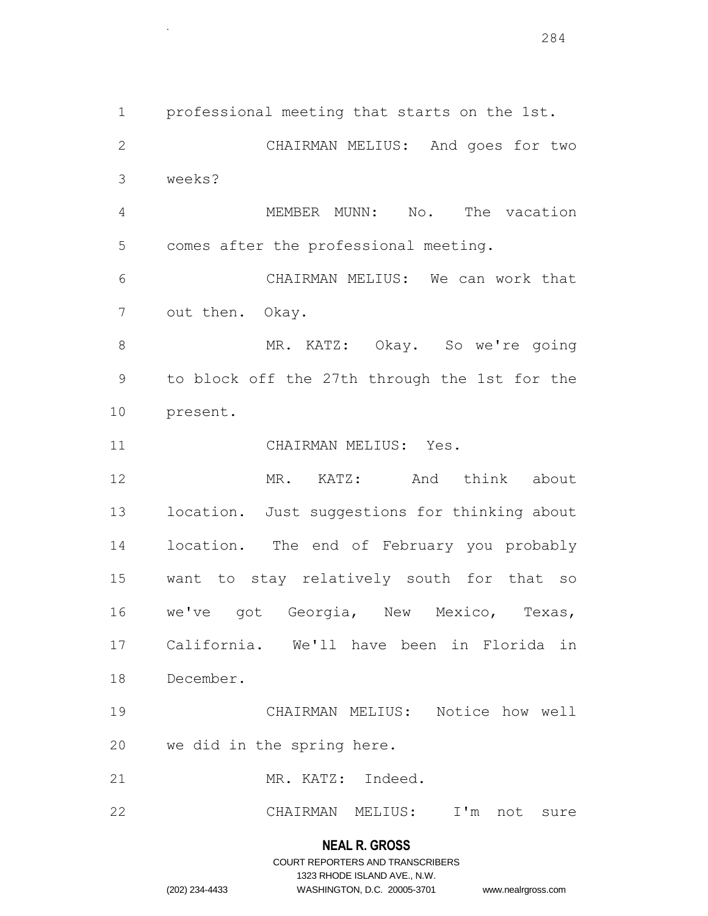professional meeting that starts on the 1st. CHAIRMAN MELIUS: And goes for two weeks? MEMBER MUNN: No. The vacation comes after the professional meeting. CHAIRMAN MELIUS: We can work that out then. Okay. 8 MR. KATZ: Okay. So we're going to block off the 27th through the 1st for the present. CHAIRMAN MELIUS: Yes. MR. KATZ: And think about location. Just suggestions for thinking about location. The end of February you probably want to stay relatively south for that so 16 we've got Georgia, New Mexico, Texas, California. We'll have been in Florida in December. CHAIRMAN MELIUS: Notice how well we did in the spring here. 21 MR. KATZ: Indeed. CHAIRMAN MELIUS: I'm not sure

## **NEAL R. GROSS**

## COURT REPORTERS AND TRANSCRIBERS 1323 RHODE ISLAND AVE., N.W. (202) 234-4433 WASHINGTON, D.C. 20005-3701 www.nealrgross.com

.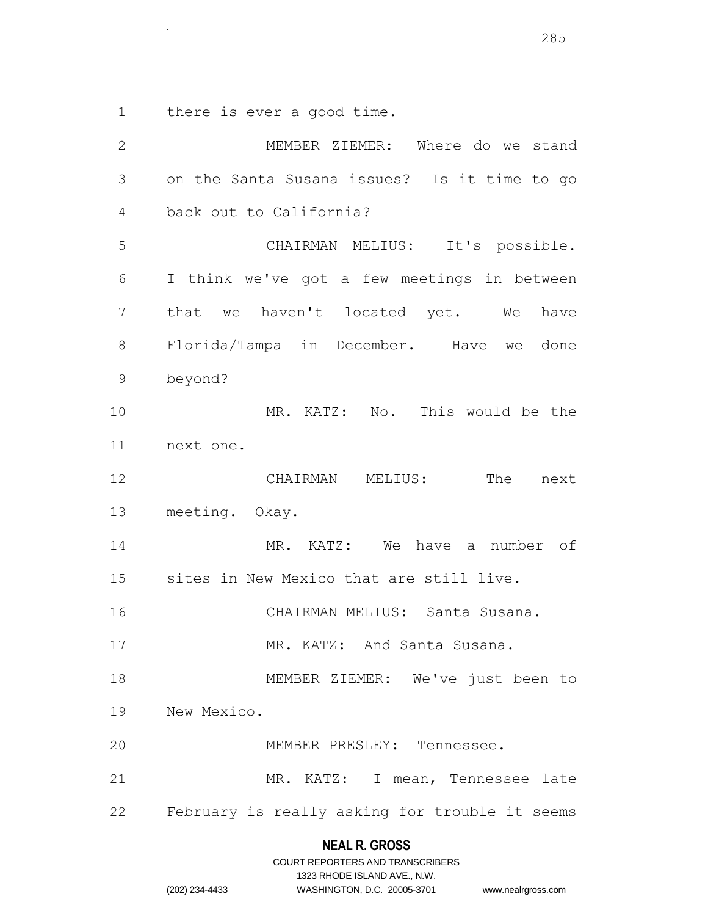there is ever a good time.

.

 MEMBER ZIEMER: Where do we stand on the Santa Susana issues? Is it time to go back out to California? CHAIRMAN MELIUS: It's possible. I think we've got a few meetings in between 7 that we haven't located yet. We have Florida/Tampa in December. Have we done beyond? MR. KATZ: No. This would be the next one. CHAIRMAN MELIUS: The next meeting. Okay. MR. KATZ: We have a number of sites in New Mexico that are still live. CHAIRMAN MELIUS: Santa Susana. 17 MR. KATZ: And Santa Susana. MEMBER ZIEMER: We've just been to New Mexico. MEMBER PRESLEY: Tennessee. MR. KATZ: I mean, Tennessee late February is really asking for trouble it seems

## **NEAL R. GROSS**

|                | COURT REPORTERS AND TRANSCRIBERS |                    |
|----------------|----------------------------------|--------------------|
|                | 1323 RHODE ISLAND AVE N.W.       |                    |
| (202) 234-4433 | WASHINGTON, D.C. 20005-3701      | www.nealrgross.com |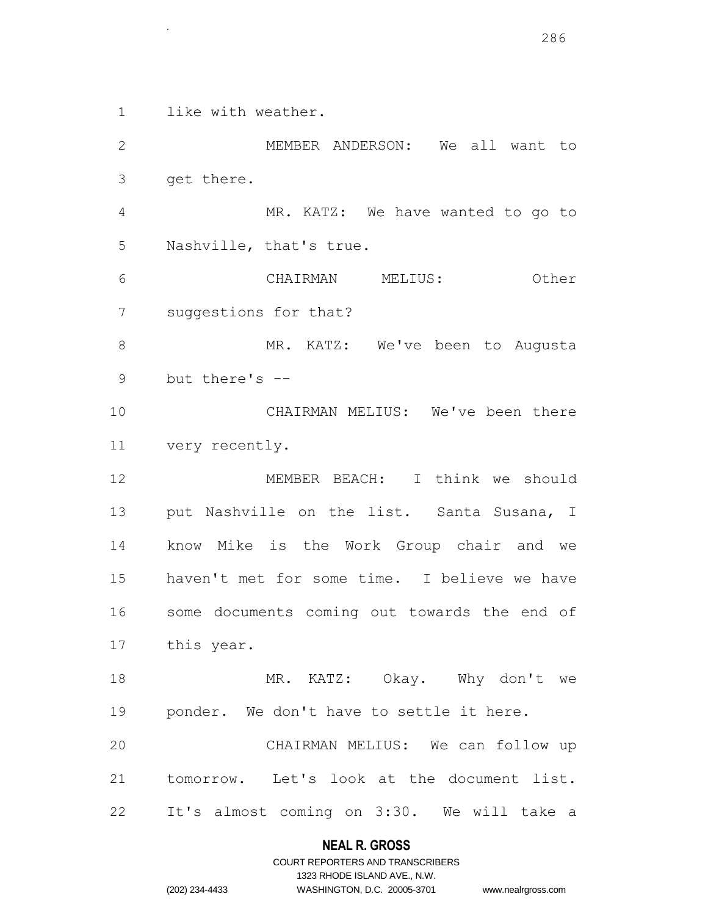like with weather.

.

 MEMBER ANDERSON: We all want to get there. MR. KATZ: We have wanted to go to Nashville, that's true. CHAIRMAN MELIUS: Other suggestions for that? 8 MR. KATZ: We've been to Augusta but there's -- CHAIRMAN MELIUS: We've been there very recently. MEMBER BEACH: I think we should 13 put Nashville on the list. Santa Susana, I know Mike is the Work Group chair and we haven't met for some time. I believe we have some documents coming out towards the end of this year. 18 MR. KATZ: Okay. Why don't we ponder. We don't have to settle it here. CHAIRMAN MELIUS: We can follow up tomorrow. Let's look at the document list. It's almost coming on 3:30. We will take a

## **NEAL R. GROSS**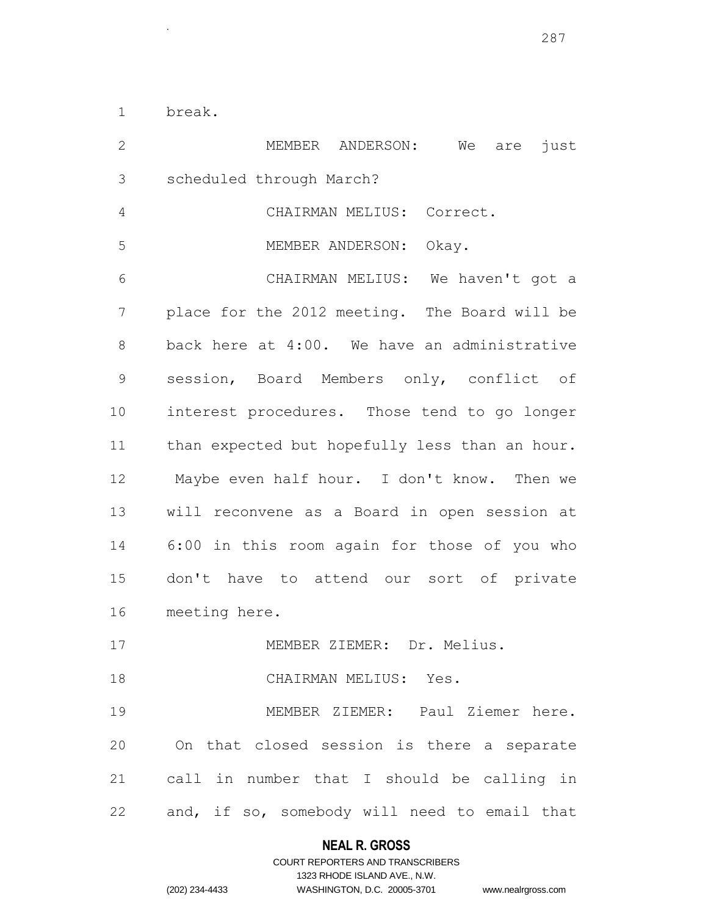break.

.

 MEMBER ANDERSON: We are just scheduled through March? CHAIRMAN MELIUS: Correct. MEMBER ANDERSON: Okay. CHAIRMAN MELIUS: We haven't got a place for the 2012 meeting. The Board will be back here at 4:00. We have an administrative session, Board Members only, conflict of interest procedures. Those tend to go longer 11 than expected but hopefully less than an hour. Maybe even half hour. I don't know. Then we will reconvene as a Board in open session at 6:00 in this room again for those of you who don't have to attend our sort of private meeting here. MEMBER ZIEMER: Dr. Melius. CHAIRMAN MELIUS: Yes. MEMBER ZIEMER: Paul Ziemer here. On that closed session is there a separate call in number that I should be calling in and, if so, somebody will need to email that

#### **NEAL R. GROSS**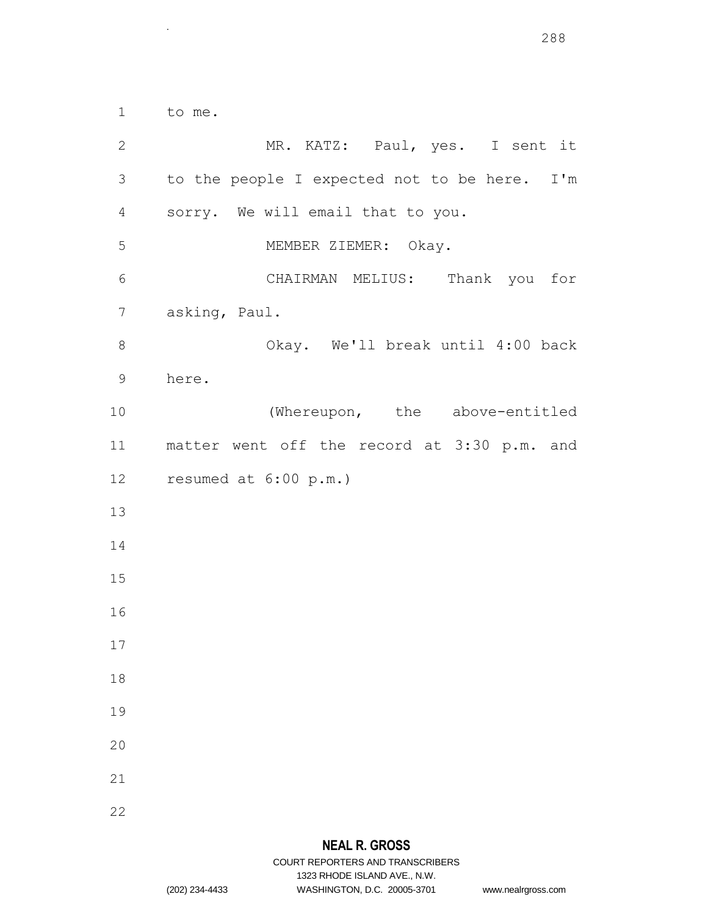.

 to me. MR. KATZ: Paul, yes. I sent it to the people I expected not to be here. I'm sorry. We will email that to you. MEMBER ZIEMER: Okay. CHAIRMAN MELIUS: Thank you for asking, Paul. Okay. We'll break until 4:00 back here. (Whereupon, the above-entitled matter went off the record at 3:30 p.m. and resumed at 6:00 p.m.) 

1323 RHODE ISLAND AVE., N.W.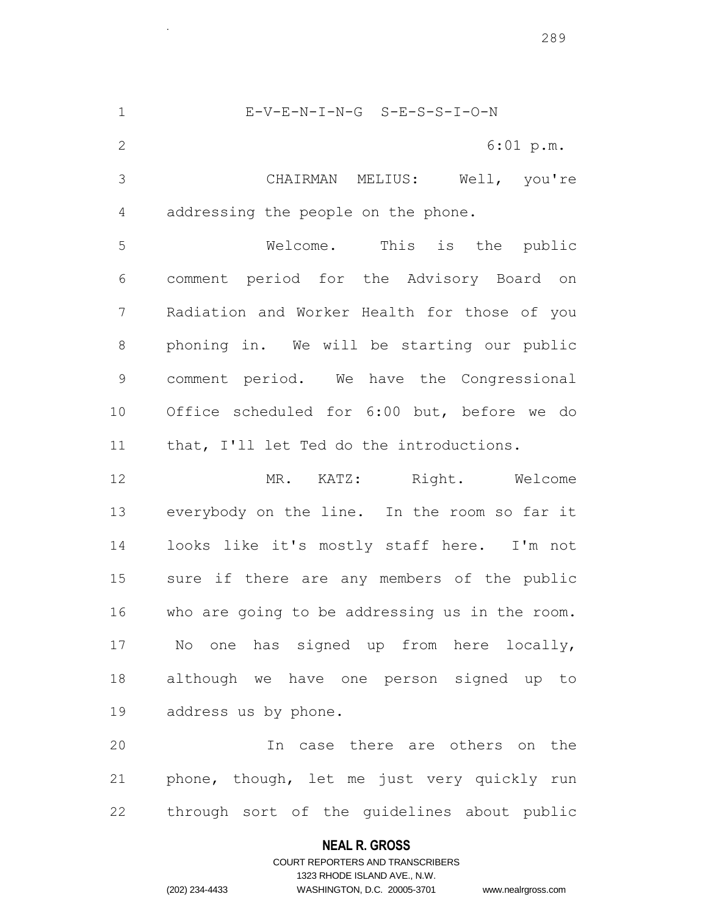E-V-E-N-I-N-G S-E-S-S-I-O-N 6:01 p.m. CHAIRMAN MELIUS: Well, you're addressing the people on the phone. Welcome. This is the public comment period for the Advisory Board on Radiation and Worker Health for those of you phoning in. We will be starting our public comment period. We have the Congressional Office scheduled for 6:00 but, before we do 11 that, I'll let Ted do the introductions. 12 MR. KATZ: Right. Welcome everybody on the line. In the room so far it looks like it's mostly staff here. I'm not sure if there are any members of the public who are going to be addressing us in the room. No one has signed up from here locally, although we have one person signed up to address us by phone. In case there are others on the

 phone, though, let me just very quickly run through sort of the guidelines about public

### **NEAL R. GROSS**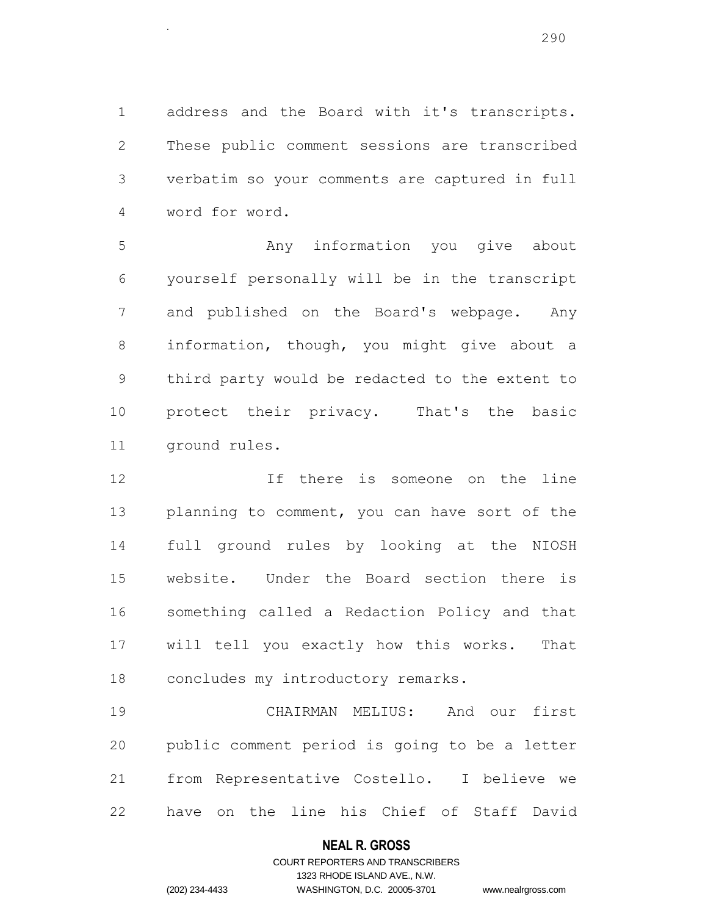address and the Board with it's transcripts. These public comment sessions are transcribed verbatim so your comments are captured in full word for word.

 Any information you give about yourself personally will be in the transcript and published on the Board's webpage. Any information, though, you might give about a third party would be redacted to the extent to protect their privacy. That's the basic ground rules.

 If there is someone on the line 13 planning to comment, you can have sort of the full ground rules by looking at the NIOSH website. Under the Board section there is something called a Redaction Policy and that will tell you exactly how this works. That concludes my introductory remarks.

 CHAIRMAN MELIUS: And our first public comment period is going to be a letter from Representative Costello. I believe we have on the line his Chief of Staff David

### **NEAL R. GROSS**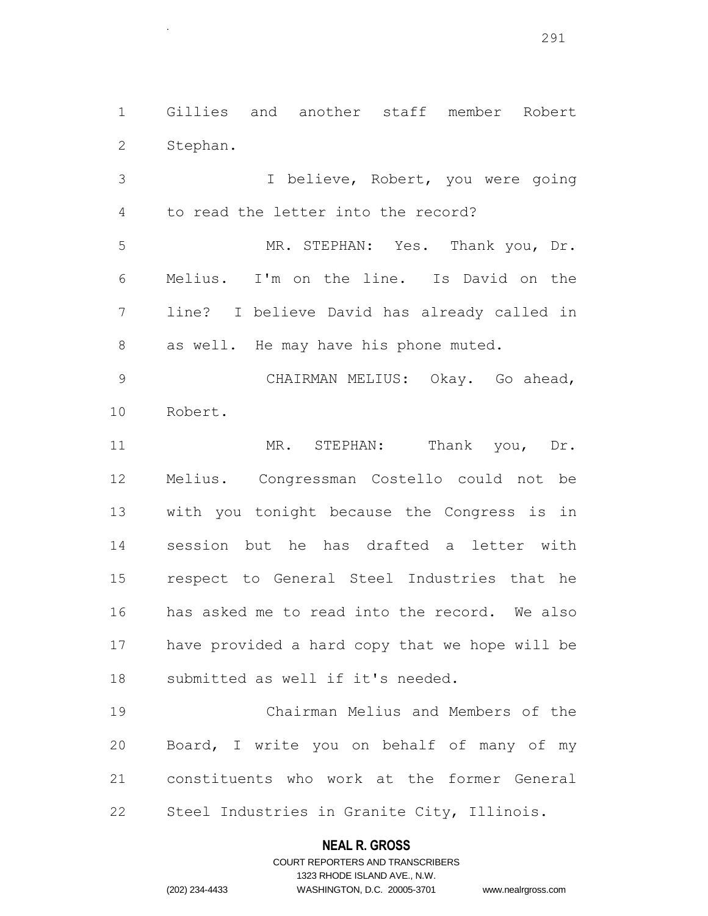Gillies and another staff member Robert Stephan.

.

 I believe, Robert, you were going to read the letter into the record? MR. STEPHAN: Yes. Thank you, Dr. Melius. I'm on the line. Is David on the line? I believe David has already called in as well. He may have his phone muted.

 CHAIRMAN MELIUS: Okay. Go ahead, Robert.

11 MR. STEPHAN: Thank you, Dr. Melius. Congressman Costello could not be with you tonight because the Congress is in session but he has drafted a letter with respect to General Steel Industries that he has asked me to read into the record. We also have provided a hard copy that we hope will be submitted as well if it's needed.

 Chairman Melius and Members of the Board, I write you on behalf of many of my constituents who work at the former General Steel Industries in Granite City, Illinois.

# **NEAL R. GROSS** COURT REPORTERS AND TRANSCRIBERS

1323 RHODE ISLAND AVE., N.W.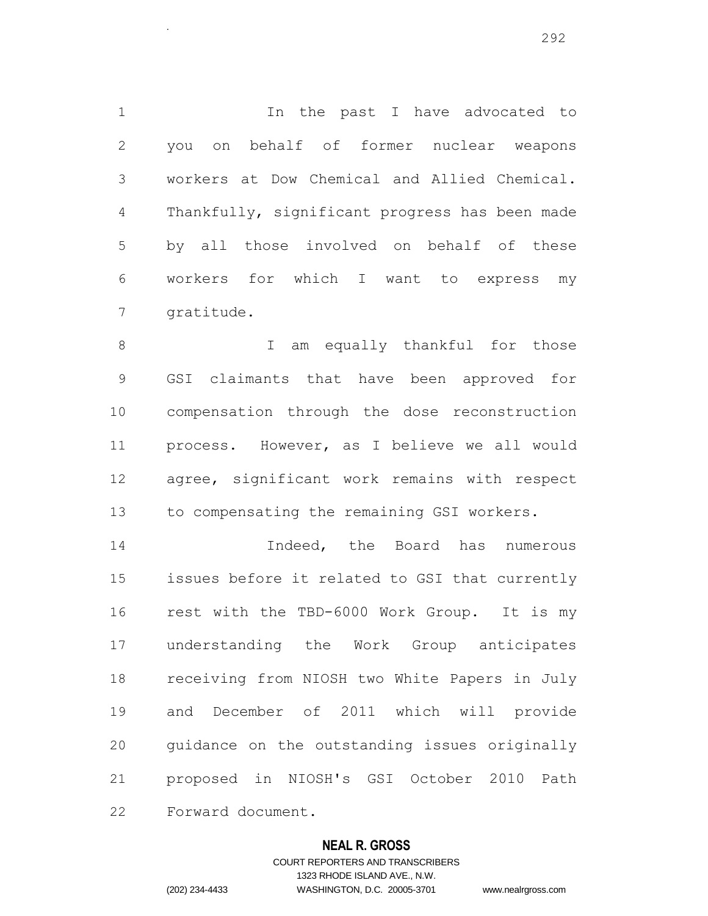1 1 In the past I have advocated to you on behalf of former nuclear weapons workers at Dow Chemical and Allied Chemical. Thankfully, significant progress has been made by all those involved on behalf of these workers for which I want to express my gratitude.

8 I am equally thankful for those GSI claimants that have been approved for compensation through the dose reconstruction process. However, as I believe we all would agree, significant work remains with respect to compensating the remaining GSI workers.

14 14 Indeed, the Board has numerous issues before it related to GSI that currently rest with the TBD-6000 Work Group. It is my understanding the Work Group anticipates receiving from NIOSH two White Papers in July and December of 2011 which will provide guidance on the outstanding issues originally proposed in NIOSH's GSI October 2010 Path Forward document.

# **NEAL R. GROSS**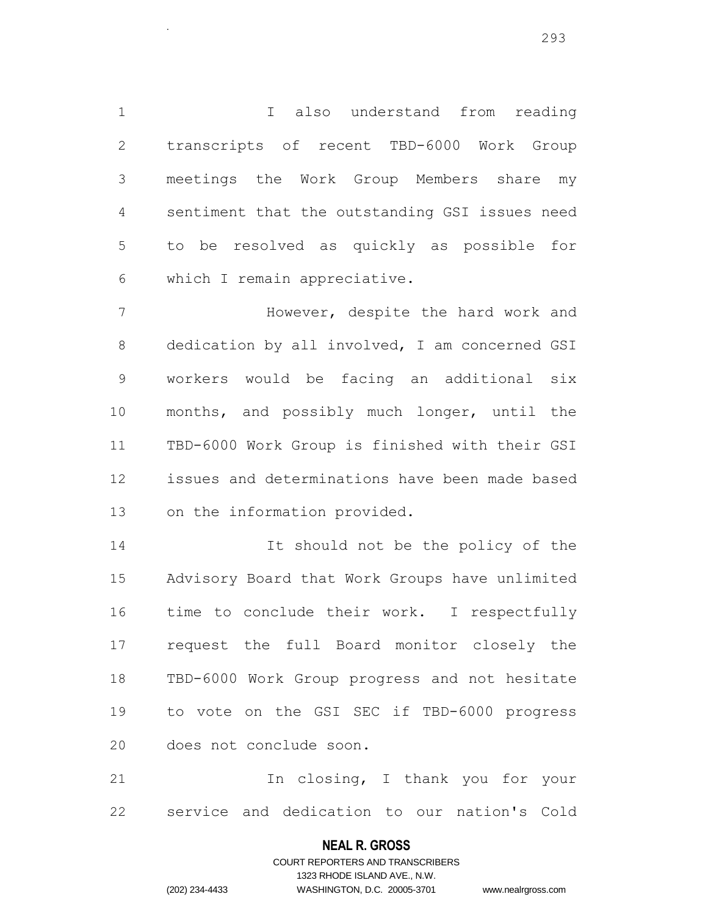I also understand from reading transcripts of recent TBD-6000 Work Group meetings the Work Group Members share my sentiment that the outstanding GSI issues need to be resolved as quickly as possible for which I remain appreciative.

.

 However, despite the hard work and dedication by all involved, I am concerned GSI workers would be facing an additional six months, and possibly much longer, until the TBD-6000 Work Group is finished with their GSI issues and determinations have been made based on the information provided.

 It should not be the policy of the Advisory Board that Work Groups have unlimited time to conclude their work. I respectfully request the full Board monitor closely the TBD-6000 Work Group progress and not hesitate to vote on the GSI SEC if TBD-6000 progress does not conclude soon.

21 10 In closing, I thank you for your service and dedication to our nation's Cold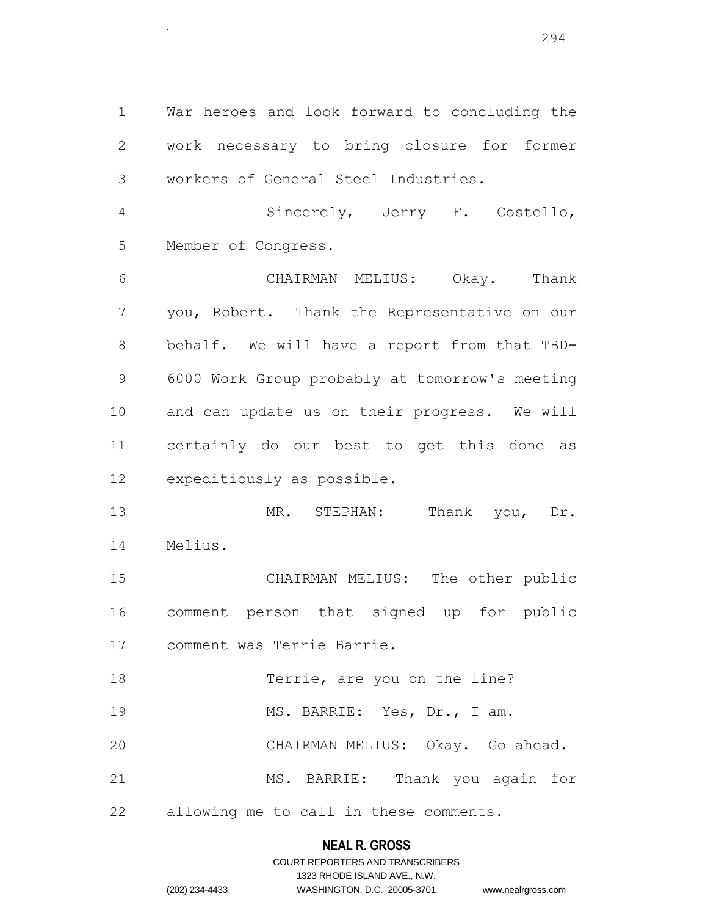War heroes and look forward to concluding the work necessary to bring closure for former workers of General Steel Industries.

.

 Sincerely, Jerry F. Costello, Member of Congress.

 CHAIRMAN MELIUS: Okay. Thank you, Robert. Thank the Representative on our behalf. We will have a report from that TBD- 6000 Work Group probably at tomorrow's meeting and can update us on their progress. We will certainly do our best to get this done as expeditiously as possible.

 MR. STEPHAN: Thank you, Dr. Melius.

 CHAIRMAN MELIUS: The other public comment person that signed up for public comment was Terrie Barrie.

18 Terrie, are you on the line? 19 MS. BARRIE: Yes, Dr., I am. CHAIRMAN MELIUS: Okay. Go ahead. MS. BARRIE: Thank you again for allowing me to call in these comments.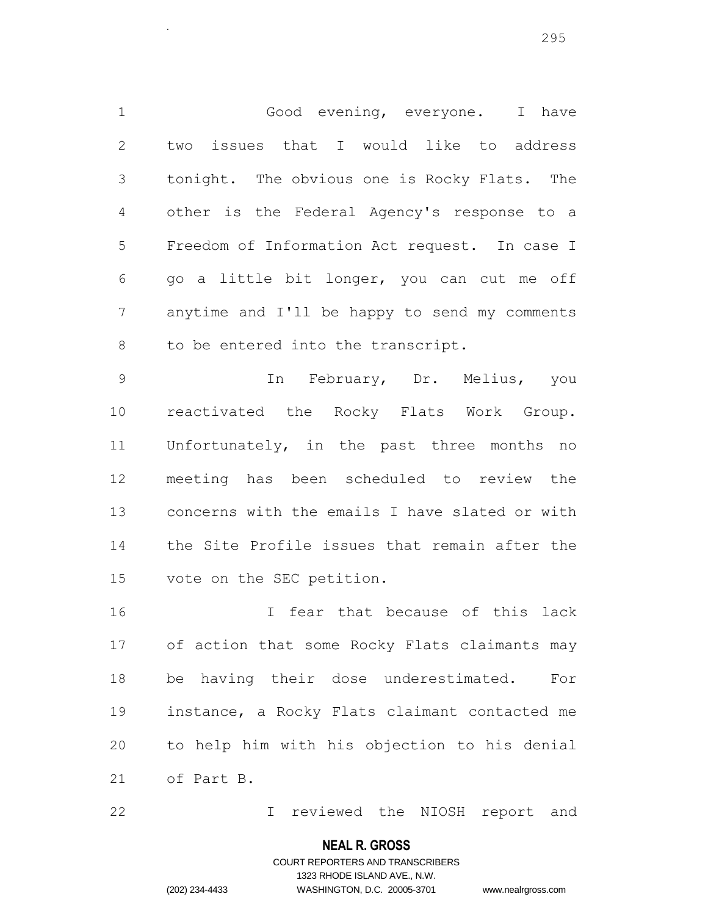Good evening, everyone. I have two issues that I would like to address tonight. The obvious one is Rocky Flats. The other is the Federal Agency's response to a Freedom of Information Act request. In case I go a little bit longer, you can cut me off anytime and I'll be happy to send my comments to be entered into the transcript.

 In February, Dr. Melius, you reactivated the Rocky Flats Work Group. Unfortunately, in the past three months no meeting has been scheduled to review the concerns with the emails I have slated or with the Site Profile issues that remain after the vote on the SEC petition.

 I fear that because of this lack of action that some Rocky Flats claimants may be having their dose underestimated. For instance, a Rocky Flats claimant contacted me to help him with his objection to his denial of Part B.

I reviewed the NIOSH report and

### **NEAL R. GROSS**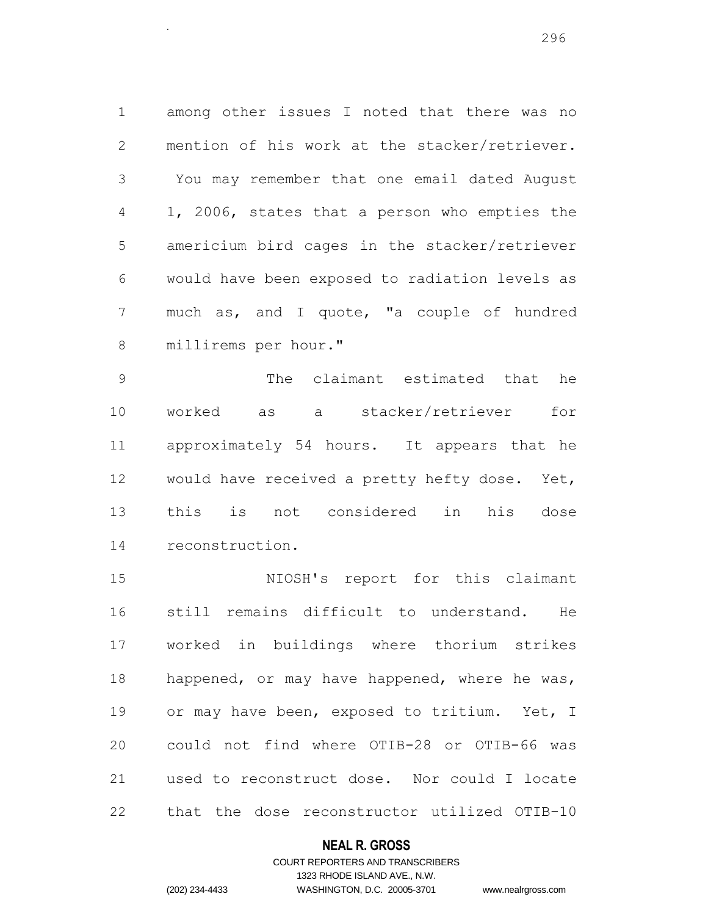among other issues I noted that there was no mention of his work at the stacker/retriever. You may remember that one email dated August 1, 2006, states that a person who empties the americium bird cages in the stacker/retriever would have been exposed to radiation levels as 7 much as, and I quote, "a couple of hundred millirems per hour."

 The claimant estimated that he worked as a stacker/retriever for approximately 54 hours. It appears that he would have received a pretty hefty dose. Yet, this is not considered in his dose reconstruction.

 NIOSH's report for this claimant still remains difficult to understand. He worked in buildings where thorium strikes 18 happened, or may have happened, where he was, or may have been, exposed to tritium. Yet, I could not find where OTIB-28 or OTIB-66 was used to reconstruct dose. Nor could I locate that the dose reconstructor utilized OTIB-10

### **NEAL R. GROSS**

### COURT REPORTERS AND TRANSCRIBERS 1323 RHODE ISLAND AVE., N.W. (202) 234-4433 WASHINGTON, D.C. 20005-3701 www.nealrgross.com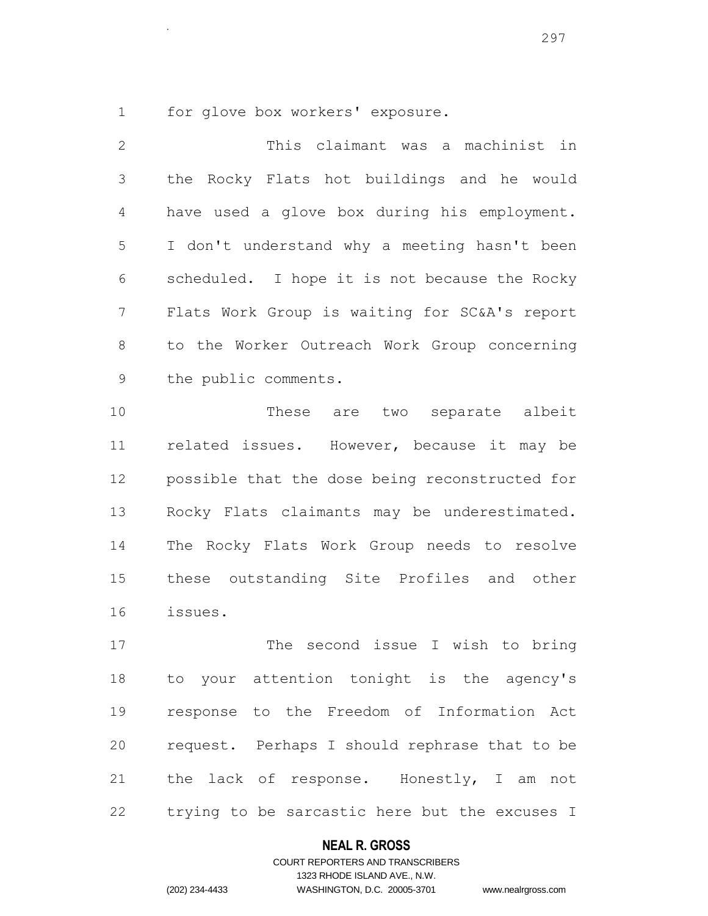for glove box workers' exposure.

.

 This claimant was a machinist in the Rocky Flats hot buildings and he would have used a glove box during his employment. I don't understand why a meeting hasn't been scheduled. I hope it is not because the Rocky Flats Work Group is waiting for SC&A's report to the Worker Outreach Work Group concerning the public comments. 10 These are two separate albeit related issues. However, because it may be possible that the dose being reconstructed for Rocky Flats claimants may be underestimated. The Rocky Flats Work Group needs to resolve these outstanding Site Profiles and other issues.

 The second issue I wish to bring to your attention tonight is the agency's response to the Freedom of Information Act request. Perhaps I should rephrase that to be the lack of response. Honestly, I am not trying to be sarcastic here but the excuses I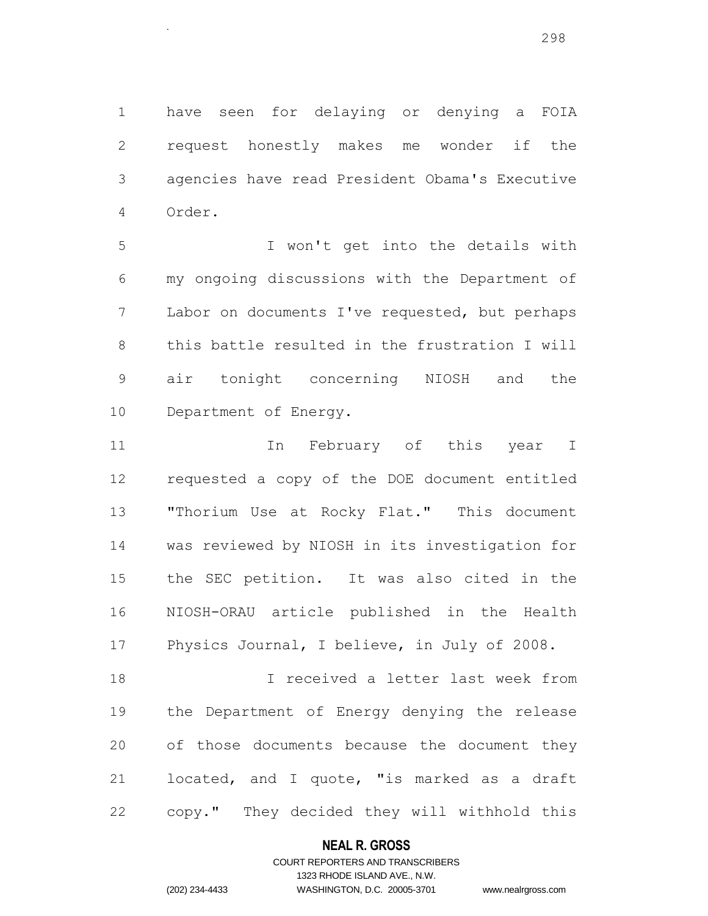have seen for delaying or denying a FOIA request honestly makes me wonder if the agencies have read President Obama's Executive Order.

 I won't get into the details with my ongoing discussions with the Department of Labor on documents I've requested, but perhaps this battle resulted in the frustration I will air tonight concerning NIOSH and the Department of Energy.

 In February of this year I requested a copy of the DOE document entitled "Thorium Use at Rocky Flat." This document was reviewed by NIOSH in its investigation for the SEC petition. It was also cited in the NIOSH-ORAU article published in the Health Physics Journal, I believe, in July of 2008.

 I received a letter last week from the Department of Energy denying the release of those documents because the document they located, and I quote, "is marked as a draft copy." They decided they will withhold this

### **NEAL R. GROSS**

### COURT REPORTERS AND TRANSCRIBERS 1323 RHODE ISLAND AVE., N.W. (202) 234-4433 WASHINGTON, D.C. 20005-3701 www.nealrgross.com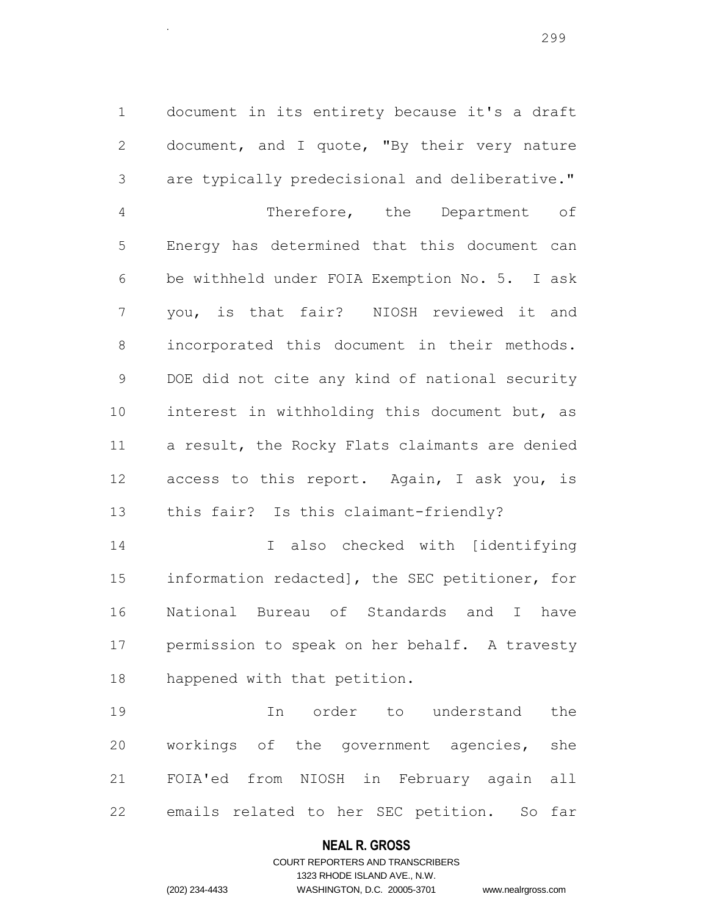document in its entirety because it's a draft document, and I quote, "By their very nature are typically predecisional and deliberative." Therefore, the Department of Energy has determined that this document can be withheld under FOIA Exemption No. 5. I ask you, is that fair? NIOSH reviewed it and incorporated this document in their methods. DOE did not cite any kind of national security interest in withholding this document but, as a result, the Rocky Flats claimants are denied access to this report. Again, I ask you, is this fair? Is this claimant-friendly?

.

14 14 I also checked with [identifying information redacted], the SEC petitioner, for National Bureau of Standards and I have permission to speak on her behalf. A travesty happened with that petition.

 In order to understand the workings of the government agencies, she FOIA'ed from NIOSH in February again all emails related to her SEC petition. So far

# **NEAL R. GROSS**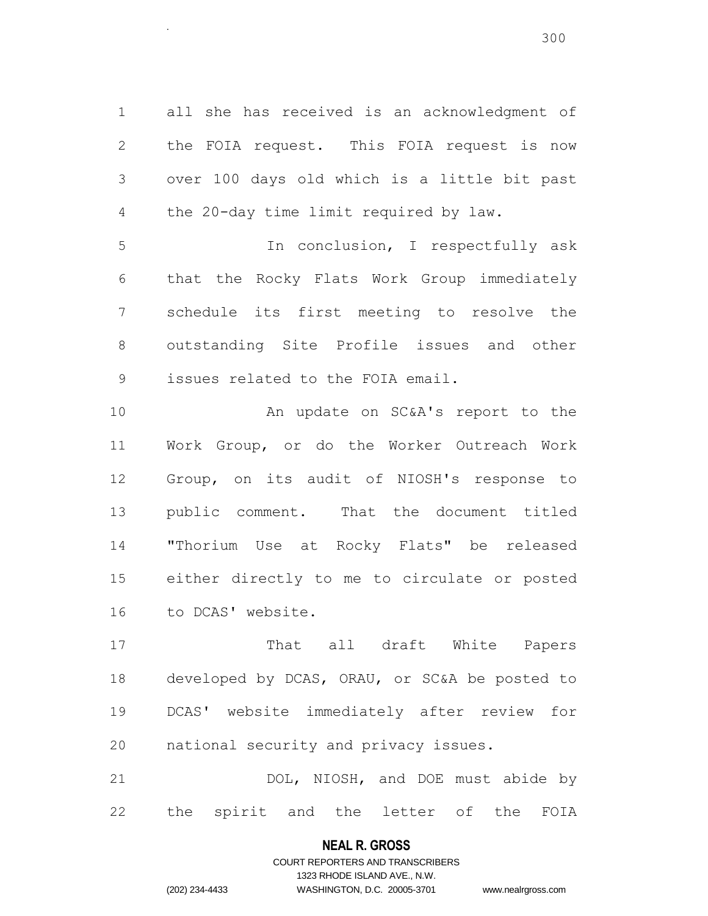all she has received is an acknowledgment of the FOIA request. This FOIA request is now over 100 days old which is a little bit past the 20-day time limit required by law.

.

 In conclusion, I respectfully ask that the Rocky Flats Work Group immediately schedule its first meeting to resolve the outstanding Site Profile issues and other issues related to the FOIA email.

10 An update on SC&A's report to the Work Group, or do the Worker Outreach Work Group, on its audit of NIOSH's response to public comment. That the document titled "Thorium Use at Rocky Flats" be released either directly to me to circulate or posted to DCAS' website.

17 That all draft White Papers developed by DCAS, ORAU, or SC&A be posted to DCAS' website immediately after review for national security and privacy issues.

 DOL, NIOSH, and DOE must abide by the spirit and the letter of the FOIA

### **NEAL R. GROSS**

#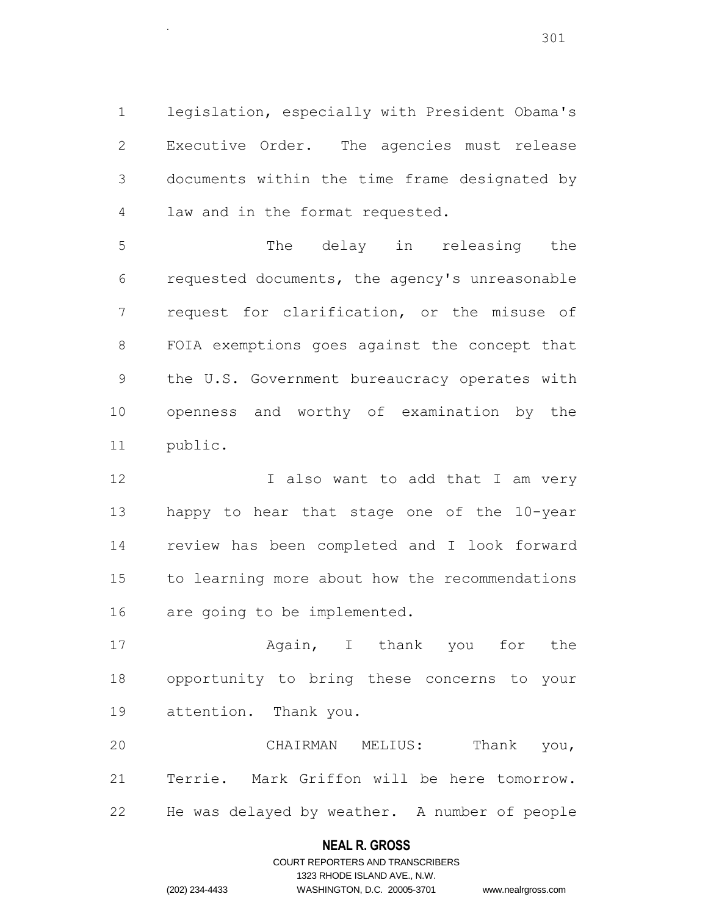legislation, especially with President Obama's Executive Order. The agencies must release documents within the time frame designated by law and in the format requested.

.

 The delay in releasing the requested documents, the agency's unreasonable request for clarification, or the misuse of FOIA exemptions goes against the concept that the U.S. Government bureaucracy operates with openness and worthy of examination by the public.

12 I also want to add that I am very happy to hear that stage one of the 10-year review has been completed and I look forward to learning more about how the recommendations are going to be implemented.

**Again, I thank you for the**  opportunity to bring these concerns to your attention. Thank you.

 CHAIRMAN MELIUS: Thank you, Terrie. Mark Griffon will be here tomorrow. He was delayed by weather. A number of people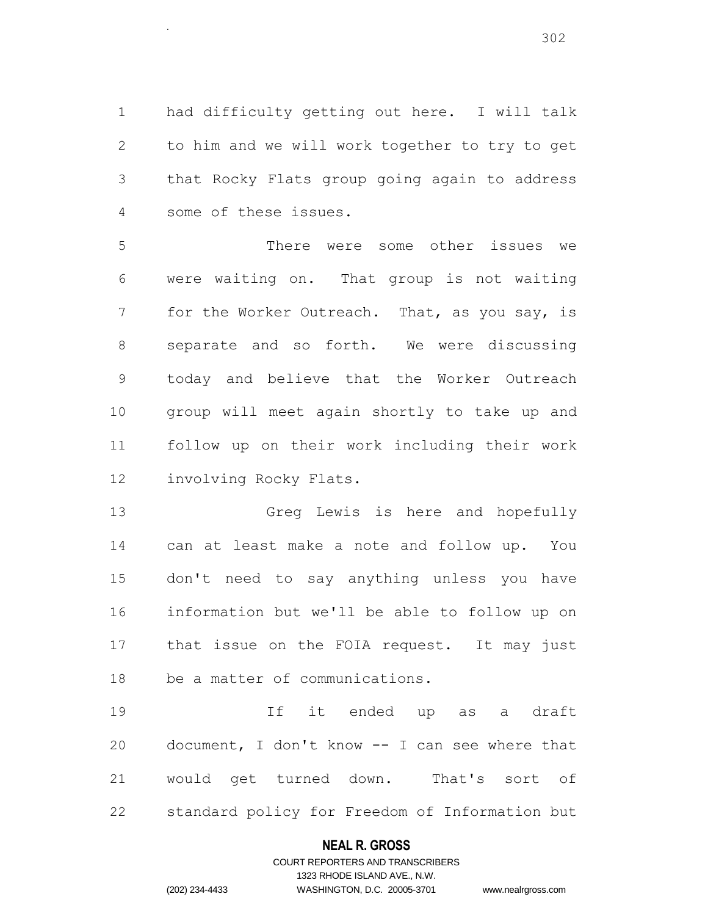had difficulty getting out here. I will talk to him and we will work together to try to get that Rocky Flats group going again to address some of these issues.

.

 There were some other issues we were waiting on. That group is not waiting for the Worker Outreach. That, as you say, is separate and so forth. We were discussing today and believe that the Worker Outreach group will meet again shortly to take up and follow up on their work including their work involving Rocky Flats.

 Greg Lewis is here and hopefully can at least make a note and follow up. You don't need to say anything unless you have information but we'll be able to follow up on that issue on the FOIA request. It may just be a matter of communications.

 If it ended up as a draft document, I don't know -- I can see where that would get turned down. That's sort of standard policy for Freedom of Information but

### **NEAL R. GROSS**

### COURT REPORTERS AND TRANSCRIBERS 1323 RHODE ISLAND AVE., N.W. (202) 234-4433 WASHINGTON, D.C. 20005-3701 www.nealrgross.com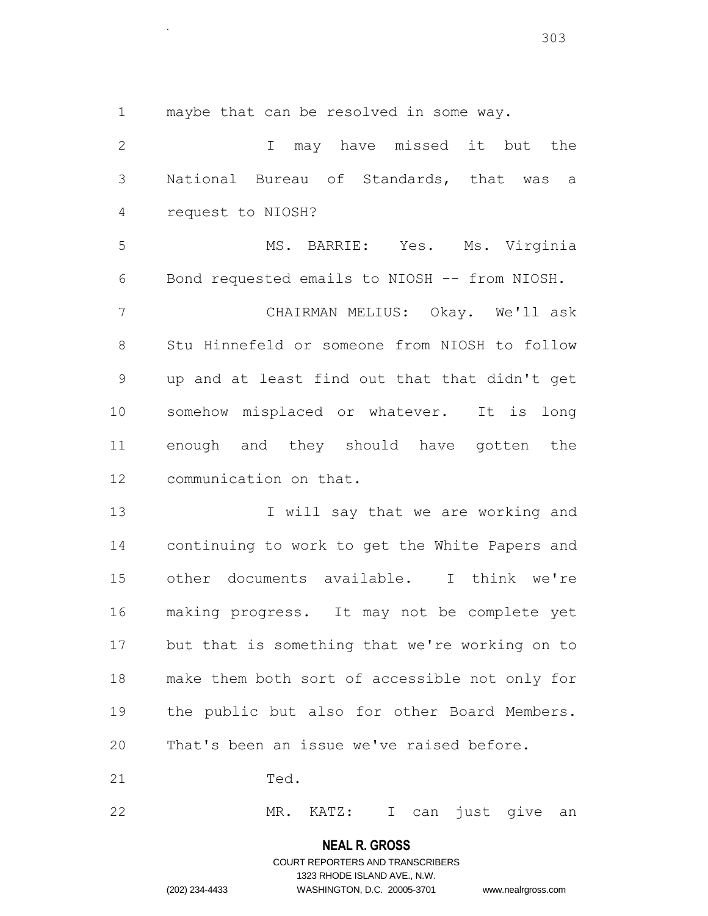**NEAL R. GROSS** maybe that can be resolved in some way. I may have missed it but the National Bureau of Standards, that was a request to NIOSH? MS. BARRIE: Yes. Ms. Virginia Bond requested emails to NIOSH -- from NIOSH. CHAIRMAN MELIUS: Okay. We'll ask Stu Hinnefeld or someone from NIOSH to follow up and at least find out that that didn't get somehow misplaced or whatever. It is long enough and they should have gotten the communication on that. 13 I will say that we are working and continuing to work to get the White Papers and other documents available. I think we're making progress. It may not be complete yet but that is something that we're working on to make them both sort of accessible not only for the public but also for other Board Members. That's been an issue we've raised before. 21 Ted. MR. KATZ: I can just give an

> COURT REPORTERS AND TRANSCRIBERS 1323 RHODE ISLAND AVE., N.W.

.

(202) 234-4433 WASHINGTON, D.C. 20005-3701 www.nealrgross.com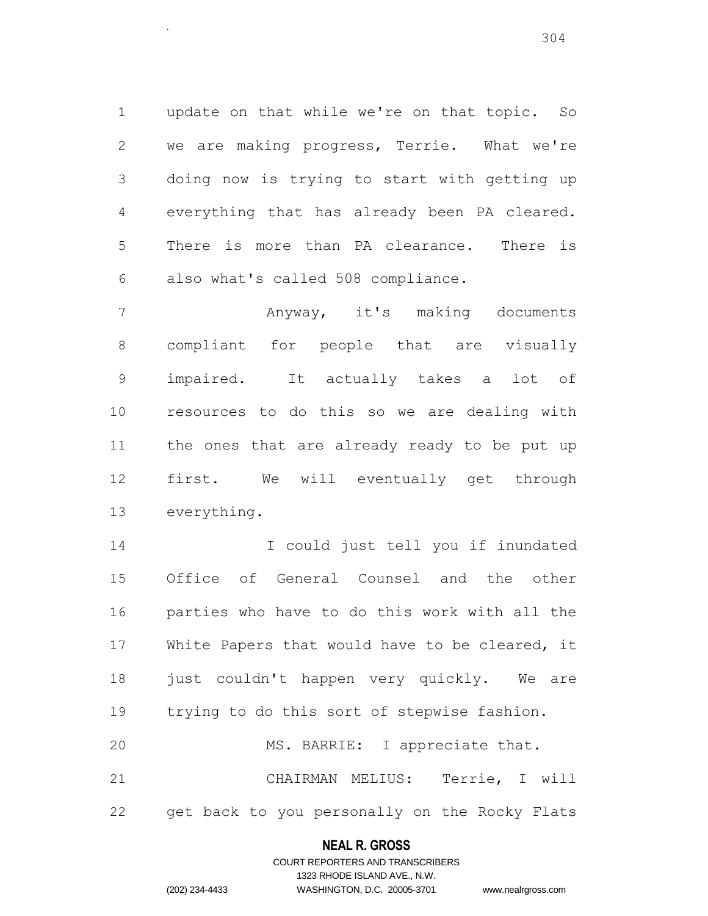update on that while we're on that topic. So we are making progress, Terrie. What we're doing now is trying to start with getting up everything that has already been PA cleared. There is more than PA clearance. There is also what's called 508 compliance.

.

 Anyway, it's making documents compliant for people that are visually impaired. It actually takes a lot of resources to do this so we are dealing with the ones that are already ready to be put up first. We will eventually get through everything.

 I could just tell you if inundated Office of General Counsel and the other parties who have to do this work with all the White Papers that would have to be cleared, it 18 just couldn't happen very quickly. We are trying to do this sort of stepwise fashion. 20 MS. BARRIE: I appreciate that. CHAIRMAN MELIUS: Terrie, I will get back to you personally on the Rocky Flats

# **NEAL R. GROSS** COURT REPORTERS AND TRANSCRIBERS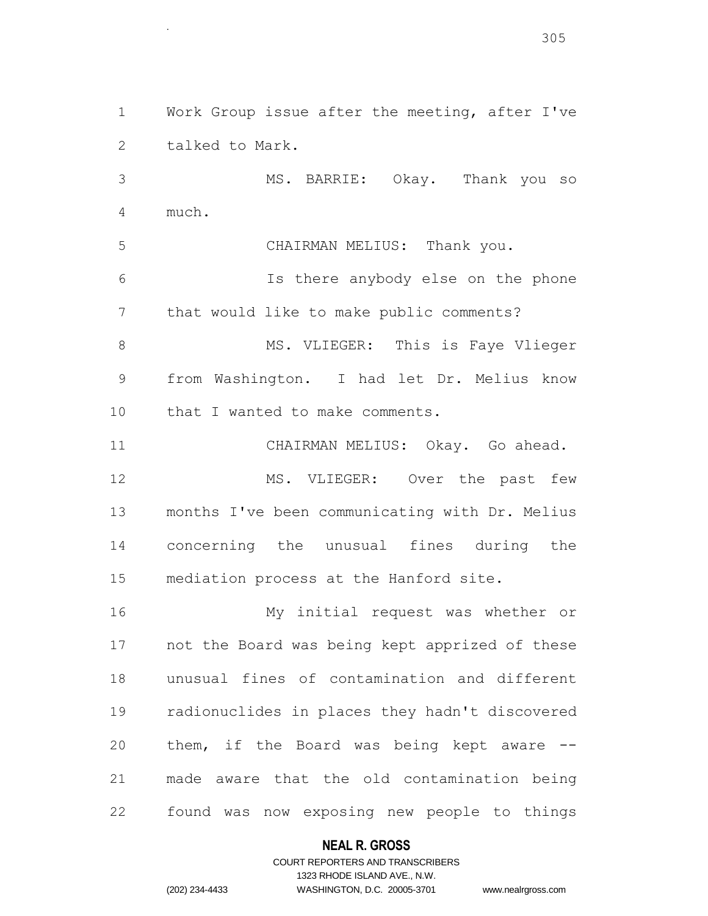Work Group issue after the meeting, after I've talked to Mark. MS. BARRIE: Okay. Thank you so much. CHAIRMAN MELIUS: Thank you. Is there anybody else on the phone that would like to make public comments? 8 MS. VLIEGER: This is Faye Vlieger from Washington. I had let Dr. Melius know that I wanted to make comments. CHAIRMAN MELIUS: Okay. Go ahead. 12 MS. VLIEGER: Over the past few months I've been communicating with Dr. Melius concerning the unusual fines during the mediation process at the Hanford site. My initial request was whether or not the Board was being kept apprized of these unusual fines of contamination and different radionuclides in places they hadn't discovered them, if the Board was being kept aware -- made aware that the old contamination being found was now exposing new people to things

### **NEAL R. GROSS**

### COURT REPORTERS AND TRANSCRIBERS 1323 RHODE ISLAND AVE., N.W. (202) 234-4433 WASHINGTON, D.C. 20005-3701 www.nealrgross.com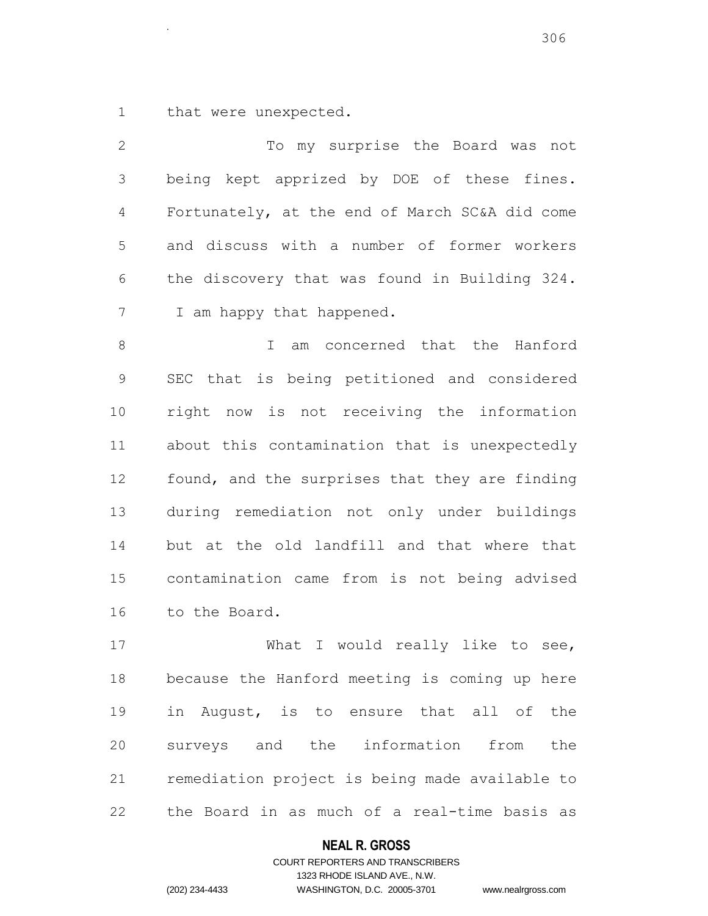that were unexpected.

.

 To my surprise the Board was not being kept apprized by DOE of these fines. Fortunately, at the end of March SC&A did come and discuss with a number of former workers the discovery that was found in Building 324. 7 I am happy that happened. I am concerned that the Hanford SEC that is being petitioned and considered right now is not receiving the information about this contamination that is unexpectedly found, and the surprises that they are finding during remediation not only under buildings but at the old landfill and that where that contamination came from is not being advised to the Board. 17 What I would really like to see,

 because the Hanford meeting is coming up here in August, is to ensure that all of the surveys and the information from the remediation project is being made available to the Board in as much of a real-time basis as

### **NEAL R. GROSS**

### COURT REPORTERS AND TRANSCRIBERS 1323 RHODE ISLAND AVE., N.W. (202) 234-4433 WASHINGTON, D.C. 20005-3701 www.nealrgross.com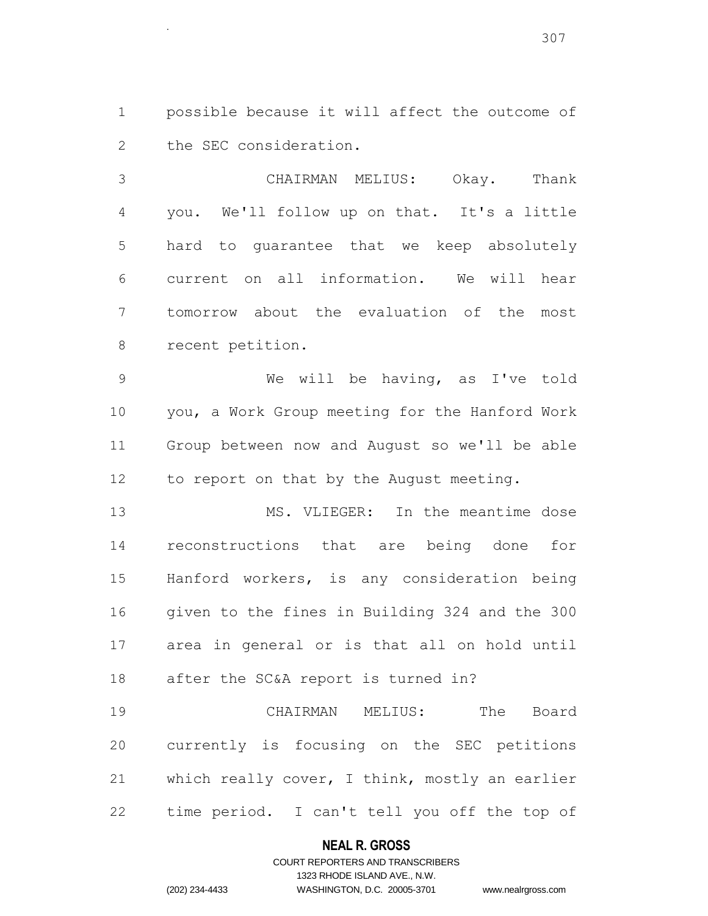possible because it will affect the outcome of the SEC consideration.

.

 CHAIRMAN MELIUS: Okay. Thank you. We'll follow up on that. It's a little hard to guarantee that we keep absolutely current on all information. We will hear tomorrow about the evaluation of the most recent petition.

 We will be having, as I've told you, a Work Group meeting for the Hanford Work Group between now and August so we'll be able 12 to report on that by the August meeting.

 MS. VLIEGER: In the meantime dose reconstructions that are being done for Hanford workers, is any consideration being given to the fines in Building 324 and the 300 area in general or is that all on hold until after the SC&A report is turned in?

 CHAIRMAN MELIUS: The Board currently is focusing on the SEC petitions which really cover, I think, mostly an earlier time period. I can't tell you off the top of

### **NEAL R. GROSS**

### COURT REPORTERS AND TRANSCRIBERS 1323 RHODE ISLAND AVE., N.W. (202) 234-4433 WASHINGTON, D.C. 20005-3701 www.nealrgross.com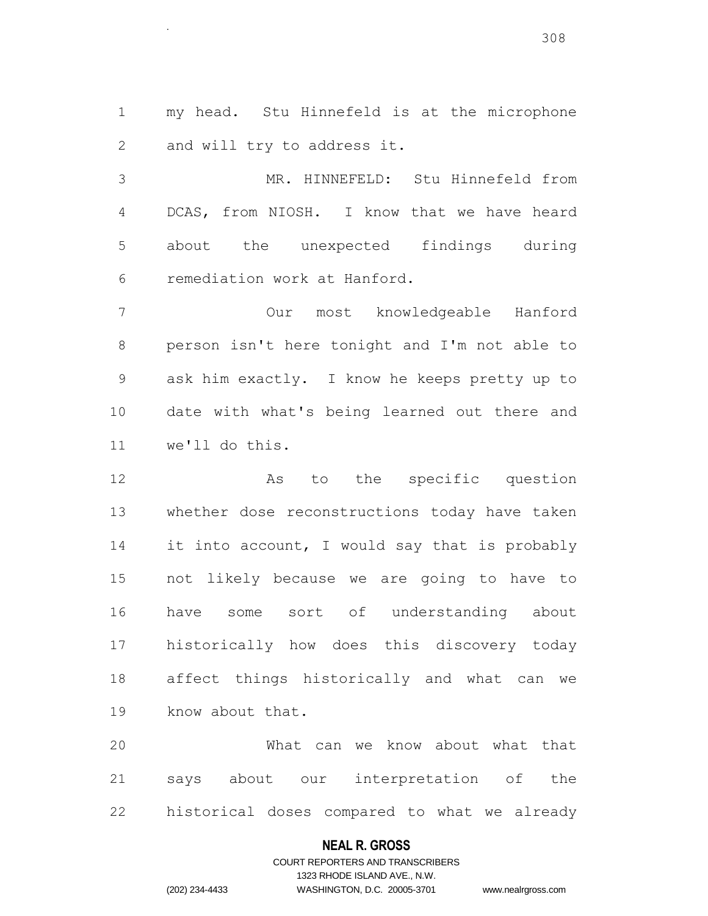my head. Stu Hinnefeld is at the microphone and will try to address it.

.

 MR. HINNEFELD: Stu Hinnefeld from DCAS, from NIOSH. I know that we have heard about the unexpected findings during remediation work at Hanford.

 Our most knowledgeable Hanford person isn't here tonight and I'm not able to ask him exactly. I know he keeps pretty up to date with what's being learned out there and we'll do this.

12 As to the specific question whether dose reconstructions today have taken 14 it into account, I would say that is probably not likely because we are going to have to have some sort of understanding about historically how does this discovery today affect things historically and what can we know about that.

 What can we know about what that says about our interpretation of the historical doses compared to what we already

### **NEAL R. GROSS**

### COURT REPORTERS AND TRANSCRIBERS 1323 RHODE ISLAND AVE., N.W. (202) 234-4433 WASHINGTON, D.C. 20005-3701 www.nealrgross.com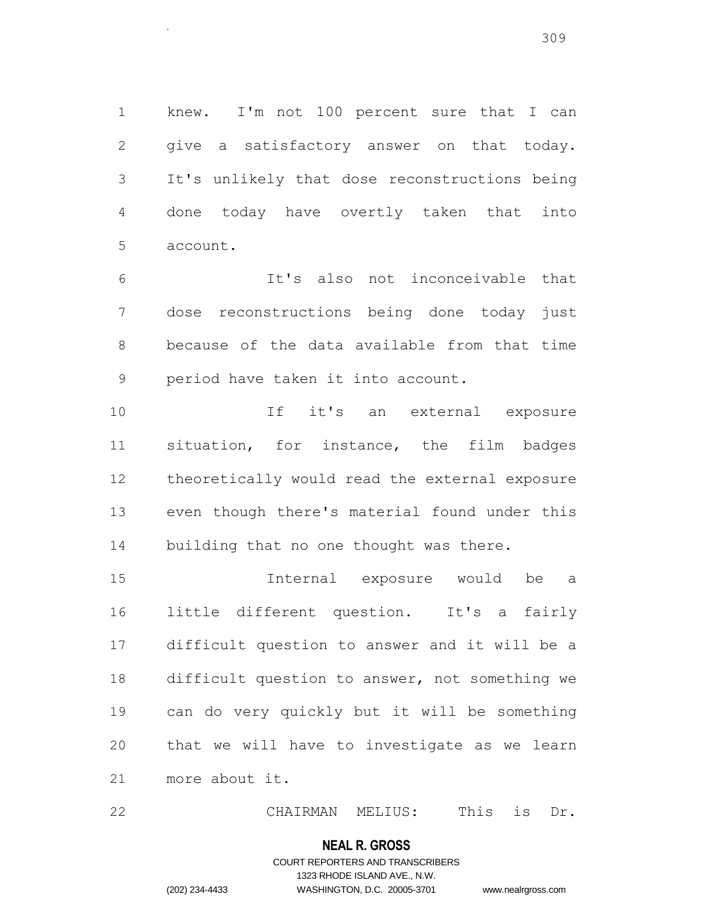knew. I'm not 100 percent sure that I can give a satisfactory answer on that today. It's unlikely that dose reconstructions being done today have overtly taken that into account.

 It's also not inconceivable that dose reconstructions being done today just because of the data available from that time period have taken it into account.

 If it's an external exposure situation, for instance, the film badges theoretically would read the external exposure even though there's material found under this building that no one thought was there.

 Internal exposure would be a little different question. It's a fairly difficult question to answer and it will be a difficult question to answer, not something we can do very quickly but it will be something that we will have to investigate as we learn more about it.

CHAIRMAN MELIUS: This is Dr.

### **NEAL R. GROSS**

# COURT REPORTERS AND TRANSCRIBERS 1323 RHODE ISLAND AVE., N.W. (202) 234-4433 WASHINGTON, D.C. 20005-3701 www.nealrgross.com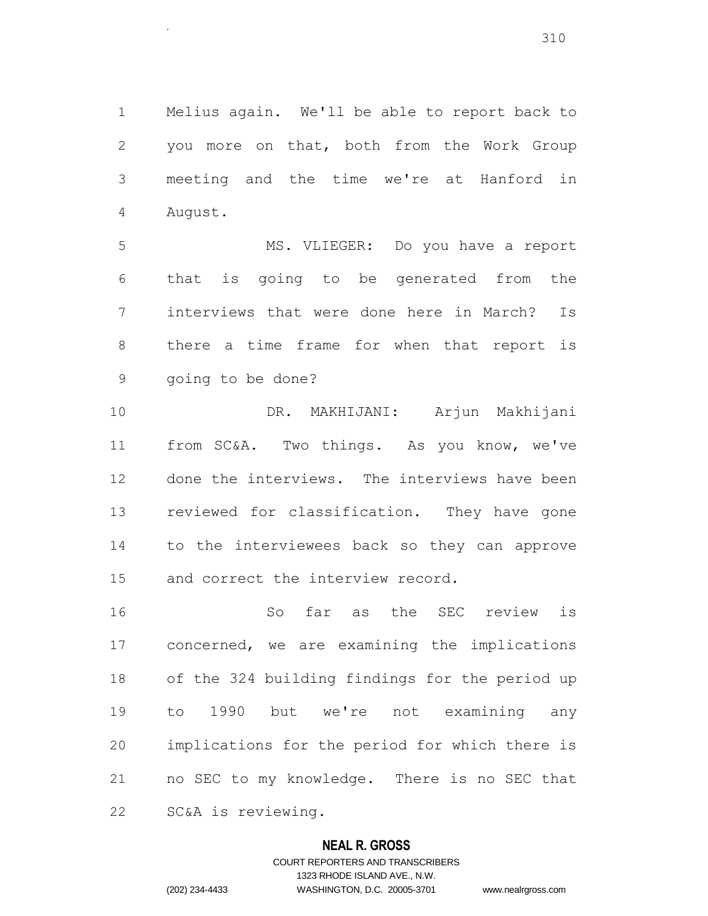Melius again. We'll be able to report back to you more on that, both from the Work Group meeting and the time we're at Hanford in August.

.

 MS. VLIEGER: Do you have a report that is going to be generated from the interviews that were done here in March? Is there a time frame for when that report is going to be done?

 DR. MAKHIJANI: Arjun Makhijani from SC&A. Two things. As you know, we've done the interviews. The interviews have been reviewed for classification. They have gone to the interviewees back so they can approve and correct the interview record.

 So far as the SEC review is concerned, we are examining the implications of the 324 building findings for the period up to 1990 but we're not examining any implications for the period for which there is no SEC to my knowledge. There is no SEC that SC&A is reviewing.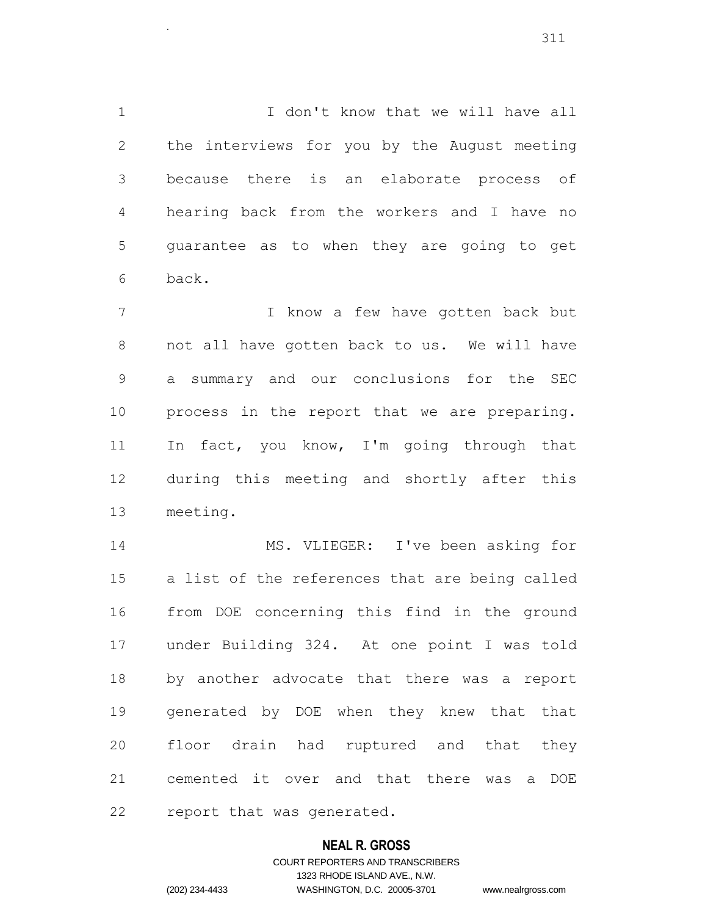1 1 I don't know that we will have all the interviews for you by the August meeting because there is an elaborate process of hearing back from the workers and I have no guarantee as to when they are going to get back.

 I know a few have gotten back but not all have gotten back to us. We will have a summary and our conclusions for the SEC process in the report that we are preparing. 11 In fact, you know, I'm going through that during this meeting and shortly after this meeting.

 MS. VLIEGER: I've been asking for a list of the references that are being called from DOE concerning this find in the ground under Building 324. At one point I was told by another advocate that there was a report generated by DOE when they knew that that floor drain had ruptured and that they cemented it over and that there was a DOE report that was generated.

### **NEAL R. GROSS**